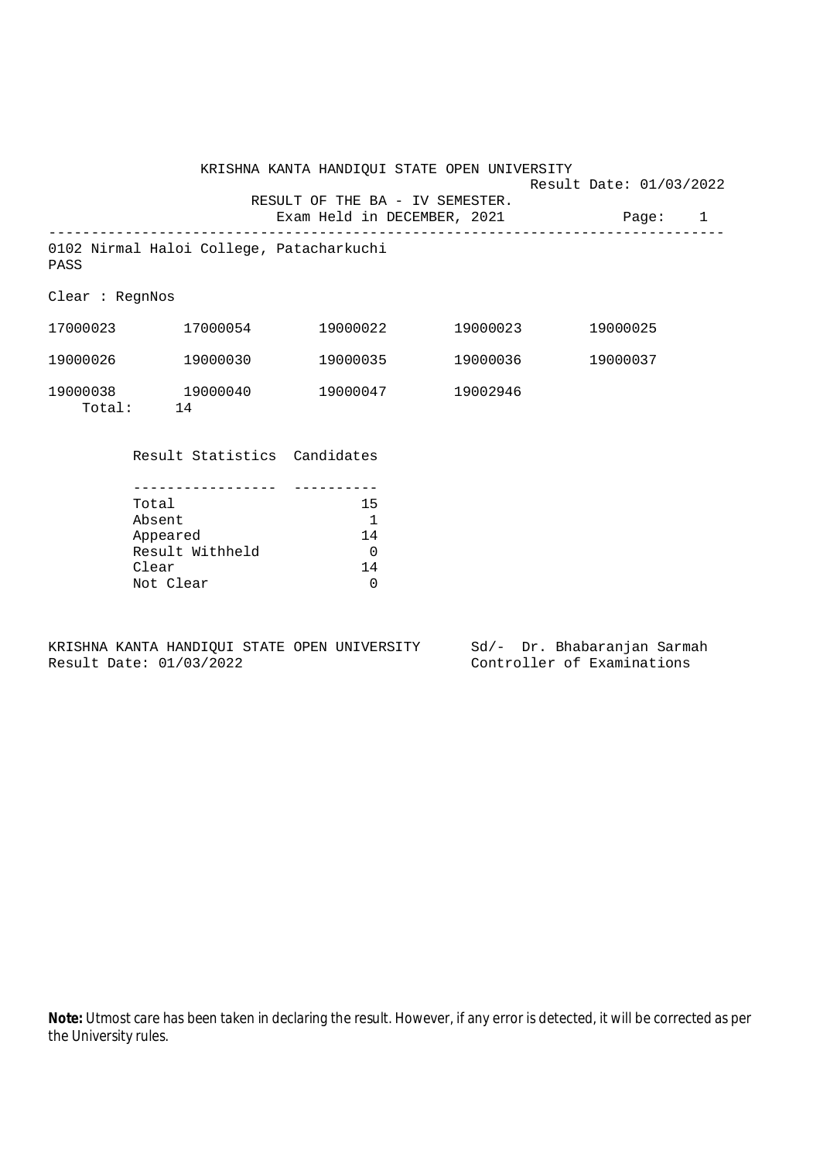Result Date: 01/03/2022 RESULT OF THE BA - IV SEMESTER.

Exam Held in DECEMBER, 2021 Page: 1 --------------------------------------------------------------------------------

```
0102 Nirmal Haloi College, Patacharkuchi
PASS
```
Clear : RegnNos

| 17000023           | 17000054       | 19000022 | 19000023 | 19000025 |
|--------------------|----------------|----------|----------|----------|
| 19000026           | 19000030       | 19000035 | 19000036 | 19000037 |
| 19000038<br>Total: | 19000040<br>14 | 19000047 | 19002946 |          |

Result Statistics Candidates

| Total           | 15 |
|-----------------|----|
| Absent          |    |
| Appeared        | 14 |
| Result Withheld |    |
| Clear           | 14 |
| Not Clear       |    |

KRISHNA KANTA HANDIQUI STATE OPEN UNIVERSITY Sd/- Dr. Bhabaranjan Sarmah Result Date: 01/03/2022 Controller of Examinations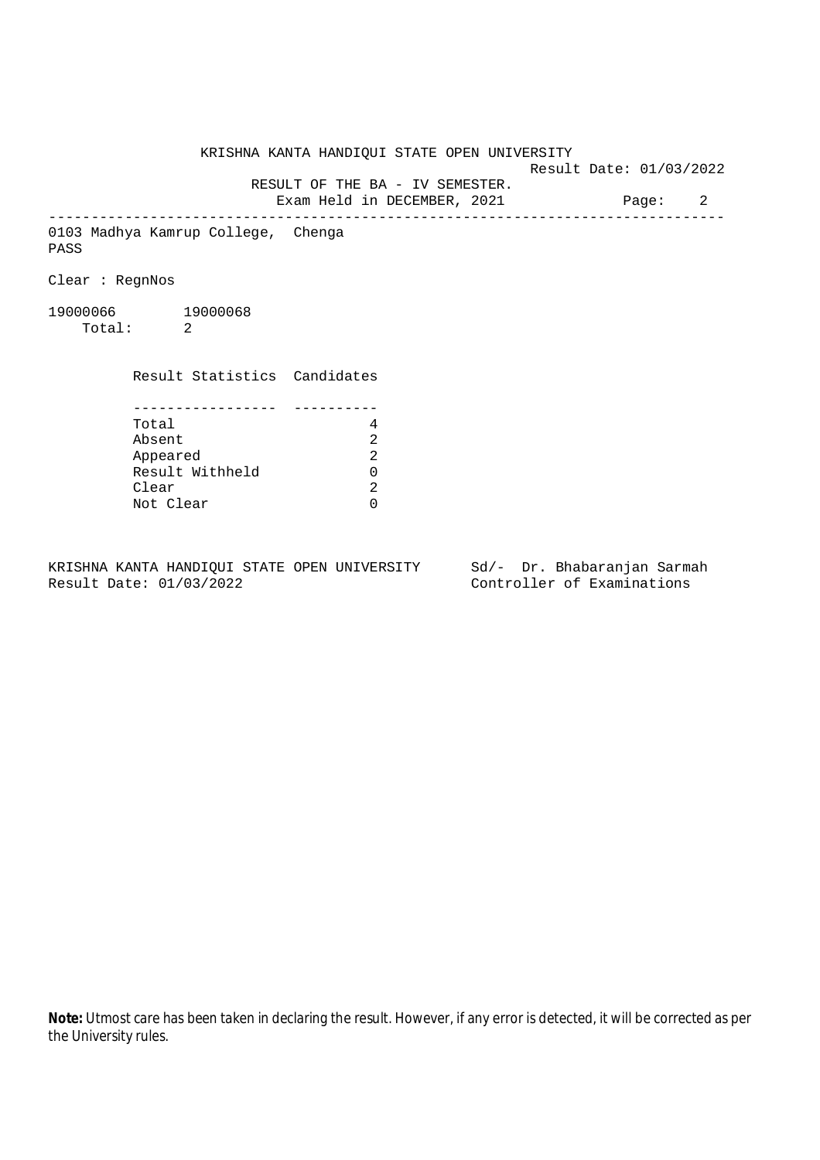KRISHNA KANTA HANDIQUI STATE OPEN UNIVERSITY Result Date: 01/03/2022 RESULT OF THE BA - IV SEMESTER. Exam Held in DECEMBER, 2021 Page: 2 -------------------------------------------------------------------------------- 0103 Madhya Kamrup College, Chenga PASS Clear : RegnNos 19000066 19000068 Total: 2 Result Statistics Candidates ----------------- ---------- Total 4 Absent<br>
Appeared 2<br>
Result Withheld 0<br>
Clear 2 Appeared Result Withheld 0 Clear Not Clear 0

KRISHNA KANTA HANDIQUI STATE OPEN UNIVERSITY Sd/- Dr. Bhabaranjan Sarmah Result Date: 01/03/2022 Controller of Examinations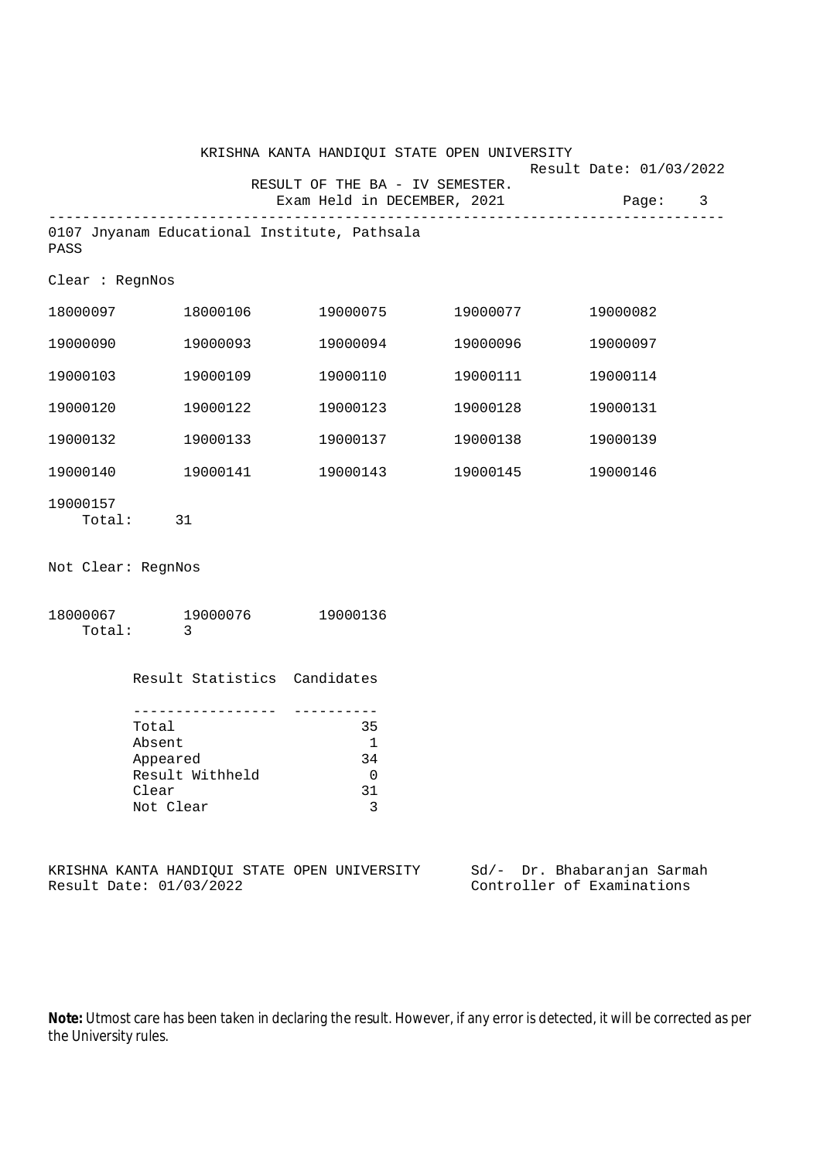|                    |                                                                                                     | KRISHNA KANTA HANDIQUI STATE OPEN UNIVERSITY                   |          |                                                      |   |
|--------------------|-----------------------------------------------------------------------------------------------------|----------------------------------------------------------------|----------|------------------------------------------------------|---|
|                    |                                                                                                     | RESULT OF THE BA - IV SEMESTER.<br>Exam Held in DECEMBER, 2021 |          | Result Date: 01/03/2022<br>Page:                     | 3 |
| PASS               |                                                                                                     | 0107 Jnyanam Educational Institute, Pathsala                   |          |                                                      |   |
| Clear : RegnNos    |                                                                                                     |                                                                |          |                                                      |   |
| 18000097           | 18000106                                                                                            | 19000075                                                       | 19000077 | 19000082                                             |   |
| 19000090           | 19000093                                                                                            | 19000094                                                       | 19000096 | 19000097                                             |   |
| 19000103           | 19000109                                                                                            | 19000110                                                       | 19000111 | 19000114                                             |   |
| 19000120           | 19000122                                                                                            | 19000123                                                       | 19000128 | 19000131                                             |   |
| 19000132           | 19000133                                                                                            | 19000137                                                       | 19000138 | 19000139                                             |   |
| 19000140           | 19000141                                                                                            | 19000143                                                       | 19000145 | 19000146                                             |   |
| 19000157<br>Total: | 31                                                                                                  |                                                                |          |                                                      |   |
| Not Clear: RegnNos |                                                                                                     |                                                                |          |                                                      |   |
| Total:             | 18000067 19000076<br>-3                                                                             | 19000136                                                       |          |                                                      |   |
|                    | Result Statistics Candidates                                                                        |                                                                |          |                                                      |   |
|                    | _ _ _ _ _ _ _ _ _ _ _ _ _ _<br>Total<br>Absent<br>Appeared<br>Result Withheld<br>Clear<br>Not Clear | 35<br>1<br>34<br>0<br>31<br>3                                  |          |                                                      |   |
|                    | Result Date: 01/03/2022                                                                             | KRISHNA KANTA HANDIQUI STATE OPEN UNIVERSITY                   | Sd/-     | Dr. Bhabaranjan Sarmah<br>Controller of Examinations |   |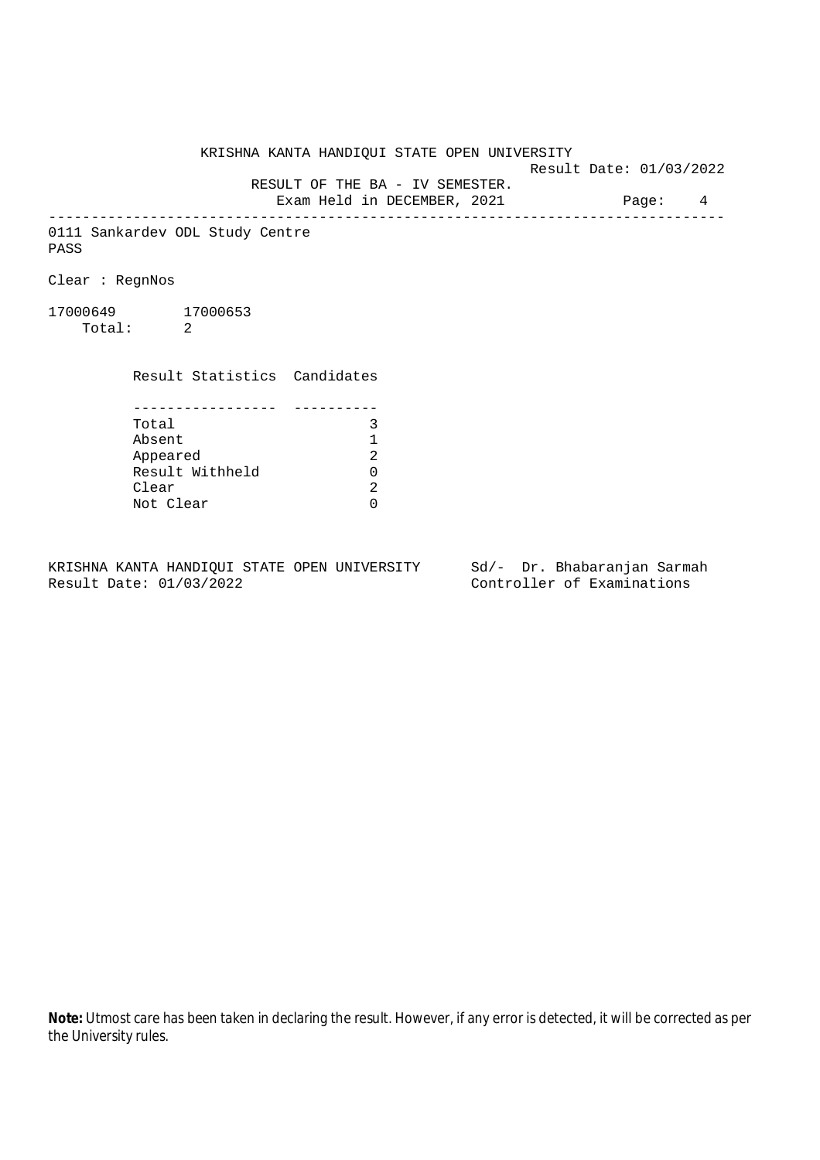Result Date: 01/03/2022

 RESULT OF THE BA - IV SEMESTER. Exam Held in DECEMBER, 2021 Page: 4

--------------------------------------------------------------------------------

0111 Sankardev ODL Study Centre PASS

Clear : RegnNos

17000649 17000653 Total: 2

Result Statistics Candidates

| Total           | ર |
|-----------------|---|
| Absent          |   |
| Appeared        | 2 |
| Result Withheld | ∩ |
| Clear           | 2 |
| Not Clear       |   |

KRISHNA KANTA HANDIQUI STATE OPEN UNIVERSITY Sd/- Dr. Bhabaranjan Sarmah<br>Result Date: 01/03/2022

Controller of Examinations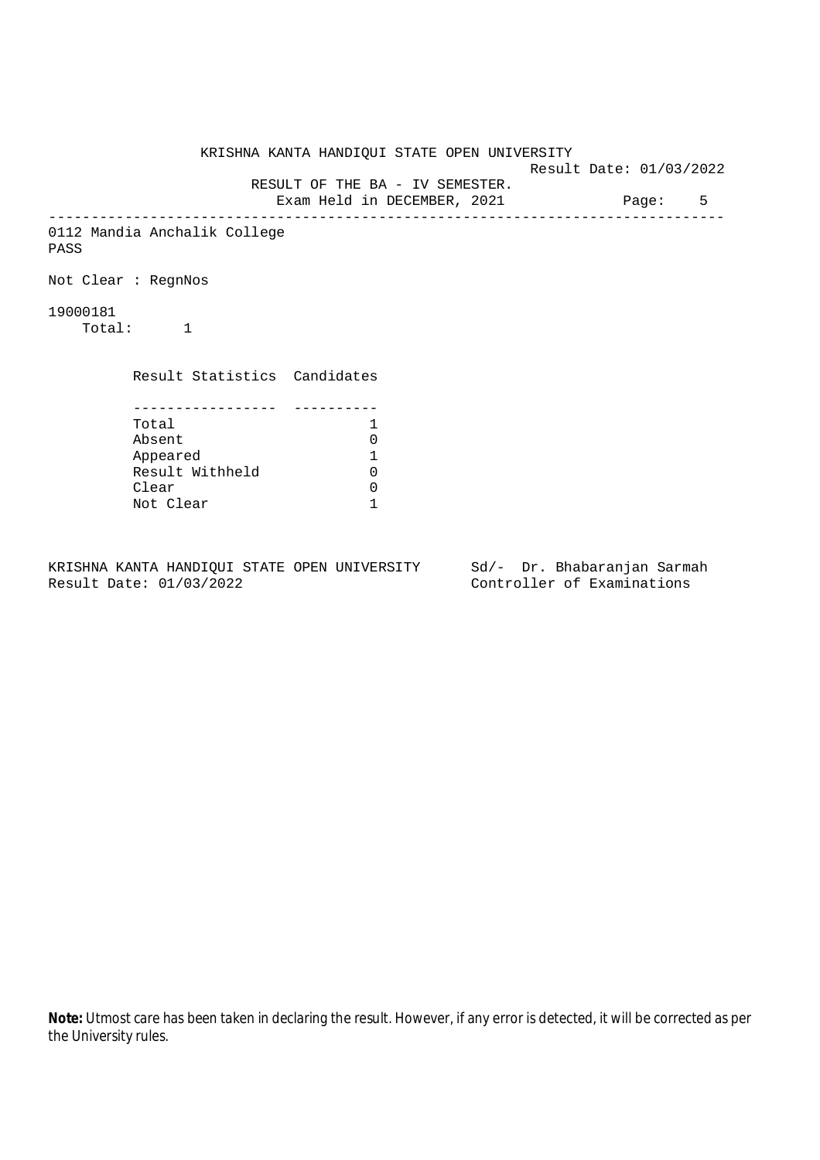KRISHNA KANTA HANDIQUI STATE OPEN UNIVERSITY Result Date: 01/03/2022 RESULT OF THE BA - IV SEMESTER. Exam Held in DECEMBER, 2021 Page: 5 -------------------------------------------------------------------------------- 0112 Mandia Anchalik College PASS Not Clear : RegnNos 19000181 Total: 1 Result Statistics Candidates ----------------- ---------- Total 1 Absent 0<br>
Appeared 1<br>
Result Withheld 0 Appeared 1 Result Withheld Clear 0 Not Clear 1

KRISHNA KANTA HANDIQUI STATE OPEN UNIVERSITY Sd/- Dr. Bhabaranjan Sarmah Result Date: 01/03/2022 Controller of Examinations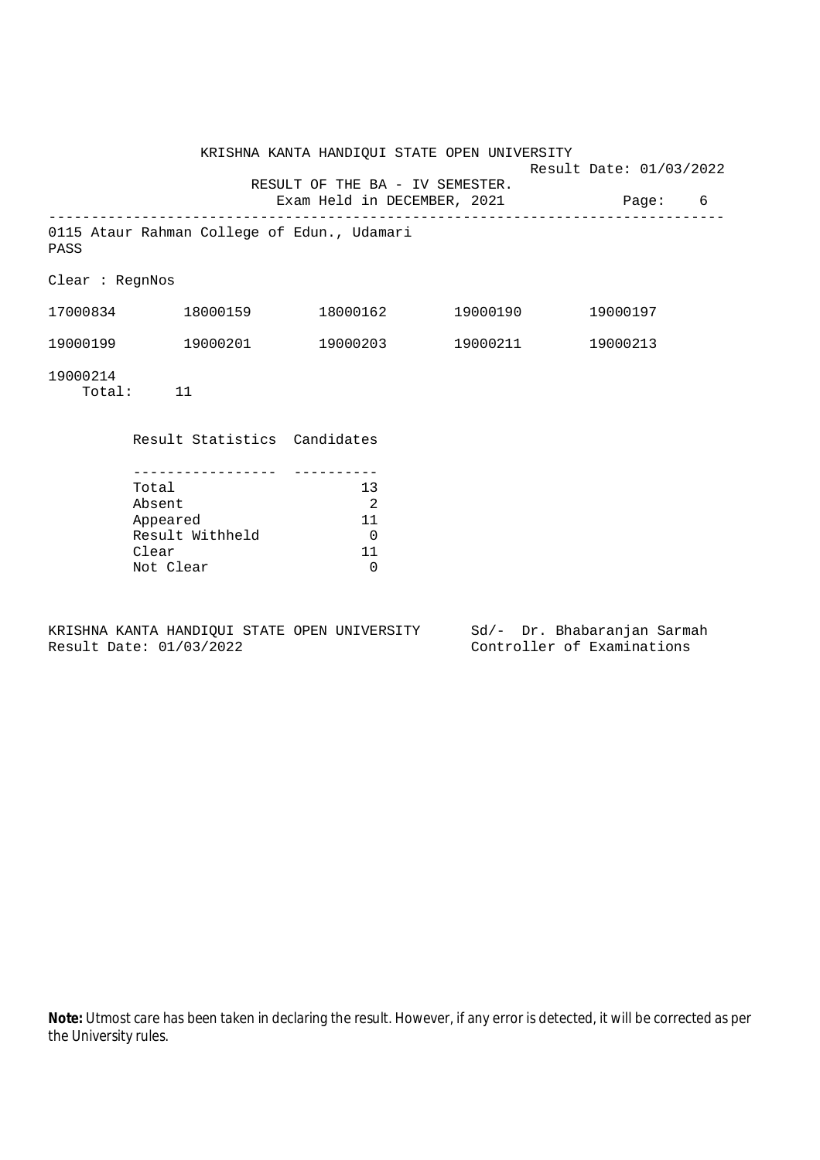|                 |                                                                      | KRISHNA KANTA HANDIQUI STATE OPEN UNIVERSITY      | Result Date: 01/03/2022           |   |
|-----------------|----------------------------------------------------------------------|---------------------------------------------------|-----------------------------------|---|
|                 |                                                                      | RESULT OF THE BA - IV SEMESTER.                   | Exam Held in DECEMBER, 2021 Page: | 6 |
| PASS            | 0115 Ataur Rahman College of Edun., Udamari                          |                                                   |                                   |   |
| Clear : RegnNos |                                                                      |                                                   |                                   |   |
|                 | $17000834$ $18000159$ $18000162$ $19000190$                          |                                                   | 19000197                          |   |
|                 | 19000199    19000201    19000203    19000211    19000213             |                                                   |                                   |   |
| 19000214        | Total: 11                                                            |                                                   |                                   |   |
|                 | Result Statistics Candidates                                         |                                                   |                                   |   |
|                 | Total<br>Absent<br>Appeared<br>Result Withheld<br>Clear<br>Not Clear | 13<br>2<br>11<br>$\overline{0}$<br>11<br>$\Omega$ |                                   |   |

KRISHNA KANTA HANDIQUI STATE OPEN UNIVERSITY Sd/- Dr. Bhabaranjan Sarmah<br>Result Date: 01/03/2022 Controller of Examinations

Controller of Examinations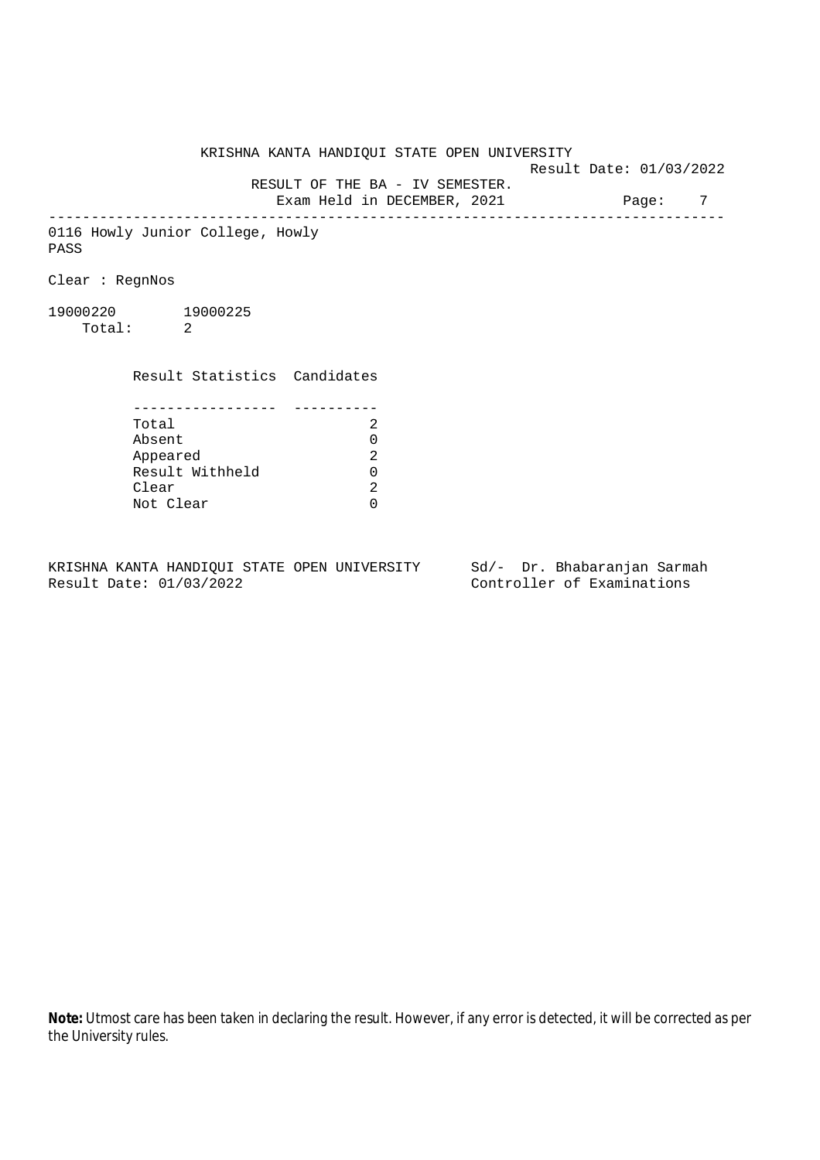Result Date: 01/03/2022

 RESULT OF THE BA - IV SEMESTER. Exam Held in DECEMBER, 2021 Page: 7

--------------------------------------------------------------------------------

0116 Howly Junior College, Howly PASS

Clear : RegnNos

19000220 19000225 Total: 2

> Result Statistics Candidates ----------------- ----------

| Total           | 2             |
|-----------------|---------------|
| Absent          | 0             |
| Appeared        | $\mathcal{L}$ |
| Result Withheld | O.            |
| Clear           | 2             |
| Not Clear       |               |

KRISHNA KANTA HANDIQUI STATE OPEN UNIVERSITY Sd/- Dr. Bhabaranjan Sarmah Result Date: 01/03/2022 Controller of Examinations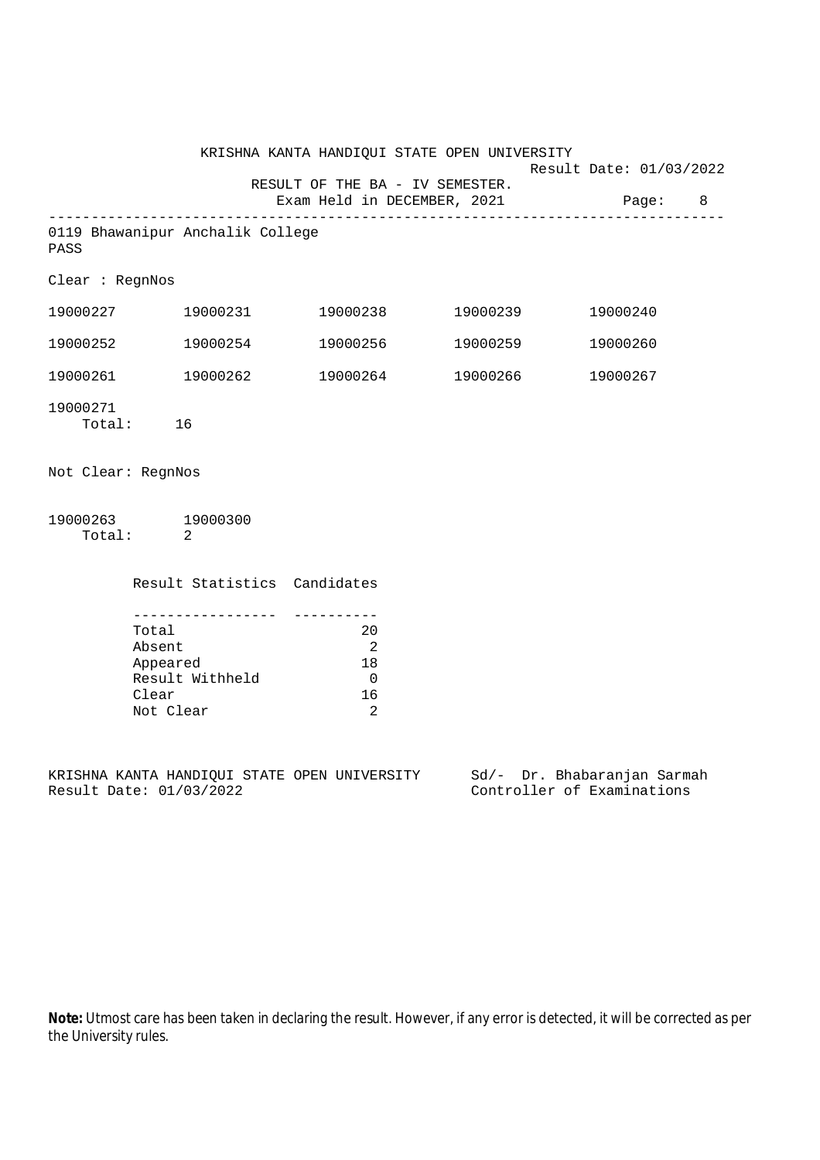|                                                                      |                                                                     |                                                                                                            | Page: 8                                                        |                                                                                                                                                                  |
|----------------------------------------------------------------------|---------------------------------------------------------------------|------------------------------------------------------------------------------------------------------------|----------------------------------------------------------------|------------------------------------------------------------------------------------------------------------------------------------------------------------------|
|                                                                      |                                                                     |                                                                                                            |                                                                |                                                                                                                                                                  |
| Clear : RegnNos                                                      |                                                                     |                                                                                                            |                                                                |                                                                                                                                                                  |
|                                                                      |                                                                     |                                                                                                            | 19000240                                                       |                                                                                                                                                                  |
|                                                                      |                                                                     |                                                                                                            | 19000260                                                       |                                                                                                                                                                  |
|                                                                      |                                                                     |                                                                                                            | 19000267                                                       |                                                                                                                                                                  |
| Total: 16                                                            |                                                                     |                                                                                                            |                                                                |                                                                                                                                                                  |
| Not Clear: RegnNos                                                   |                                                                     |                                                                                                            |                                                                |                                                                                                                                                                  |
| 19000263 19000300<br>Total: 2                                        |                                                                     |                                                                                                            |                                                                |                                                                                                                                                                  |
|                                                                      |                                                                     |                                                                                                            |                                                                |                                                                                                                                                                  |
| Total<br>Absent<br>Appeared<br>Result Withheld<br>Clear<br>Not Clear | 20<br>$\overline{\phantom{0}}^2$<br>18<br>$\overline{0}$<br>16<br>2 |                                                                                                            |                                                                |                                                                                                                                                                  |
|                                                                      |                                                                     | 0119 Bhawanipur Anchalik College<br>19000252 19000254<br>19000261 19000262<br>Result Statistics Candidates | RESULT OF THE BA - IV SEMESTER.<br>Exam Held in DECEMBER, 2021 | KRISHNA KANTA HANDIQUI STATE OPEN UNIVERSITY<br>Result Date: 01/03/2022<br>$19000227$ $19000231$ $19000238$ $19000239$<br>19000256 19000259<br>19000264 19000266 |

KRISHNA KANTA HANDIQUI STATE OPEN UNIVERSITY Sd/- Dr. Bhabaranjan Sarmah Result Date: 01/03/2022 Controller of Examinations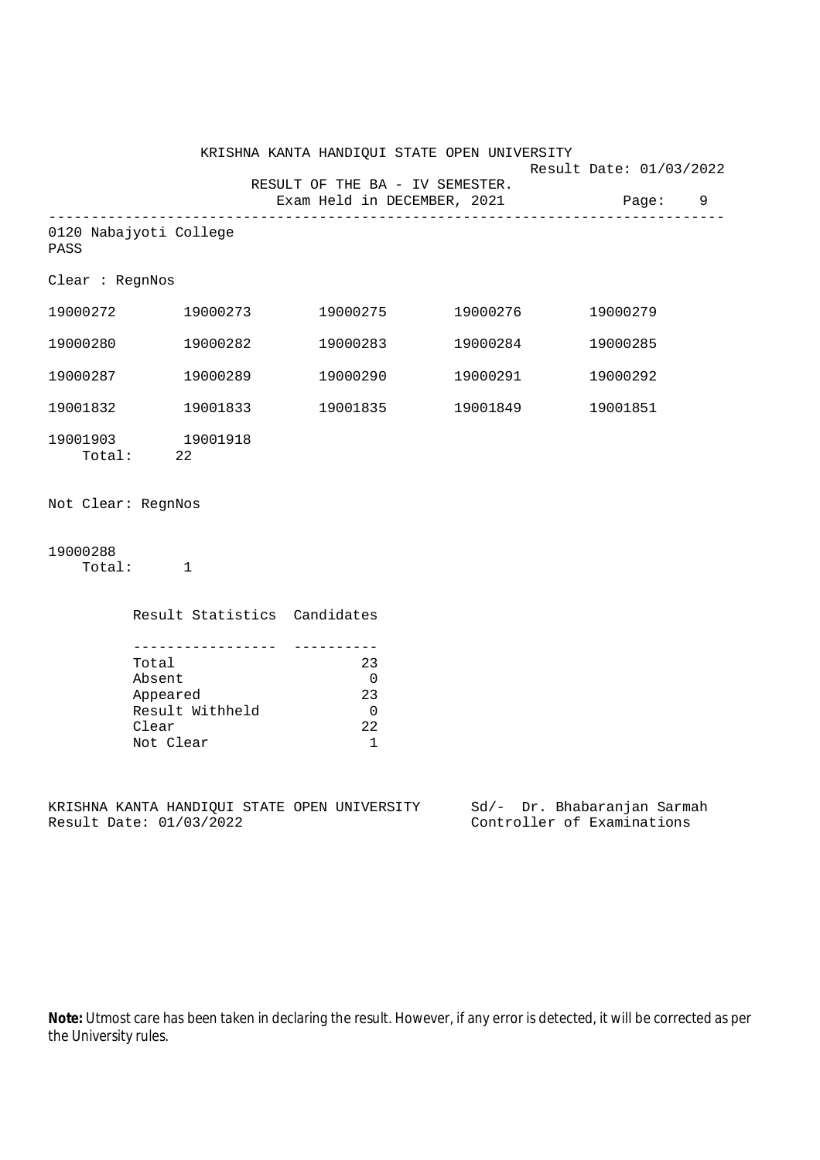|                                |                                                                                | KRISHNA KANTA HANDIQUI STATE OPEN UNIVERSITY                       |                   | Result Date: 01/03/2022             |
|--------------------------------|--------------------------------------------------------------------------------|--------------------------------------------------------------------|-------------------|-------------------------------------|
|                                |                                                                                | RESULT OF THE BA - IV SEMESTER.                                    |                   | Exam Held in DECEMBER, 2021 Page: 9 |
| 0120 Nabajyoti College<br>PASS |                                                                                |                                                                    |                   |                                     |
| Clear : RegnNos                |                                                                                |                                                                    |                   |                                     |
|                                |                                                                                | $19000272$ $19000273$ $19000275$ $19000276$                        |                   | 19000279                            |
| 19000280                       | 19000282                                                                       | 19000283                                                           | 19000284          | 19000285                            |
| 19000287                       | 19000289                                                                       |                                                                    |                   | 19000292                            |
| 19001832                       | 19001833                                                                       |                                                                    | 19001835 19001849 | 19001851                            |
| 19001903 19001918<br>Total: 22 |                                                                                |                                                                    |                   |                                     |
| Not Clear: RegnNos             |                                                                                |                                                                    |                   |                                     |
| 19000288<br>Total: 1           |                                                                                |                                                                    |                   |                                     |
|                                | Result Statistics Candidates                                                   |                                                                    |                   |                                     |
|                                | Total<br>Absent<br>Appeared<br>Record<br>Result Withheld<br>Clear<br>Not Clear | 23<br>$\overline{0}$<br>23<br>$\overline{0}$<br>22<br>$\mathbf{1}$ |                   |                                     |
|                                |                                                                                | KRISHNA KANTA HANDIQUI STATE OPEN UNIVERSITY                       |                   | Sd/- Dr. Bhabaranjan Sarmah         |

Result Date: 01/03/2022 Controller of Examinations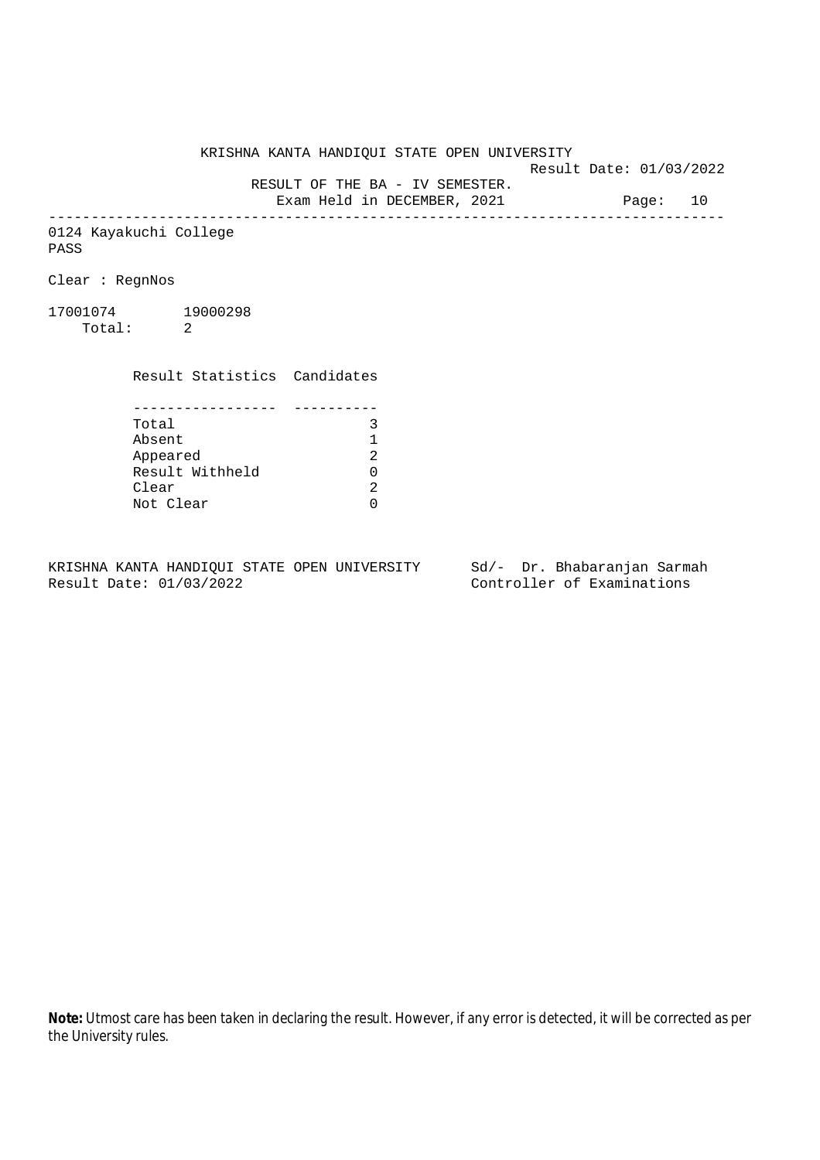Result Date: 01/03/2022

RESULT OF THE BA - IV SEMESTER.

Exam Held in DECEMBER, 2021 Page: 10 --------------------------------------------------------------------------------

0124 Kayakuchi College PASS

Clear : RegnNos

17001074 19000298 Total: 2

> Result Statistics Candidates ----------------- ---------- Total 3<br>Absent 1

> Absent 1 Appeared Result Withheld 0 Clear Not Clear 0

KRISHNA KANTA HANDIQUI STATE OPEN UNIVERSITY Sd/- Dr. Bhabaranjan Sarmah Result Date: 01/03/2022 Controller of Examinations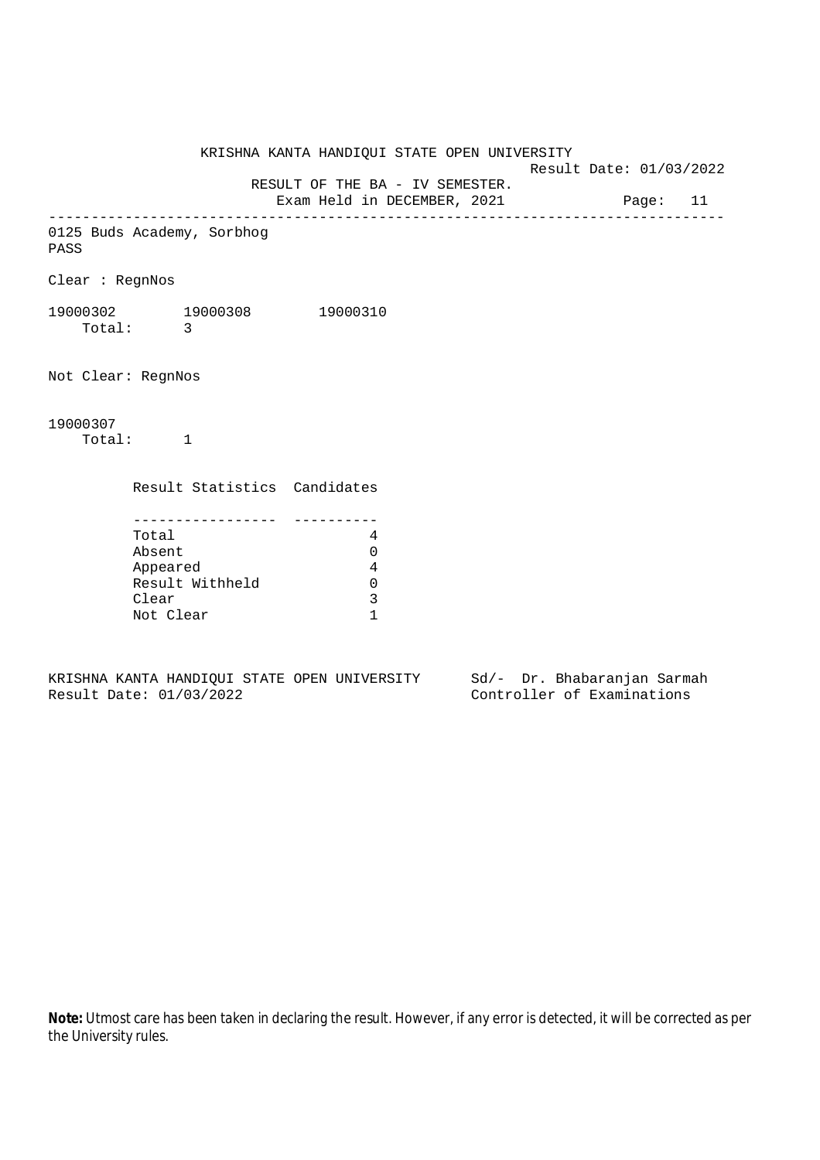KRISHNA KANTA HANDIQUI STATE OPEN UNIVERSITY Result Date: 01/03/2022 RESULT OF THE BA - IV SEMESTER. Exam Held in DECEMBER, 2021 Page: 11 -------------------------------------------------------------------------------- 0125 Buds Academy, Sorbhog PASS Clear : RegnNos 19000302 19000308 19000310 Total: 3 Not Clear: RegnNos 19000307 Total: 1 Result Statistics Candidates ----------------- ---------- Total 4 Absent 0 Appeared 4 Result Withheld 0 Clear 3 Not Clear 1

KRISHNA KANTA HANDIQUI STATE OPEN UNIVERSITY Sd/- Dr. Bhabaranjan Sarmah Result Date: 01/03/2022 Controller of Examinations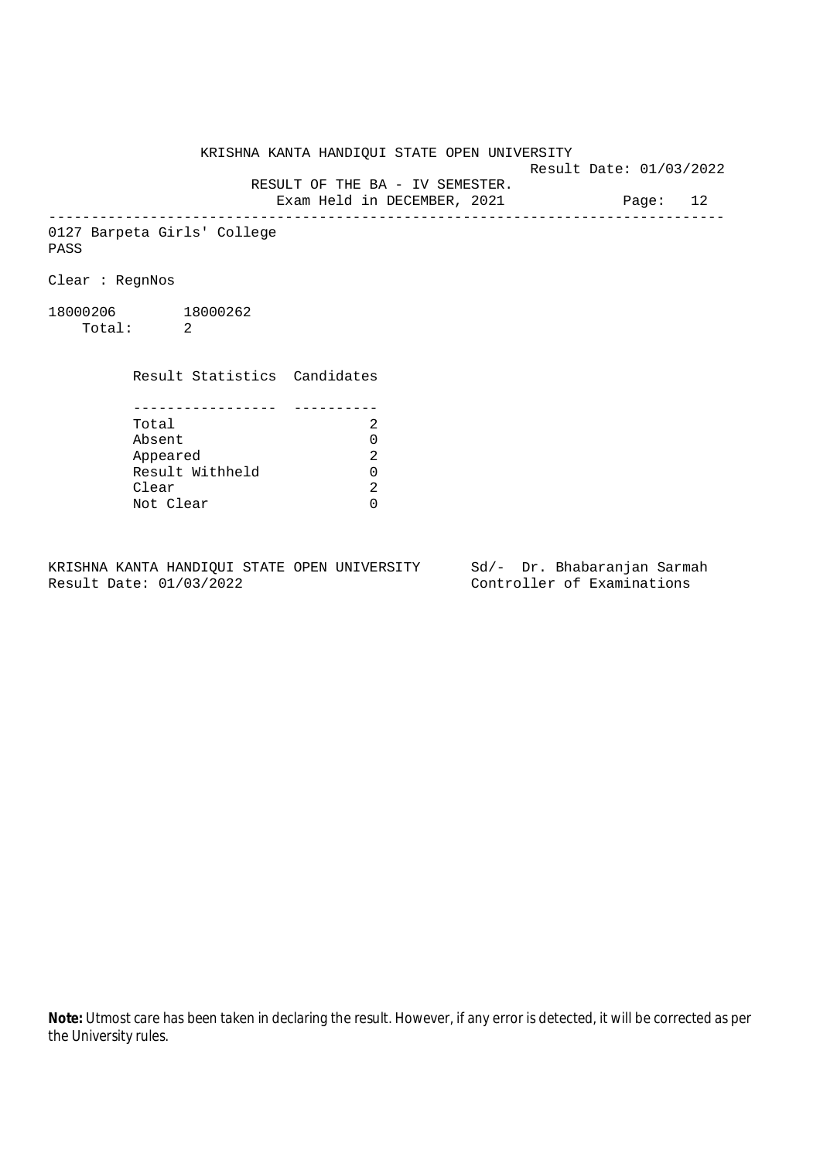Result Date: 01/03/2022

 RESULT OF THE BA - IV SEMESTER. Exam Held in DECEMBER, 2021 Page: 12

--------------------------------------------------------------------------------

0127 Barpeta Girls' College PASS

Clear : RegnNos

18000206 18000262 Total: 2

Clear

 Result Statistics Candidates ----------------- ---------- Total 2 Absent<br>
Appeared 2<br>
Result Withheld 0<br>
Clear 2 Appeared Result Withheld 0

Not Clear 0

KRISHNA KANTA HANDIQUI STATE OPEN UNIVERSITY Sd/- Dr. Bhabaranjan Sarmah Result Date: 01/03/2022 Controller of Examinations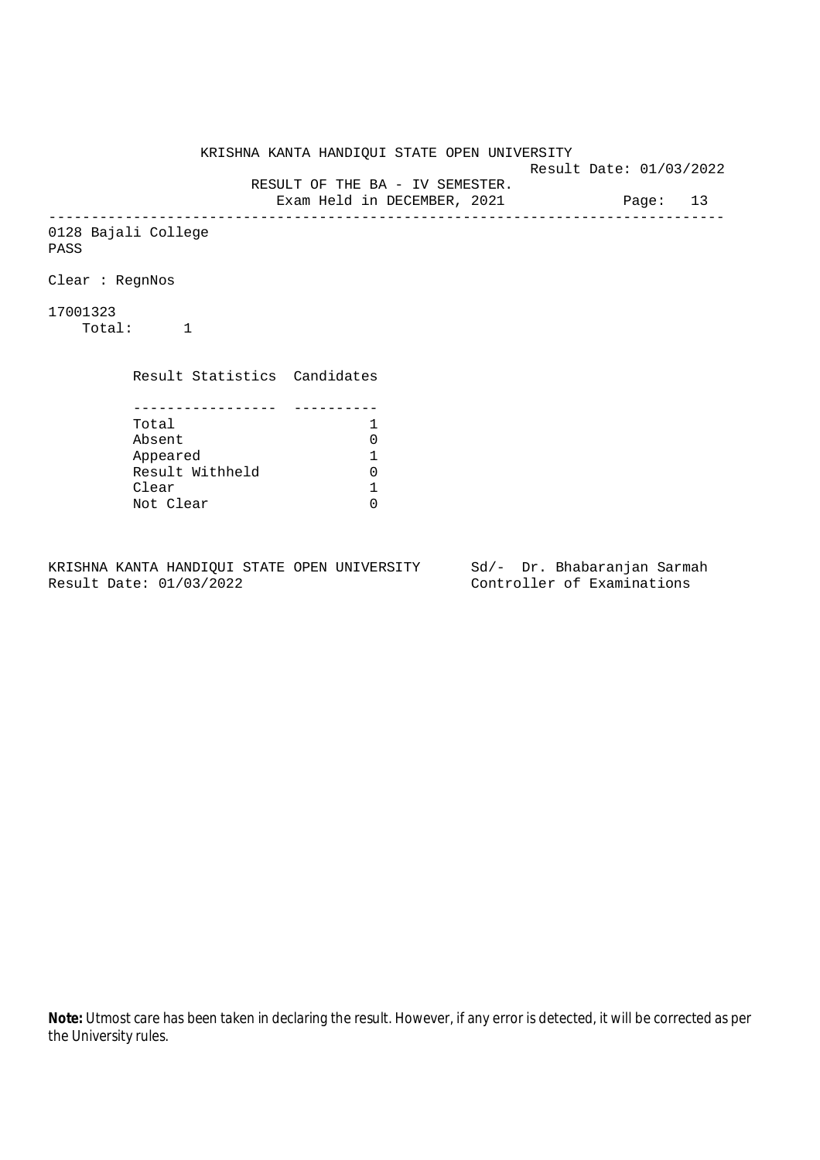KRISHNA KANTA HANDIQUI STATE OPEN UNIVERSITY Result Date: 01/03/2022 RESULT OF THE BA - IV SEMESTER. Exam Held in DECEMBER, 2021 Page: 13 -------------------------------------------------------------------------------- 0128 Bajali College PASS Clear : RegnNos 17001323 Total: 1 Result Statistics Candidates ----------------- ---------- Total 1<br>Absent 0 Absent<br>
Appeared 1<br>
Result Withheld 0<br>
Clear 1 Appeared 1 Result Withheld Clear Not Clear 0

KRISHNA KANTA HANDIQUI STATE OPEN UNIVERSITY Sd/- Dr. Bhabaranjan Sarmah Result Date: 01/03/2022 Controller of Examinations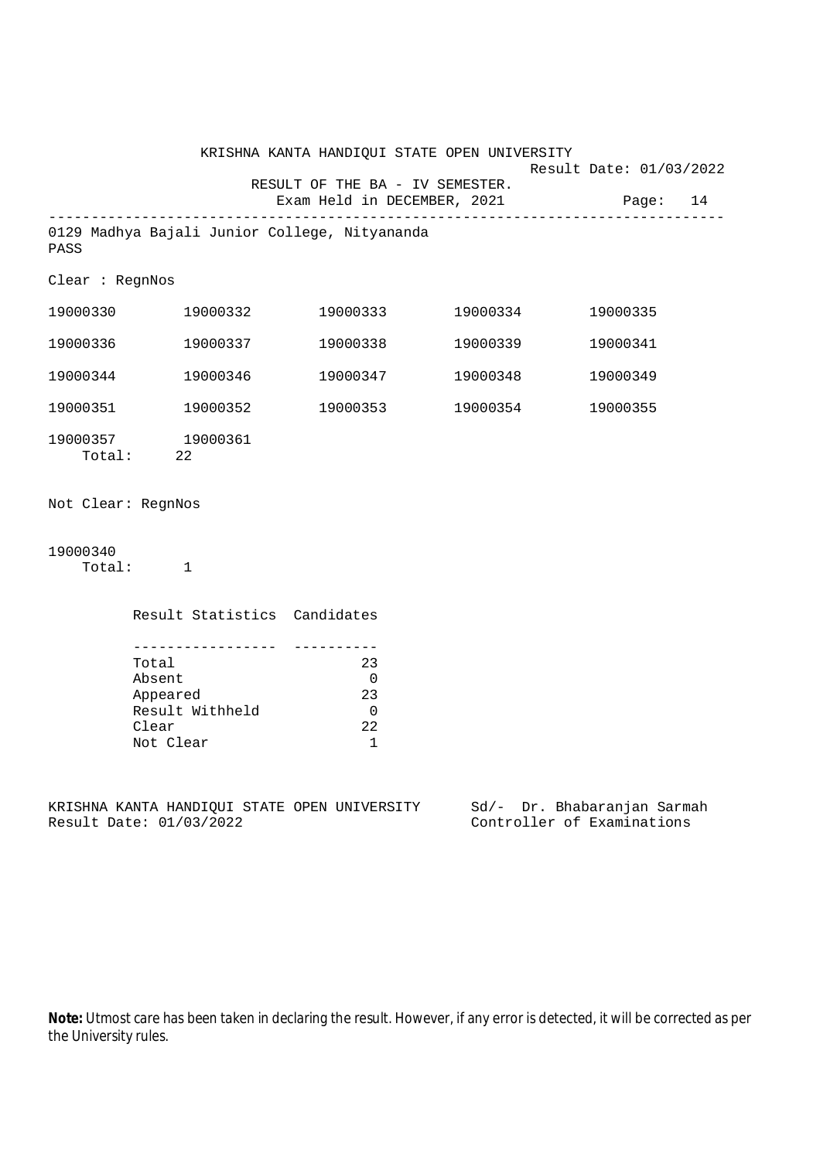|                    | KRISHNA KANTA HANDIQUI STATE OPEN UNIVERSITY<br>Result Date: 01/03/2022 |                                                                    |                   |                             |
|--------------------|-------------------------------------------------------------------------|--------------------------------------------------------------------|-------------------|-----------------------------|
|                    |                                                                         | RESULT OF THE BA - IV SEMESTER.<br>Exam Held in DECEMBER, 2021     |                   | Page: 14                    |
| PASS               | 0129 Madhya Bajali Junior College, Nityananda                           |                                                                    |                   |                             |
| Clear : RegnNos    |                                                                         |                                                                    |                   |                             |
|                    | 19000330 19000332                                                       |                                                                    | 19000333 19000334 | 19000335                    |
|                    | 19000336 19000337                                                       | 19000338                                                           | 19000339          | 19000341                    |
|                    | 19000344 19000346                                                       |                                                                    | 19000347 19000348 | 19000349                    |
|                    | 19000351 19000352                                                       |                                                                    | 19000353 19000354 | 19000355                    |
|                    | 19000357 19000361<br>Total: 22                                          |                                                                    |                   |                             |
| Not Clear: RegnNos |                                                                         |                                                                    |                   |                             |
| 19000340           | Total: 1                                                                |                                                                    |                   |                             |
|                    | Result Statistics Candidates                                            |                                                                    |                   |                             |
|                    | Total<br>Absent<br>Appeared<br>Result Withheld<br>Clear<br>Not Clear    | 23<br>$\overline{0}$<br>23<br>$\overline{0}$<br>22<br>$\mathbf{1}$ |                   |                             |
|                    | KRISHNA KANTA HANDIQUI STATE OPEN UNIVERSITY                            |                                                                    |                   | Sd/- Dr. Bhabaranjan Sarmah |

Result Date: 01/03/2022 Controller of Examinations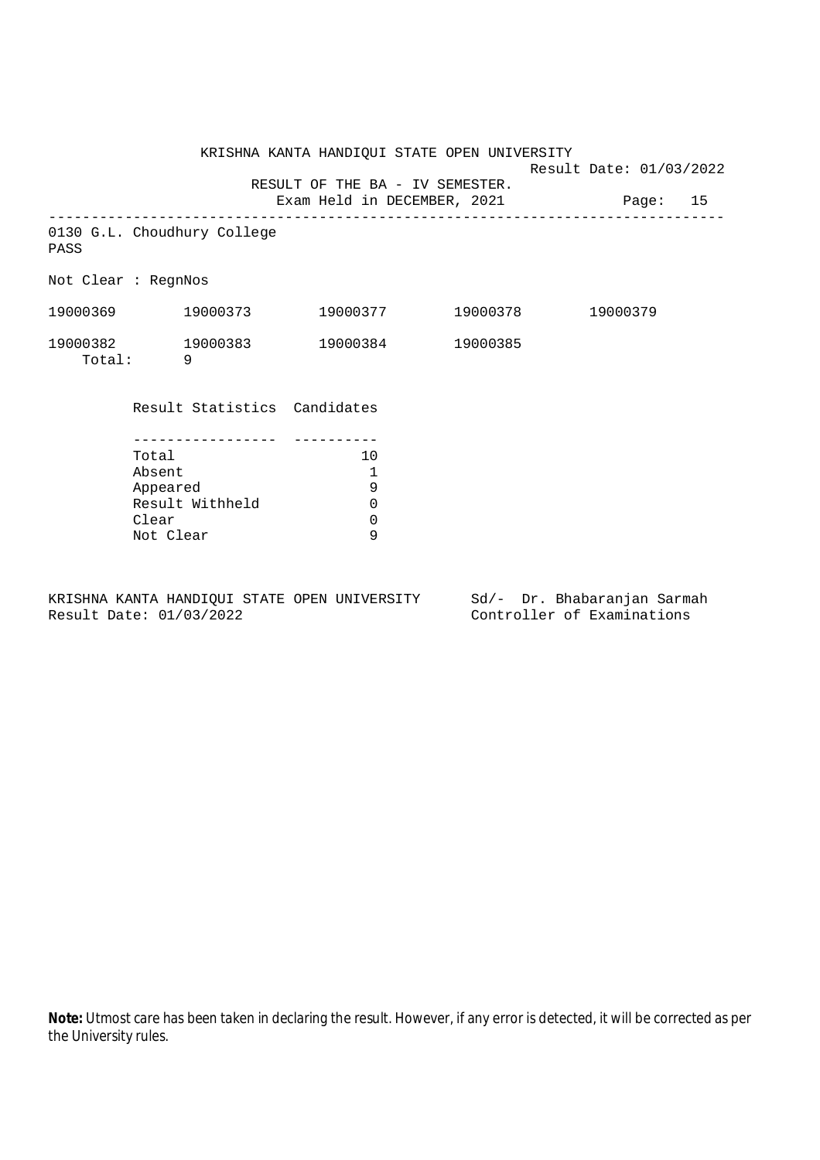KRISHNA KANTA HANDIQUI STATE OPEN UNIVERSITY Result Date: 01/03/2022 RESULT OF THE BA - IV SEMESTER. Exam Held in DECEMBER, 2021 Page: 15 -------------------------------------------------------------------------------- 0130 G.L. Choudhury College PASS Not Clear : RegnNos 19000369 19000373 19000377 19000378 19000379 19000382 19000383 19000384 19000385 Total: 9 Result Statistics Candidates ----------------- ---------- Total 10 Absent 1<br>Appeared 9

KRISHNA KANTA HANDIQUI STATE OPEN UNIVERSITY Sd/- Dr. Bhabaranjan Sarmah Result Date: 01/03/2022 Controller of Examinations

Not Clear

Appeared 9<br>Result Withheld 0 Result Withheld 0<br>Clear 0 Clear 0<br>Not Clear 9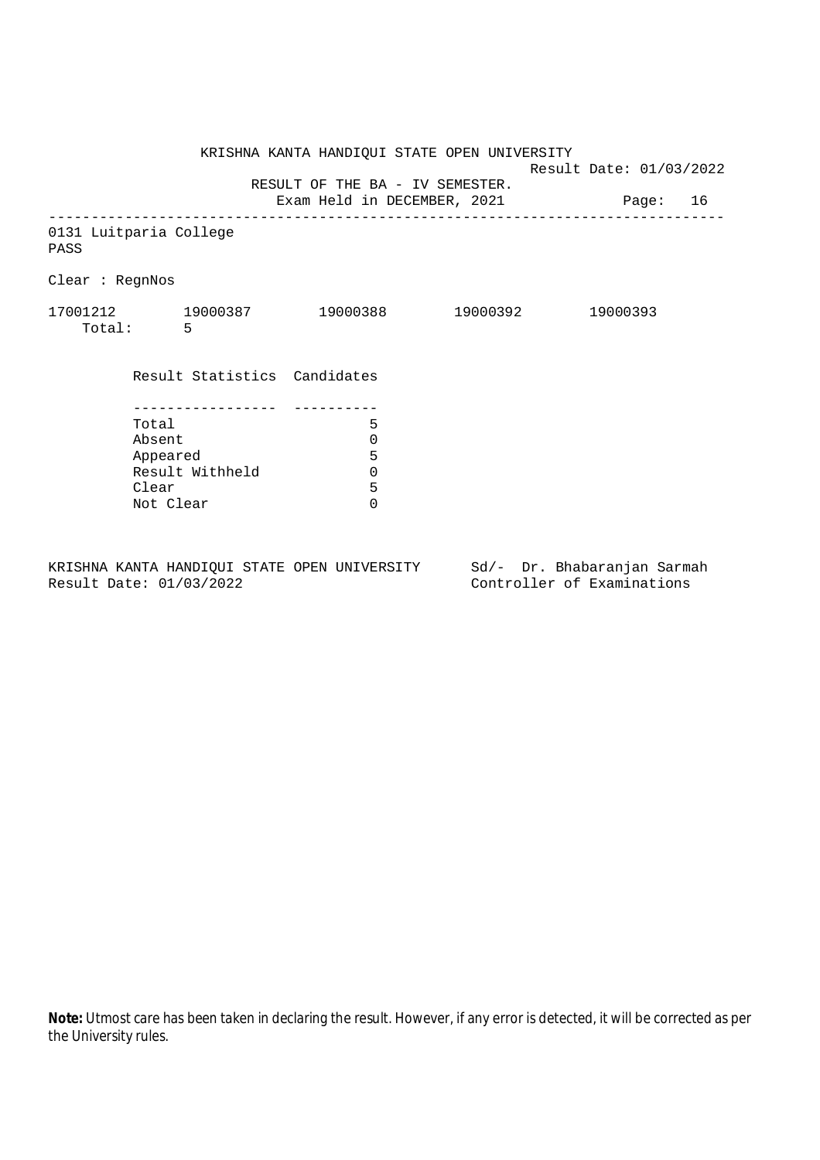KRISHNA KANTA HANDIQUI STATE OPEN UNIVERSITY Result Date: 01/03/2022 RESULT OF THE BA - IV SEMESTER. Exam Held in DECEMBER, 2021 Page: 16 -------------------------------------------------------------------------------- 0131 Luitparia College PASS Clear : RegnNos 17001212 19000387 19000388 19000392 19000393 Total: 5 Result Statistics Candidates ----------------- ---------- Total 5 Absent<br>
Appeared 5<br>
Result Withheld 0<br>
Clear 5 Appeared Result Withheld 0 Clear Not Clear 0

KRISHNA KANTA HANDIQUI STATE OPEN UNIVERSITY Sd/- Dr. Bhabaranjan Sarmah Result Date: 01/03/2022 Controller of Examinations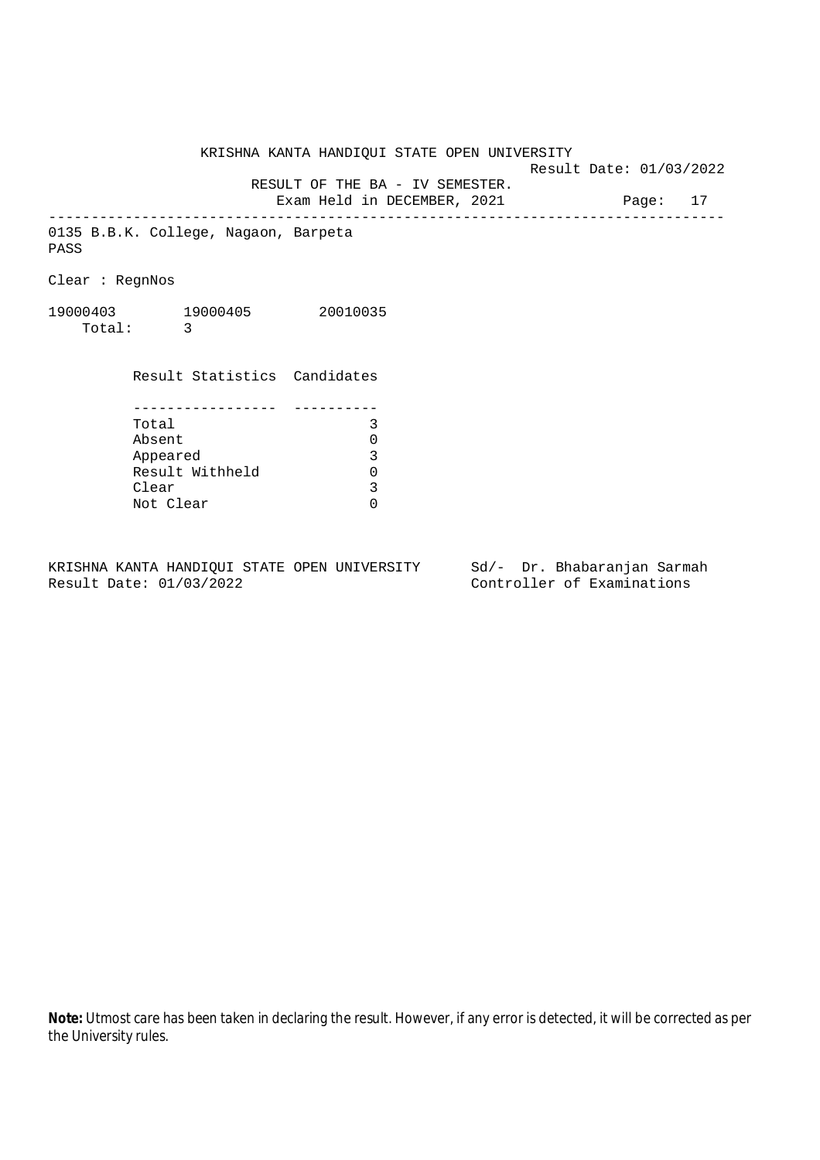KRISHNA KANTA HANDIQUI STATE OPEN UNIVERSITY Result Date: 01/03/2022 RESULT OF THE BA - IV SEMESTER. Exam Held in DECEMBER, 2021 Page: 17 -------------------------------------------------------------------------------- 0135 B.B.K. College, Nagaon, Barpeta

Clear : RegnNos

PASS

19000403 19000405 20010035 Total: 3

> Result Statistics Candidates ----------------- ---------- Total 3 Absent 0<br>
> Appeared 3<br>
> Result Withheld 0 Appeared Result Withheld 0<br>Clear 3 Clear Not Clear 0

KRISHNA KANTA HANDIQUI STATE OPEN UNIVERSITY Sd/- Dr. Bhabaranjan Sarmah Result Date: 01/03/2022 Controller of Examinations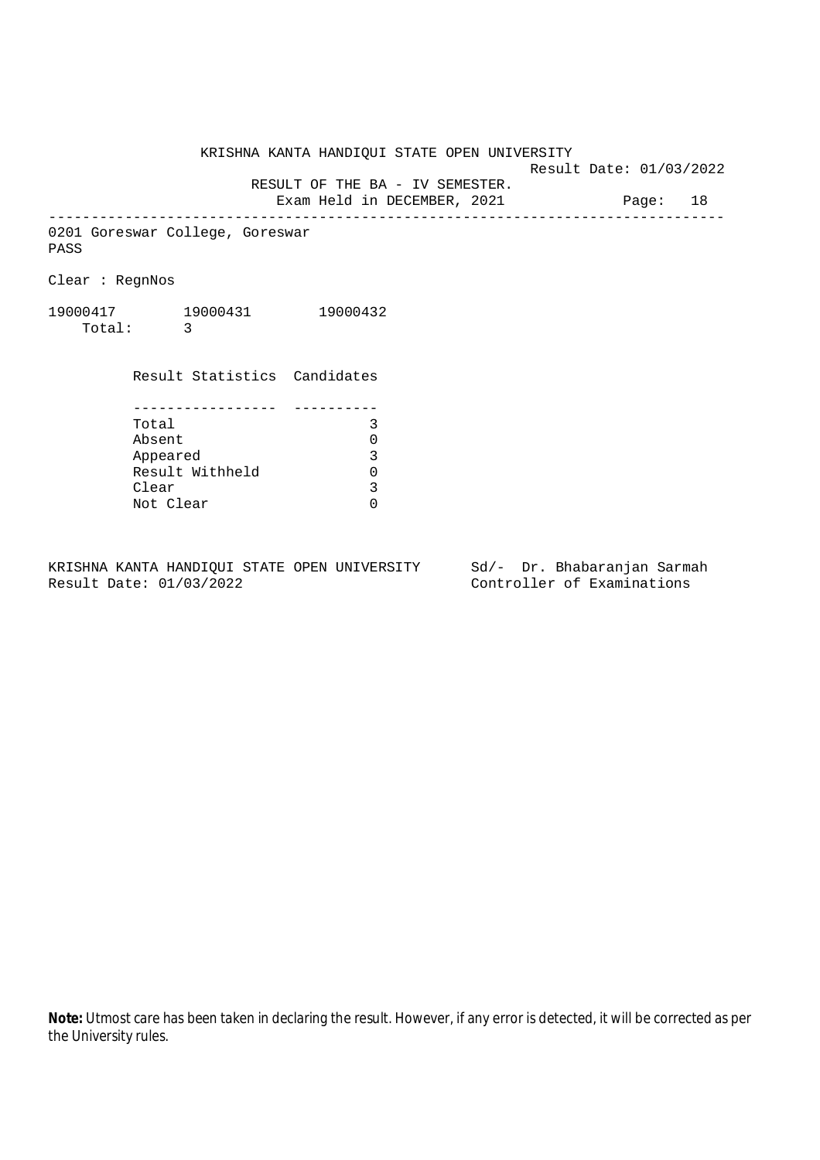Result Date: 01/03/2022

RESULT OF THE BA - IV SEMESTER.

Exam Held in DECEMBER, 2021 Page: 18 --------------------------------------------------------------------------------

0201 Goreswar College, Goreswar PASS

Clear : RegnNos

19000417 19000431 19000432 Total: 3

> Result Statistics Candidates ----------------- ---------- Total 3 Absent 0<br>
> Appeared 3<br>
> Result Withheld 0 Appeared Result Withheld 0<br>Clear 3 Clear Not Clear 0

KRISHNA KANTA HANDIQUI STATE OPEN UNIVERSITY Sd/- Dr. Bhabaranjan Sarmah Result Date: 01/03/2022 Controller of Examinations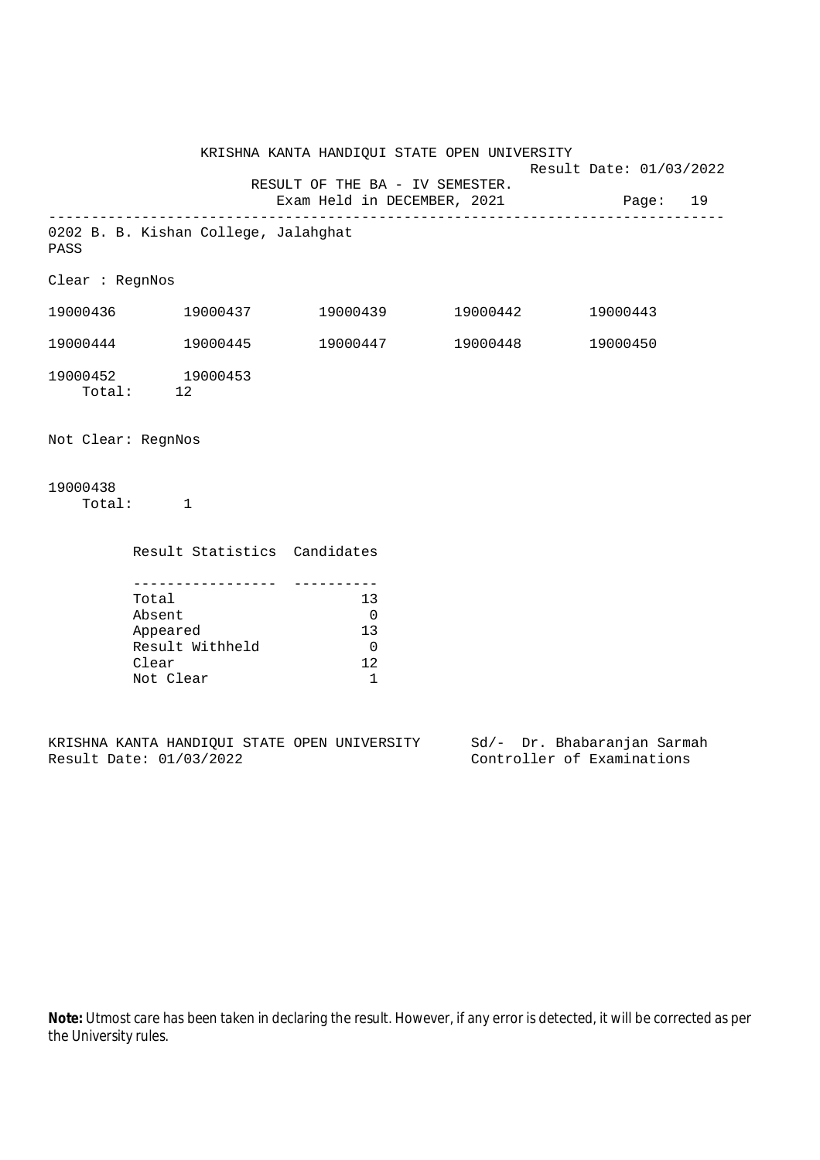KRISHNA KANTA HANDIQUI STATE OPEN UNIVERSITY Result Date: 01/03/2022 RESULT OF THE BA - IV SEMESTER. Exam Held in DECEMBER, 2021 Page: 19 -------------------------------------------------------------------------------- 0202 B. B. Kishan College, Jalahghat PASS Clear : RegnNos 19000436 19000437 19000439 19000442 19000443 19000444 19000445 19000447 19000448 19000450 19000452 19000453 Total: 12 Not Clear: RegnNos 19000438 Total: 1 Result Statistics Candidates ----------------- ---------- Total 13 Absent 0<br>Appeared 13 Appeared 13 Result Withheld 0 Clear 12 Not Clear 1

KRISHNA KANTA HANDIQUI STATE OPEN UNIVERSITY Sd/- Dr. Bhabaranjan Sarmah<br>Result Date: 01/03/2022 Controller of Examinations

Controller of Examinations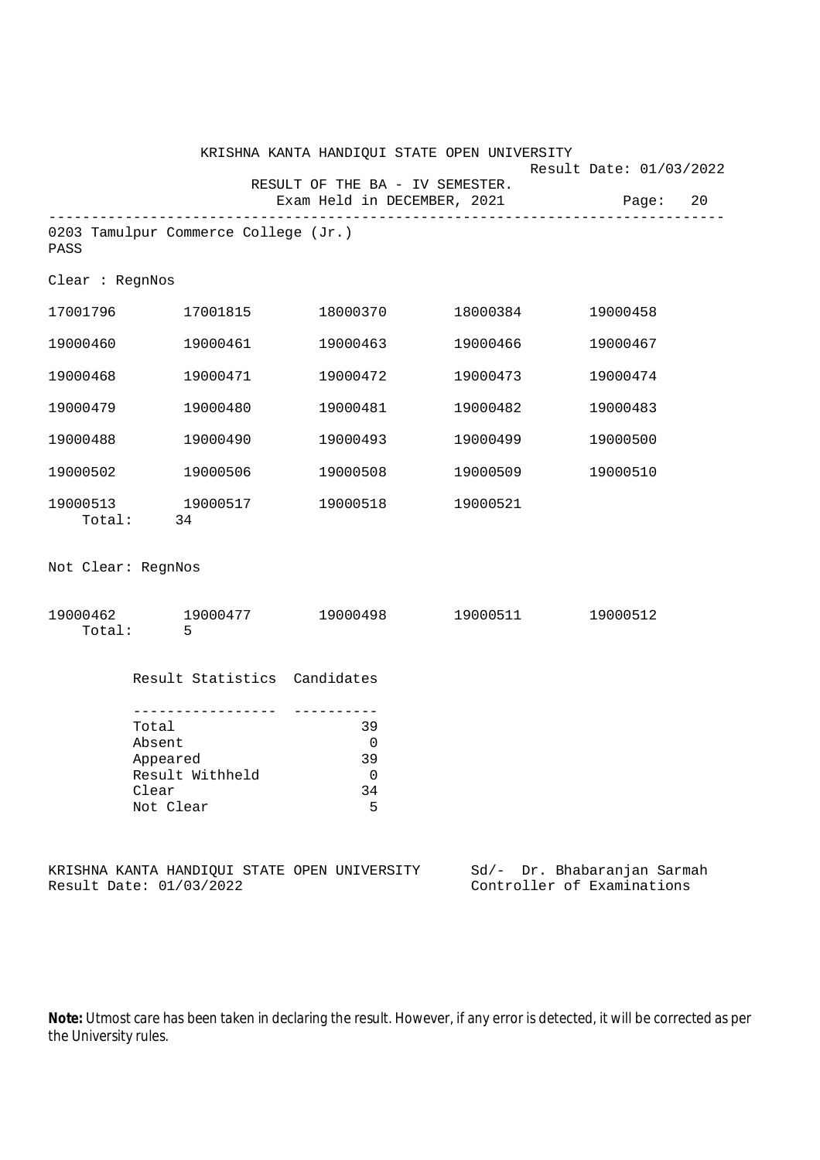|                    |                                                                         | KRISHNA KANTA HANDIQUI STATE OPEN UNIVERSITY                   |          |                                                           |
|--------------------|-------------------------------------------------------------------------|----------------------------------------------------------------|----------|-----------------------------------------------------------|
|                    |                                                                         | RESULT OF THE BA - IV SEMESTER.<br>Exam Held in DECEMBER, 2021 |          | Result Date: 01/03/2022<br>Page: 20                       |
| PASS               | 0203 Tamulpur Commerce College (Jr.)                                    |                                                                |          |                                                           |
| Clear : RegnNos    |                                                                         |                                                                |          |                                                           |
| 17001796           | 17001815                                                                |                                                                |          | 19000458                                                  |
| 19000460           | 19000461                                                                | 19000463                                                       | 19000466 | 19000467                                                  |
| 19000468           | 19000471                                                                | 19000472                                                       | 19000473 | 19000474                                                  |
| 19000479           | 19000480                                                                | 19000481                                                       | 19000482 | 19000483                                                  |
| 19000488           | 19000490                                                                | 19000493                                                       | 19000499 | 19000500                                                  |
| 19000502           | 19000506                                                                | 19000508                                                       | 19000509 | 19000510                                                  |
|                    | 19000513 19000517<br>Total: 34                                          | 19000518                                                       | 19000521 |                                                           |
| Not Clear: RegnNos |                                                                         |                                                                |          |                                                           |
| Total:             | $19000462$ 19000477 19000498 19000511 19000512<br>$\overline{5}$        |                                                                |          |                                                           |
|                    | Result Statistics Candidates                                            |                                                                |          |                                                           |
|                    | Total<br>Absent<br>Appeared<br>Result Withheld<br>Clear<br>Not Clear    | 39<br>$\mathbf 0$<br>39<br>0<br>34<br>5                        |          |                                                           |
|                    | KRISHNA KANTA HANDIQUI STATE OPEN UNIVERSITY<br>Result Date: 01/03/2022 |                                                                |          | Sd/- Dr. Bhabaranjan Sarmah<br>Controller of Examinations |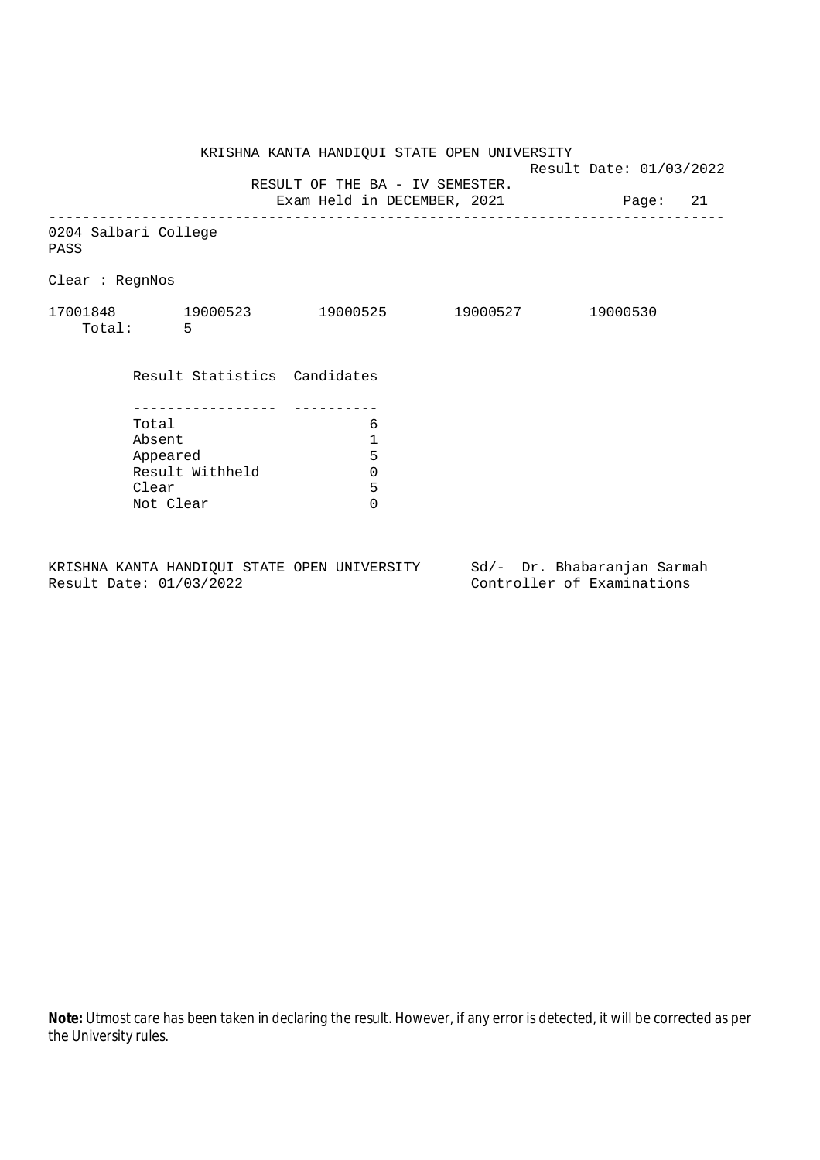KRISHNA KANTA HANDIQUI STATE OPEN UNIVERSITY Result Date: 01/03/2022 RESULT OF THE BA - IV SEMESTER. Exam Held in DECEMBER, 2021 Page: 21 -------------------------------------------------------------------------------- 0204 Salbari College PASS Clear : RegnNos 17001848 19000523 19000525 19000527 19000530 Total: 5 Result Statistics Candidates ----------------- ---------- Total 6 Absent<br>
Appeared 5<br>
Result Withheld 0<br>
Clear 5 Appeared Result Withheld 0 Clear Not Clear 0

KRISHNA KANTA HANDIQUI STATE OPEN UNIVERSITY Sd/- Dr. Bhabaranjan Sarmah Result Date: 01/03/2022 Controller of Examinations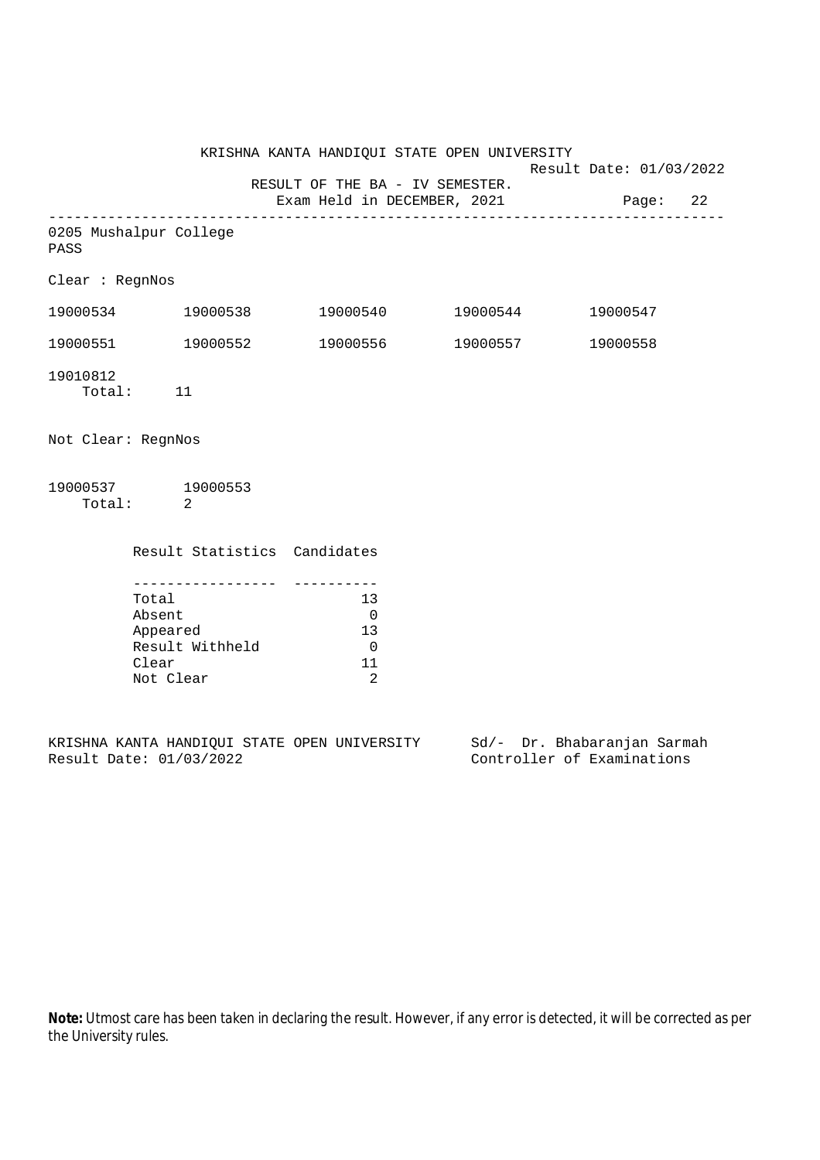KRISHNA KANTA HANDIQUI STATE OPEN UNIVERSITY Result Date: 01/03/2022 RESULT OF THE BA - IV SEMESTER. Exam Held in DECEMBER, 2021 Page: 22 -------------------------------------------------------------------------------- 0205 Mushalpur College PASS Clear : RegnNos 19000534 19000538 19000540 19000544 19000547 19000551 19000552 19000556 19000557 19000558 19010812 Total: 11 Not Clear: RegnNos 19000537 19000553 Total: 2 Result Statistics Candidates ----------------- ---------- Total 13 Absent 0<br>Appeared 13 Appeared Result Withheld 0 Clear 11

KRISHNA KANTA HANDIQUI STATE OPEN UNIVERSITY Sd/- Dr. Bhabaranjan Sarmah Result Date: 01/03/2022 Controller of Examinations

Not Clear 2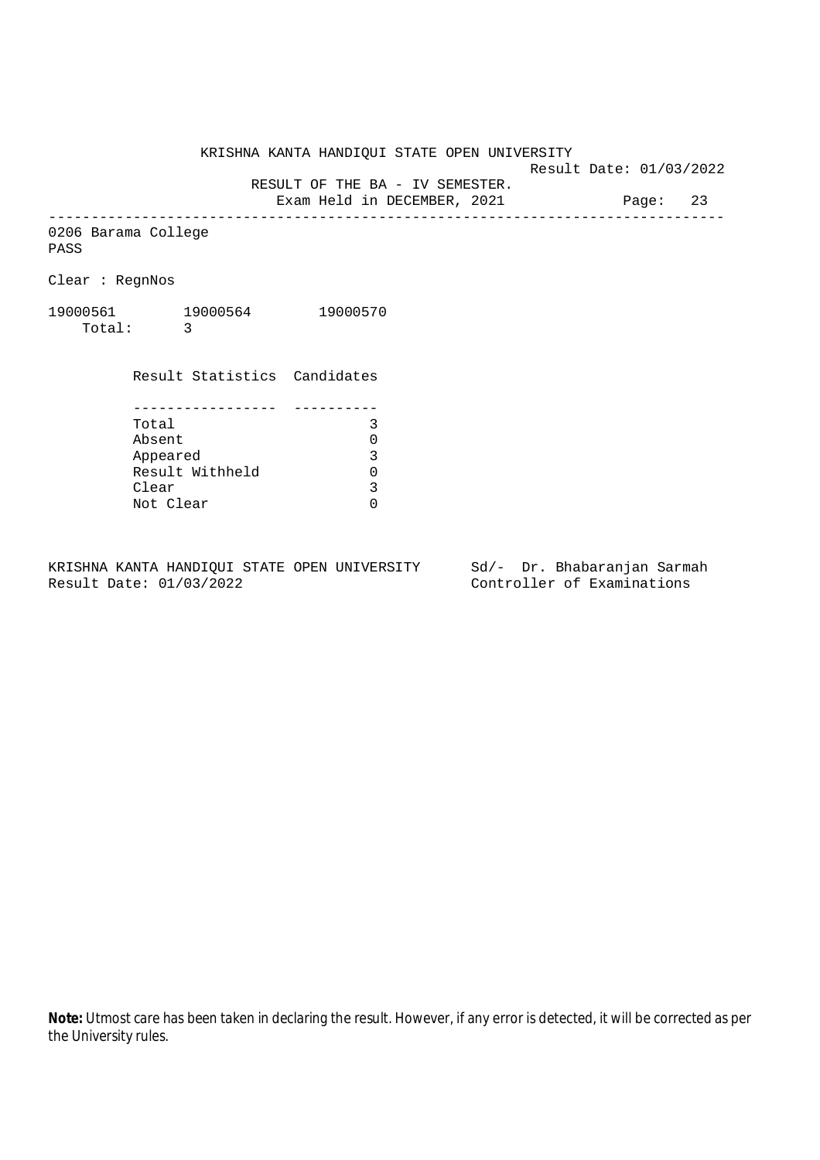Result Date: 01/03/2022

RESULT OF THE BA - IV SEMESTER.

Exam Held in DECEMBER, 2021 Page: 23 --------------------------------------------------------------------------------

0206 Barama College PASS

Clear : RegnNos

19000561 19000564 19000570 Total: 3

> Result Statistics Candidates ----------------- ---------- Total 3 Absent<br>
> Appeared 0<br>
> Result Withheld 0<br>
> Clear 3 Appeared Result Withheld Clear Not Clear 0

KRISHNA KANTA HANDIQUI STATE OPEN UNIVERSITY Sd/- Dr. Bhabaranjan Sarmah Result Date: 01/03/2022 Controller of Examinations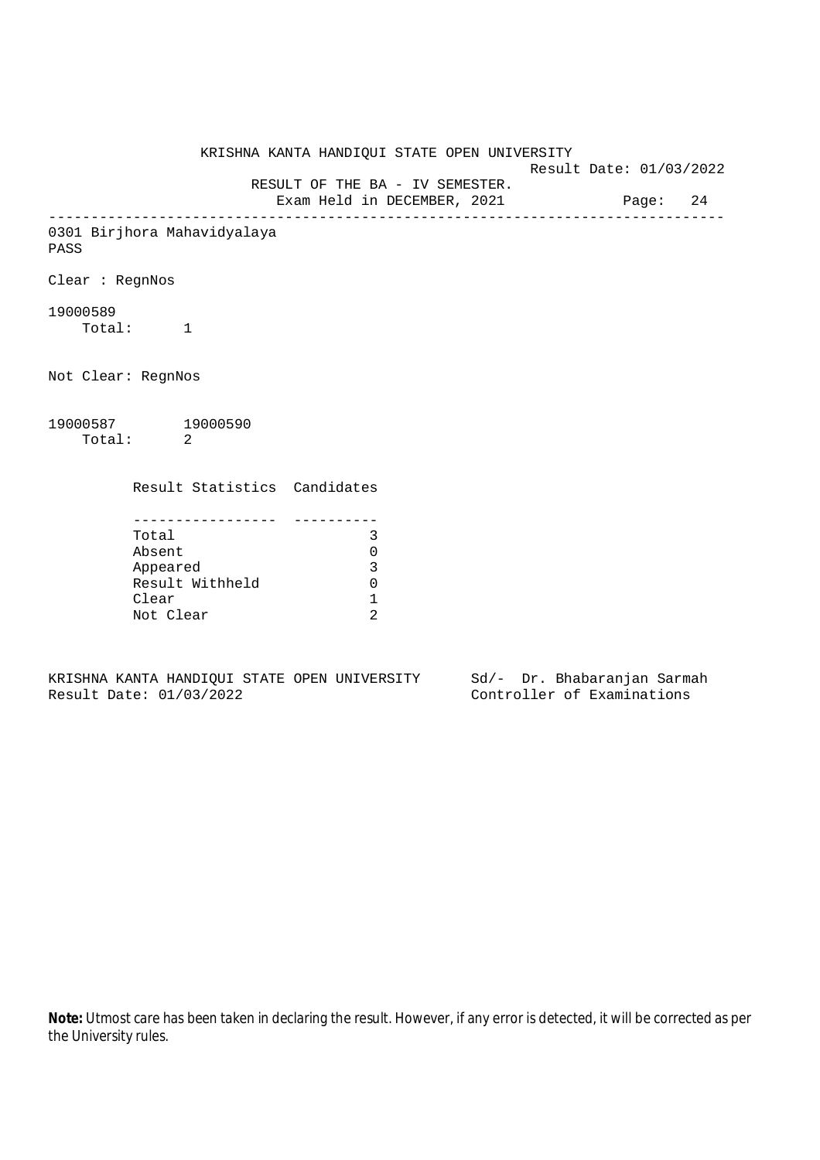KRISHNA KANTA HANDIQUI STATE OPEN UNIVERSITY Result Date: 01/03/2022 RESULT OF THE BA - IV SEMESTER. Exam Held in DECEMBER, 2021 Page: 24 -------------------------------------------------------------------------------- 0301 Birjhora Mahavidyalaya PASS Clear : RegnNos 19000589 Total: 1 Not Clear: RegnNos 19000587 19000590 Total: 2 Result Statistics Candidates ----------------- ---------- Total 3 Absent 0 Appeared 3 Result Withheld 0 Clear 1 Not Clear 2

KRISHNA KANTA HANDIQUI STATE OPEN UNIVERSITY Sd/- Dr. Bhabaranjan Sarmah Result Date: 01/03/2022 Controller of Examinations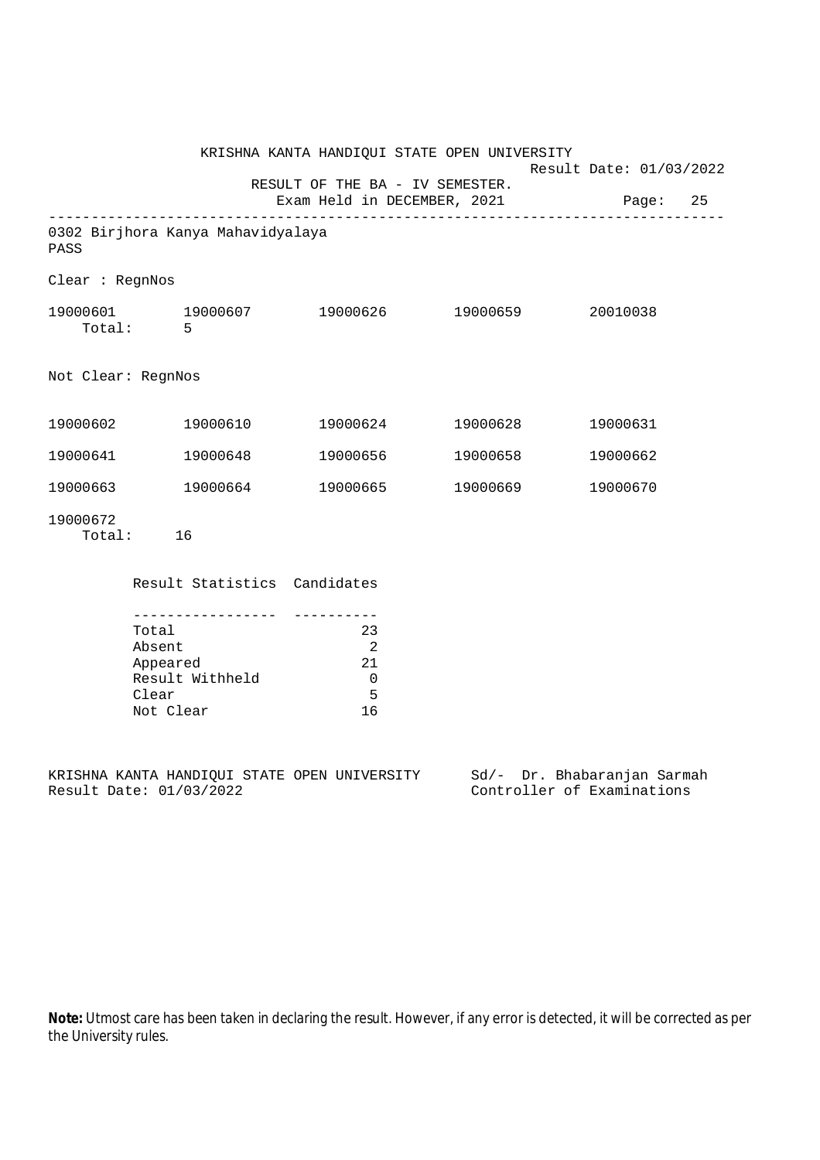|                    |                                                                      | KRISHNA KANTA HANDIQUI STATE OPEN UNIVERSITY                                   |          |                                                           |
|--------------------|----------------------------------------------------------------------|--------------------------------------------------------------------------------|----------|-----------------------------------------------------------|
|                    |                                                                      | RESULT OF THE BA - IV SEMESTER.                                                |          | Result Date: 01/03/2022                                   |
|                    |                                                                      |                                                                                |          | Exam Held in DECEMBER, 2021 Page: 25                      |
| PASS               | 0302 Birjhora Kanya Mahavidyalaya                                    |                                                                                |          |                                                           |
| Clear : RegnNos    |                                                                      |                                                                                |          |                                                           |
|                    | 19000601 19000607<br>Total: 5                                        | 19000626 19000659                                                              |          | 20010038                                                  |
| Not Clear: RegnNos |                                                                      |                                                                                |          |                                                           |
| 19000602           | 19000610                                                             | 19000624                                                                       | 19000628 | 19000631                                                  |
| 19000641           | 19000648                                                             | 19000656                                                                       | 19000658 | 19000662                                                  |
|                    | 19000663 19000664                                                    | 19000665                                                                       | 19000669 | 19000670                                                  |
| 19000672           | Total: 16                                                            |                                                                                |          |                                                           |
|                    | Result Statistics Candidates                                         |                                                                                |          |                                                           |
|                    | Total<br>Absent<br>Appeared<br>Result Withheld<br>Clear<br>Not Clear | 23<br>$\overline{\phantom{0}}^2$<br>-21<br>$\overline{\phantom{0}}$<br>5<br>16 |          |                                                           |
|                    | Result Date: 01/03/2022                                              | KRISHNA KANTA HANDIQUI STATE OPEN UNIVERSITY                                   |          | Sd/- Dr. Bhabaranjan Sarmah<br>Controller of Examinations |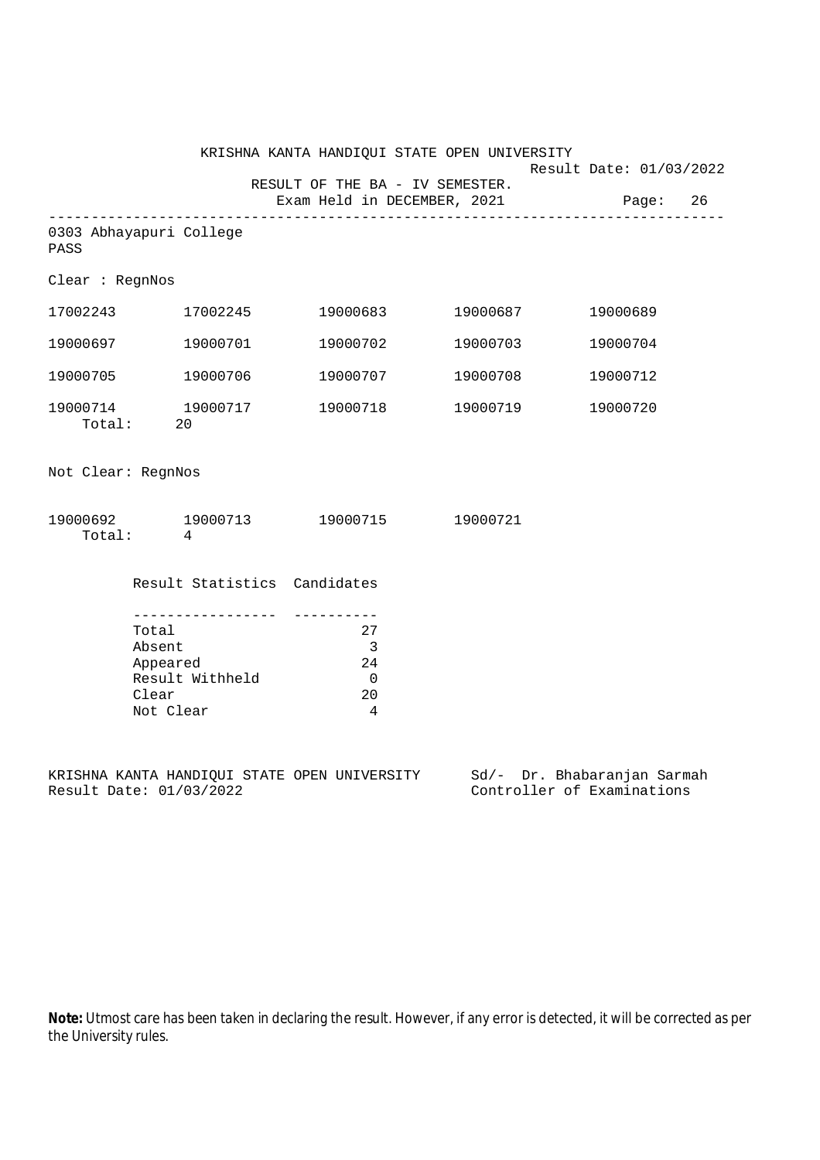|                    | KRISHNA KANTA HANDIQUI STATE OPEN UNIVERSITY                         | Result Date: 01/03/2022                                                        |                   |          |
|--------------------|----------------------------------------------------------------------|--------------------------------------------------------------------------------|-------------------|----------|
|                    |                                                                      | RESULT OF THE BA - IV SEMESTER.<br>Exam Held in DECEMBER, 2021                 |                   | Page: 26 |
| PASS               | 0303 Abhayapuri College                                              |                                                                                |                   |          |
| Clear : RegnNos    |                                                                      |                                                                                |                   |          |
|                    | 17002243 17002245                                                    |                                                                                | 19000683 19000687 | 19000689 |
|                    | 19000697 19000701                                                    |                                                                                | 19000702 19000703 | 19000704 |
|                    | 19000705 19000706                                                    |                                                                                | 19000707 19000708 | 19000712 |
|                    | 19000714 19000717<br>Total: 20                                       |                                                                                |                   | 19000720 |
| Not Clear: RegnNos |                                                                      |                                                                                |                   |          |
|                    | Total: 4                                                             | 19000692 19000713 19000715 19000721                                            |                   |          |
|                    | Result Statistics Candidates                                         |                                                                                |                   |          |
|                    | Total<br>Absent<br>Appeared<br>Result Withheld<br>Clear<br>Not Clear | 27<br>$\overline{\phantom{a}}$<br>24<br>$\overline{0}$<br>20<br>$\overline{4}$ |                   |          |

KRISHNA KANTA HANDIQUI STATE OPEN UNIVERSITY Sd/- Dr. Bhabaranjan Sarmah Result Date: 01/03/2022 Controller of Examinations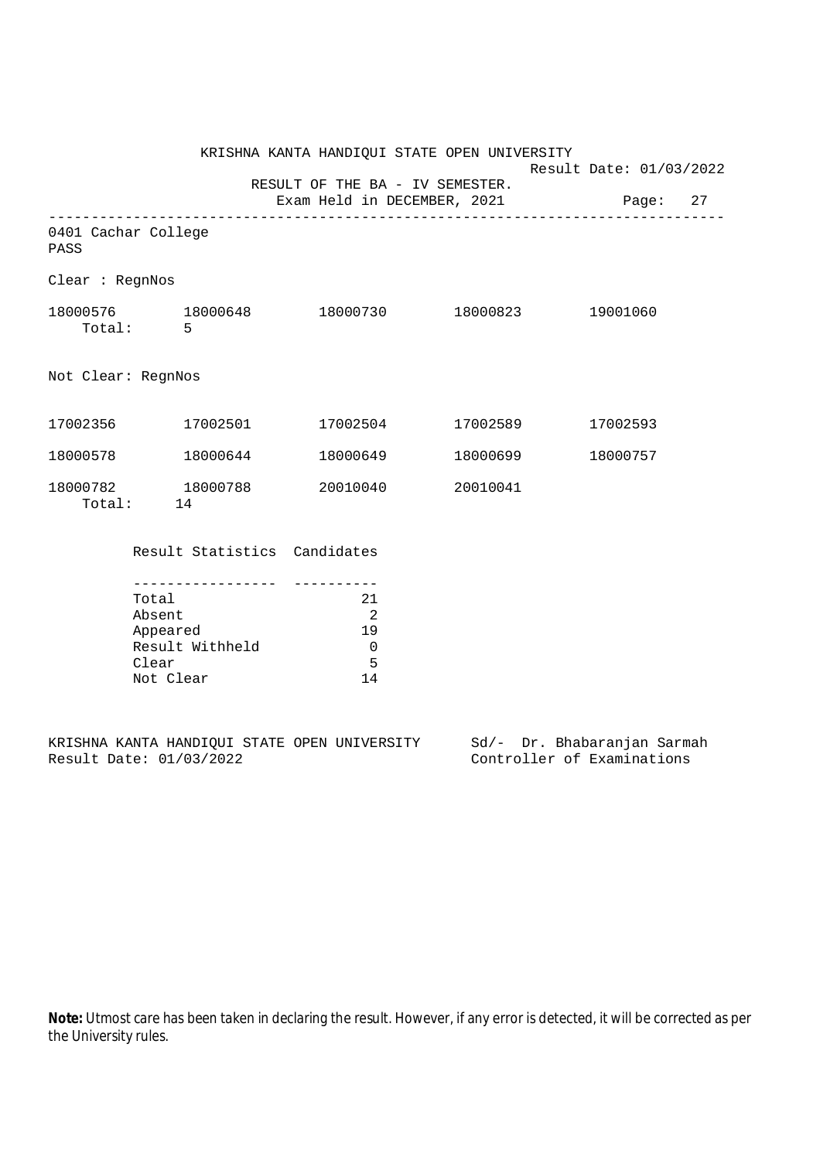Result Date: 01/03/2022

 RESULT OF THE BA - IV SEMESTER. Exam Held in DECEMBER, 2021 Page: 27

-------------------------------------------------------------------------------- 0401 Cachar College PASS Clear : RegnNos 18000576 18000648 18000730 18000823 19001060 Total: 5 Not Clear: RegnNos 17002356 17002501 17002504 17002589 17002593 18000578 18000644 18000649 18000699 18000757 18000782 18000788 20010040 20010041 00782 18<br>Total: 14

Result Statistics Candidates

| Total           | 21 |
|-----------------|----|
| Absent          |    |
| Appeared        | 19 |
| Result Withheld |    |
| Clear           | 5  |
| Not Clear       |    |

KRISHNA KANTA HANDIQUI STATE OPEN UNIVERSITY Sd/- Dr. Bhabaranjan Sarmah Result Date: 01/03/2022 Controller of Examinations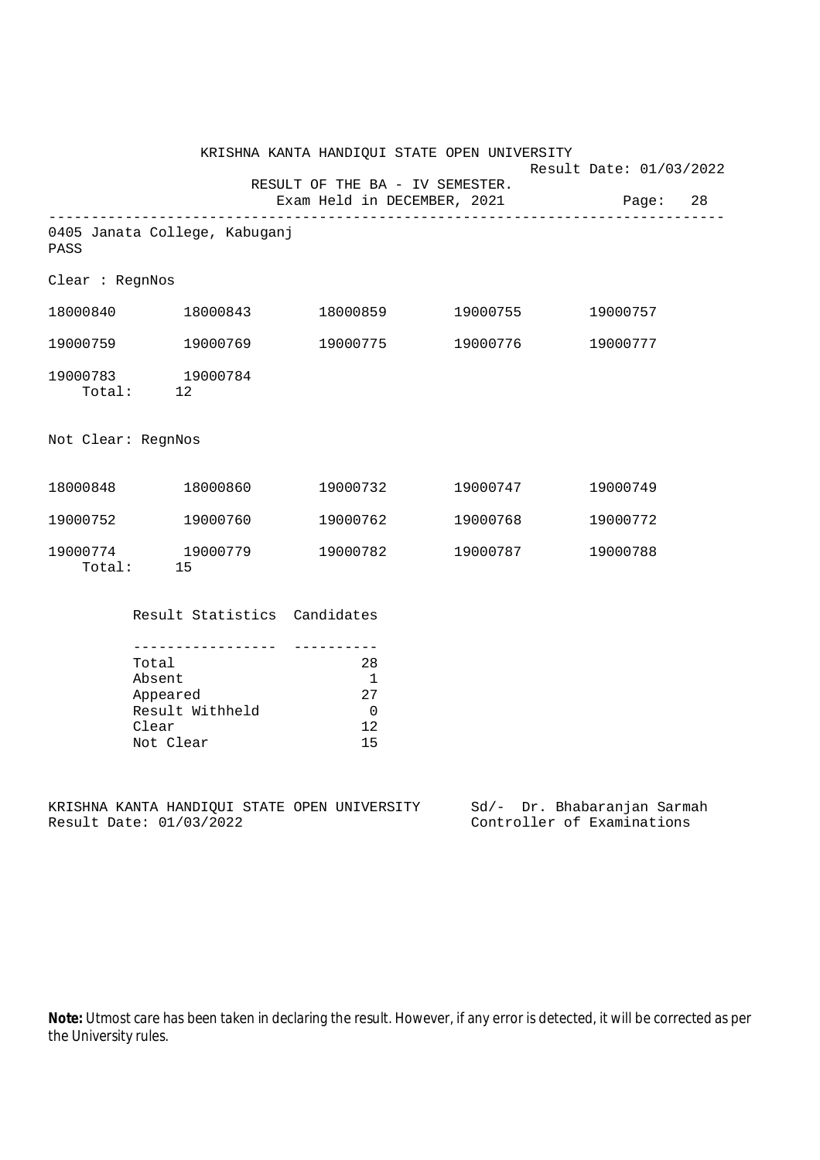|                    | KRISHNA KANTA HANDIQUI STATE OPEN UNIVERSITY<br>Result Date: 01/03/2022                      |                                                                        |          |                                                           |
|--------------------|----------------------------------------------------------------------------------------------|------------------------------------------------------------------------|----------|-----------------------------------------------------------|
|                    |                                                                                              | RESULT OF THE BA - IV SEMESTER.<br>Exam Held in DECEMBER, 2021         |          | Page: 28                                                  |
| PASS               | 0405 Janata College, Kabuganj                                                                |                                                                        |          |                                                           |
| Clear : RegnNos    |                                                                                              |                                                                        |          |                                                           |
|                    | 18000840 18000843                                                                            |                                                                        |          | 19000757                                                  |
| 19000759           | 19000769                                                                                     | 19000775                                                               | 19000776 | 19000777                                                  |
|                    | 19000783 19000784<br>Total: 12                                                               |                                                                        |          |                                                           |
| Not Clear: RegnNos |                                                                                              |                                                                        |          |                                                           |
|                    | 18000848 18000860                                                                            | 19000732                                                               | 19000747 | 19000749                                                  |
|                    | 19000752 19000760                                                                            | 19000762                                                               | 19000768 | 19000772                                                  |
| 19000774           | 19000779<br>Total: 15                                                                        | 19000782                                                               | 19000787 | 19000788                                                  |
|                    | Result Statistics Candidates                                                                 |                                                                        |          |                                                           |
|                    | --------------------<br>Total<br>Absent<br>Appeared<br>Result Withheld<br>Clear<br>Not Clear | ----------<br>28<br>$\overline{1}$<br>27<br>$\overline{0}$<br>12<br>15 |          |                                                           |
|                    | KRISHNA KANTA HANDIQUI STATE OPEN UNIVERSITY<br>Result Date: 01/03/2022                      |                                                                        |          | Sd/- Dr. Bhabaranjan Sarmah<br>Controller of Examinations |

Bu<sub>l</sub>t Die Brandmannung barnmannung Controller of Examinations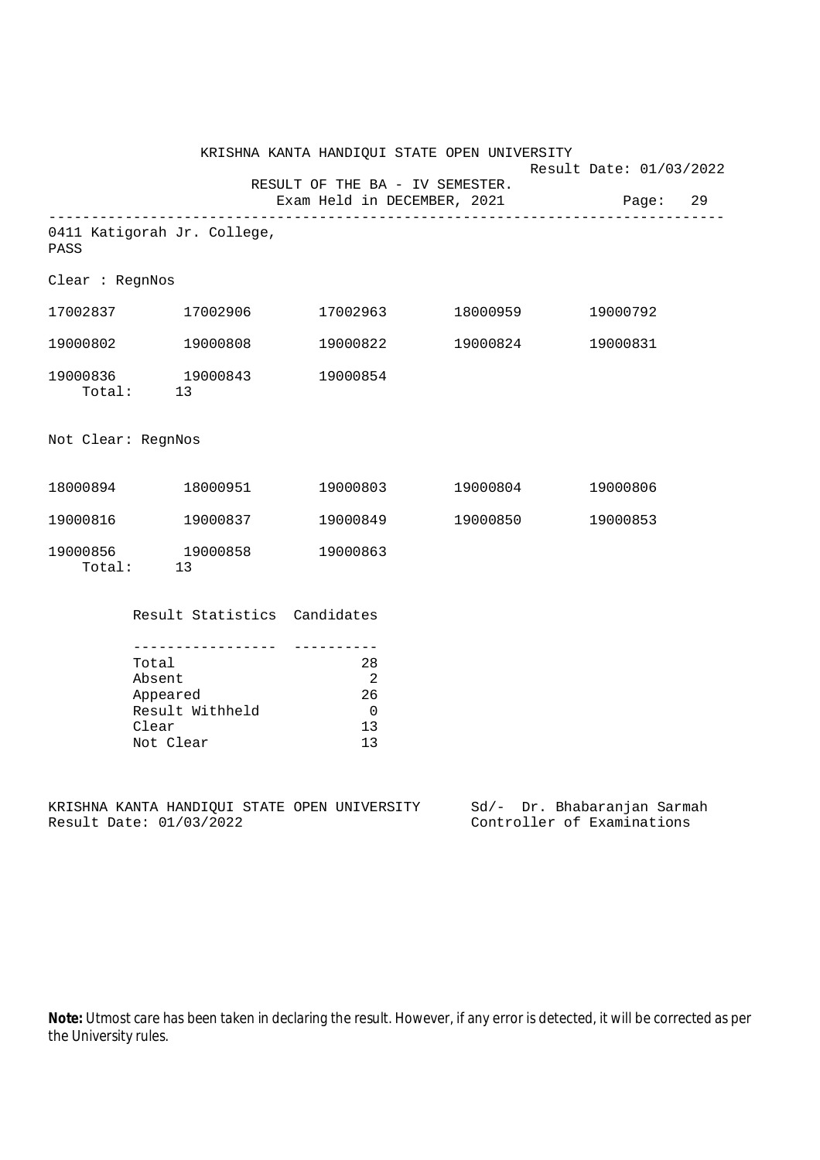|                    |                                                                            | KRISHNA KANTA HANDIQUI STATE OPEN UNIVERSITY             |          | Result Date: 01/03/2022                                   |  |  |  |
|--------------------|----------------------------------------------------------------------------|----------------------------------------------------------|----------|-----------------------------------------------------------|--|--|--|
|                    | RESULT OF THE BA - IV SEMESTER.<br>Exam Held in DECEMBER, 2021<br>Page: 29 |                                                          |          |                                                           |  |  |  |
| PASS               | 0411 Katigorah Jr. College,                                                |                                                          |          |                                                           |  |  |  |
| Clear : RegnNos    |                                                                            |                                                          |          |                                                           |  |  |  |
|                    | 17002837 17002906                                                          |                                                          |          | 19000792                                                  |  |  |  |
| 19000802           | 19000808                                                                   | 19000822                                                 | 19000824 | 19000831                                                  |  |  |  |
|                    | 19000836 19000843<br>Total: 13                                             | 19000854                                                 |          |                                                           |  |  |  |
| Not Clear: RegnNos |                                                                            |                                                          |          |                                                           |  |  |  |
|                    | 18000894 18000951                                                          | 19000803                                                 | 19000804 | 19000806                                                  |  |  |  |
|                    | 19000816 19000837                                                          | 19000849                                                 | 19000850 | 19000853                                                  |  |  |  |
| 19000856           | 19000858<br>Total: 13                                                      | 19000863                                                 |          |                                                           |  |  |  |
|                    | Result Statistics Candidates                                               |                                                          |          |                                                           |  |  |  |
|                    | Total<br>Absent<br>Appeared<br>Result Withheld<br>Clear<br>Not Clear       | 28<br>$\overline{2}$<br>26<br>$\overline{0}$<br>13<br>13 |          |                                                           |  |  |  |
|                    | KRISHNA KANTA HANDIQUI STATE OPEN UNIVERSITY<br>Result Date: 01/03/2022    |                                                          |          | Sd/- Dr. Bhabaranjan Sarmah<br>Controller of Examinations |  |  |  |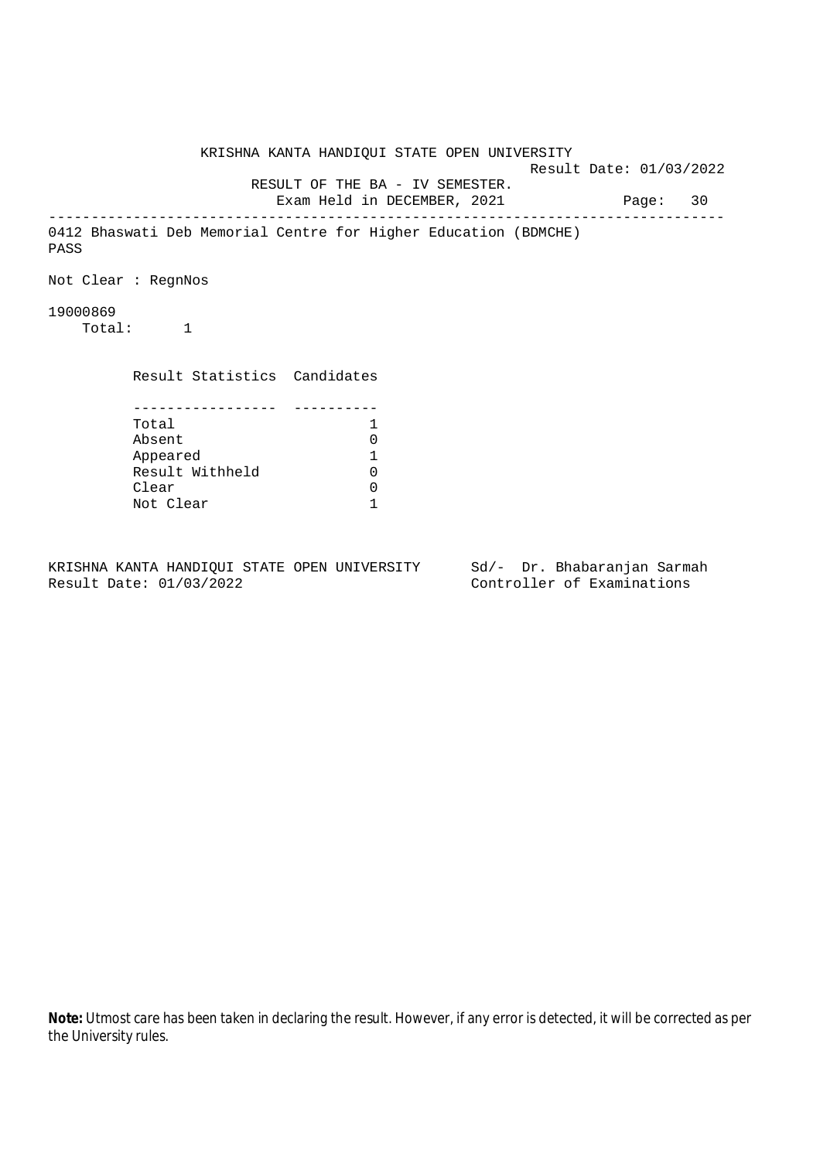KRISHNA KANTA HANDIQUI STATE OPEN UNIVERSITY Result Date: 01/03/2022 RESULT OF THE BA - IV SEMESTER. Exam Held in DECEMBER, 2021 Page: 30 -------------------------------------------------------------------------------- 0412 Bhaswati Deb Memorial Centre for Higher Education (BDMCHE) PASS Not Clear : RegnNos 19000869 Total: 1 Result Statistics Candidates ----------------- ---------- Total 1 Absent 0<br>
Appeared 1<br>
Result Withheld 0 Appeared 1 Result Withheld Clear 0 Not Clear 1

KRISHNA KANTA HANDIQUI STATE OPEN UNIVERSITY Sd/- Dr. Bhabaranjan Sarmah Result Date: 01/03/2022 Controller of Examinations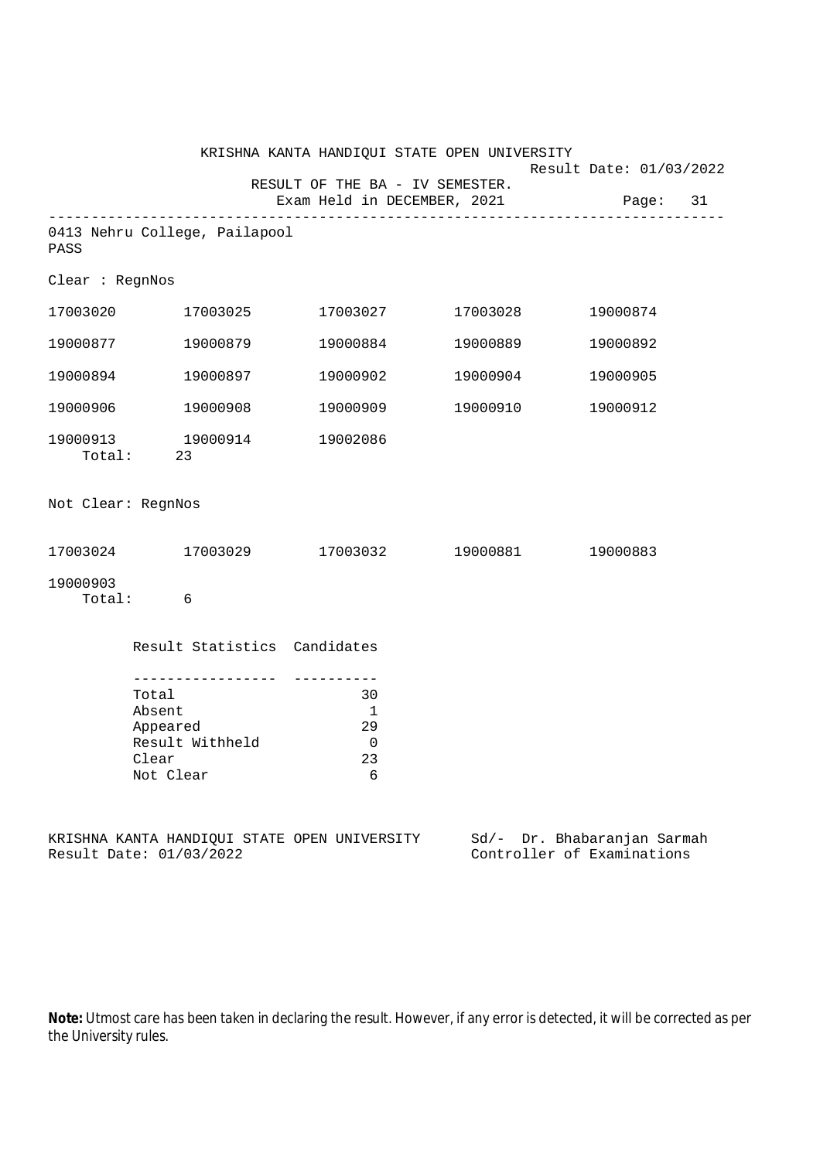|                    |                                                                                           |                                                                | KRISHNA KANTA HANDIQUI STATE OPEN UNIVERSITY |                                                      |
|--------------------|-------------------------------------------------------------------------------------------|----------------------------------------------------------------|----------------------------------------------|------------------------------------------------------|
|                    |                                                                                           | RESULT OF THE BA - IV SEMESTER.<br>Exam Held in DECEMBER, 2021 |                                              | Result Date: 01/03/2022<br>Page: 31                  |
|                    |                                                                                           |                                                                |                                              |                                                      |
| PASS               | 0413 Nehru College, Pailapool                                                             |                                                                |                                              |                                                      |
| Clear : RegnNos    |                                                                                           |                                                                |                                              |                                                      |
| 17003020           | 17003025                                                                                  |                                                                | 17003027 17003028                            | 19000874                                             |
| 19000877           | 19000879                                                                                  | 19000884                                                       | 19000889                                     | 19000892                                             |
|                    | 19000894 19000897                                                                         | 19000902                                                       | 19000904                                     | 19000905                                             |
| 19000906           | 19000908                                                                                  | 19000909                                                       | 19000910                                     | 19000912                                             |
|                    | 19000913   19000914<br>Total:   23                                                        | 19002086                                                       |                                              |                                                      |
| Not Clear: RegnNos |                                                                                           |                                                                |                                              |                                                      |
|                    | $17003024$ $17003029$ $17003032$ $19000881$                                               |                                                                |                                              | 19000883                                             |
| 19000903           | Total: 6                                                                                  |                                                                |                                              |                                                      |
|                    | Result Statistics Candidates                                                              |                                                                |                                              |                                                      |
|                    | <u> Distribución de la pro</u><br>Total<br>Absent<br>Appeared<br>Result Withheld<br>Clear | 30<br>- 1<br>29<br>0<br>23                                     |                                              |                                                      |
|                    | Not Clear<br>KRISHNA KANTA HANDIQUI STATE OPEN UNIVERSITY<br>Result Date: 01/03/2022      | 6                                                              | $Sd/-$                                       | Dr. Bhabaranjan Sarmah<br>Controller of Examinations |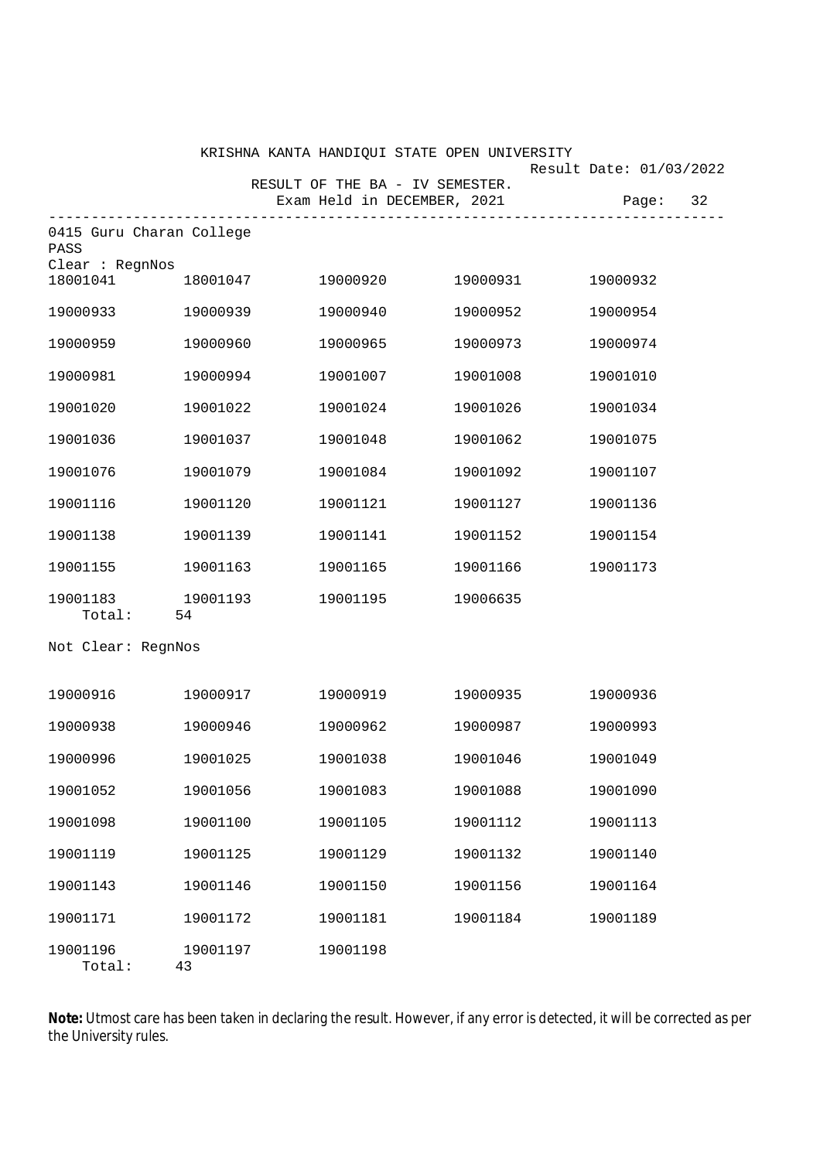|                                  |                | KRISHNA KANTA HANDIQUI STATE OPEN UNIVERSITY |          |                         |
|----------------------------------|----------------|----------------------------------------------|----------|-------------------------|
|                                  |                | RESULT OF THE BA - IV SEMESTER.              |          | Result Date: 01/03/2022 |
|                                  |                | Exam Held in DECEMBER, 2021                  |          | 32<br>Page:             |
| 0415 Guru Charan College<br>PASS |                |                                              |          |                         |
| Clear : RegnNos<br>18001041      | 18001047       | 19000920                                     | 19000931 | 19000932                |
| 19000933                         | 19000939       | 19000940                                     | 19000952 | 19000954                |
| 19000959                         | 19000960       | 19000965                                     | 19000973 | 19000974                |
| 19000981                         | 19000994       | 19001007                                     | 19001008 | 19001010                |
| 19001020                         | 19001022       | 19001024                                     | 19001026 | 19001034                |
| 19001036                         | 19001037       | 19001048                                     | 19001062 | 19001075                |
| 19001076                         | 19001079       | 19001084                                     | 19001092 | 19001107                |
| 19001116                         | 19001120       | 19001121                                     | 19001127 | 19001136                |
| 19001138                         | 19001139       | 19001141                                     | 19001152 | 19001154                |
| 19001155                         | 19001163       | 19001165                                     | 19001166 | 19001173                |
| 19001183<br>Total:               | 19001193<br>54 | 19001195                                     | 19006635 |                         |
| Not Clear: RegnNos               |                |                                              |          |                         |
| 19000916                         | 19000917       | 19000919                                     | 19000935 | 19000936                |
| 19000938                         | 19000946       | 19000962                                     | 19000987 | 19000993                |
| 19000996                         | 19001025       | 19001038                                     | 19001046 | 19001049                |
| 19001052                         | 19001056       | 19001083                                     | 19001088 | 19001090                |
| 19001098                         | 19001100       | 19001105                                     | 19001112 | 19001113                |
| 19001119                         | 19001125       | 19001129                                     | 19001132 | 19001140                |
| 19001143                         | 19001146       | 19001150                                     | 19001156 | 19001164                |
| 19001171                         | 19001172       | 19001181                                     | 19001184 | 19001189                |
| 19001196<br>Total:               | 19001197<br>43 | 19001198                                     |          |                         |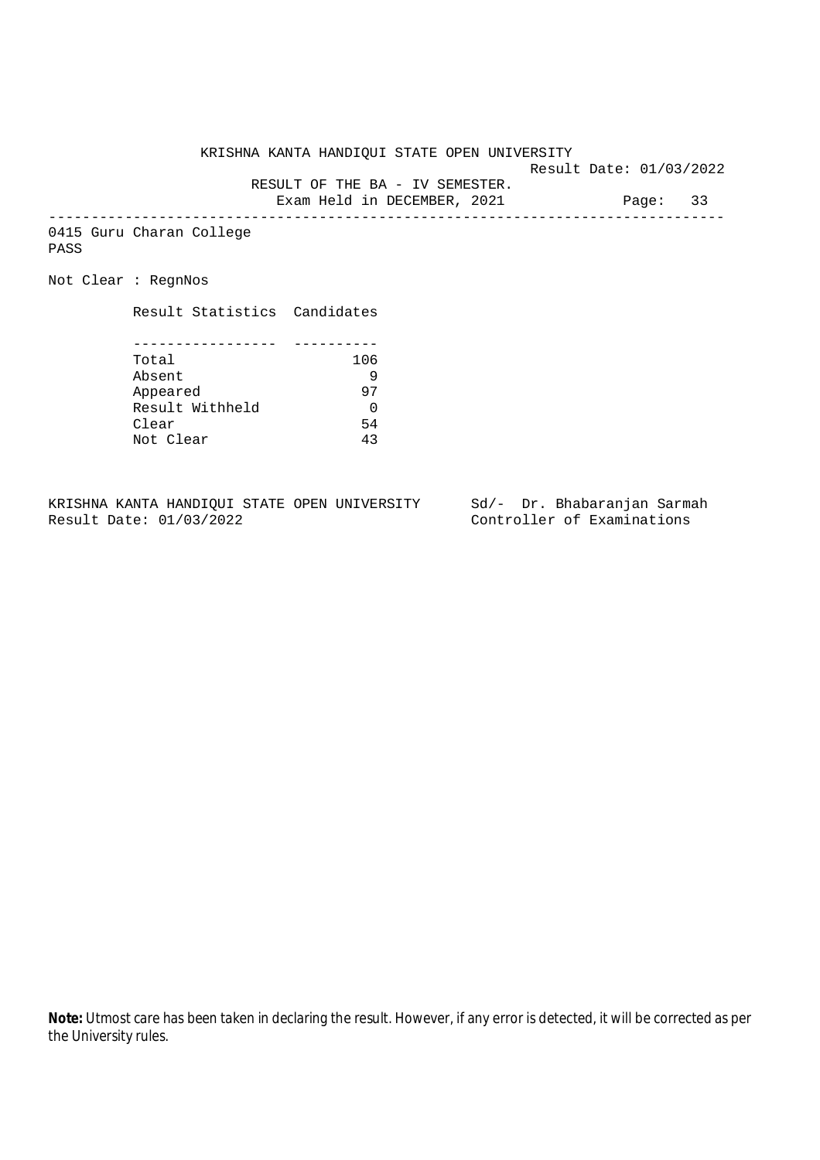Result Date: 01/03/2022

RESULT OF THE BA - IV SEMESTER.

Exam Held in DECEMBER, 2021 Page: 33 --------------------------------------------------------------------------------

0415 Guru Charan College PASS

Not Clear : RegnNos

Result Statistics Candidates

| Total           | 106 |
|-----------------|-----|
| Absent          |     |
| Appeared        | 97  |
| Result Withheld |     |
| Clear           | 54  |
| Not Clear       |     |

KRISHNA KANTA HANDIQUI STATE OPEN UNIVERSITY Sd/- Dr. Bhabaranjan Sarmah<br>Result Date: 01/03/2022 Controller of Examinations

Controller of Examinations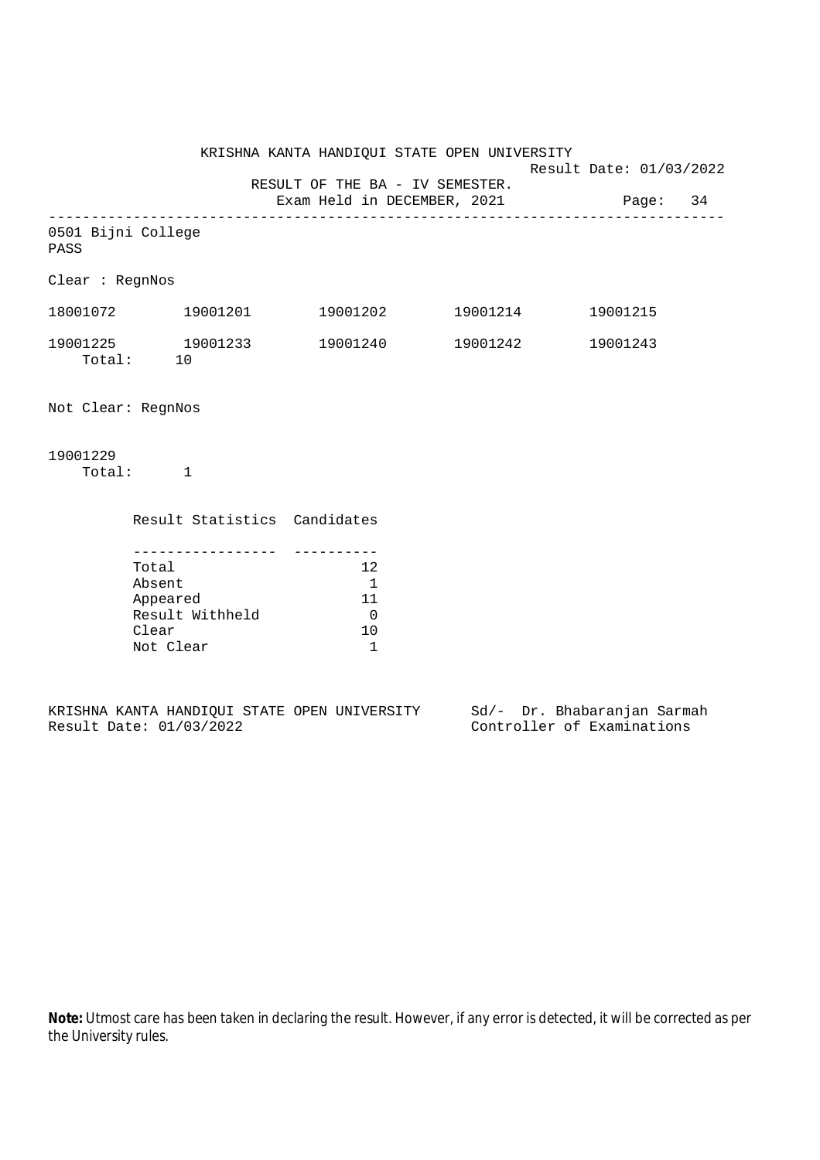KRISHNA KANTA HANDIQUI STATE OPEN UNIVERSITY Result Date: 01/03/2022 RESULT OF THE BA - IV SEMESTER. Exam Held in DECEMBER, 2021 Page: 34 -------------------------------------------------------------------------------- 0501 Bijni College PASS Clear : RegnNos 18001072 19001201 19001202 19001214 19001215 19001225 19001233 19001240 19001242 19001243 Total: 10 Not Clear: RegnNos

19001229

Total: 1

| Result Statistics Candidates |    |
|------------------------------|----|
|                              |    |
| Total                        | 12 |
| Absent                       |    |
| Appeared                     | 11 |
| Result Withheld              |    |
| Clear                        | 10 |
| Not Clear                    |    |
|                              |    |

|  |                         |  | KRISHNA KANTA HANDIOUI STATE OPEN UNIVERSITY |  |  | Sd/- Dr. Bhabaranjan Sarmah |  |
|--|-------------------------|--|----------------------------------------------|--|--|-----------------------------|--|
|  | Result Date: 01/03/2022 |  |                                              |  |  | Controller of Examinations  |  |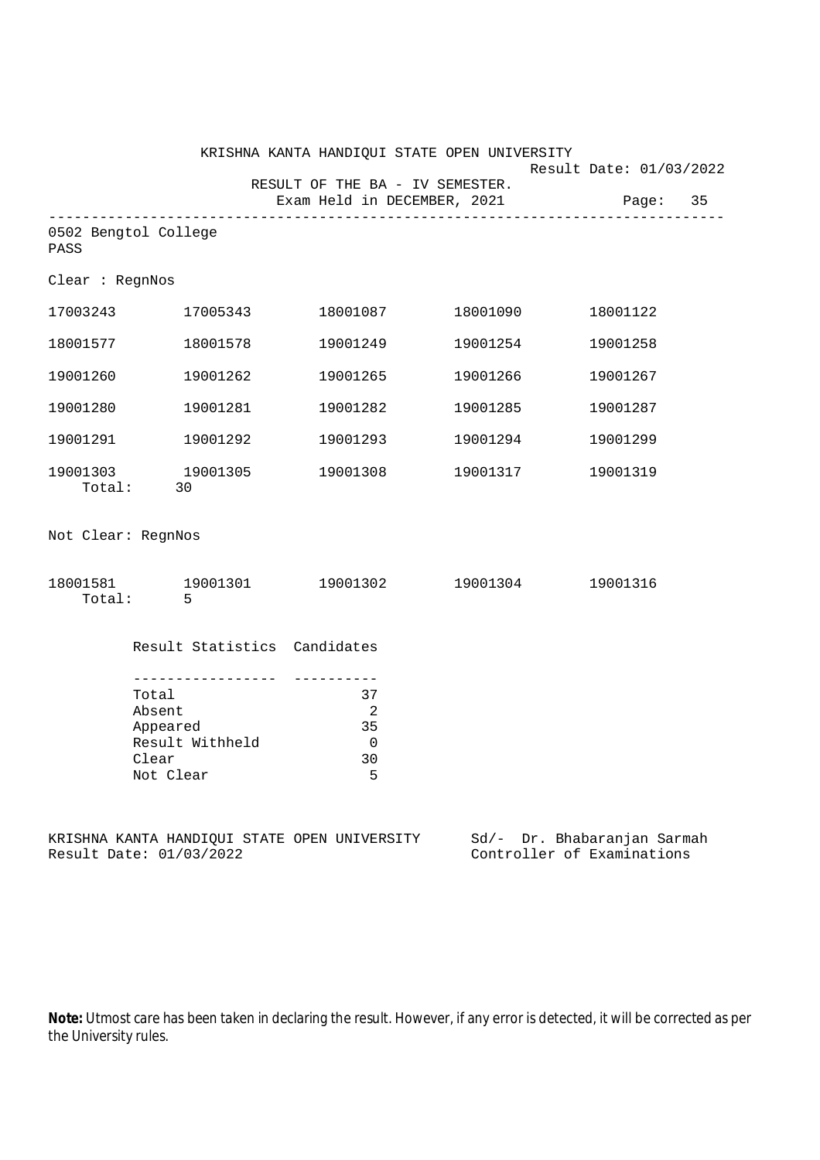|                    |                                                                                           |                                                          | KRISHNA KANTA HANDIQUI STATE OPEN UNIVERSITY |                                                           |          |
|--------------------|-------------------------------------------------------------------------------------------|----------------------------------------------------------|----------------------------------------------|-----------------------------------------------------------|----------|
|                    |                                                                                           | RESULT OF THE BA - IV SEMESTER.                          | Exam Held in DECEMBER, 2021                  | Result Date: 01/03/2022                                   | Page: 35 |
| PASS               | 0502 Bengtol College                                                                      |                                                          |                                              |                                                           |          |
| Clear : RegnNos    |                                                                                           |                                                          |                                              |                                                           |          |
|                    | 17003243 17005343                                                                         |                                                          |                                              | 18001122                                                  |          |
| 18001577           | 18001578                                                                                  | 19001249                                                 | 19001254                                     | 19001258                                                  |          |
| 19001260           | 19001262                                                                                  | 19001265                                                 | 19001266                                     | 19001267                                                  |          |
| 19001280           | 19001281                                                                                  | 19001282                                                 | 19001285                                     | 19001287                                                  |          |
| 19001291           | 19001292                                                                                  | 19001293                                                 | 19001294                                     | 19001299                                                  |          |
|                    | 19001303 19001305<br>Total: 30                                                            | 19001308                                                 | 19001317                                     | 19001319                                                  |          |
| Not Clear: RegnNos |                                                                                           |                                                          |                                              |                                                           |          |
| Total:             | $-5$                                                                                      |                                                          | $18001581$ $19001301$ $19001302$ $19001304$  | 19001316                                                  |          |
|                    | Result Statistics Candidates                                                              |                                                          |                                              |                                                           |          |
|                    | -----------------<br>Total<br>Absent<br>Appeared<br>Result Withheld<br>Clear<br>Not Clear | 37<br>$\overline{\phantom{a}}^2$<br>35<br>0<br>$30$<br>5 |                                              |                                                           |          |
|                    | Result Date: 01/03/2022                                                                   | KRISHNA KANTA HANDIQUI STATE OPEN UNIVERSITY             |                                              | Sd/- Dr. Bhabaranjan Sarmah<br>Controller of Examinations |          |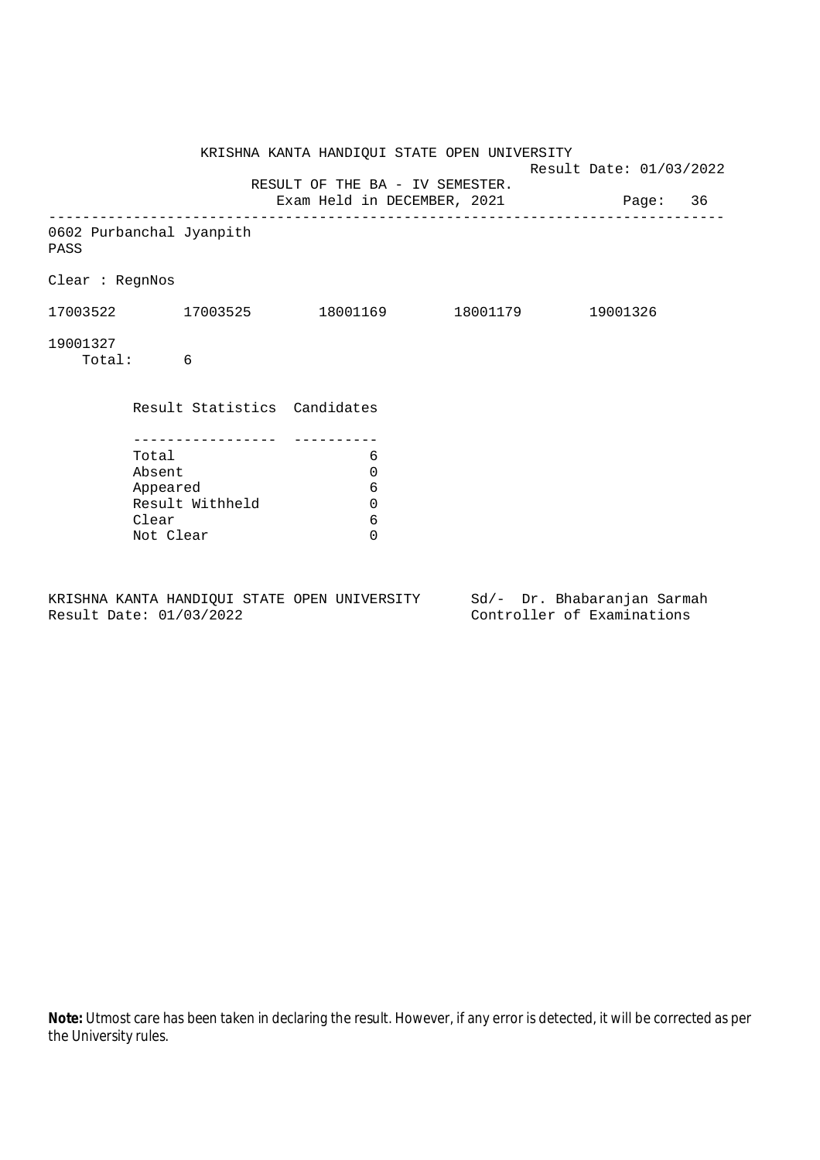|                                  |           |                              | KRISHNA KANTA HANDIQUI STATE OPEN UNIVERSITY                            | Result Date: 01/03/2022 |  |  |
|----------------------------------|-----------|------------------------------|-------------------------------------------------------------------------|-------------------------|--|--|
|                                  |           |                              | RESULT OF THE BA - IV SEMESTER.<br>Exam Held in DECEMBER, 2021 Page: 36 |                         |  |  |
| 0602 Purbanchal Jyanpith<br>PASS |           |                              |                                                                         |                         |  |  |
| Clear : RegnNos                  |           |                              |                                                                         |                         |  |  |
|                                  |           |                              | $17003522$ 17003525 18001169 18001179 19001326                          |                         |  |  |
| 19001327                         | Total: 6  |                              |                                                                         |                         |  |  |
|                                  |           | Result Statistics Candidates |                                                                         |                         |  |  |
|                                  |           |                              |                                                                         |                         |  |  |
|                                  | Total     |                              | 6                                                                       |                         |  |  |
|                                  | Absent    |                              | 0                                                                       |                         |  |  |
|                                  | Appeared  |                              | 6                                                                       |                         |  |  |
|                                  |           | Result Withheld              | $\mathbf 0$                                                             |                         |  |  |
|                                  | Clear     |                              | 6                                                                       |                         |  |  |
|                                  | Not Clear |                              | $\Omega$                                                                |                         |  |  |
|                                  |           |                              |                                                                         |                         |  |  |

KRISHNA KANTA HANDIQUI STATE OPEN UNIVERSITY Sd/- Dr. Bhabaranjan Sarmah Result Date: 01/03/2022 Controller of Examinations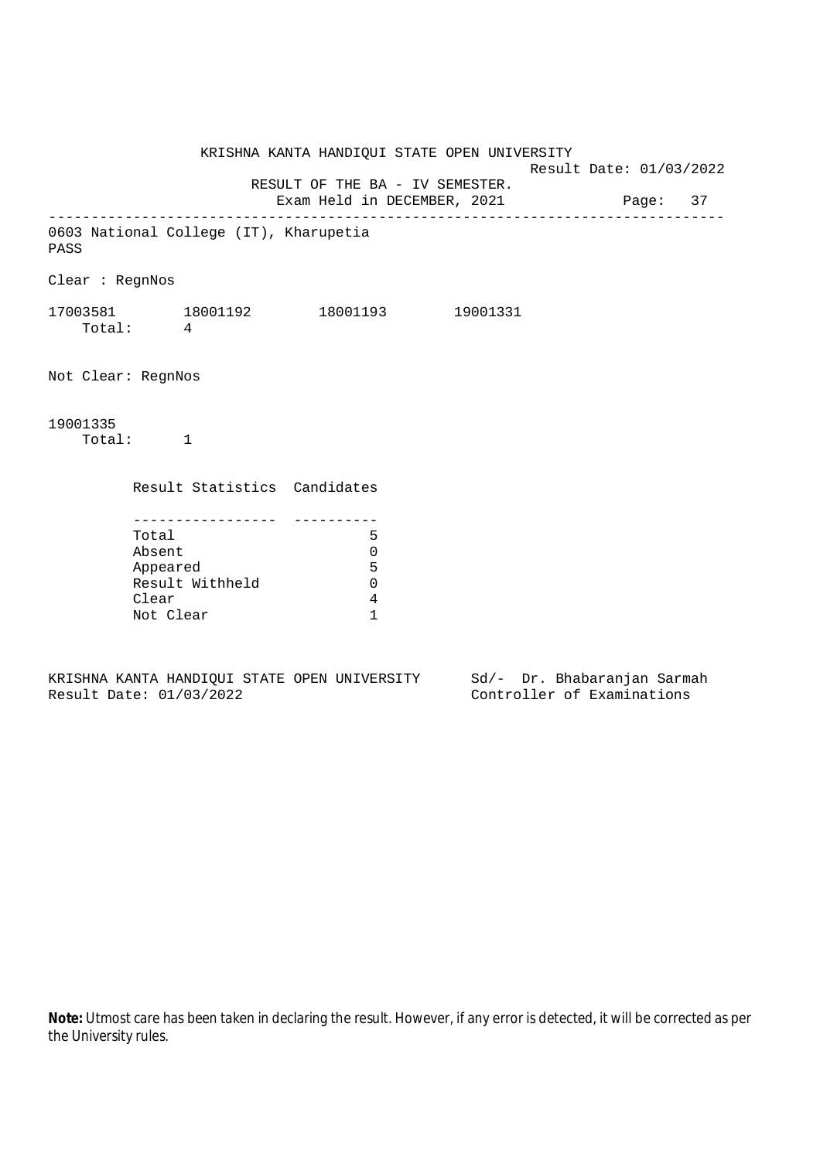KRISHNA KANTA HANDIQUI STATE OPEN UNIVERSITY Result Date: 01/03/2022 RESULT OF THE BA - IV SEMESTER. Exam Held in DECEMBER, 2021 Page: 37 -------------------------------------------------------------------------------- 0603 National College (IT), Kharupetia PASS Clear : RegnNos 17003581 18001192 18001193 19001331 Total: 4 Not Clear: RegnNos 19001335 Total: 1 Result Statistics Candidates ----------------- ---------- Total 5 Absent 0 Appeared 5 Result Withheld 0 Clear 4 Not Clear 1

KRISHNA KANTA HANDIQUI STATE OPEN UNIVERSITY Sd/- Dr. Bhabaranjan Sarmah Result Date: 01/03/2022 Controller of Examinations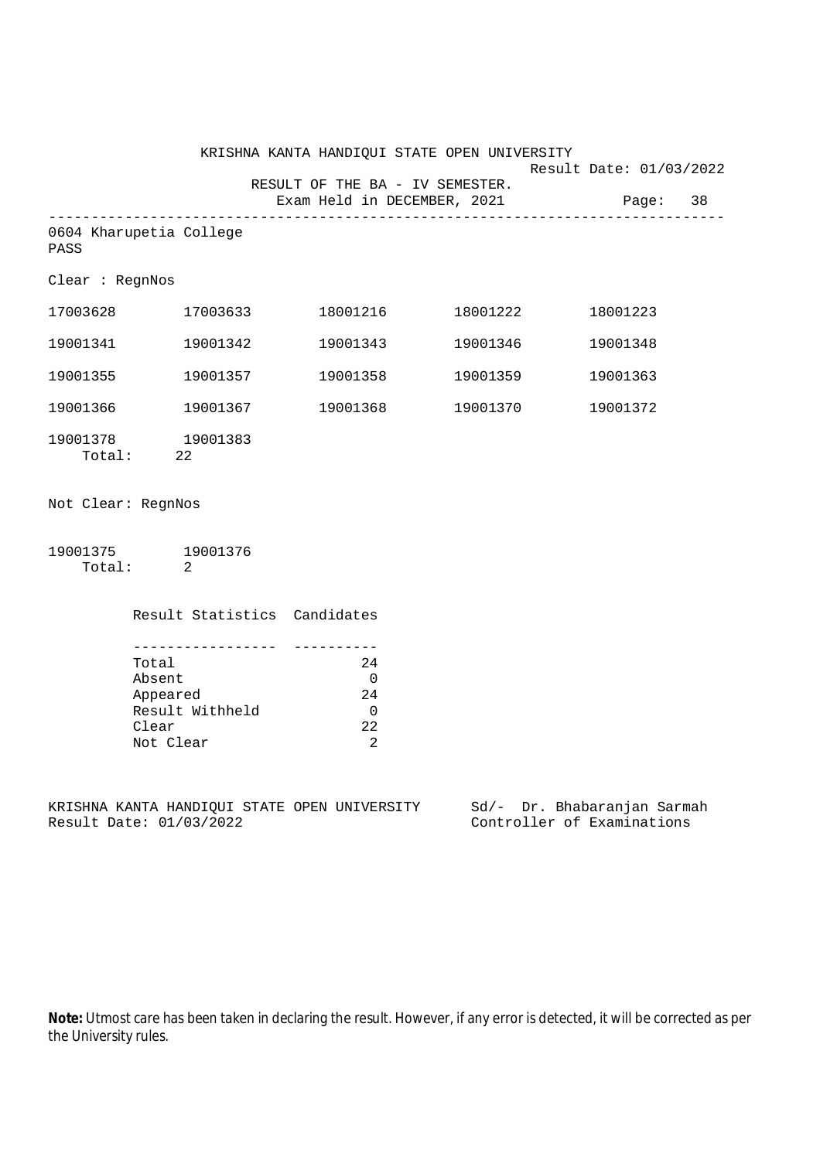|                                 | KRISHNA KANTA HANDIQUI STATE OPEN UNIVERSITY |                                               |                                                         |                   |                                      | Result Date: 01/03/2022 |  |
|---------------------------------|----------------------------------------------|-----------------------------------------------|---------------------------------------------------------|-------------------|--------------------------------------|-------------------------|--|
|                                 |                                              |                                               | RESULT OF THE BA - IV SEMESTER.                         |                   | Exam Held in DECEMBER, 2021 Page: 38 |                         |  |
| 0604 Kharupetia College<br>PASS |                                              |                                               |                                                         |                   |                                      |                         |  |
| Clear : RegnNos                 |                                              |                                               |                                                         |                   |                                      |                         |  |
|                                 |                                              | 17003628 17003633                             |                                                         |                   | 18001223                             |                         |  |
|                                 |                                              |                                               |                                                         | 19001343 19001346 | 19001348                             |                         |  |
| 19001355                        |                                              | 19001357                                      |                                                         | 19001358 19001359 | 19001363                             |                         |  |
| 19001366                        |                                              | 19001367                                      |                                                         | 19001368 19001370 | 19001372                             |                         |  |
| 19001378 19001383<br>Total: 22  |                                              |                                               |                                                         |                   |                                      |                         |  |
| Not Clear: RegnNos              |                                              |                                               |                                                         |                   |                                      |                         |  |
| 19001375 19001376<br>Total: 2   |                                              |                                               |                                                         |                   |                                      |                         |  |
|                                 |                                              | Result Statistics Candidates                  |                                                         |                   |                                      |                         |  |
|                                 | Total<br>Absent<br>Clear<br>Not Clear        | --------------<br>Appeared<br>Result Withheld | 24<br>$\overline{0}$<br>24<br>$\overline{0}$<br>22<br>2 |                   |                                      |                         |  |

KRISHNA KANTA HANDIQUI STATE OPEN UNIVERSITY Sd/- Dr. Bhabaranjan Sarmah<br>Result Date: 01/03/2022 Controller of Examinations

Controller of Examinations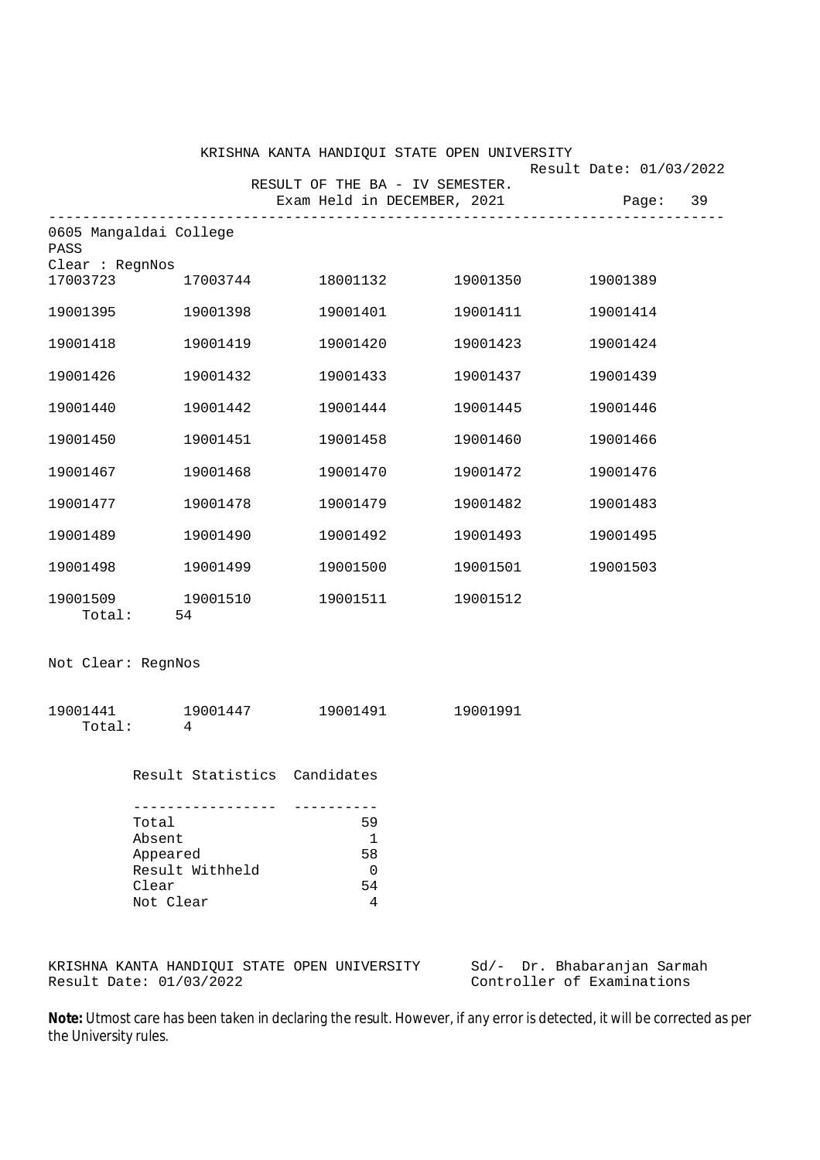|                                                                      |                                                                                                                                     |                                                   | 19001389                                                                                          |                                                                                                                                                           |
|----------------------------------------------------------------------|-------------------------------------------------------------------------------------------------------------------------------------|---------------------------------------------------|---------------------------------------------------------------------------------------------------|-----------------------------------------------------------------------------------------------------------------------------------------------------------|
|                                                                      | 19001401                                                                                                                            |                                                   | 19001414                                                                                          |                                                                                                                                                           |
| 19001419                                                             | 19001420                                                                                                                            | 19001423                                          | 19001424                                                                                          |                                                                                                                                                           |
| 19001432                                                             | 19001433                                                                                                                            | 19001437                                          | 19001439                                                                                          |                                                                                                                                                           |
| 19001442                                                             |                                                                                                                                     | 19001445                                          | 19001446                                                                                          |                                                                                                                                                           |
| 19001451                                                             | 19001458                                                                                                                            | 19001460                                          | 19001466                                                                                          |                                                                                                                                                           |
| 19001468                                                             | 19001470                                                                                                                            | 19001472                                          | 19001476                                                                                          |                                                                                                                                                           |
| 19001478                                                             | 19001479                                                                                                                            | 19001482                                          | 19001483                                                                                          |                                                                                                                                                           |
| 19001490                                                             | 19001492                                                                                                                            | 19001493                                          | 19001495                                                                                          |                                                                                                                                                           |
| 19001499                                                             |                                                                                                                                     | 19001501                                          | 19001503                                                                                          |                                                                                                                                                           |
|                                                                      |                                                                                                                                     |                                                   |                                                                                                   |                                                                                                                                                           |
|                                                                      |                                                                                                                                     |                                                   |                                                                                                   |                                                                                                                                                           |
| $\overline{4}$                                                       |                                                                                                                                     |                                                   |                                                                                                   |                                                                                                                                                           |
|                                                                      |                                                                                                                                     |                                                   |                                                                                                   |                                                                                                                                                           |
| Total<br>Absent<br>Appeared<br>Result Withheld<br>Clear<br>Not Clear | 59<br>$\mathbf 1$<br>58<br>0<br>54<br>4                                                                                             |                                                   |                                                                                                   |                                                                                                                                                           |
|                                                                      | 0605 Mangaldai College<br>Clear : RegnNos<br>17003723<br>19001395 19001398<br>19001510<br>Total: 54<br>Not Clear: RegnNos<br>Total: | 19001441 19001447<br>Result Statistics Candidates | RESULT OF THE BA - IV SEMESTER.<br>19001444<br>19001500<br>19001511 19001512<br>19001491 19001991 | KRISHNA KANTA HANDIQUI STATE OPEN UNIVERSITY<br>Result Date: 01/03/2022<br>Exam Held in DECEMBER, 2021 Page: 39<br>17003744 18001132 19001350<br>19001411 |

KRISHNA KANTA HANDIQUI STATE OPEN UNIVERSITY Sd/- Dr. Bhabaranjan Sarmah Result Date: 01/03/2022 Controller of Examinations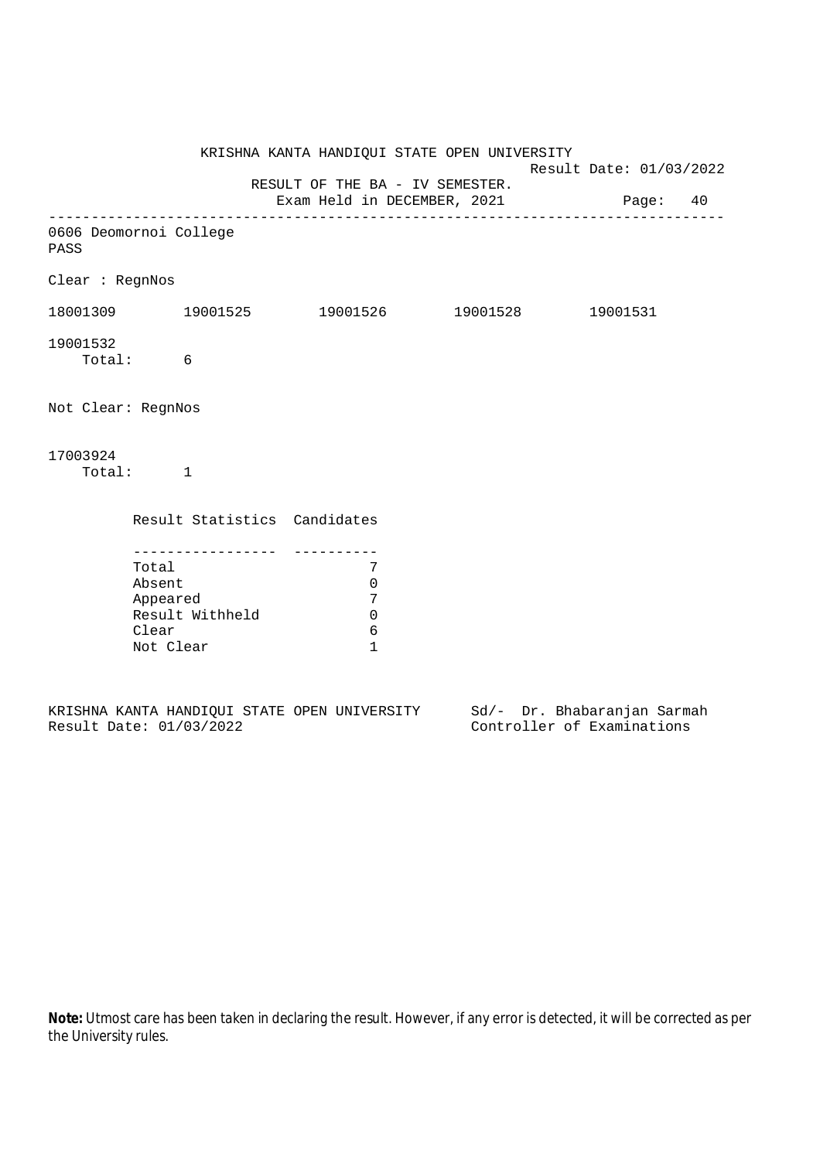|                    |                                                                                           |                                                           | KRISHNA KANTA HANDIQUI STATE OPEN UNIVERSITY                            | Result Date: 01/03/2022 |  |
|--------------------|-------------------------------------------------------------------------------------------|-----------------------------------------------------------|-------------------------------------------------------------------------|-------------------------|--|
|                    |                                                                                           |                                                           | RESULT OF THE BA - IV SEMESTER.<br>Exam Held in DECEMBER, 2021 Page: 40 |                         |  |
| PASS               | 0606 Deomornoi College                                                                    |                                                           |                                                                         |                         |  |
| Clear : RegnNos    |                                                                                           |                                                           |                                                                         |                         |  |
|                    | 18001309 19001525 19001526 19001528 19001531                                              |                                                           |                                                                         |                         |  |
| 19001532           | Total: 6                                                                                  |                                                           |                                                                         |                         |  |
| Not Clear: RegnNos |                                                                                           |                                                           |                                                                         |                         |  |
| 17003924           | Total: 1                                                                                  |                                                           |                                                                         |                         |  |
|                    | Result Statistics Candidates                                                              |                                                           |                                                                         |                         |  |
|                    | -----------------<br>Total<br>Absent<br>Appeared<br>Result Withheld<br>Clear<br>Not Clear | 7<br>$\mathbf 0$<br>7<br>$\mathbf 0$<br>6<br>$\mathbf{1}$ |                                                                         |                         |  |

|  |                         |  | KRISHNA KANTA HANDIQUI STATE OPEN UNIVERSITY |  | Sd/- Dr. Bhabaranjan Sarmah |  |
|--|-------------------------|--|----------------------------------------------|--|-----------------------------|--|
|  | Result Date: 01/03/2022 |  |                                              |  | Controller of Examinations  |  |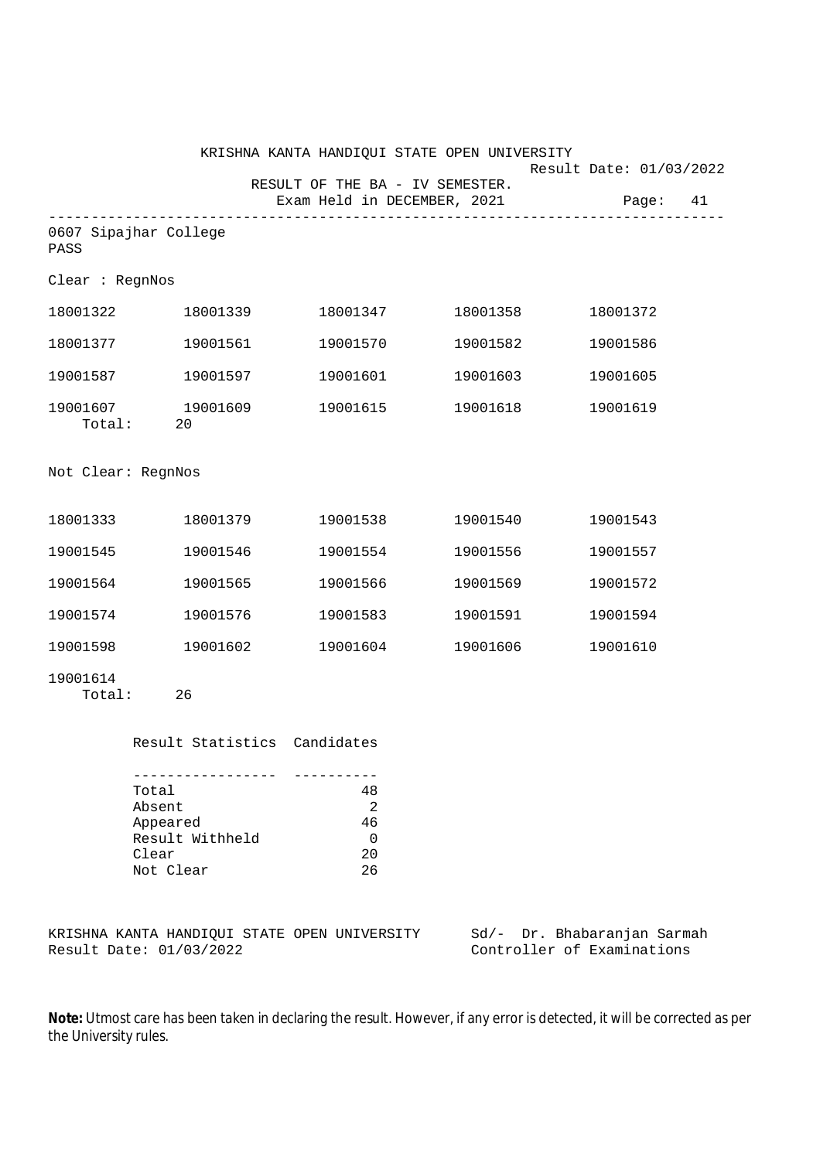|                                |          | KRISHNA KANTA HANDIQUI STATE OPEN UNIVERSITY                   |          | Result Date: 01/03/2022 |
|--------------------------------|----------|----------------------------------------------------------------|----------|-------------------------|
|                                |          | RESULT OF THE BA - IV SEMESTER.<br>Exam Held in DECEMBER, 2021 |          | Page: 41                |
| 0607 Sipajhar College<br>PASS  |          |                                                                |          |                         |
| Clear : RegnNos                |          |                                                                |          |                         |
| 18001322                       | 18001339 | 18001347                                                       | 18001358 | 18001372                |
| 18001377 19001561              |          | 19001570                                                       | 19001582 | 19001586                |
| 19001587 19001597              |          | 19001601                                                       | 19001603 | 19001605                |
| 19001607 19001609<br>Total: 20 |          | 19001615                                                       | 19001618 | 19001619                |
| Not Clear: RegnNos             |          |                                                                |          |                         |
| 18001333 18001379              |          | 19001538                                                       | 19001540 | 19001543                |
| 19001545                       | 19001546 | 19001554                                                       | 19001556 | 19001557                |
| 19001564                       | 19001565 | 19001566                                                       | 19001569 | 19001572                |
| 19001574                       | 19001576 | 19001583                                                       | 19001591 | 19001594                |
| 19001598                       | 19001602 | 19001604                                                       | 19001606 | 19001610                |
| 19001614<br>Total:             | 26       |                                                                |          |                         |

| Total           | 48             |
|-----------------|----------------|
| Absent          | $\mathfrak{D}$ |
| Appeared        | 46             |
| Result Withheld | ∩              |
| Clear           | 20             |
| Not Clear       | 26             |

KRISHNA KANTA HANDIQUI STATE OPEN UNIVERSITY Sd/- Dr. Bhabaranjan Sarmah<br>Result Date: 01/03/2022 Controller of Examinations

Controller of Examinations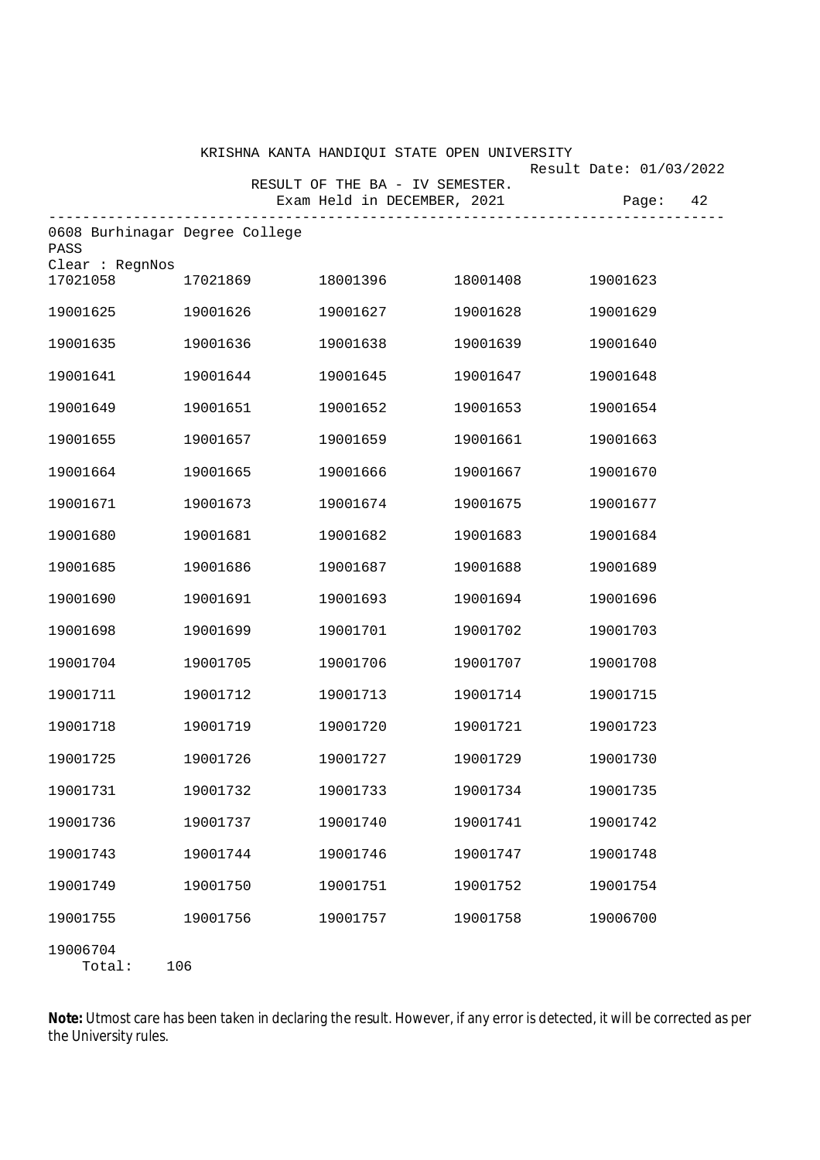|                                        |          | KRISHNA KANTA HANDIQUI STATE OPEN UNIVERSITY |          |                         |
|----------------------------------------|----------|----------------------------------------------|----------|-------------------------|
|                                        |          | RESULT OF THE BA - IV SEMESTER.              |          | Result Date: 01/03/2022 |
|                                        |          | Exam Held in DECEMBER, 2021                  |          | 42<br>Page:             |
| 0608 Burhinagar Degree College<br>PASS |          |                                              |          |                         |
| Clear : RegnNos<br>17021058            | 17021869 | 18001396                                     | 18001408 | 19001623                |
| 19001625                               | 19001626 | 19001627                                     | 19001628 | 19001629                |
| 19001635                               | 19001636 | 19001638                                     | 19001639 | 19001640                |
| 19001641                               | 19001644 | 19001645                                     | 19001647 | 19001648                |
| 19001649                               | 19001651 | 19001652                                     | 19001653 | 19001654                |
| 19001655                               | 19001657 | 19001659                                     | 19001661 | 19001663                |
| 19001664                               | 19001665 | 19001666                                     | 19001667 | 19001670                |
| 19001671                               | 19001673 | 19001674                                     | 19001675 | 19001677                |
| 19001680                               | 19001681 | 19001682                                     | 19001683 | 19001684                |
| 19001685                               | 19001686 | 19001687                                     | 19001688 | 19001689                |
| 19001690                               | 19001691 | 19001693                                     | 19001694 | 19001696                |
| 19001698                               | 19001699 | 19001701                                     | 19001702 | 19001703                |
| 19001704                               | 19001705 | 19001706                                     | 19001707 | 19001708                |
| 19001711                               | 19001712 | 19001713                                     | 19001714 | 19001715                |
| 19001718                               | 19001719 | 19001720                                     | 19001721 | 19001723                |
| 19001725                               | 19001726 | 19001727                                     | 19001729 | 19001730                |
| 19001731                               | 19001732 | 19001733                                     | 19001734 | 19001735                |
| 19001736                               | 19001737 | 19001740                                     | 19001741 | 19001742                |
| 19001743                               | 19001744 | 19001746                                     | 19001747 | 19001748                |
| 19001749                               | 19001750 | 19001751                                     | 19001752 | 19001754                |
| 19001755                               | 19001756 | 19001757                                     | 19001758 | 19006700                |
| 19006704<br>Total:                     | 106      |                                              |          |                         |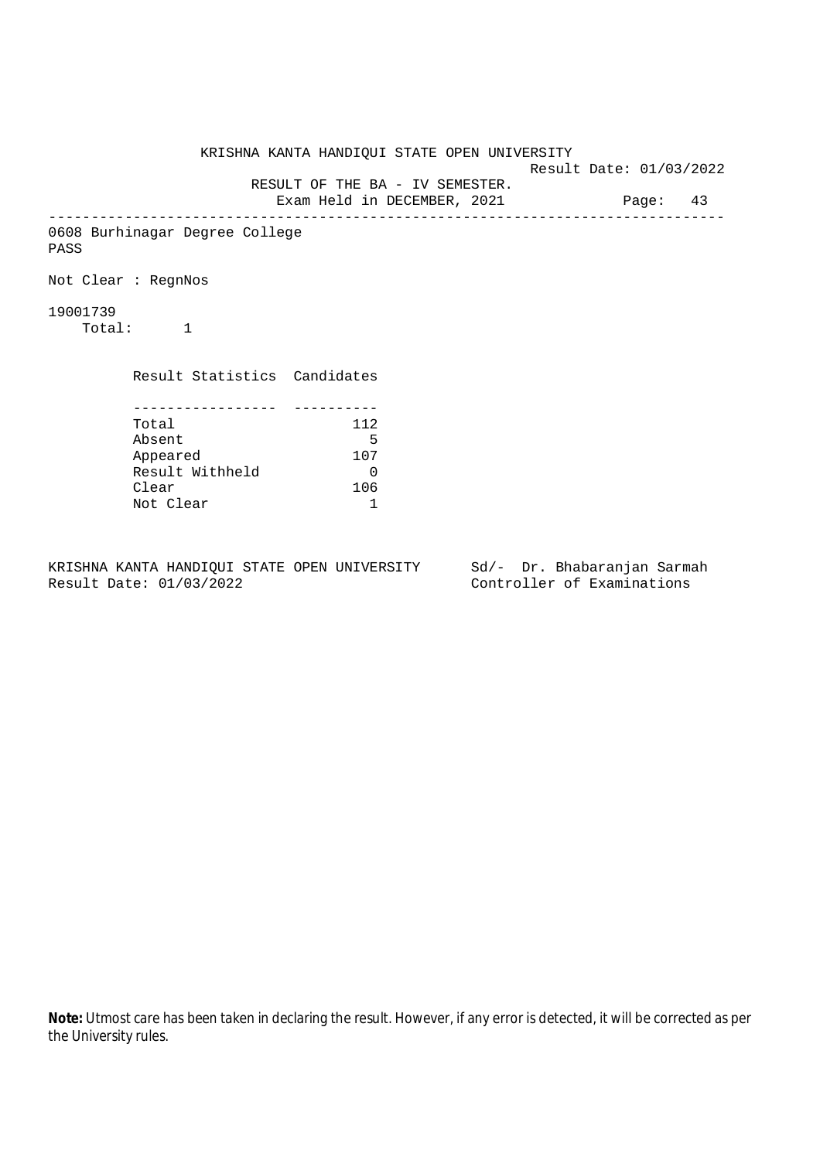KRISHNA KANTA HANDIQUI STATE OPEN UNIVERSITY Result Date: 01/03/2022 RESULT OF THE BA - IV SEMESTER. Exam Held in DECEMBER, 2021 Page: 43 -------------------------------------------------------------------------------- 0608 Burhinagar Degree College PASS Not Clear : RegnNos 19001739 Total: 1 Result Statistics Candidates ----------------- ---------- Total 112 Absent 5 Appeared 107 Result Withheld 0<br>Clear 106 Clear Not Clear 1

KRISHNA KANTA HANDIQUI STATE OPEN UNIVERSITY Sd/- Dr. Bhabaranjan Sarmah Result Date: 01/03/2022 Controller of Examinations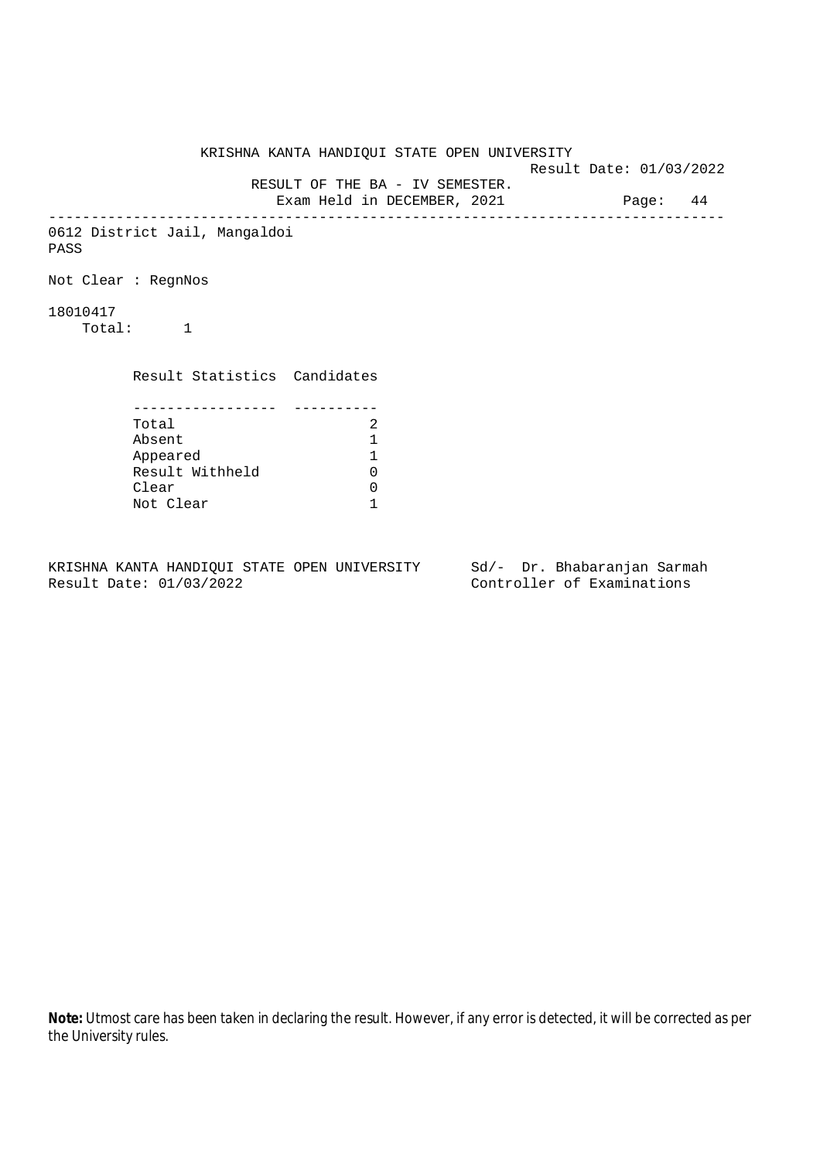KRISHNA KANTA HANDIQUI STATE OPEN UNIVERSITY Result Date: 01/03/2022 RESULT OF THE BA - IV SEMESTER. Exam Held in DECEMBER, 2021 Page: 44 -------------------------------------------------------------------------------- 0612 District Jail, Mangaldoi PASS Not Clear : RegnNos 18010417 Total: 1 Result Statistics Candidates ----------------- ---------- Total 2<br>Absent 1 Absent 1 Appeared 1 Result Withheld Clear 0 Not Clear 1

KRISHNA KANTA HANDIQUI STATE OPEN UNIVERSITY Sd/- Dr. Bhabaranjan Sarmah Result Date: 01/03/2022 Controller of Examinations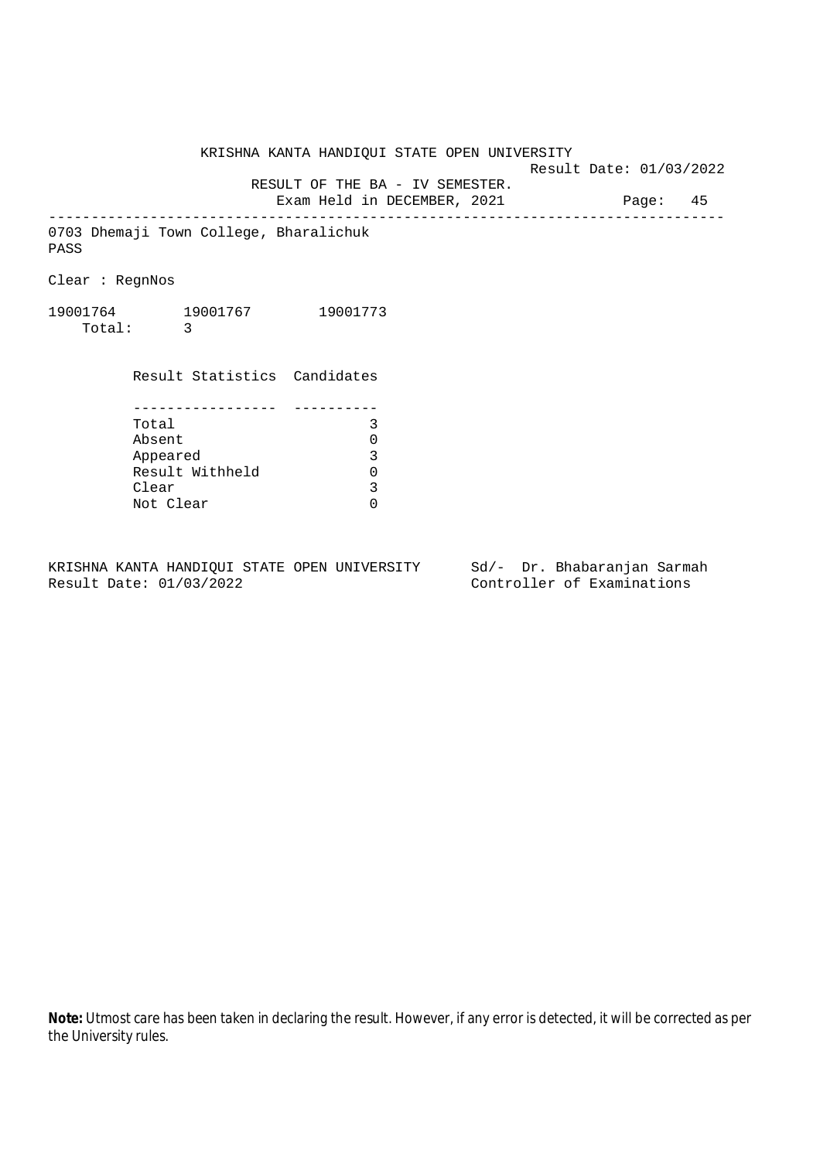Result Date: 01/03/2022

 RESULT OF THE BA - IV SEMESTER. Exam Held in DECEMBER, 2021 Page: 45

--------------------------------------------------------------------------------

0703 Dhemaji Town College, Bharalichuk PASS

Clear : RegnNos

19001764 19001767 19001773 Total: 3

> Result Statistics Candidates ----------------- ---------- Total 3 Absent 0<br>
> Appeared 3<br>
> Result Withheld 0 Appeared Result Withheld 0<br>Clear 3 Clear Not Clear 0

KRISHNA KANTA HANDIQUI STATE OPEN UNIVERSITY Sd/- Dr. Bhabaranjan Sarmah Result Date: 01/03/2022 Controller of Examinations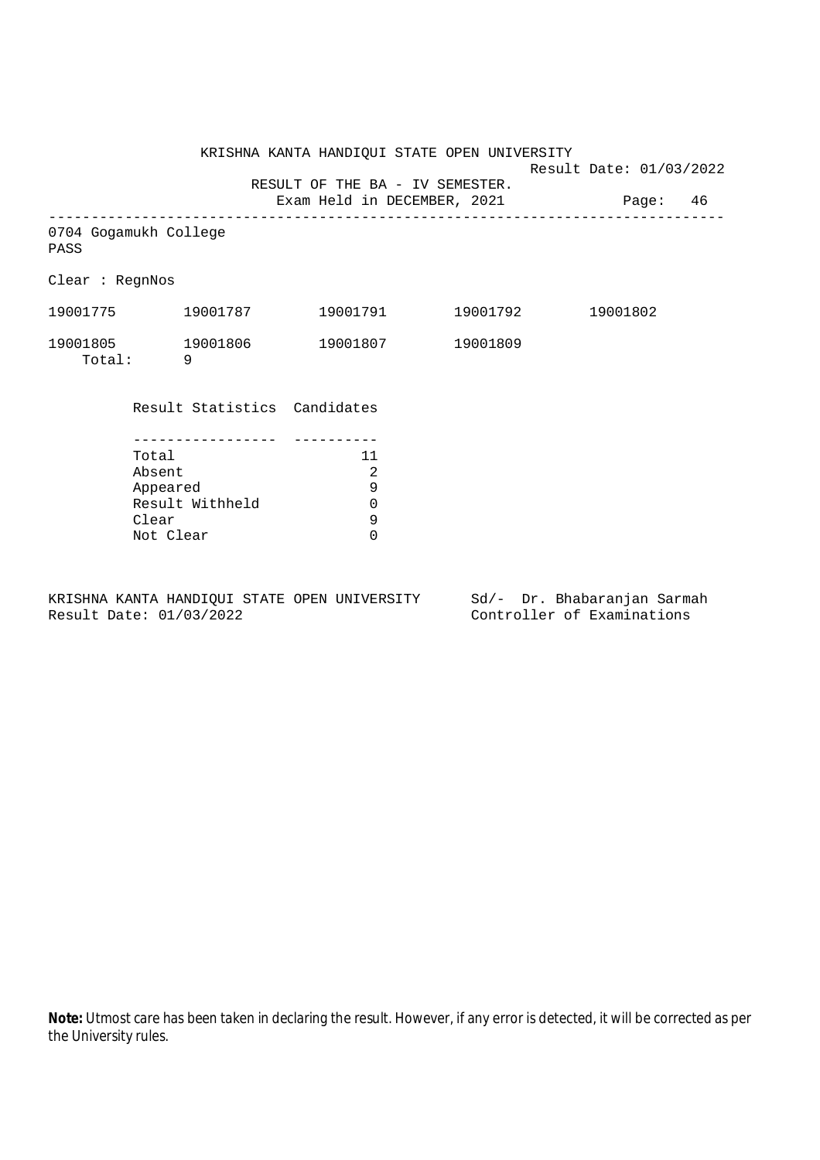Result Date: 01/03/2022

 RESULT OF THE BA - IV SEMESTER. Exam Held in DECEMBER, 2021 Page: 46

--------------------------------------------------------------------------------

0704 Gogamukh College PASS

Clear : RegnNos

| 19001775           | 19001787 | 19001791 | 19001792 | 19001802 |
|--------------------|----------|----------|----------|----------|
| 19001805<br>Total: | 19001806 | 19001807 | 19001809 |          |

Result Statistics Candidates

| Total           | 11 |
|-----------------|----|
| Absent          | 2  |
| Appeared        | q  |
| Result Withheld |    |
| Clear           | q  |
| Not Clear       |    |

KRISHNA KANTA HANDIQUI STATE OPEN UNIVERSITY Sd/- Dr. Bhabaranjan Sarmah Result Date: 01/03/2022 Controller of Examinations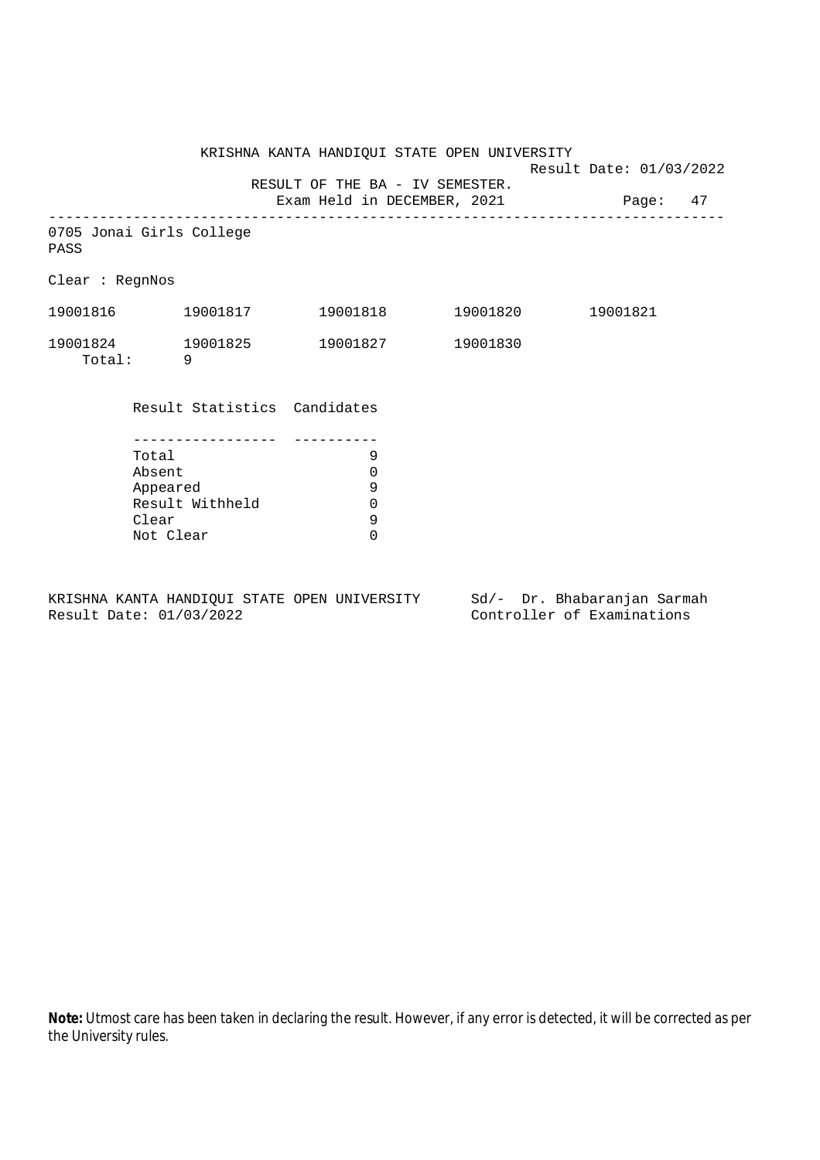Result Date: 01/03/2022

 RESULT OF THE BA - IV SEMESTER. Exam Held in DECEMBER, 2021 Page: 47

--------------------------------------------------------------------------------

0705 Jonai Girls College

PASS

Clear : RegnNos

| 19001816 | 19001817 | 19001818 | 19001820 | 19001821 |
|----------|----------|----------|----------|----------|
| 19001824 | 19001825 | 19001827 | 19001830 |          |
| Total:   |          |          |          |          |

Result Statistics Candidates

| Total           |   |
|-----------------|---|
| Absent          |   |
| Appeared        | q |
| Result Withheld |   |
| Clear           | q |
| Not Clear       |   |

KRISHNA KANTA HANDIQUI STATE OPEN UNIVERSITY Sd/- Dr. Bhabaranjan Sarmah Result Date: 01/03/2022 Controller of Examinations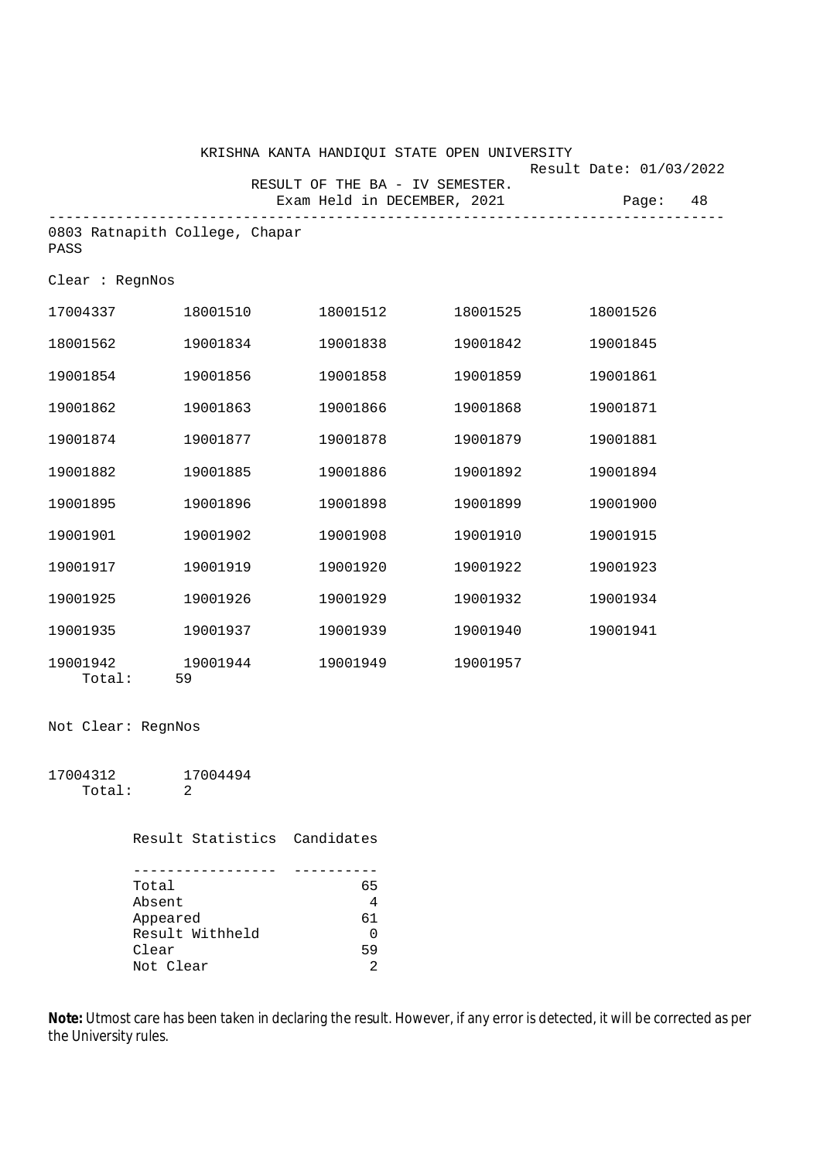|                    |                                | KRISHNA KANTA HANDIQUI STATE OPEN UNIVERSITY |          | Result Date: 01/03/2022 |       |    |
|--------------------|--------------------------------|----------------------------------------------|----------|-------------------------|-------|----|
|                    |                                | RESULT OF THE BA - IV SEMESTER.              |          |                         |       |    |
|                    |                                | Exam Held in DECEMBER, 2021                  |          |                         | Page: | 48 |
| PASS               | 0803 Ratnapith College, Chapar |                                              |          |                         |       |    |
| Clear : RegnNos    |                                |                                              |          |                         |       |    |
| 17004337           | 18001510                       | 18001512                                     | 18001525 | 18001526                |       |    |
| 18001562           | 19001834                       | 19001838                                     | 19001842 | 19001845                |       |    |
| 19001854           | 19001856                       | 19001858                                     | 19001859 | 19001861                |       |    |
| 19001862           | 19001863                       | 19001866                                     | 19001868 | 19001871                |       |    |
| 19001874           | 19001877                       | 19001878                                     | 19001879 | 19001881                |       |    |
| 19001882           | 19001885                       | 19001886                                     | 19001892 | 19001894                |       |    |
| 19001895           | 19001896                       | 19001898                                     | 19001899 | 19001900                |       |    |
| 19001901           | 19001902                       | 19001908                                     | 19001910 | 19001915                |       |    |
| 19001917           | 19001919                       | 19001920                                     | 19001922 | 19001923                |       |    |
| 19001925           | 19001926                       | 19001929                                     | 19001932 | 19001934                |       |    |
| 19001935           | 19001937                       | 19001939                                     | 19001940 | 19001941                |       |    |
| 19001942<br>Total: | 19001944<br>59                 | 19001949                                     | 19001957 |                         |       |    |

Not Clear: RegnNos

17004312 17004494 Total: 2

Result Statistics Candidates

| Total           | 65           |
|-----------------|--------------|
| Absent          | 4            |
| Appeared        | 61           |
| Result Withheld | <sup>n</sup> |
| Clear           | 59           |
| Not Clear       | 2            |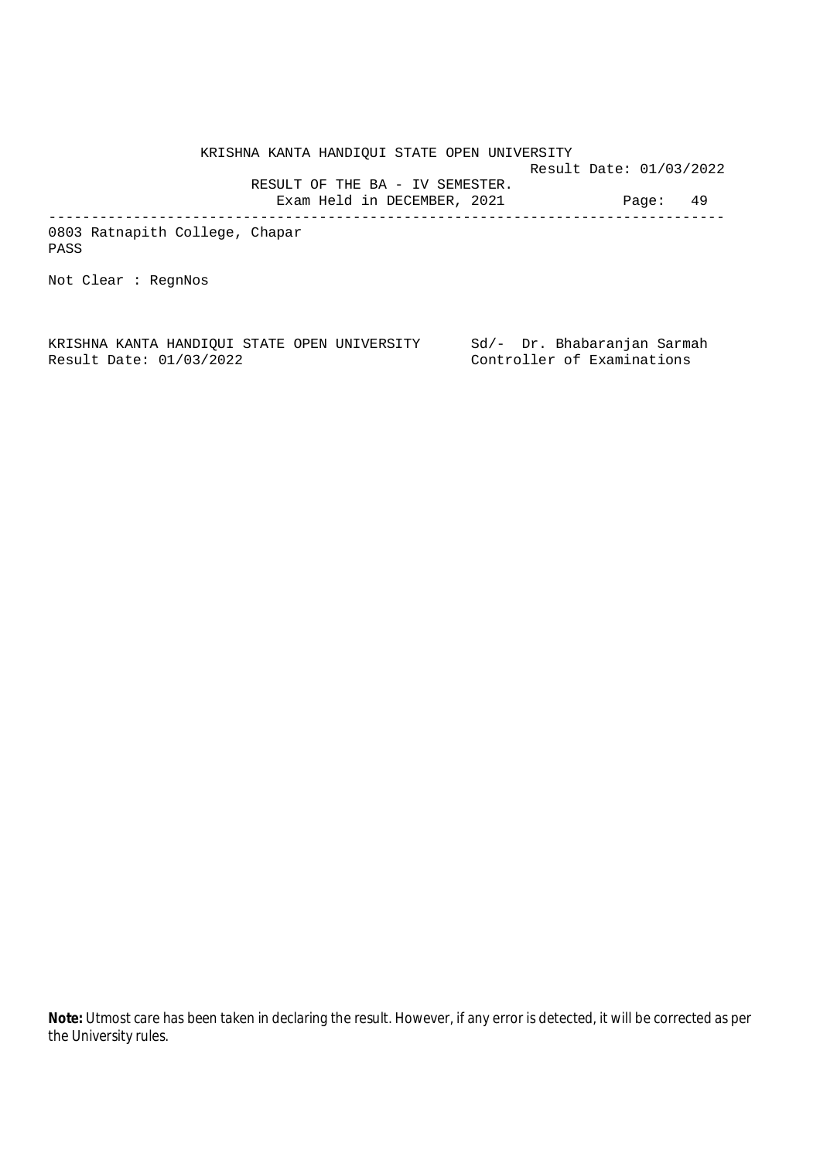KRISHNA KANTA HANDIQUI STATE OPEN UNIVERSITY Result Date: 01/03/2022 RESULT OF THE BA - IV SEMESTER. Exam Held in DECEMBER, 2021 Page: 49

0803 Ratnapith College, Chapar PASS

Not Clear : RegnNos

KRISHNA KANTA HANDIQUI STATE OPEN UNIVERSITY Sd/- Dr. Bhabaranjan Sarmah Result Date: 01/03/2022 Controller of Examinations

--------------------------------------------------------------------------------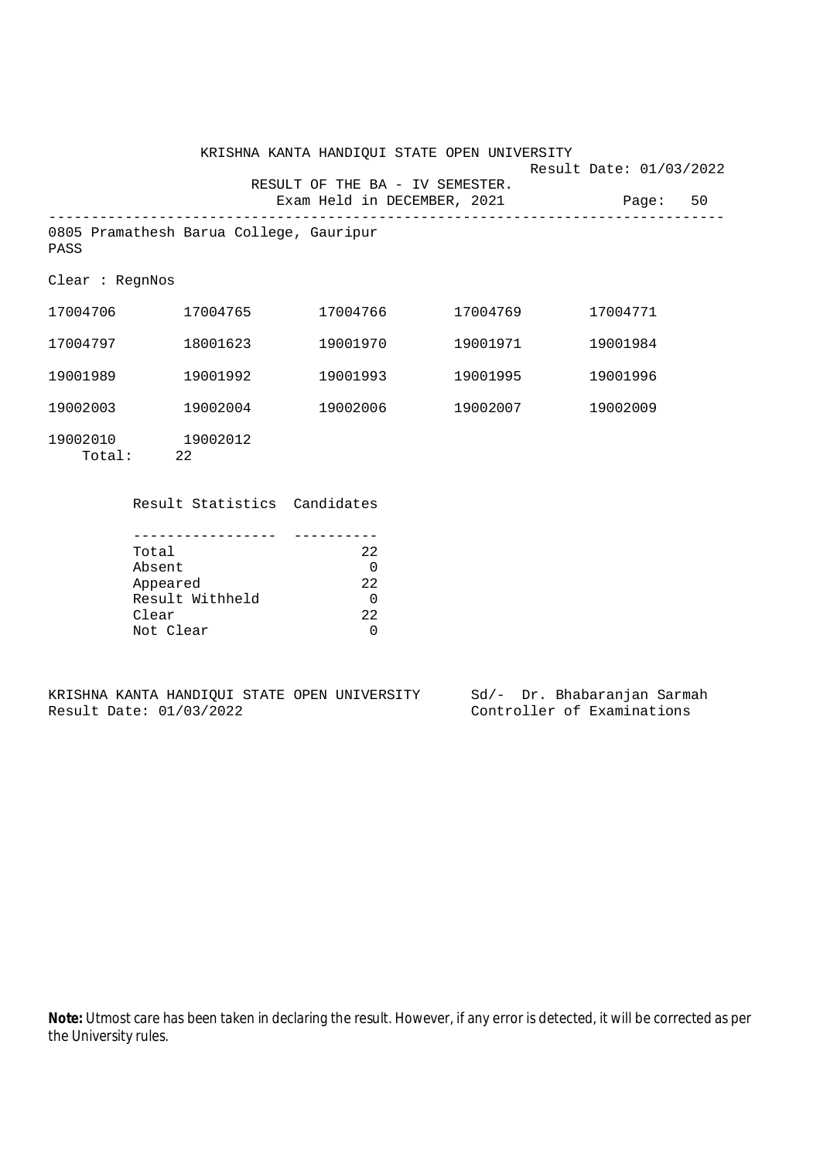KRISHNA KANTA HANDIQUI STATE OPEN UNIVERSITY Result Date: 01/03/2022 RESULT OF THE BA - IV SEMESTER. Exam Held in DECEMBER, 2021 Page: 50 -------------------------------------------------------------------------------- 0805 Pramathesh Barua College, Gauripur Clear : RegnNos 17004706 17004765 17004766 17004769 17004771 17004797 18001623 19001970 19001971 19001984 19001989 19001992 19001993 19001995 19001996 19002003 19002004 19002006 19002007 19002009

19002010 19002012 Total: 22

PASS

Result Statistics Candidates

| Total           | 22   |
|-----------------|------|
| Absent          |      |
| Appeared        | 2.2. |
| Result Withheld |      |
| Clear           | 2.2. |
| Not Clear       |      |

|  |                         |  | KRISHNA KANTA HANDIOUI STATE OPEN UNIVERSITY |  | Sd/- Dr. Bhabaranjan Sarmah |  |
|--|-------------------------|--|----------------------------------------------|--|-----------------------------|--|
|  | Result Date: 01/03/2022 |  |                                              |  | Controller of Examinations  |  |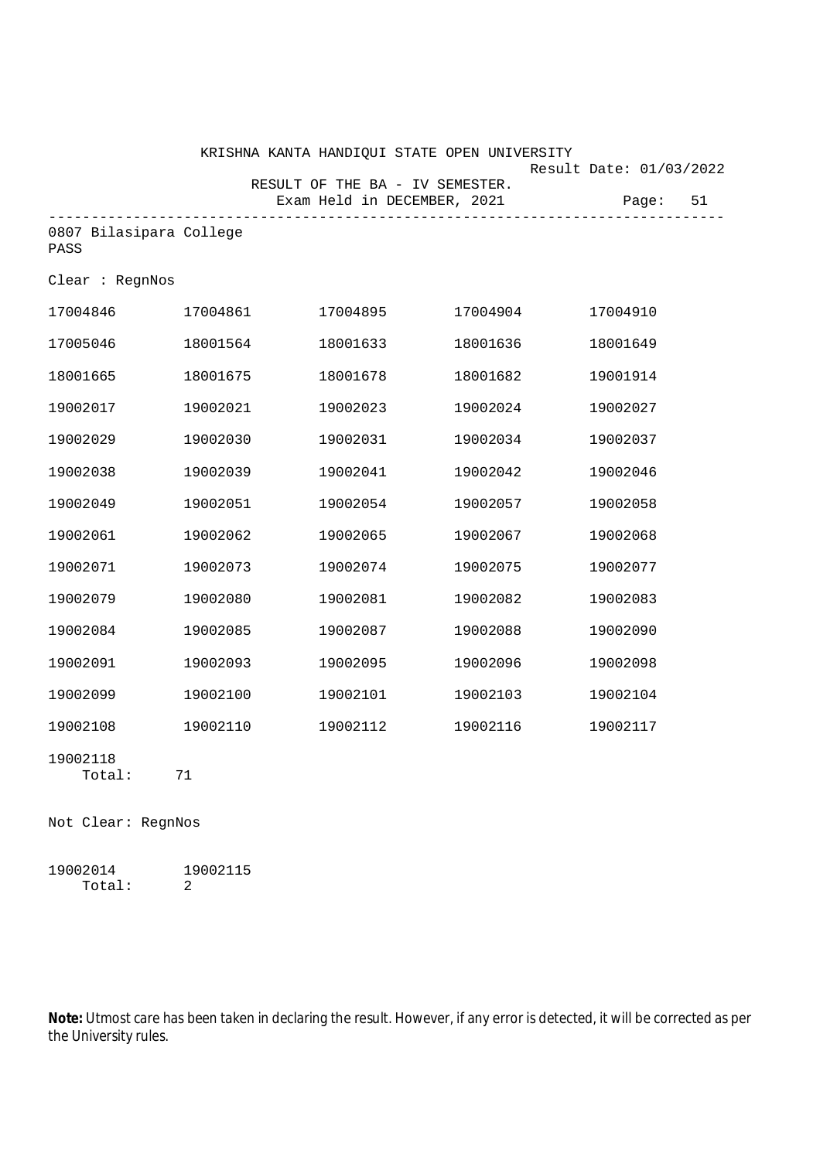|                                 |              | KRISHNA KANTA HANDIQUI STATE OPEN UNIVERSITY                   |          | Result Date: 01/03/2022 |
|---------------------------------|--------------|----------------------------------------------------------------|----------|-------------------------|
|                                 |              | RESULT OF THE BA - IV SEMESTER.<br>Exam Held in DECEMBER, 2021 |          | 51<br>Page:             |
| 0807 Bilasipara College<br>PASS | ------------ |                                                                |          |                         |
| Clear : RegnNos                 |              |                                                                |          |                         |
| 17004846                        | 17004861     | 17004895                                                       | 17004904 | 17004910                |
| 17005046                        | 18001564     | 18001633                                                       | 18001636 | 18001649                |
| 18001665                        | 18001675     | 18001678                                                       | 18001682 | 19001914                |
| 19002017                        | 19002021     | 19002023                                                       | 19002024 | 19002027                |
| 19002029                        | 19002030     | 19002031                                                       | 19002034 | 19002037                |
| 19002038                        | 19002039     | 19002041                                                       | 19002042 | 19002046                |
| 19002049                        | 19002051     | 19002054                                                       | 19002057 | 19002058                |
| 19002061                        | 19002062     | 19002065                                                       | 19002067 | 19002068                |
| 19002071                        | 19002073     | 19002074                                                       | 19002075 | 19002077                |
| 19002079                        | 19002080     | 19002081                                                       | 19002082 | 19002083                |
| 19002084                        | 19002085     | 19002087                                                       | 19002088 | 19002090                |
| 19002091                        | 19002093     | 19002095                                                       | 19002096 | 19002098                |
| 19002099                        | 19002100     | 19002101                                                       | 19002103 | 19002104                |
| 19002108                        | 19002110     | 19002112                                                       | 19002116 | 19002117                |
| 19002118<br>Total:              | 71           |                                                                |          |                         |

Not Clear: RegnNos

19002014 19002115 Total: 2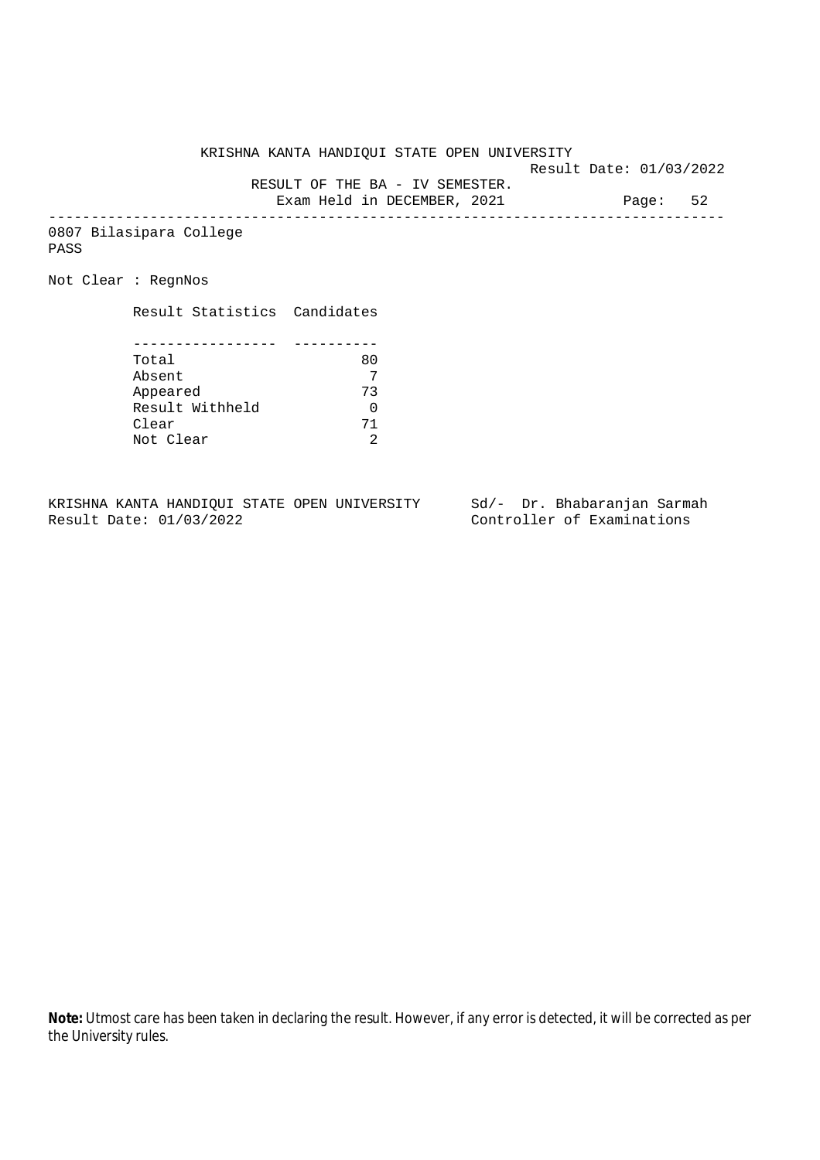Result Date: 01/03/2022

RESULT OF THE BA - IV SEMESTER.

Exam Held in DECEMBER, 2021 Page: 52 --------------------------------------------------------------------------------

0807 Bilasipara College PASS

Not Clear : RegnNos

Result Statistics Candidates

| Total           | 80 |
|-----------------|----|
| Absent          |    |
| Appeared        | 73 |
| Result Withheld |    |
| Clear           | 71 |
| Not Clear       |    |

KRISHNA KANTA HANDIQUI STATE OPEN UNIVERSITY Sd/- Dr. Bhabaranjan Sarmah<br>Result Date: 01/03/2022 Controller of Examinations

Controller of Examinations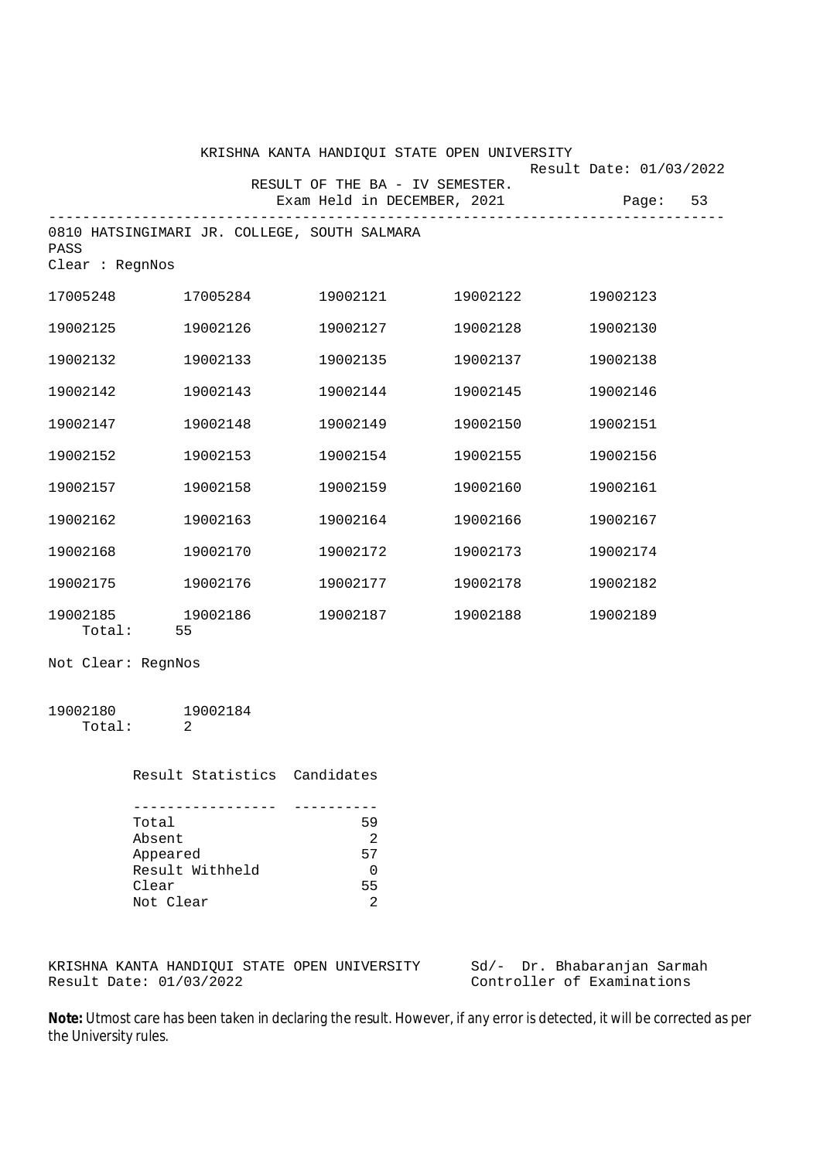|                         |                                              | KRISHNA KANTA HANDIQUI STATE OPEN UNIVERSITY |                                   | Result Date: 01/03/2022 |
|-------------------------|----------------------------------------------|----------------------------------------------|-----------------------------------|-------------------------|
|                         |                                              | RESULT OF THE BA - IV SEMESTER.              | Exam Held in DECEMBER, 2021 Page: | 53                      |
| PASS<br>Clear : RegnNos | 0810 HATSINGIMARI JR. COLLEGE, SOUTH SALMARA |                                              |                                   |                         |
| 17005248                | 17005284                                     | 19002121                                     | 19002122                          | 19002123                |
| 19002125                | 19002126                                     | 19002127                                     | 19002128                          | 19002130                |
| 19002132                | 19002133                                     | 19002135                                     | 19002137                          | 19002138                |
| 19002142                | 19002143                                     | 19002144                                     | 19002145                          | 19002146                |
| 19002147                | 19002148                                     | 19002149                                     | 19002150                          | 19002151                |
| 19002152                | 19002153                                     | 19002154                                     | 19002155                          | 19002156                |
| 19002157                | 19002158                                     | 19002159                                     | 19002160                          | 19002161                |
| 19002162                | 19002163                                     | 19002164                                     | 19002166                          | 19002167                |
| 19002168                | 19002170                                     | 19002172                                     | 19002173                          | 19002174                |
| 19002175                | 19002176                                     | 19002177                                     | 19002178                          | 19002182                |
| 19002185<br>Total:      | 19002186<br>55                               | 19002187                                     | 19002188                          | 19002189                |

Not Clear: RegnNos

| 19002180 | 19002184 |
|----------|----------|
| Total:   |          |

Result Statistics Candidates

| Total           | 59 |
|-----------------|----|
| Absent          | っ  |
| Appeared        | 57 |
| Result Withheld |    |
| Clear           | 55 |
| Not Clear       |    |

KRISHNA KANTA HANDIQUI STATE OPEN UNIVERSITY Sd/- Dr. Bhabaranjan Sarmah Result Date: 01/03/2022 Controller of Examinations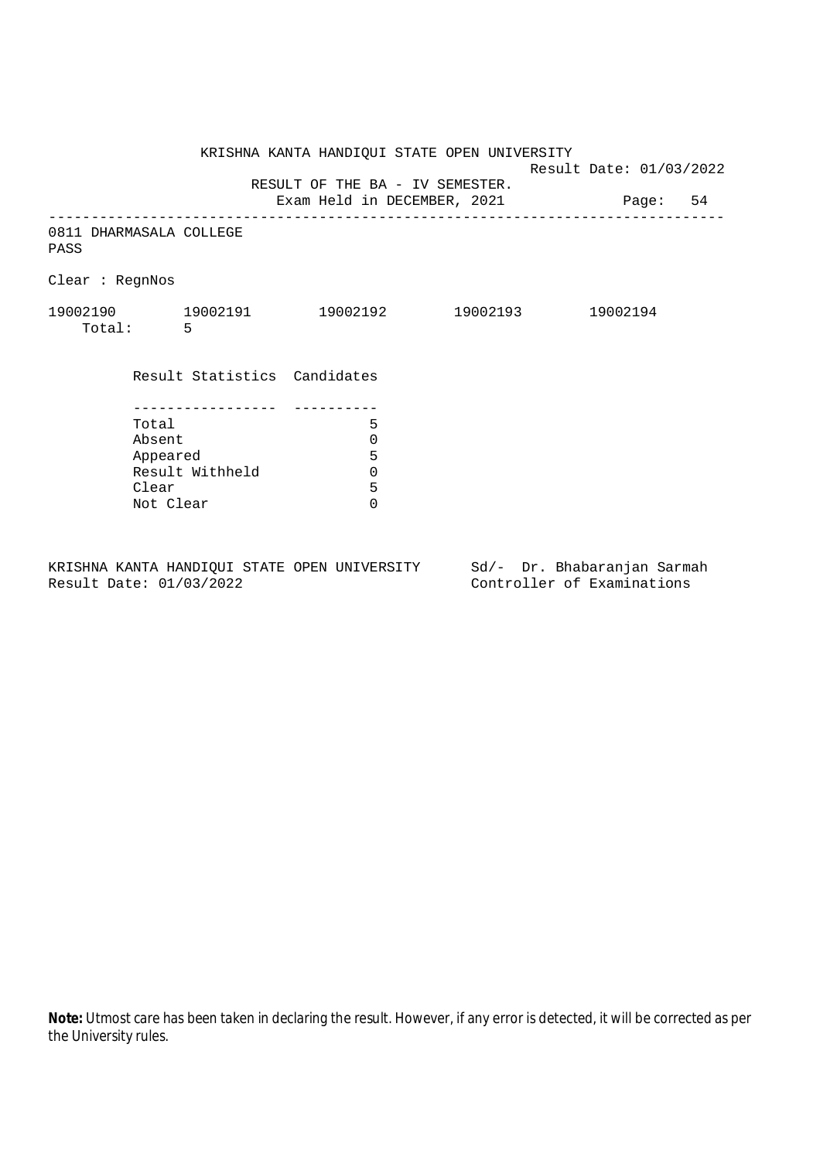KRISHNA KANTA HANDIQUI STATE OPEN UNIVERSITY Result Date: 01/03/2022 RESULT OF THE BA - IV SEMESTER. Exam Held in DECEMBER, 2021 Page: 54 -------------------------------------------------------------------------------- 0811 DHARMASALA COLLEGE PASS Clear : RegnNos 19002190 19002191 19002192 19002193 19002194 Total: 5 Result Statistics Candidates ----------------- ---------- Total 5 Absent<br>
Appeared 5<br>
Result Withheld 0<br>
Clear 5 Appeared Result Withheld 0 Clear Not Clear 0

KRISHNA KANTA HANDIQUI STATE OPEN UNIVERSITY Sd/- Dr. Bhabaranjan Sarmah Result Date: 01/03/2022 Controller of Examinations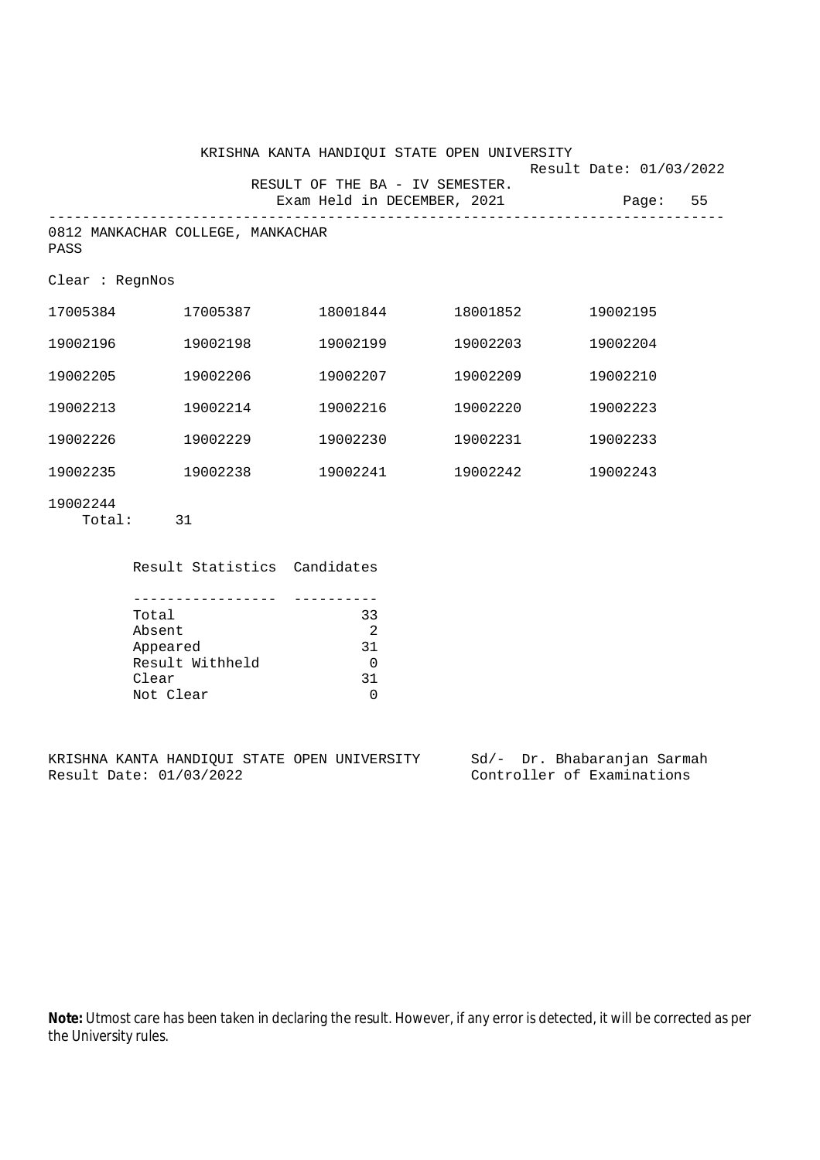|                    |                                   |                                 | KRISHNA KANTA HANDIQUI STATE OPEN UNIVERSITY |                         |  |
|--------------------|-----------------------------------|---------------------------------|----------------------------------------------|-------------------------|--|
|                    |                                   | RESULT OF THE BA - IV SEMESTER. |                                              | Result Date: 01/03/2022 |  |
|                    |                                   | Exam Held in DECEMBER, 2021     |                                              | Page: 55                |  |
| PASS               | 0812 MANKACHAR COLLEGE, MANKACHAR |                                 |                                              |                         |  |
| Clear : RegnNos    |                                   |                                 |                                              |                         |  |
| 17005384           | 17005387                          | 18001844                        | 18001852                                     | 19002195                |  |
| 19002196           | 19002198                          | 19002199                        | 19002203                                     | 19002204                |  |
| 19002205           | 19002206                          | 19002207                        | 19002209                                     | 19002210                |  |
| 19002213           | 19002214                          | 19002216                        | 19002220                                     | 19002223                |  |
| 19002226           | 19002229                          | 19002230                        | 19002231                                     | 19002233                |  |
| 19002235           | 19002238                          | 19002241                        | 19002242                                     | 19002243                |  |
| 19002244<br>Total: | 31                                |                                 |                                              |                         |  |

Result Statistics Candidates

| Total           | 33 |
|-----------------|----|
| Absent          | 2  |
| Appeared        | 31 |
| Result Withheld |    |
| Clear           | 31 |
| Not Clear       |    |

KRISHNA KANTA HANDIQUI STATE OPEN UNIVERSITY Sd/- Dr. Bhabaranjan Sarmah<br>Result Date: 01/03/2022 Controller of Examinations

Controller of Examinations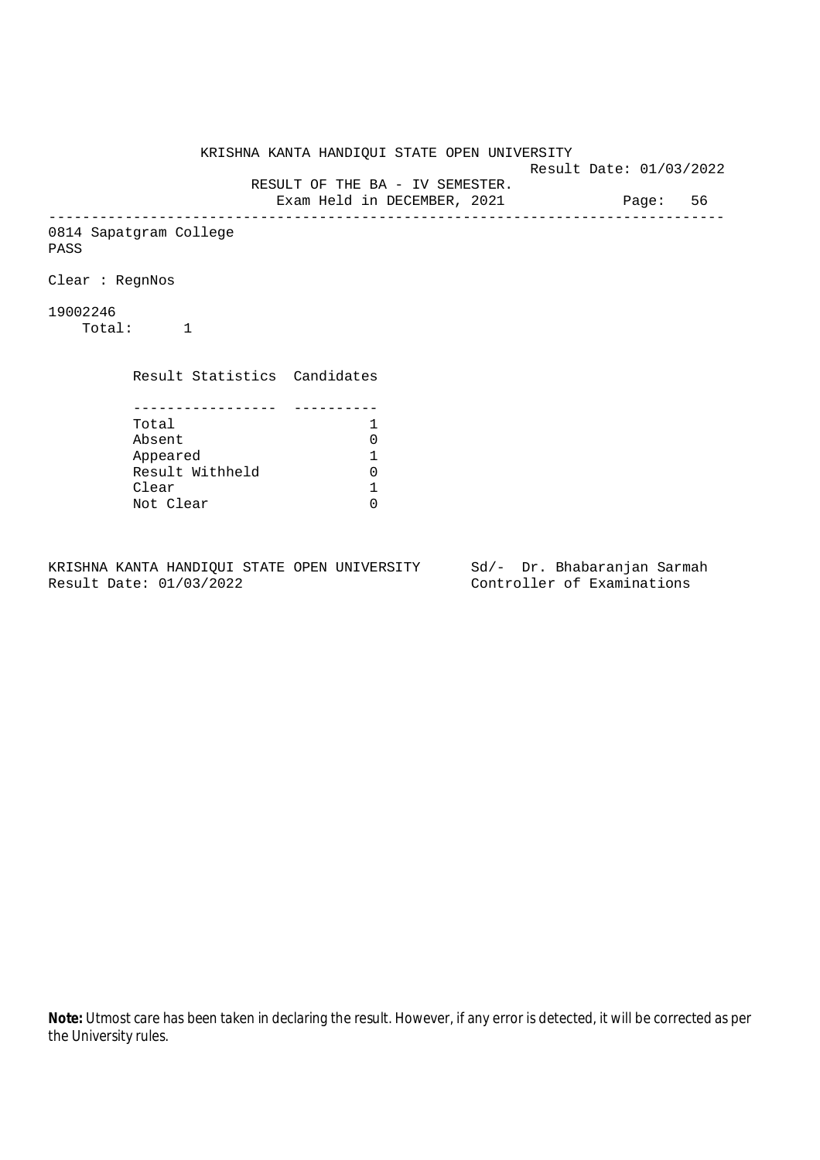KRISHNA KANTA HANDIQUI STATE OPEN UNIVERSITY Result Date: 01/03/2022 RESULT OF THE BA - IV SEMESTER. Exam Held in DECEMBER, 2021 Page: 56 -------------------------------------------------------------------------------- 0814 Sapatgram College PASS Clear : RegnNos 19002246 Total: 1 Result Statistics Candidates ----------------- ---------- Total 1 Absent<br>
Appeared 1<br>
Result Withheld 0<br>
Clear 1 Appeared 1 Result Withheld Clear Not Clear 0

KRISHNA KANTA HANDIQUI STATE OPEN UNIVERSITY Sd/- Dr. Bhabaranjan Sarmah Result Date: 01/03/2022 Controller of Examinations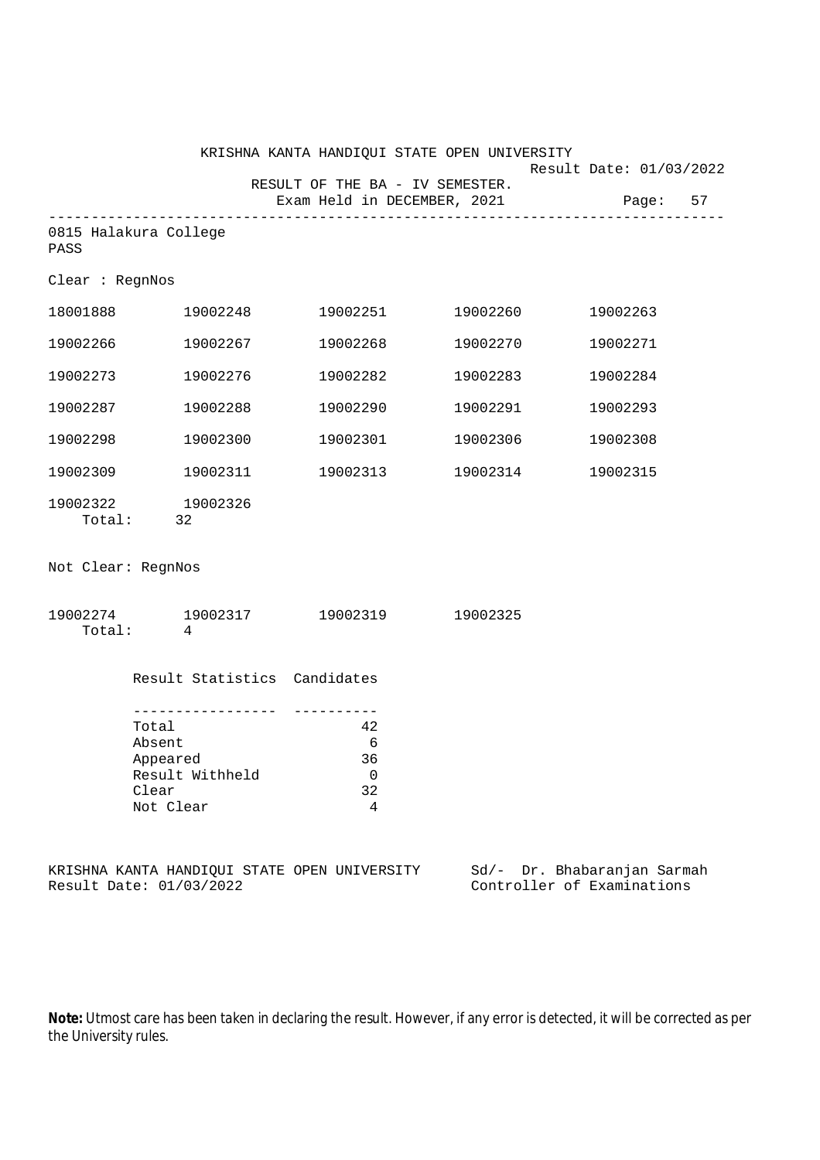|                                                                                                       |                                                                         | KRISHNA KANTA HANDIQUI STATE OPEN UNIVERSITY                   |                   |                                                           |  |
|-------------------------------------------------------------------------------------------------------|-------------------------------------------------------------------------|----------------------------------------------------------------|-------------------|-----------------------------------------------------------|--|
|                                                                                                       |                                                                         | RESULT OF THE BA - IV SEMESTER.<br>Exam Held in DECEMBER, 2021 |                   | Result Date: 01/03/2022<br>Page: 57                       |  |
| PASS                                                                                                  | 0815 Halakura College                                                   |                                                                |                   |                                                           |  |
| Clear : RegnNos                                                                                       |                                                                         |                                                                |                   |                                                           |  |
| 18001888                                                                                              | 19002248                                                                |                                                                | 19002251 19002260 | 19002263                                                  |  |
| 19002266                                                                                              | 19002267                                                                | 19002268                                                       | 19002270          | 19002271                                                  |  |
| 19002273                                                                                              | 19002276                                                                | 19002282                                                       | 19002283          | 19002284                                                  |  |
| 19002287                                                                                              | 19002288                                                                | 19002290                                                       | 19002291          | 19002293                                                  |  |
| 19002298                                                                                              | 19002300                                                                | 19002301                                                       | 19002306          | 19002308                                                  |  |
| 19002309                                                                                              | 19002311                                                                |                                                                | 19002313 19002314 | 19002315                                                  |  |
|                                                                                                       | 19002322 19002326<br>Total: 32                                          |                                                                |                   |                                                           |  |
| Not Clear: RegnNos                                                                                    |                                                                         |                                                                |                   |                                                           |  |
| Total:                                                                                                | 19002274 19002317 19002319 19002325<br>4                                |                                                                |                   |                                                           |  |
|                                                                                                       | Result Statistics Candidates                                            |                                                                |                   |                                                           |  |
| . _ _ _ _ _ _ _ _ _ _ _ _ _ _<br>Total<br>Absent<br>Appeared<br>Result Withheld<br>Clear<br>Not Clear |                                                                         | 42<br>6<br>36<br>0<br>32<br>4                                  |                   |                                                           |  |
|                                                                                                       | KRISHNA KANTA HANDIQUI STATE OPEN UNIVERSITY<br>Result Date: 01/03/2022 |                                                                |                   | Sd/- Dr. Bhabaranjan Sarmah<br>Controller of Examinations |  |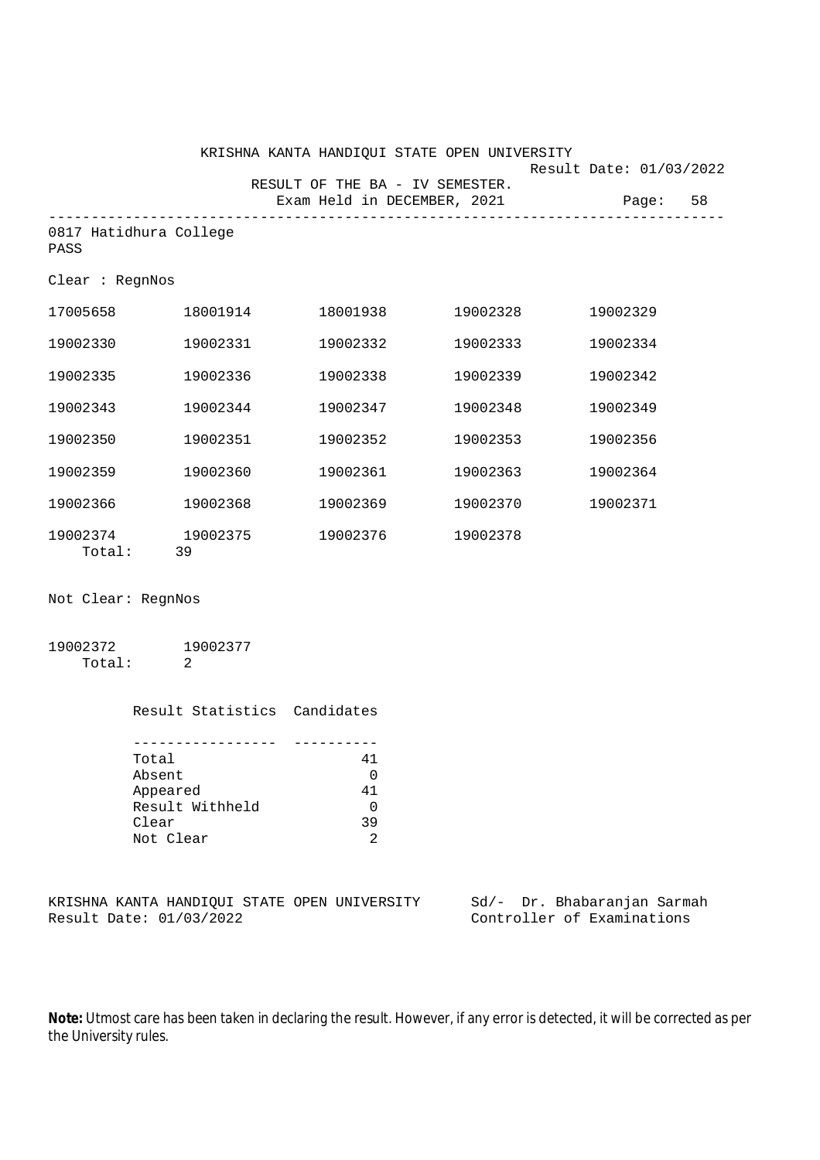|                                |          | KRISHNA KANTA HANDIQUI STATE OPEN UNIVERSITY                   |          | Result Date: 01/03/2022 |  |
|--------------------------------|----------|----------------------------------------------------------------|----------|-------------------------|--|
|                                |          | RESULT OF THE BA - IV SEMESTER.<br>Exam Held in DECEMBER, 2021 |          | Page: 58                |  |
| 0817 Hatidhura College<br>PASS |          |                                                                |          |                         |  |
| Clear: RegnNos                 |          |                                                                |          |                         |  |
| 17005658 18001914              |          | 18001938                                                       | 19002328 | 19002329                |  |
| 19002330                       | 19002331 | 19002332                                                       | 19002333 | 19002334                |  |
| 19002335                       | 19002336 | 19002338                                                       | 19002339 | 19002342                |  |
| 19002343                       | 19002344 | 19002347                                                       | 19002348 | 19002349                |  |
| 19002350                       | 19002351 | 19002352                                                       | 19002353 | 19002356                |  |
| 19002359                       | 19002360 | 19002361                                                       | 19002363 | 19002364                |  |
| 19002366                       | 19002368 | 19002369                                                       | 19002370 | 19002371                |  |
| 19002374 19002375<br>Total:    | 39       | 19002376                                                       | 19002378 |                         |  |

Not Clear: RegnNos

| 19002372 | 19002377 |
|----------|----------|
| Total:   |          |

| Result Statistics Candidates |    |
|------------------------------|----|
|                              |    |
|                              |    |
| Total                        | 41 |
| Absent                       |    |
| Appeared                     | 41 |
| Result Withheld              |    |
| Clear                        | 39 |
| Not Clear                    |    |

|  |                         |  | KRISHNA KANTA HANDIOUI STATE OPEN UNIVERSITY |  | Sd/- Dr. Bhabaranjan Sarmah |  |
|--|-------------------------|--|----------------------------------------------|--|-----------------------------|--|
|  | Result Date: 01/03/2022 |  |                                              |  | Controller of Examinations  |  |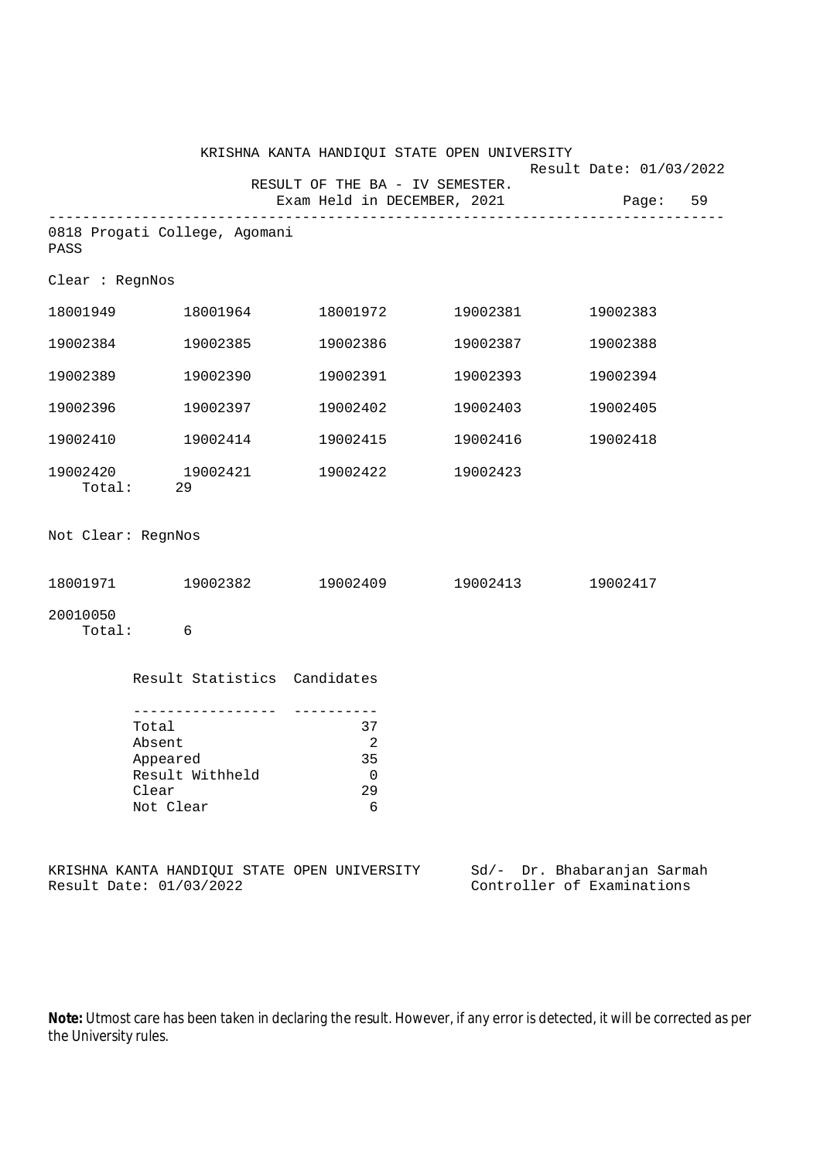|                    |                                                                      |                                              | KRISHNA KANTA HANDIQUI STATE OPEN UNIVERSITY                   |                                                           |  |
|--------------------|----------------------------------------------------------------------|----------------------------------------------|----------------------------------------------------------------|-----------------------------------------------------------|--|
|                    |                                                                      |                                              | RESULT OF THE BA - IV SEMESTER.<br>Exam Held in DECEMBER, 2021 | Result Date: 01/03/2022<br>Page: 59                       |  |
| PASS               | 0818 Progati College, Agomani                                        |                                              |                                                                |                                                           |  |
| Clear : RegnNos    |                                                                      |                                              |                                                                |                                                           |  |
|                    | 18001949 18001964                                                    |                                              | 18001972 19002381                                              | 19002383                                                  |  |
| 19002384           | 19002385                                                             | 19002386                                     | 19002387                                                       | 19002388                                                  |  |
| 19002389           | 19002390                                                             | 19002391                                     | 19002393                                                       | 19002394                                                  |  |
| 19002396           | 19002397                                                             | 19002402                                     | 19002403                                                       | 19002405                                                  |  |
| 19002410           | 19002414                                                             | 19002415                                     | 19002416                                                       | 19002418                                                  |  |
| Total:             | 19002420 19002421<br>29                                              | 19002422                                     | 19002423                                                       |                                                           |  |
| Not Clear: RegnNos |                                                                      |                                              |                                                                |                                                           |  |
|                    |                                                                      |                                              | $18001971$ $19002382$ $19002409$ $19002413$                    | 19002417                                                  |  |
| 20010050<br>Total: | 6                                                                    |                                              |                                                                |                                                           |  |
|                    | Result Statistics Candidates                                         |                                              |                                                                |                                                           |  |
|                    | Total<br>Absent<br>Appeared<br>Result Withheld<br>Clear<br>Not Clear | 37<br>$\overline{2}$<br>35<br>0<br>29<br>6   |                                                                |                                                           |  |
|                    | Result Date: 01/03/2022                                              | KRISHNA KANTA HANDIQUI STATE OPEN UNIVERSITY |                                                                | Sd/- Dr. Bhabaranjan Sarmah<br>Controller of Examinations |  |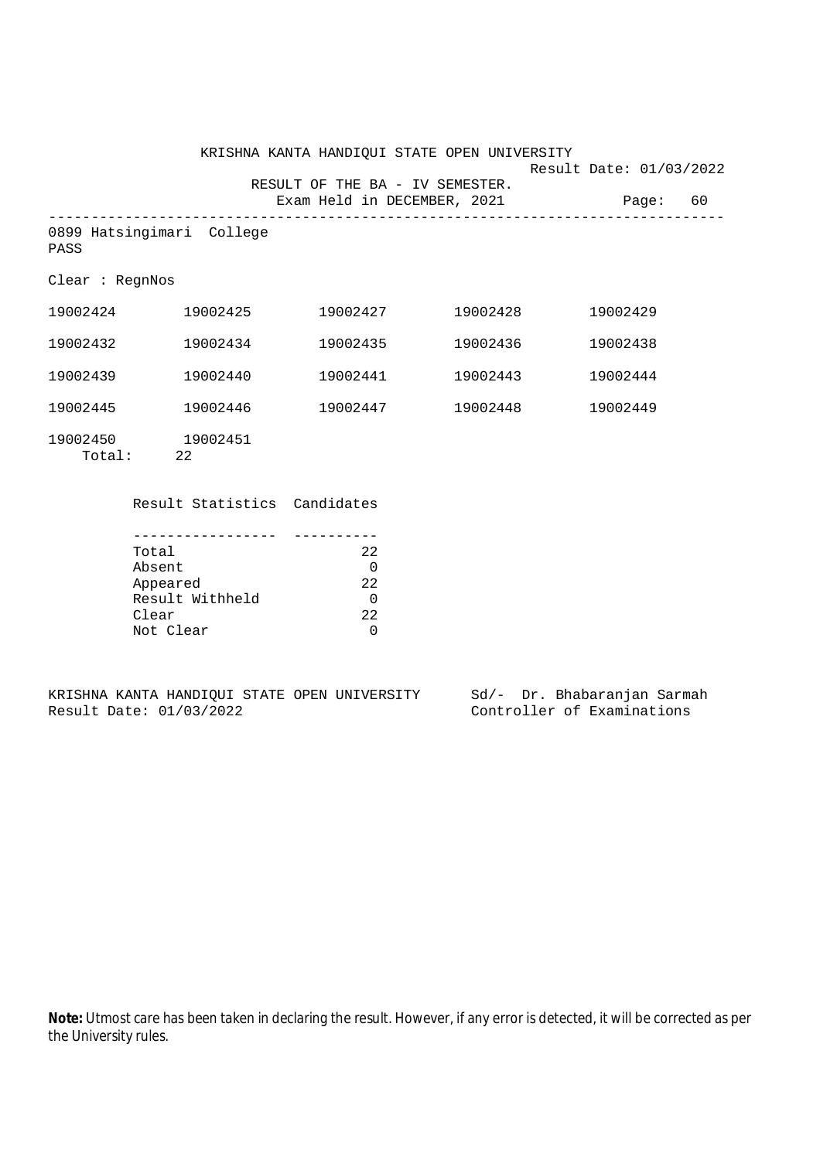|                                   |                | KRISHNA KANTA HANDIQUI STATE OPEN UNIVERSITY                   |                             | Result Date: 01/03/2022 |    |
|-----------------------------------|----------------|----------------------------------------------------------------|-----------------------------|-------------------------|----|
|                                   |                | RESULT OF THE BA - IV SEMESTER.<br>Exam Held in DECEMBER, 2021 | ___________________________ | Paqe:                   | 60 |
| 0899 Hatsingimari College<br>PASS |                |                                                                |                             |                         |    |
| Clear : <b>ReqnNos</b>            |                |                                                                |                             |                         |    |
| 19002424                          | 19002425       | 19002427                                                       | 19002428                    | 19002429                |    |
| 19002432                          | 19002434       | 19002435                                                       | 19002436                    | 19002438                |    |
| 19002439                          | 19002440       | 19002441                                                       | 19002443                    | 19002444                |    |
| 19002445                          | 19002446       | 19002447                                                       | 19002448                    | 19002449                |    |
| 19002450<br>Total:                | 19002451<br>22 |                                                                |                             |                         |    |

Result Statistics Candidates

| Total           | 22   |
|-----------------|------|
| Absent          |      |
| Appeared        | 22   |
| Result Withheld |      |
| Clear           | 2.2. |
| Not Clear       |      |

|  |                         |  | KRISHNA KANTA HANDIOUI STATE OPEN UNIVERSITY |  |  | Sd/- Dr. Bhabaranjan Sarmah |  |
|--|-------------------------|--|----------------------------------------------|--|--|-----------------------------|--|
|  | Result Date: 01/03/2022 |  |                                              |  |  | Controller of Examinations  |  |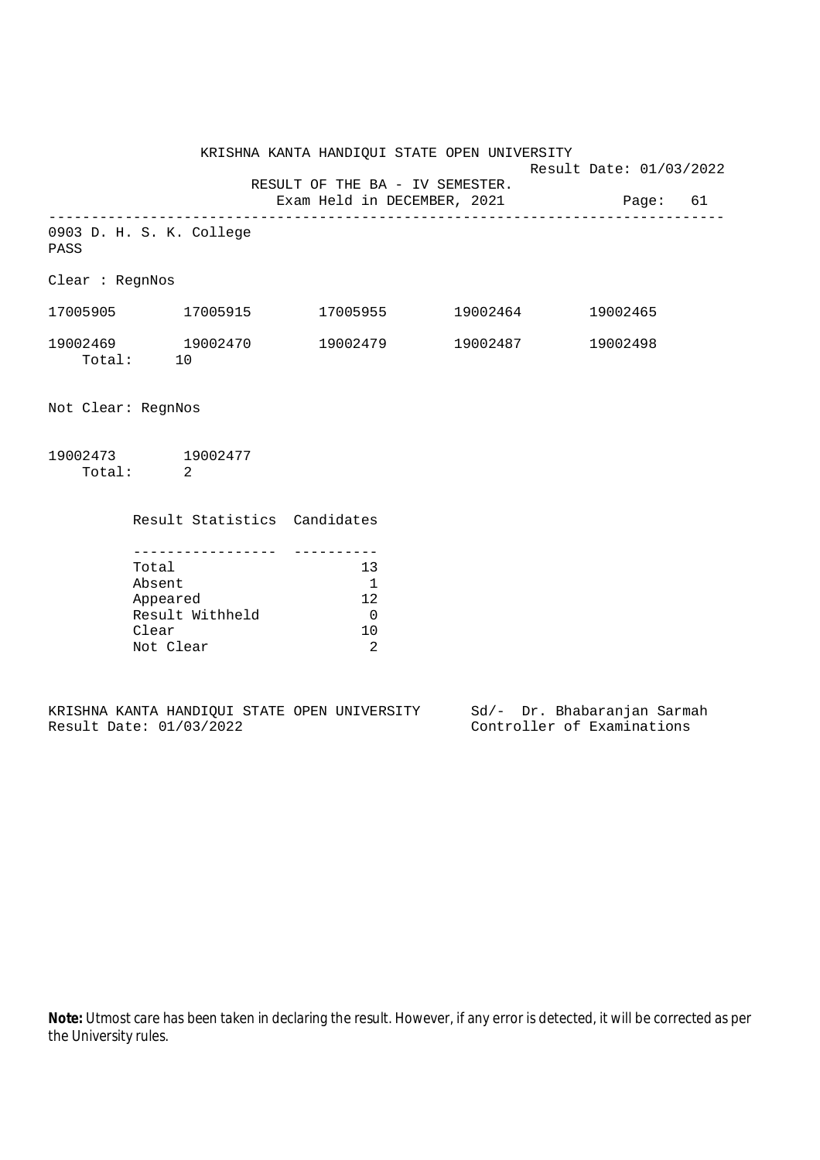KRISHNA KANTA HANDIQUI STATE OPEN UNIVERSITY Result Date: 01/03/2022 RESULT OF THE BA - IV SEMESTER. Exam Held in DECEMBER, 2021 Page: 61 -------------------------------------------------------------------------------- 0903 D. H. S. K. College PASS Clear : RegnNos 17005905 17005915 17005955 19002464 19002465 19002469 19002470 19002479 19002487 19002498 19002469 19<br>Total: 10 Not Clear: RegnNos

| 19002473 | 19002477 |
|----------|----------|
| Total:   |          |

|           | Result Statistics Candidates |    |
|-----------|------------------------------|----|
|           |                              |    |
|           |                              |    |
| Total     |                              | 13 |
| Absent    |                              |    |
| Appeared  |                              | 12 |
|           | Result Withheld              |    |
| Clear     |                              | 10 |
| Not Clear |                              |    |

|  |                         |  | KRISHNA KANTA HANDIOUI STATE OPEN UNIVERSITY |  | Sd/- Dr. Bhabaranjan Sarmah |  |
|--|-------------------------|--|----------------------------------------------|--|-----------------------------|--|
|  | Result Date: 01/03/2022 |  |                                              |  | Controller of Examinations  |  |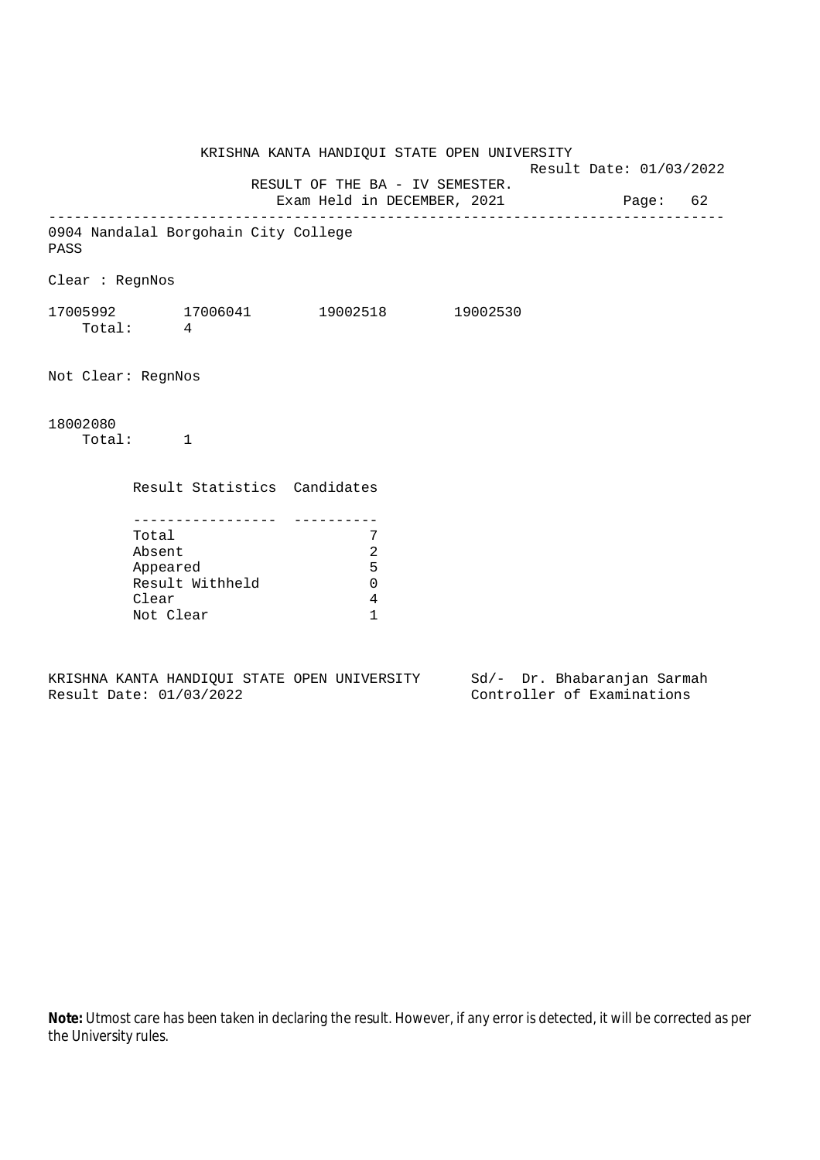KRISHNA KANTA HANDIQUI STATE OPEN UNIVERSITY Result Date: 01/03/2022 RESULT OF THE BA - IV SEMESTER. Exam Held in DECEMBER, 2021 Page: 62 -------------------------------------------------------------------------------- 0904 Nandalal Borgohain City College PASS Clear : RegnNos 17005992 17006041 19002518 19002530 Total: 4 Not Clear: RegnNos 18002080 Total: 1 Result Statistics Candidates ----------------- ---------- Total 7 Absent 2 Appeared 5 Result Withheld 0 Clear 4 Not Clear 1

KRISHNA KANTA HANDIQUI STATE OPEN UNIVERSITY Sd/- Dr. Bhabaranjan Sarmah Result Date: 01/03/2022 Controller of Examinations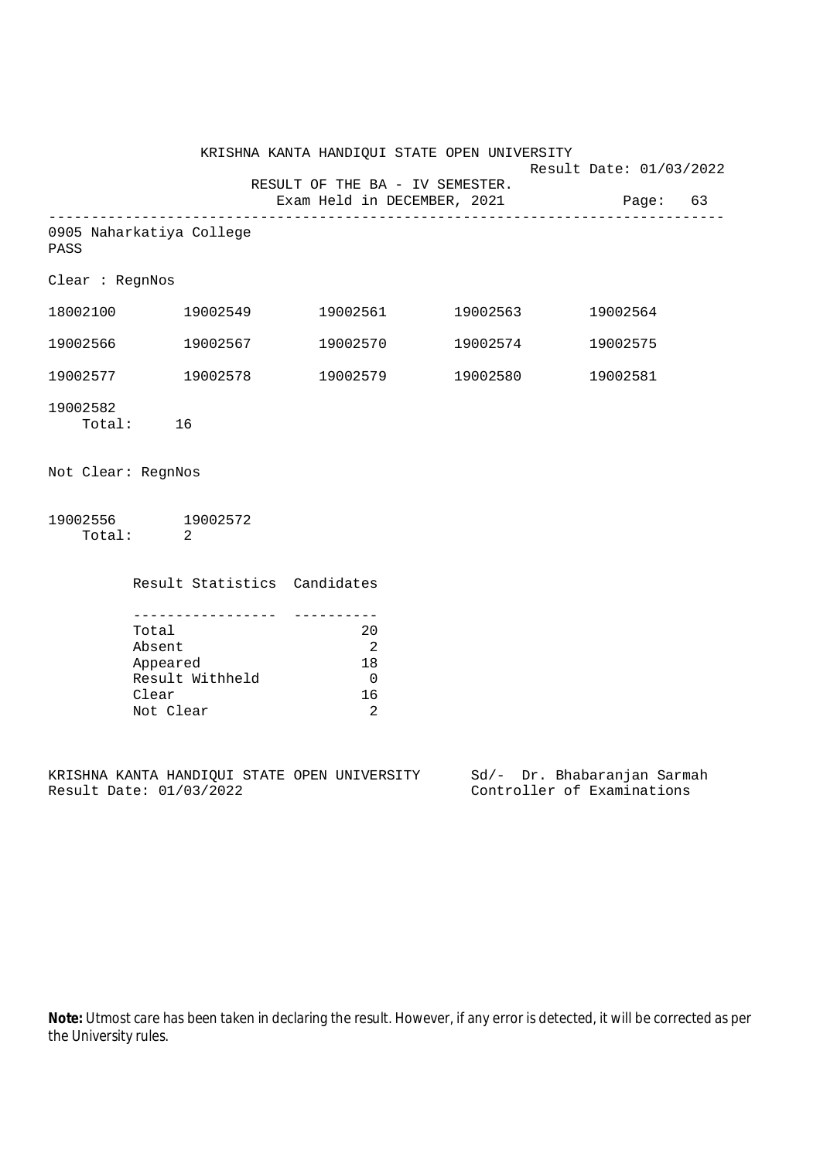|                    |                                                                                             | KRISHNA KANTA HANDIQUI STATE OPEN UNIVERSITY                                       |                   | Result Date: 01/03/2022 |  |
|--------------------|---------------------------------------------------------------------------------------------|------------------------------------------------------------------------------------|-------------------|-------------------------|--|
|                    |                                                                                             | RESULT OF THE BA - IV SEMESTER.<br>Exam Held in DECEMBER, 2021                     |                   | Page: 63                |  |
| PASS               | 0905 Naharkatiya College                                                                    |                                                                                    |                   |                         |  |
| Clear : RegnNos    |                                                                                             |                                                                                    |                   |                         |  |
|                    | 18002100 19002549                                                                           |                                                                                    | 19002561 19002563 | 19002564                |  |
| 19002566           | 19002567                                                                                    |                                                                                    | 19002570 19002574 | 19002575                |  |
|                    | 19002577 19002578                                                                           |                                                                                    | 19002579 19002580 | 19002581                |  |
| 19002582           | Total: 16                                                                                   |                                                                                    |                   |                         |  |
| Not Clear: RegnNos |                                                                                             |                                                                                    |                   |                         |  |
| Total:             | 19002556 19002572<br>$\overline{2}$                                                         |                                                                                    |                   |                         |  |
|                    | Result Statistics Candidates                                                                |                                                                                    |                   |                         |  |
|                    | ___________________<br>Total<br>Absent<br>Appeared<br>Result Withheld<br>Clear<br>Not Clear | -----------<br>20<br>$\overline{\phantom{0}}^2$<br>18<br>$\overline{0}$<br>16<br>2 |                   |                         |  |
|                    | CAL THE PROGRESS OF THE CHANGE OF THE TRIVE OF THE PROGRESS OF PROGRESS COMPO               |                                                                                    |                   |                         |  |

KRISHNA KANTA HANDIQUI STATE OPEN UNIVERSITY<br>Result Date: 01/03/2022

Sd/- Dr. Bhabaranjan Sarmah<br>Controller of Examinations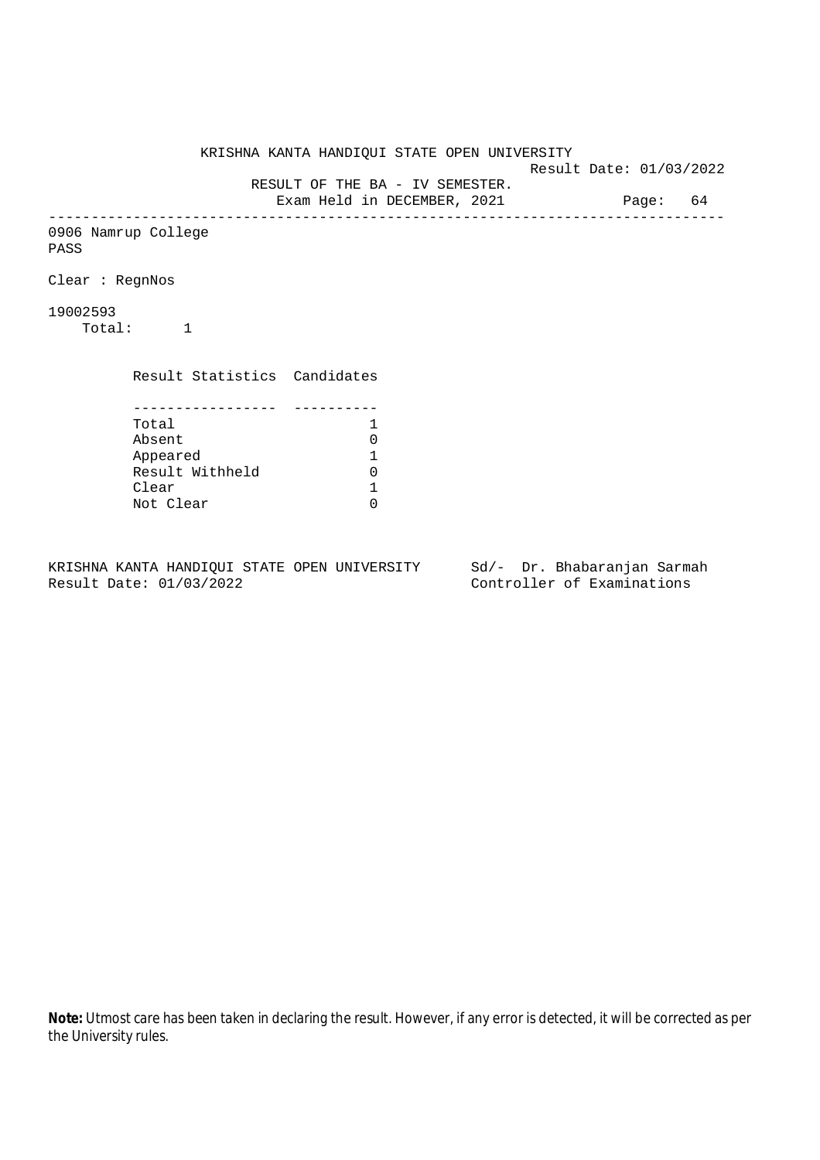KRISHNA KANTA HANDIQUI STATE OPEN UNIVERSITY Result Date: 01/03/2022 RESULT OF THE BA - IV SEMESTER. Exam Held in DECEMBER, 2021 Page: 64 -------------------------------------------------------------------------------- 0906 Namrup College PASS Clear : RegnNos 19002593 Total: 1 Result Statistics Candidates ----------------- ---------- Total 1<br>Absent 0 Absent<br>
Appeared 1<br>
Result Withheld 0<br>
Clear 1 Appeared 1 Result Withheld Clear Not Clear 0

KRISHNA KANTA HANDIQUI STATE OPEN UNIVERSITY Sd/- Dr. Bhabaranjan Sarmah Result Date: 01/03/2022 Controller of Examinations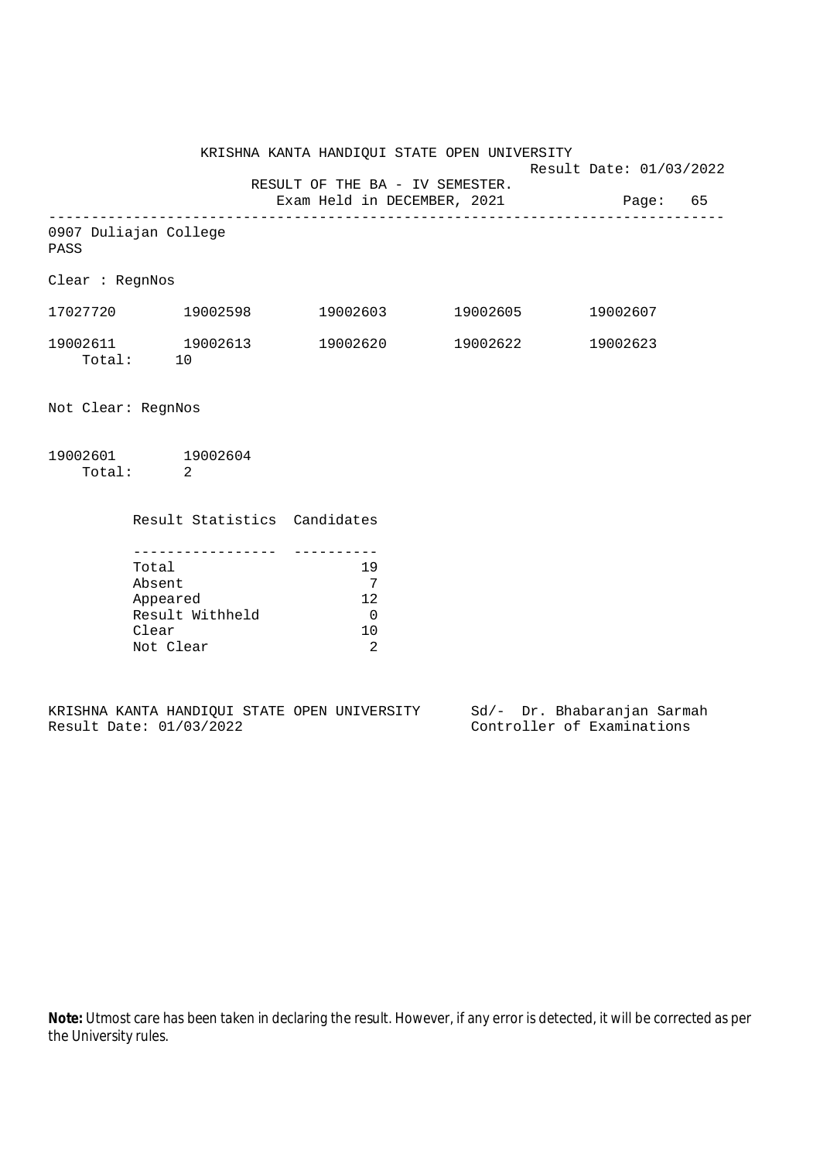Result Date: 01/03/2022

 RESULT OF THE BA - IV SEMESTER. Exam Held in DECEMBER, 2021 Page: 65

-------------------------------------------------------------------------------- 0907 Duliajan College

PASS

Clear : RegnNos

| 17027720           | 19002598 | 19002603 | 19002605 | 19002607 |
|--------------------|----------|----------|----------|----------|
| 19002611<br>Total: | 19002613 | 19002620 | 19002622 | 19002623 |

Not Clear: RegnNos

| 19002601 | 19002604 |
|----------|----------|
| Total:   |          |

| Result Statistics Candidates |     |
|------------------------------|-----|
|                              |     |
| Total                        | 19  |
| Absent                       |     |
| Appeared                     | 12. |
| Result Withheld              |     |
| Clear                        |     |
| Not Clear                    |     |
|                              |     |

|  |                         |  | KRISHNA KANTA HANDIQUI STATE OPEN UNIVERSITY |  | Sd/- Dr. Bhabaranjan Sarmah |  |
|--|-------------------------|--|----------------------------------------------|--|-----------------------------|--|
|  | Result Date: 01/03/2022 |  |                                              |  | Controller of Examinations  |  |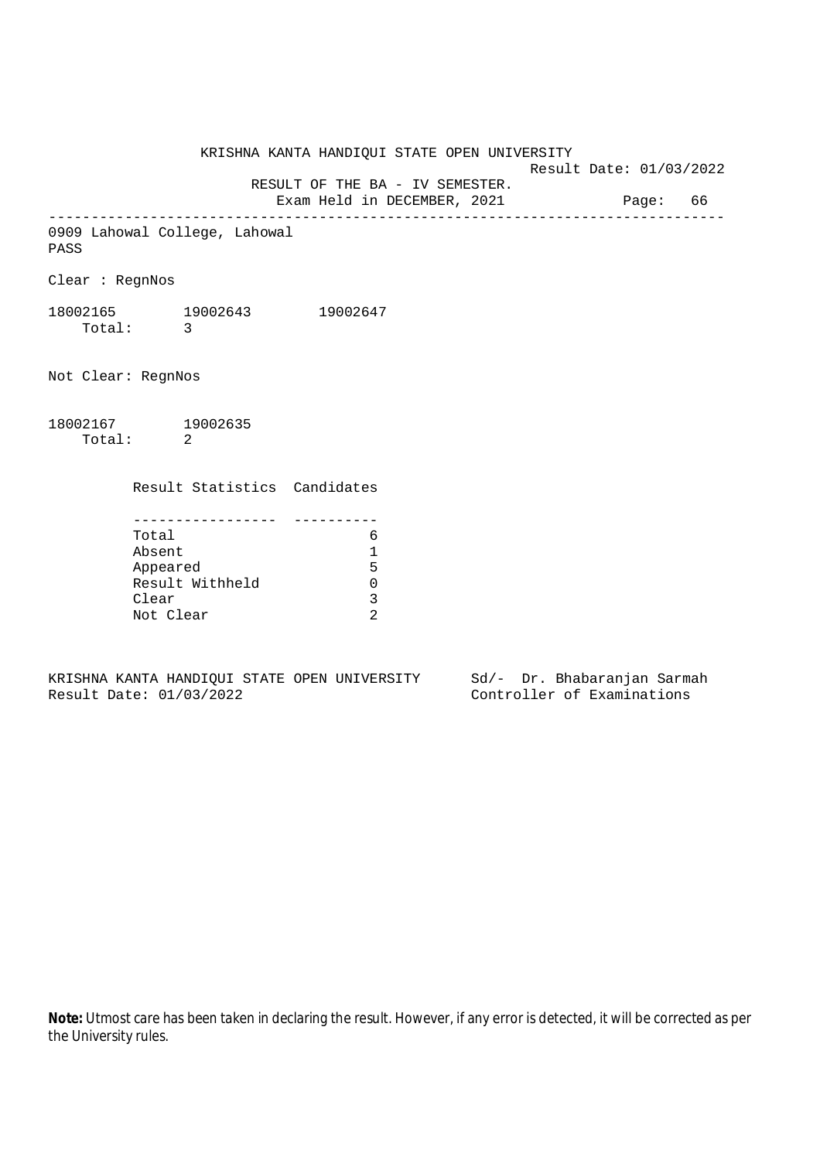Result Date: 01/03/2022 RESULT OF THE BA - IV SEMESTER. Exam Held in DECEMBER, 2021 Page: 66 -------------------------------------------------------------------------------- 0909 Lahowal College, Lahowal PASS Clear : RegnNos 18002165 19002643 19002647 Total: 3 Not Clear: RegnNos 18002167 19002635 Total: 2 Result Statistics Candidates ----------------- ---------- Total 6

KRISHNA KANTA HANDIQUI STATE OPEN UNIVERSITY

| тотат           |   |
|-----------------|---|
| Absent          |   |
| Appeared        | 5 |
| Result Withheld |   |
| Clear           |   |
| Not Clear       |   |

KRISHNA KANTA HANDIQUI STATE OPEN UNIVERSITY Sd/- Dr. Bhabaranjan Sarmah Result Date: 01/03/2022 Controller of Examinations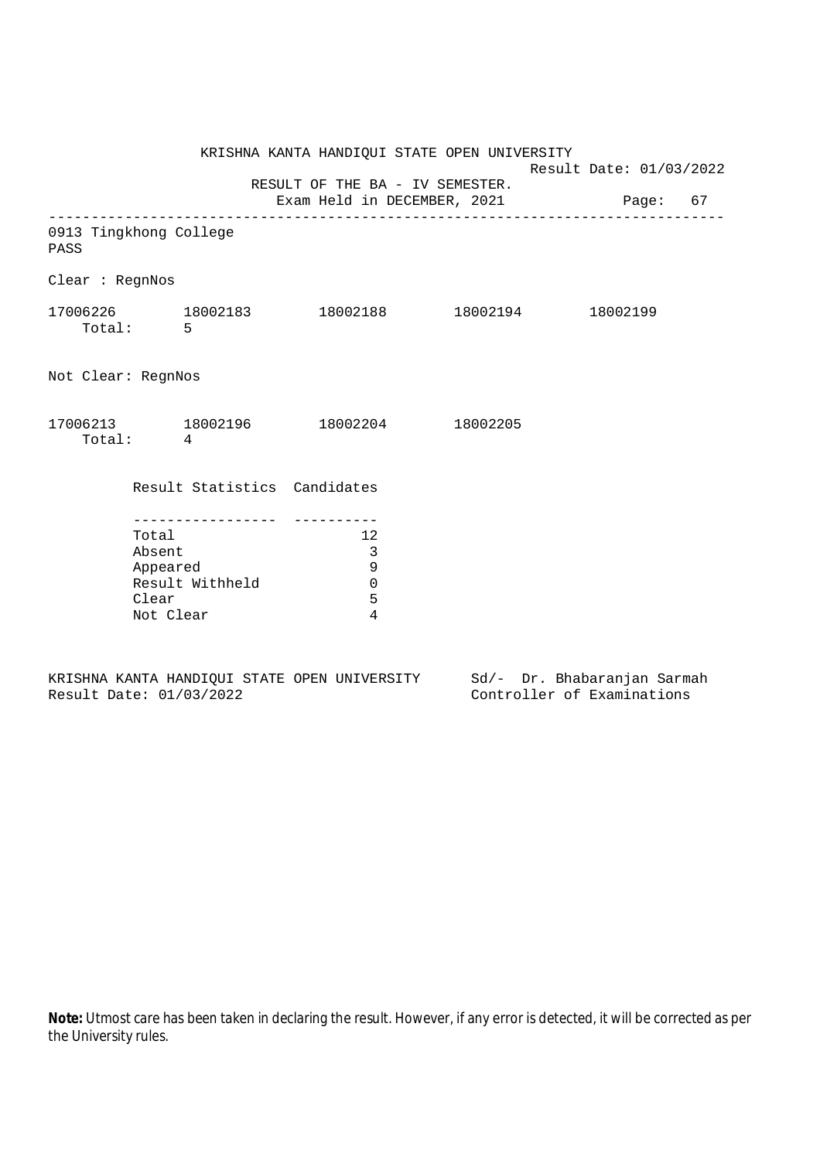|                                                                      |          |                                                              | KRISHNA KANTA HANDIQUI STATE OPEN UNIVERSITY                                                           |  | Result Date: 01/03/2022 |  |  |
|----------------------------------------------------------------------|----------|--------------------------------------------------------------|--------------------------------------------------------------------------------------------------------|--|-------------------------|--|--|
|                                                                      |          | Exam Held in DECEMBER, 2021 Page: 67                         |                                                                                                        |  |                         |  |  |
| 0913 Tingkhong College<br>PASS                                       |          |                                                              |                                                                                                        |  |                         |  |  |
| Clear : RegnNos                                                      |          |                                                              |                                                                                                        |  |                         |  |  |
|                                                                      | Total: 5 |                                                              | $17006226 \qquad \qquad 18002183 \qquad \qquad 18002188 \qquad \qquad 18002194 \qquad \qquad 18002199$ |  |                         |  |  |
| Not Clear: RegnNos                                                   |          |                                                              |                                                                                                        |  |                         |  |  |
|                                                                      | Total: 4 |                                                              | $17006213 \qquad \qquad 18002196 \qquad \qquad 18002204 \qquad \qquad 18002205$                        |  |                         |  |  |
|                                                                      |          |                                                              | Result Statistics Candidates                                                                           |  |                         |  |  |
| Total<br>Absent<br>Appeared<br>Result Withheld<br>Clear<br>Not Clear |          | 12<br>$\overline{3}$<br>$\mathsf 9$<br>$\mathbf 0$<br>5<br>4 |                                                                                                        |  |                         |  |  |

KRISHNA KANTA HANDIQUI STATE OPEN UNIVERSITY Sd/- Dr. Bhabaranjan Sarmah Result Date: 01/03/2022 Controller of Examinations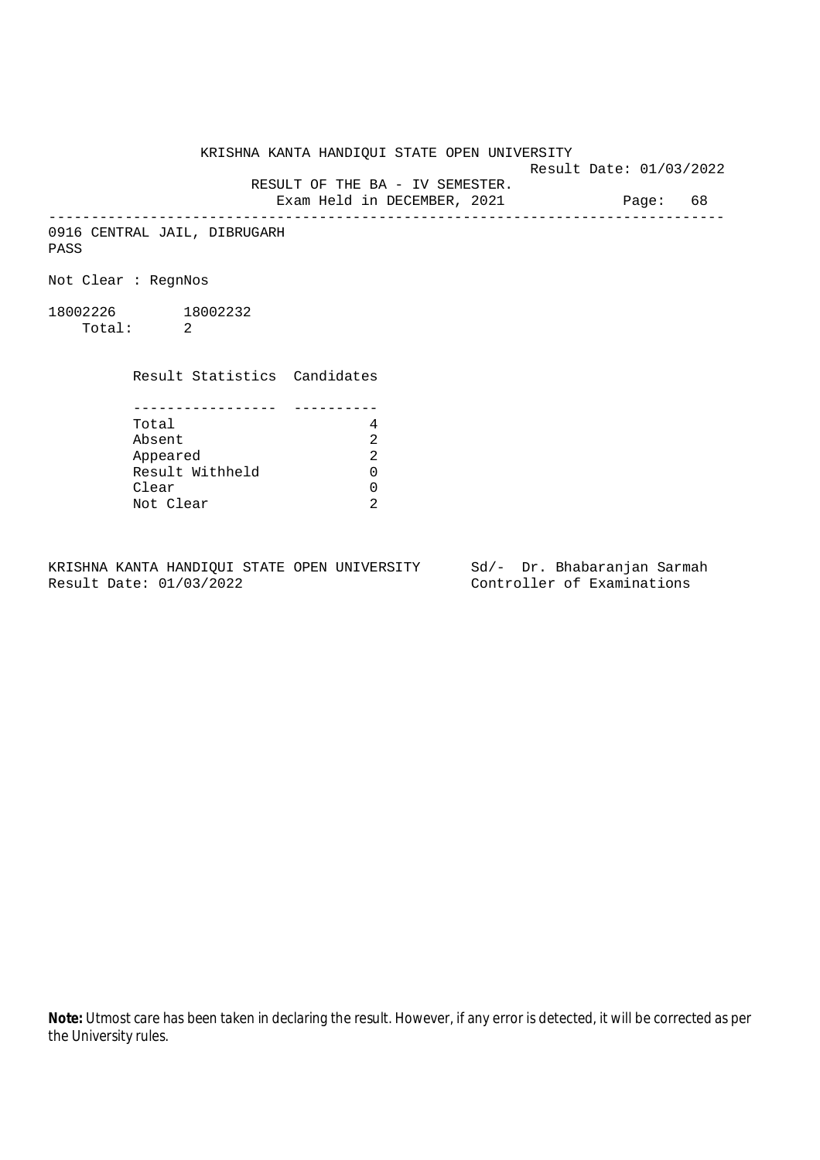Result Date: 01/03/2022

 RESULT OF THE BA - IV SEMESTER. Exam Held in DECEMBER, 2021 Page: 68

--------------------------------------------------------------------------------

0916 CENTRAL JAIL, DIBRUGARH PASS

Not Clear : RegnNos

18002226 18002232 Total: 2

Result Statistics Candidates

| Total           |  |
|-----------------|--|
| Absent          |  |
| Appeared        |  |
| Result Withheld |  |
| Clear           |  |
| Not Clear       |  |

KRISHNA KANTA HANDIQUI STATE OPEN UNIVERSITY Sd/- Dr. Bhabaranjan Sarmah<br>Result Date: 01/03/2022 Controller of Examinations

Controller of Examinations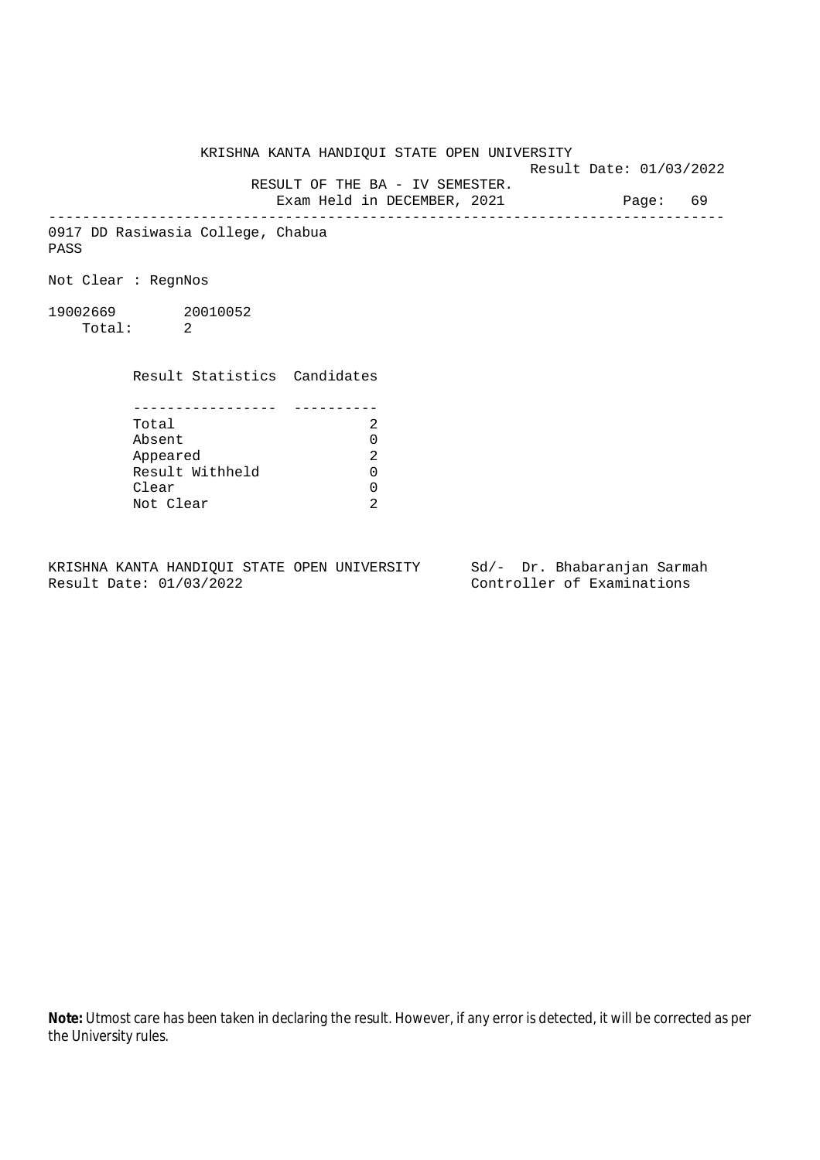Result Date: 01/03/2022 RESULT OF THE BA - IV SEMESTER. Exam Held in DECEMBER, 2021 Page: 69 -------------------------------------------------------------------------------- 0917 DD Rasiwasia College, Chabua Not Clear : RegnNos 19002669 20010052 Total: 2 Result Statistics Candidates ----------------- ---------- Total 2 Absent 0<br>
Appeared 2<br>
Result Withheld 0 Appeared

KRISHNA KANTA HANDIQUI STATE OPEN UNIVERSITY

KRISHNA KANTA HANDIQUI STATE OPEN UNIVERSITY Sd/- Dr. Bhabaranjan Sarmah Result Date: 01/03/2022 Controller of Examinations

Clear 0 Not Clear 2

Result Withheld 0

PASS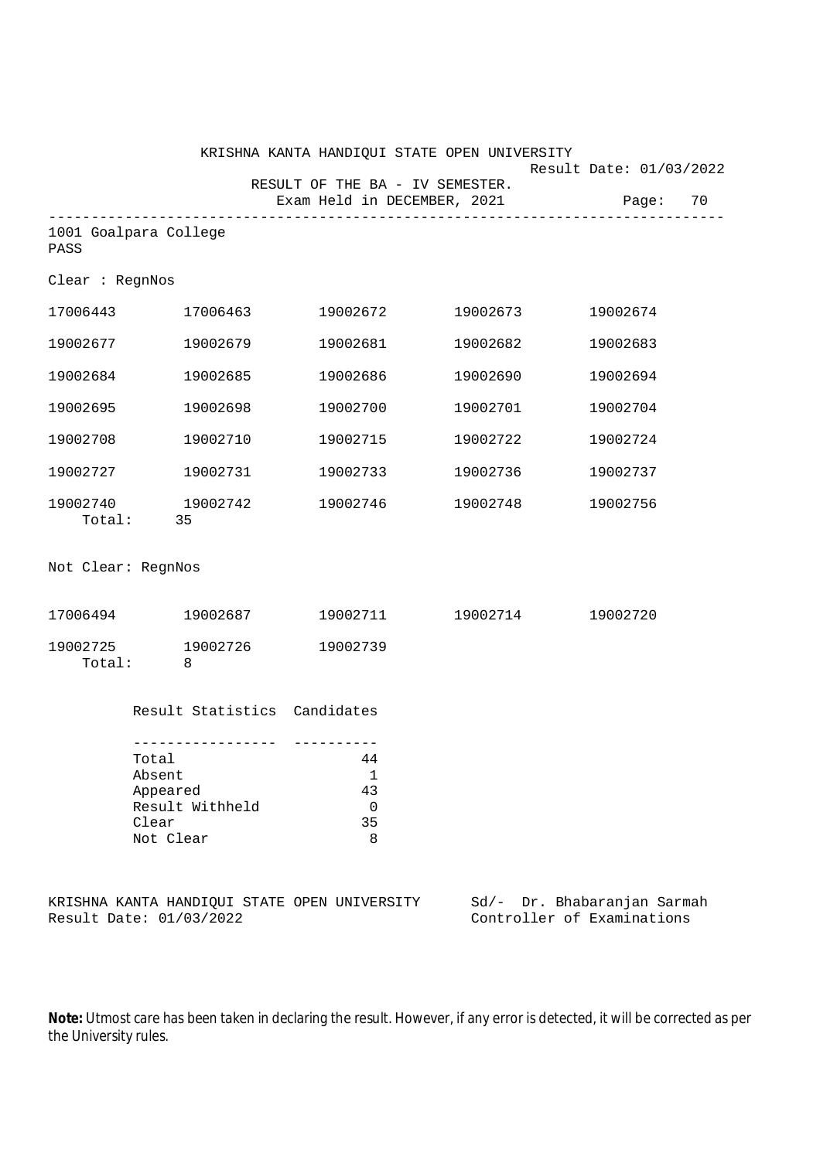|                                                                         |                          |                                         | KRISHNA KANTA HANDIQUI STATE OPEN UNIVERSITY                   |  |          |                                                           |          |          |  |
|-------------------------------------------------------------------------|--------------------------|-----------------------------------------|----------------------------------------------------------------|--|----------|-----------------------------------------------------------|----------|----------|--|
|                                                                         |                          |                                         | RESULT OF THE BA - IV SEMESTER.<br>Exam Held in DECEMBER, 2021 |  |          | Result Date: 01/03/2022                                   |          | Page: 70 |  |
| 1001 Goalpara College<br>PASS                                           |                          |                                         |                                                                |  |          |                                                           |          |          |  |
| Clear : RegnNos                                                         |                          |                                         |                                                                |  |          |                                                           |          |          |  |
| 17006443 17006463                                                       |                          |                                         | 19002672 19002673                                              |  |          |                                                           | 19002674 |          |  |
| 19002677                                                                |                          | 19002679                                | 19002681                                                       |  | 19002682 |                                                           | 19002683 |          |  |
| 19002684                                                                |                          | 19002685                                | 19002686                                                       |  | 19002690 |                                                           | 19002694 |          |  |
| 19002695                                                                |                          | 19002698                                | 19002700                                                       |  | 19002701 |                                                           | 19002704 |          |  |
| 19002708                                                                |                          | 19002710                                | 19002715                                                       |  | 19002722 |                                                           | 19002724 |          |  |
| 19002727                                                                |                          | 19002731                                | 19002733                                                       |  | 19002736 |                                                           | 19002737 |          |  |
| 19002740 19002742                                                       | Total: 35                |                                         | 19002746                                                       |  |          | 19002748                                                  | 19002756 |          |  |
| Not Clear: RegnNos                                                      |                          |                                         |                                                                |  |          |                                                           |          |          |  |
| 17006494 19002687                                                       |                          |                                         | 19002711 19002714                                              |  |          |                                                           | 19002720 |          |  |
| 19002725 19002726<br>Total:                                             | $\overline{\phantom{0}}$ |                                         | 19002739                                                       |  |          |                                                           |          |          |  |
|                                                                         |                          | Result Statistics Candidates            |                                                                |  |          |                                                           |          |          |  |
| Total<br>Absent<br>Appeared<br>Result Withheld<br>Clear<br>Not Clear    |                          | 44<br>1<br>43<br>$\mathbf 0$<br>35<br>8 |                                                                |  |          |                                                           |          |          |  |
| KRISHNA KANTA HANDIQUI STATE OPEN UNIVERSITY<br>Result Date: 01/03/2022 |                          |                                         |                                                                |  |          | Sd/- Dr. Bhabaranjan Sarmah<br>Controller of Examinations |          |          |  |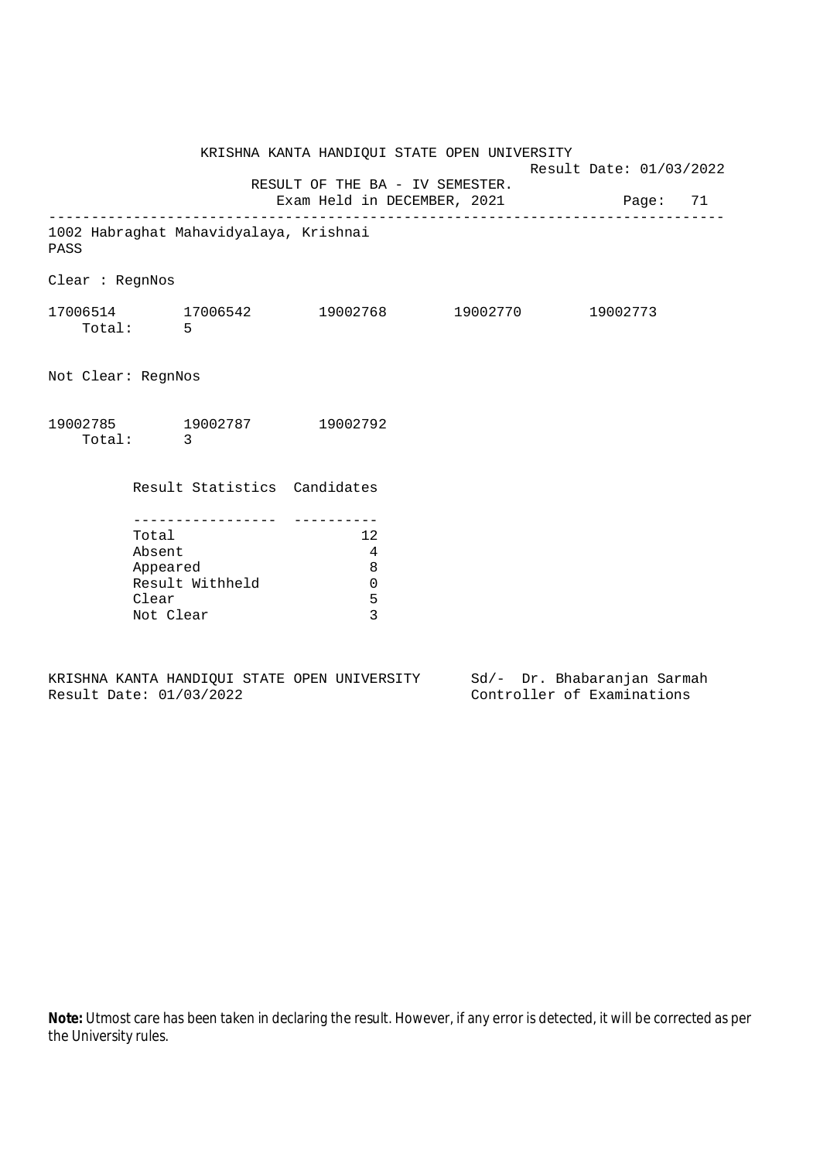| KRISHNA KANTA HANDIQUI STATE OPEN UNIVERSITY                         |                              |  |                                                                 |                                                                         |  |  | Result Date: 01/03/2022 |  |  |
|----------------------------------------------------------------------|------------------------------|--|-----------------------------------------------------------------|-------------------------------------------------------------------------|--|--|-------------------------|--|--|
|                                                                      |                              |  |                                                                 | RESULT OF THE BA - IV SEMESTER.<br>Exam Held in DECEMBER, 2021 Page: 71 |  |  |                         |  |  |
| 1002 Habraghat Mahavidyalaya, Krishnai<br>PASS                       |                              |  |                                                                 |                                                                         |  |  |                         |  |  |
| Clear : RegnNos                                                      |                              |  |                                                                 |                                                                         |  |  |                         |  |  |
| $17006514$ $17006542$ $19002768$ $19002770$ $19002773$<br>Total: 5   |                              |  |                                                                 |                                                                         |  |  |                         |  |  |
| Not Clear: RegnNos                                                   |                              |  |                                                                 |                                                                         |  |  |                         |  |  |
| 19002785 19002787 19002792                                           | Total: 3                     |  |                                                                 |                                                                         |  |  |                         |  |  |
|                                                                      | Result Statistics Candidates |  |                                                                 |                                                                         |  |  |                         |  |  |
| Total<br>Absent<br>Appeared<br>Result Withheld<br>Clear<br>Not Clear |                              |  | 12<br>$\overline{4}$<br>8<br>$\mathbf 0$<br>5<br>$\overline{3}$ |                                                                         |  |  |                         |  |  |
|                                                                      |                              |  |                                                                 |                                                                         |  |  |                         |  |  |

KRISHNA KANTA HANDIQUI STATE OPEN UNIVERSITY<br>Result Date: 01/03/2022 Sd/- Dr. Bhabaranjan Sarmah<br>Controller of Examinations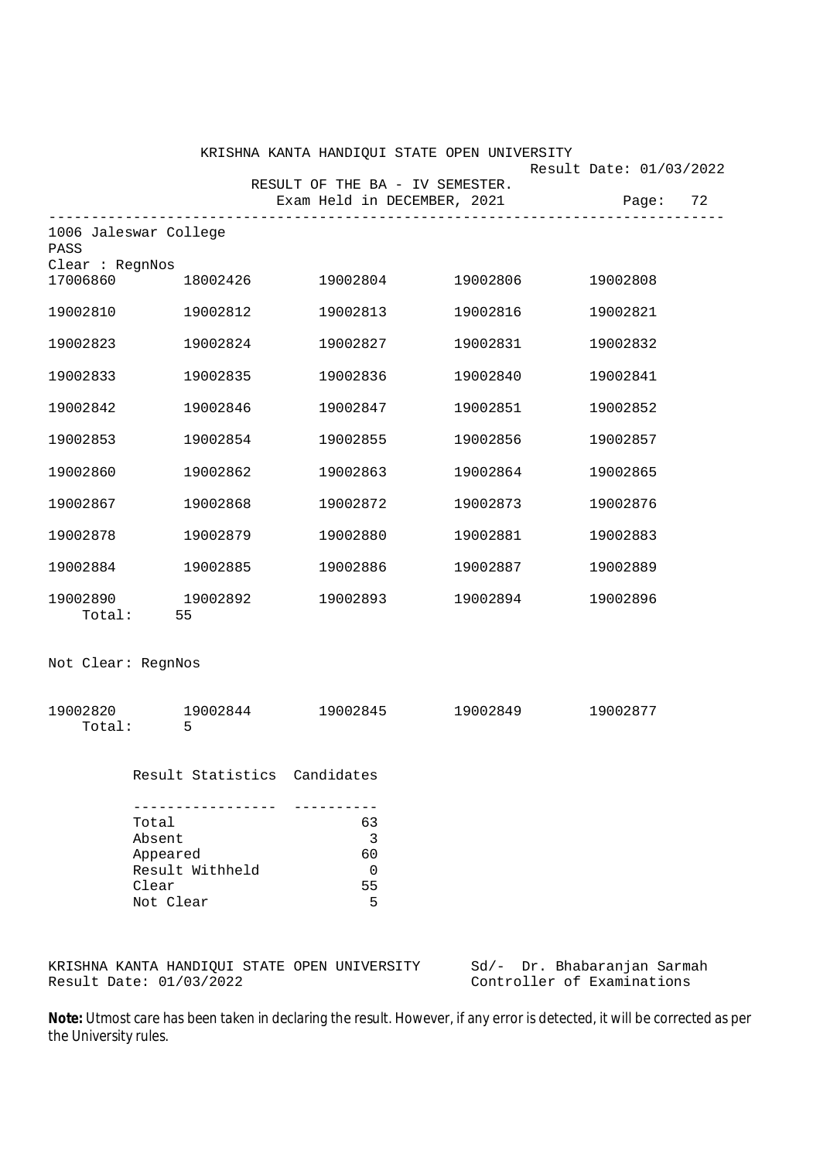|                               |                              |                                 | KRISHNA KANTA HANDIQUI STATE OPEN UNIVERSITY |                         |  |
|-------------------------------|------------------------------|---------------------------------|----------------------------------------------|-------------------------|--|
|                               |                              | RESULT OF THE BA - IV SEMESTER. |                                              | Result Date: 01/03/2022 |  |
|                               |                              |                                 | Exam Held in DECEMBER, 2021 Page: 72         |                         |  |
| 1006 Jaleswar College<br>PASS |                              |                                 |                                              |                         |  |
| Clear : RegnNos<br>17006860   | 18002426                     | 19002804                        | 19002806                                     | 19002808                |  |
| 19002810                      | 19002812                     | 19002813                        | 19002816                                     | 19002821                |  |
| 19002823                      | 19002824                     | 19002827                        | 19002831                                     | 19002832                |  |
| 19002833                      | 19002835                     | 19002836                        | 19002840                                     | 19002841                |  |
| 19002842                      | 19002846                     | 19002847                        | 19002851                                     | 19002852                |  |
| 19002853                      | 19002854                     | 19002855                        | 19002856                                     | 19002857                |  |
| 19002860                      | 19002862                     | 19002863                        | 19002864                                     | 19002865                |  |
| 19002867                      | 19002868                     | 19002872                        | 19002873                                     | 19002876                |  |
| 19002878                      | 19002879                     | 19002880                        | 19002881                                     | 19002883                |  |
| 19002884                      | 19002885                     | 19002886                        | 19002887                                     | 19002889                |  |
| 19002890<br>Total:            | 19002892<br>55               | 19002893                        | 19002894                                     | 19002896                |  |
| Not Clear: RegnNos            |                              |                                 |                                              |                         |  |
| 19002820<br>Total:            | 19002844<br>5                | 19002845                        | 19002849                                     | 19002877                |  |
|                               | Result Statistics Candidates |                                 |                                              |                         |  |
|                               | Total                        | 63                              |                                              |                         |  |
|                               | Absent                       | 3                               |                                              |                         |  |
|                               | Appeared                     | 60                              |                                              |                         |  |
|                               | Result Withheld<br>Clear     | 0<br>55                         |                                              |                         |  |
|                               | Not Clear                    | 5                               |                                              |                         |  |
|                               |                              |                                 |                                              |                         |  |
|                               |                              |                                 |                                              |                         |  |

KRISHNA KANTA HANDIQUI STATE OPEN UNIVERSITY Sd/- Dr. Bhabaranjan Sarmah Result Date: 01/03/2022 Controller of Examinations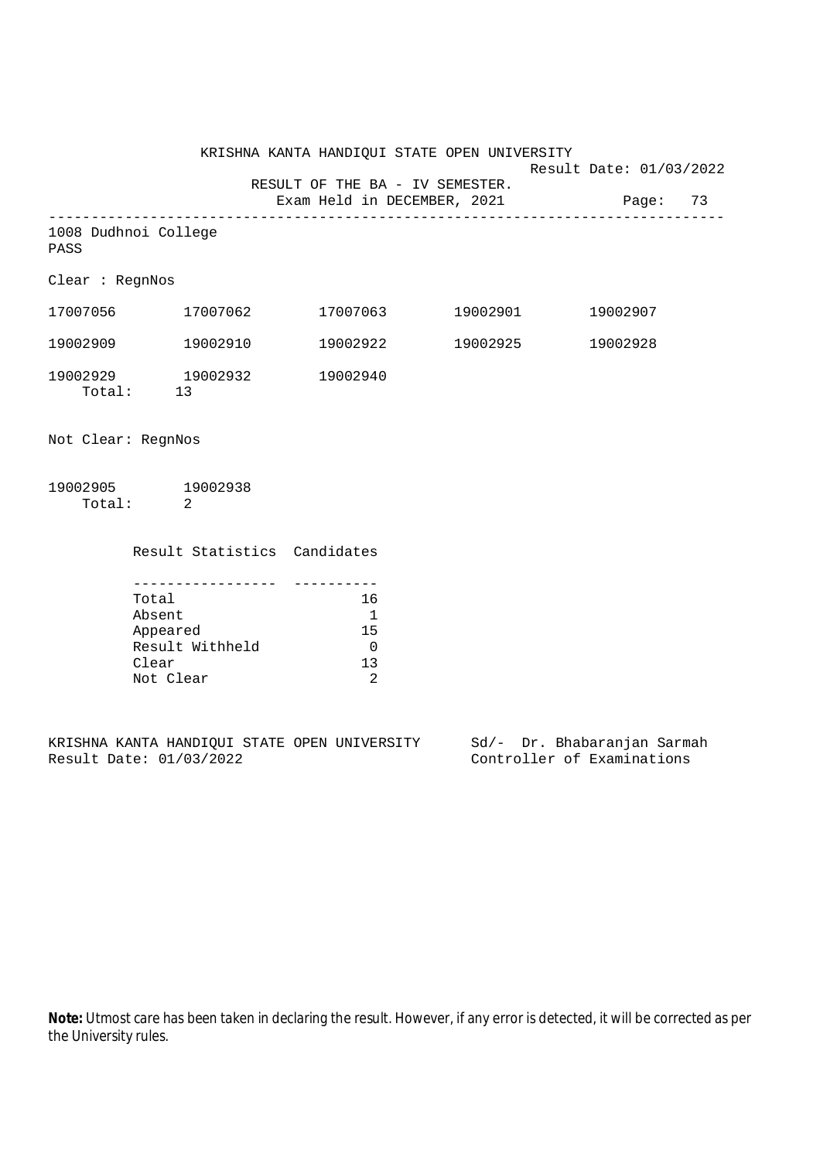Result Date: 01/03/2022

RESULT OF THE BA - IV SEMESTER.

Exam Held in DECEMBER, 2021 Page: 73 -------------------------------------------------------------------------------- 1008 Dudhnoi College

PASS

Clear : RegnNos

| 17007056           | 17007062       | 17007063 | 19002901 | 19002907 |
|--------------------|----------------|----------|----------|----------|
| 19002909           | 19002910       | 19002922 | 19002925 | 19002928 |
| 19002929<br>Total: | 19002932<br>13 | 19002940 |          |          |

Not Clear: RegnNos

19002905 19002938 Total: 2

Result Statistics Candidates

| Total           | 16    |
|-----------------|-------|
| Absent          |       |
| Appeared        | 15    |
| Result Withheld |       |
| Clear           | ่ 1 ว |
| Not Clear       |       |

KRISHNA KANTA HANDIQUI STATE OPEN UNIVERSITY Sd/- Dr. Bhabaranjan Sarmah Result Date: 01/03/2022 Controller of Examinations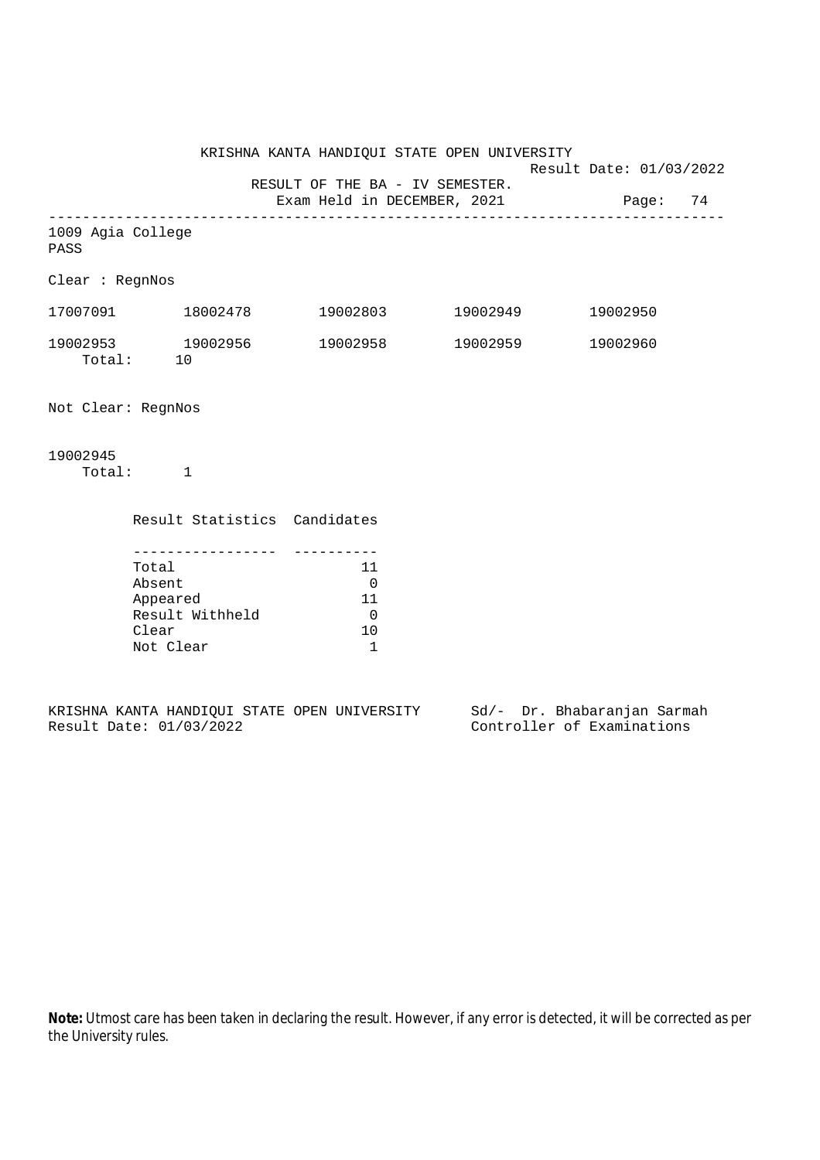Result Date: 01/03/2022

RESULT OF THE BA - IV SEMESTER.

Exam Held in DECEMBER, 2021 Page: 74

| 1009 Agia College<br>PASS |              |                              |          |          |          |
|---------------------------|--------------|------------------------------|----------|----------|----------|
| Clear : RegnNos           |              |                              |          |          |          |
| 17007091                  |              | 18002478                     | 19002803 | 19002949 | 19002950 |
| 19002953<br>Total:        | 10           | 19002956                     | 19002958 | 19002959 | 19002960 |
| Not Clear: RegnNos        |              |                              |          |          |          |
| 19002945<br>Total:        | $\mathbf{1}$ |                              |          |          |          |
|                           |              | Result Statistics Candidates |          |          |          |

| Total           | 11 |
|-----------------|----|
| Absent          |    |
| Appeared        | 11 |
| Result Withheld |    |
| Clear           |    |
| Not Clear       |    |

|                         |  |  | KRISHNA KANTA HANDIOUI STATE OPEN UNIVERSITY |  | Sd/- Dr. Bhabaranjan Sarmah |  |
|-------------------------|--|--|----------------------------------------------|--|-----------------------------|--|
| Result Date: 01/03/2022 |  |  |                                              |  | Controller of Examinations  |  |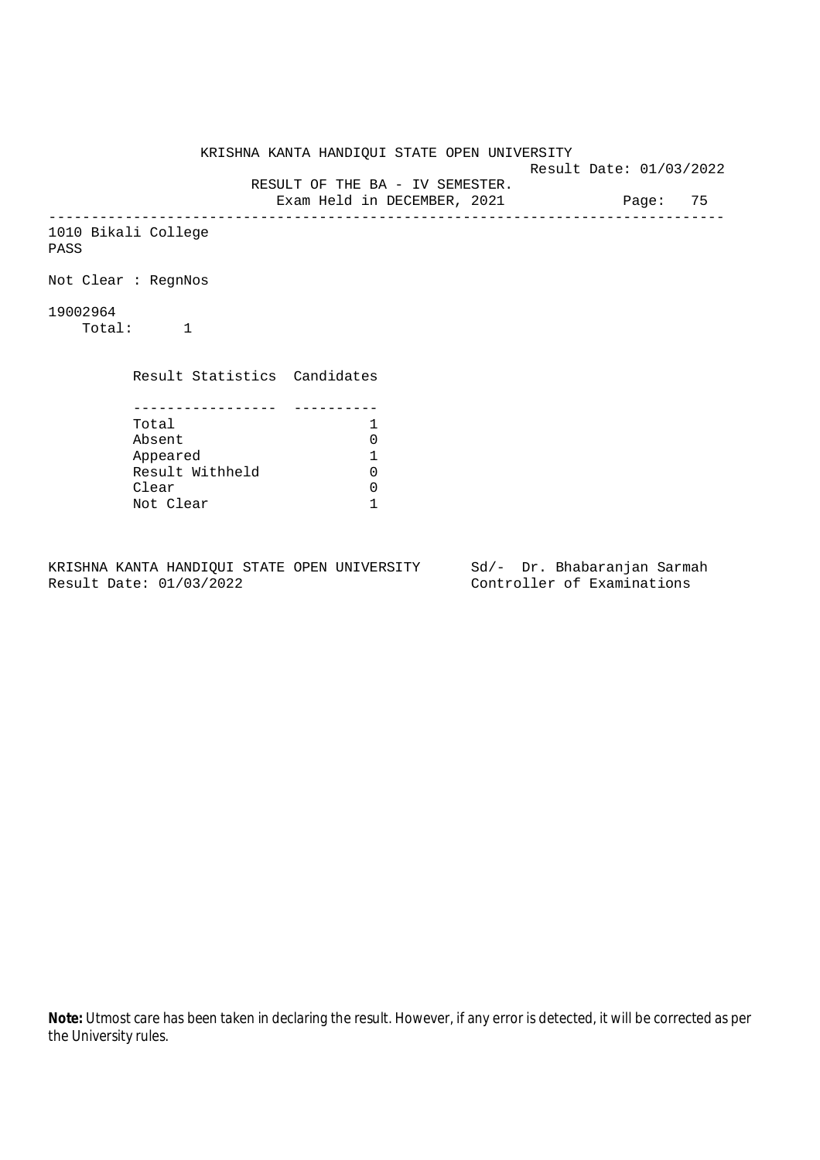KRISHNA KANTA HANDIQUI STATE OPEN UNIVERSITY Result Date: 01/03/2022 RESULT OF THE BA - IV SEMESTER. Exam Held in DECEMBER, 2021 Page: 75 -------------------------------------------------------------------------------- 1010 Bikali College PASS Not Clear : RegnNos 19002964 Total: 1 Result Statistics Candidates ----------------- ---------- Total 1<br>Absent 0 Absent 0<br>
Appeared 1<br>
Result Withheld 0 Appeared 1 Result Withheld 0 Clear 0 Not Clear 1

KRISHNA KANTA HANDIQUI STATE OPEN UNIVERSITY Sd/- Dr. Bhabaranjan Sarmah Result Date: 01/03/2022 Controller of Examinations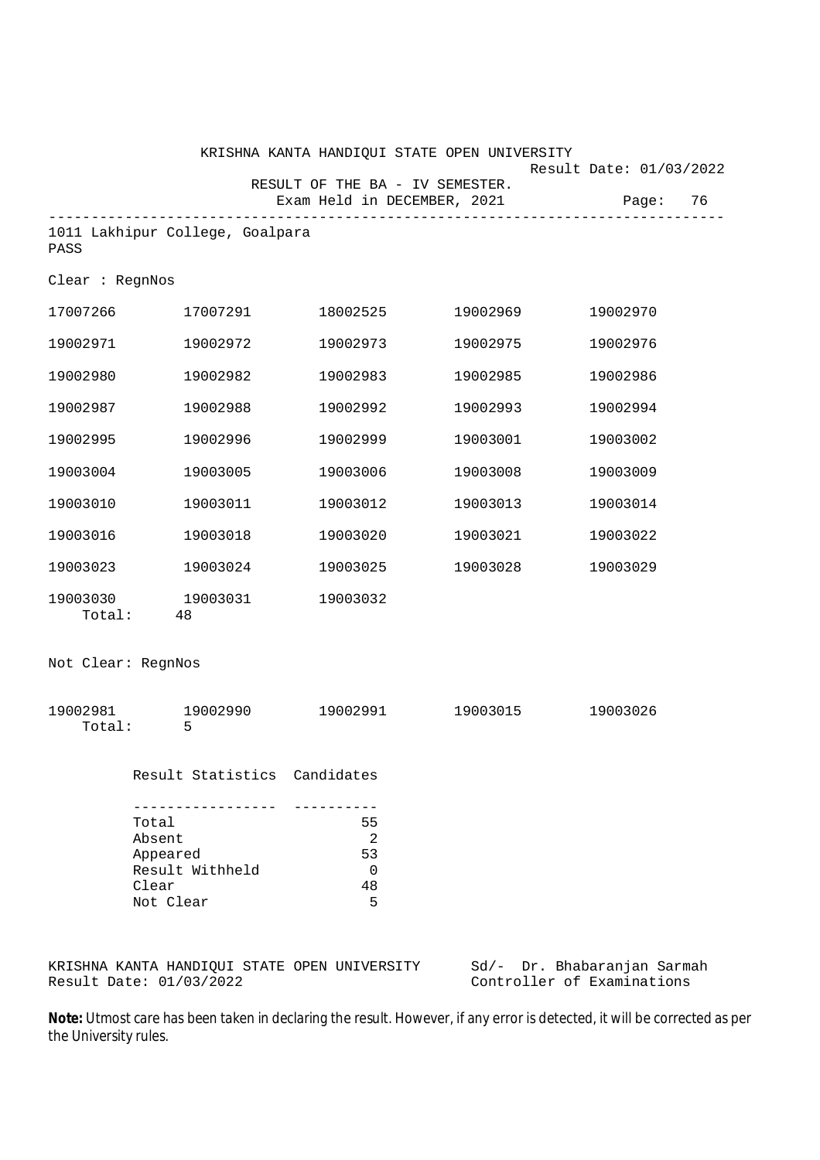|                    |                                                                                        |                                             | KRISHNA KANTA HANDIQUI STATE OPEN UNIVERSITY |                                        |
|--------------------|----------------------------------------------------------------------------------------|---------------------------------------------|----------------------------------------------|----------------------------------------|
|                    |                                                                                        | RESULT OF THE BA - IV SEMESTER.             | Exam Held in DECEMBER, 2021                  | Result Date: 01/03/2022<br>Page:<br>76 |
| PASS               | 1011 Lakhipur College, Goalpara                                                        |                                             |                                              |                                        |
| Clear : RegnNos    |                                                                                        |                                             |                                              |                                        |
| 17007266           | 17007291                                                                               | 18002525                                    | 19002969                                     | 19002970                               |
| 19002971           | 19002972                                                                               | 19002973                                    | 19002975                                     | 19002976                               |
| 19002980           | 19002982                                                                               | 19002983                                    | 19002985                                     | 19002986                               |
| 19002987           | 19002988                                                                               | 19002992                                    | 19002993                                     | 19002994                               |
| 19002995           | 19002996                                                                               | 19002999                                    | 19003001                                     | 19003002                               |
| 19003004           | 19003005                                                                               | 19003006                                    | 19003008                                     | 19003009                               |
| 19003010           | 19003011                                                                               | 19003012                                    | 19003013                                     | 19003014                               |
| 19003016           | 19003018                                                                               | 19003020                                    | 19003021                                     | 19003022                               |
| 19003023           | 19003024                                                                               | 19003025                                    | 19003028                                     | 19003029                               |
| 19003030<br>Total: | 19003031<br>48                                                                         | 19003032                                    |                                              |                                        |
| Not Clear: RegnNos |                                                                                        |                                             |                                              |                                        |
| 19002981<br>Total: | 19002990<br>5                                                                          | 19002991                                    | 19003015                                     | 19003026                               |
|                    |                                                                                        | Result Statistics Candidates                |                                              |                                        |
|                    | --------------<br>Total<br>Absent<br>Appeared<br>Result Withheld<br>Clear<br>Not Clear | ----------<br>55<br>2<br>53<br>0<br>48<br>5 |                                              |                                        |

KRISHNA KANTA HANDIQUI STATE OPEN UNIVERSITY Sd/- Dr. Bhabaranjan Sarmah Result Date: 01/03/2022 Controller of Examinations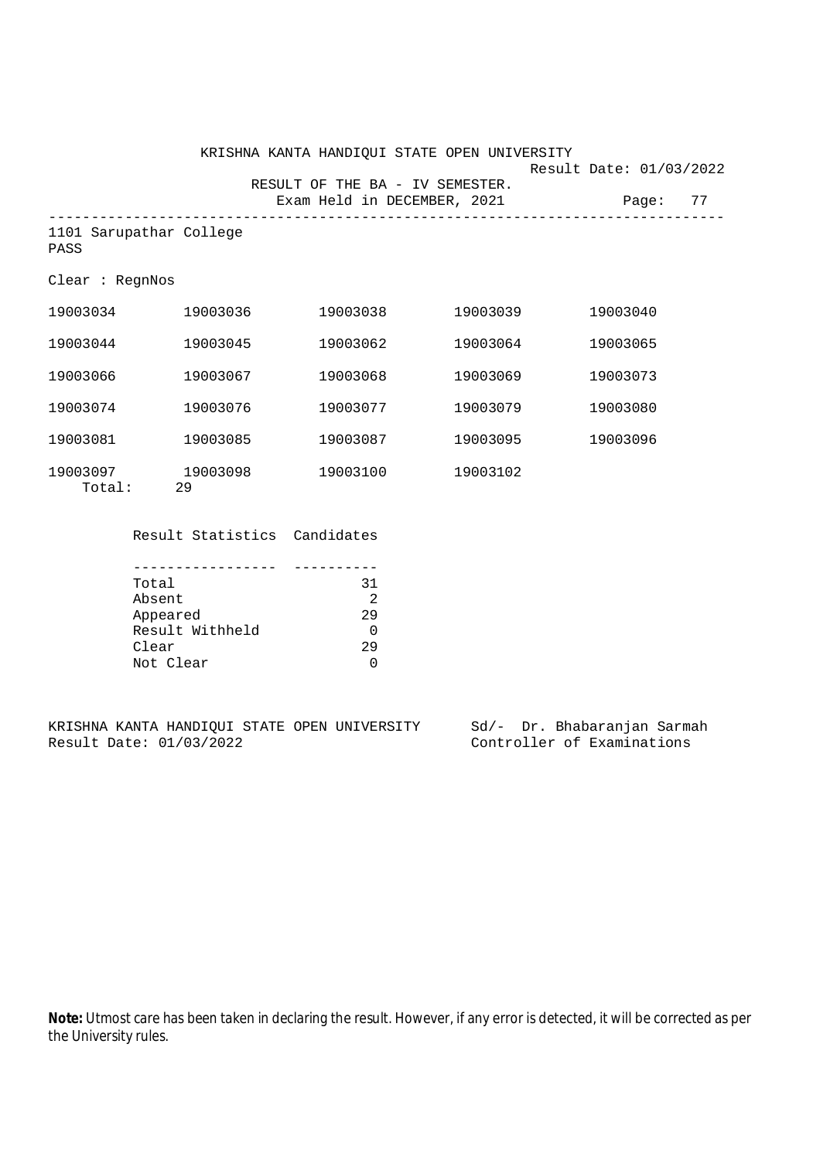|                                 |                | KRISHNA KANTA HANDIOUI STATE OPEN UNIVERSITY<br>RESULT OF THE BA - IV SEMESTER. |          | Result Date: 01/03/2022 |    |
|---------------------------------|----------------|---------------------------------------------------------------------------------|----------|-------------------------|----|
|                                 |                | Exam Held in DECEMBER, 2021                                                     |          | Page:                   | 77 |
| 1101 Sarupathar College<br>PASS |                |                                                                                 |          |                         |    |
| Clear: RegnNos                  |                |                                                                                 |          |                         |    |
| 19003034                        | 19003036       | 19003038                                                                        | 19003039 | 19003040                |    |
| 19003044                        | 19003045       | 19003062                                                                        | 19003064 | 19003065                |    |
| 19003066                        | 19003067       | 19003068                                                                        | 19003069 | 19003073                |    |
| 19003074                        | 19003076       | 19003077                                                                        | 19003079 | 19003080                |    |
| 19003081                        | 19003085       | 19003087                                                                        | 19003095 | 19003096                |    |
| 19003097<br>Total:              | 19003098<br>29 | 19003100                                                                        | 19003102 |                         |    |

Result Statistics Candidates

| Total           | 31 |
|-----------------|----|
| Absent          |    |
| Appeared        | 29 |
| Result Withheld |    |
| Clear           | 29 |
| Not Clear       |    |

KRISHNA KANTA HANDIQUI STATE OPEN UNIVERSITY Sd/- Dr. Bhabaranjan Sarmah<br>Result Date: 01/03/2022 Controller of Examinations Controller of Examinations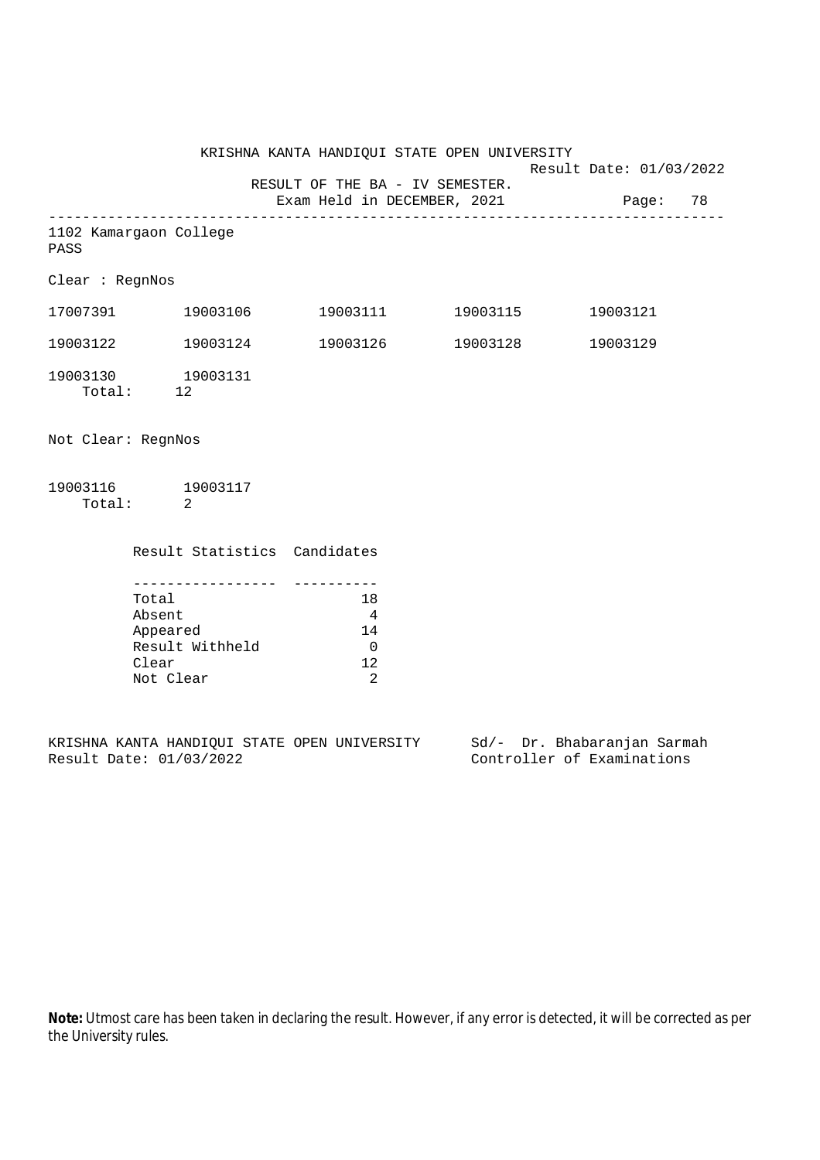KRISHNA KANTA HANDIQUI STATE OPEN UNIVERSITY Result Date: 01/03/2022 RESULT OF THE BA - IV SEMESTER. Exam Held in DECEMBER, 2021 Page: 78 -------------------------------------------------------------------------------- 1102 Kamargaon College PASS Clear : RegnNos 17007391 19003106 19003111 19003115 19003121 19003122 19003124 19003126 19003128 19003129 19003130 19003131 Total: 12 Not Clear: RegnNos

19003116 19003117 Total: 2

> Result Statistics Candidates ----------------- ----------

| Total           | 1 R |
|-----------------|-----|
| Absent          |     |
| Appeared        | 14  |
| Result Withheld |     |
| Clear           | 1 2 |
| Not Clear       |     |

KRISHNA KANTA HANDIQUI STATE OPEN UNIVERSITY Sd/- Dr. Bhabaranjan Sarmah Result Date: 01/03/2022 Controller of Examinations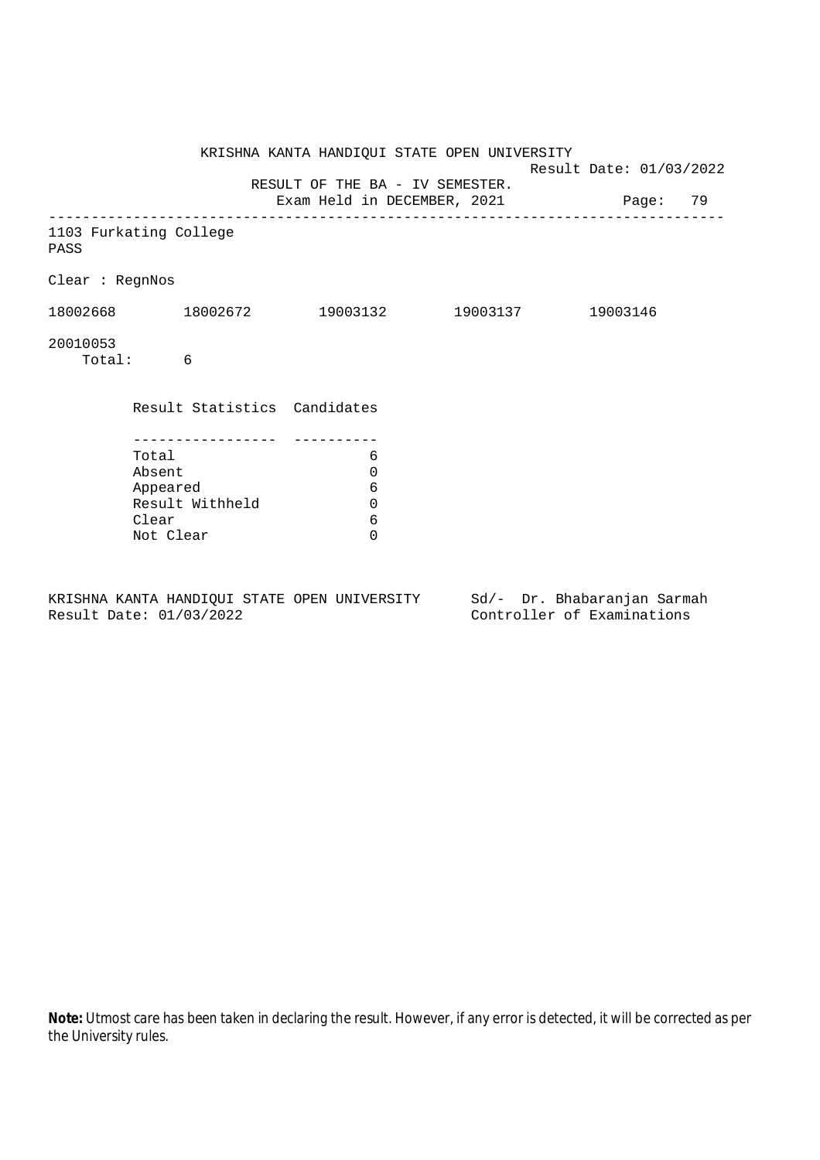| 1103 Furkating College                                               |                            |                              |                                 |                                                                                                                                                                   |
|----------------------------------------------------------------------|----------------------------|------------------------------|---------------------------------|-------------------------------------------------------------------------------------------------------------------------------------------------------------------|
| Clear : RegnNos                                                      |                            |                              |                                 |                                                                                                                                                                   |
|                                                                      |                            |                              |                                 |                                                                                                                                                                   |
| Total: 6                                                             |                            |                              |                                 |                                                                                                                                                                   |
|                                                                      |                            |                              |                                 |                                                                                                                                                                   |
| Total<br>Absent<br>Appeared<br>Result Withheld<br>Clear<br>Not Clear | 6<br>0<br>6<br>0<br>6<br>0 |                              |                                 |                                                                                                                                                                   |
|                                                                      |                            | Result Statistics Candidates | RESULT OF THE BA - IV SEMESTER. | KRISHNA KANTA HANDIQUI STATE OPEN UNIVERSITY<br>Result Date: 01/03/2022<br>Exam Held in DECEMBER, 2021 Page: 79<br>$18002668$ 18002672 19003132 19003137 19003146 |

KRISHNA KANTA HANDIQUI STATE OPEN UNIVERSITY Sd/- Dr. Bhabaranjan Sarmah Result Date: 01/03/2022 Controller of Examinations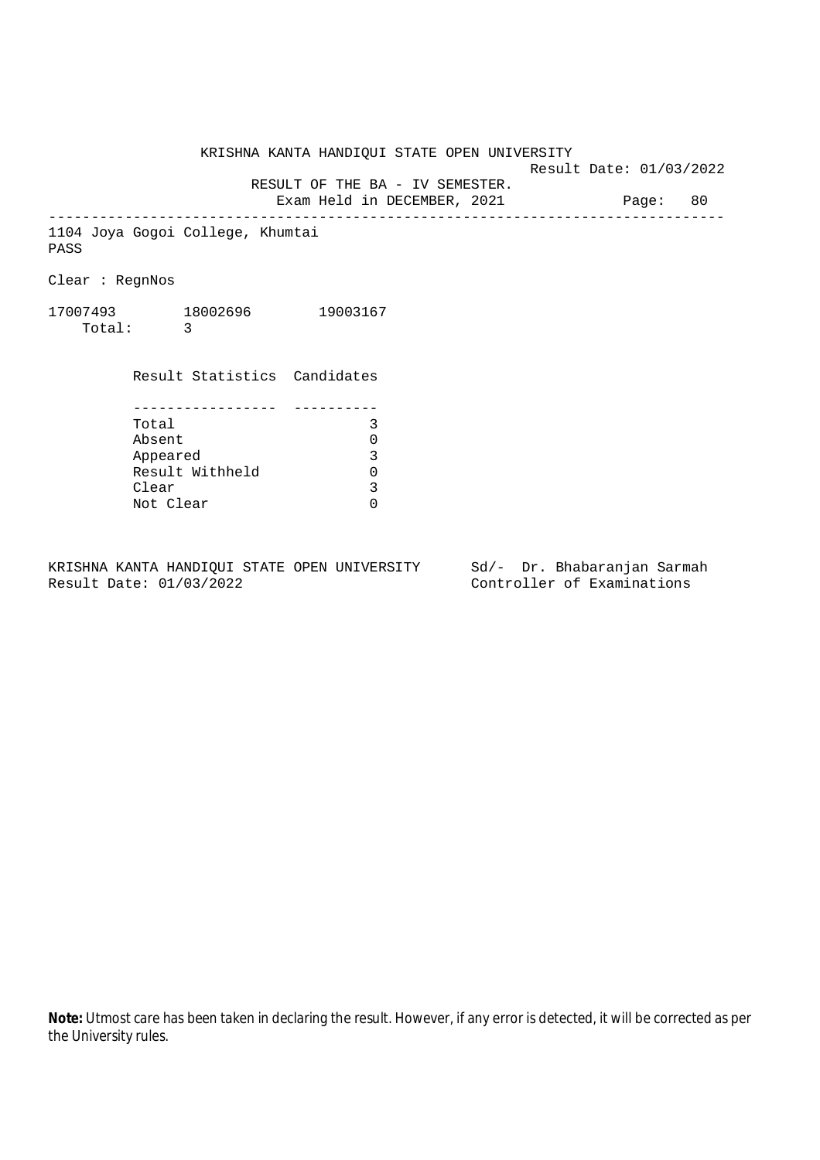Result Date: 01/03/2022

 RESULT OF THE BA - IV SEMESTER. Exam Held in DECEMBER, 2021 Page: 80

--------------------------------------------------------------------------------

1104 Joya Gogoi College, Khumtai PASS

Clear : RegnNos

17007493 18002696 19003167 Total: 3

> Result Statistics Candidates ----------------- ---------- Total 3 Absent 0<br>
> Appeared 3<br>
> Result Withheld 0 Appeared Result Withheld 0<br>Clear 3 Clear Not Clear 0

KRISHNA KANTA HANDIQUI STATE OPEN UNIVERSITY Sd/- Dr. Bhabaranjan Sarmah Result Date: 01/03/2022 Controller of Examinations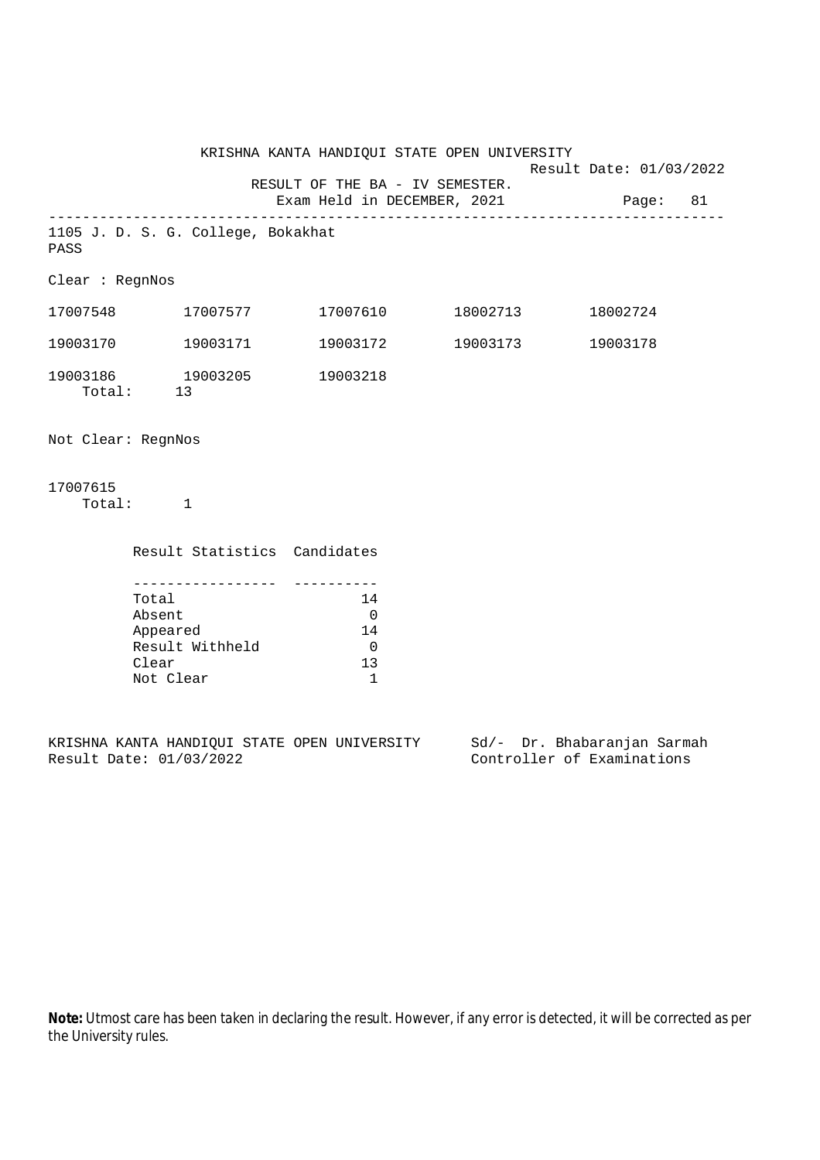KRISHNA KANTA HANDIQUI STATE OPEN UNIVERSITY Result Date: 01/03/2022 RESULT OF THE BA - IV SEMESTER. Exam Held in DECEMBER, 2021 Page: 81 -------------------------------------------------------------------------------- 1105 J. D. S. G. College, Bokakhat PASS Clear : RegnNos 17007548 17007577 17007610 18002713 18002724 19003170 19003171 19003172 19003173 19003178 19003186 19003205 19003218 Total: 13 Not Clear: RegnNos 17007615 Total: 1 Result Statistics Candidates ----------------- ----------

| Total           | 14  |
|-----------------|-----|
| Absent          | 0   |
| Appeared        | 14  |
| Result Withheld | O   |
| Clear           | 13. |
| Not Clear       |     |

KRISHNA KANTA HANDIQUI STATE OPEN UNIVERSITY Sd/- Dr. Bhabaranjan Sarmah Result Date: 01/03/2022 Controller of Examinations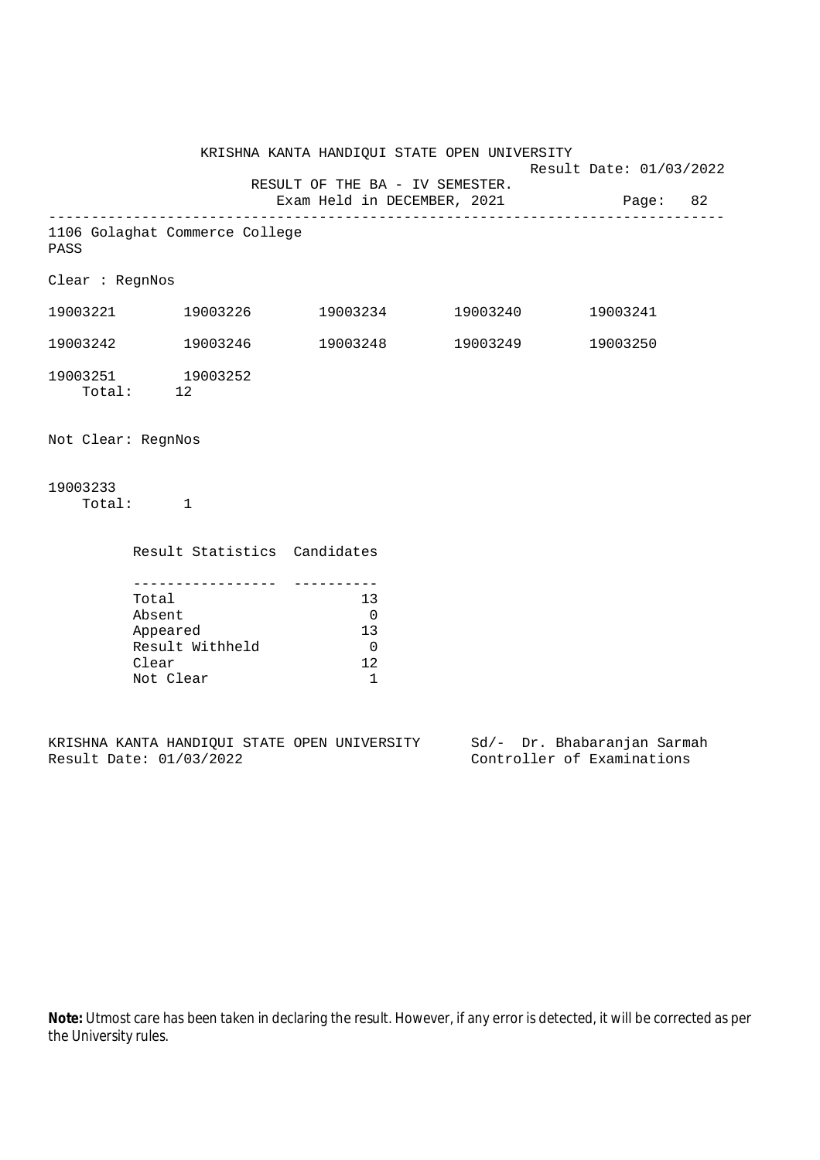KRISHNA KANTA HANDIQUI STATE OPEN UNIVERSITY Result Date: 01/03/2022 RESULT OF THE BA - IV SEMESTER. Exam Held in DECEMBER, 2021 Page: 82 -------------------------------------------------------------------------------- 1106 Golaghat Commerce College PASS Clear : RegnNos 19003221 19003226 19003234 19003240 19003241 19003242 19003246 19003248 19003249 19003250 19003251 19003252 Total: 12 Not Clear: RegnNos 19003233 Total: 1 Result Statistics Candidates

| Total           | 1 3 |
|-----------------|-----|
| Absent          |     |
| Appeared        | 1 3 |
| Result Withheld |     |
| Clear           | 12  |
| Not Clear       |     |

KRISHNA KANTA HANDIQUI STATE OPEN UNIVERSITY Sd/- Dr. Bhabaranjan Sarmah Result Date: 01/03/2022 Controller of Examinations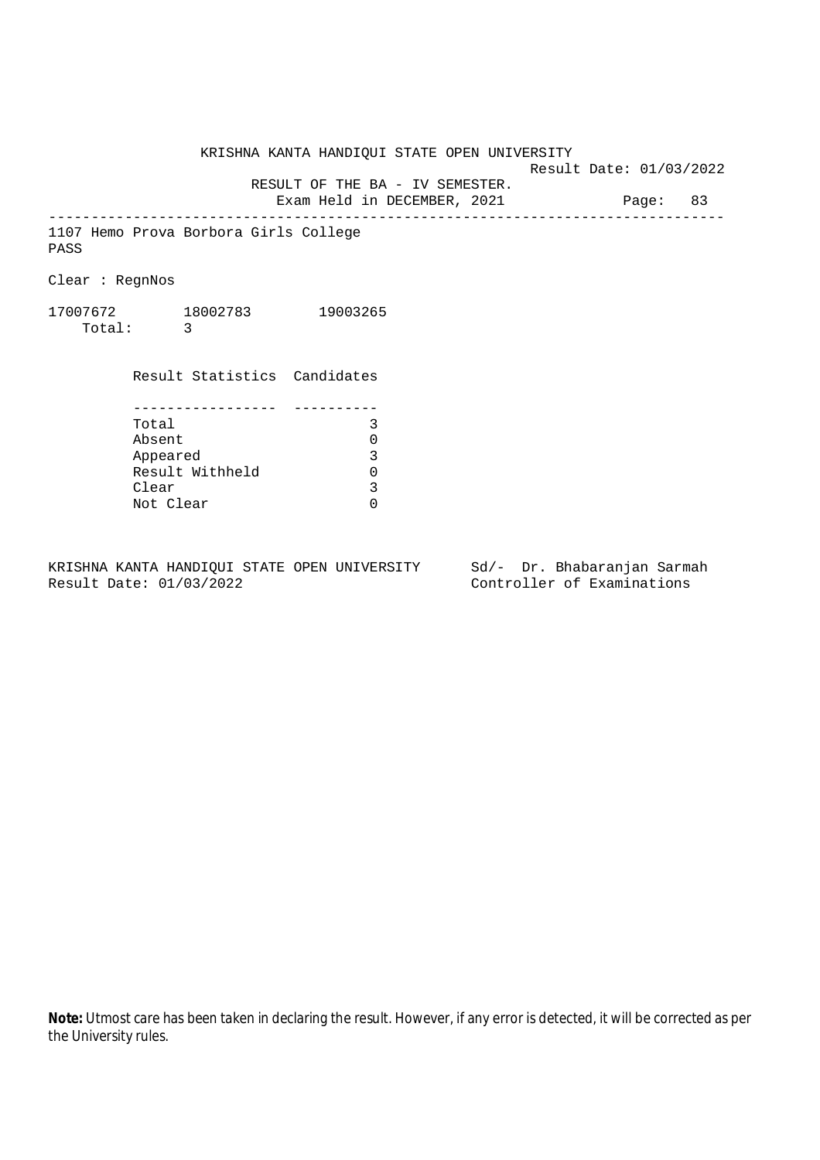Result Date: 01/03/2022

 RESULT OF THE BA - IV SEMESTER. Exam Held in DECEMBER, 2021 Page: 83

--------------------------------------------------------------------------------

1107 Hemo Prova Borbora Girls College PASS

Clear : RegnNos

17007672 18002783 19003265 Total: 3

> Result Statistics Candidates ----------------- ---------- Total 3 Absent 0<br>
> Appeared 3<br>
> Result Withheld 0 Appeared Result Withheld 0<br>Clear 3 Clear Not Clear 0

KRISHNA KANTA HANDIQUI STATE OPEN UNIVERSITY Sd/- Dr. Bhabaranjan Sarmah Result Date: 01/03/2022 Controller of Examinations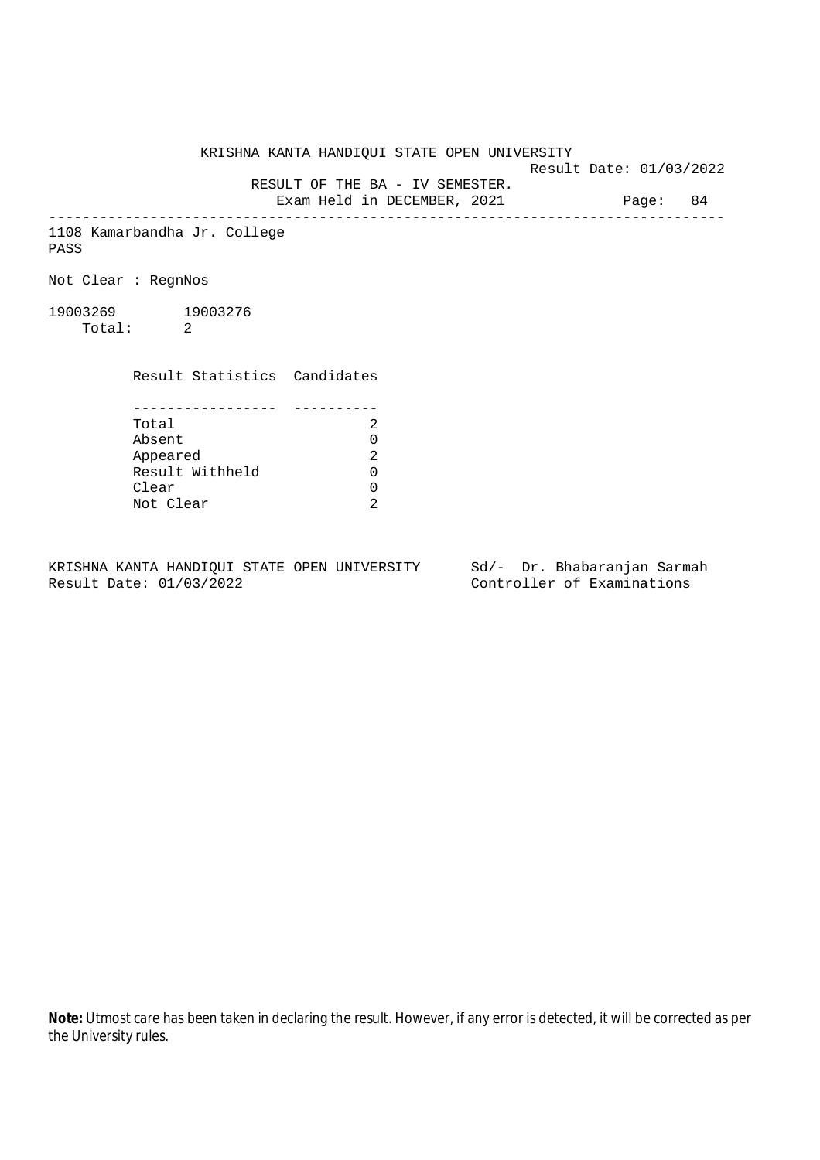Result Date: 01/03/2022

RESULT OF THE BA - IV SEMESTER.

Exam Held in DECEMBER, 2021 Page: 84 --------------------------------------------------------------------------------

1108 Kamarbandha Jr. College PASS

Not Clear : RegnNos

19003269 19003276 Total: 2

Result Statistics Candidates

| Total           |  |
|-----------------|--|
| Absent          |  |
| Appeared        |  |
| Result Withheld |  |
| Clear           |  |
| Not Clear       |  |

KRISHNA KANTA HANDIQUI STATE OPEN UNIVERSITY Sd/- Dr. Bhabaranjan Sarmah<br>Result Date: 01/03/2022 Controller of Examinations

Controller of Examinations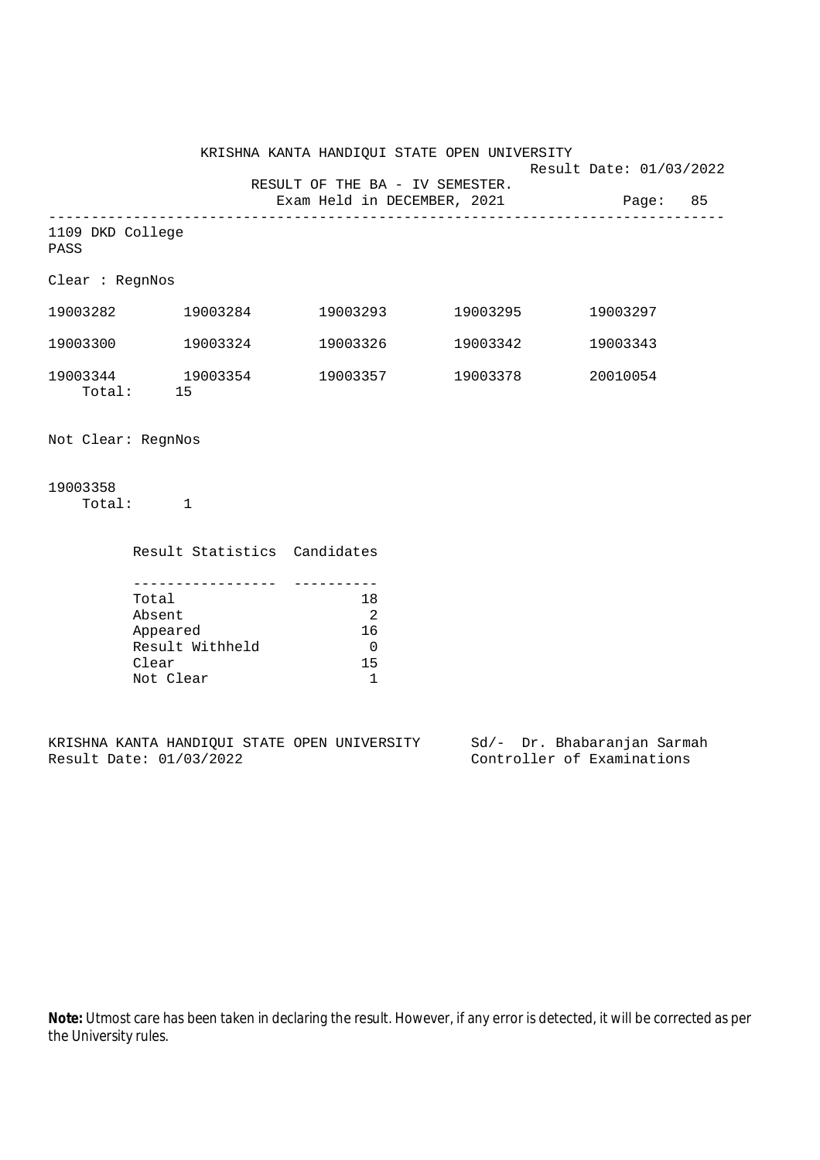Result Date: 01/03/2022

 RESULT OF THE BA - IV SEMESTER. Exam Held in DECEMBER, 2021 Page: 85

-------------------------------------------------------------------------------- 1109 DKD College

PASS

Clear : RegnNos

| 19003282           | 19003284       | 19003293 | 19003295 | 19003297 |
|--------------------|----------------|----------|----------|----------|
| 19003300           | 19003324       | 19003326 | 19003342 | 19003343 |
| 19003344<br>Total: | 19003354<br>15 | 19003357 | 19003378 | 20010054 |

Not Clear: RegnNos

19003358 Total: 1

| Result Statistics Candidates |                |
|------------------------------|----------------|
|                              |                |
|                              |                |
| Total                        | 18             |
| Absent                       | $\mathfrak{D}$ |
| Appeared                     | 16             |
| Result Withheld              |                |
| Clear                        | 15             |
| Not Clear                    |                |

KRISHNA KANTA HANDIQUI STATE OPEN UNIVERSITY Sd/- Dr. Bhabaranjan Sarmah Result Date: 01/03/2022 Controller of Examinations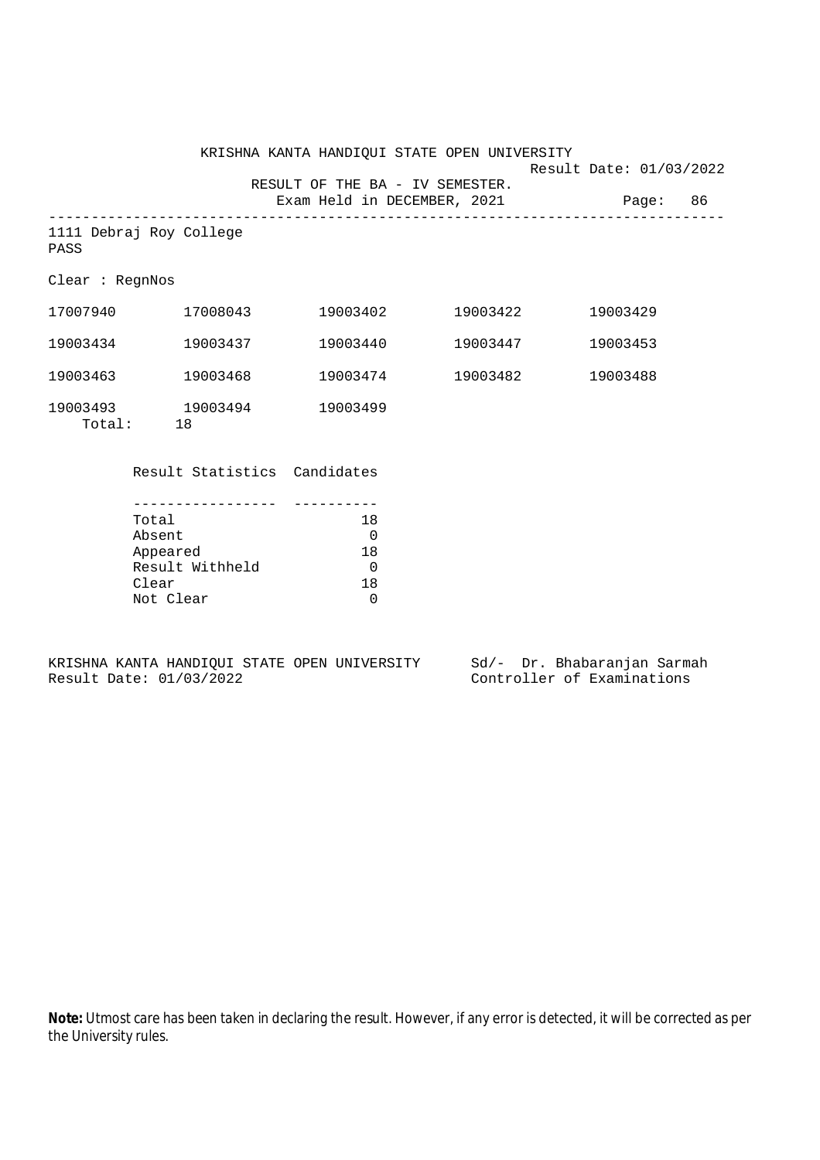KRISHNA KANTA HANDIQUI STATE OPEN UNIVERSITY Result Date: 01/03/2022 RESULT OF THE BA - IV SEMESTER. Exam Held in DECEMBER, 2021 Page: 86

-------------------------------------------------------------------------------- 1111 Debraj Roy College PASS

Clear : RegnNos

| 17007940           | 17008043       | 19003402 | 19003422 | 19003429 |
|--------------------|----------------|----------|----------|----------|
| 19003434           | 19003437       | 19003440 | 19003447 | 19003453 |
| 19003463           | 19003468       | 19003474 | 19003482 | 19003488 |
| 19003493<br>Total: | 19003494<br>18 | 19003499 |          |          |

Result Statistics Candidates

| Total           | 18  |
|-----------------|-----|
| Absent          |     |
| Appeared        | 18  |
| Result Withheld |     |
| Clear           | 1 R |
| Not Clear       |     |

KRISHNA KANTA HANDIQUI STATE OPEN UNIVERSITY Sd/- Dr. Bhabaranjan Sarmah Result Date: 01/03/2022 Controller of Examinations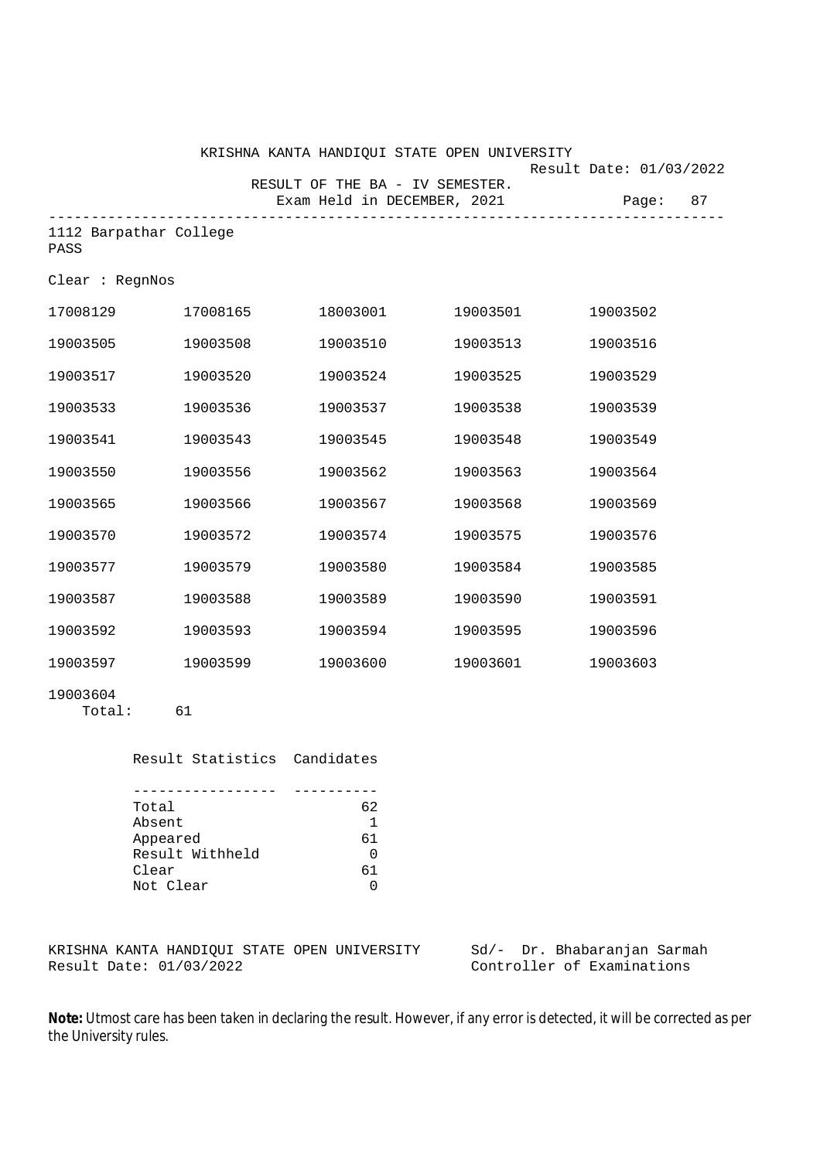|                                |          | KRISHNA KANTA HANDIQUI STATE OPEN UNIVERSITY |          | Result Date: 01/03/2022 |
|--------------------------------|----------|----------------------------------------------|----------|-------------------------|
|                                |          | RESULT OF THE BA - IV SEMESTER.              |          |                         |
|                                |          | Exam Held in DECEMBER, 2021                  |          | 87<br>Page:             |
| 1112 Barpathar College<br>PASS |          |                                              |          |                         |
| Clear : RegnNos                |          |                                              |          |                         |
| 17008129                       | 17008165 | 18003001                                     | 19003501 | 19003502                |
| 19003505                       | 19003508 | 19003510                                     | 19003513 | 19003516                |
| 19003517                       | 19003520 | 19003524                                     | 19003525 | 19003529                |
| 19003533                       | 19003536 | 19003537                                     | 19003538 | 19003539                |
| 19003541                       | 19003543 | 19003545                                     | 19003548 | 19003549                |
| 19003550                       | 19003556 | 19003562                                     | 19003563 | 19003564                |
| 19003565                       | 19003566 | 19003567                                     | 19003568 | 19003569                |
| 19003570                       | 19003572 | 19003574                                     | 19003575 | 19003576                |
| 19003577                       | 19003579 | 19003580                                     | 19003584 | 19003585                |
| 19003587                       | 19003588 | 19003589                                     | 19003590 | 19003591                |
| 19003592                       | 19003593 | 19003594                                     | 19003595 | 19003596                |
| 19003597                       | 19003599 | 19003600                                     | 19003601 | 19003603                |
| 19003604                       |          |                                              |          |                         |

Total: 61

 Result Statistics Candidates ----------------- ---------- Total 62 Absent 1<br>Appeared 61 Appeared

Result Withheld 0 Clear 61<br>Not Clear 61 Not Clear

KRISHNA KANTA HANDIQUI STATE OPEN UNIVERSITY Sd/- Dr. Bhabaranjan Sarmah Result Date: 01/03/2022 Controller of Examinations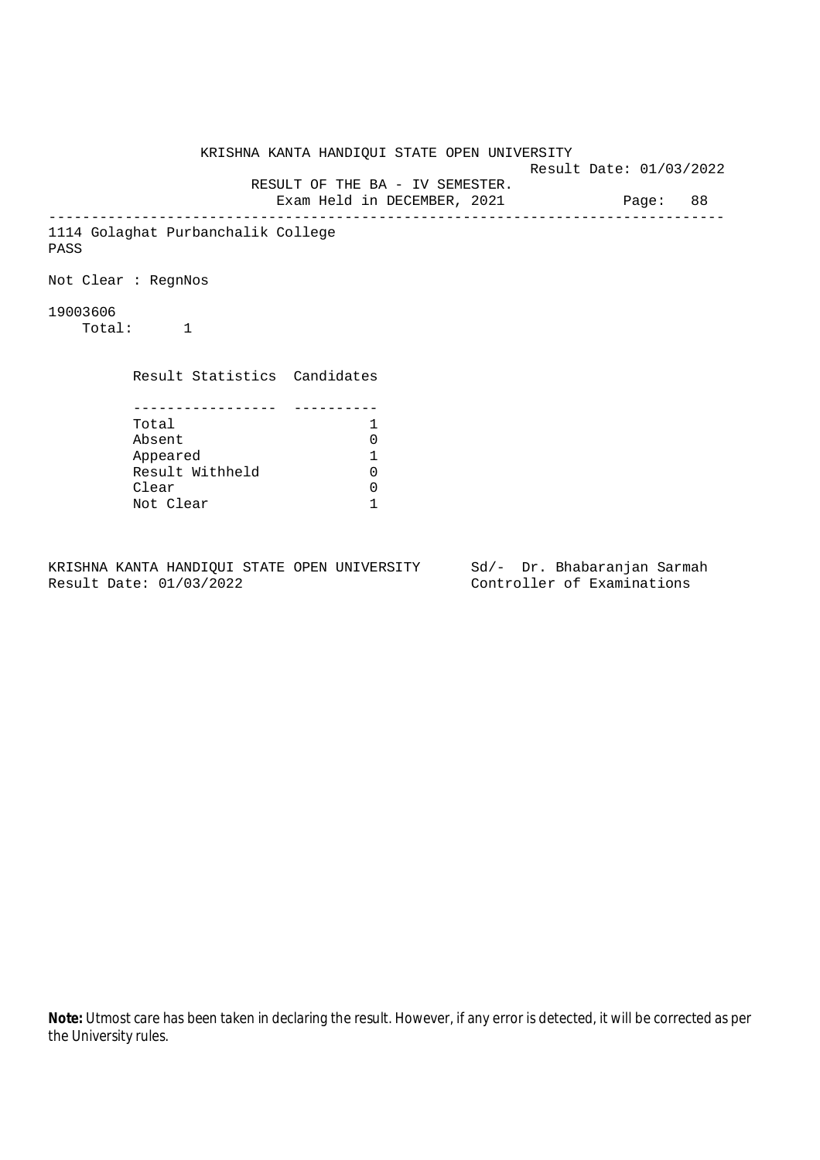KRISHNA KANTA HANDIQUI STATE OPEN UNIVERSITY Result Date: 01/03/2022 RESULT OF THE BA - IV SEMESTER. Exam Held in DECEMBER, 2021 Page: 88 -------------------------------------------------------------------------------- 1114 Golaghat Purbanchalik College PASS Not Clear : RegnNos 19003606 Total: 1 Result Statistics Candidates ----------------- ---------- Total 1 Absent 0<br>
Appeared 1<br>
Result Withheld 0 Appeared 1 Result Withheld Clear 0 Not Clear 1

KRISHNA KANTA HANDIQUI STATE OPEN UNIVERSITY Sd/- Dr. Bhabaranjan Sarmah Result Date: 01/03/2022 Controller of Examinations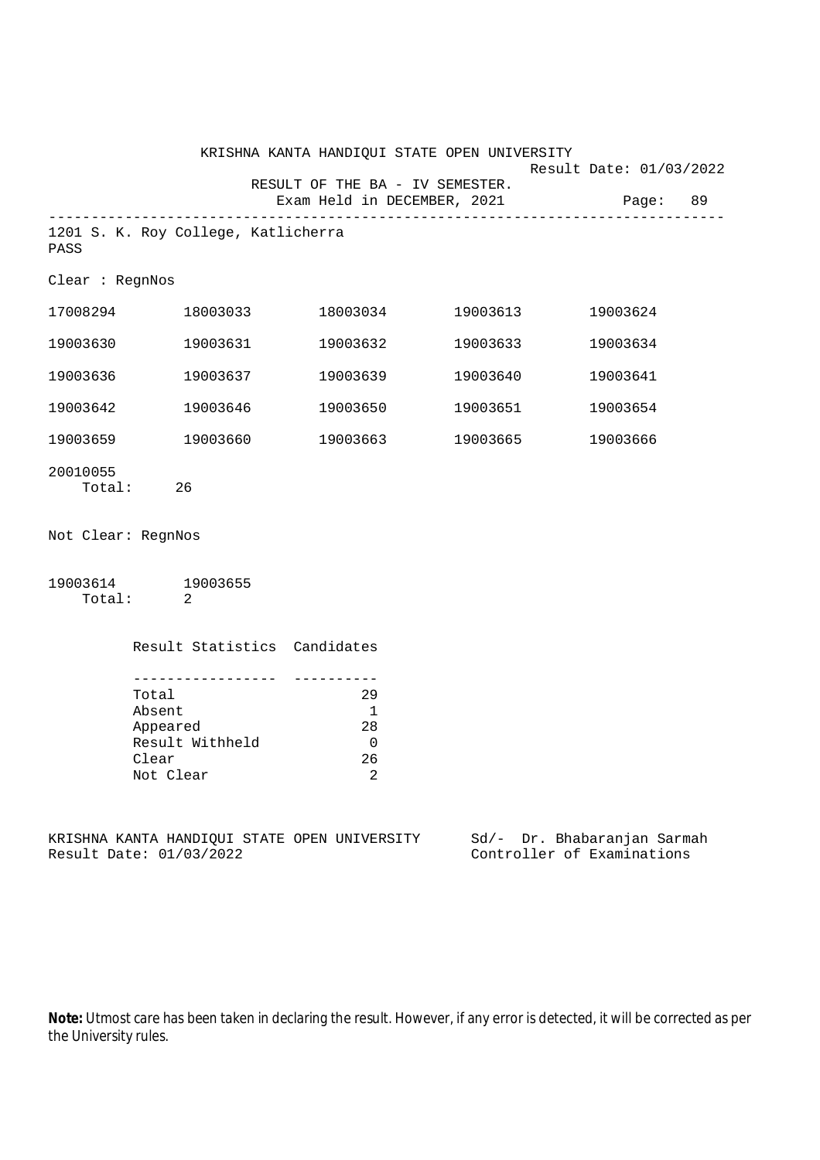|                                                                                            |                                     |                                                                    | KRISHNA KANTA HANDIQUI STATE OPEN UNIVERSITY | Result Date: 01/03/2022 |
|--------------------------------------------------------------------------------------------|-------------------------------------|--------------------------------------------------------------------|----------------------------------------------|-------------------------|
|                                                                                            |                                     | RESULT OF THE BA - IV SEMESTER.<br>Exam Held in DECEMBER, 2021     |                                              | Page: 89                |
| PASS                                                                                       | 1201 S. K. Roy College, Katlicherra |                                                                    |                                              |                         |
| Clear : RegnNos                                                                            |                                     |                                                                    |                                              |                         |
|                                                                                            | 17008294 18003033                   |                                                                    | 18003034 19003613                            | 19003624                |
| 19003630                                                                                   | 19003631                            | 19003632                                                           | 19003633                                     | 19003634                |
| 19003636                                                                                   | 19003637                            | 19003639                                                           | 19003640                                     | 19003641                |
| 19003642                                                                                   | 19003646                            | 19003650                                                           | 19003651                                     | 19003654                |
|                                                                                            | 19003659 19003660                   |                                                                    | 19003663 19003665                            | 19003666                |
| 20010055                                                                                   | Total: 26                           |                                                                    |                                              |                         |
| Not Clear: RegnNos                                                                         |                                     |                                                                    |                                              |                         |
|                                                                                            | 19003614 19003655<br>Total: 2       |                                                                    |                                              |                         |
|                                                                                            | Result Statistics Candidates        |                                                                    |                                              |                         |
| ------------------<br>Total<br>Absent<br>Appeared<br>Result Withheld<br>Clear<br>Not Clear |                                     | 29<br>$\mathbf{1}$<br>28<br>$\overline{0}$<br>26<br>$\overline{2}$ |                                              |                         |

KRISHNA KANTA HANDIQUI STATE OPEN UNIVERSITY Sd/- Dr. Bhabaranjan Sarmah<br>Result Date: 01/03/2022 Controller of Examinations

Controller of Examinations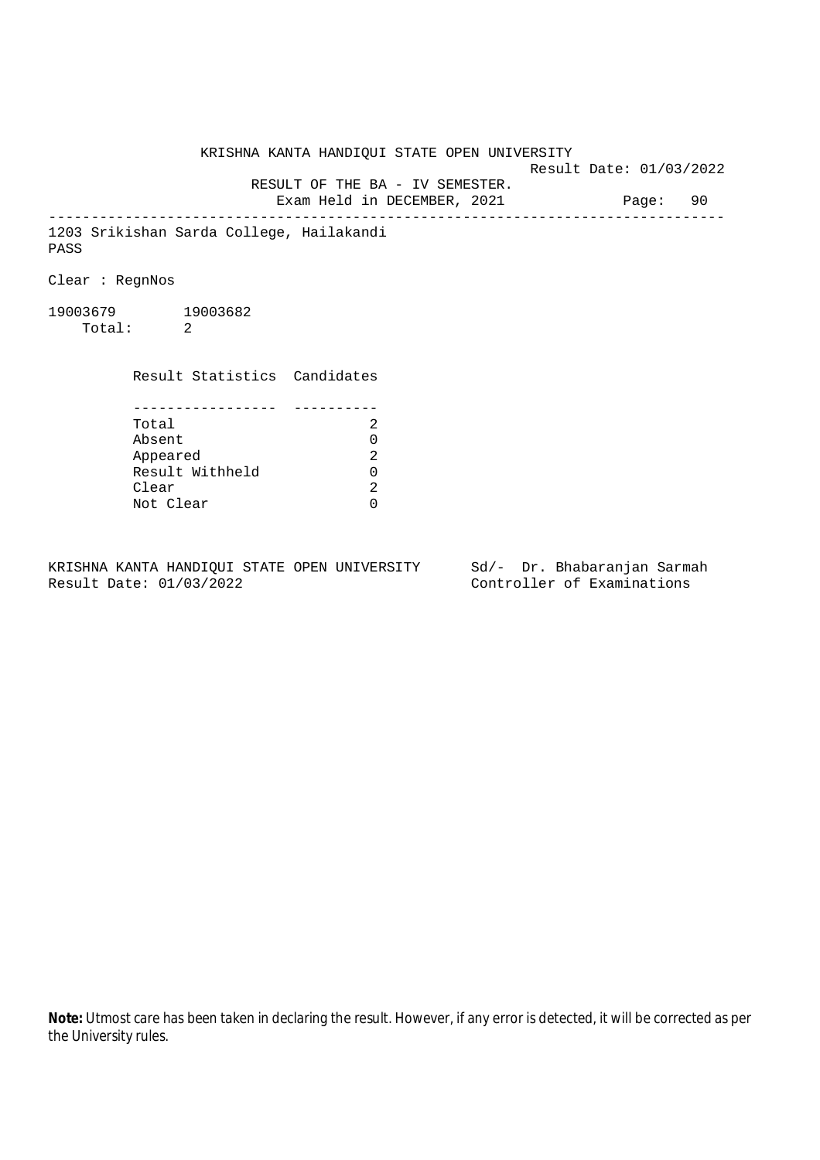KRISHNA KANTA HANDIQUI STATE OPEN UNIVERSITY Result Date: 01/03/2022 RESULT OF THE BA - IV SEMESTER. Exam Held in DECEMBER, 2021 Page: 90 -------------------------------------------------------------------------------- 1203 Srikishan Sarda College, Hailakandi PASS Clear : RegnNos 19003679 19003682 Total: 2 Result Statistics Candidates ----------------- ---------- Total 2 Absent<br>
Appeared 2<br>
Result Withheld 0<br>
Clear 2 Appeared Result Withheld 0 Clear Not Clear 0

KRISHNA KANTA HANDIQUI STATE OPEN UNIVERSITY Sd/- Dr. Bhabaranjan Sarmah Result Date: 01/03/2022 Controller of Examinations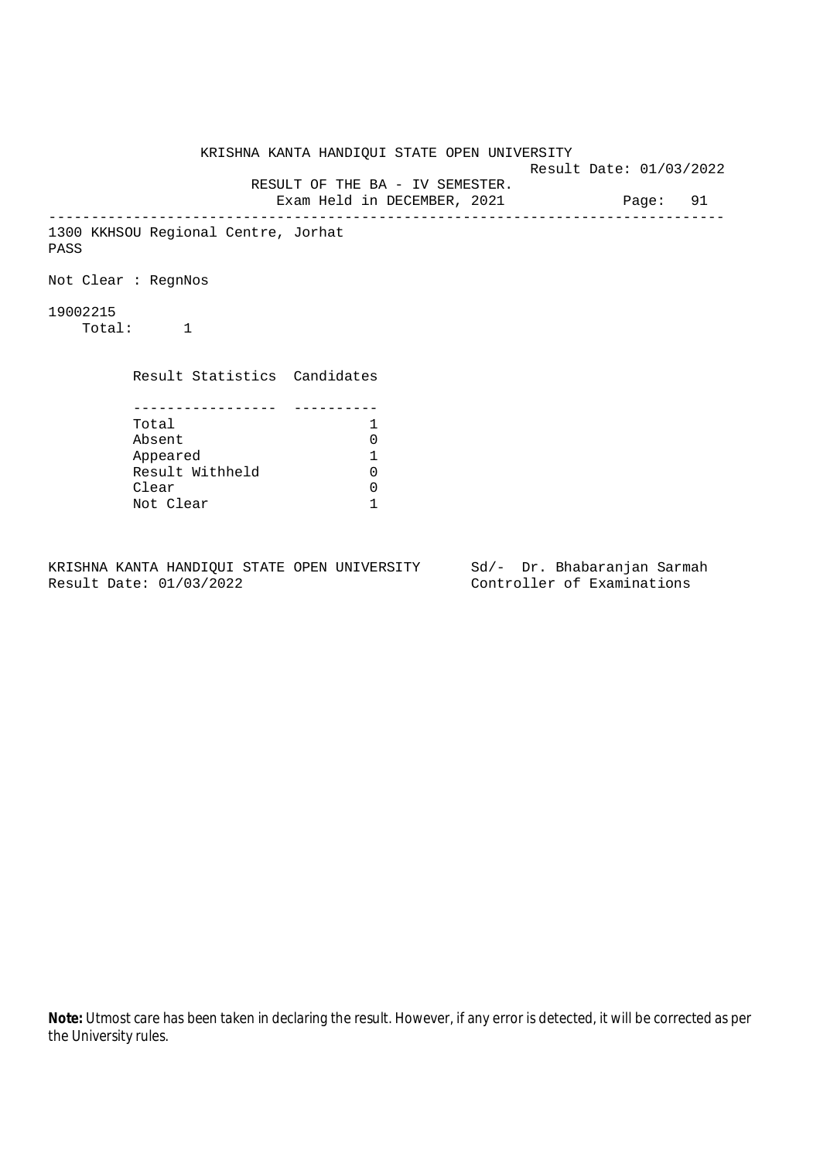KRISHNA KANTA HANDIQUI STATE OPEN UNIVERSITY Result Date: 01/03/2022 RESULT OF THE BA - IV SEMESTER. Exam Held in DECEMBER, 2021 Page: 91 -------------------------------------------------------------------------------- 1300 KKHSOU Regional Centre, Jorhat PASS Not Clear : RegnNos 19002215 Total: 1 Result Statistics Candidates ----------------- ---------- Total 1 Absent 0<br>
Appeared 1<br>
Result Withheld 0 Appeared 1 Result Withheld Clear 0 Not Clear 1

KRISHNA KANTA HANDIQUI STATE OPEN UNIVERSITY Sd/- Dr. Bhabaranjan Sarmah Result Date: 01/03/2022 Controller of Examinations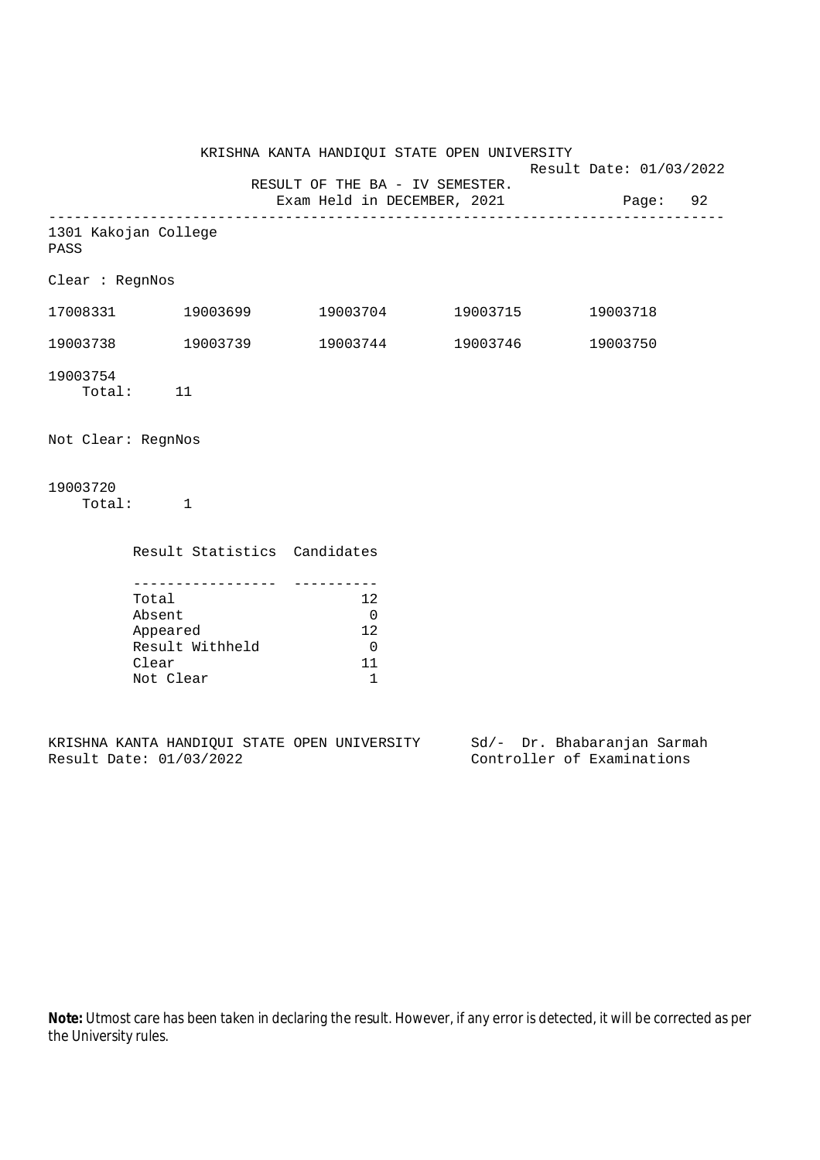KRISHNA KANTA HANDIQUI STATE OPEN UNIVERSITY Result Date: 01/03/2022 RESULT OF THE BA - IV SEMESTER. Exam Held in DECEMBER, 2021 Page: 92 -------------------------------------------------------------------------------- 1301 Kakojan College PASS Clear : RegnNos 17008331 19003699 19003704 19003715 19003718 19003738 19003739 19003744 19003746 19003750 19003754 Total: 11 Not Clear: RegnNos 19003720 Total: 1 Result Statistics Candidates ----------------- ---------- Total 12 Absent 0<br>Appeared 12 Appeared Result Withheld 0 Clear 11 Not Clear 1

KRISHNA KANTA HANDIQUI STATE OPEN UNIVERSITY Sd/- Dr. Bhabaranjan Sarmah Result Date: 01/03/2022 Controller of Examinations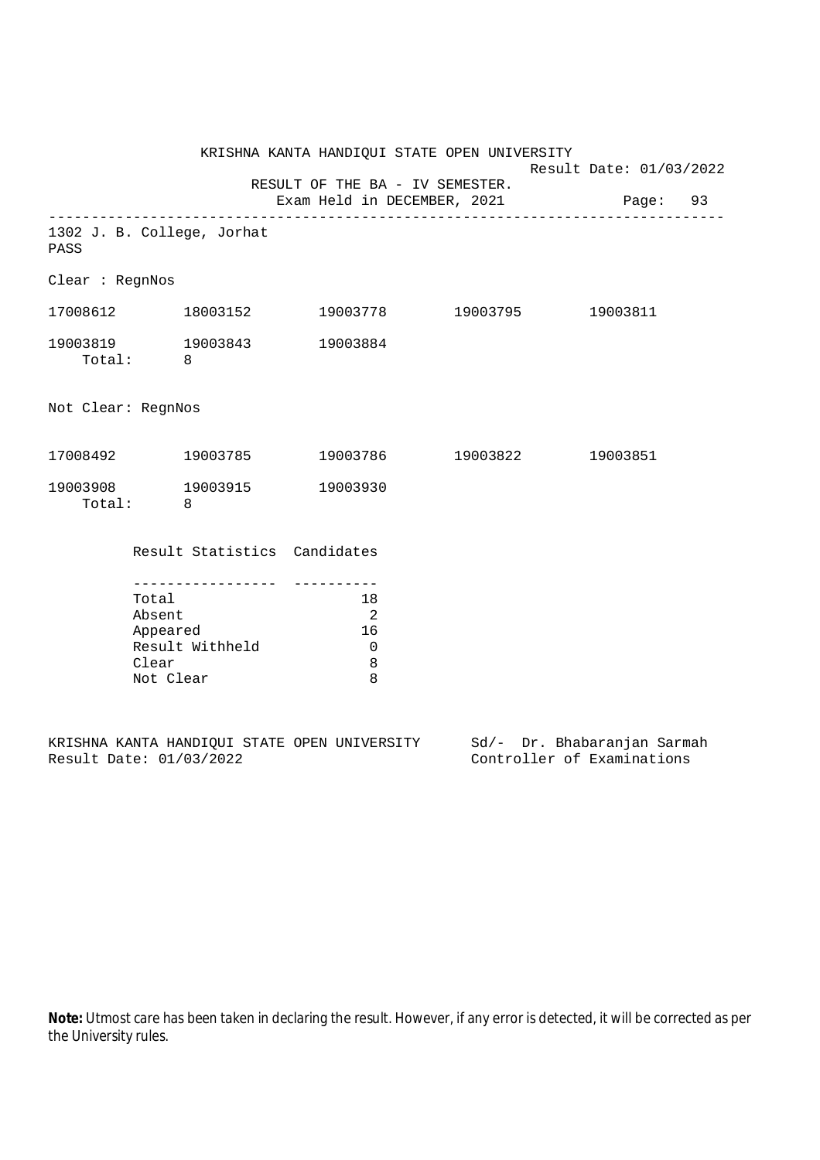|                                        |                              | KRISHNA KANTA HANDIQUI STATE OPEN UNIVERSITY | Result Date: 01/03/2022 |  |
|----------------------------------------|------------------------------|----------------------------------------------|-------------------------|--|
|                                        |                              | RESULT OF THE BA - IV SEMESTER.              |                         |  |
|                                        |                              | Exam Held in DECEMBER, 2021 Page: 93         |                         |  |
| 1302 J. B. College, Jorhat<br>PASS     |                              |                                              |                         |  |
| Clear : RegnNos                        |                              |                                              |                         |  |
|                                        |                              |                                              |                         |  |
| 19003819 19003843 19003884<br>Total: 8 |                              |                                              |                         |  |
| Not Clear: RegnNos                     |                              |                                              |                         |  |
|                                        |                              | $17008492$ $19003785$ $19003786$ $19003822$  | 19003851                |  |
| 19003908 19003915 19003930<br>Total: 8 |                              |                                              |                         |  |
|                                        | Result Statistics Candidates |                                              |                         |  |
| Total                                  |                              | 18                                           |                         |  |
| Absent                                 |                              | $\overline{\phantom{0}}^2$                   |                         |  |
|                                        | Appeared                     | 16                                           |                         |  |
|                                        | Result Withheld              | $\overline{0}$                               |                         |  |
| Clear<br>Not Clear                     |                              | 8<br>8                                       |                         |  |

KRISHNA KANTA HANDIQUI STATE OPEN UNIVERSITY Sd/- Dr. Bhabaranjan Sarmah Result Date: 01/03/2022 Controller of Examinations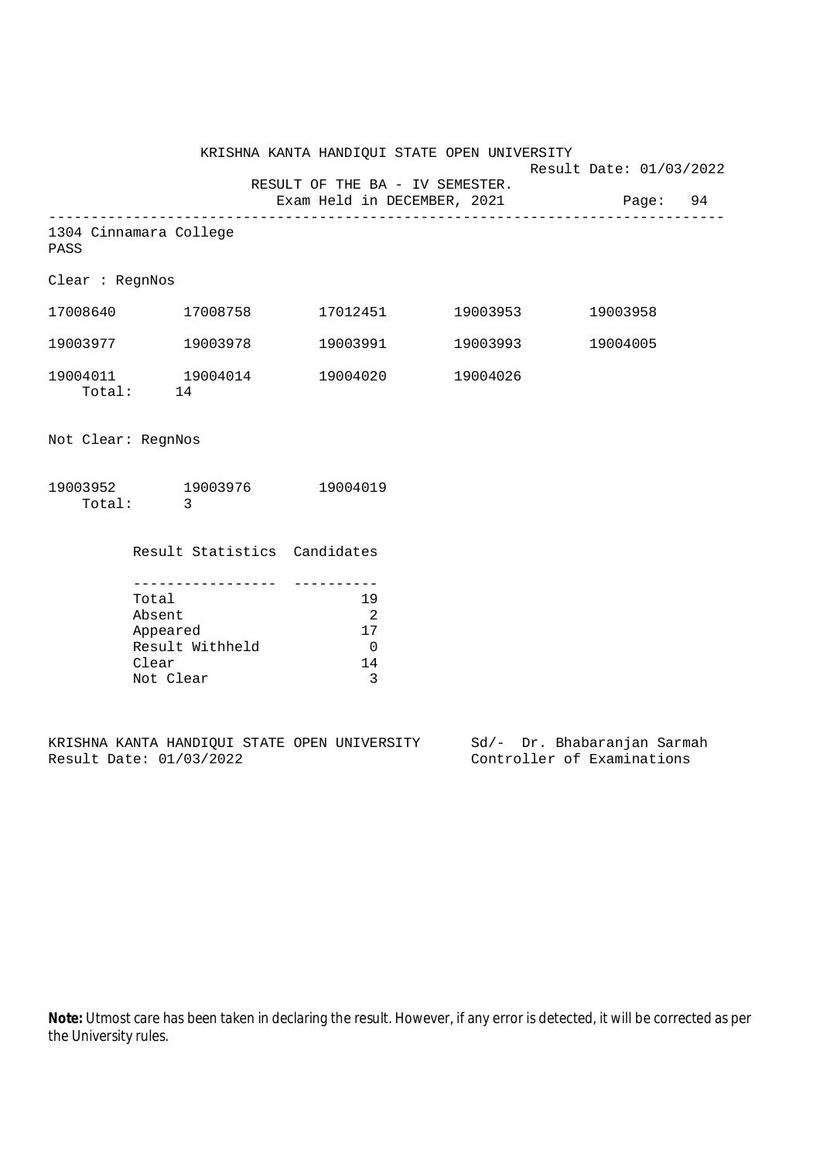|                                |                                     | KRISHNA KANTA HANDIQUI STATE OPEN UNIVERSITY |                   | Result Date: 01/03/2022 |  |
|--------------------------------|-------------------------------------|----------------------------------------------|-------------------|-------------------------|--|
|                                |                                     | RESULT OF THE BA - IV SEMESTER.              |                   |                         |  |
|                                |                                     | Exam Held in DECEMBER, 2021                  |                   | Page: 94                |  |
| 1304 Cinnamara College<br>PASS |                                     |                                              |                   |                         |  |
| Clear: RegnNos                 |                                     |                                              |                   |                         |  |
|                                |                                     |                                              | 17012451 19003953 | 19003958                |  |
|                                | 19003977 19003978                   |                                              | 19003991 19003993 | 19004005                |  |
| Total: 14                      | 19004011 19004014 19004020 19004026 |                                              |                   |                         |  |
| Not Clear: RegnNos             |                                     |                                              |                   |                         |  |
| Total:                         | 19003952 19003976 19004019<br>3     |                                              |                   |                         |  |

 Result Statistics Candidates ----------------- ---------- Total 19 Absent 2 Appeared 17 Result Withheld 0 Clear 14 Not Clear 3

KRISHNA KANTA HANDIQUI STATE OPEN UNIVERSITY Sd/- Dr. Bhabaranjan Sarmah Result Date: 01/03/2022 Controller of Examinations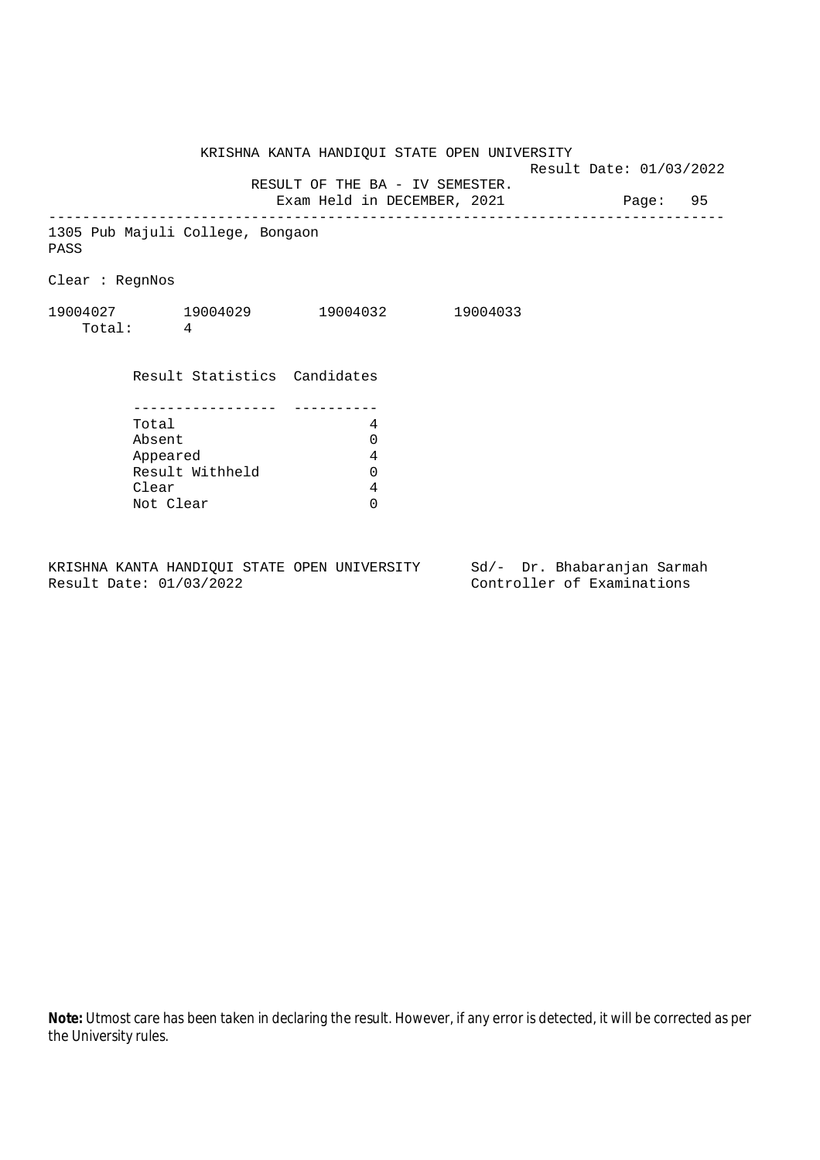KRISHNA KANTA HANDIQUI STATE OPEN UNIVERSITY Result Date: 01/03/2022 RESULT OF THE BA - IV SEMESTER. Exam Held in DECEMBER, 2021 Page: 95 -------------------------------------------------------------------------------- 1305 Pub Majuli College, Bongaon PASS Clear : RegnNos 19004027 19004029 19004032 19004033 Total: 4 Result Statistics Candidates ----------------- ---------- Total 4 Absent 0<br>
Appeared 4<br>
Result Withheld 0 Appeared Result Withheld Clear 4 Not Clear 0

KRISHNA KANTA HANDIQUI STATE OPEN UNIVERSITY Sd/- Dr. Bhabaranjan Sarmah Result Date: 01/03/2022 Controller of Examinations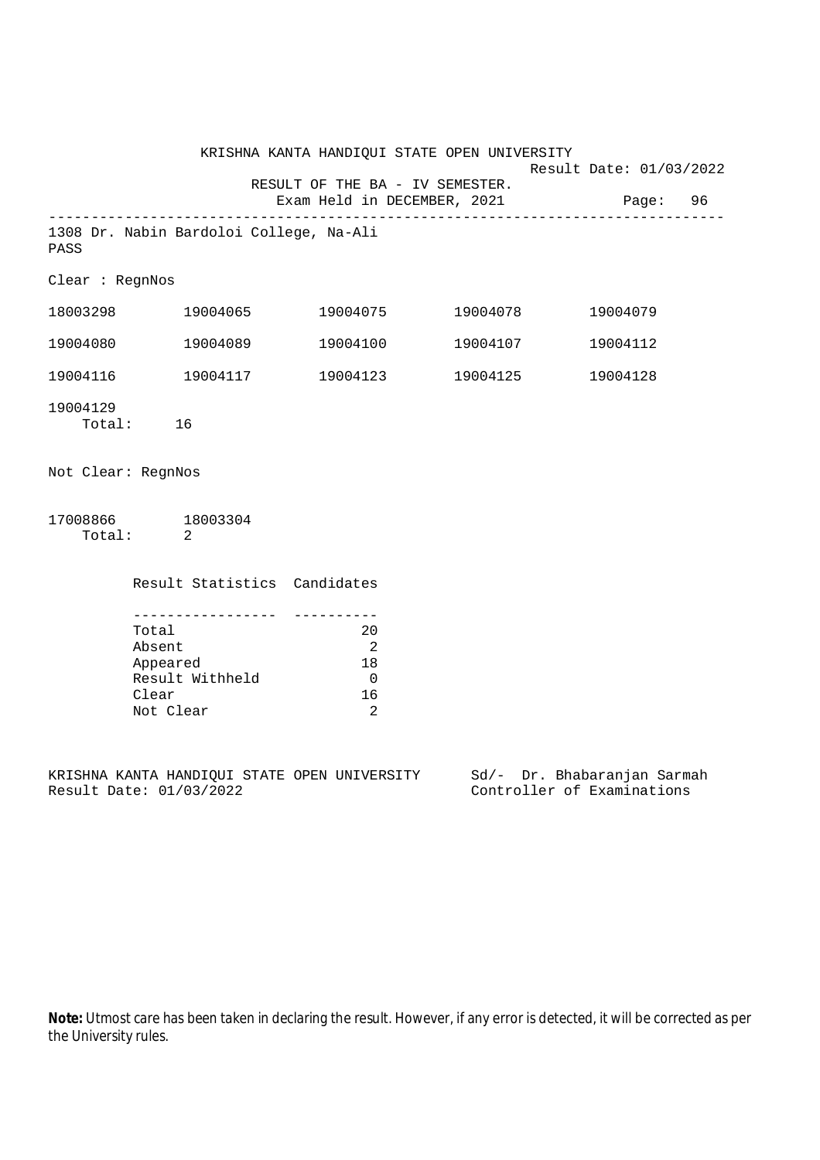|                    |                                                                                            | KRISHNA KANTA HANDIQUI STATE OPEN UNIVERSITY                                                    | Result Date: 01/03/2022     |  |
|--------------------|--------------------------------------------------------------------------------------------|-------------------------------------------------------------------------------------------------|-----------------------------|--|
|                    |                                                                                            | RESULT OF THE BA - IV SEMESTER.<br>Exam Held in DECEMBER, 2021                                  | Page: 96                    |  |
| PASS               | 1308 Dr. Nabin Bardoloi College, Na-Ali                                                    |                                                                                                 |                             |  |
| Clear : RegnNos    |                                                                                            |                                                                                                 |                             |  |
|                    | 18003298 19004065                                                                          | 19004075 19004078                                                                               | 19004079                    |  |
|                    | 19004080 19004089                                                                          | 19004100    19004107                                                                            | 19004112                    |  |
|                    | 19004116    19004117                                                                       | 19004123 19004125                                                                               | 19004128                    |  |
| 19004129           | Total: 16                                                                                  |                                                                                                 |                             |  |
| Not Clear: RegnNos |                                                                                            |                                                                                                 |                             |  |
|                    | 17008866 18003304<br>Total: 2                                                              |                                                                                                 |                             |  |
|                    | Result Statistics Candidates                                                               |                                                                                                 |                             |  |
|                    | __________________<br>Total<br>Absent<br>Appeared<br>Result Withheld<br>Clear<br>Not Clear | -----------<br>20<br>$\overline{\phantom{a}}^2$<br>18<br>$\overline{0}$<br>16<br>$\overline{2}$ |                             |  |
|                    |                                                                                            | KRISHNA KANTA HANDIQUI STATE OPEN UNIVERSITY                                                    | Sd/- Dr. Bhabaranjan Sarmah |  |

Result Date: 01/03/2022 Controller of Examinations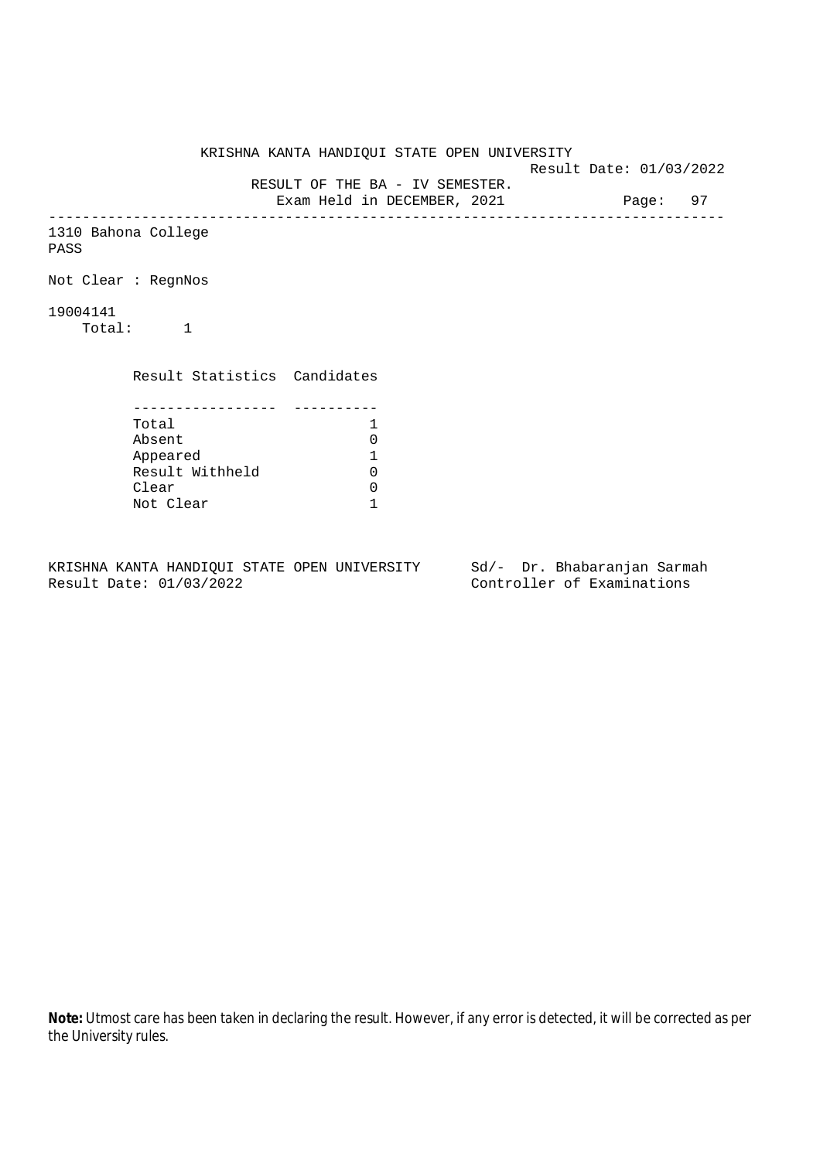KRISHNA KANTA HANDIQUI STATE OPEN UNIVERSITY Result Date: 01/03/2022 RESULT OF THE BA - IV SEMESTER. Exam Held in DECEMBER, 2021 Page: 97 -------------------------------------------------------------------------------- 1310 Bahona College PASS Not Clear : RegnNos 19004141 Total: 1 Result Statistics Candidates ----------------- ---------- Total 1<br>Absent 0 Absent 0<br>
Appeared 1<br>
Result Withheld 0 Appeared 1 Result Withheld 0 Clear 0 Not Clear 1

KRISHNA KANTA HANDIQUI STATE OPEN UNIVERSITY Sd/- Dr. Bhabaranjan Sarmah Result Date: 01/03/2022 Controller of Examinations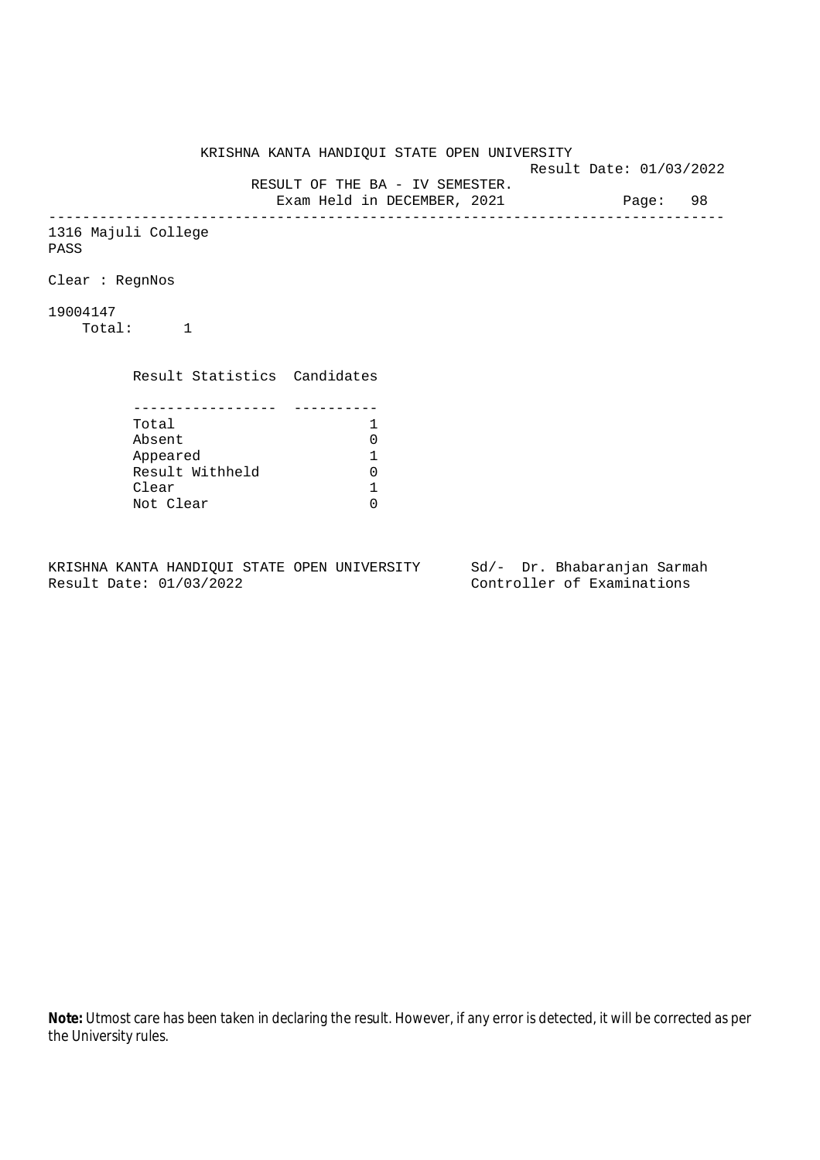KRISHNA KANTA HANDIQUI STATE OPEN UNIVERSITY Result Date: 01/03/2022 RESULT OF THE BA - IV SEMESTER. Exam Held in DECEMBER, 2021 Page: 98 -------------------------------------------------------------------------------- 1316 Majuli College PASS Clear : RegnNos 19004147 Total: 1 Result Statistics Candidates ----------------- ---------- Total 1<br>Absent 0 Absent<br>
Appeared 1<br>
Result Withheld 0<br>
Clear 1 Appeared 1 Result Withheld Clear Not Clear 0

KRISHNA KANTA HANDIQUI STATE OPEN UNIVERSITY Sd/- Dr. Bhabaranjan Sarmah Result Date: 01/03/2022 Controller of Examinations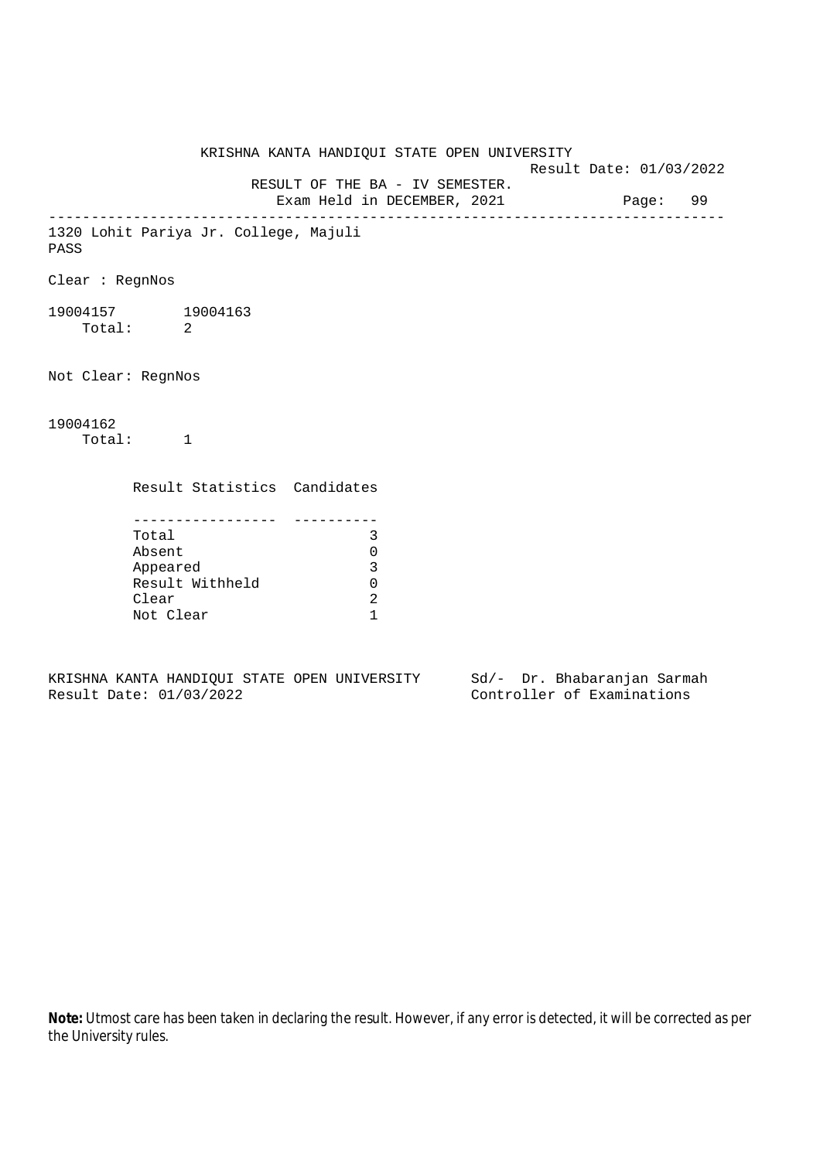KRISHNA KANTA HANDIQUI STATE OPEN UNIVERSITY Result Date: 01/03/2022 RESULT OF THE BA - IV SEMESTER. Exam Held in DECEMBER, 2021 Page: 99 -------------------------------------------------------------------------------- 1320 Lohit Pariya Jr. College, Majuli PASS Clear : RegnNos 19004157 19004163 Total: 2 Not Clear: RegnNos 19004162 Total: 1 Result Statistics Candidates ----------------- ---------- Total 3 Absent 0 Appeared 3 Result Withheld 0 Clear 2 Not Clear 1

KRISHNA KANTA HANDIQUI STATE OPEN UNIVERSITY Sd/- Dr. Bhabaranjan Sarmah Result Date: 01/03/2022 Controller of Examinations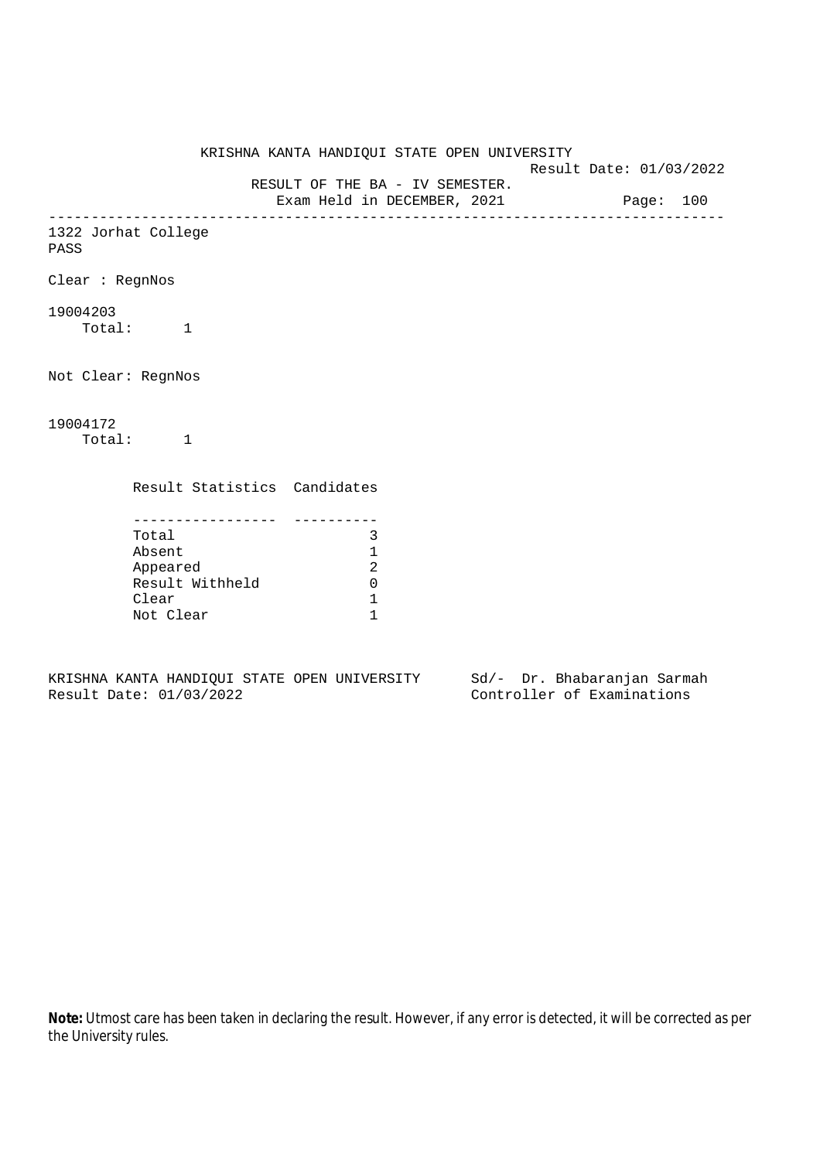KRISHNA KANTA HANDIQUI STATE OPEN UNIVERSITY Result Date: 01/03/2022 RESULT OF THE BA - IV SEMESTER. Exam Held in DECEMBER, 2021 Page: 100 -------------------------------------------------------------------------------- 1322 Jorhat College PASS Clear : RegnNos 19004203 Total: 1 Not Clear: RegnNos 19004172 Total: 1 Result Statistics Candidates ----------------- ---------- Total 3 Absent 1 Appeared 2 Result Withheld 0 Clear 1 Not Clear 1

KRISHNA KANTA HANDIQUI STATE OPEN UNIVERSITY Sd/- Dr. Bhabaranjan Sarmah Result Date: 01/03/2022 Controller of Examinations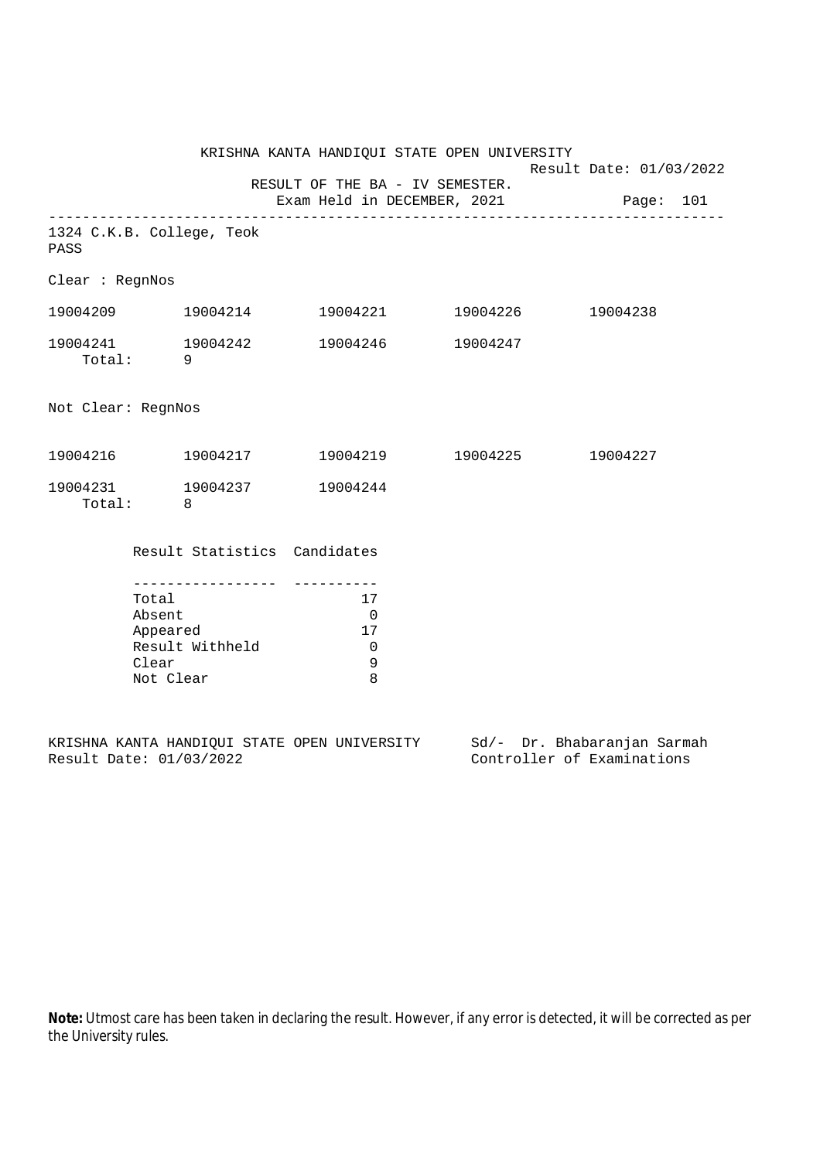|                    |                 |                                     | KRISHNA KANTA HANDIQUI STATE OPEN UNIVERSITY           | Result Date: 01/03/2022 |  |  |
|--------------------|-----------------|-------------------------------------|--------------------------------------------------------|-------------------------|--|--|
|                    |                 |                                     | RESULT OF THE BA - IV SEMESTER.                        |                         |  |  |
|                    |                 |                                     | Exam Held in DECEMBER, 2021 Page: 101                  |                         |  |  |
| PASS               |                 | 1324 C.K.B. College, Teok           |                                                        |                         |  |  |
| Clear : RegnNos    |                 |                                     |                                                        |                         |  |  |
|                    |                 | 19004209    19004214                | 19004221 19004226 19004238                             |                         |  |  |
|                    | Total: 9        | 19004241 19004242                   | 19004246 19004247                                      |                         |  |  |
| Not Clear: RegnNos |                 |                                     |                                                        |                         |  |  |
|                    |                 |                                     | $19004216$ $19004217$ $19004219$ $19004225$ $19004227$ |                         |  |  |
|                    | Total: 8        | 19004231 19004237                   | 19004244                                               |                         |  |  |
|                    |                 | Result Statistics Candidates        |                                                        |                         |  |  |
|                    |                 | . _ _ _ _ _ _ _ _ _ _ _ _ _ _ _ _ _ |                                                        |                         |  |  |
|                    | Total<br>Absent |                                     | 17<br>$\overline{0}$                                   |                         |  |  |
|                    | Appeared        |                                     | 17                                                     |                         |  |  |
|                    |                 | Result Withheld                     | $\overline{0}$                                         |                         |  |  |
|                    | Clear           |                                     | 9                                                      |                         |  |  |
|                    | Not Clear       |                                     | 8                                                      |                         |  |  |

|  |                         |  | KRISHNA KANTA HANDIOUI STATE OPEN UNIVERSITY |  | Sd/- Dr. Bhabaranjan Sarmah |  |
|--|-------------------------|--|----------------------------------------------|--|-----------------------------|--|
|  | Result Date: 01/03/2022 |  |                                              |  | Controller of Examinations  |  |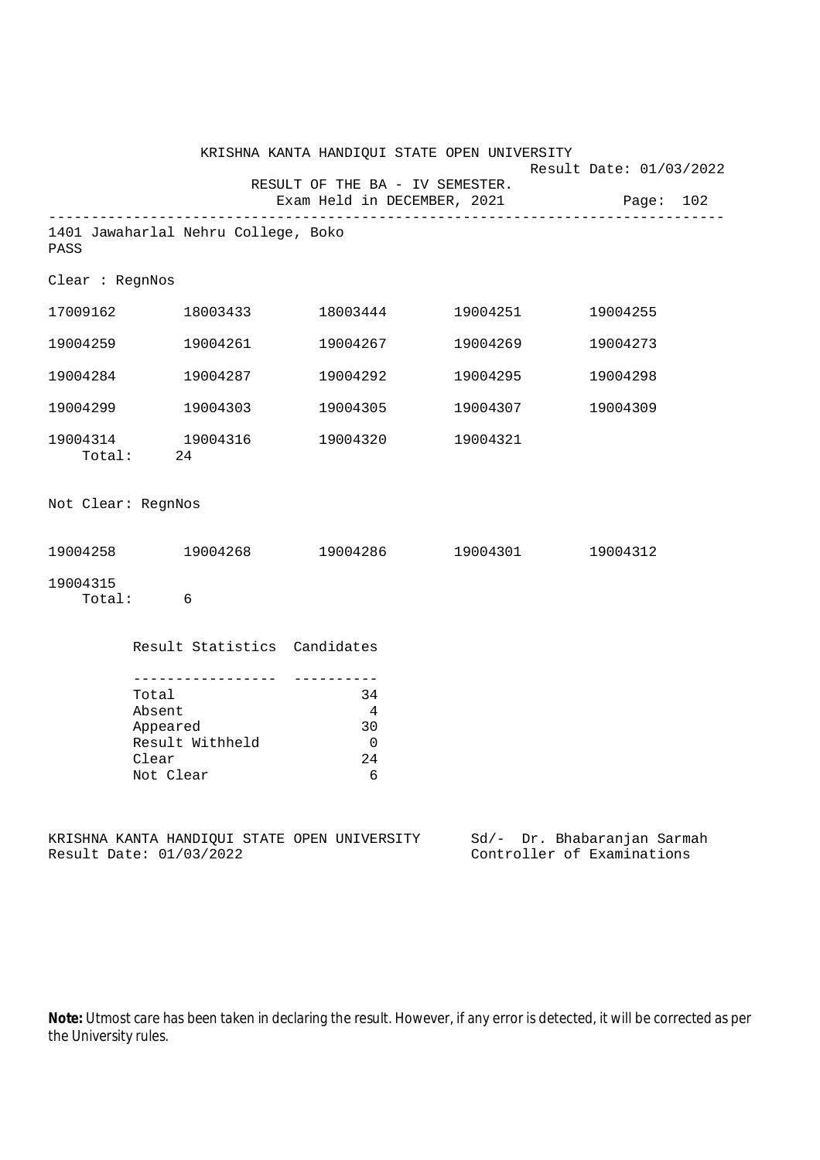|                    |                                                                                        | KRISHNA KANTA HANDIQUI STATE OPEN UNIVERSITY |                   |                                                      |
|--------------------|----------------------------------------------------------------------------------------|----------------------------------------------|-------------------|------------------------------------------------------|
|                    |                                                                                        | RESULT OF THE BA - IV SEMESTER.              |                   | Result Date: 01/03/2022                              |
|                    |                                                                                        | Exam Held in DECEMBER, 2021                  |                   | Page: 102                                            |
| PASS               | 1401 Jawaharlal Nehru College, Boko                                                    |                                              |                   |                                                      |
| Clear : RegnNos    |                                                                                        |                                              |                   |                                                      |
|                    | 17009162 18003433                                                                      |                                              | 18003444 19004251 | 19004255                                             |
| 19004259           | 19004261                                                                               | 19004267                                     | 19004269          | 19004273                                             |
|                    | 19004284 19004287                                                                      | 19004292                                     | 19004295          | 19004298                                             |
|                    | 19004299 19004303                                                                      | 19004305                                     | 19004307          | 19004309                                             |
|                    | 19004314 19004316<br>Total: 24                                                         | 19004320 19004321                            |                   |                                                      |
| Not Clear: RegnNos |                                                                                        |                                              |                   |                                                      |
|                    | 19004258 19004268                                                                      | 19004286 19004301                            |                   | 19004312                                             |
| 19004315           | Total: 6                                                                               |                                              |                   |                                                      |
|                    | Result Statistics Candidates                                                           |                                              |                   |                                                      |
|                    | --------------<br>Total<br>Absent<br>Appeared<br>Result Withheld<br>Clear<br>Not Clear | 34<br>$\overline{4}$<br>30<br>0<br>24<br>6   |                   |                                                      |
|                    | Result Date: 01/03/2022                                                                | KRISHNA KANTA HANDIQUI STATE OPEN UNIVERSITY | Sd/-              | Dr. Bhabaranjan Sarmah<br>Controller of Examinations |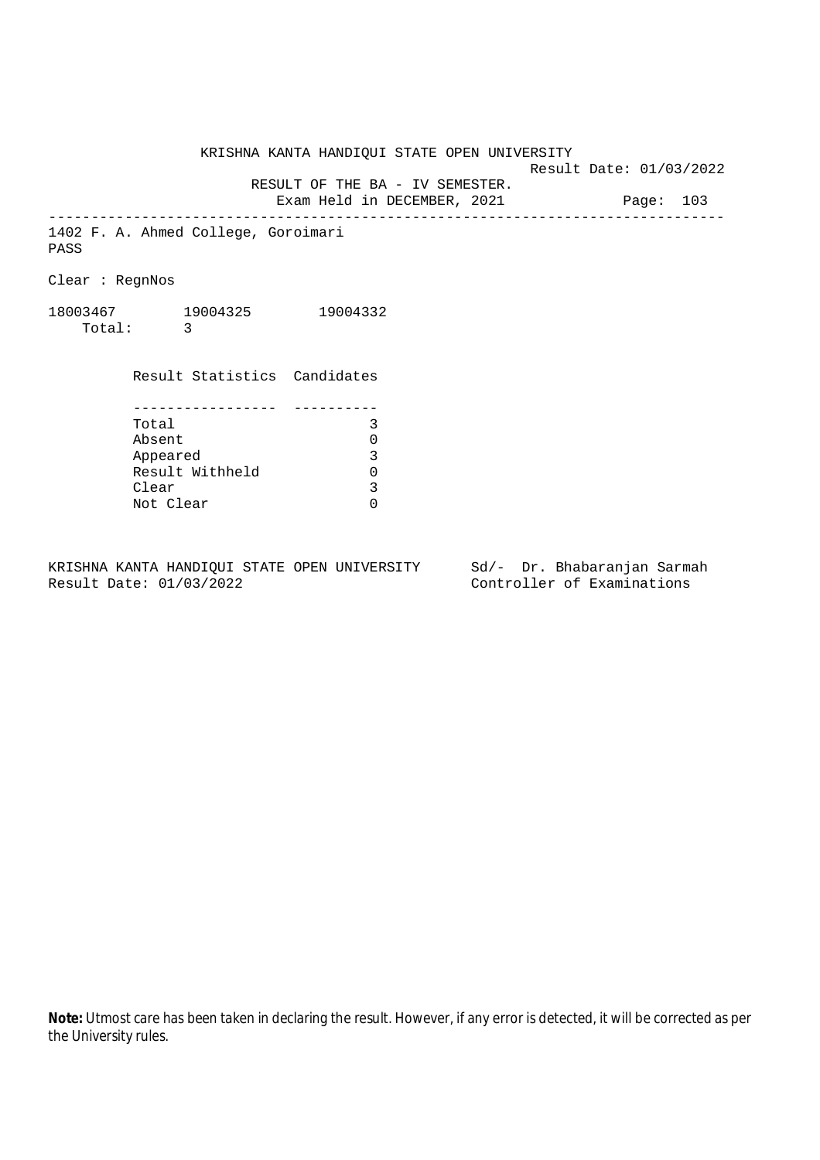Result Date: 01/03/2022

 RESULT OF THE BA - IV SEMESTER. Exam Held in DECEMBER, 2021 Page: 103

--------------------------------------------------------------------------------

1402 F. A. Ahmed College, Goroimari PASS

Clear : RegnNos

18003467 19004325 19004332 Total: 3

> Result Statistics Candidates ----------------- ---------- Total 3 Absent 0<br>
> Appeared 3<br>
> Result Withheld 0 Appeared Result Withheld 0<br>Clear 3 Clear Not Clear 0

KRISHNA KANTA HANDIQUI STATE OPEN UNIVERSITY Sd/- Dr. Bhabaranjan Sarmah Result Date: 01/03/2022 Controller of Examinations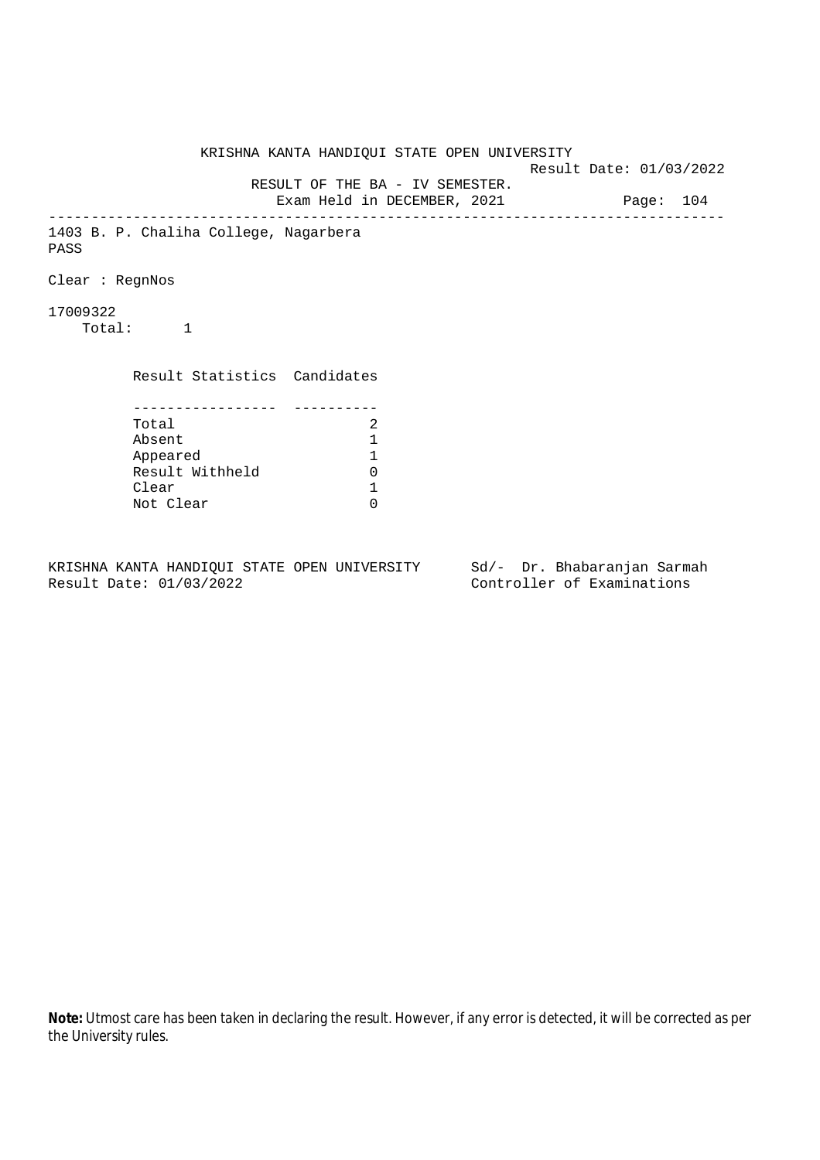KRISHNA KANTA HANDIQUI STATE OPEN UNIVERSITY Result Date: 01/03/2022 RESULT OF THE BA - IV SEMESTER. Exam Held in DECEMBER, 2021 Page: 104 -------------------------------------------------------------------------------- 1403 B. P. Chaliha College, Nagarbera PASS Clear : RegnNos 17009322 Total: 1 Result Statistics Candidates ----------------- ---------- Total 2<br>Absent 1 Absent<br>
Appeared 1<br>
Result Withheld 0<br>
Clear 1 Appeared 1 Result Withheld Clear Not Clear 0

KRISHNA KANTA HANDIQUI STATE OPEN UNIVERSITY Sd/- Dr. Bhabaranjan Sarmah Result Date: 01/03/2022 Controller of Examinations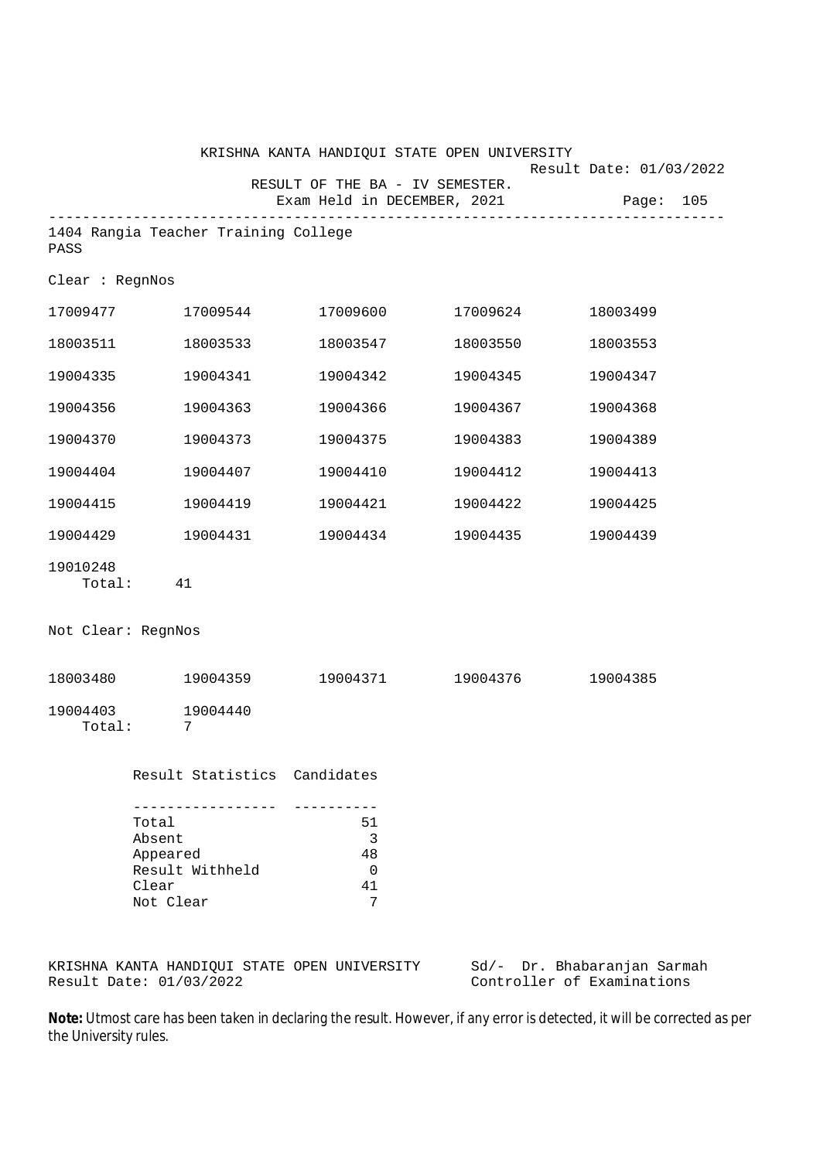|                    |                                                                                                         |                                                                            | KRISHNA KANTA HANDIQUI STATE OPEN UNIVERSITY | Result Date: 01/03/2022     |  |
|--------------------|---------------------------------------------------------------------------------------------------------|----------------------------------------------------------------------------|----------------------------------------------|-----------------------------|--|
|                    |                                                                                                         | RESULT OF THE BA - IV SEMESTER.                                            | Exam Held in DECEMBER, 2021                  | Page: 105                   |  |
| PASS               | 1404 Rangia Teacher Training College                                                                    |                                                                            |                                              |                             |  |
| Clear : RegnNos    |                                                                                                         |                                                                            |                                              |                             |  |
|                    | $17009477$ $17009544$ $17009600$ $17009624$                                                             |                                                                            |                                              | 18003499                    |  |
| 18003511           | 18003533                                                                                                | 18003547                                                                   | 18003550                                     | 18003553                    |  |
| 19004335           | 19004341                                                                                                | 19004342                                                                   | 19004345                                     | 19004347                    |  |
| 19004356           | 19004363                                                                                                | 19004366                                                                   | 19004367                                     | 19004368                    |  |
| 19004370           | 19004373                                                                                                | 19004375                                                                   | 19004383                                     | 19004389                    |  |
| 19004404           | 19004407                                                                                                | 19004410                                                                   | 19004412                                     | 19004413                    |  |
| 19004415           | 19004419                                                                                                | 19004421                                                                   | 19004422                                     | 19004425                    |  |
| 19004429           | $19004431$ $19004434$ $19004435$                                                                        |                                                                            |                                              | 19004439                    |  |
| 19010248<br>Total: | 41                                                                                                      |                                                                            |                                              |                             |  |
| Not Clear: RegnNos |                                                                                                         |                                                                            |                                              |                             |  |
|                    | 18003480 19004359                                                                                       |                                                                            | 19004371 19004376 19004385                   |                             |  |
| 19004403<br>Total: | 19004440<br>7                                                                                           |                                                                            |                                              |                             |  |
|                    | Result Statistics Candidates                                                                            |                                                                            |                                              |                             |  |
|                    | <u>u du du du du du du du d</u><br>Total<br>Absent<br>Appeared<br>Result Withheld<br>Clear<br>Not Clear | <u> Liberal Liberal Liberal Communica</u><br>51<br>3<br>48<br>0<br>41<br>7 |                                              |                             |  |
|                    | KRISHNA KANTA HANDIQUI STATE OPEN UNIVERSITY                                                            |                                                                            |                                              | Sd/- Dr. Bhabaranjan Sarmah |  |

Result Date: 01/03/2022 Controller of Examinations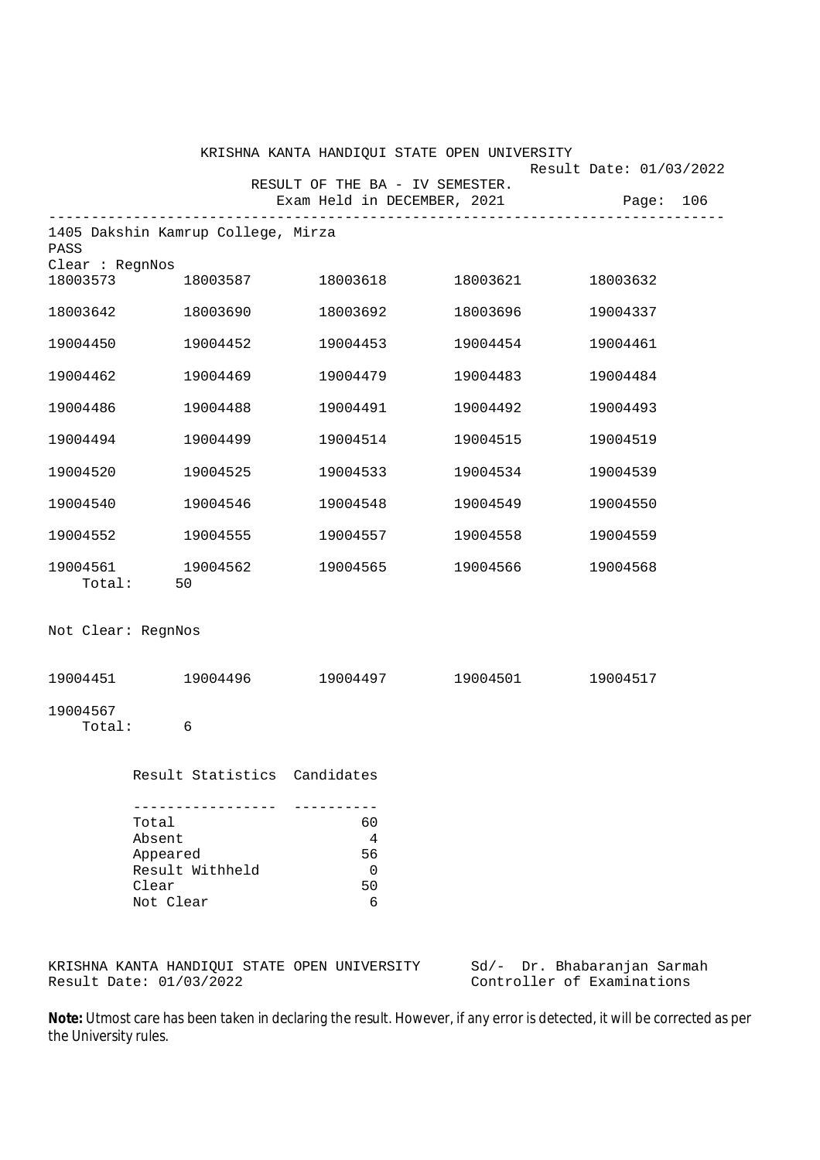|                                                                                         |                                                                     | KRISHNA KANTA HANDIQUI STATE OPEN UNIVERSITY                   |          |                                                                          |
|-----------------------------------------------------------------------------------------|---------------------------------------------------------------------|----------------------------------------------------------------|----------|--------------------------------------------------------------------------|
|                                                                                         |                                                                     | RESULT OF THE BA - IV SEMESTER.<br>Exam Held in DECEMBER, 2021 |          | Result Date: 01/03/2022<br>Page: 106                                     |
| PASS                                                                                    | -----------------------------<br>1405 Dakshin Kamrup College, Mirza |                                                                |          |                                                                          |
| Clear : RegnNos<br>18003573                                                             |                                                                     | 18003587 18003618 18003621 18003632                            |          |                                                                          |
|                                                                                         | 18003642 18003690                                                   | 18003692                                                       | 18003696 | 19004337                                                                 |
| 19004450                                                                                | 19004452                                                            | 19004453                                                       | 19004454 | 19004461                                                                 |
| 19004462                                                                                | 19004469                                                            | 19004479                                                       | 19004483 | 19004484                                                                 |
| 19004486                                                                                | 19004488                                                            | 19004491                                                       | 19004492 | 19004493                                                                 |
| 19004494                                                                                | 19004499                                                            | 19004514                                                       | 19004515 | 19004519                                                                 |
| 19004520                                                                                | 19004525                                                            | 19004533                                                       | 19004534 | 19004539                                                                 |
| 19004540                                                                                | 19004546                                                            | 19004548                                                       | 19004549 | 19004550                                                                 |
|                                                                                         | 19004552 19004555                                                   | 19004557                                                       | 19004558 | 19004559                                                                 |
|                                                                                         | 19004561 19004562<br>Total: 50                                      | 19004565                                                       | 19004566 | 19004568                                                                 |
| Not Clear: RegnNos                                                                      |                                                                     |                                                                |          |                                                                          |
|                                                                                         | 19004451 19004496                                                   |                                                                |          |                                                                          |
| 19004567<br>Total:                                                                      | 6                                                                   |                                                                |          |                                                                          |
|                                                                                         | Result Statistics Candidates                                        |                                                                |          |                                                                          |
| ---------------<br>Total<br>Absent<br>Appeared<br>Result Withheld<br>Clear<br>Not Clear |                                                                     | 60<br>$\overline{4}$<br>56<br>$\overline{0}$<br>50<br>6        |          |                                                                          |
|                                                                                         |                                                                     |                                                                |          | KRISHNA KANTA HANDIQUI STATE OPEN UNIVERSITY Sd/- Dr. Bhabaranjan Sarmah |

KRISHNA KANTA HANDIQUI STATE OPEN UNIVERSITY<br>Result Date: 01/03/2022

su/- Dr. Bhabaranjan sarm<br>Controller of Examinations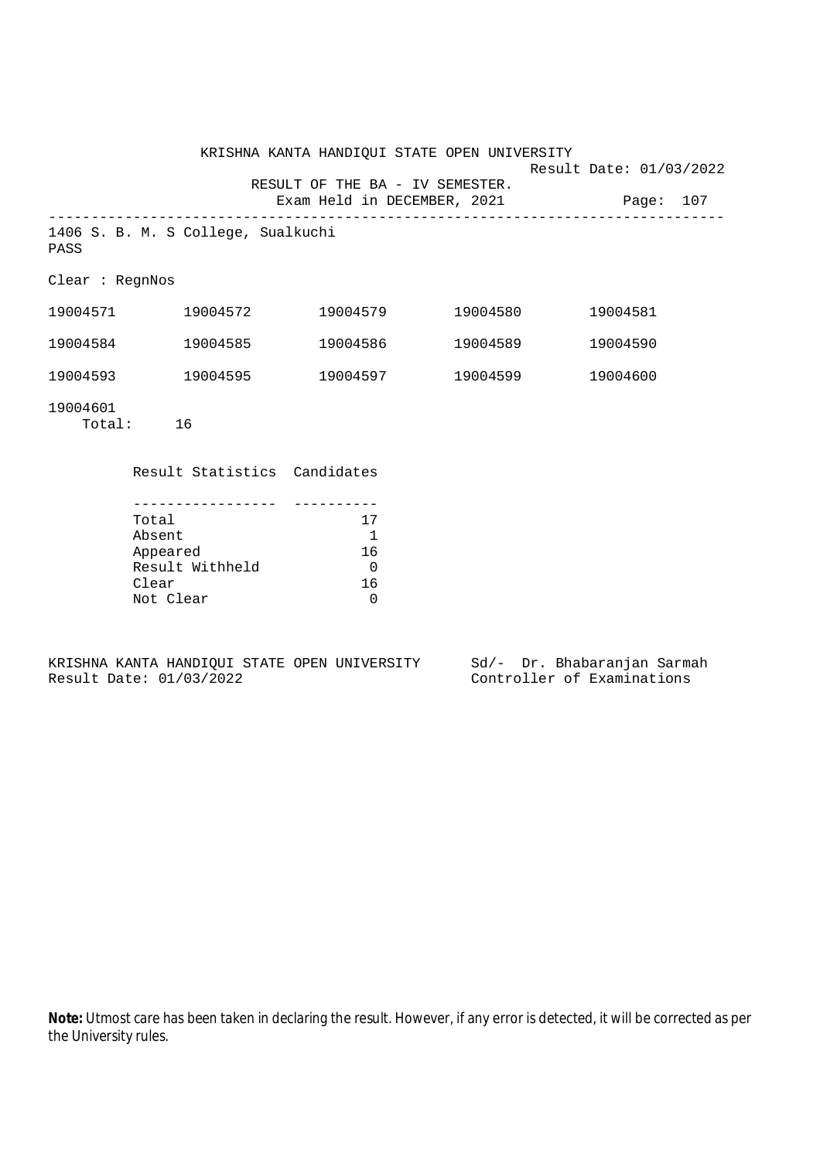|                        |                                    | KRISHNA KANTA HANDIQUI STATE OPEN UNIVERSITY                   |          | Result Date: 01/03/2022 |  |
|------------------------|------------------------------------|----------------------------------------------------------------|----------|-------------------------|--|
|                        |                                    | RESULT OF THE BA - IV SEMESTER.<br>Exam Held in DECEMBER, 2021 |          | Page: 107               |  |
| PASS                   | 1406 S. B. M. S College, Sualkuchi |                                                                |          |                         |  |
| Clear : <b>RegnNos</b> |                                    |                                                                |          |                         |  |
| 19004571               | 19004572                           | 19004579                                                       | 19004580 | 19004581                |  |
| 19004584               | 19004585                           | 19004586                                                       | 19004589 | 19004590                |  |
| 19004593               | 19004595                           | 19004597                                                       | 19004599 | 19004600                |  |
| 19004601<br>Total:     | 16                                 |                                                                |          |                         |  |

Result Statistics Candidates

| Total           | 17 |
|-----------------|----|
| Absent          |    |
| Appeared        | 16 |
| Result Withheld |    |
| Clear           | 16 |
| Not Clear       |    |

KRISHNA KANTA HANDIQUI STATE OPEN UNIVERSITY Sd/- Dr. Bhabaranjan Sarmah<br>Result Date: 01/03/2022 Controller of Examinations

Controller of Examinations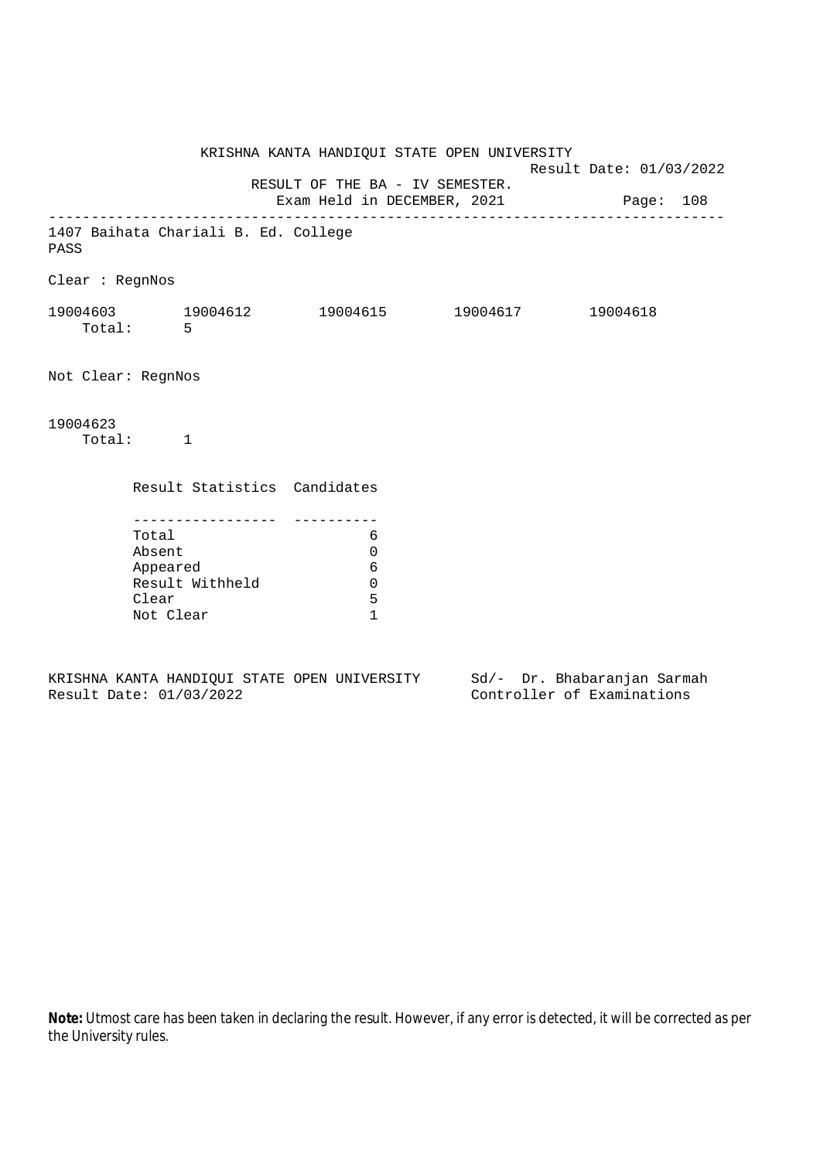KRISHNA KANTA HANDIQUI STATE OPEN UNIVERSITY Result Date: 01/03/2022 RESULT OF THE BA - IV SEMESTER. Exam Held in DECEMBER, 2021 Page: 108 -------------------------------------------------------------------------------- 1407 Baihata Chariali B. Ed. College PASS Clear : RegnNos 19004603 19004612 19004615 19004617 19004618 Total: 5 Not Clear: RegnNos 19004623 Total: 1 Result Statistics Candidates ----------------- ---------- Total 6 Absent 0 Appeared 6 Result Withheld 0 Clear 5 Not Clear 1

KRISHNA KANTA HANDIQUI STATE OPEN UNIVERSITY Sd/- Dr. Bhabaranjan Sarmah Result Date: 01/03/2022 Controller of Examinations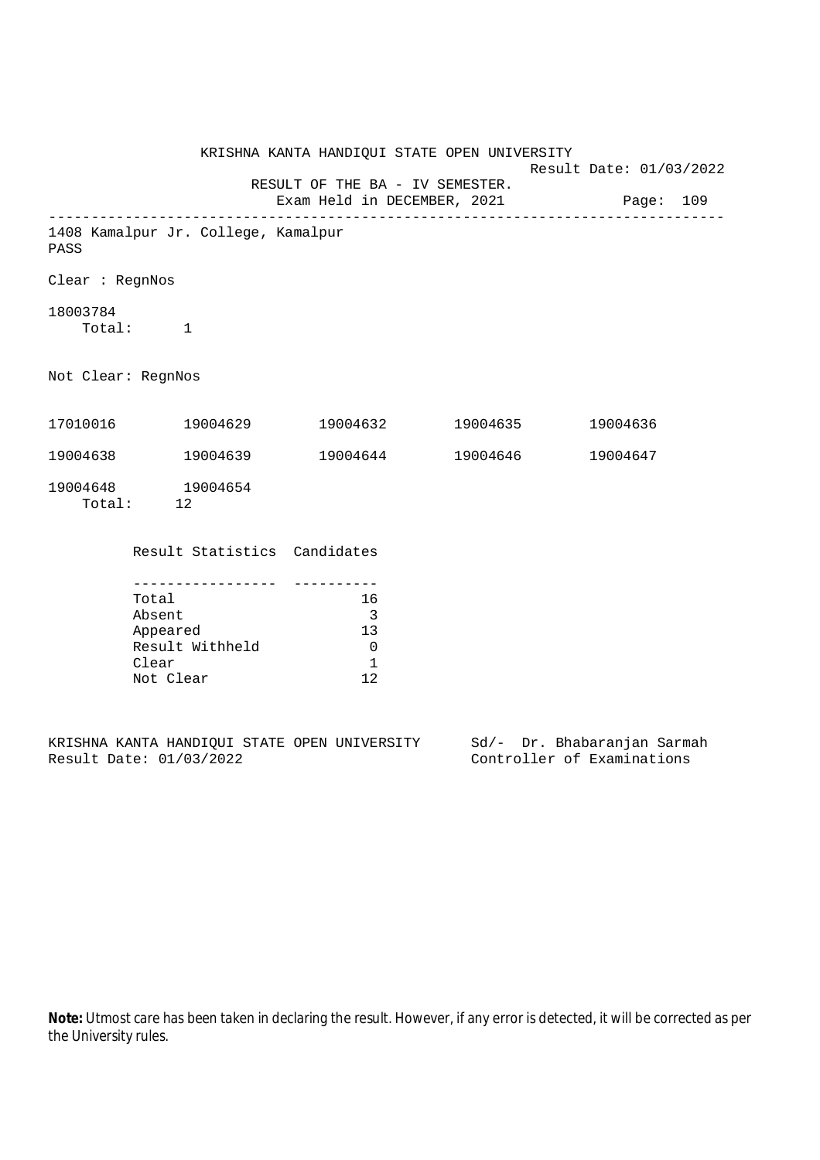|                    |                                     |                                 | KRISHNA KANTA HANDIQUI STATE OPEN UNIVERSITY | Result Date: 01/03/2022               |
|--------------------|-------------------------------------|---------------------------------|----------------------------------------------|---------------------------------------|
|                    |                                     | RESULT OF THE BA - IV SEMESTER. |                                              | Exam Held in DECEMBER, 2021 Page: 109 |
| PASS               | 1408 Kamalpur Jr. College, Kamalpur |                                 |                                              |                                       |
| Clear : RegnNos    |                                     |                                 |                                              |                                       |
| 18003784           | Total: 1                            |                                 |                                              |                                       |
| Not Clear: RegnNos |                                     |                                 |                                              |                                       |
|                    | 17010016 19004629                   |                                 | 19004632 19004635                            | 19004636                              |
| 19004638           | 19004639                            |                                 | 19004644 19004646                            | 19004647                              |
|                    | 19004648 19004654<br>Total: 12      |                                 |                                              |                                       |
|                    | Result Statistics Candidates        |                                 |                                              |                                       |

| Total           | 16  |
|-----------------|-----|
| Absent          | ર   |
| Appeared        |     |
| Result Withheld |     |
| Clear           |     |
| Not Clear       | 1 ລ |

|  |                         |  | KRISHNA KANTA HANDIOUI STATE OPEN UNIVERSITY |  | Sd/- Dr. Bhabaranjan Sarmah |  |
|--|-------------------------|--|----------------------------------------------|--|-----------------------------|--|
|  | Result Date: 01/03/2022 |  |                                              |  | Controller of Examinations  |  |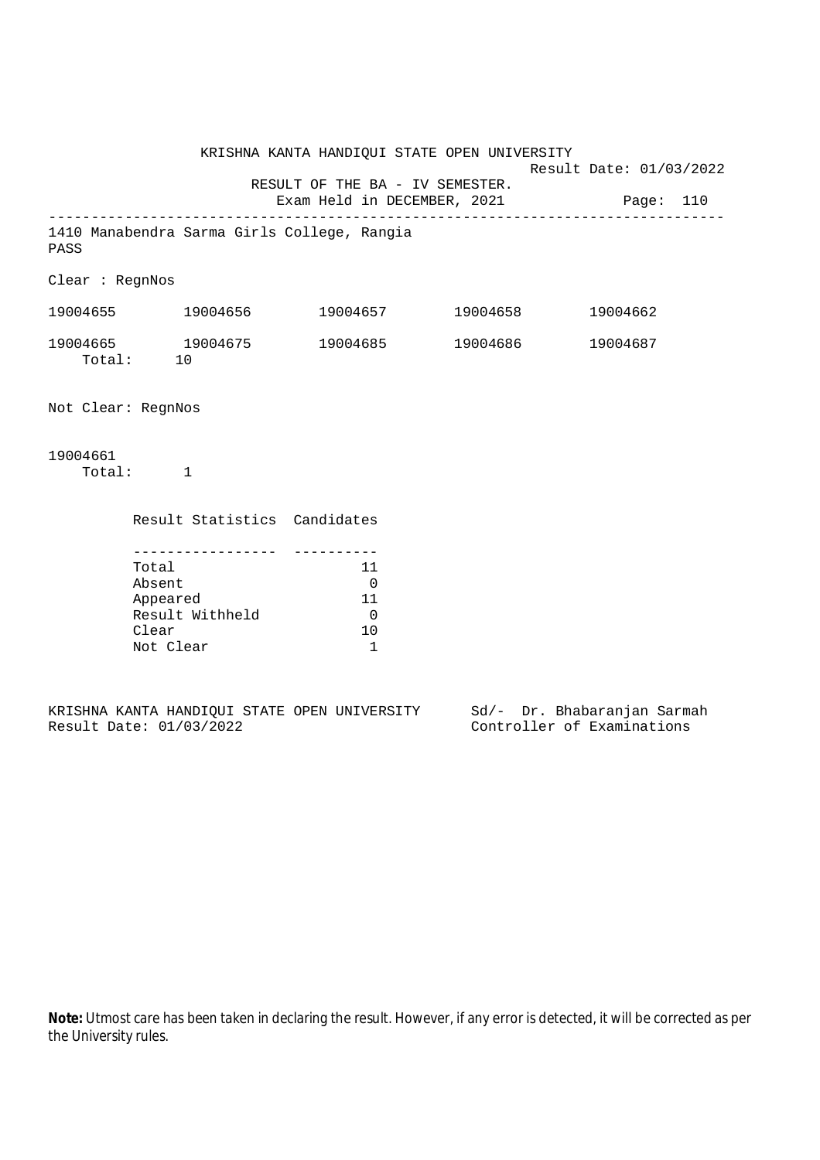KRISHNA KANTA HANDIQUI STATE OPEN UNIVERSITY Result Date: 01/03/2022 RESULT OF THE BA - IV SEMESTER. Exam Held in DECEMBER, 2021 Page: 110 -------------------------------------------------------------------------------- 1410 Manabendra Sarma Girls College, Rangia PASS Clear : RegnNos 19004655 19004656 19004657 19004658 19004662 19004665 19004675 19004685 19004686 19004687 Total: 10 Not Clear: RegnNos 19004661 Total: 1 Result Statistics Candidates ----------------- ---------- Total 11 Absent 0 Appeared 11 Result Withheld 0<br>Clear 10 Clear

|  |                         |  | KRISHNA KANTA HANDIOUI STATE OPEN UNIVERSITY |  | Sd/- Dr. Bhabaranjan Sarmah |  |
|--|-------------------------|--|----------------------------------------------|--|-----------------------------|--|
|  | Result Date: 01/03/2022 |  |                                              |  | Controller of Examinations  |  |

Not Clear 1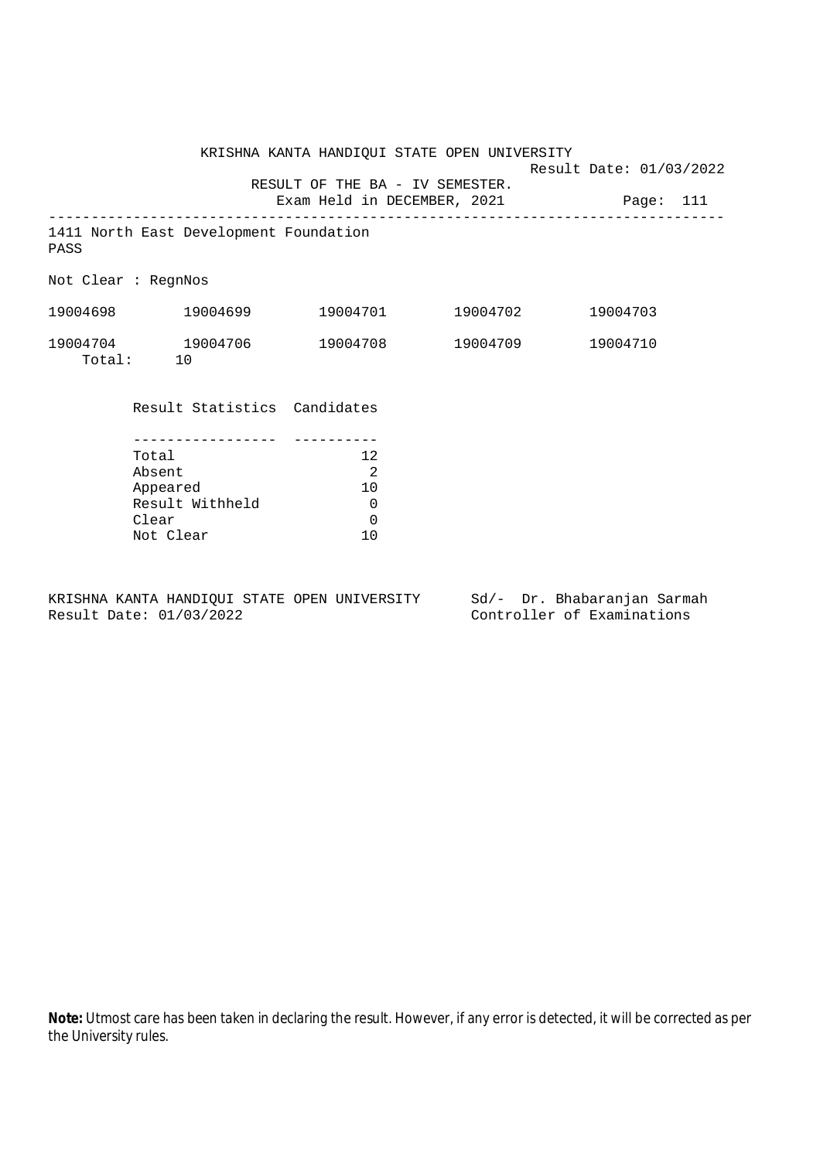KRISHNA KANTA HANDIQUI STATE OPEN UNIVERSITY Result Date: 01/03/2022 RESULT OF THE BA - IV SEMESTER. Exam Held in DECEMBER, 2021 Page: 111 -------------------------------------------------------------------------------- 1411 North East Development Foundation PASS Not Clear : RegnNos 19004698 19004699 19004701 19004702 19004703 19004704 19004706 19004708 19004709 19004710 Total: 10 Result Statistics Candidates ----------------- ---------- Total 12 Absent 2 Appeared 10<br>Result Withheld 0

KRISHNA KANTA HANDIQUI STATE OPEN UNIVERSITY Sd/- Dr. Bhabaranjan Sarmah Result Date: 01/03/2022 Controller of Examinations

Clear 0<br>Not Clear 10

Result Withheld 0

Not Clear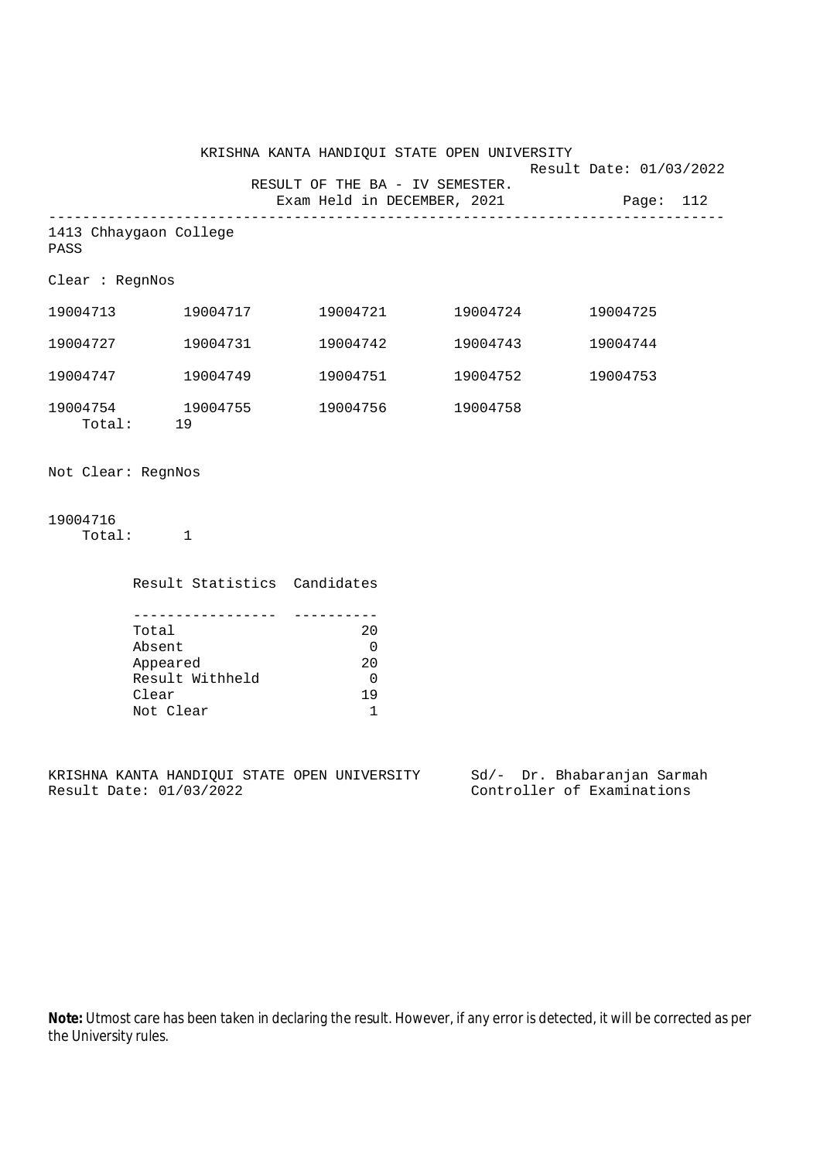|                    |                                                  | KRISHNA KANTA HANDIQUI STATE OPEN UNIVERSITY                             |                   |                         |          |  |
|--------------------|--------------------------------------------------|--------------------------------------------------------------------------|-------------------|-------------------------|----------|--|
|                    |                                                  | RESULT OF THE BA - IV SEMESTER.<br>Exam Held in DECEMBER, 2021 Page: 112 |                   | Result Date: 01/03/2022 |          |  |
| PASS               | 1413 Chhaygaon College                           |                                                                          |                   |                         |          |  |
| Clear : RegnNos    |                                                  |                                                                          |                   |                         |          |  |
|                    | 19004713 19004717                                |                                                                          | 19004721 19004724 |                         | 19004725 |  |
|                    | 19004727 19004731                                |                                                                          | 19004742 19004743 |                         | 19004744 |  |
|                    | 19004747 19004749                                |                                                                          | 19004751 19004752 |                         | 19004753 |  |
|                    | 19004754 19004755<br>Total: 19                   | 19004756 19004758                                                        |                   |                         |          |  |
| Not Clear: RegnNos |                                                  |                                                                          |                   |                         |          |  |
| 19004716           | Total: 1                                         |                                                                          |                   |                         |          |  |
|                    | Result Statistics Candidates                     |                                                                          |                   |                         |          |  |
|                    | -----------------<br>Total<br>Absent<br>Appeared | 20<br>$\overline{0}$<br>20                                               |                   |                         |          |  |

KRISHNA KANTA HANDIQUI STATE OPEN UNIVERSITY Sd/- Dr. Bhabaranjan Sarmah<br>Result Date: 01/03/2022 Controller of Examinations

Not Clear 1

Result Withheld 0 Clear 19

Controller of Examinations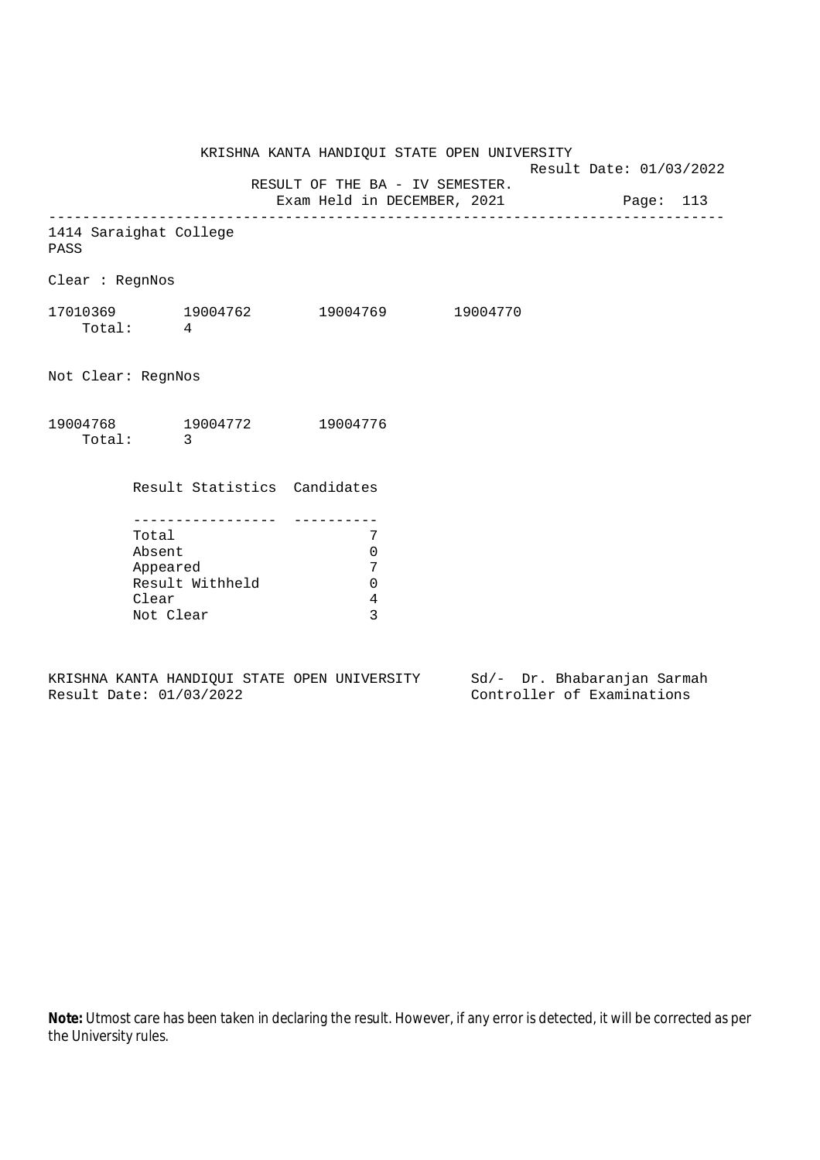KRISHNA KANTA HANDIQUI STATE OPEN UNIVERSITY Result Date: 01/03/2022 RESULT OF THE BA - IV SEMESTER. Exam Held in DECEMBER, 2021 Page: 113 -------------------------------------------------------------------------------- 1414 Saraighat College PASS Clear : RegnNos 17010369 19004762 19004769 19004770 Total: 4 Not Clear: RegnNos 19004768 19004772 19004776 Total: 3 Result Statistics Candidates ----------------- ---------- Total 7 Absent 0 Appeared 7 Result Withheld 0 Clear 4 Not Clear 3

KRISHNA KANTA HANDIQUI STATE OPEN UNIVERSITY Sd/- Dr. Bhabaranjan Sarmah Result Date: 01/03/2022 Controller of Examinations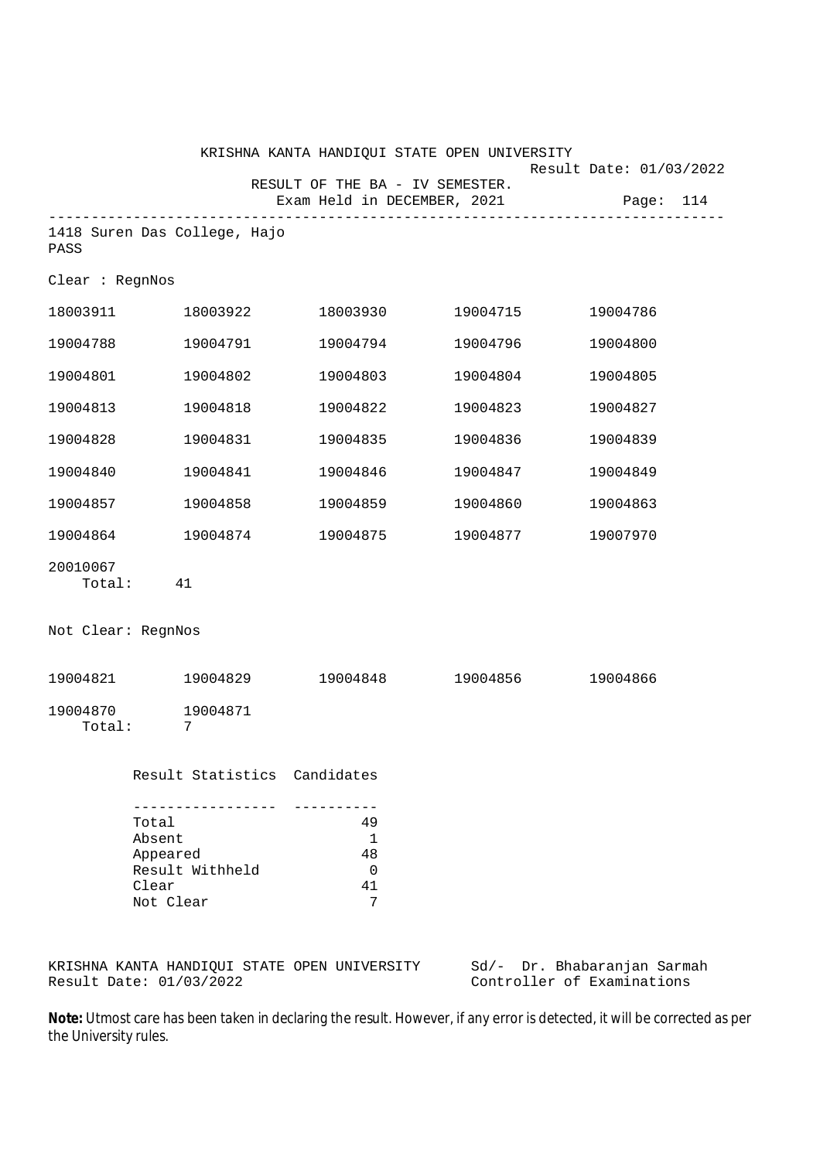|                    |                                                                                           |                                                                  | KRISHNA KANTA HANDIQUI STATE OPEN UNIVERSITY | Result Date: 01/03/2022     |
|--------------------|-------------------------------------------------------------------------------------------|------------------------------------------------------------------|----------------------------------------------|-----------------------------|
|                    |                                                                                           | RESULT OF THE BA - IV SEMESTER.<br>Exam Held in DECEMBER, 2021   |                                              | Page: 114                   |
| PASS               | 1418 Suren Das College, Hajo                                                              |                                                                  | ------------------------------               |                             |
| Clear : RegnNos    |                                                                                           |                                                                  |                                              |                             |
|                    | 18003911 18003922                                                                         |                                                                  | 18003930 19004715                            | 19004786                    |
| 19004788           | 19004791                                                                                  | 19004794                                                         | 19004796                                     | 19004800                    |
| 19004801           | 19004802                                                                                  | 19004803                                                         | 19004804                                     | 19004805                    |
| 19004813           | 19004818                                                                                  | 19004822                                                         | 19004823                                     | 19004827                    |
| 19004828           | 19004831                                                                                  | 19004835                                                         | 19004836                                     | 19004839                    |
| 19004840           | 19004841                                                                                  | 19004846                                                         | 19004847                                     | 19004849                    |
| 19004857           | 19004858                                                                                  | 19004859                                                         | 19004860                                     | 19004863                    |
| 19004864           | 19004874                                                                                  |                                                                  | 19004875 19004877                            | 19007970                    |
| 20010067<br>Total: | 41                                                                                        |                                                                  |                                              |                             |
| Not Clear: RegnNos |                                                                                           |                                                                  |                                              |                             |
|                    | 19004821 19004829                                                                         | 19004848                                                         | 19004856                                     | 19004866                    |
| 19004870<br>Total: | 19004871<br>7                                                                             |                                                                  |                                              |                             |
|                    | Result Statistics Candidates                                                              |                                                                  |                                              |                             |
|                    | -----------------<br>Total<br>Absent<br>Appeared<br>Result Withheld<br>Clear<br>Not Clear | __________<br>49<br>$\mathbf{1}$<br>48<br>$\mathbf 0$<br>41<br>7 |                                              |                             |
|                    | KRISHNA KANTA HANDIQUI STATE OPEN UNIVERSITY                                              |                                                                  |                                              | Sd/- Dr. Bhabaranjan Sarmah |

Result Date: 01/03/2022 Controller of Examinations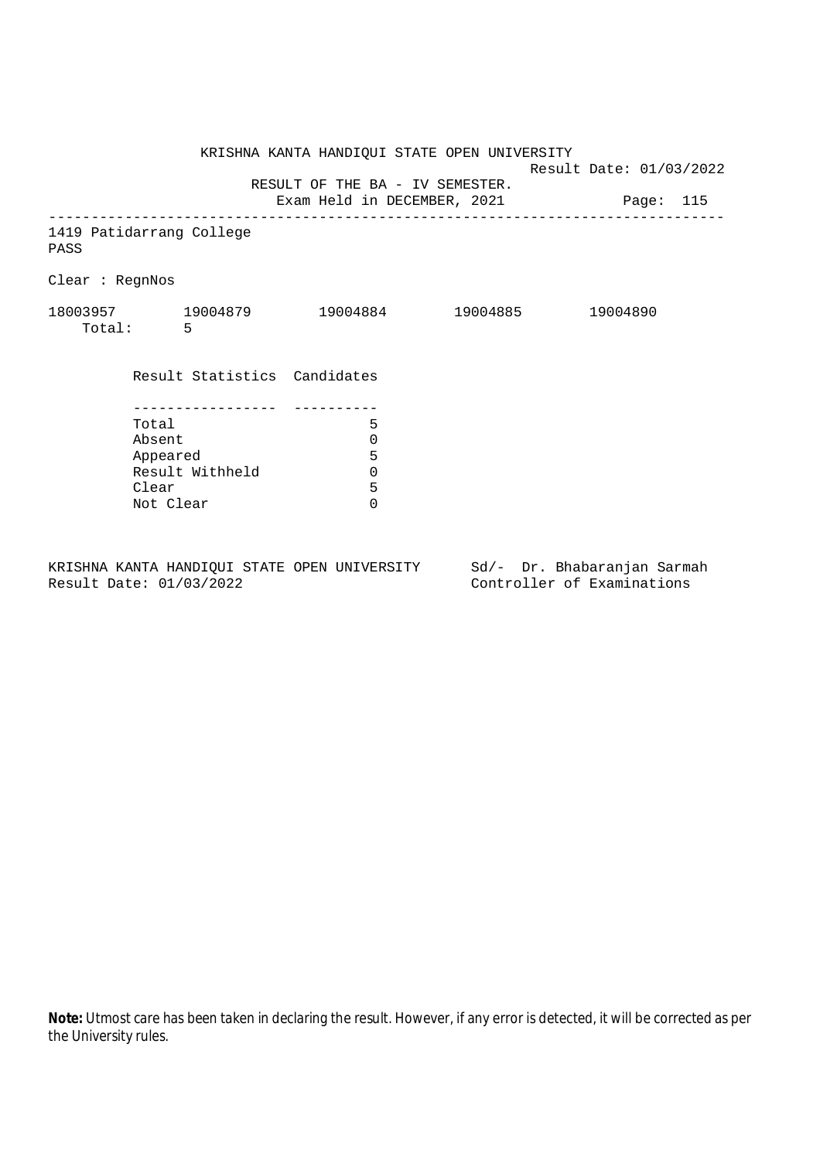KRISHNA KANTA HANDIQUI STATE OPEN UNIVERSITY Result Date: 01/03/2022 RESULT OF THE BA - IV SEMESTER. Exam Held in DECEMBER, 2021 Page: 115 -------------------------------------------------------------------------------- 1419 Patidarrang College PASS Clear : RegnNos 18003957 19004879 19004884 19004885 19004890 Total: 5 Result Statistics Candidates ----------------- ---------- Total 5 Absent<br>
Appeared 5<br>
Result Withheld 0<br>
Clear 5 Appeared Result Withheld 0 Clear Not Clear 0

KRISHNA KANTA HANDIQUI STATE OPEN UNIVERSITY Sd/- Dr. Bhabaranjan Sarmah Result Date: 01/03/2022 Controller of Examinations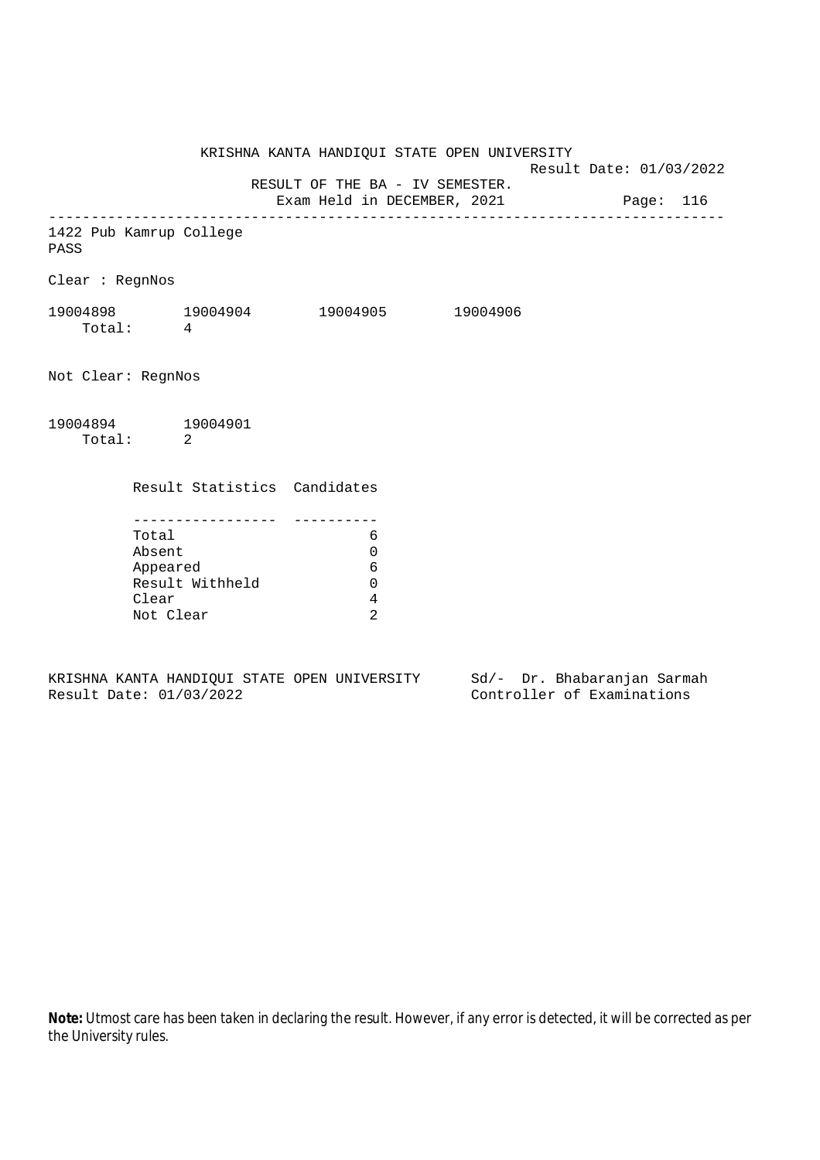KRISHNA KANTA HANDIQUI STATE OPEN UNIVERSITY Result Date: 01/03/2022 RESULT OF THE BA - IV SEMESTER. Exam Held in DECEMBER, 2021 Page: 116 --------------------------------------------------------------------------------

1422 Pub Kamrup College PASS

Clear : RegnNos

| 19004898 | 19004904 | 19004905 | 19004906 |
|----------|----------|----------|----------|
| Total:   |          |          |          |

Not Clear: RegnNos

19004894 19004901 Total: 2

Result Statistics Candidates

| Total           |  |
|-----------------|--|
| Absent          |  |
| Appeared        |  |
| Result Withheld |  |
| Clear           |  |
| Not Clear       |  |

KRISHNA KANTA HANDIQUI STATE OPEN UNIVERSITY Sd/- Dr. Bhabaranjan Sarmah Result Date: 01/03/2022 Controller of Examinations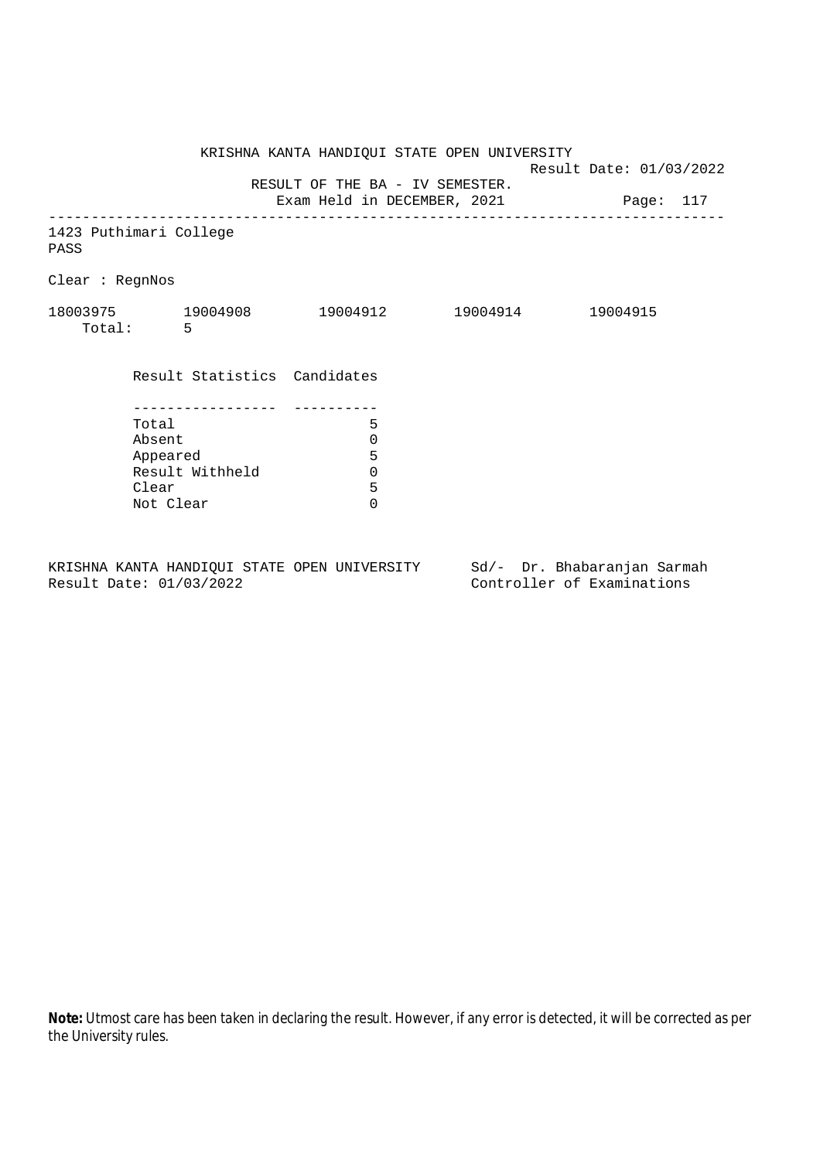KRISHNA KANTA HANDIQUI STATE OPEN UNIVERSITY Result Date: 01/03/2022 RESULT OF THE BA - IV SEMESTER. Exam Held in DECEMBER, 2021 Page: 117 -------------------------------------------------------------------------------- 1423 Puthimari College PASS Clear : RegnNos 18003975 19004908 19004912 19004914 19004915 Total: 5 Result Statistics Candidates ----------------- ---------- Total 5 Absent<br>
Appeared 5<br>
Result Withheld 0<br>
Clear 5 Appeared Result Withheld 0 Clear Not Clear 0

KRISHNA KANTA HANDIQUI STATE OPEN UNIVERSITY Sd/- Dr. Bhabaranjan Sarmah Result Date: 01/03/2022 Controller of Examinations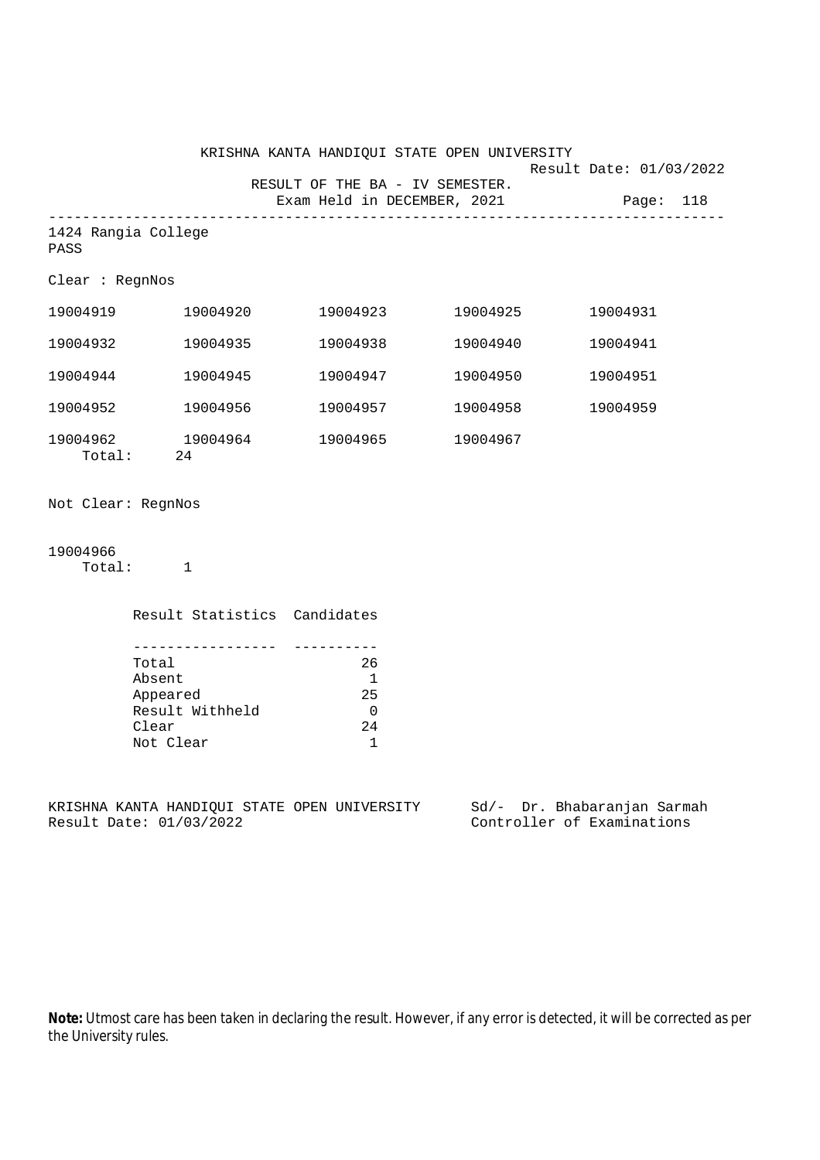|                    |                                                                                           |          | KRISHNA KANTA HANDIQUI STATE OPEN UNIVERSITY                         |          |                                                                                                        |  |
|--------------------|-------------------------------------------------------------------------------------------|----------|----------------------------------------------------------------------|----------|--------------------------------------------------------------------------------------------------------|--|
|                    |                                                                                           |          | RESULT OF THE BA - IV SEMESTER.                                      |          | Result Date: 01/03/2022<br>Exam Held in DECEMBER, 2021 Page: 118                                       |  |
| PASS               | 1424 Rangia College                                                                       |          |                                                                      |          |                                                                                                        |  |
| Clear : RegnNos    |                                                                                           |          |                                                                      |          |                                                                                                        |  |
|                    |                                                                                           |          | 19004923                                                             | 19004925 | 19004931                                                                                               |  |
| 19004932           | 19004935                                                                                  |          | 19004938                                                             | 19004940 | 19004941                                                                                               |  |
| 19004944           |                                                                                           | 19004945 | 19004947                                                             | 19004950 | 19004951                                                                                               |  |
| 19004952           | 19004956                                                                                  |          | 19004957                                                             | 19004958 | 19004959                                                                                               |  |
|                    | 19004962 19004964<br>Total: 24                                                            |          | 19004965                                                             | 19004967 |                                                                                                        |  |
| Not Clear: RegnNos |                                                                                           |          |                                                                      |          |                                                                                                        |  |
| 19004966           | Total: 1                                                                                  |          |                                                                      |          |                                                                                                        |  |
|                    |                                                                                           |          | Result Statistics Candidates                                         |          |                                                                                                        |  |
|                    | -----------------<br>Total<br>Absent<br>Appeared<br>Result Withheld<br>Clear<br>Not Clear |          | 26<br>$\overline{1}$<br>25<br>$\overline{0}$<br>24<br>$\overline{1}$ |          |                                                                                                        |  |
|                    | Result Date: 01/03/2022                                                                   |          |                                                                      |          | KRISHNA KANTA HANDIQUI STATE OPEN UNIVERSITY Sd/- Dr. Bhabaranjan Sarmah<br>Controller of Examinations |  |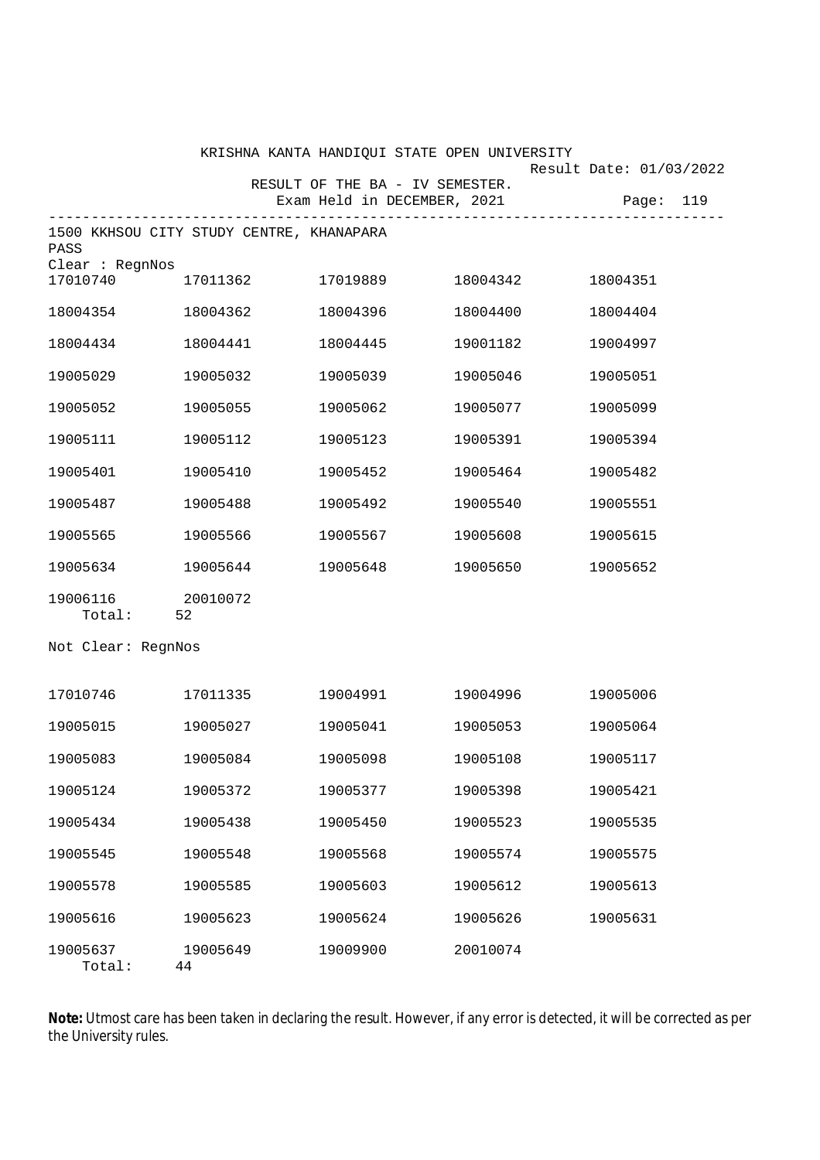|                                |                                             | KRISHNA KANTA HANDIQUI STATE OPEN UNIVERSITY                             |          | Result Date: 01/03/2022 |
|--------------------------------|---------------------------------------------|--------------------------------------------------------------------------|----------|-------------------------|
|                                |                                             | RESULT OF THE BA - IV SEMESTER.<br>Exam Held in DECEMBER, 2021 Page: 119 |          |                         |
|                                |                                             |                                                                          |          |                         |
| PASS                           | 1500 KKHSOU CITY STUDY CENTRE, KHANAPARA    |                                                                          |          |                         |
| Clear : RegnNos                | $17010740$ $17011362$ $17019889$ $18004342$ |                                                                          |          | 18004351                |
| 18004354                       | 18004362                                    | 18004396                                                                 | 18004400 | 18004404                |
| 18004434                       | 18004441                                    | 18004445                                                                 | 19001182 | 19004997                |
| 19005029                       | 19005032                                    | 19005039                                                                 | 19005046 | 19005051                |
| 19005052                       | 19005055                                    | 19005062                                                                 | 19005077 | 19005099                |
| 19005111                       | 19005112                                    | 19005123                                                                 | 19005391 | 19005394                |
| 19005401                       | 19005410                                    | 19005452                                                                 | 19005464 | 19005482                |
| 19005487                       | 19005488                                    | 19005492                                                                 | 19005540 | 19005551                |
| 19005565                       | 19005566                                    | 19005567                                                                 | 19005608 | 19005615                |
| 19005634                       | 19005644                                    | 19005648                                                                 | 19005650 | 19005652                |
| 19006116 20010072<br>Total: 52 |                                             |                                                                          |          |                         |
| Not Clear: RegnNos             |                                             |                                                                          |          |                         |
| 17010746 17011335              |                                             | 19004991                                                                 | 19004996 | 19005006                |
|                                |                                             |                                                                          |          |                         |
| 19005015                       | 19005027                                    | 19005041                                                                 | 19005053 | 19005064                |
| 19005083                       | 19005084                                    | 19005098                                                                 | 19005108 | 19005117                |
| 19005124                       | 19005372                                    | 19005377                                                                 | 19005398 | 19005421                |
| 19005434                       | 19005438                                    | 19005450                                                                 | 19005523 | 19005535                |
| 19005545                       | 19005548                                    | 19005568                                                                 | 19005574 | 19005575                |
| 19005578                       | 19005585                                    | 19005603                                                                 | 19005612 | 19005613                |
| 19005616                       | 19005623                                    | 19005624                                                                 | 19005626 | 19005631                |
| 19005637<br>Total:             | 19005649<br>44                              | 19009900                                                                 | 20010074 |                         |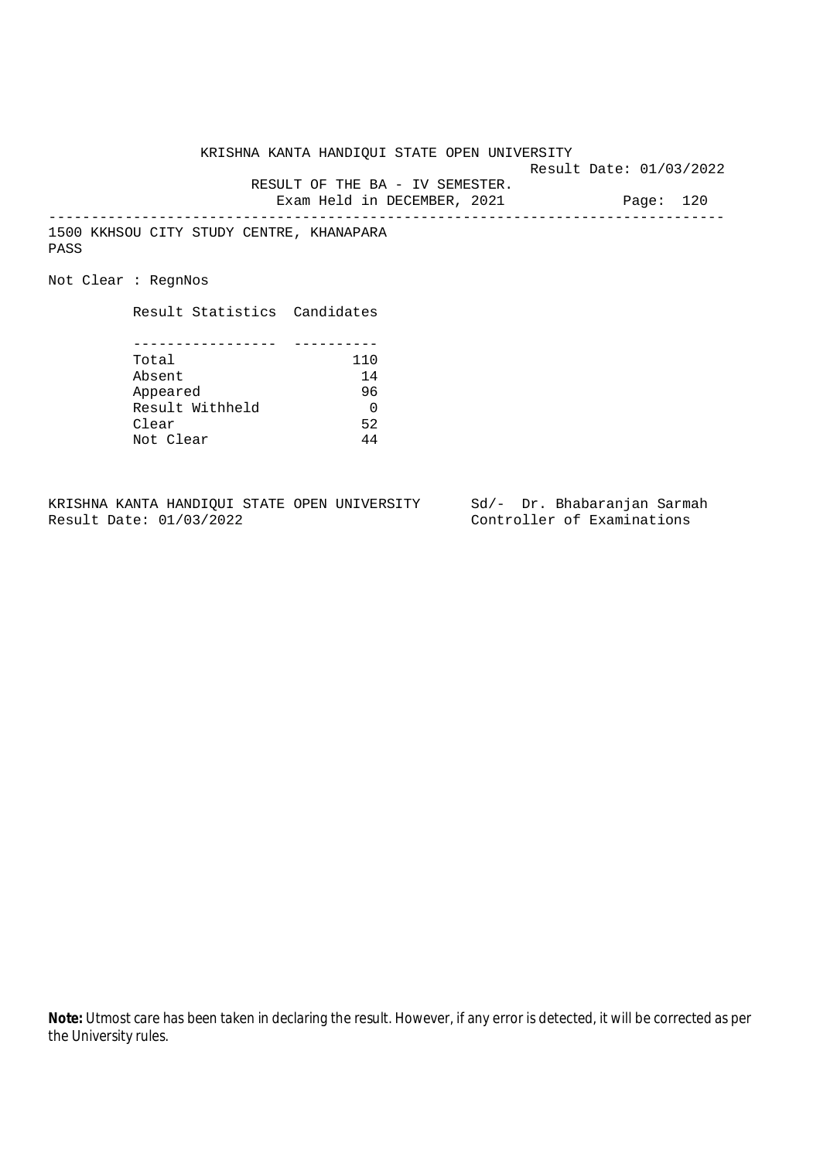KRISHNA KANTA HANDIQUI STATE OPEN UNIVERSITY

Result Date: 01/03/2022

 RESULT OF THE BA - IV SEMESTER. Exam Held in DECEMBER, 2021 Page: 120

--------------------------------------------------------------------------------

1500 KKHSOU CITY STUDY CENTRE, KHANAPARA PASS

Not Clear : RegnNos

Result Statistics Candidates

| Total           | 110 |
|-----------------|-----|
| Absent          | 14  |
| Appeared        | 96  |
| Result Withheld |     |
| Clear           | 52  |
| Not Clear       | ΔΔ  |

KRISHNA KANTA HANDIQUI STATE OPEN UNIVERSITY Sd/- Dr. Bhabaranjan Sarmah<br>Result Date: 01/03/2022 Controller of Examinations

Controller of Examinations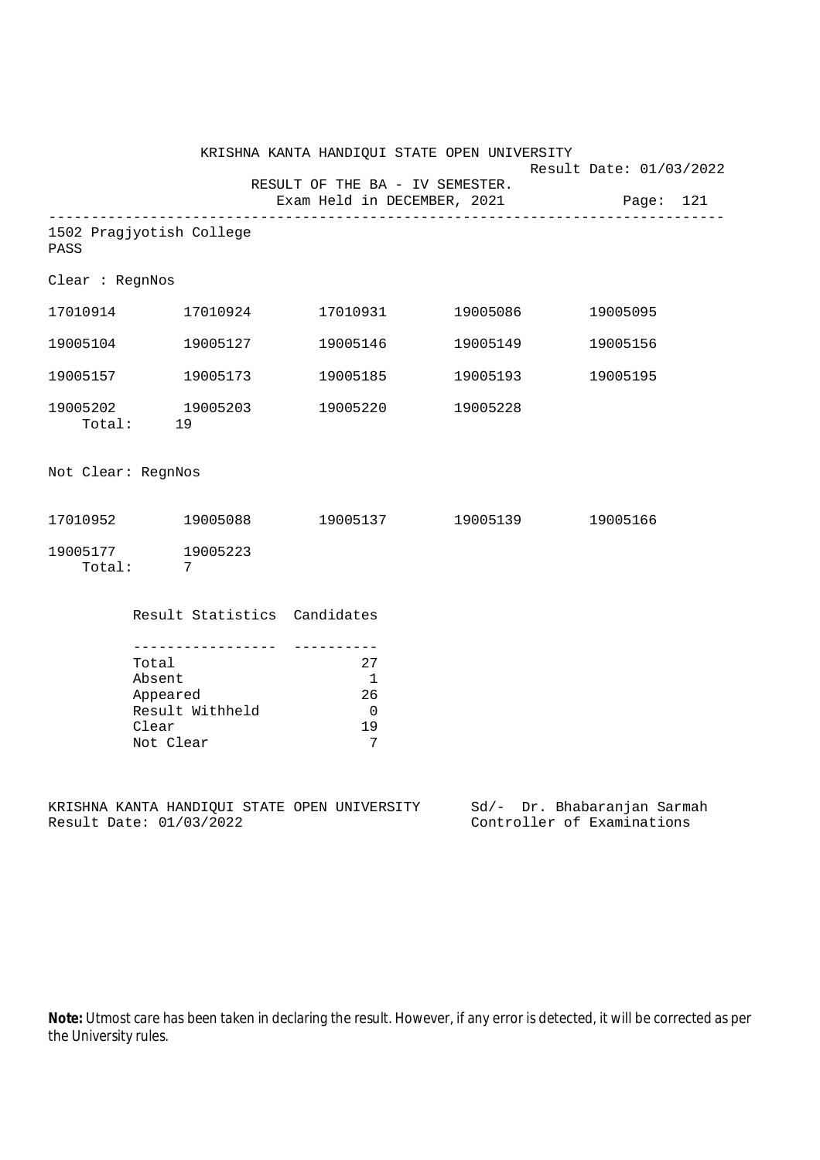|                                                                                            |                                              | KRISHNA KANTA HANDIQUI STATE OPEN UNIVERSITY            |                   | Result Date: 01/03/2022                                                                                |
|--------------------------------------------------------------------------------------------|----------------------------------------------|---------------------------------------------------------|-------------------|--------------------------------------------------------------------------------------------------------|
|                                                                                            |                                              | RESULT OF THE BA - IV SEMESTER.                         |                   | Exam Held in DECEMBER, 2021 Page: 121                                                                  |
| PASS                                                                                       | 1502 Pragjyotish College                     |                                                         |                   |                                                                                                        |
| Clear : RegnNos                                                                            |                                              |                                                         |                   |                                                                                                        |
|                                                                                            |                                              | 17010931 19005086                                       |                   | 19005095                                                                                               |
|                                                                                            | 19005104 19005127                            |                                                         |                   | 19005156                                                                                               |
|                                                                                            | 19005157 19005173                            |                                                         | 19005185 19005193 | 19005195                                                                                               |
| 19005202                                                                                   | 19005203<br>Total: 19                        | 19005220                                                | 19005228          |                                                                                                        |
| Not Clear: RegnNos                                                                         |                                              |                                                         |                   |                                                                                                        |
|                                                                                            | 17010952 19005088 19005137 19005139 19005166 |                                                         |                   |                                                                                                        |
| Total:                                                                                     | 19005177 19005223<br>$\overline{7}$          |                                                         |                   |                                                                                                        |
|                                                                                            | Result Statistics Candidates                 |                                                         |                   |                                                                                                        |
| ------------------<br>Total<br>Absent<br>Appeared<br>Result Withheld<br>Clear<br>Not Clear |                                              | 27<br>$\overline{1}$<br>26<br>$\overline{0}$<br>19<br>7 |                   |                                                                                                        |
|                                                                                            | Result Date: 01/03/2022                      |                                                         |                   | KRISHNA KANTA HANDIQUI STATE OPEN UNIVERSITY Sd/- Dr. Bhabaranjan Sarmah<br>Controller of Examinations |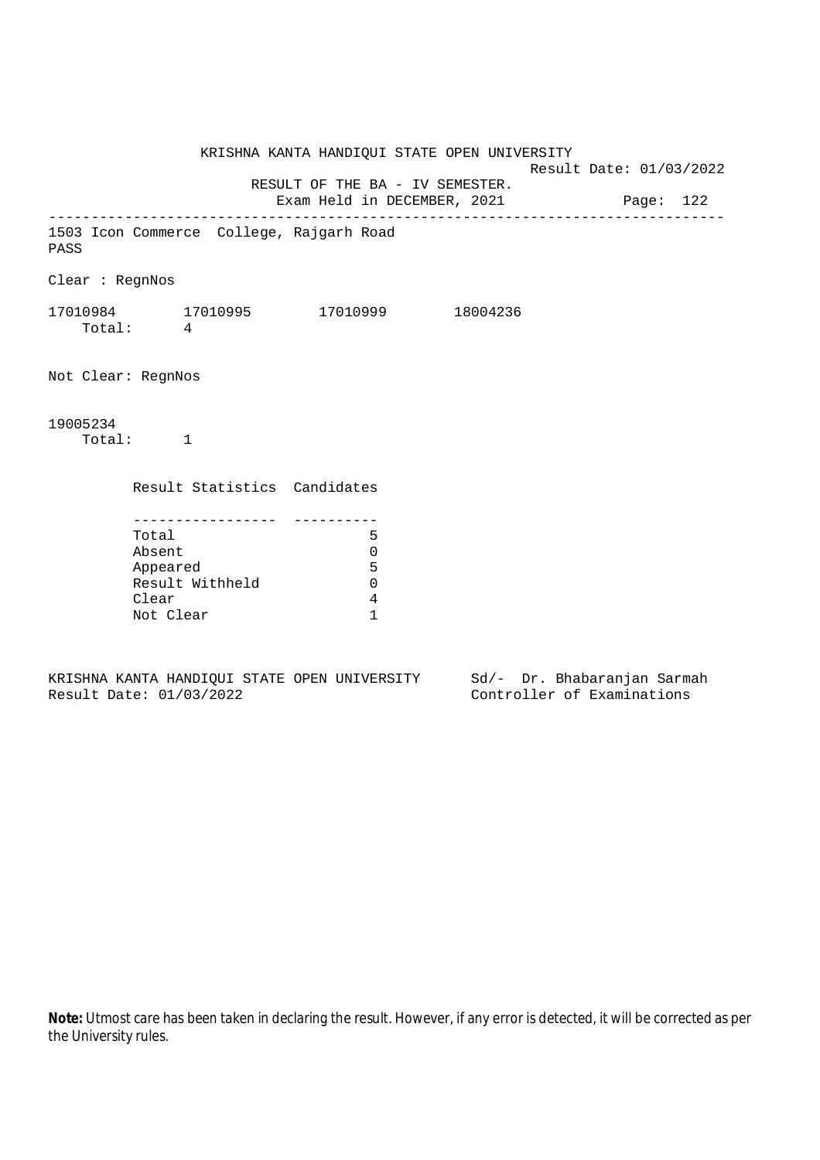KRISHNA KANTA HANDIQUI STATE OPEN UNIVERSITY Result Date: 01/03/2022 RESULT OF THE BA - IV SEMESTER. Exam Held in DECEMBER, 2021 Page: 122 -------------------------------------------------------------------------------- 1503 Icon Commerce College, Rajgarh Road PASS Clear : RegnNos 17010984 17010995 17010999 18004236 Total: 4 Not Clear: RegnNos 19005234 Total: 1 Result Statistics Candidates ----------------- ---------- Total 5 Absent 0 Appeared 5 Result Withheld 0 Clear 4 Not Clear 1

KRISHNA KANTA HANDIQUI STATE OPEN UNIVERSITY Sd/- Dr. Bhabaranjan Sarmah Result Date: 01/03/2022 Controller of Examinations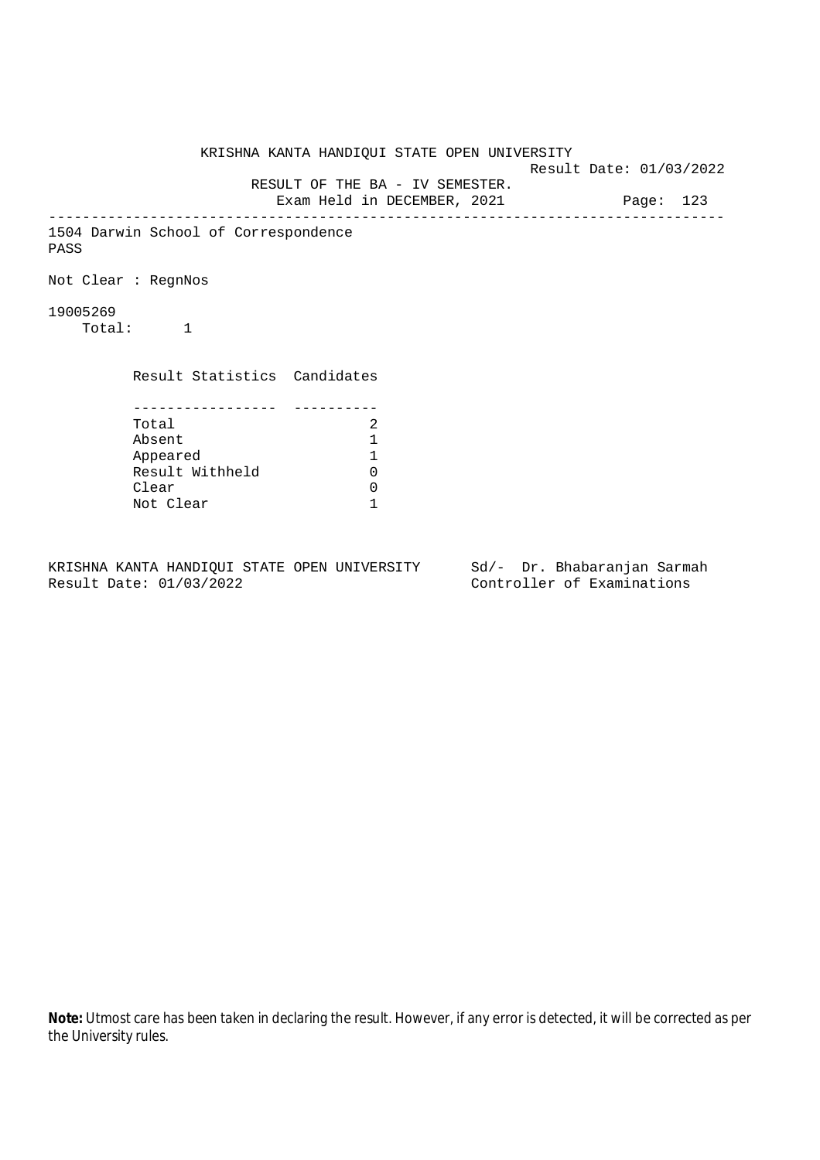KRISHNA KANTA HANDIQUI STATE OPEN UNIVERSITY Result Date: 01/03/2022 RESULT OF THE BA - IV SEMESTER. Exam Held in DECEMBER, 2021 Page: 123 -------------------------------------------------------------------------------- 1504 Darwin School of Correspondence PASS Not Clear : RegnNos 19005269 Total: 1 Result Statistics Candidates ----------------- ---------- Total 2<br>Absent 1 Absent 1 Appeared 1 Result Withheld Clear 0 Not Clear 1

KRISHNA KANTA HANDIQUI STATE OPEN UNIVERSITY Sd/- Dr. Bhabaranjan Sarmah Result Date: 01/03/2022 Controller of Examinations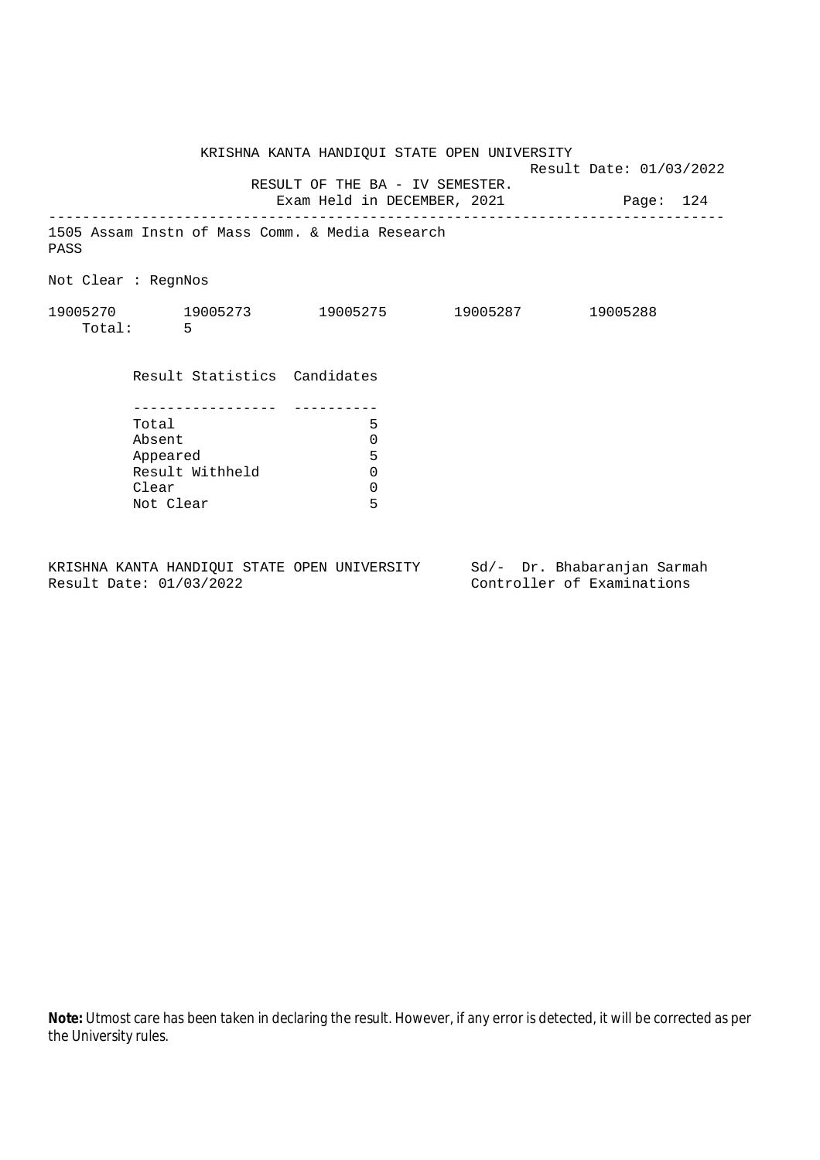|                     |                              | KRISHNA KANTA HANDIQUI STATE OPEN UNIVERSITY                             | Result Date: 01/03/2022 |  |
|---------------------|------------------------------|--------------------------------------------------------------------------|-------------------------|--|
|                     |                              | RESULT OF THE BA - IV SEMESTER.<br>Exam Held in DECEMBER, 2021 Page: 124 |                         |  |
| PASS                |                              | 1505 Assam Instn of Mass Comm. & Media Research                          |                         |  |
| Not Clear : RegnNos |                              |                                                                          |                         |  |
|                     | Total: 5                     | 19005270 19005273 19005275 19005287 19005288                             |                         |  |
|                     | Result Statistics Candidates |                                                                          |                         |  |
|                     | Total                        | 5                                                                        |                         |  |
|                     | Absent                       | 0                                                                        |                         |  |
|                     | Appeared                     | 5                                                                        |                         |  |
|                     | Result Withheld              | 0                                                                        |                         |  |
|                     | Clear                        | $\mathbf 0$                                                              |                         |  |
|                     | Not Clear                    | 5                                                                        |                         |  |

KRISHNA KANTA HANDIQUI STATE OPEN UNIVERSITY Sd/- Dr. Bhabaranjan Sarmah<br>Result Date: 01/03/2022 Controller of Examinations

Controller of Examinations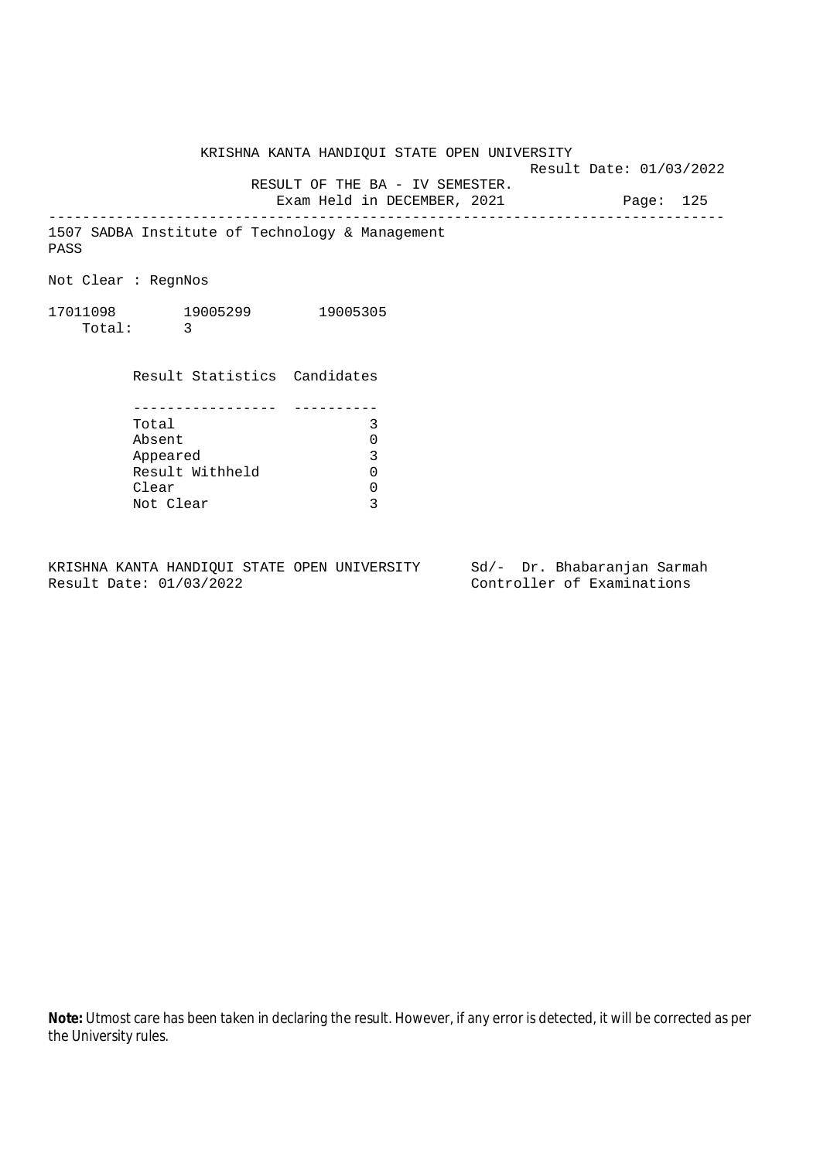KRISHNA KANTA HANDIQUI STATE OPEN UNIVERSITY

Result Date: 01/03/2022

 RESULT OF THE BA - IV SEMESTER. Exam Held in DECEMBER, 2021 Page: 125

--------------------------------------------------------------------------------

1507 SADBA Institute of Technology & Management PASS

Not Clear : RegnNos

17011098 19005299 19005305 Total: 3

> Result Statistics Candidates ----------------- ----------<br>Total 3

| Total           | 3 |
|-----------------|---|
| Absent          | U |
| Appeared        | 3 |
| Result Withheld | U |
| Clear           | U |
| Not Clear       | ς |

KRISHNA KANTA HANDIQUI STATE OPEN UNIVERSITY Sd/- Dr. Bhabaranjan Sarmah Result Date: 01/03/2022 Controller of Examinations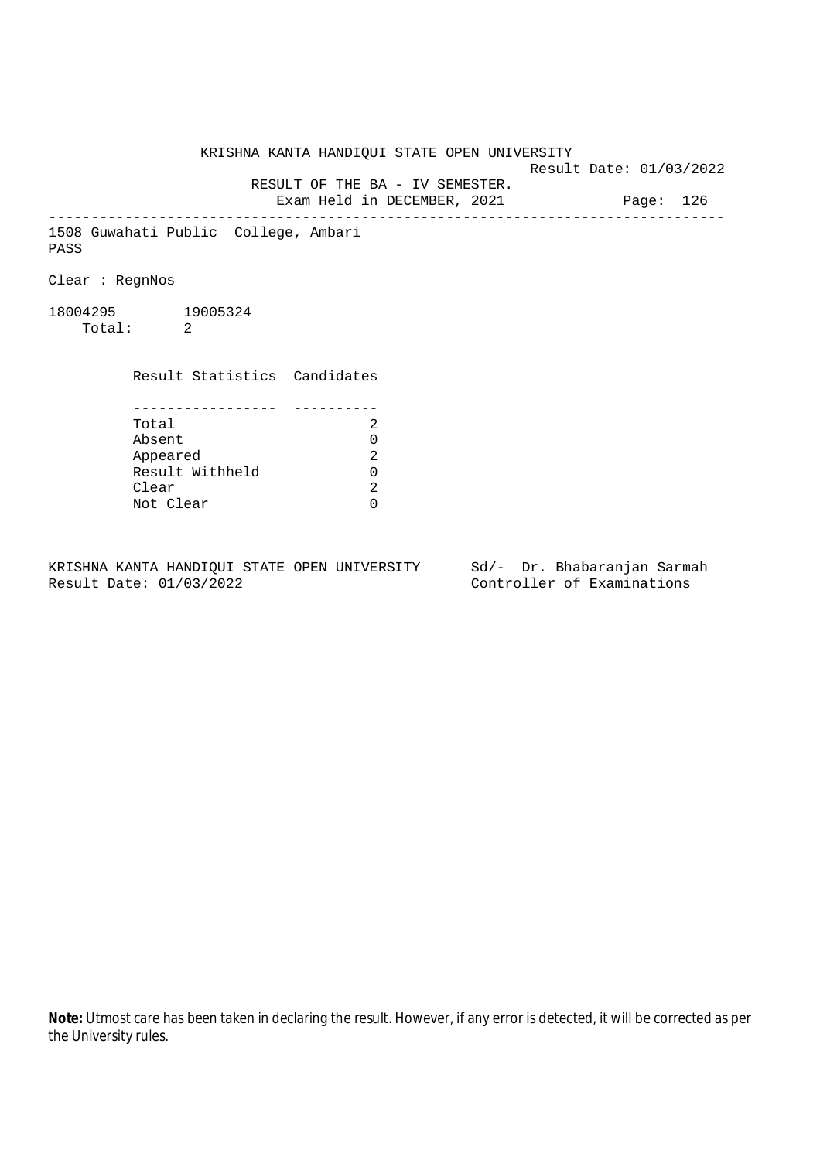KRISHNA KANTA HANDIQUI STATE OPEN UNIVERSITY Result Date: 01/03/2022 RESULT OF THE BA - IV SEMESTER. Exam Held in DECEMBER, 2021 Page: 126 -------------------------------------------------------------------------------- 1508 Guwahati Public College, Ambari PASS Clear : RegnNos 18004295 19005324 Total: 2 Result Statistics Candidates ----------------- ---------- Total 2 Absent<br>
Appeared 2<br>
Result Withheld 0<br>
Clear 2 Appeared Result Withheld 0 Clear Not Clear 0

KRISHNA KANTA HANDIQUI STATE OPEN UNIVERSITY Sd/- Dr. Bhabaranjan Sarmah Result Date: 01/03/2022 Controller of Examinations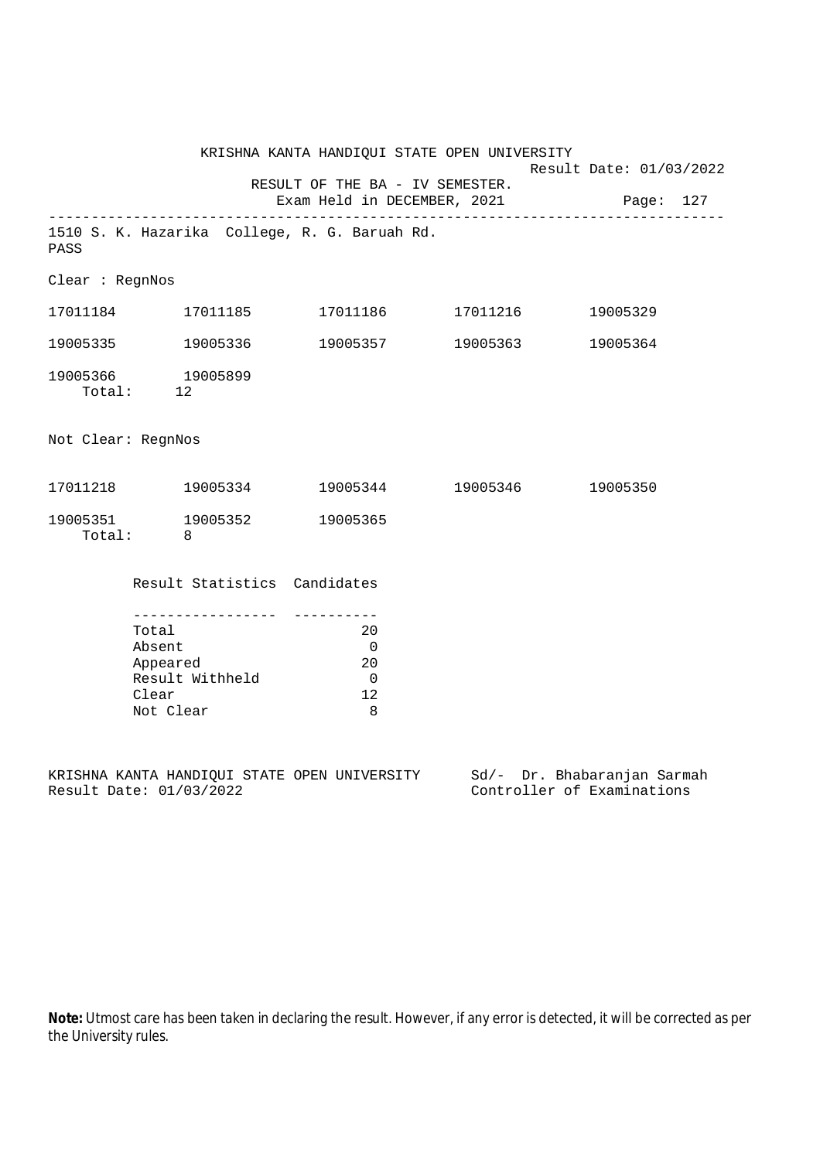|                    |                                                                      | KRISHNA KANTA HANDIQUI STATE OPEN UNIVERSITY                   | Result Date: 01/03/2022 |                             |
|--------------------|----------------------------------------------------------------------|----------------------------------------------------------------|-------------------------|-----------------------------|
|                    | ______________________________                                       | RESULT OF THE BA - IV SEMESTER.<br>Exam Held in DECEMBER, 2021 | Page: 127               |                             |
| PASS               | 1510 S. K. Hazarika College, R. G. Baruah Rd.                        |                                                                |                         |                             |
| Clear : RegnNos    |                                                                      |                                                                |                         |                             |
|                    | 17011184 17011185                                                    | 17011186 17011216                                              |                         | 19005329                    |
|                    | 19005335 19005336                                                    | 19005357 19005363                                              |                         | 19005364                    |
|                    | 19005366 19005899<br>Total: 12                                       |                                                                |                         |                             |
| Not Clear: RegnNos |                                                                      |                                                                |                         |                             |
|                    | 17011218    19005334                                                 |                                                                |                         | 19005344 19005346 19005350  |
|                    | 19005351 19005352<br>Total: 8                                        | 19005365                                                       |                         |                             |
|                    | Result Statistics Candidates                                         |                                                                |                         |                             |
|                    | Total<br>Absent<br>Appeared<br>Result Withheld<br>Clear<br>Not Clear | 20<br>$\overline{0}$<br>20<br>$\overline{0}$<br>12<br>8        |                         |                             |
|                    | KRISHNA KANTA HANDIQUI STATE OPEN UNIVERSITY                         |                                                                |                         | Sd/- Dr. Bhabaranjan Sarmah |

Result Date: 01/03/2022 Controller of Examinations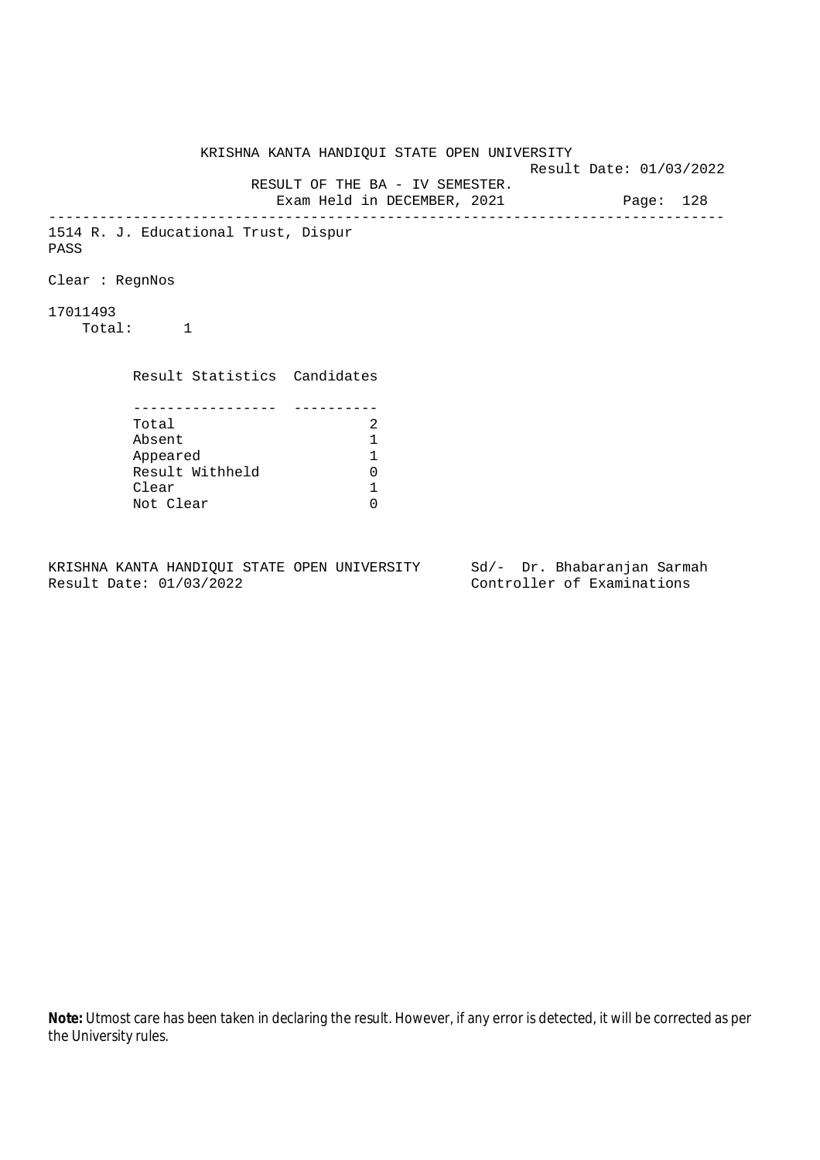KRISHNA KANTA HANDIQUI STATE OPEN UNIVERSITY Result Date: 01/03/2022 RESULT OF THE BA - IV SEMESTER. Exam Held in DECEMBER, 2021 Page: 128 -------------------------------------------------------------------------------- 1514 R. J. Educational Trust, Dispur PASS Clear : RegnNos 17011493 Total: 1 Result Statistics Candidates ----------------- ---------- Total 2<br>Absent 1 Absent<br>
Appeared 1<br>
Result Withheld 0<br>
Clear 1 Appeared 1 Result Withheld 0 Clear Not Clear 0

KRISHNA KANTA HANDIQUI STATE OPEN UNIVERSITY Sd/- Dr. Bhabaranjan Sarmah Result Date: 01/03/2022 Controller of Examinations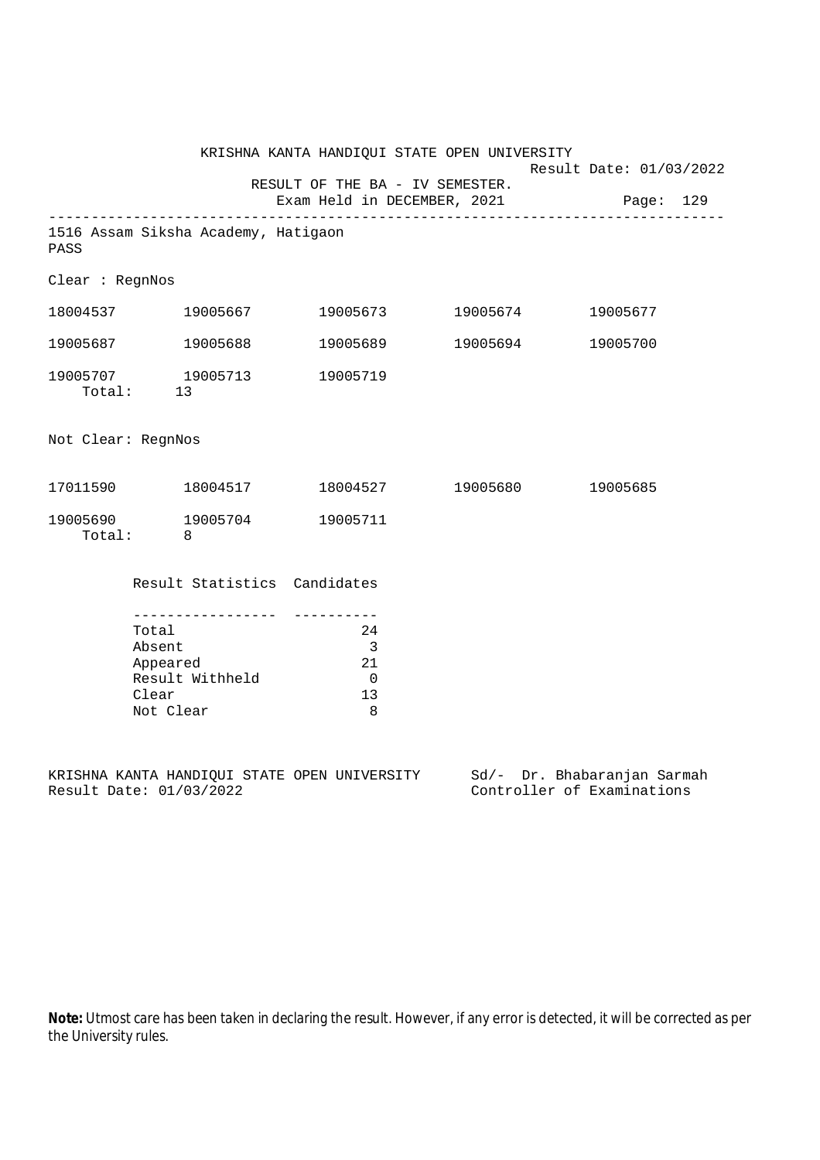| KRISHNA KANTA HANDIQUI STATE OPEN UNIVERSITY<br>RESULT OF THE BA - IV SEMESTER.<br>Exam Held in DECEMBER, 2021 Page: 129 |                                                   |                                       |                                                                                  | Result Date: 01/03/2022    |                             |          |  |
|--------------------------------------------------------------------------------------------------------------------------|---------------------------------------------------|---------------------------------------|----------------------------------------------------------------------------------|----------------------------|-----------------------------|----------|--|
|                                                                                                                          |                                                   |                                       |                                                                                  |                            |                             |          |  |
| PASS                                                                                                                     |                                                   | 1516 Assam Siksha Academy, Hatigaon   |                                                                                  |                            |                             |          |  |
| Clear : RegnNos                                                                                                          |                                                   |                                       |                                                                                  |                            |                             |          |  |
|                                                                                                                          |                                                   | 18004537 19005667                     |                                                                                  | 19005673 19005674          |                             | 19005677 |  |
| 19005687 19005688                                                                                                        |                                                   |                                       |                                                                                  | 19005689 19005694          |                             | 19005700 |  |
|                                                                                                                          |                                                   | 19005707 19005713<br>Total: 13        | 19005719                                                                         |                            |                             |          |  |
| Not Clear: RegnNos                                                                                                       |                                                   |                                       |                                                                                  |                            |                             |          |  |
|                                                                                                                          |                                                   |                                       |                                                                                  | 18004527 19005680 19005685 |                             |          |  |
|                                                                                                                          | Total: 8                                          | 19005690 19005704                     | 19005711                                                                         |                            |                             |          |  |
|                                                                                                                          |                                                   |                                       | Result Statistics Candidates                                                     |                            |                             |          |  |
|                                                                                                                          | Total<br>Absent<br>Appeared<br>Clear<br>Not Clear | __________________<br>Result Withheld | -----------<br>24<br>$\overline{\phantom{a}}$<br>21<br>$\overline{0}$<br>13<br>8 |                            |                             |          |  |
|                                                                                                                          |                                                   |                                       | KRISHNA KANTA HANDIQUI STATE OPEN UNIVERSITY                                     |                            | Sd/- Dr. Bhabaranjan Sarmah |          |  |

Result Date: 01/03/2022 Controller of Examinations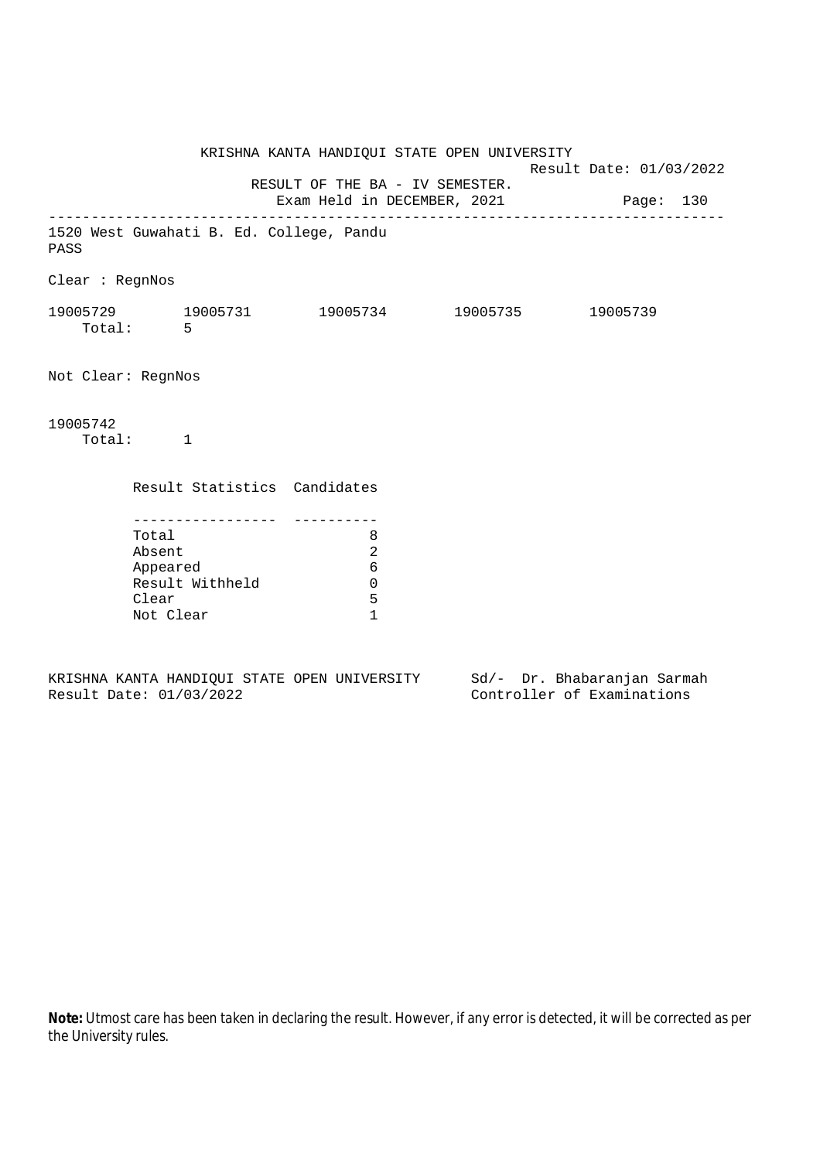KRISHNA KANTA HANDIQUI STATE OPEN UNIVERSITY Result Date: 01/03/2022 RESULT OF THE BA - IV SEMESTER. Exam Held in DECEMBER, 2021 Page: 130 -------------------------------------------------------------------------------- 1520 West Guwahati B. Ed. College, Pandu PASS Clear : RegnNos 19005729 19005731 19005734 19005735 19005739 Total: 5 Not Clear: RegnNos 19005742 Total: 1 Result Statistics Candidates ----------------- ---------- Total 8 Absent 2 Appeared 6 Result Withheld 0 Clear 5 Not Clear 1

KRISHNA KANTA HANDIQUI STATE OPEN UNIVERSITY Sd/- Dr. Bhabaranjan Sarmah Result Date: 01/03/2022 Controller of Examinations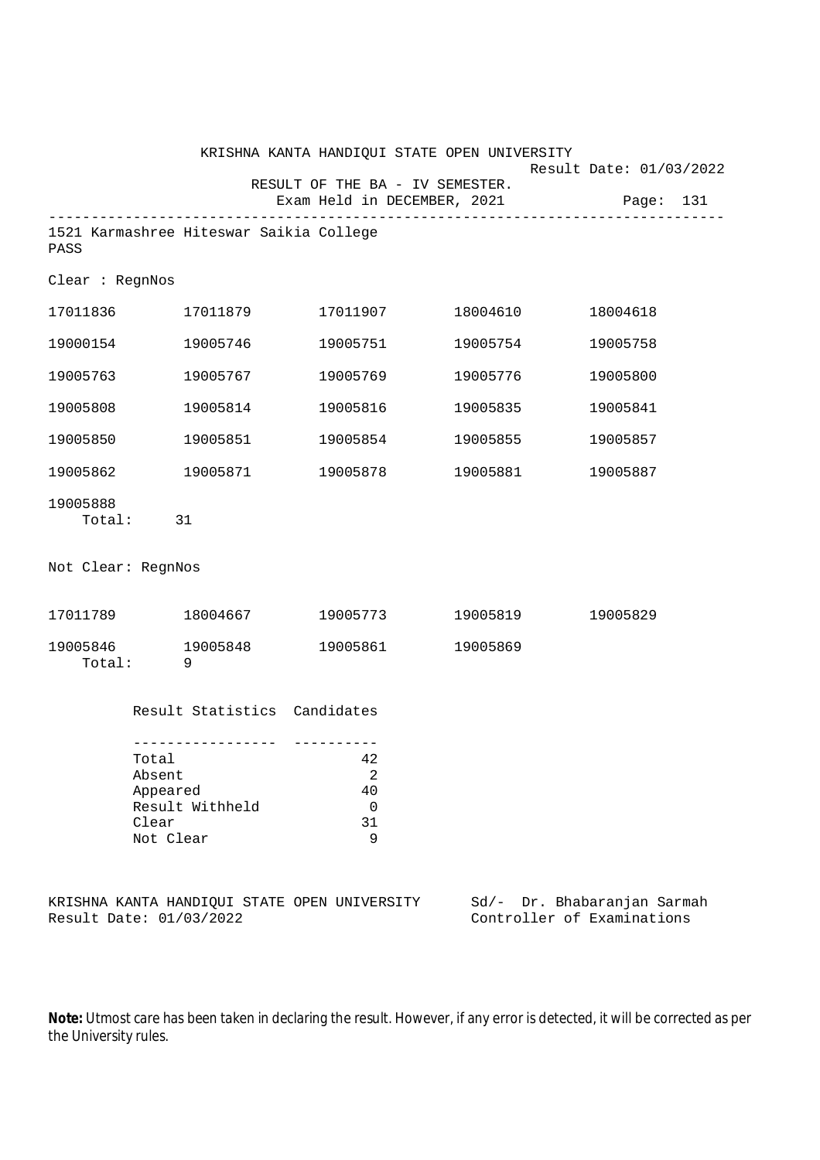|                    |                                                                      | KRISHNA KANTA HANDIQUI STATE OPEN UNIVERSITY |                   | Result Date: 01/03/2022               |
|--------------------|----------------------------------------------------------------------|----------------------------------------------|-------------------|---------------------------------------|
|                    |                                                                      | RESULT OF THE BA - IV SEMESTER.              |                   | Exam Held in DECEMBER, 2021 Page: 131 |
| PASS               | 1521 Karmashree Hiteswar Saikia College                              |                                              |                   |                                       |
| Clear : RegnNos    |                                                                      |                                              |                   |                                       |
| 17011836           | 17011879                                                             |                                              |                   | 18004618                              |
| 19000154           | 19005746                                                             | 19005751                                     | 19005754          | 19005758                              |
| 19005763           | 19005767                                                             | 19005769                                     | 19005776          | 19005800                              |
| 19005808           | 19005814                                                             | 19005816                                     | 19005835          | 19005841                              |
| 19005850           | 19005851                                                             | 19005854                                     | 19005855          | 19005857                              |
| 19005862           | 19005871                                                             |                                              |                   | 19005887                              |
| 19005888           | Total: 31                                                            |                                              |                   |                                       |
| Not Clear: RegnNos |                                                                      |                                              |                   |                                       |
|                    |                                                                      |                                              | 19005773 19005819 | 19005829                              |
| Total:             | 19005846 19005848<br>- 9                                             | 19005861                                     | 19005869          |                                       |
|                    | Result Statistics Candidates                                         |                                              |                   |                                       |
|                    | Total<br>Absent<br>Appeared<br>Result Withheld<br>Clear<br>Not Clear | 42<br>$\overline{a}$<br>40<br>0<br>31<br>9   |                   |                                       |
|                    |                                                                      | KRISHNA KANTA HANDIQUI STATE OPEN UNIVERSITY | Sd/-              | Dr. Bhabaranjan Sarmah                |

Result Date: 01/03/2022 Controller of Examinations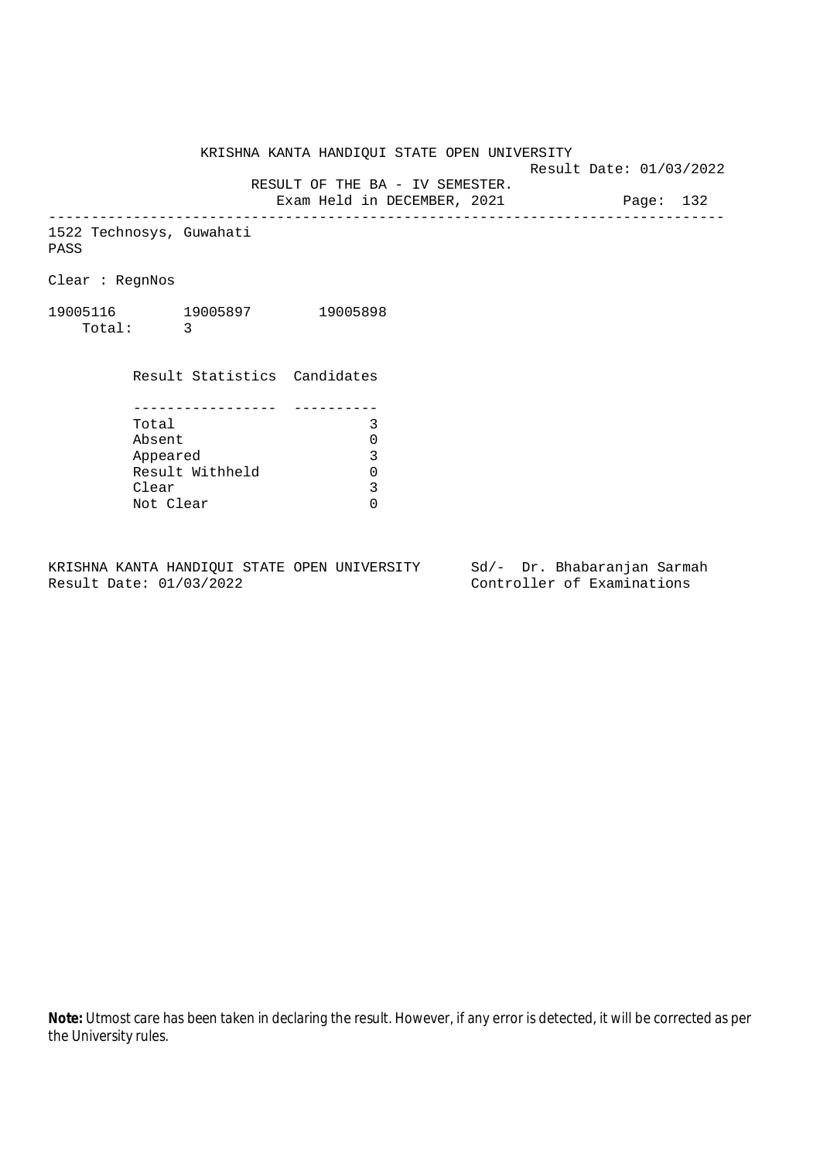KRISHNA KANTA HANDIQUI STATE OPEN UNIVERSITY

Result Date: 01/03/2022

RESULT OF THE BA - IV SEMESTER.

Exam Held in DECEMBER, 2021 Page: 132 --------------------------------------------------------------------------------

1522 Technosys, Guwahati PASS

Clear : RegnNos

19005116 19005897 19005898 Total: 3

| Result Statistics Candidates |   |
|------------------------------|---|
|                              |   |
|                              |   |
| Total                        |   |
| Absent                       |   |
| Appeared                     | ς |
| Result Withheld              |   |
| Clear                        | 3 |
| Not Clear                    |   |

KRISHNA KANTA HANDIQUI STATE OPEN UNIVERSITY Sd/- Dr. Bhabaranjan Sarmah<br>Result Date: 01/03/2022 Controller of Examinations

Controller of Examinations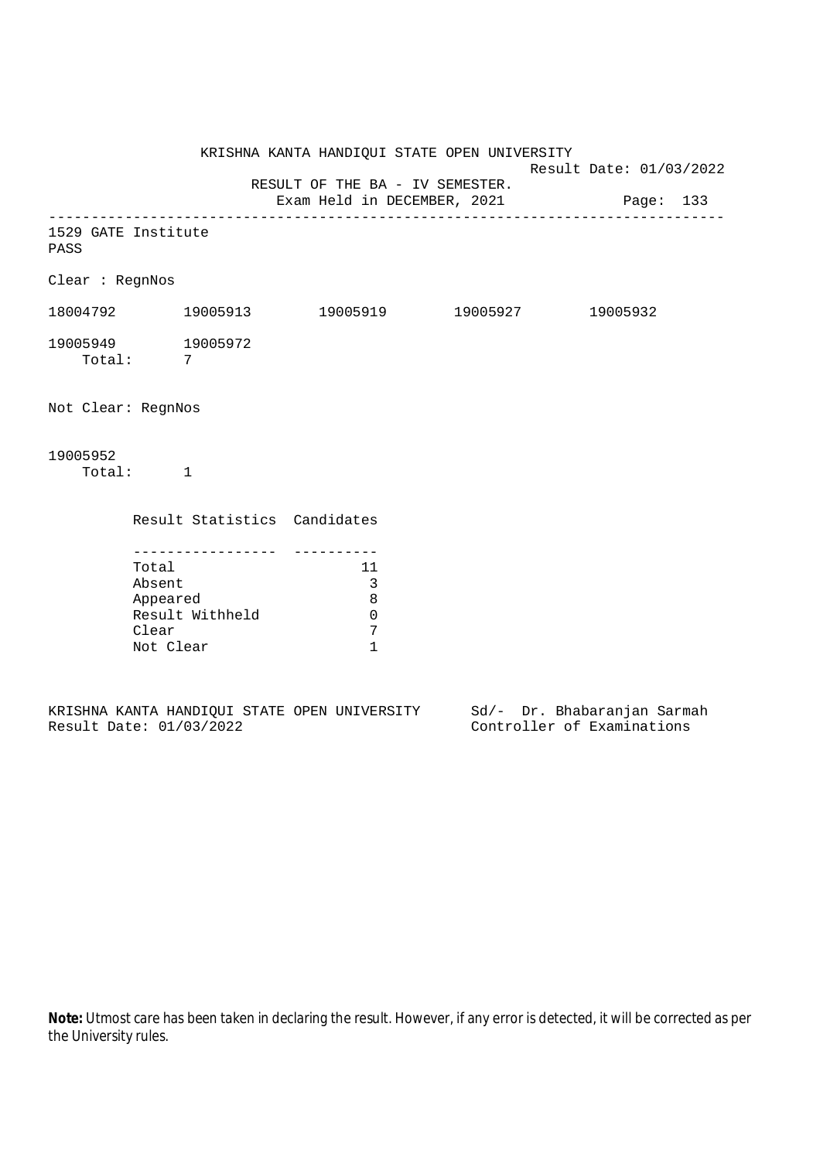KRISHNA KANTA HANDIQUI STATE OPEN UNIVERSITY Result Date: 01/03/2022 RESULT OF THE BA - IV SEMESTER. Exam Held in DECEMBER, 2021 Page: 133 -------------------------------------------------------------------------------- 1529 GATE Institute PASS Clear : RegnNos 18004792 19005913 19005919 19005927 19005932 19005949 19005972 Total: 7 Not Clear: RegnNos 19005952 Total: 1 Result Statistics Candidates ----------------- ---------- Total 11 Absent 3 Appeared 8 Result Withheld 0<br>Clear 7 Clear Not Clear 1

|  |                         |  | KRISHNA KANTA HANDIOUI STATE OPEN UNIVERSITY |  |  | Sd/- Dr. Bhabaranjan Sarmah |  |
|--|-------------------------|--|----------------------------------------------|--|--|-----------------------------|--|
|  | Result Date: 01/03/2022 |  |                                              |  |  | Controller of Examinations  |  |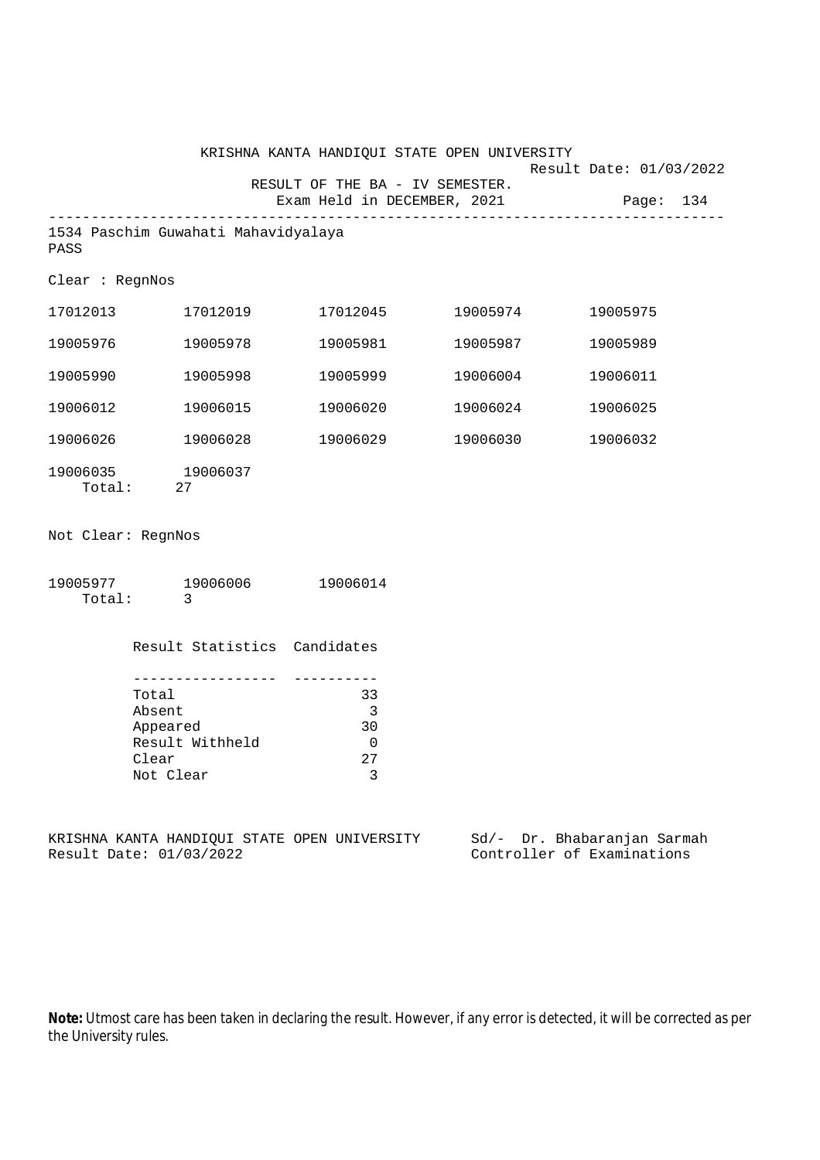|                                                                         |                              | KRISHNA KANTA HANDIQUI STATE OPEN UNIVERSITY                   |                            |                                      |
|-------------------------------------------------------------------------|------------------------------|----------------------------------------------------------------|----------------------------|--------------------------------------|
|                                                                         |                              | RESULT OF THE BA - IV SEMESTER.<br>Exam Held in DECEMBER, 2021 |                            | Result Date: 01/03/2022<br>Page: 134 |
| 1534 Paschim Guwahati Mahavidyalaya<br>PASS                             |                              |                                                                |                            |                                      |
| Clear : RegnNos                                                         |                              |                                                                |                            |                                      |
| 17012013 17012019                                                       |                              | 17012045                                                       | 19005974                   | 19005975                             |
| 19005976                                                                | 19005978                     | 19005981                                                       | 19005987                   | 19005989                             |
| 19005990                                                                | 19005998                     | 19005999                                                       | 19006004                   | 19006011                             |
| 19006012                                                                | 19006015                     | 19006020                                                       | 19006024                   | 19006025                             |
| 19006026 19006028                                                       |                              | 19006029                                                       | 19006030                   | 19006032                             |
| 19006035 19006037<br>Total: 27                                          |                              |                                                                |                            |                                      |
| Not Clear: RegnNos                                                      |                              |                                                                |                            |                                      |
| 19005977 19006006 19006014<br>Total:<br>$\overline{\mathbf{3}}$         |                              |                                                                |                            |                                      |
|                                                                         | Result Statistics Candidates |                                                                |                            |                                      |
|                                                                         |                              |                                                                |                            |                                      |
| Total<br>Absent                                                         |                              | 33<br>$\overline{\phantom{a}}$                                 |                            |                                      |
| Appeared                                                                |                              | 30                                                             |                            |                                      |
| Result Withheld                                                         |                              | $\overline{0}$                                                 |                            |                                      |
| Clear                                                                   |                              | 27                                                             |                            |                                      |
| Not Clear                                                               |                              | 3                                                              |                            |                                      |
| KRISHNA KANTA HANDIQUI STATE OPEN UNIVERSITY<br>Result Date: 01/03/2022 |                              |                                                                | Controller of Examinations | Sd/- Dr. Bhabaranjan Sarmah          |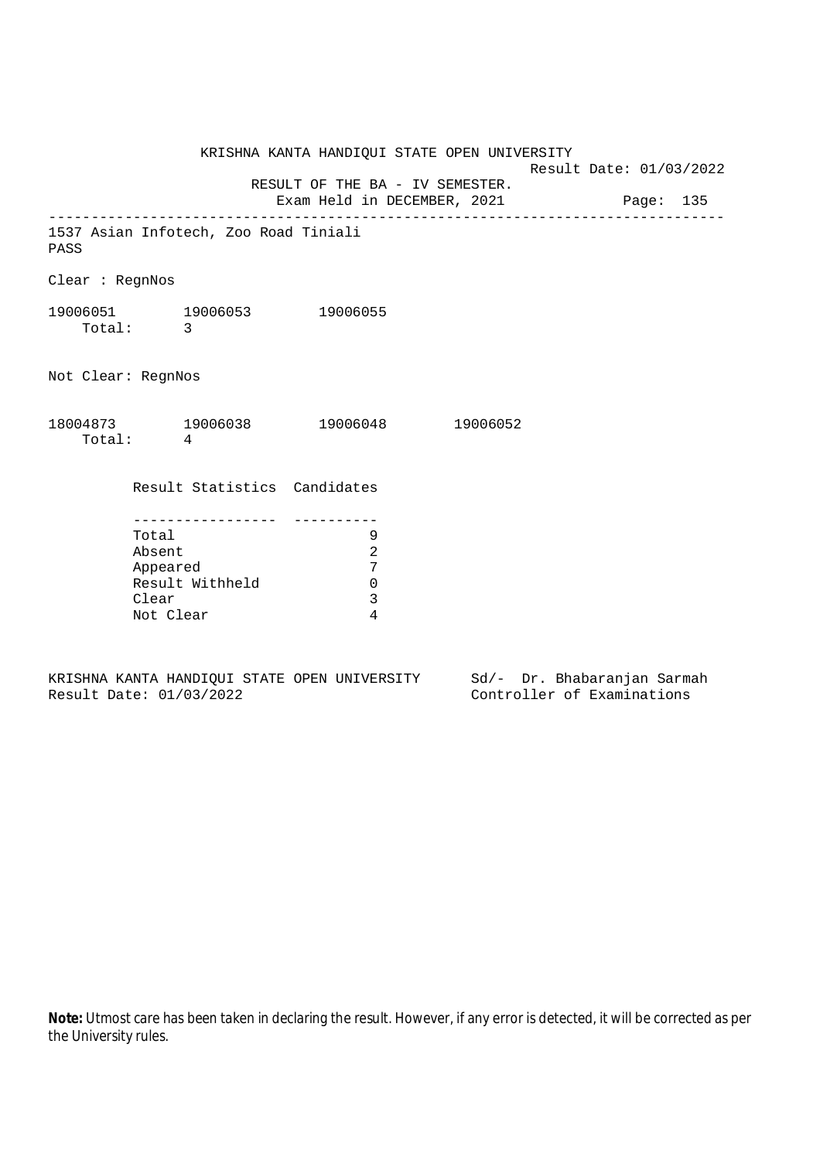KRISHNA KANTA HANDIQUI STATE OPEN UNIVERSITY Result Date: 01/03/2022 RESULT OF THE BA - IV SEMESTER. Exam Held in DECEMBER, 2021 Page: 135 -------------------------------------------------------------------------------- 1537 Asian Infotech, Zoo Road Tiniali PASS Clear : RegnNos 19006051 19006053 19006055 Total: 3 Not Clear: RegnNos 18004873 19006038 19006048 19006052 Total: 4 Result Statistics Candidates ----------------- ---------- Total 9 Absent 2 Appeared 7 Result Withheld 0 Clear 3 Not Clear 4

KRISHNA KANTA HANDIQUI STATE OPEN UNIVERSITY Sd/- Dr. Bhabaranjan Sarmah Result Date: 01/03/2022 Controller of Examinations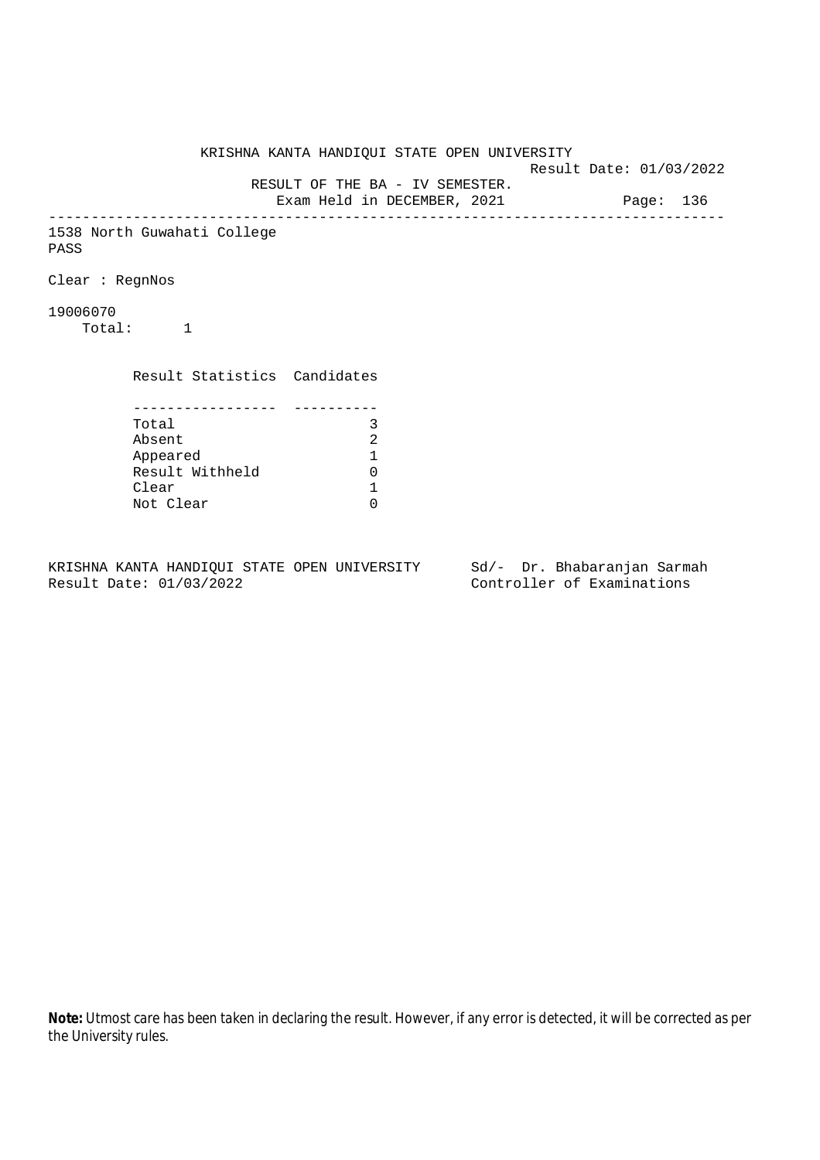KRISHNA KANTA HANDIQUI STATE OPEN UNIVERSITY Result Date: 01/03/2022 RESULT OF THE BA - IV SEMESTER. Exam Held in DECEMBER, 2021 Page: 136 -------------------------------------------------------------------------------- 1538 North Guwahati College PASS Clear : RegnNos 19006070 Total: 1 Result Statistics Candidates ----------------- ---------- Total 3<br>Absent 2 Absent<br>
Appeared 1<br>
Result Withheld 0<br>
Clear 1 Appeared 1 Result Withheld Clear Not Clear 0

KRISHNA KANTA HANDIQUI STATE OPEN UNIVERSITY Sd/- Dr. Bhabaranjan Sarmah Result Date: 01/03/2022 Controller of Examinations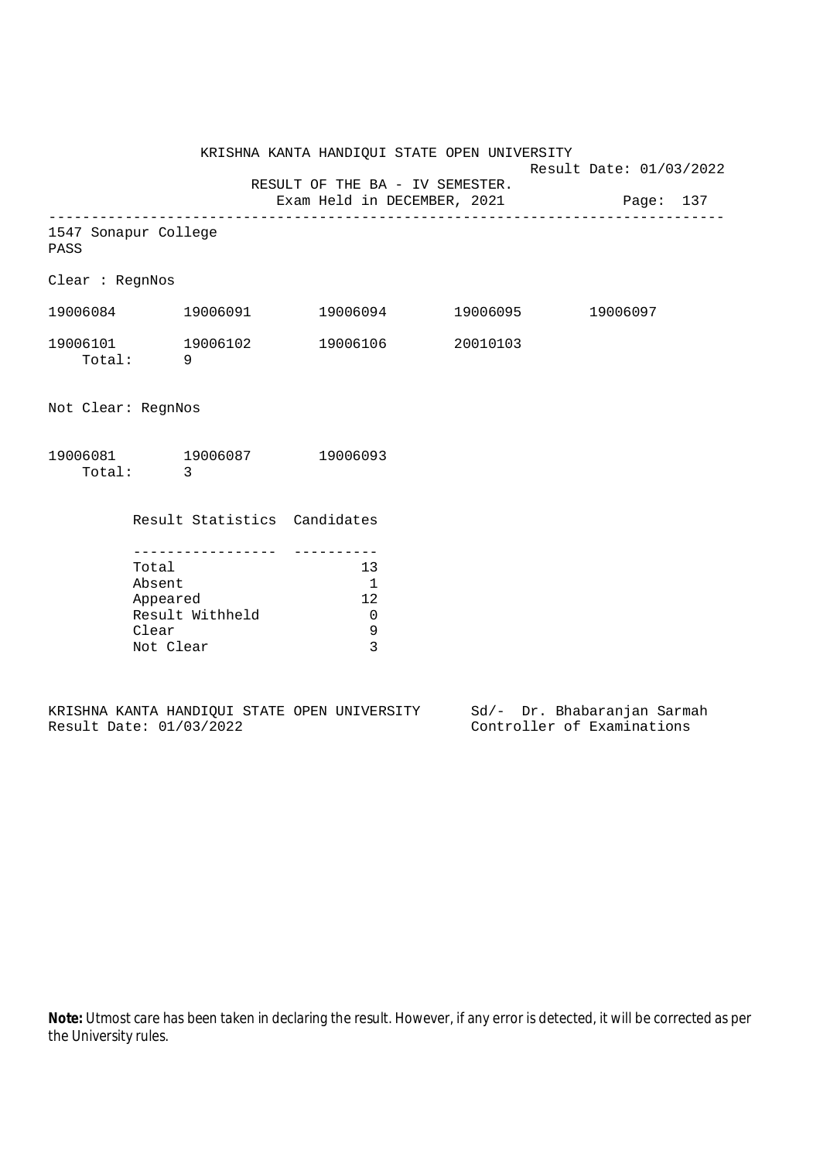KRISHNA KANTA HANDIQUI STATE OPEN UNIVERSITY

Result Date: 01/03/2022

RESULT OF THE BA - IV SEMESTER.

Exam Held in DECEMBER, 2021 Page: 137 --------------------------------------------------------------------------------

|     | 1547 Sonapur College |  |
|-----|----------------------|--|
| --- |                      |  |

PASS

Clear : RegnNos

| 19006084           | 19006091 | 19006094 | 19006095 | 19006097 |
|--------------------|----------|----------|----------|----------|
| 19006101<br>Total: | 19006102 | 19006106 | 20010103 |          |

Not Clear: RegnNos

| 19006081 | 19006087 | 19006093 |
|----------|----------|----------|
| Total:   |          |          |

Result Statistics Candidates

| Total           | 1 3 |
|-----------------|-----|
| Absent          |     |
| Appeared        | 12  |
| Result Withheld |     |
| Clear           |     |
| Not Clear       |     |

|  |                         |  | KRISHNA KANTA HANDIOUI STATE OPEN UNIVERSITY |  | Sd/- Dr. Bhabaranjan Sarmah |  |
|--|-------------------------|--|----------------------------------------------|--|-----------------------------|--|
|  | Result Date: 01/03/2022 |  |                                              |  | Controller of Examinations  |  |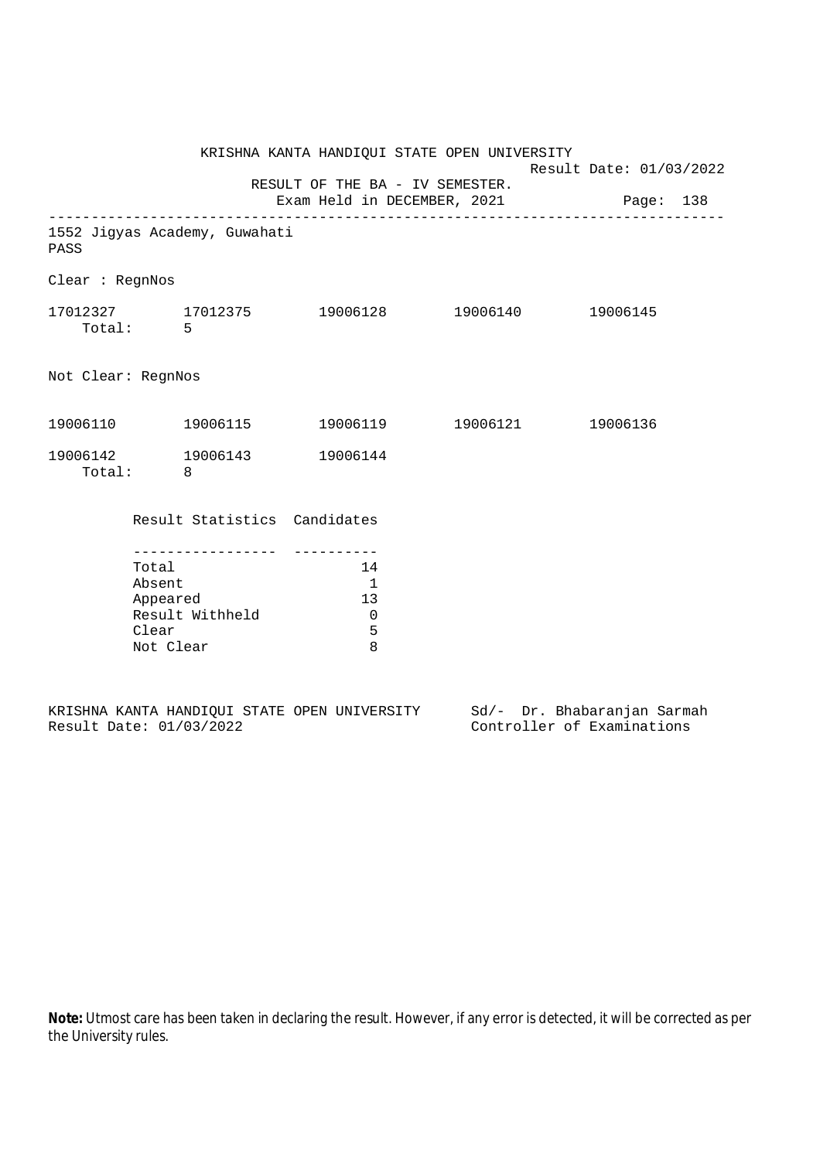|                    |                                                   |                                     | KRISHNA KANTA HANDIQUI STATE OPEN UNIVERSITY                     | Result Date: 01/03/2022 |  |  |
|--------------------|---------------------------------------------------|-------------------------------------|------------------------------------------------------------------|-------------------------|--|--|
|                    |                                                   |                                     | RESULT OF THE BA - IV SEMESTER.                                  |                         |  |  |
|                    |                                                   |                                     | Exam Held in DECEMBER, 2021 Page: 138                            |                         |  |  |
| PASS               |                                                   | 1552 Jigyas Academy, Guwahati       |                                                                  |                         |  |  |
| Clear : RegnNos    |                                                   |                                     |                                                                  |                         |  |  |
|                    | Total: 5                                          |                                     | $17012327$ $17012375$ $19006128$ $19006140$ $19006145$           |                         |  |  |
| Not Clear: RegnNos |                                                   |                                     |                                                                  |                         |  |  |
|                    |                                                   | 19006110  19006115                  | 19006119    19006121    19006136                                 |                         |  |  |
|                    | Total: 8                                          | 19006142 19006143 19006144          |                                                                  |                         |  |  |
|                    |                                                   | Result Statistics Candidates        |                                                                  |                         |  |  |
|                    | Total<br>Absent<br>Appeared<br>Clear<br>Not Clear | ----------------<br>Result Withheld | 14<br>$\overline{\phantom{0}}$<br>13<br>$\overline{0}$<br>5<br>8 |                         |  |  |

|  |                         |  | KRISHNA KANTA HANDIOUI STATE OPEN UNIVERSITY |  | Sd/- Dr. Bhabaranjan Sarmah |  |
|--|-------------------------|--|----------------------------------------------|--|-----------------------------|--|
|  | Result Date: 01/03/2022 |  |                                              |  | Controller of Examinations  |  |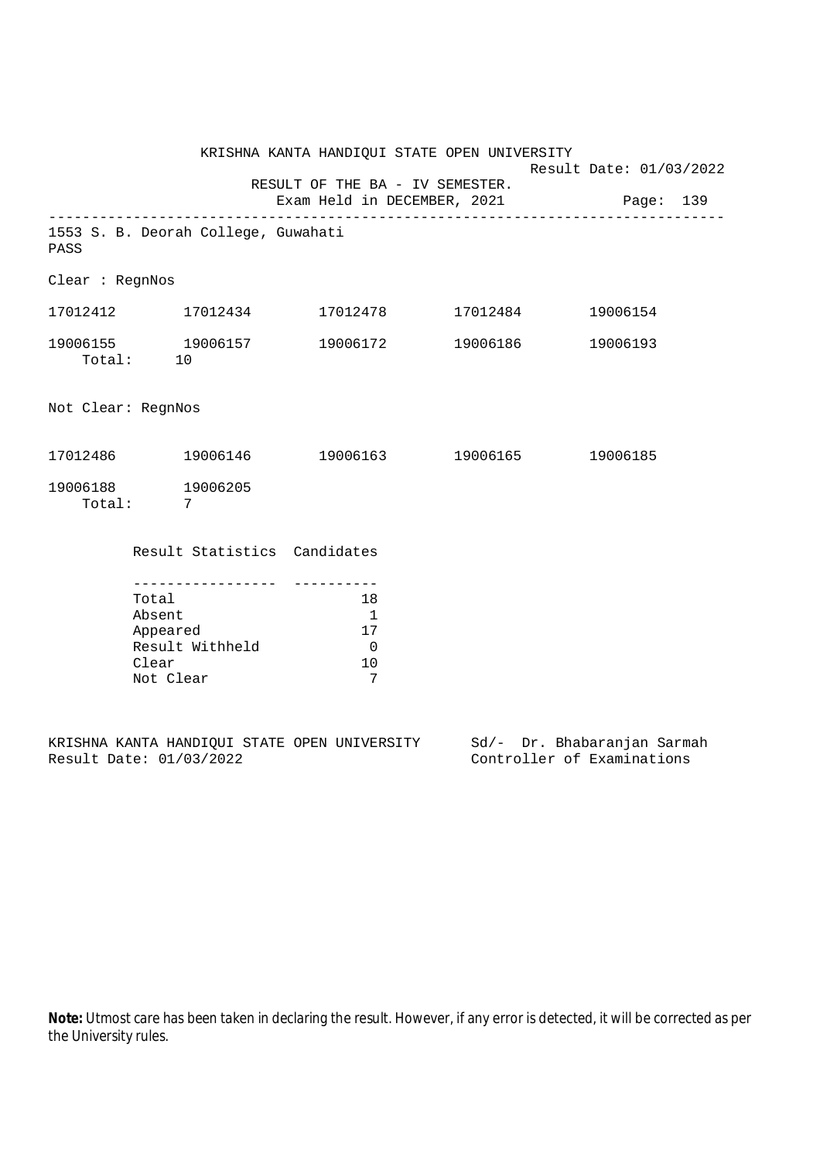|                               |                                                                                          | KRISHNA KANTA HANDIQUI STATE OPEN UNIVERSITY |                                                                             | Result Date: 01/03/2022 |  |          |  |  |
|-------------------------------|------------------------------------------------------------------------------------------|----------------------------------------------|-----------------------------------------------------------------------------|-------------------------|--|----------|--|--|
|                               |                                                                                          | RESULT OF THE BA - IV SEMESTER.              | Exam Held in DECEMBER, 2021 Page: 139                                       |                         |  |          |  |  |
| PASS                          |                                                                                          | 1553 S. B. Deorah College, Guwahati          |                                                                             |                         |  |          |  |  |
| Clear : RegnNos               |                                                                                          |                                              |                                                                             |                         |  |          |  |  |
|                               |                                                                                          |                                              | $17012412$ $17012434$ $17012478$ $17012484$ $19006154$                      |                         |  |          |  |  |
| Total: 10                     |                                                                                          | 19006155 19006157                            | 19006172 19006186                                                           |                         |  | 19006193 |  |  |
| Not Clear: RegnNos            |                                                                                          |                                              |                                                                             |                         |  |          |  |  |
|                               |                                                                                          |                                              | $17012486$ $19006146$ $19006163$ $19006165$ $19006185$                      |                         |  |          |  |  |
| 19006188 19006205<br>Total: 7 |                                                                                          |                                              |                                                                             |                         |  |          |  |  |
|                               |                                                                                          | Result Statistics Candidates                 |                                                                             |                         |  |          |  |  |
|                               | ----------------<br>Total<br>Absent<br>Appeared<br>Result Withheld<br>Clear<br>Not Clear |                                              | 18<br>$\overline{\phantom{0}}$<br>17<br>$\overline{\phantom{0}}$<br>10<br>7 |                         |  |          |  |  |

|  |                         |  | KRISHNA KANTA HANDIOUI STATE OPEN UNIVERSITY |  | Sd/- Dr. Bhabaranjan Sarmah |  |
|--|-------------------------|--|----------------------------------------------|--|-----------------------------|--|
|  | Result Date: 01/03/2022 |  |                                              |  | Controller of Examinations  |  |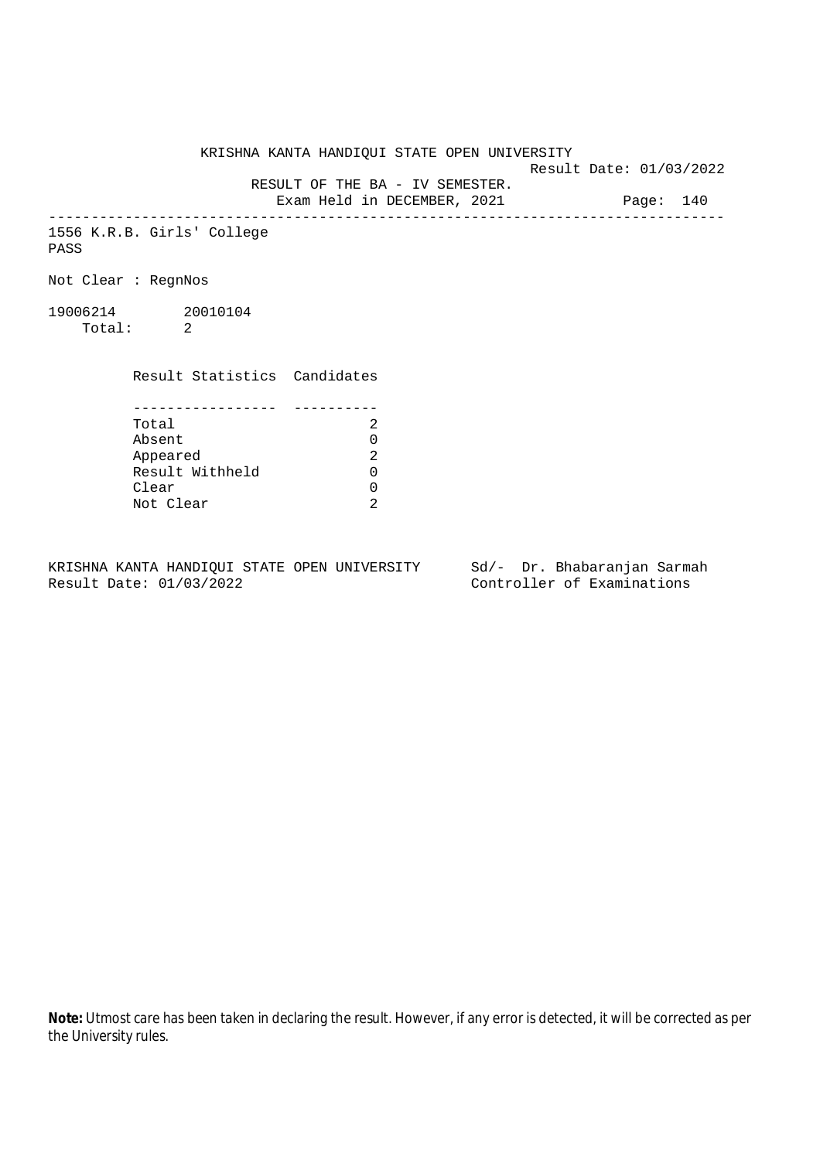KRISHNA KANTA HANDIQUI STATE OPEN UNIVERSITY

Result Date: 01/03/2022

 RESULT OF THE BA - IV SEMESTER. Exam Held in DECEMBER, 2021 Page: 140

--------------------------------------------------------------------------------

1556 K.R.B. Girls' College PASS

Not Clear : RegnNos

19006214 20010104 Total: 2

Result Statistics Candidates

| Total           |  |
|-----------------|--|
| Absent          |  |
| Appeared        |  |
| Result Withheld |  |
| Clear           |  |
| Not Clear       |  |

KRISHNA KANTA HANDIQUI STATE OPEN UNIVERSITY Sd/- Dr. Bhabaranjan Sarmah<br>Result Date: 01/03/2022 Controller of Examinations

Controller of Examinations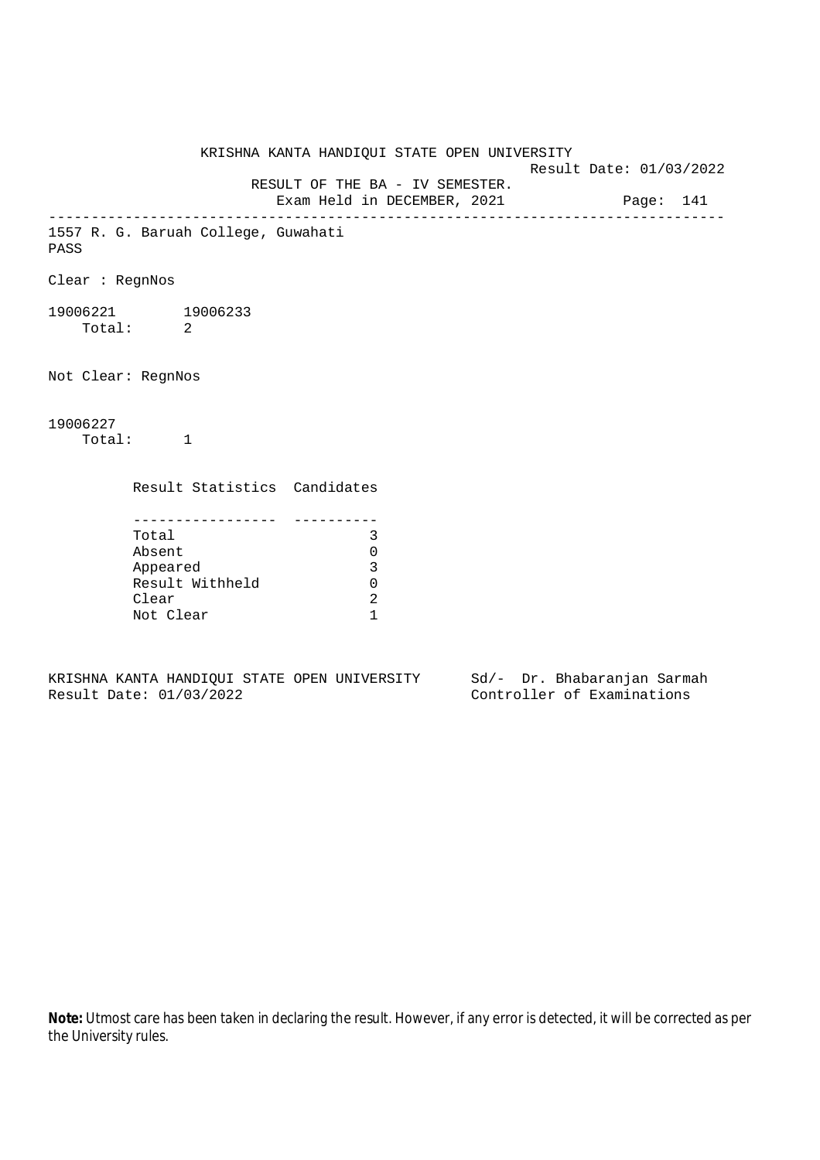KRISHNA KANTA HANDIQUI STATE OPEN UNIVERSITY Result Date: 01/03/2022 RESULT OF THE BA - IV SEMESTER. Exam Held in DECEMBER, 2021 Page: 141 -------------------------------------------------------------------------------- 1557 R. G. Baruah College, Guwahati PASS Clear : RegnNos 19006221 19006233 Total: 2 Not Clear: RegnNos 19006227 Total: 1 Result Statistics Candidates ----------------- ---------- Total 3 Absent 0 Appeared 3 Result Withheld 0 Clear 2 Not Clear 1

KRISHNA KANTA HANDIQUI STATE OPEN UNIVERSITY Sd/- Dr. Bhabaranjan Sarmah Result Date: 01/03/2022 Controller of Examinations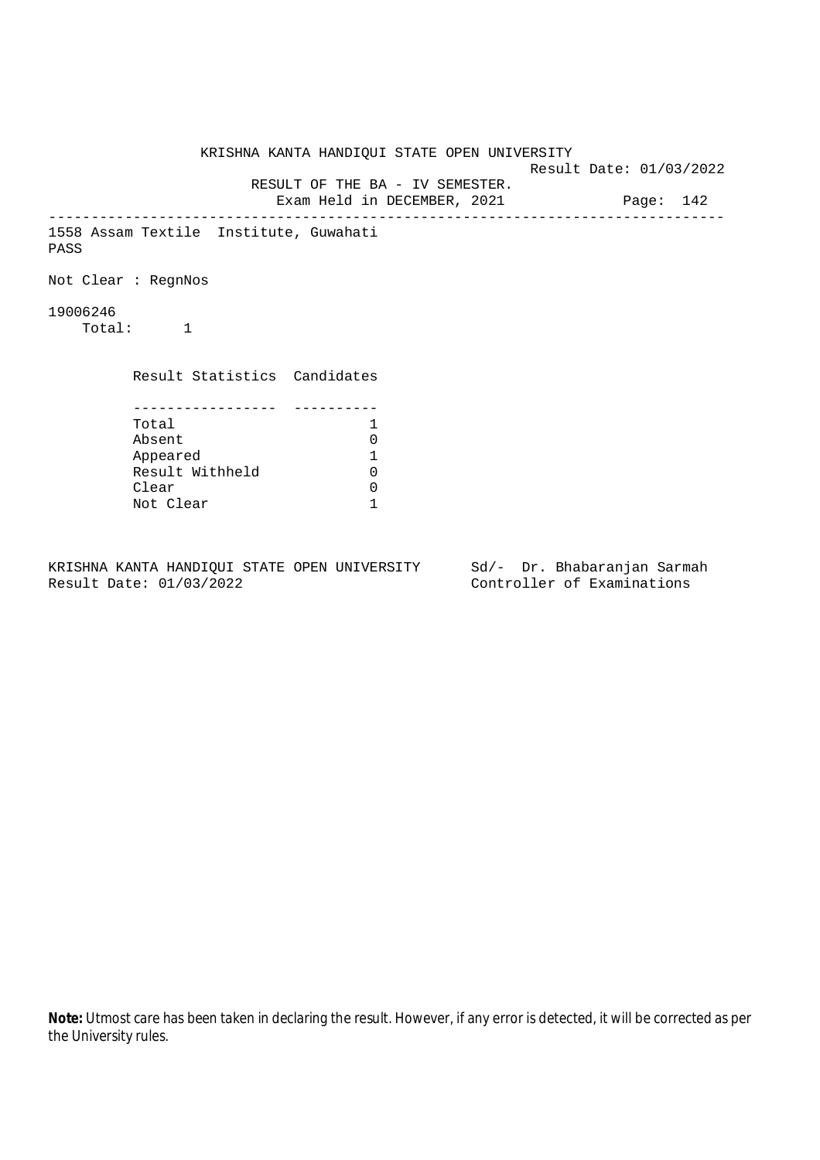KRISHNA KANTA HANDIQUI STATE OPEN UNIVERSITY Result Date: 01/03/2022 RESULT OF THE BA - IV SEMESTER. Exam Held in DECEMBER, 2021 Page: 142 -------------------------------------------------------------------------------- 1558 Assam Textile Institute, Guwahati PASS Not Clear : RegnNos 19006246 Total: 1 Result Statistics Candidates ----------------- ---------- Total 1 Absent 0<br>
Appeared 1<br>
Result Withheld 0 Appeared 1 Result Withheld Clear 0 Not Clear 1

KRISHNA KANTA HANDIQUI STATE OPEN UNIVERSITY Sd/- Dr. Bhabaranjan Sarmah Result Date: 01/03/2022 Controller of Examinations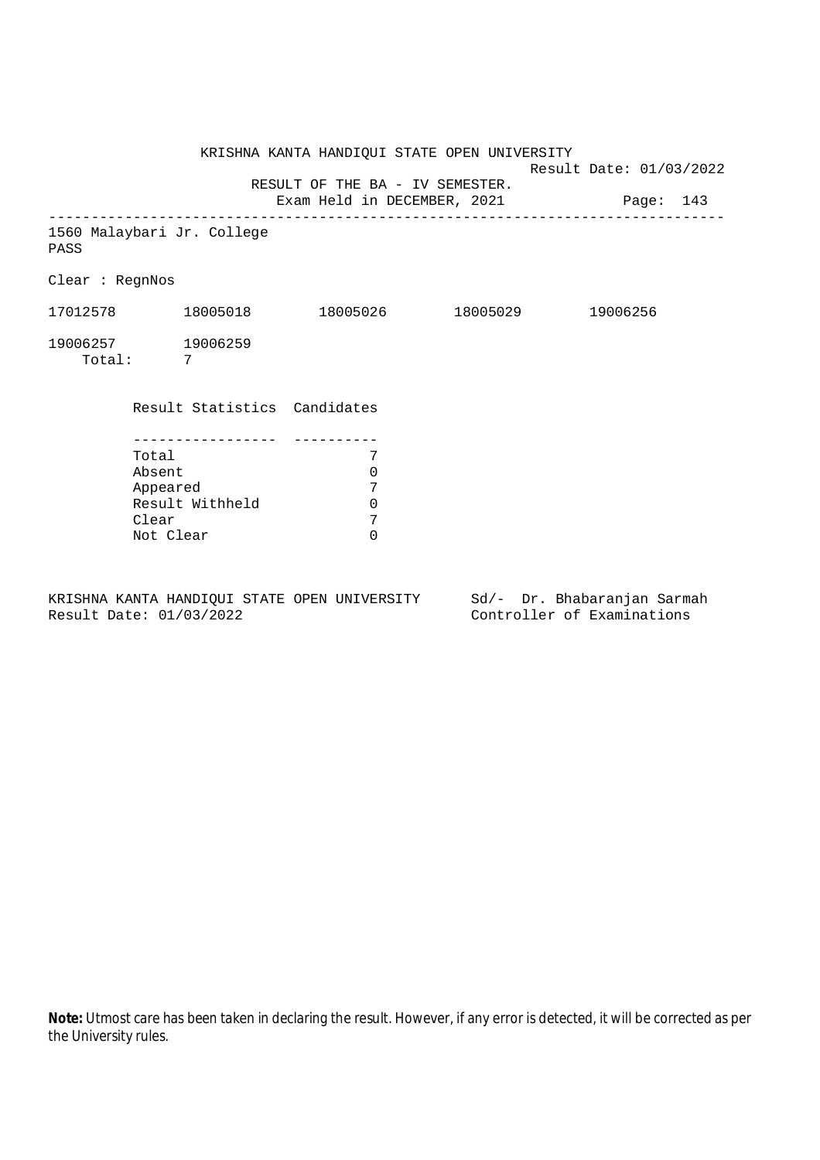KRISHNA KANTA HANDIQUI STATE OPEN UNIVERSITY Result Date: 01/03/2022 RESULT OF THE BA - IV SEMESTER. Exam Held in DECEMBER, 2021 Page: 143 -------------------------------------------------------------------------------- 1560 Malaybari Jr. College PASS Clear : RegnNos 17012578 18005018 18005026 18005029 19006256 19006257 19006259 Total: 7 Result Statistics Candidates ----------------- ---------- Total 7 Absent 0 Appeared 7<br>Result Withheld 0 Result Withheld 0<br>Clear 7 Clear 7<br>Not Clear 6 Not Clear

KRISHNA KANTA HANDIQUI STATE OPEN UNIVERSITY Sd/- Dr. Bhabaranjan Sarmah Result Date: 01/03/2022 Controller of Examinations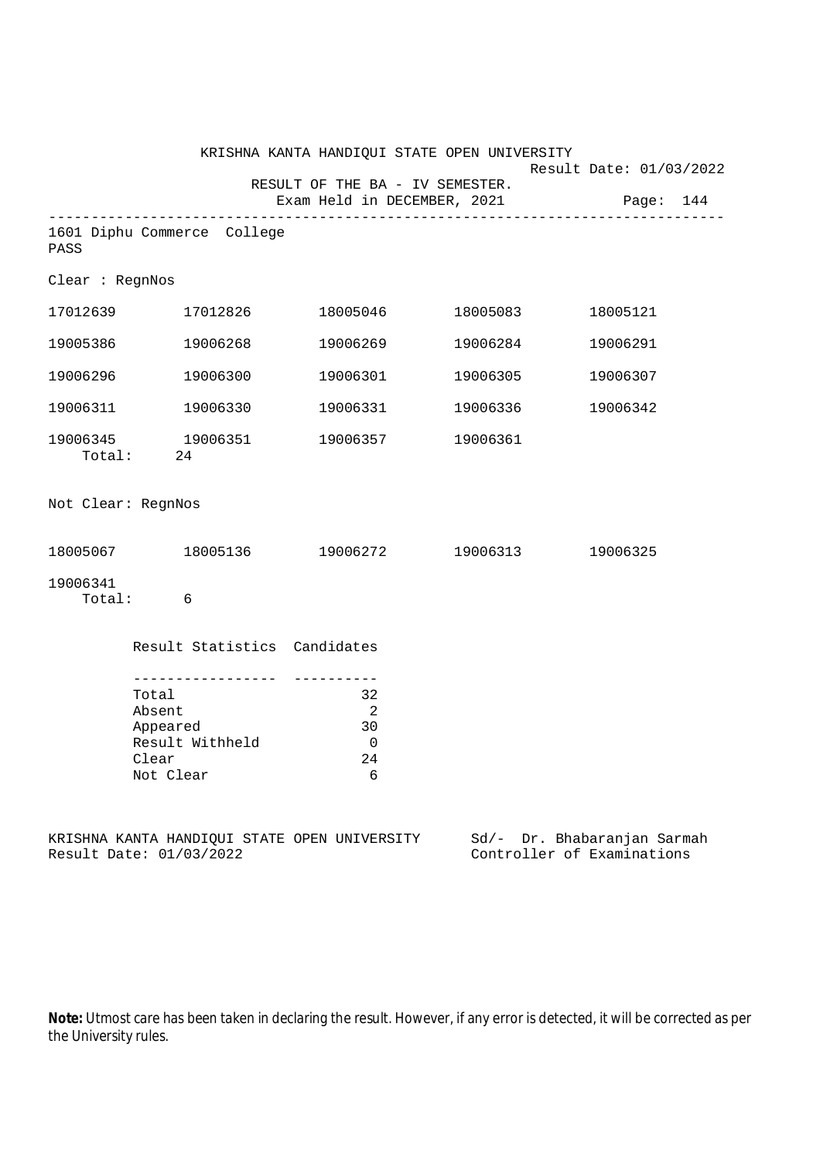|                    |                                                                                         | KRISHNA KANTA HANDIQUI STATE OPEN UNIVERSITY           |                   |                                                           |
|--------------------|-----------------------------------------------------------------------------------------|--------------------------------------------------------|-------------------|-----------------------------------------------------------|
|                    |                                                                                         | RESULT OF THE BA - IV SEMESTER.                        |                   | Result Date: 01/03/2022                                   |
|                    |                                                                                         | Exam Held in DECEMBER, 2021                            |                   | Page: 144                                                 |
| PASS               | 1601 Diphu Commerce College                                                             |                                                        |                   |                                                           |
| Clear : RegnNos    |                                                                                         |                                                        |                   |                                                           |
|                    | 17012639 17012826                                                                       |                                                        |                   | 18005121                                                  |
|                    | 19005386 19006268                                                                       | 19006269                                               | 19006284          | 19006291                                                  |
|                    | 19006296 19006300                                                                       |                                                        | 19006301 19006305 | 19006307                                                  |
|                    | 19006311 19006330                                                                       |                                                        | 19006331 19006336 | 19006342                                                  |
|                    | 19006345 19006351<br>Total: 24                                                          | 19006357 19006361                                      |                   |                                                           |
| Not Clear: RegnNos |                                                                                         |                                                        |                   |                                                           |
|                    |                                                                                         | 18005067 18005136 19006272 19006313 19006325           |                   |                                                           |
| 19006341           | Total: 6                                                                                |                                                        |                   |                                                           |
|                    | Result Statistics Candidates                                                            |                                                        |                   |                                                           |
|                    | ---------------<br>Total<br>Absent<br>Appeared<br>Result Withheld<br>Clear<br>Not Clear | 32<br>$\overline{\phantom{0}}^2$<br>30<br>0<br>24<br>6 |                   |                                                           |
|                    | Result Date: 01/03/2022                                                                 | KRISHNA KANTA HANDIQUI STATE OPEN UNIVERSITY           |                   | Sd/- Dr. Bhabaranjan Sarmah<br>Controller of Examinations |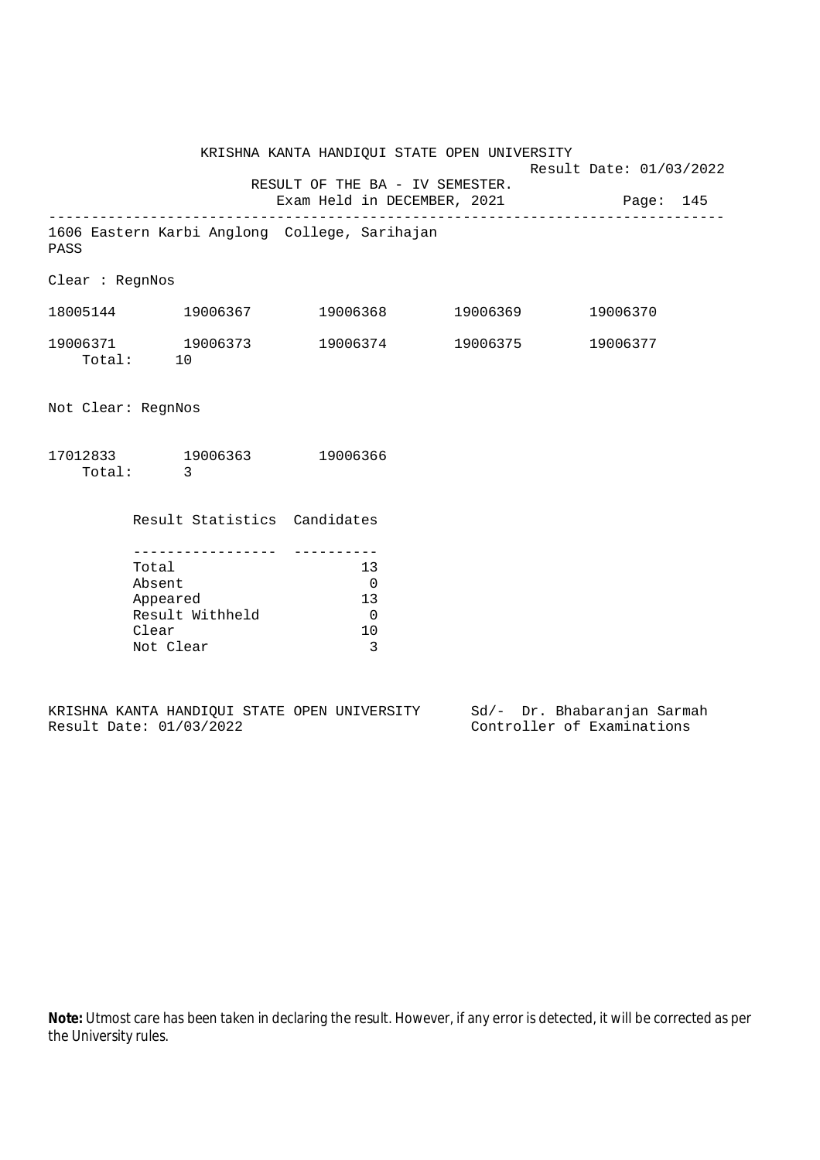KRISHNA KANTA HANDIQUI STATE OPEN UNIVERSITY Result Date: 01/03/2022 RESULT OF THE BA - IV SEMESTER. Exam Held in DECEMBER, 2021 Page: 145 -------------------------------------------------------------------------------- 1606 Eastern Karbi Anglong College, Sarihajan PASS Clear : RegnNos 18005144 19006367 19006368 19006369 19006370 19006371 19006373 19006374 19006375 19006377 Total: 10 Not Clear: RegnNos 17012833 19006363 19006366 Total: 3 Result Statistics Candidates ----------------- ---------- Total 13 Absent 0 Appeared 13 Result Withheld 0<br>Clear 10

|  |                         |  | KRISHNA KANTA HANDIOUI STATE OPEN UNIVERSITY |  |  | Sd/- Dr. Bhabaranjan Sarmah |  |
|--|-------------------------|--|----------------------------------------------|--|--|-----------------------------|--|
|  | Result Date: 01/03/2022 |  |                                              |  |  | Controller of Examinations  |  |

Clear

Not Clear 3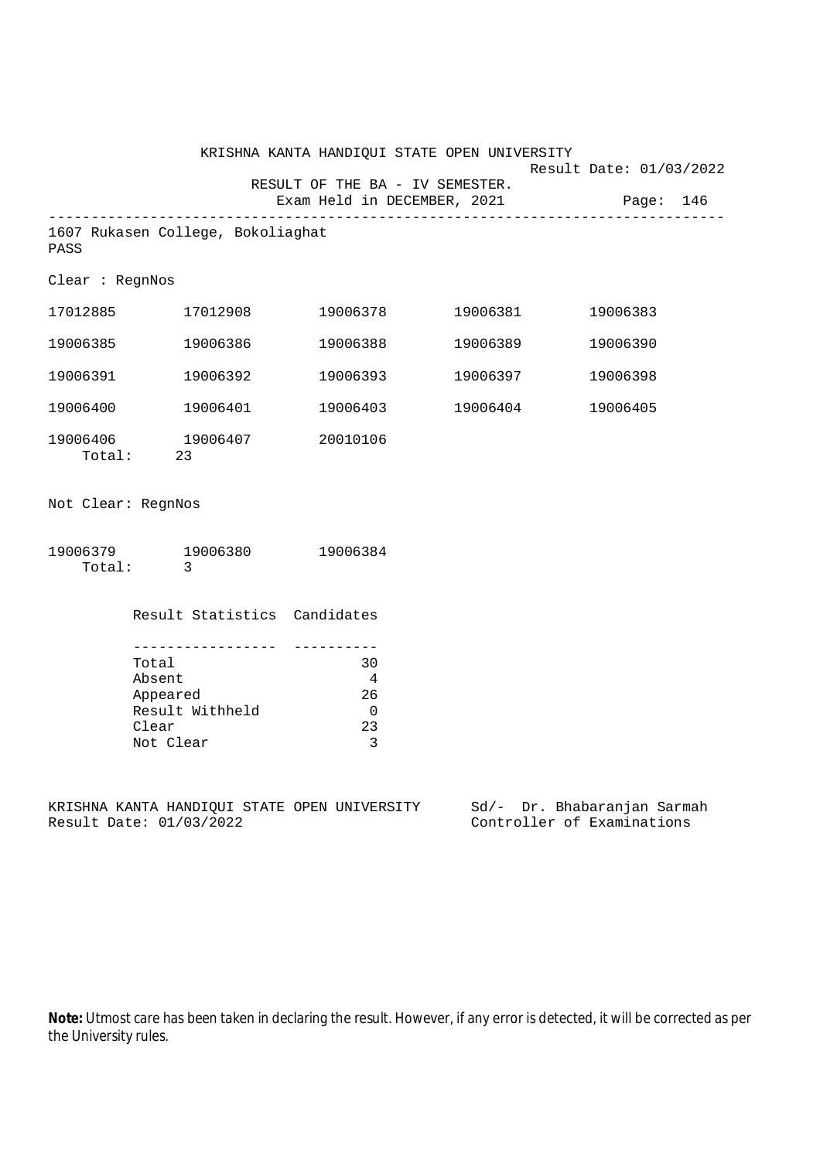|                    |                                                                                                     |                                            | KRISHNA KANTA HANDIQUI STATE OPEN UNIVERSITY | Result Date: 01/03/2022               |
|--------------------|-----------------------------------------------------------------------------------------------------|--------------------------------------------|----------------------------------------------|---------------------------------------|
|                    |                                                                                                     | RESULT OF THE BA - IV SEMESTER.            |                                              | Exam Held in DECEMBER, 2021 Page: 146 |
| PASS               | 1607 Rukasen College, Bokoliaghat                                                                   |                                            |                                              |                                       |
| Clear : RegnNos    |                                                                                                     |                                            |                                              |                                       |
|                    | 17012885 17012908                                                                                   |                                            | 19006378 19006381                            | 19006383                              |
|                    | 19006385 19006386                                                                                   | 19006388                                   | 19006389                                     | 19006390                              |
| 19006391           | 19006392                                                                                            | 19006393                                   | 19006397                                     | 19006398                              |
|                    | 19006400 19006401                                                                                   |                                            | 19006403 19006404                            | 19006405                              |
|                    | 19006406 19006407<br>Total: 23                                                                      | 20010106                                   |                                              |                                       |
| Not Clear: RegnNos |                                                                                                     |                                            |                                              |                                       |
|                    | 19006379 19006380<br>Total: 3                                                                       | 19006384                                   |                                              |                                       |
|                    | Result Statistics Candidates                                                                        |                                            |                                              |                                       |
|                    | Total<br>Absent<br>Appeared<br>Result Withheld<br>Clear<br>Not Clear                                | 30<br>4<br>26<br>$\overline{0}$<br>23<br>3 |                                              |                                       |
|                    | KRISHNA KANTA HANDIQUI STATE OPEN UNIVERSITY Sd/- Dr. Bhabaranjan Sarmah<br>Result Date: 01/03/2022 |                                            |                                              | Controller of Examinations            |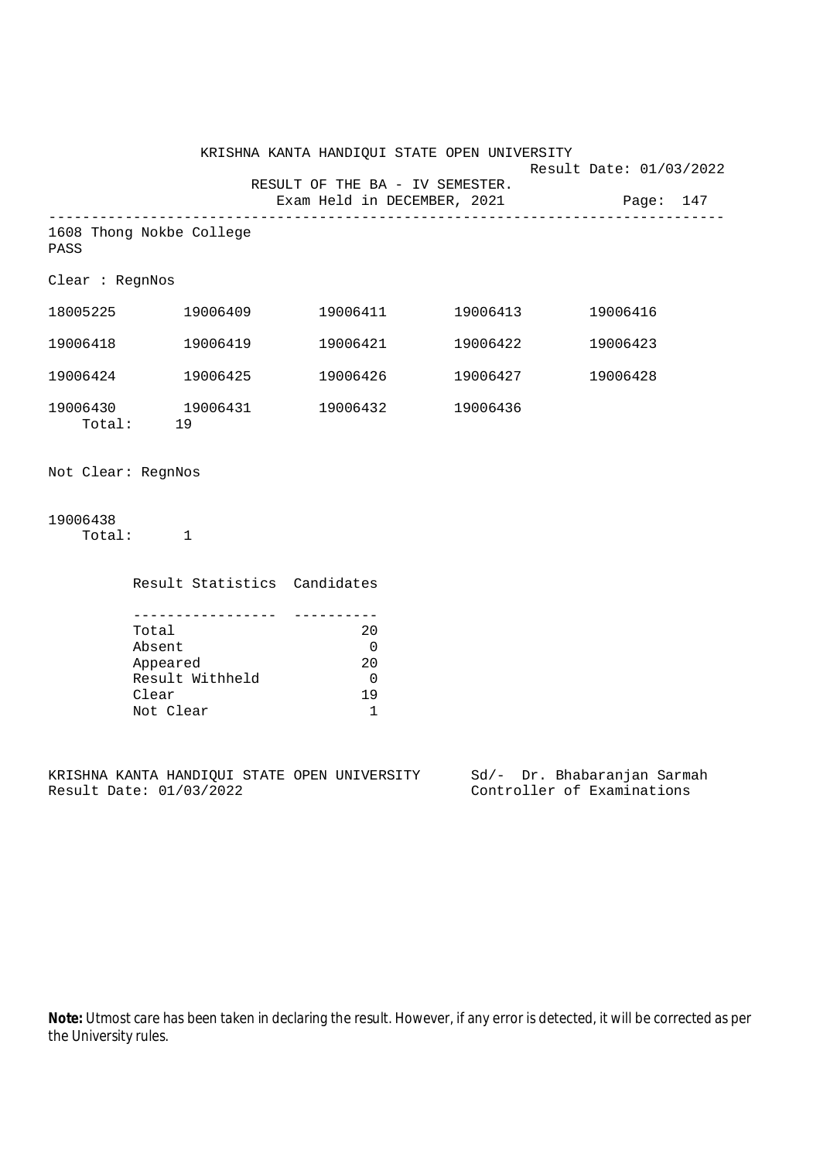|                    |                                                  | KRISHNA KANTA HANDIQUI STATE OPEN UNIVERSITY |          | Result Date: 01/03/2022               |  |
|--------------------|--------------------------------------------------|----------------------------------------------|----------|---------------------------------------|--|
|                    |                                                  | RESULT OF THE BA - IV SEMESTER.              |          | Exam Held in DECEMBER, 2021 Page: 147 |  |
| PASS               | 1608 Thong Nokbe College                         |                                              |          |                                       |  |
| Clear : RegnNos    |                                                  |                                              |          |                                       |  |
|                    | $18005225$ $19006409$ $19006411$ $19006413$      |                                              |          | 19006416                              |  |
| 19006418           | 19006419                                         | 19006421                                     | 19006422 | 19006423                              |  |
| 19006424           | 19006425                                         |                                              |          | 19006428                              |  |
|                    | 19006430 19006431 19006432 19006436<br>Total: 19 |                                              |          |                                       |  |
| Not Clear: RegnNos |                                                  |                                              |          |                                       |  |
| 19006438           | Total: 1                                         |                                              |          |                                       |  |
|                    | Result Statistics Candidates                     |                                              |          |                                       |  |
|                    | Total<br>Absent                                  | 20<br>$\mathbf 0$                            |          |                                       |  |

| ADSEIIL         |              |
|-----------------|--------------|
| Appeared        | 20           |
| Result Withheld | <sup>0</sup> |
| Clear           | 19           |
| Not Clear       |              |
|                 |              |

KRISHNA KANTA HANDIQUI STATE OPEN UNIVERSITY Sd/- Dr. Bhabaranjan Sarmah Result Date: 01/03/2022 Controller of Examinations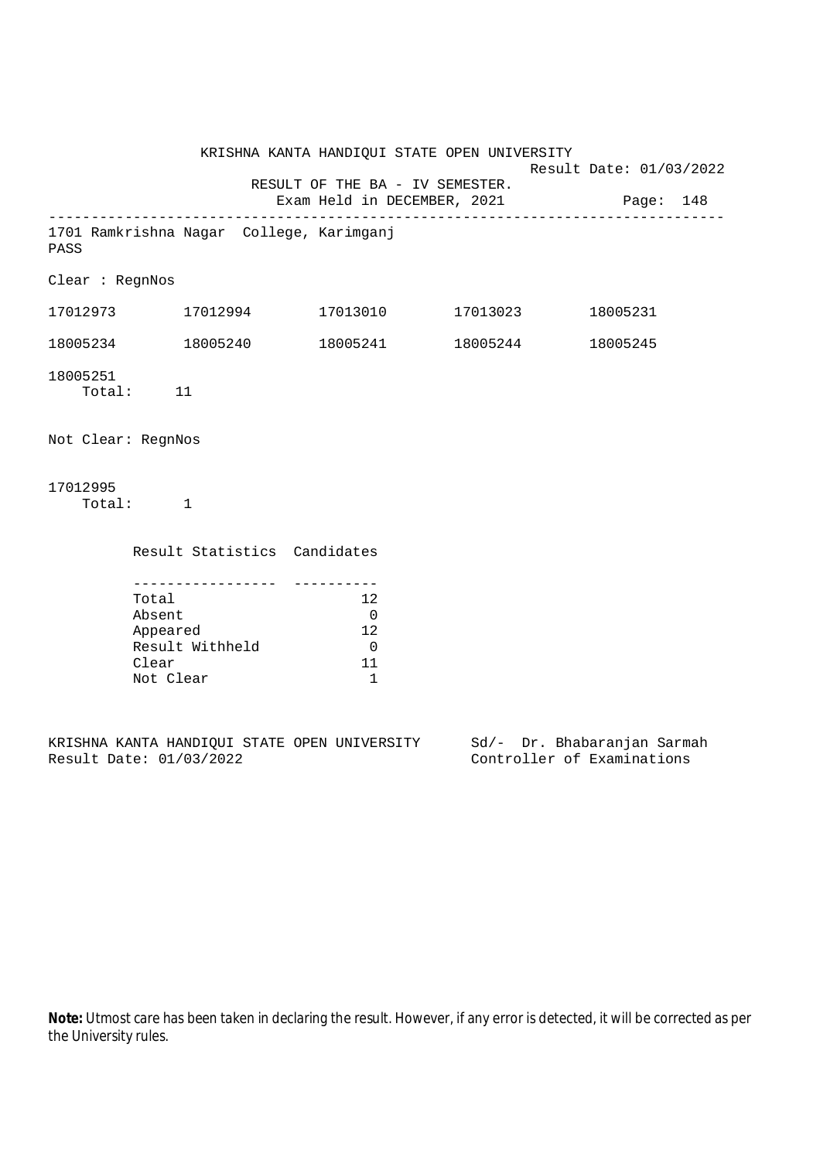KRISHNA KANTA HANDIQUI STATE OPEN UNIVERSITY Result Date: 01/03/2022 RESULT OF THE BA - IV SEMESTER. Exam Held in DECEMBER, 2021 Page: 148 -------------------------------------------------------------------------------- 1701 Ramkrishna Nagar College, Karimganj PASS Clear : RegnNos 17012973 17012994 17013010 17013023 18005231 18005234 18005240 18005241 18005244 18005245 18005251 Total: 11 Not Clear: RegnNos 17012995 Total: 1 Result Statistics Candidates ----------------- ---------- Total 12 Absent 0<br>Appeared 12 Appeared Result Withheld 0 Clear 11 Not Clear 1

KRISHNA KANTA HANDIQUI STATE OPEN UNIVERSITY Sd/- Dr. Bhabaranjan Sarmah Result Date: 01/03/2022 Controller of Examinations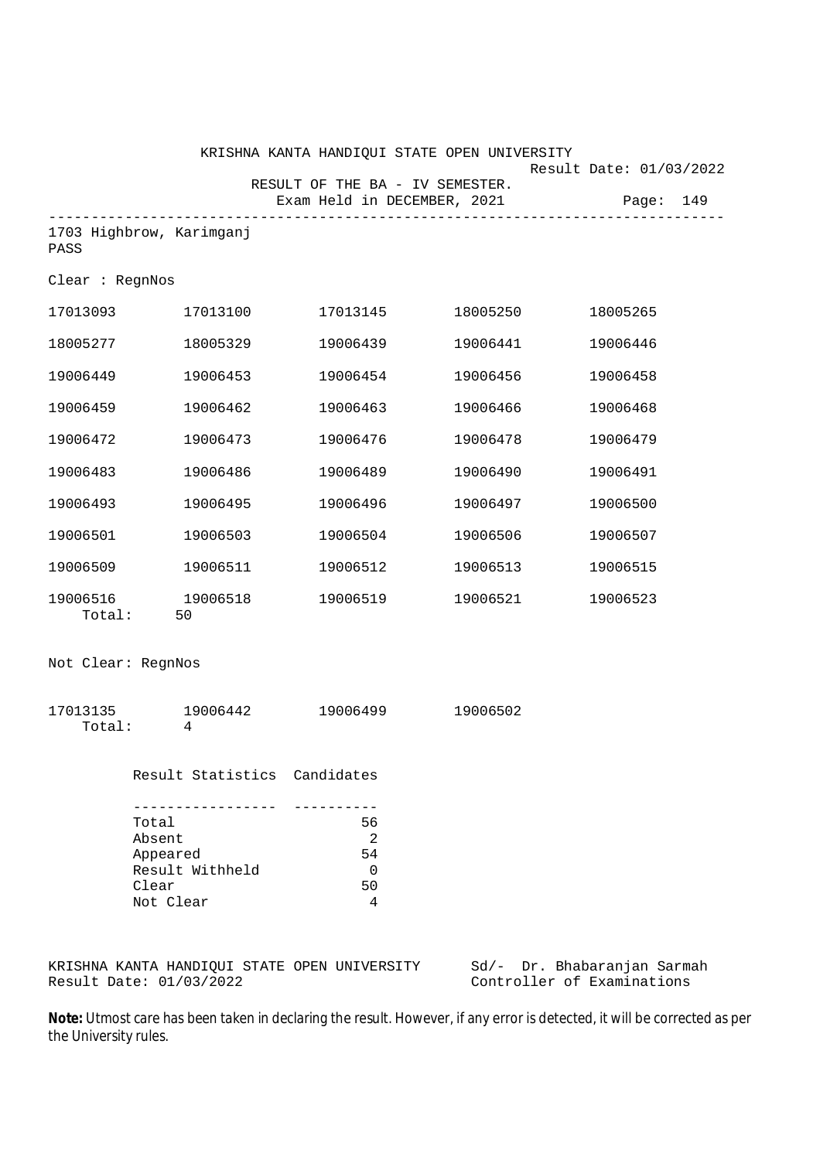|                    |                                                   | KRISHNA KANTA HANDIQUI STATE OPEN UNIVERSITY |                             | Result Date: 01/03/2022 |           |
|--------------------|---------------------------------------------------|----------------------------------------------|-----------------------------|-------------------------|-----------|
|                    |                                                   | RESULT OF THE BA - IV SEMESTER.              | Exam Held in DECEMBER, 2021 |                         | Page: 149 |
| PASS               | 1703 Highbrow, Karimganj                          |                                              |                             |                         |           |
| Clear : RegnNos    |                                                   |                                              |                             |                         |           |
|                    | 17013093 17013100                                 |                                              |                             | 18005265                |           |
| 18005277           | 18005329                                          | 19006439                                     |                             | 19006446<br>19006441    |           |
| 19006449           | 19006453                                          | 19006454                                     | 19006456                    | 19006458                |           |
| 19006459           | 19006462                                          | 19006463                                     | 19006466                    | 19006468                |           |
| 19006472           | 19006473                                          | 19006476                                     | 19006478                    | 19006479                |           |
| 19006483           | 19006486                                          | 19006489                                     | 19006490                    | 19006491                |           |
| 19006493           | 19006495                                          | 19006496                                     | 19006497                    | 19006500                |           |
| 19006501           | 19006503                                          | 19006504                                     | 19006506                    | 19006507                |           |
| 19006509           | 19006511                                          | 19006512                                     | 19006513                    | 19006515                |           |
| Total:             | 19006516 19006518<br>50                           |                                              | 19006519 19006521           | 19006523                |           |
| Not Clear: RegnNos |                                                   |                                              |                             |                         |           |
| Total:             | 17013135 19006442<br>4                            | 19006499                                     | 19006502                    |                         |           |
|                    | Result Statistics Candidates                      |                                              |                             |                         |           |
|                    | --------------<br>Total<br>Absent                 | ----------<br>56<br>2                        |                             |                         |           |
|                    | Appeared<br>Result Withheld<br>Clear<br>Not Clear | 54<br>0<br>50<br>4                           |                             |                         |           |
|                    |                                                   |                                              |                             |                         |           |

KRISHNA KANTA HANDIQUI STATE OPEN UNIVERSITY Sd/- Dr. Bhabaranjan Sarmah Result Date: 01/03/2022 Controller of Examinations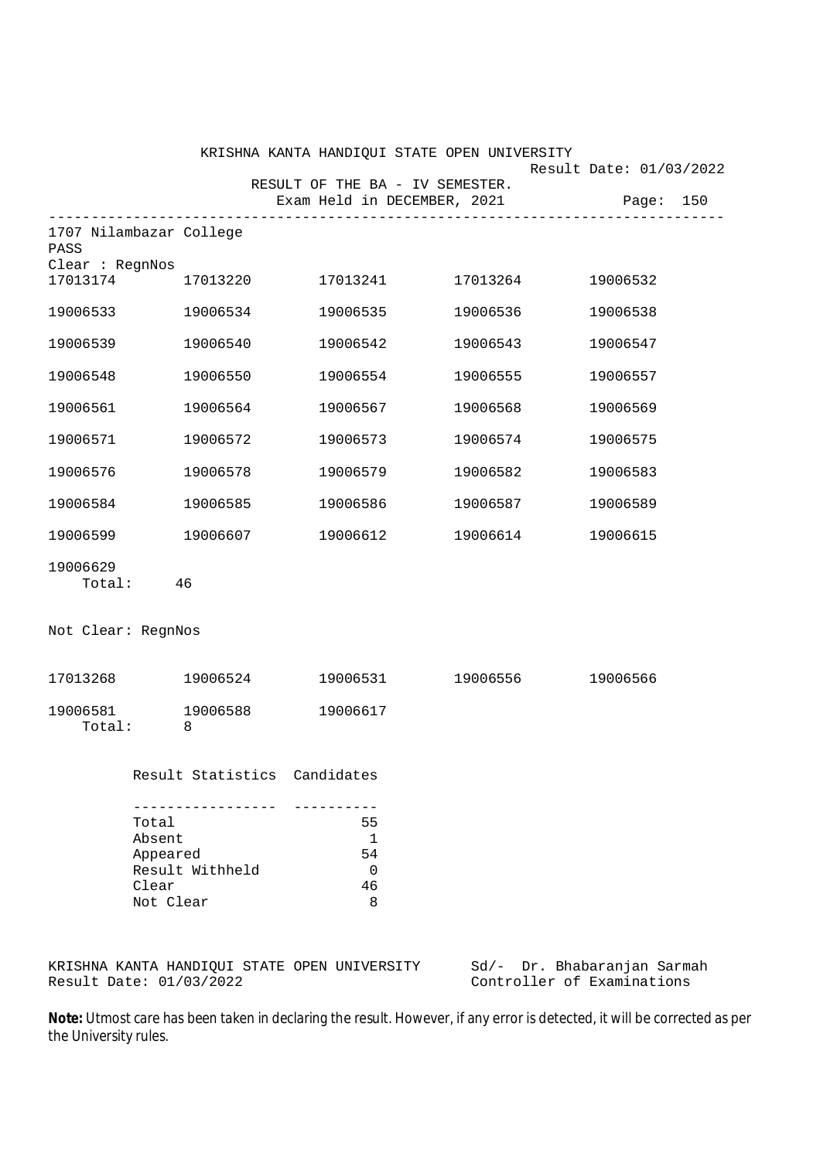|                                 |                                                             |                                      | KRISHNA KANTA HANDIQUI STATE OPEN UNIVERSITY | Result Date: 01/03/2022               |
|---------------------------------|-------------------------------------------------------------|--------------------------------------|----------------------------------------------|---------------------------------------|
|                                 |                                                             | RESULT OF THE BA - IV SEMESTER.      |                                              | Exam Held in DECEMBER, 2021 Page: 150 |
| 1707 Nilambazar College<br>PASS | --------                                                    |                                      |                                              |                                       |
| Clear : RegnNos                 |                                                             |                                      | 17013174 17013220 17013241 17013264          | 19006532                              |
| 19006533 19006534               |                                                             | 19006535                             | 19006536                                     | 19006538                              |
| 19006539                        | 19006540                                                    | 19006542                             | 19006543                                     | 19006547                              |
| 19006548                        | 19006550                                                    | 19006554                             | 19006555                                     | 19006557                              |
| 19006561                        | 19006564                                                    | 19006567                             | 19006568                                     | 19006569                              |
| 19006571                        | 19006572                                                    | 19006573                             | 19006574                                     | 19006575                              |
| 19006576                        | 19006578                                                    | 19006579                             | 19006582                                     | 19006583                              |
| 19006584                        | 19006585                                                    | 19006586                             | 19006587                                     | 19006589                              |
| 19006599                        | 19006607                                                    | 19006612                             | 19006614                                     | 19006615                              |
| 19006629<br>Total: 46           |                                                             |                                      |                                              |                                       |
| Not Clear: RegnNos              |                                                             |                                      |                                              |                                       |
| 17013268 19006524               |                                                             |                                      | 19006531 19006556 19006566                   |                                       |
| 19006581<br>Total:              | 19006588<br>8                                               | 19006617                             |                                              |                                       |
|                                 | Result Statistics Candidates                                |                                      |                                              |                                       |
| Clear                           | Total<br>Absent<br>Appeared<br>Result Withheld<br>Not Clear | 55<br>1<br>54<br>$\Omega$<br>46<br>8 |                                              |                                       |
|                                 |                                                             | COADE CREAT INTITIOCIDIZ             |                                              |                                       |

KRISHNA KANTA HANDIQUI STATE OPEN UNIVERSITY Sd/- Dr. Bhabaranjan Sarmah<br>Result Date: 01/03/2022 Controller of Examinations

Controller of Examinations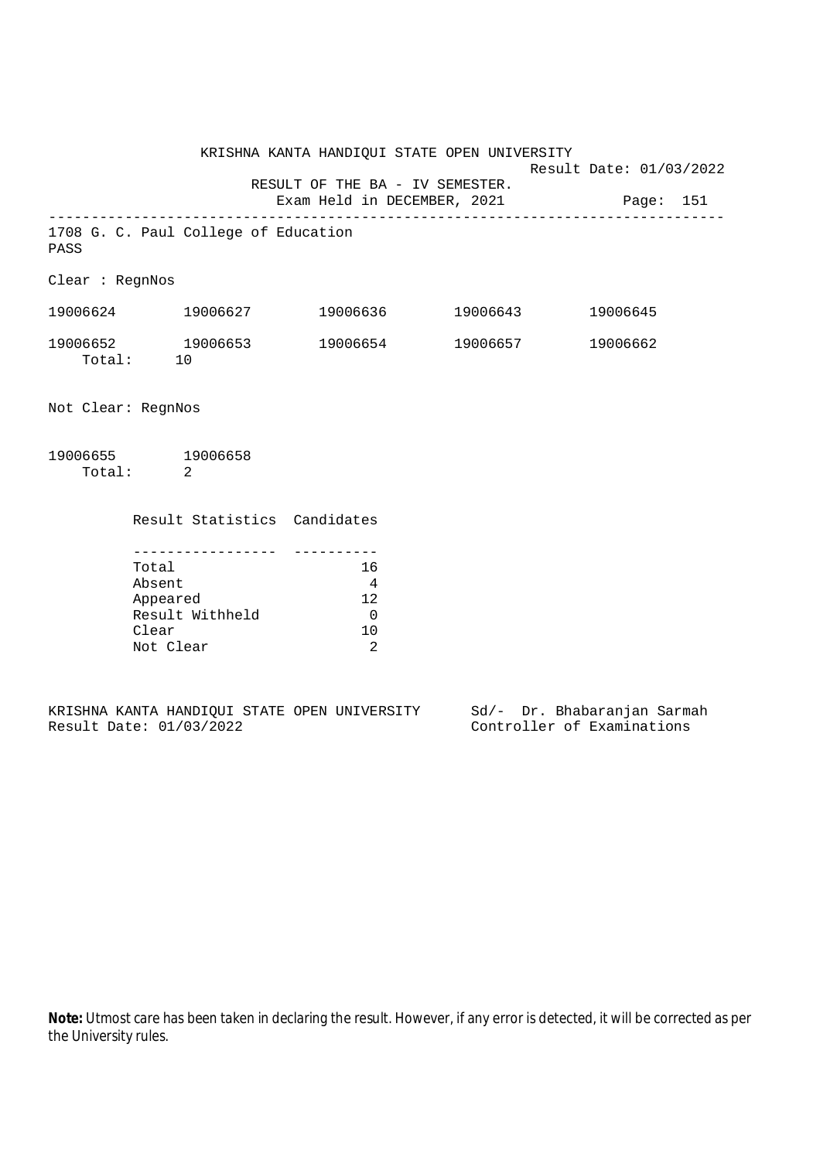KRISHNA KANTA HANDIQUI STATE OPEN UNIVERSITY Result Date: 01/03/2022 RESULT OF THE BA - IV SEMESTER. Exam Held in DECEMBER, 2021 Page: 151 -------------------------------------------------------------------------------- 1708 G. C. Paul College of Education PASS Clear : RegnNos 19006624 19006627 19006636 19006643 19006645 19006652 19006653 19006654 19006657 19006662 06652 19<br>Total: 10 Not Clear: RegnNos 19006655 19006658 Total: 2

| Result Statistics Candidates |              |
|------------------------------|--------------|
|                              |              |
| Total                        | 16           |
| Absent                       | 4            |
| Appeared                     | 12           |
| Result Withheld              | <sup>0</sup> |
| Clear                        | 10           |
| Not Clear                    | 2            |

|  |                         |  | KRISHNA KANTA HANDIOUI STATE OPEN UNIVERSITY |  | Sd/- Dr. Bhabaranjan Sarmah |  |
|--|-------------------------|--|----------------------------------------------|--|-----------------------------|--|
|  | Result Date: 01/03/2022 |  |                                              |  | Controller of Examinations  |  |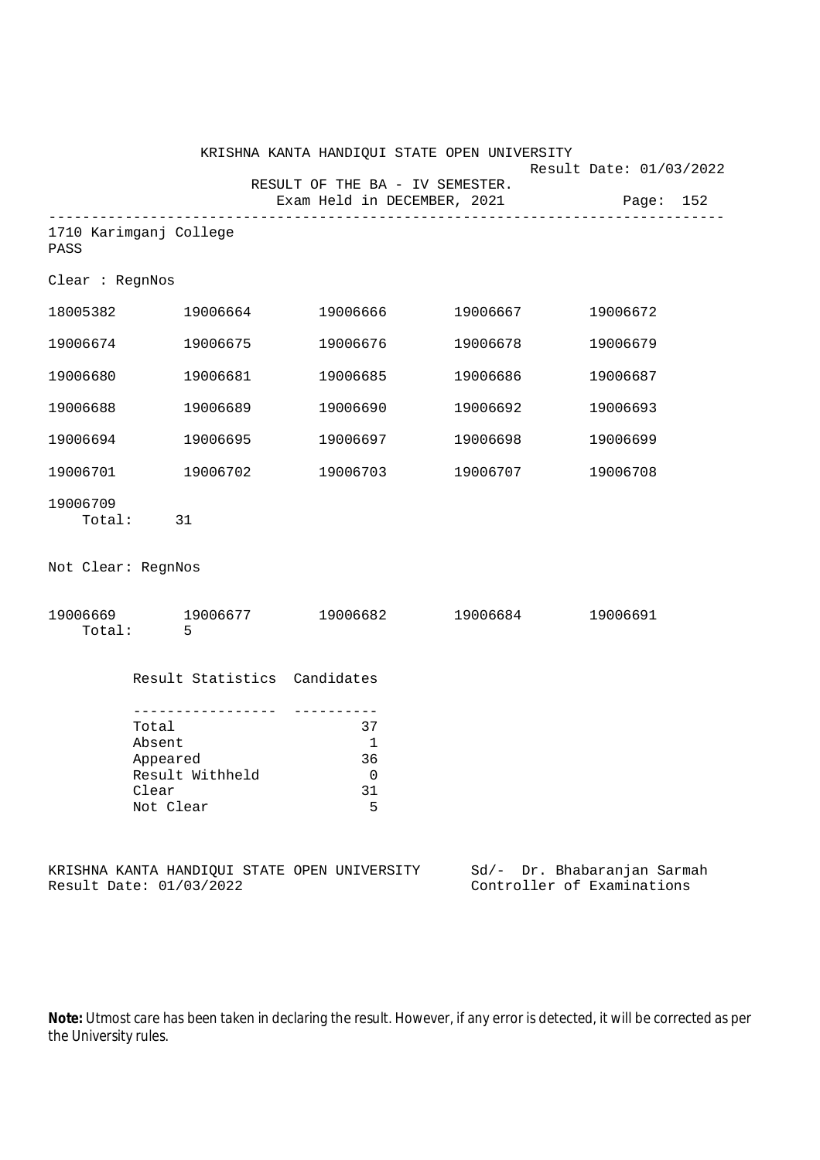|                    |                                                                         |                                                                | KRISHNA KANTA HANDIQUI STATE OPEN UNIVERSITY |                                                           |
|--------------------|-------------------------------------------------------------------------|----------------------------------------------------------------|----------------------------------------------|-----------------------------------------------------------|
|                    |                                                                         | RESULT OF THE BA - IV SEMESTER.<br>Exam Held in DECEMBER, 2021 |                                              | Result Date: 01/03/2022<br>Page: 152                      |
| PASS               | 1710 Karimganj College                                                  |                                                                |                                              |                                                           |
| Clear : RegnNos    |                                                                         |                                                                |                                              |                                                           |
|                    | 18005382 19006664                                                       | 19006666                                                       | 19006667                                     | 19006672                                                  |
| 19006674           | 19006675                                                                | 19006676                                                       | 19006678                                     | 19006679                                                  |
| 19006680           | 19006681                                                                | 19006685                                                       | 19006686                                     | 19006687                                                  |
| 19006688           | 19006689                                                                | 19006690                                                       | 19006692                                     | 19006693                                                  |
| 19006694           | 19006695                                                                | 19006697                                                       | 19006698                                     | 19006699                                                  |
| 19006701           | 19006702                                                                | 19006703                                                       | 19006707                                     | 19006708                                                  |
| 19006709<br>Total: | 31                                                                      |                                                                |                                              |                                                           |
| Not Clear: RegnNos |                                                                         |                                                                |                                              |                                                           |
|                    | 19006669 19006677 19006682 19006684<br>Total: 5                         |                                                                |                                              | 19006691                                                  |
|                    | Result Statistics Candidates                                            |                                                                |                                              |                                                           |
|                    | Total<br>Absent<br>Appeared<br>Result Withheld<br>Clear<br>Not Clear    | 37<br>1<br>36<br>0<br>31<br>5                                  |                                              |                                                           |
|                    | KRISHNA KANTA HANDIQUI STATE OPEN UNIVERSITY<br>Result Date: 01/03/2022 |                                                                |                                              | Sd/- Dr. Bhabaranjan Sarmah<br>Controller of Examinations |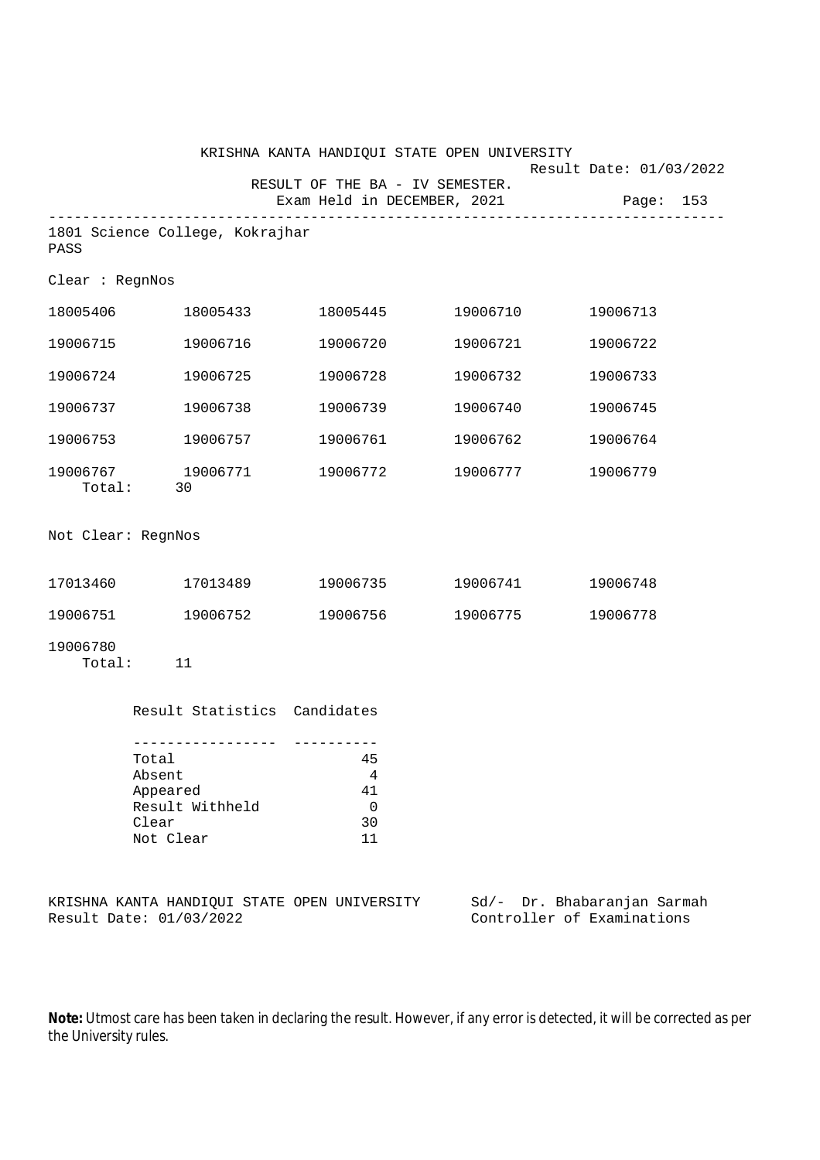|                    |                                                                                                           |                                                           | KRISHNA KANTA HANDIQUI STATE OPEN UNIVERSITY | Result Date: 01/03/2022 |
|--------------------|-----------------------------------------------------------------------------------------------------------|-----------------------------------------------------------|----------------------------------------------|-------------------------|
|                    |                                                                                                           | RESULT OF THE BA - IV SEMESTER.                           | Exam Held in DECEMBER, 2021                  | Page:<br>153            |
| PASS               | 1801 Science College, Kokrajhar                                                                           |                                                           |                                              |                         |
| Clear : RegnNos    |                                                                                                           |                                                           |                                              |                         |
| 18005406           | 18005433                                                                                                  | 18005445                                                  | 19006710                                     | 19006713                |
| 19006715           | 19006716                                                                                                  | 19006720                                                  | 19006721                                     | 19006722                |
| 19006724           | 19006725                                                                                                  | 19006728                                                  | 19006732                                     | 19006733                |
| 19006737           | 19006738                                                                                                  | 19006739                                                  | 19006740                                     | 19006745                |
| 19006753           | 19006757                                                                                                  | 19006761                                                  | 19006762                                     | 19006764                |
| 19006767           | 19006771<br>Total: 30                                                                                     | 19006772                                                  | 19006777                                     | 19006779                |
| Not Clear: RegnNos |                                                                                                           |                                                           |                                              |                         |
| 17013460           | 17013489                                                                                                  | 19006735                                                  | 19006741                                     | 19006748                |
| 19006751           | 19006752                                                                                                  | 19006756                                                  | 19006775                                     | 19006778                |
| 19006780<br>Total: | 11                                                                                                        |                                                           |                                              |                         |
|                    | Result Statistics Candidates                                                                              |                                                           |                                              |                         |
|                    | . _ _ _ _ _ _ _ _ _ _ _ _ _ _ _ _<br>Total<br>Absent<br>Appeared<br>Result Withheld<br>Clear<br>Not Clear | ----------<br>45<br>$\overline{4}$<br>41<br>0<br>30<br>11 |                                              |                         |

|  |                         |  | KRISHNA KANTA HANDIOUI STATE OPEN UNIVERSITY |  | Sd/- Dr. Bhabaranjan Sarmah |  |
|--|-------------------------|--|----------------------------------------------|--|-----------------------------|--|
|  | Result Date: 01/03/2022 |  |                                              |  | Controller of Examinations  |  |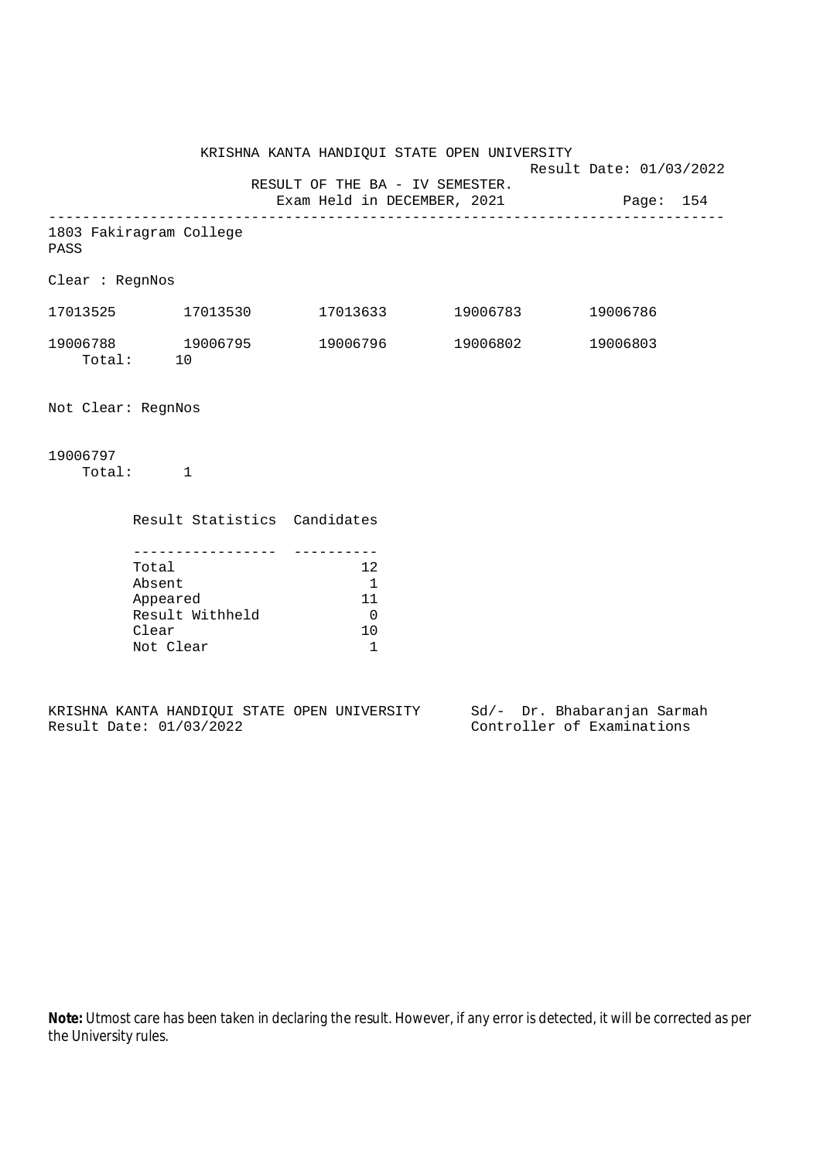KRISHNA KANTA HANDIQUI STATE OPEN UNIVERSITY Result Date: 01/03/2022 RESULT OF THE BA - IV SEMESTER. Exam Held in DECEMBER, 2021 Page: 154 -------------------------------------------------------------------------------- 1803 Fakiragram College PASS Clear : RegnNos 17013525 17013530 17013633 19006783 19006786 19006788 19006795 19006796 19006802 19006803 Total: 10 Not Clear: RegnNos 19006797 Total: 1

| Result Statistics Candidates |     |
|------------------------------|-----|
|                              |     |
| Total                        | 12  |
| Absent                       |     |
| Appeared                     | 11  |
| Result Withheld              |     |
| Clear                        | 1 N |
| Not Clear                    |     |

|  |                         |  | KRISHNA KANTA HANDIOUI STATE OPEN UNIVERSITY |  | Sd/- Dr. Bhabaranjan Sarmah |  |
|--|-------------------------|--|----------------------------------------------|--|-----------------------------|--|
|  | Result Date: 01/03/2022 |  |                                              |  | Controller of Examinations  |  |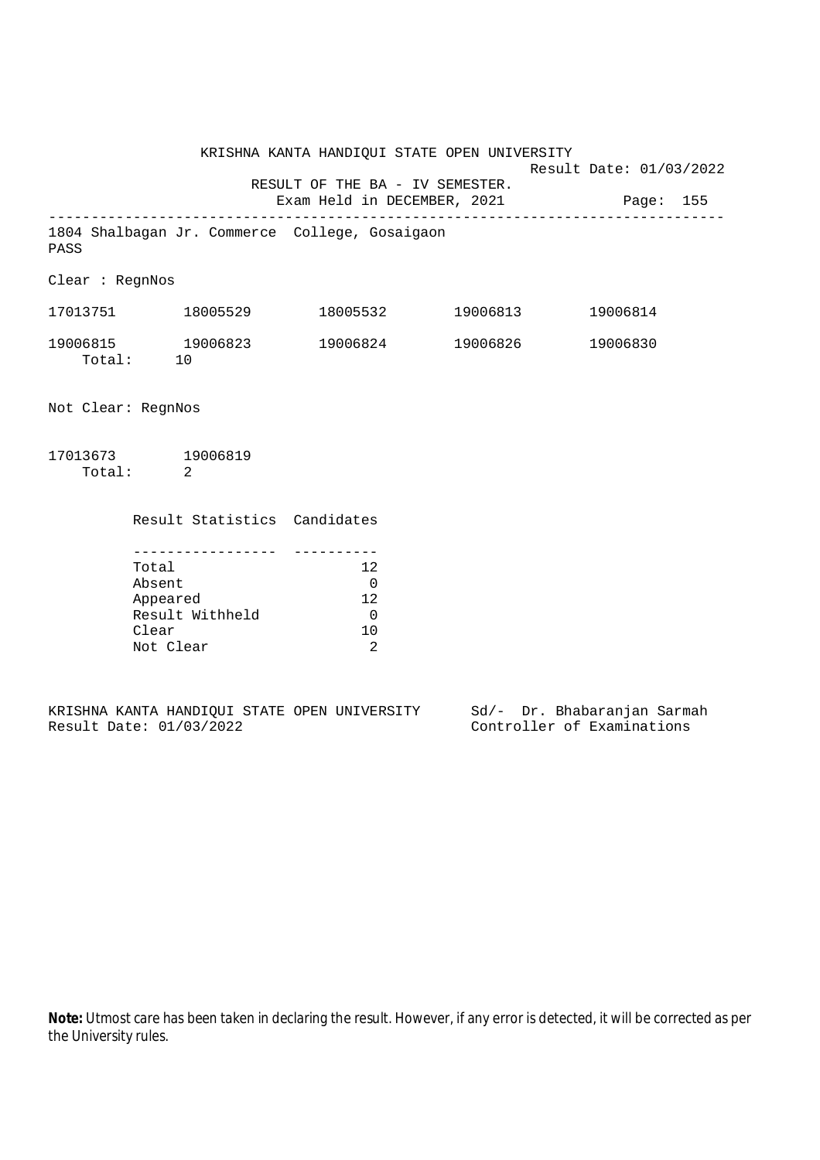KRISHNA KANTA HANDIQUI STATE OPEN UNIVERSITY Result Date: 01/03/2022 RESULT OF THE BA - IV SEMESTER. Exam Held in DECEMBER, 2021 Page: 155 -------------------------------------------------------------------------------- 1804 Shalbagan Jr. Commerce College, Gosaigaon PASS Clear : RegnNos 17013751 18005529 18005532 19006813 19006814 19006815 19006823 19006824 19006826 19006830 Total: 10 Not Clear: RegnNos 17013673 19006819 Total: 2

| Result Statistics Candidates |     |
|------------------------------|-----|
|                              |     |
| Total                        | 12  |
| Absent                       |     |
| Appeared                     | 12. |
| Result Withheld              |     |
| Clear                        | 1 O |
| Not Clear                    |     |

|  |                         |  | KRISHNA KANTA HANDIQUI STATE OPEN UNIVERSITY |  | Sd/- Dr. Bhabaranjan Sarmah |  |
|--|-------------------------|--|----------------------------------------------|--|-----------------------------|--|
|  | Result Date: 01/03/2022 |  |                                              |  | Controller of Examinations  |  |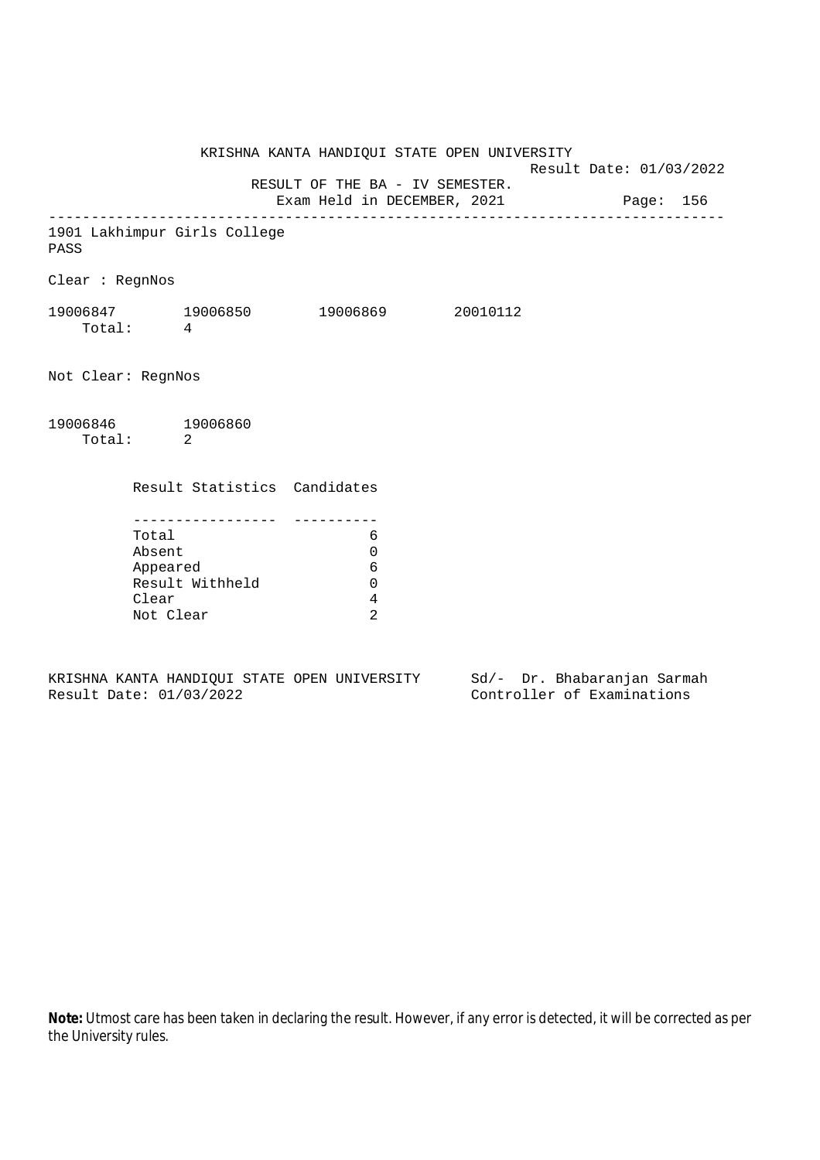KRISHNA KANTA HANDIQUI STATE OPEN UNIVERSITY Result Date: 01/03/2022 RESULT OF THE BA - IV SEMESTER. Exam Held in DECEMBER, 2021 Page: 156 -------------------------------------------------------------------------------- 1901 Lakhimpur Girls College PASS Clear : RegnNos 19006847 19006850 19006869 20010112 Total: 4 Not Clear: RegnNos 19006846 19006860 Total: 2 Result Statistics Candidates ----------------- ---------- Total 6 Absent 0 Appeared 6 Result Withheld 0 Clear 4 Not Clear 2

KRISHNA KANTA HANDIQUI STATE OPEN UNIVERSITY Sd/- Dr. Bhabaranjan Sarmah Result Date: 01/03/2022 Controller of Examinations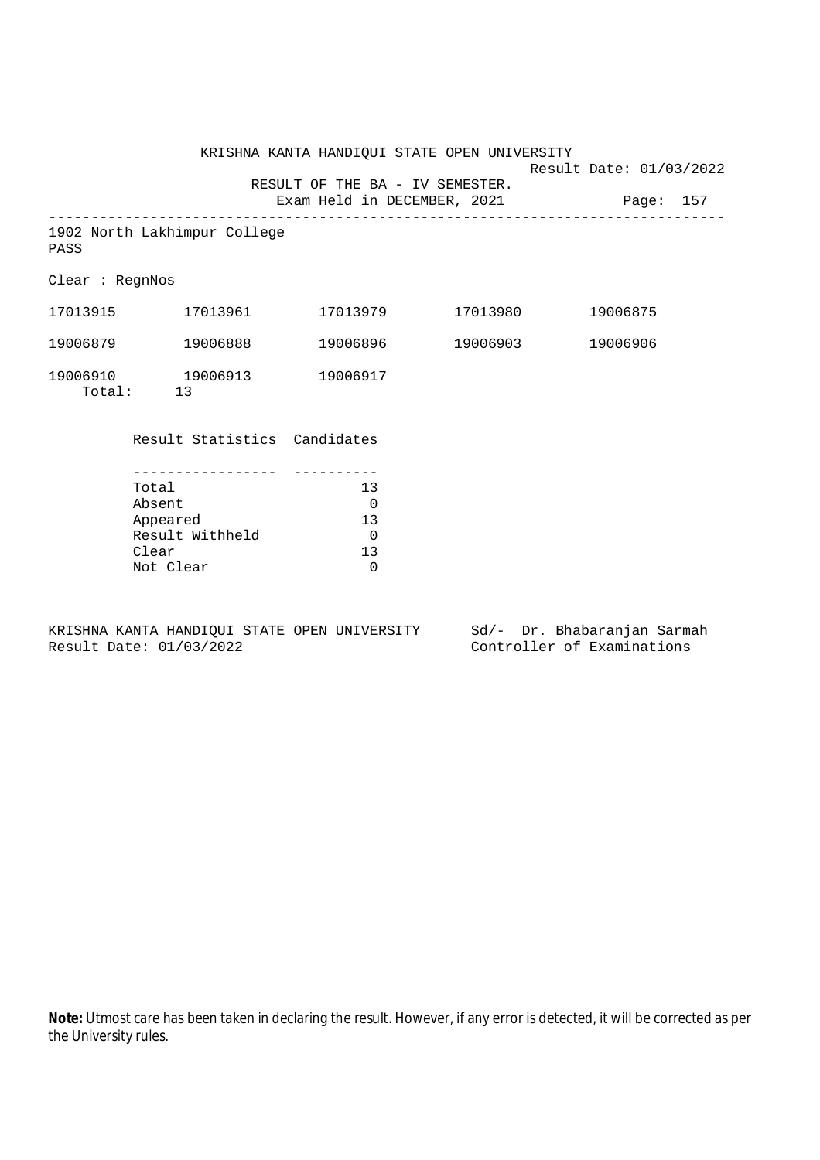|                        |                                   |                                 | KRISHNA KANTA HANDIQUI STATE OPEN UNIVERSITY |                         |  |
|------------------------|-----------------------------------|---------------------------------|----------------------------------------------|-------------------------|--|
|                        |                                   |                                 |                                              | Result Date: 01/03/2022 |  |
|                        |                                   | RESULT OF THE BA - IV SEMESTER. | Exam Held in DECEMBER, 2021 Page: 157        |                         |  |
| PASS                   | 1902 North Lakhimpur College      |                                 |                                              |                         |  |
| Clear : <b>ReqnNos</b> |                                   |                                 |                                              |                         |  |
|                        |                                   |                                 |                                              | 19006875                |  |
|                        | 19006879 19006888                 |                                 | 19006896 19006903                            | 19006906                |  |
|                        | 19006910    19006913<br>Total: 13 | 19006917                        |                                              |                         |  |
|                        | Result Statistics Candidates      |                                 |                                              |                         |  |
|                        |                                   |                                 |                                              |                         |  |
|                        | Total                             | 13                              |                                              |                         |  |
|                        | Absent                            | $\overline{\phantom{0}}$        |                                              |                         |  |
|                        | Appeared                          | 13                              |                                              |                         |  |
|                        | Result Withheld                   | $\mathbf 0$                     |                                              |                         |  |

KRISHNA KANTA HANDIQUI STATE OPEN UNIVERSITY Sd/- Dr. Bhabaranjan Sarmah<br>Result Date: 01/03/2022 Controller of Examinations

Clear 130 and 130 and 130 and 130 and 130 and 130 and 130 and 130 and 130 and 130 and 130 and 130 and 130 and 130 and 130 and 130 and 130 and 130 and 130 and 130 and 130 and 130 and 130 and 130 and 130 and 130 and 130 and

r -<br>Result Withheld 0<br>Clear 13

Not Clear 0

Controller of Examinations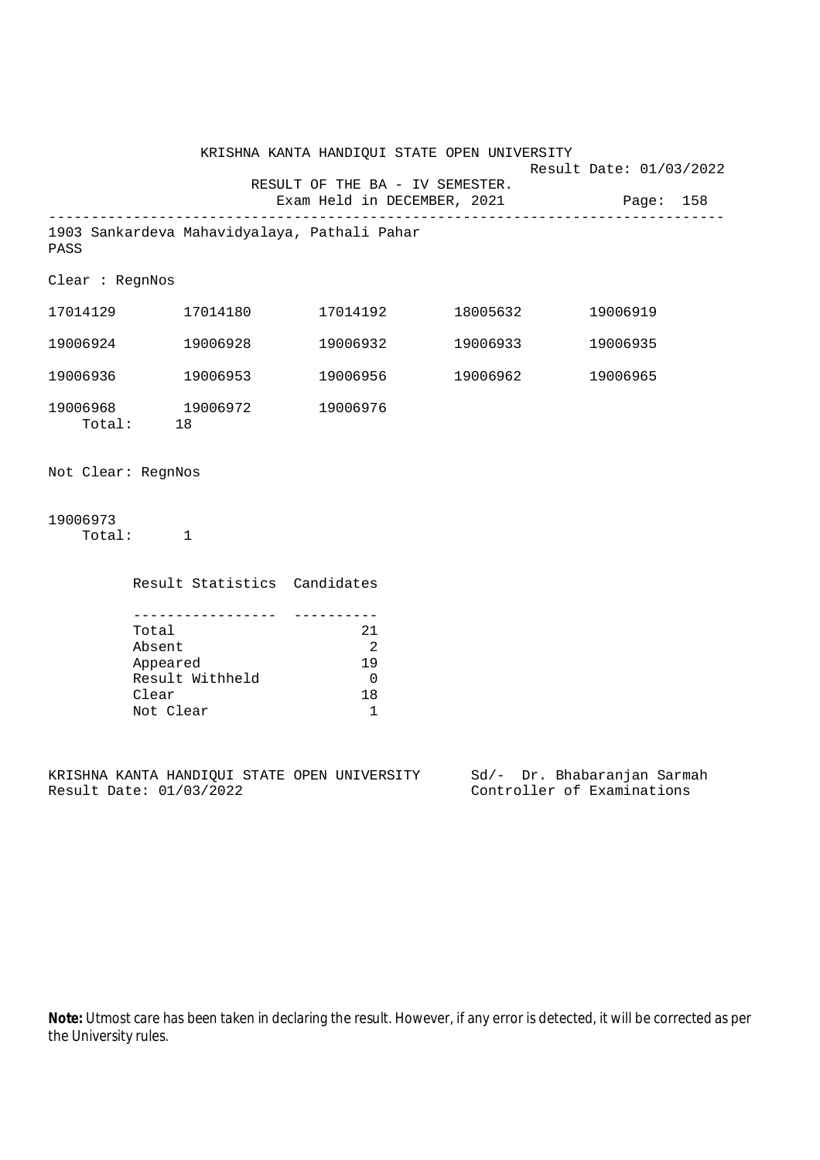|                      |                          |                                          | KRISHNA KANTA HANDIQUI STATE OPEN UNIVERSITY                        |                   | Result Date: 01/03/2022 |  |
|----------------------|--------------------------|------------------------------------------|---------------------------------------------------------------------|-------------------|-------------------------|--|
|                      |                          |                                          | RESULT OF THE BA - IV SEMESTER.<br>Exam Held in DECEMBER, 2021      |                   | Page: 158               |  |
| PASS                 |                          |                                          | 1903 Sankardeva Mahavidyalaya, Pathali Pahar                        |                   |                         |  |
| Clear : RegnNos      |                          |                                          |                                                                     |                   |                         |  |
|                      |                          | 17014129    17014180                     |                                                                     |                   | 19006919                |  |
|                      |                          | 19006924 19006928                        | 19006932                                                            | 19006933          | 19006935                |  |
|                      |                          | 19006936 19006953                        |                                                                     | 19006956 19006962 | 19006965                |  |
| Total: 18            |                          | 19006968 19006972                        | 19006976                                                            |                   |                         |  |
| Not Clear: RegnNos   |                          |                                          |                                                                     |                   |                         |  |
| 19006973<br>Total: 1 |                          |                                          |                                                                     |                   |                         |  |
|                      |                          | Result Statistics Candidates             |                                                                     |                   |                         |  |
|                      | Total<br>Absent<br>Clear | Appeared<br>Result Withheld<br>Not Clear | 21<br>$\overline{\phantom{0}}^2$<br>19<br>$\overline{0}$<br>18<br>1 |                   |                         |  |

KRISHNA KANTA HANDIQUI STATE OPEN UNIVERSITY Sd/- Dr. Bhabaranjan Sarmah Result Date: 01/03/2022 Controller of Examinations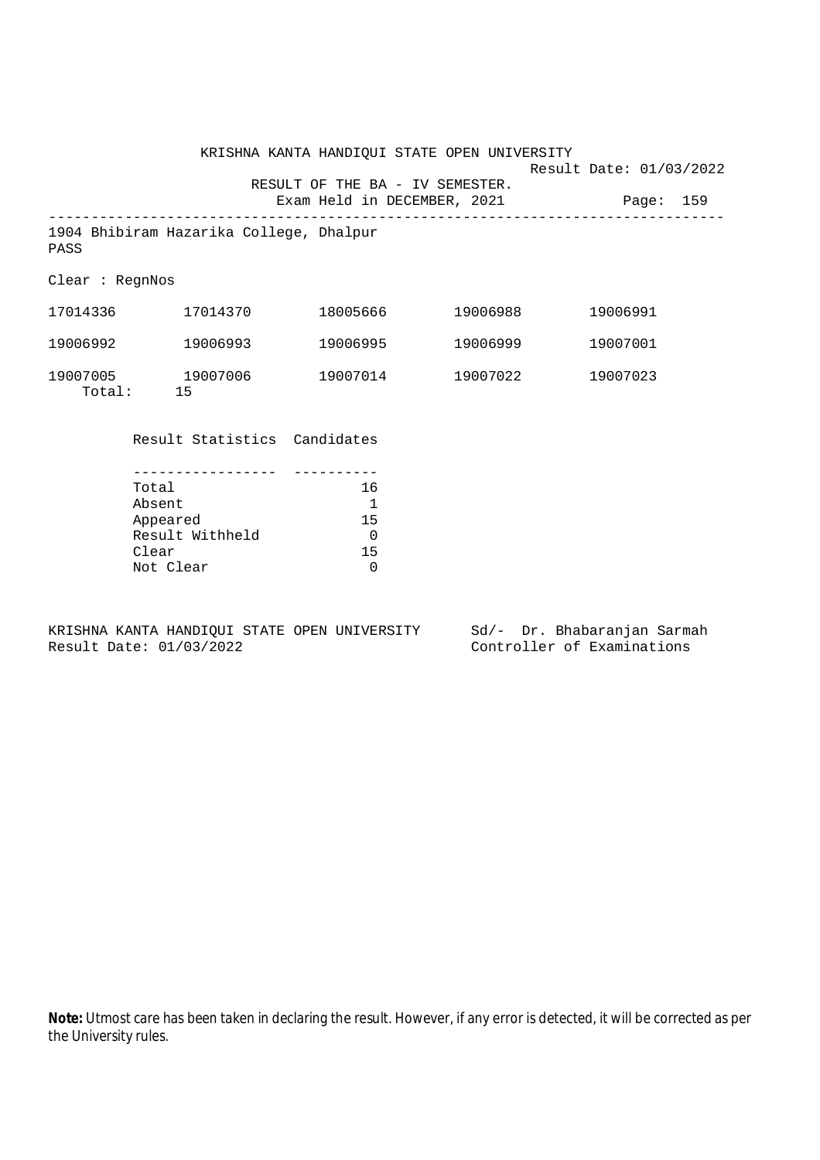KRISHNA KANTA HANDIQUI STATE OPEN UNIVERSITY Result Date: 01/03/2022 RESULT OF THE BA - IV SEMESTER. Exam Held in DECEMBER, 2021 Page: 159 -------------------------------------------------------------------------------- 1904 Bhibiram Hazarika College, Dhalpur PASS Clear : RegnNos 17014336 17014370 18005666 19006988 19006991 19006992 19006993 19006995 19006999 19007001 19007005 19007006 19007014 19007022 19007023 Total: 15 Result Statistics Candidates

| Total           | 16 |
|-----------------|----|
| Absent          | 1  |
| Appeared        | 15 |
| Result Withheld | U  |
| Clear           | 15 |
| Not Clear       | U  |

KRISHNA KANTA HANDIQUI STATE OPEN UNIVERSITY Sd/- Dr. Bhabaranjan Sarmah Result Date: 01/03/2022 Controller of Examinations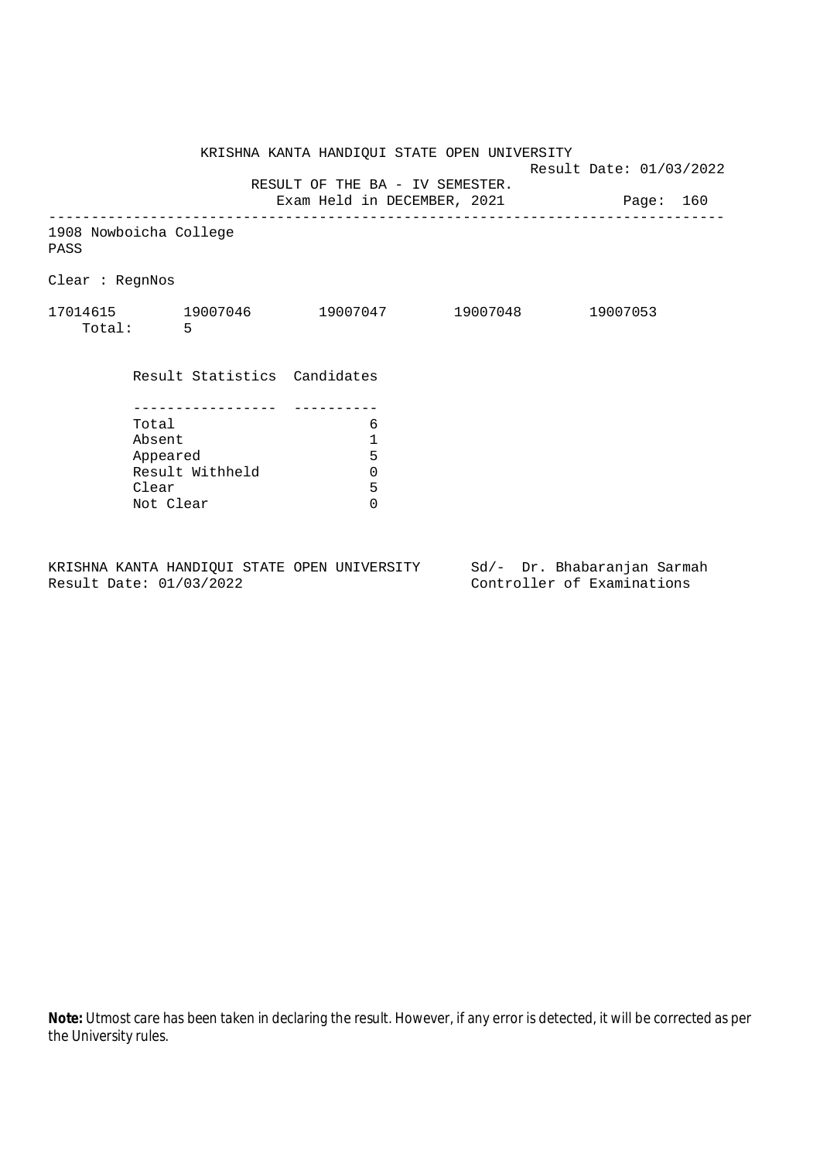KRISHNA KANTA HANDIQUI STATE OPEN UNIVERSITY Result Date: 01/03/2022 RESULT OF THE BA - IV SEMESTER. Exam Held in DECEMBER, 2021 Page: 160 -------------------------------------------------------------------------------- 1908 Nowboicha College PASS Clear : RegnNos 17014615 19007046 19007047 19007048 19007053 Total: 5 Result Statistics Candidates ----------------- ---------- Total 6 Absent<br>
Appeared 5<br>
Result Withheld 0<br>
Clear 5 Appeared Result Withheld 0 Clear Not Clear 0

KRISHNA KANTA HANDIQUI STATE OPEN UNIVERSITY Sd/- Dr. Bhabaranjan Sarmah Result Date: 01/03/2022 Controller of Examinations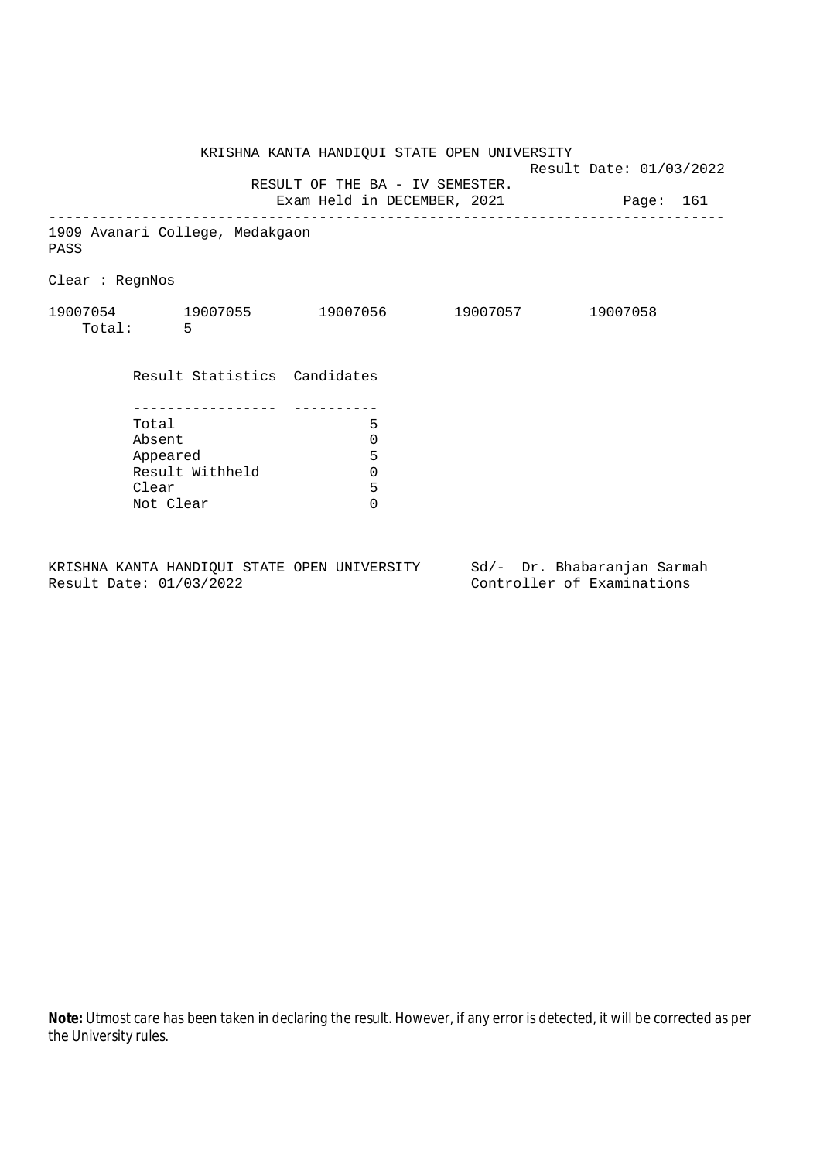|                 |           |                                 | KRISHNA KANTA HANDIQUI STATE OPEN UNIVERSITY                             | Result Date: 01/03/2022 |          |  |
|-----------------|-----------|---------------------------------|--------------------------------------------------------------------------|-------------------------|----------|--|
|                 |           |                                 | RESULT OF THE BA - IV SEMESTER.<br>Exam Held in DECEMBER, 2021 Page: 161 |                         |          |  |
| PASS            |           | 1909 Avanari College, Medakgaon |                                                                          |                         |          |  |
| Clear : RegnNos |           |                                 |                                                                          |                         |          |  |
|                 | Total: 5  |                                 | 19007054 19007055 19007056 19007057                                      |                         | 19007058 |  |
|                 |           | Result Statistics Candidates    |                                                                          |                         |          |  |
|                 |           |                                 |                                                                          |                         |          |  |
|                 | Total     |                                 | 5                                                                        |                         |          |  |
|                 | Absent    |                                 | $\mathbf 0$<br>5                                                         |                         |          |  |
|                 | Appeared  |                                 |                                                                          |                         |          |  |
|                 | Clear     | Result Withheld                 | $\mathbf 0$<br>5                                                         |                         |          |  |
|                 | Not Clear |                                 | $\Omega$                                                                 |                         |          |  |
|                 |           |                                 |                                                                          |                         |          |  |

KRISHNA KANTA HANDIQUI STATE OPEN UNIVERSITY Sd/- Dr. Bhabaranjan Sarmah<br>Result Date: 01/03/2022 Controller of Examinations

Controller of Examinations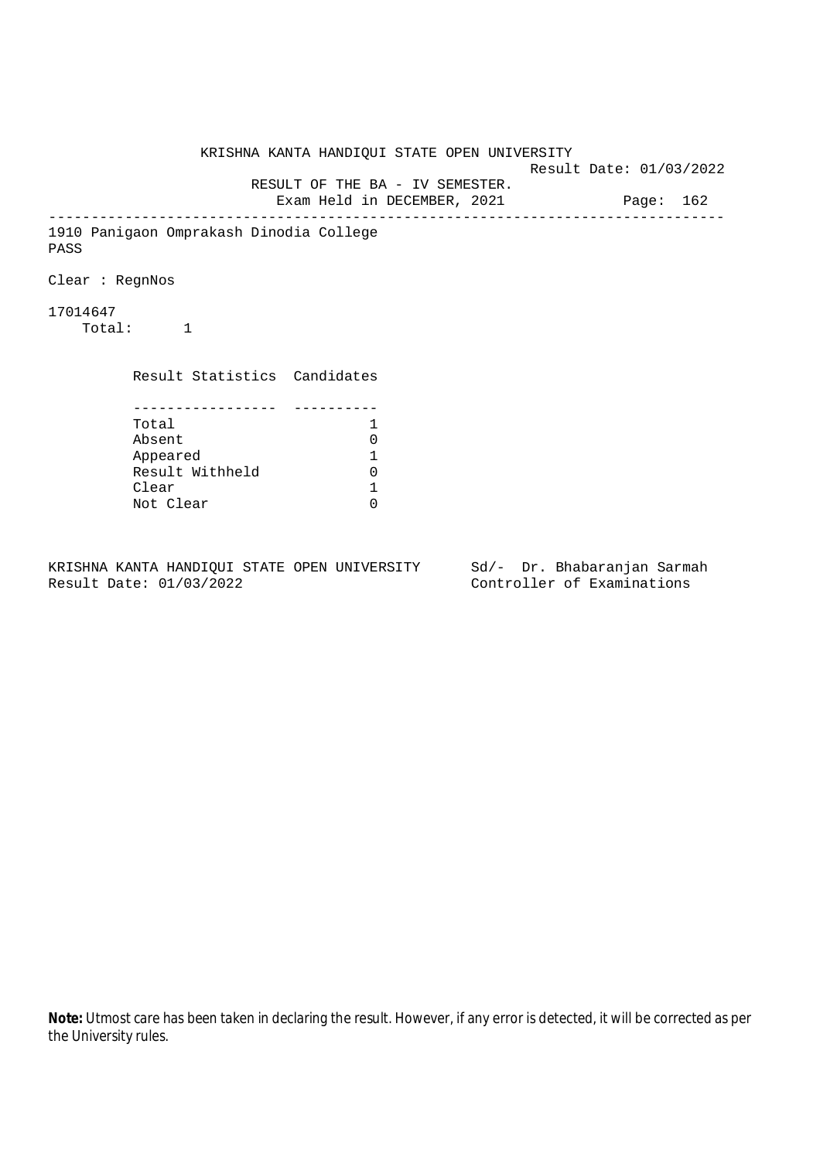KRISHNA KANTA HANDIQUI STATE OPEN UNIVERSITY Result Date: 01/03/2022 RESULT OF THE BA - IV SEMESTER. Exam Held in DECEMBER, 2021 Page: 162 -------------------------------------------------------------------------------- 1910 Panigaon Omprakash Dinodia College PASS Clear : RegnNos 17014647 Total: 1 Result Statistics Candidates ----------------- ---------- Total 1 Absent<br>
Appeared 1<br>
Result Withheld 0<br>
Clear 1 Appeared 1 Result Withheld Clear Not Clear 0

KRISHNA KANTA HANDIQUI STATE OPEN UNIVERSITY Sd/- Dr. Bhabaranjan Sarmah Result Date: 01/03/2022 Controller of Examinations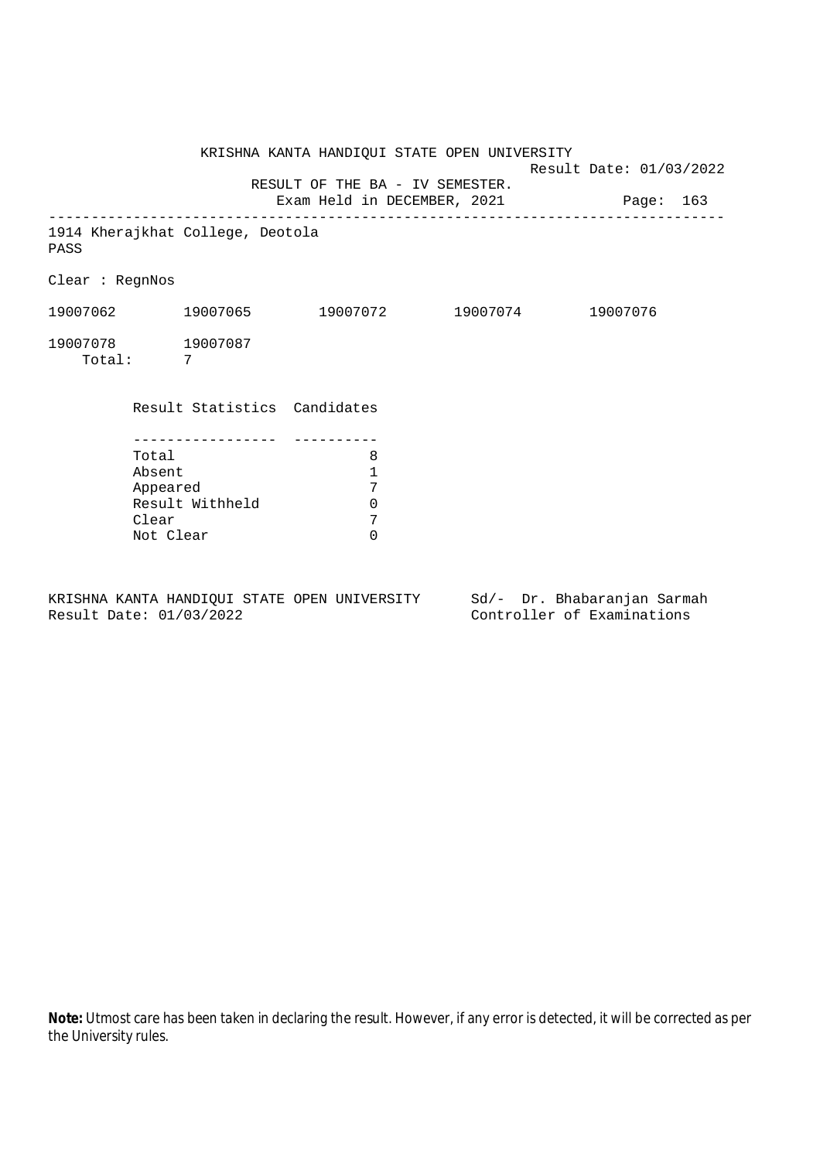KRISHNA KANTA HANDIQUI STATE OPEN UNIVERSITY Result Date: 01/03/2022 RESULT OF THE BA - IV SEMESTER. Exam Held in DECEMBER, 2021 Page: 163 -------------------------------------------------------------------------------- 1914 Kherajkhat College, Deotola PASS Clear : RegnNos 19007062 19007065 19007072 19007074 19007076 19007078 19007087 Total: 7 Result Statistics Candidates ----------------- ---------- Total 8 Absent 1 Appeared 7<br>Result Withheld 0 Result Withheld 0<br>Clear 7 Clear 7<br>Not Clear 6 Not Clear

KRISHNA KANTA HANDIQUI STATE OPEN UNIVERSITY Sd/- Dr. Bhabaranjan Sarmah Result Date: 01/03/2022 Controller of Examinations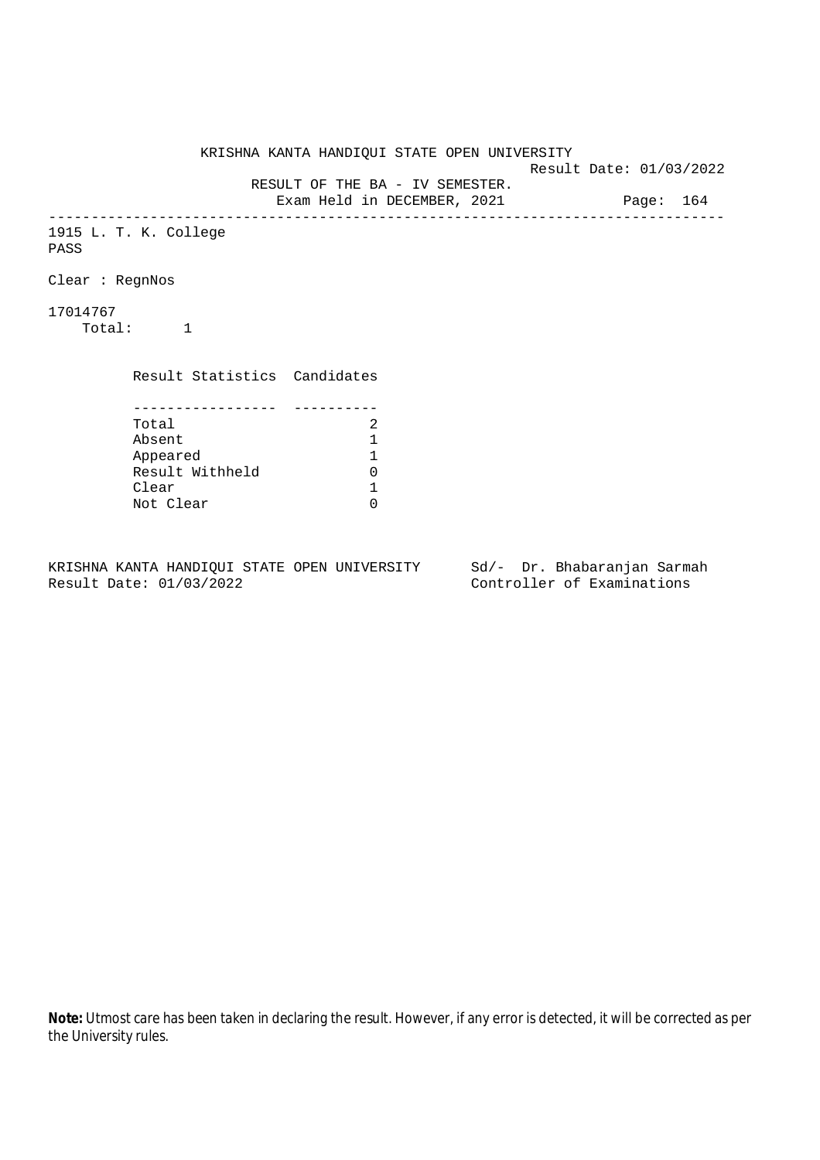KRISHNA KANTA HANDIQUI STATE OPEN UNIVERSITY Result Date: 01/03/2022 RESULT OF THE BA - IV SEMESTER. Exam Held in DECEMBER, 2021 Page: 164 -------------------------------------------------------------------------------- 1915 L. T. K. College PASS Clear : RegnNos 17014767 Total: 1 Result Statistics Candidates ----------------- ---------- Total 2<br>Absent 1 Absent<br>
Appeared 1<br>
Result Withheld 0<br>
Clear 1 Appeared 1 Result Withheld Clear Not Clear 0

KRISHNA KANTA HANDIQUI STATE OPEN UNIVERSITY Sd/- Dr. Bhabaranjan Sarmah Result Date: 01/03/2022 Controller of Examinations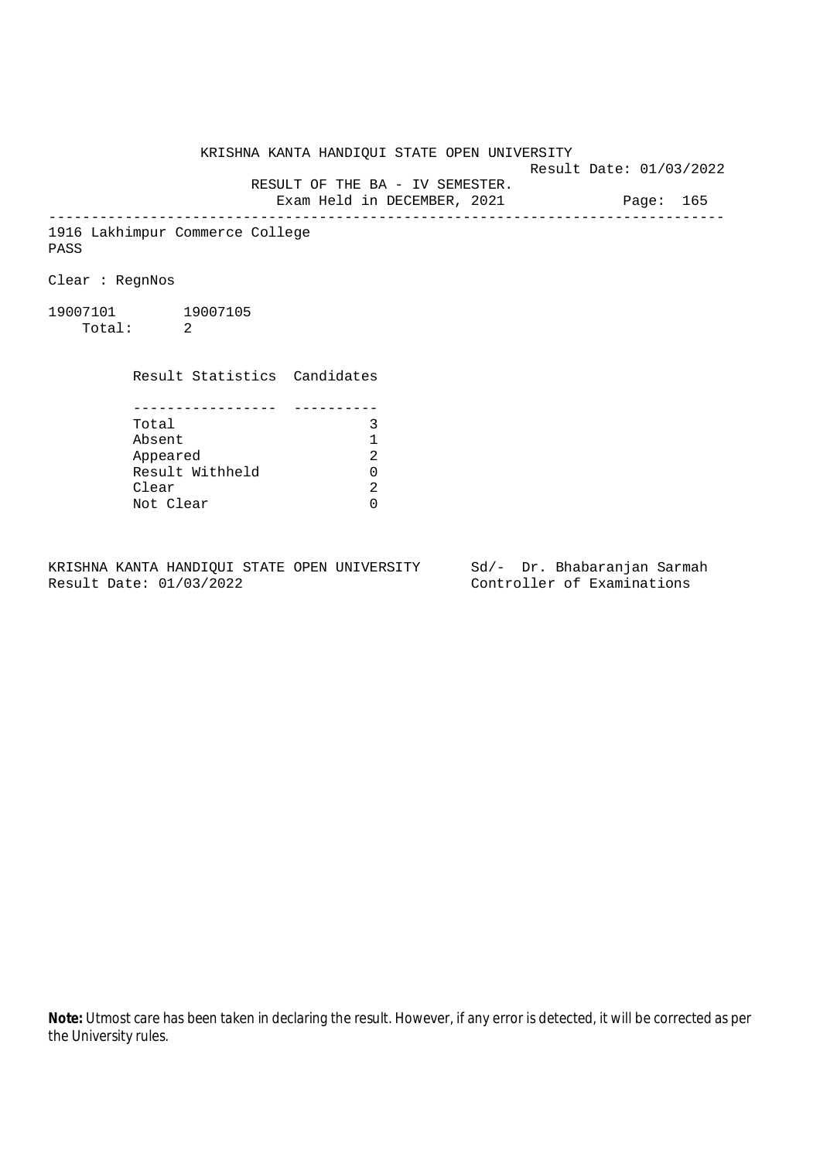KRISHNA KANTA HANDIQUI STATE OPEN UNIVERSITY

Result Date: 01/03/2022

 RESULT OF THE BA - IV SEMESTER. Exam Held in DECEMBER, 2021 Page: 165

--------------------------------------------------------------------------------

1916 Lakhimpur Commerce College PASS

Clear : RegnNos

19007101 19007105 Total: 2

Result Statistics Candidates

| Total           |   |
|-----------------|---|
| Absent          |   |
| Appeared        | 2 |
| Result Withheld | ∩ |
| Clear           | 2 |
| Not Clear       |   |

KRISHNA KANTA HANDIQUI STATE OPEN UNIVERSITY Sd/- Dr. Bhabaranjan Sarmah Result Date: 01/03/2022 Controller of Examinations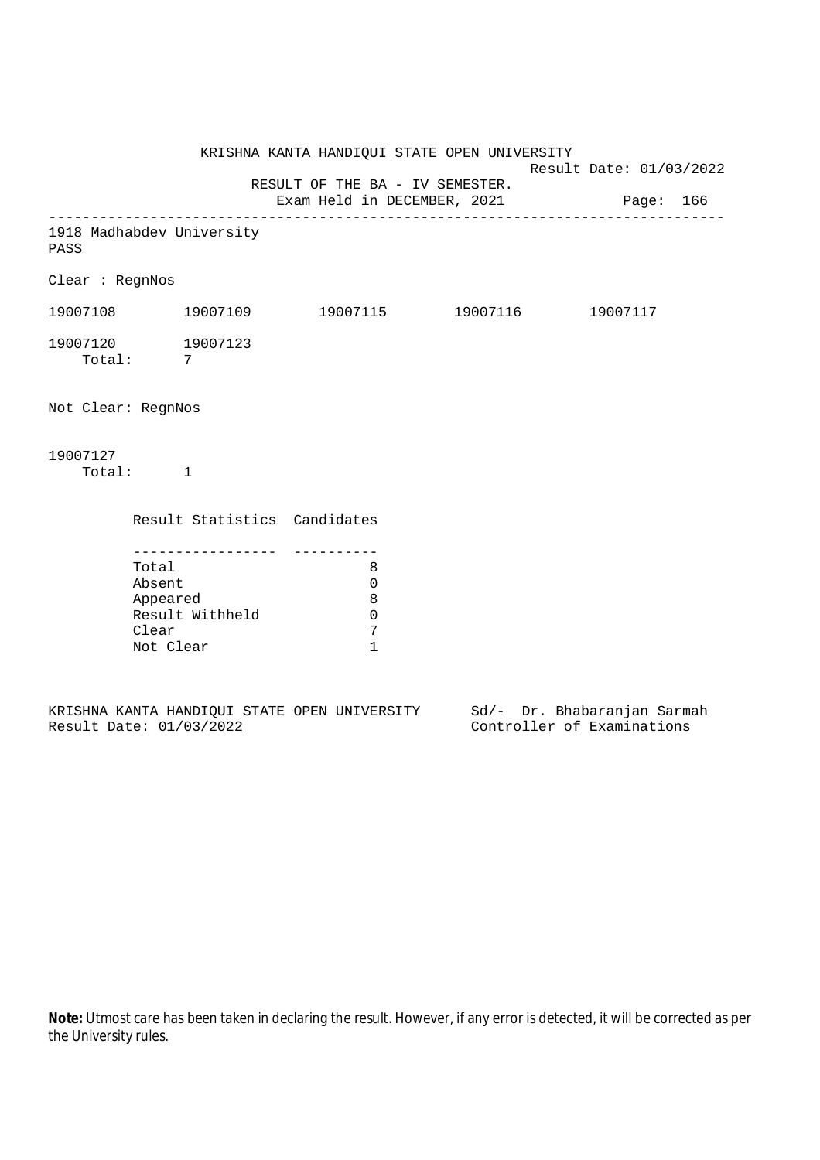KRISHNA KANTA HANDIQUI STATE OPEN UNIVERSITY Result Date: 01/03/2022 RESULT OF THE BA - IV SEMESTER. Exam Held in DECEMBER, 2021 Page: 166 -------------------------------------------------------------------------------- 1918 Madhabdev University PASS Clear : RegnNos 19007108 19007109 19007115 19007116 19007117 19007120 19007123 Total: 7 Not Clear: RegnNos 19007127 Total: 1 Result Statistics Candidates ----------------- ---------- Total 8 Absent 0 Appeared 8 Result Withheld 0<br>Clear 7 Clear Not Clear 1

|  |                         |  | KRISHNA KANTA HANDIOUI STATE OPEN UNIVERSITY |  |  | Sd/- Dr. Bhabaranjan Sarmah |  |
|--|-------------------------|--|----------------------------------------------|--|--|-----------------------------|--|
|  | Result Date: 01/03/2022 |  |                                              |  |  | Controller of Examinations  |  |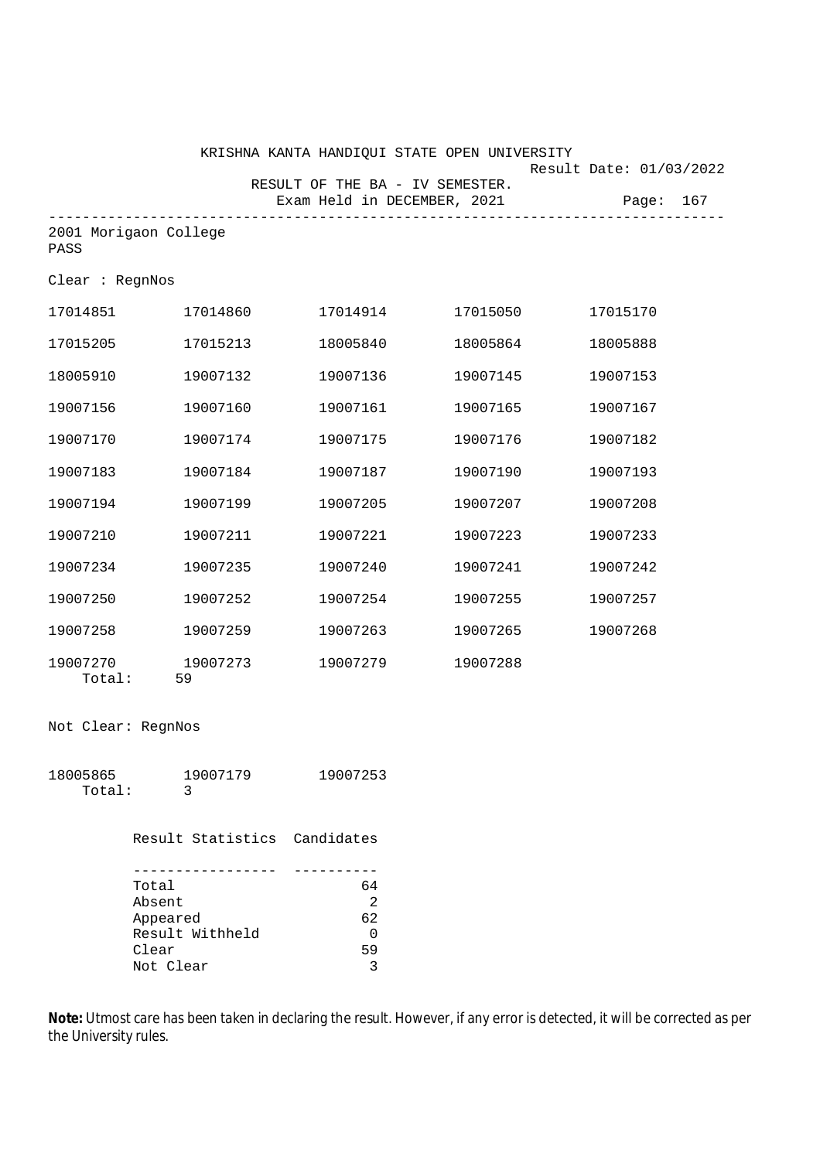|                               |          | KRISHNA KANTA HANDIQUI STATE OPEN UNIVERSITY |          |          | Result Date: 01/03/2022 |
|-------------------------------|----------|----------------------------------------------|----------|----------|-------------------------|
|                               |          | RESULT OF THE BA - IV SEMESTER.              |          |          |                         |
|                               |          | Exam Held in DECEMBER, 2021                  |          |          | Page: 167               |
| 2001 Morigaon College<br>PASS |          |                                              |          |          |                         |
| Clear : RegnNos               |          |                                              |          |          |                         |
| 17014851 17014860             |          | 17014914                                     | 17015050 | 17015170 |                         |
| 17015205                      | 17015213 | 18005840                                     | 18005864 | 18005888 |                         |
| 18005910                      | 19007132 | 19007136                                     | 19007145 | 19007153 |                         |
| 19007156                      | 19007160 | 19007161                                     | 19007165 | 19007167 |                         |
| 19007170                      | 19007174 | 19007175                                     | 19007176 | 19007182 |                         |
| 19007183                      | 19007184 | 19007187                                     | 19007190 | 19007193 |                         |
| 19007194                      | 19007199 | 19007205                                     | 19007207 | 19007208 |                         |
| 19007210                      | 19007211 | 19007221                                     | 19007223 | 19007233 |                         |
| 19007234                      | 19007235 | 19007240                                     | 19007241 | 19007242 |                         |
| 19007250                      | 19007252 | 19007254                                     | 19007255 | 19007257 |                         |
| 19007258                      | 19007259 | 19007263                                     | 19007265 | 19007268 |                         |
| 19007270<br>Total:<br>59      | 19007273 | 19007279                                     | 19007288 |          |                         |
|                               |          |                                              |          |          |                         |

## Not Clear: RegnNos

| 18005865 | 19007179 | 19007253 |
|----------|----------|----------|
| Total:   |          |          |

Result Statistics Candidates

| Total           | 64 |
|-----------------|----|
| Absent          | 2  |
| Appeared        | 62 |
| Result Withheld |    |
| Clear           | 59 |
| Not Clear       |    |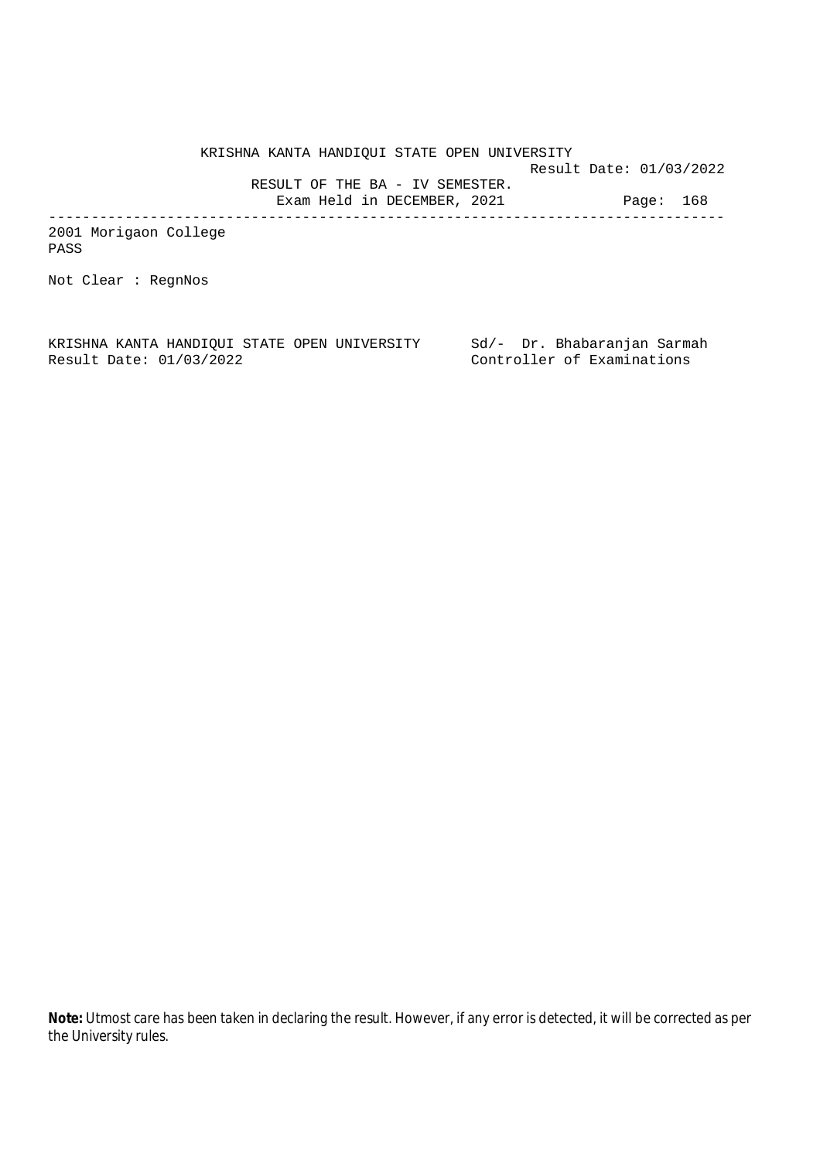KRISHNA KANTA HANDIQUI STATE OPEN UNIVERSITY Result Date: 01/03/2022 RESULT OF THE BA - IV SEMESTER. Exam Held in DECEMBER, 2021 Page: 168 --------------------------------------------------------------------------------

2001 Morigaon College PASS

Not Clear : RegnNos

KRISHNA KANTA HANDIQUI STATE OPEN UNIVERSITY Sd/- Dr. Bhabaranjan Sarmah Result Date: 01/03/2022 Controller of Examinations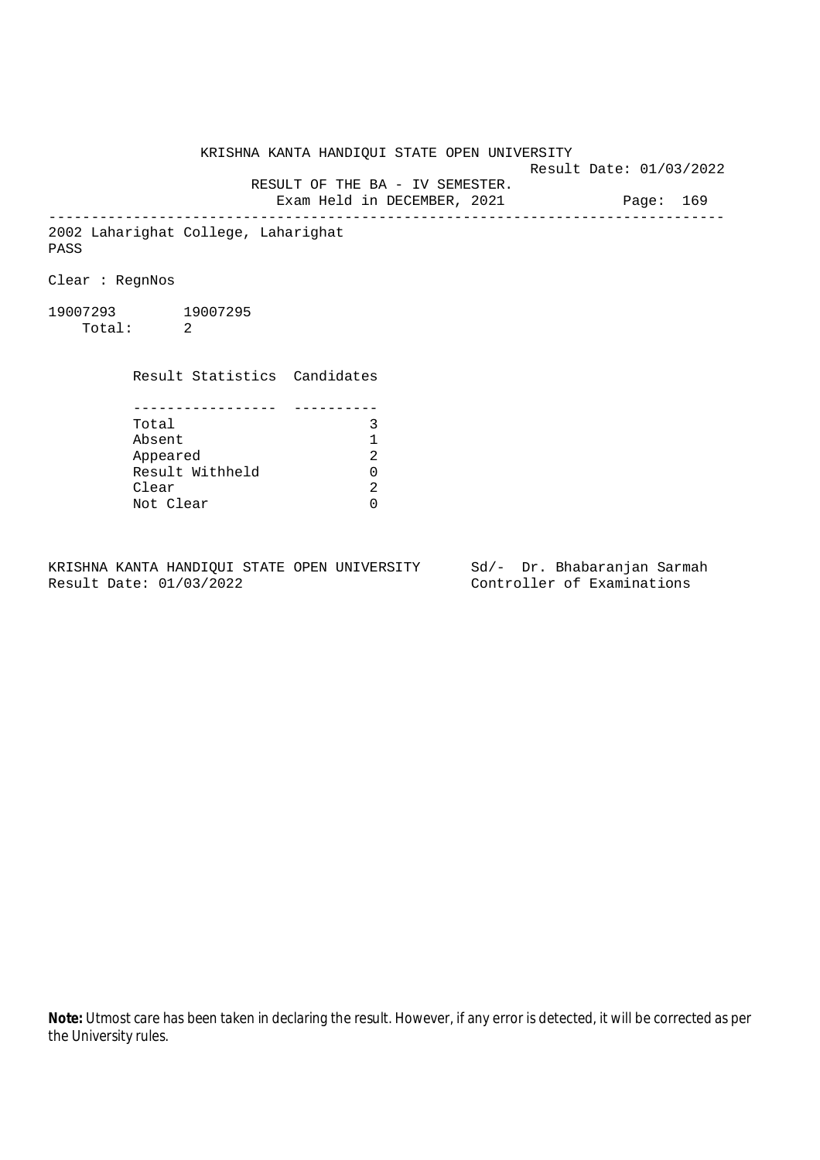Result Date: 01/03/2022 RESULT OF THE BA - IV SEMESTER. Exam Held in DECEMBER, 2021 Page: 169 -------------------------------------------------------------------------------- 2002 Laharighat College, Laharighat Clear : RegnNos 19007293 19007295 Total: 2 Result Statistics Candidates

KRISHNA KANTA HANDIQUI STATE OPEN UNIVERSITY

| Total           |    |
|-----------------|----|
| Absent          |    |
| Appeared        | 2. |
| Result Withheld |    |
| Clear           | 2. |
| Not Clear       |    |

PASS

KRISHNA KANTA HANDIQUI STATE OPEN UNIVERSITY Sd/- Dr. Bhabaranjan Sarmah Result Date: 01/03/2022 Controller of Examinations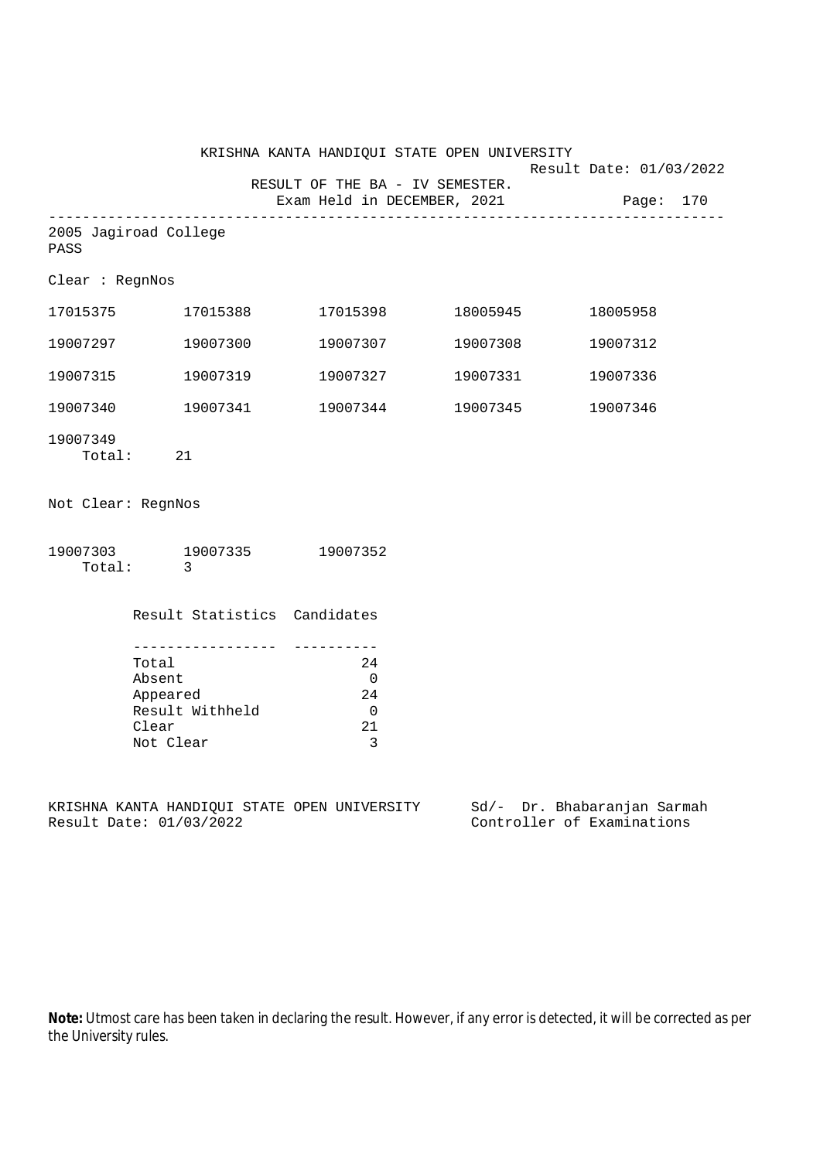|                    |                                                                                                     |                                                                | KRISHNA KANTA HANDIQUI STATE OPEN UNIVERSITY | Result Date: 01/03/2022    |
|--------------------|-----------------------------------------------------------------------------------------------------|----------------------------------------------------------------|----------------------------------------------|----------------------------|
|                    |                                                                                                     | RESULT OF THE BA - IV SEMESTER.<br>Exam Held in DECEMBER, 2021 |                                              | Page: 170                  |
| PASS               | 2005 Jagiroad College                                                                               |                                                                |                                              |                            |
| Clear : RegnNos    |                                                                                                     |                                                                |                                              |                            |
|                    | 17015375    17015388                                                                                |                                                                |                                              | 18005958                   |
| 19007297           | 19007300                                                                                            | 19007307                                                       | 19007308                                     | 19007312                   |
| 19007315           | 19007319                                                                                            | 19007327                                                       | 19007331                                     | 19007336                   |
| 19007340           | 19007341                                                                                            | 19007344                                                       | 19007345                                     | 19007346                   |
| 19007349           | Total: 21                                                                                           |                                                                |                                              |                            |
| Not Clear: RegnNos |                                                                                                     |                                                                |                                              |                            |
|                    | 19007303 19007335 19007352<br>Total: 3                                                              |                                                                |                                              |                            |
|                    | Result Statistics Candidates                                                                        |                                                                |                                              |                            |
|                    | Total<br>Absent<br>Appeared<br>Result Withheld<br>Clear<br>Not Clear                                | 24<br>$\overline{0}$<br>24<br>$\overline{0}$<br>21<br>3        |                                              |                            |
|                    | KRISHNA KANTA HANDIQUI STATE OPEN UNIVERSITY Sd/- Dr. Bhabaranjan Sarmah<br>Result Date: 01/03/2022 |                                                                |                                              | Controller of Examinations |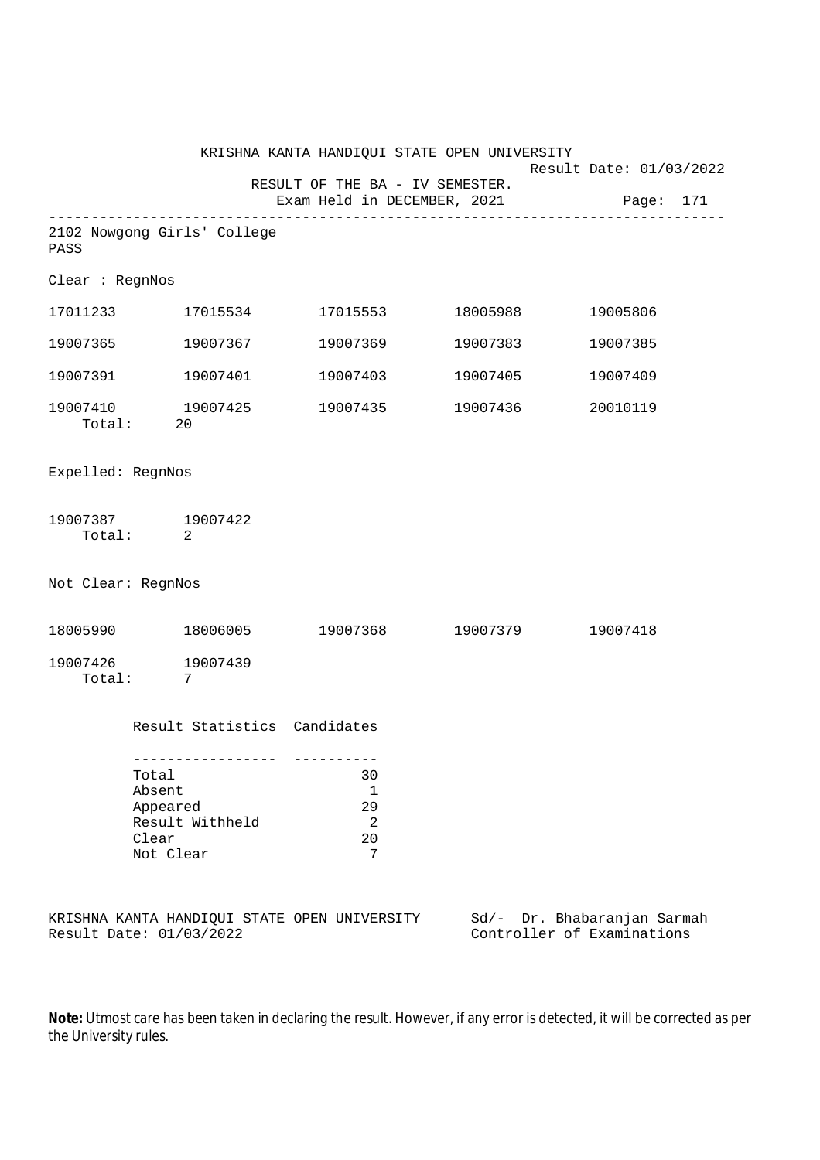|                                                                         |                                                   |                                   |                                                                |  | KRISHNA KANTA HANDIQUI STATE OPEN UNIVERSITY              |          |           |  |
|-------------------------------------------------------------------------|---------------------------------------------------|-----------------------------------|----------------------------------------------------------------|--|-----------------------------------------------------------|----------|-----------|--|
|                                                                         |                                                   |                                   | RESULT OF THE BA - IV SEMESTER.<br>Exam Held in DECEMBER, 2021 |  | Result Date: 01/03/2022                                   |          | Page: 171 |  |
| 2102 Nowgong Girls' College<br>PASS                                     |                                                   |                                   |                                                                |  |                                                           |          |           |  |
| Clear : RegnNos                                                         |                                                   |                                   |                                                                |  |                                                           |          |           |  |
| 17011233 17015534                                                       |                                                   |                                   |                                                                |  |                                                           | 19005806 |           |  |
| 19007365 19007367                                                       |                                                   |                                   |                                                                |  | 19007369 19007383                                         | 19007385 |           |  |
| 19007391 19007401                                                       |                                                   |                                   |                                                                |  | 19007403 19007405                                         | 19007409 |           |  |
| 19007410 19007425                                                       | Total: 20                                         |                                   |                                                                |  | 19007435 19007436                                         | 20010119 |           |  |
| Expelled: RegnNos                                                       |                                                   |                                   |                                                                |  |                                                           |          |           |  |
| 19007387 19007422                                                       | Total: 2                                          |                                   |                                                                |  |                                                           |          |           |  |
| Not Clear: RegnNos                                                      |                                                   |                                   |                                                                |  |                                                           |          |           |  |
|                                                                         |                                                   |                                   |                                                                |  | $18005990$ $18006005$ $19007368$ $19007379$ $19007418$    |          |           |  |
| 19007426 19007439<br>Total: 7                                           |                                                   |                                   |                                                                |  |                                                           |          |           |  |
|                                                                         |                                                   | Result Statistics Candidates      |                                                                |  |                                                           |          |           |  |
|                                                                         | Total<br>Absent<br>Appeared<br>Clear<br>Not Clear | --------------<br>Result Withheld | 30<br>1<br>29<br>2<br>20<br>7                                  |  |                                                           |          |           |  |
| KRISHNA KANTA HANDIQUI STATE OPEN UNIVERSITY<br>Result Date: 01/03/2022 |                                                   |                                   |                                                                |  | Sd/- Dr. Bhabaranjan Sarmah<br>Controller of Examinations |          |           |  |

**Note:** Utmost care has been taken in declaring the result. However, if any error is detected, it will be corrected as per

the University rules.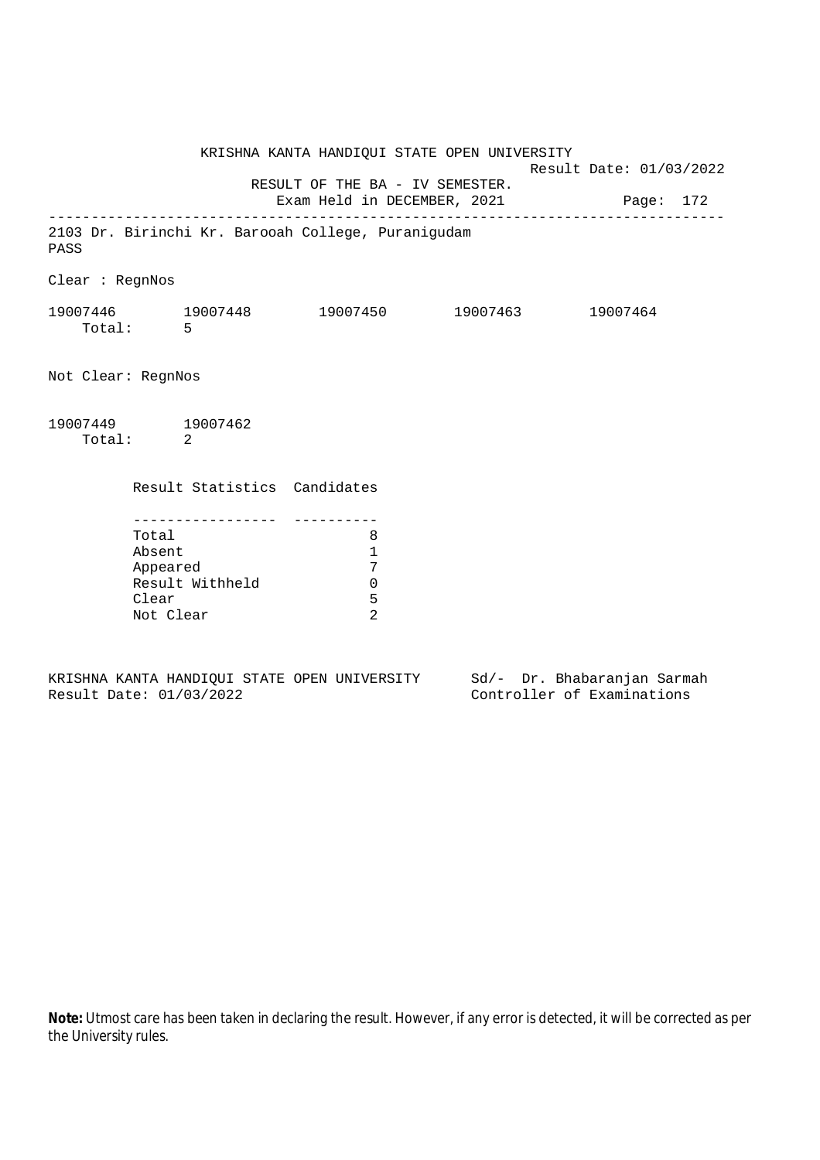KRISHNA KANTA HANDIQUI STATE OPEN UNIVERSITY Result Date: 01/03/2022 RESULT OF THE BA - IV SEMESTER. Exam Held in DECEMBER, 2021 Page: 172 -------------------------------------------------------------------------------- 2103 Dr. Birinchi Kr. Barooah College, Puranigudam PASS Clear : RegnNos 19007446 19007448 19007450 19007463 19007464 Total: 5 Not Clear: RegnNos 19007449 19007462 Total: 2 Result Statistics Candidates ----------------- ---------- Total 8 Absent 1 Appeared 7 Result Withheld 0 Clear 5 Not Clear 2

KRISHNA KANTA HANDIQUI STATE OPEN UNIVERSITY Sd/- Dr. Bhabaranjan Sarmah Result Date: 01/03/2022 Controller of Examinations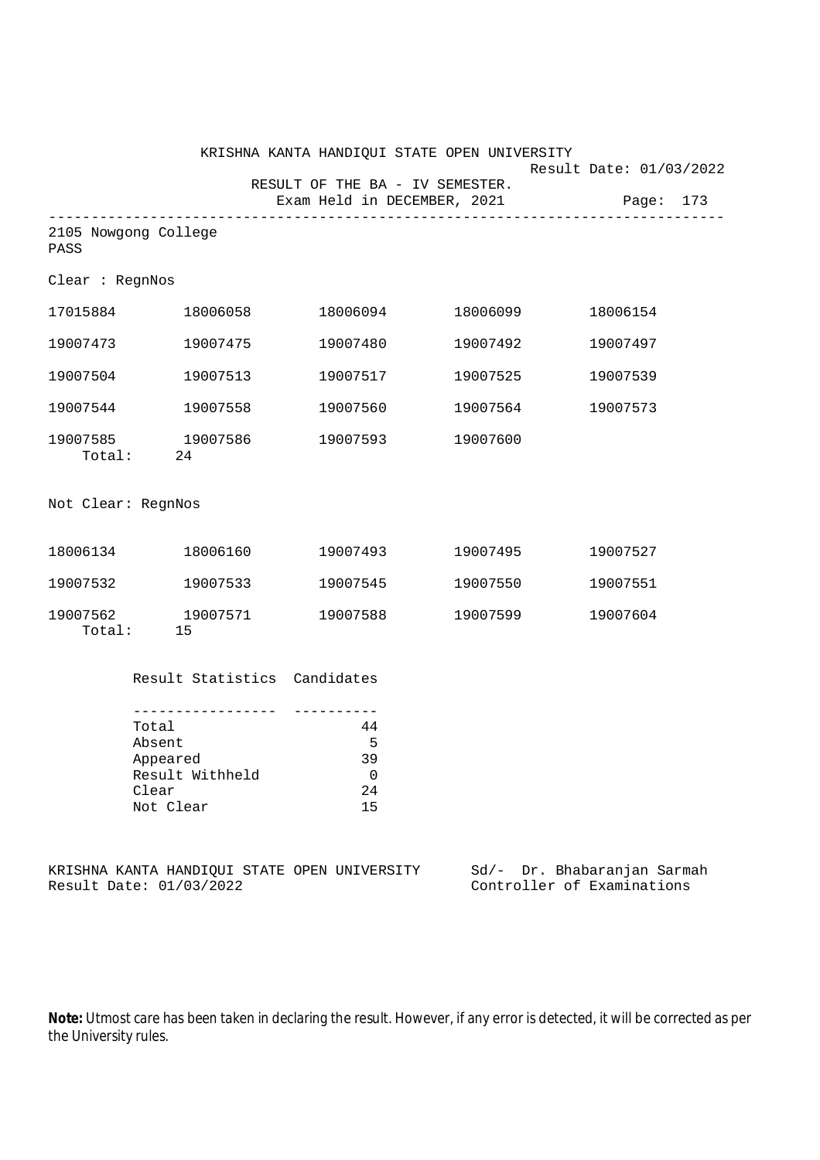|                    |                                                                                        |                                                                | KRISHNA KANTA HANDIQUI STATE OPEN UNIVERSITY |                                                           |
|--------------------|----------------------------------------------------------------------------------------|----------------------------------------------------------------|----------------------------------------------|-----------------------------------------------------------|
|                    |                                                                                        | RESULT OF THE BA - IV SEMESTER.<br>Exam Held in DECEMBER, 2021 |                                              | Result Date: 01/03/2022<br>Page: 173                      |
| PASS               | 2105 Nowgong College                                                                   |                                                                |                                              |                                                           |
| Clear : RegnNos    |                                                                                        |                                                                |                                              |                                                           |
| 17015884           | 18006058                                                                               | 18006094                                                       | 18006099                                     | 18006154                                                  |
| 19007473           | 19007475                                                                               | 19007480                                                       | 19007492                                     | 19007497                                                  |
| 19007504           | 19007513                                                                               | 19007517                                                       | 19007525                                     | 19007539                                                  |
| 19007544           | 19007558                                                                               | 19007560                                                       | 19007564                                     | 19007573                                                  |
|                    | 19007585 19007586<br>Total: 24                                                         | 19007593                                                       | 19007600                                     |                                                           |
| Not Clear: RegnNos |                                                                                        |                                                                |                                              |                                                           |
|                    | 18006134 18006160                                                                      | 19007493                                                       | 19007495                                     | 19007527                                                  |
|                    | 19007532 19007533                                                                      | 19007545                                                       | 19007550                                     | 19007551                                                  |
|                    | 19007562 19007571<br>Total: 15                                                         | 19007588                                                       | 19007599                                     | 19007604                                                  |
|                    | Result Statistics Candidates                                                           |                                                                |                                              |                                                           |
|                    | --------------<br>Total<br>Absent<br>Appeared<br>Result Withheld<br>Clear<br>Not Clear | 44<br>5<br>39<br>$\mathbf 0$<br>24<br>15                       |                                              |                                                           |
|                    | KRISHNA KANTA HANDIQUI STATE OPEN UNIVERSITY<br>Result Date: 01/03/2022                |                                                                |                                              | Sd/- Dr. Bhabaranjan Sarmah<br>Controller of Examinations |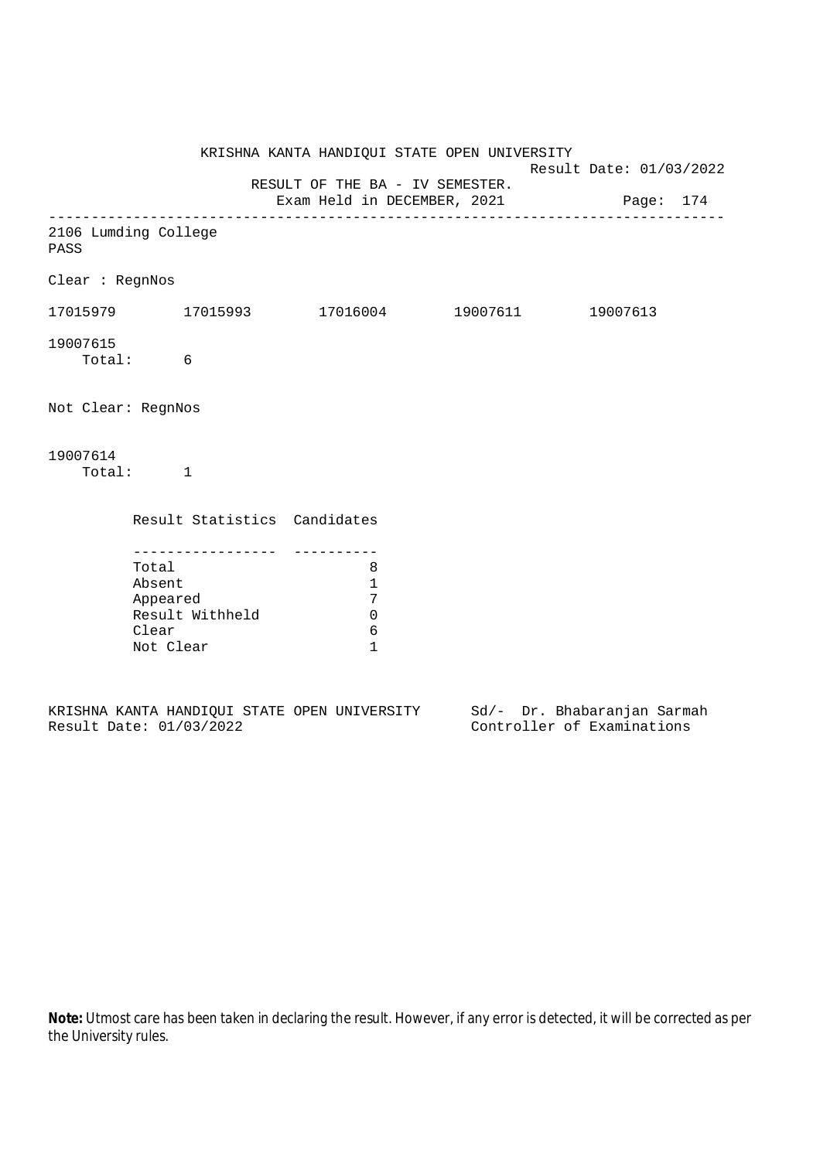|                              |                                       |                             | KRISHNA KANTA HANDIQUI STATE OPEN UNIVERSITY                             | Result Date: 01/03/2022 |  |  |
|------------------------------|---------------------------------------|-----------------------------|--------------------------------------------------------------------------|-------------------------|--|--|
|                              |                                       |                             | RESULT OF THE BA - IV SEMESTER.<br>Exam Held in DECEMBER, 2021 Page: 174 |                         |  |  |
| 2106 Lumding College<br>PASS |                                       |                             |                                                                          |                         |  |  |
| Clear : RegnNos              |                                       |                             |                                                                          |                         |  |  |
|                              |                                       |                             | $17015979$ 17015993 17016004 19007611 19007613                           |                         |  |  |
| 19007615                     | Total: 6                              |                             |                                                                          |                         |  |  |
| Not Clear: RegnNos           |                                       |                             |                                                                          |                         |  |  |
| 19007614                     | Total: 1                              |                             |                                                                          |                         |  |  |
|                              |                                       |                             | Result Statistics Candidates                                             |                         |  |  |
|                              | Total<br>Absent<br>Clear<br>Not Clear | Appeared<br>Result Withheld | 8<br>$\mathbf{1}$<br>7<br>$\mathbf 0$<br>6<br>$\mathbf{1}$               |                         |  |  |
|                              |                                       |                             |                                                                          |                         |  |  |

|  |                         |  | KRISHNA KANTA HANDIOUI STATE OPEN UNIVERSITY |  |  | Sd/- Dr. Bhabaranjan Sarmah |  |
|--|-------------------------|--|----------------------------------------------|--|--|-----------------------------|--|
|  | Result Date: 01/03/2022 |  |                                              |  |  | Controller of Examinations  |  |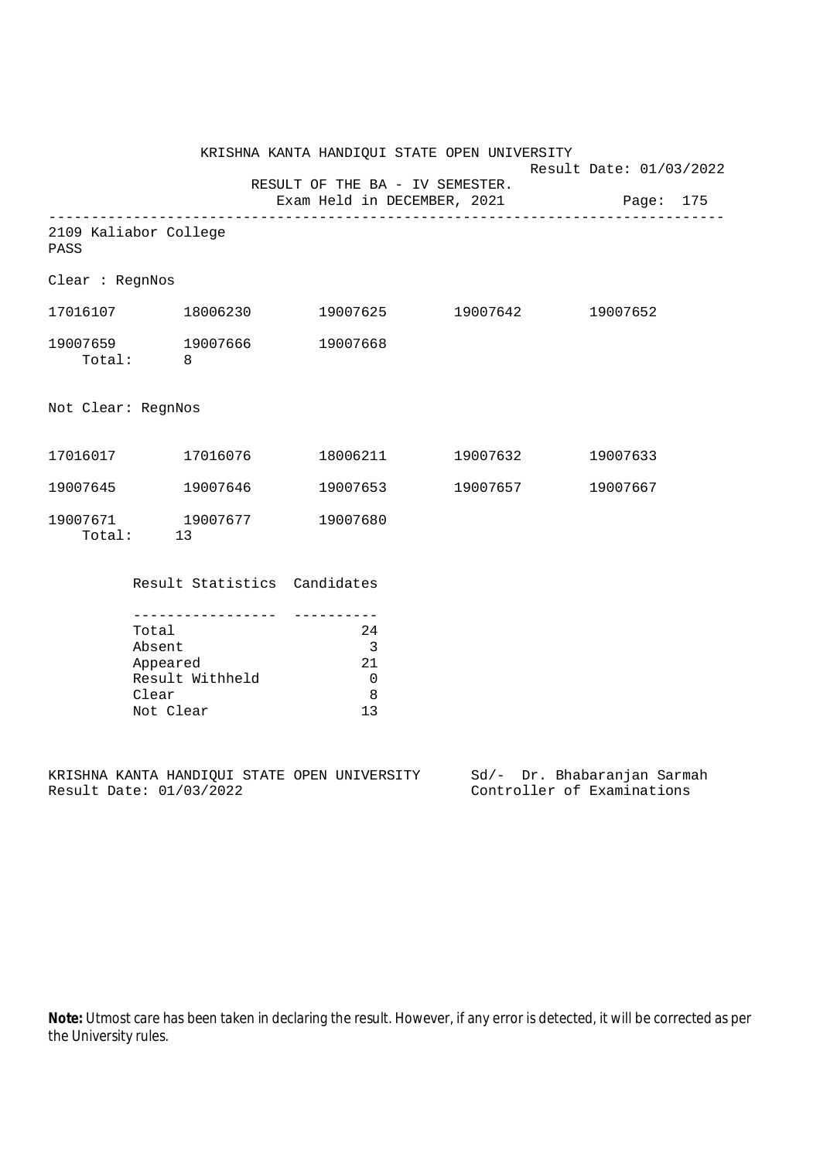KRISHNA KANTA HANDIQUI STATE OPEN UNIVERSITY Result Date: 01/03/2022 RESULT OF THE BA - IV SEMESTER. Exam Held in DECEMBER, 2021 Page: 175 -------------------------------------------------------------------------------- 2109 Kaliabor College PASS Clear : RegnNos 17016107 18006230 19007625 19007642 19007652 19007659 19007666 19007668 Total: 8 Not Clear: RegnNos 17016017 17016076 18006211 19007632 19007633 19007645 19007646 19007653 19007657 19007667 19007671 19007677 19007680 Total: 13 Result Statistics Candidates ----------------- ---------- Total 24 Absent 3 Appeared 21 Result Withheld 0<br>Clear 8

KRISHNA KANTA HANDIQUI STATE OPEN UNIVERSITY Sd/- Dr. Bhabaranjan Sarmah<br>Result Date: 01/03/2022 Controller of Examinations

Not Clear 13

Clear

Controller of Examinations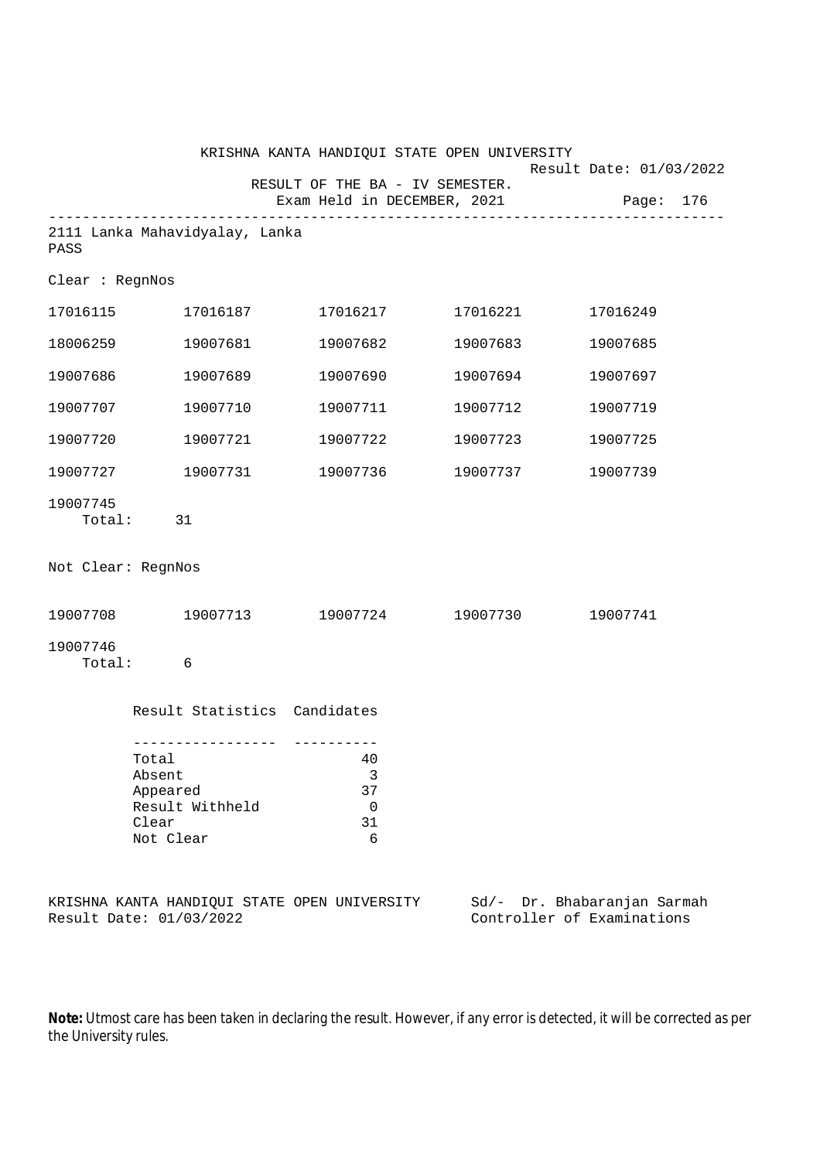|                    |                                                                         | KRISHNA KANTA HANDIQUI STATE OPEN UNIVERSITY                   |                   | Result Date: 01/03/2022                                   |
|--------------------|-------------------------------------------------------------------------|----------------------------------------------------------------|-------------------|-----------------------------------------------------------|
|                    |                                                                         | RESULT OF THE BA - IV SEMESTER.<br>Exam Held in DECEMBER, 2021 |                   | Page: 176                                                 |
| PASS               | 2111 Lanka Mahavidyalay, Lanka                                          |                                                                |                   |                                                           |
| Clear : RegnNos    |                                                                         |                                                                |                   |                                                           |
| 17016115           | 17016187                                                                | 17016217                                                       | 17016221          | 17016249                                                  |
| 18006259           | 19007681                                                                | 19007682                                                       | 19007683          | 19007685                                                  |
| 19007686           | 19007689                                                                | 19007690                                                       | 19007694          | 19007697                                                  |
| 19007707           | 19007710                                                                | 19007711                                                       | 19007712          | 19007719                                                  |
| 19007720           | 19007721                                                                | 19007722                                                       | 19007723          | 19007725                                                  |
| 19007727           | 19007731                                                                | 19007736                                                       | 19007737          | 19007739                                                  |
| 19007745<br>Total: | 31                                                                      |                                                                |                   |                                                           |
| Not Clear: RegnNos |                                                                         |                                                                |                   |                                                           |
| 19007708           | 19007713                                                                |                                                                | 19007724 19007730 | 19007741                                                  |
| 19007746<br>Total: | 6                                                                       |                                                                |                   |                                                           |
|                    | Result Statistics Candidates                                            |                                                                |                   |                                                           |
|                    | Total<br>Absent<br>Appeared<br>Result Withheld<br>Clear<br>Not Clear    | 40<br>3<br>37<br>$\mathbf 0$<br>31<br>6                        |                   |                                                           |
|                    | KRISHNA KANTA HANDIQUI STATE OPEN UNIVERSITY<br>Result Date: 01/03/2022 |                                                                |                   | Sd/- Dr. Bhabaranjan Sarmah<br>Controller of Examinations |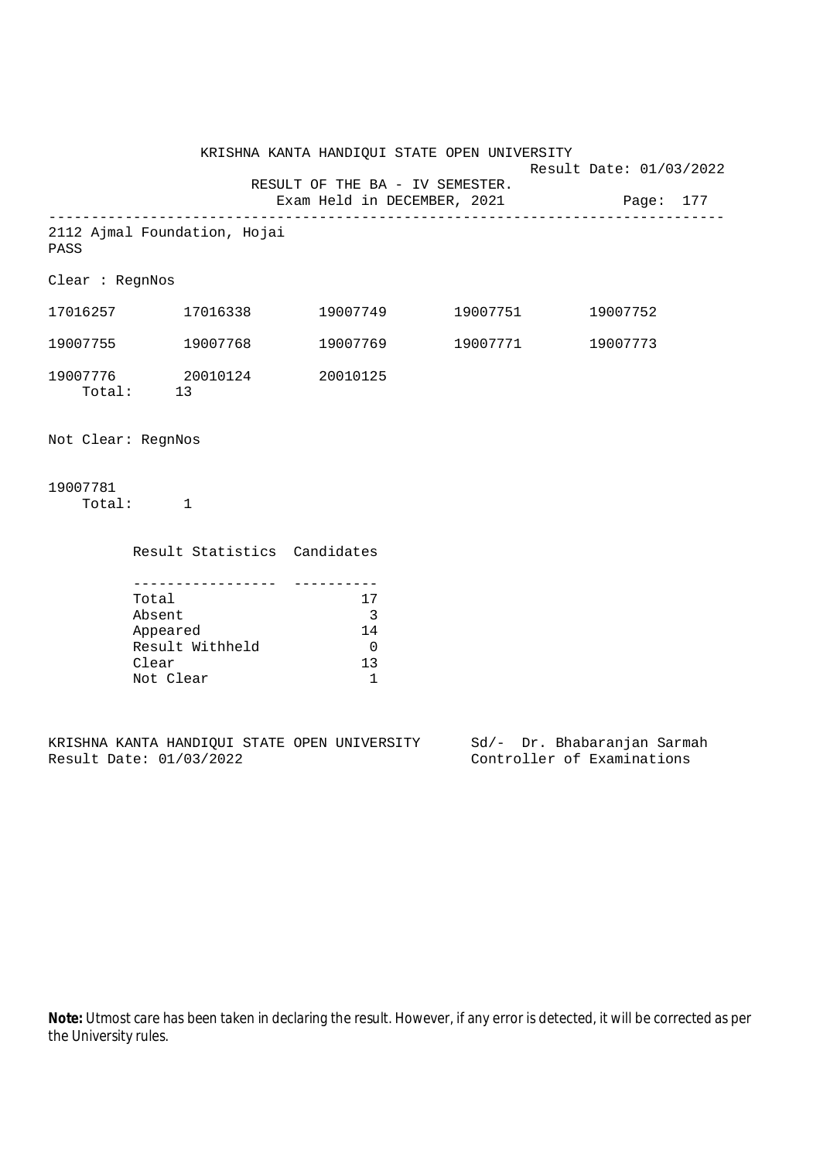|                                       |                            | KRISHNA KANTA HANDIQUI STATE OPEN UNIVERSITY                   |                   | Result Date: 01/03/2022 |
|---------------------------------------|----------------------------|----------------------------------------------------------------|-------------------|-------------------------|
|                                       |                            | RESULT OF THE BA - IV SEMESTER.<br>Exam Held in DECEMBER, 2021 |                   | Page: 177               |
| 2112 Ajmal Foundation, Hojai<br>PASS  |                            |                                                                |                   |                         |
| Clear : RegnNos                       |                            |                                                                |                   |                         |
| 17016257 17016338                     |                            | 19007749                                                       | 19007751          | 19007752                |
| 19007755                              | 19007768                   |                                                                | 19007769 19007771 | 19007773                |
| Total: 13                             | 19007776 20010124 20010125 |                                                                |                   |                         |
| Not Clear: RegnNos                    |                            |                                                                |                   |                         |
| 19007781<br>$\sim$ $\sim$ 1<br>Total: |                            |                                                                |                   |                         |

| Total           | 17 |
|-----------------|----|
| Absent          |    |
| Appeared        | 14 |
| Result Withheld |    |
| Clear           | 13 |
| Not Clear       |    |

Result Statistics Candidates

KRISHNA KANTA HANDIQUI STATE OPEN UNIVERSITY Sd/- Dr. Bhabaranjan Sarmah Result Date: 01/03/2022 Controller of Examinations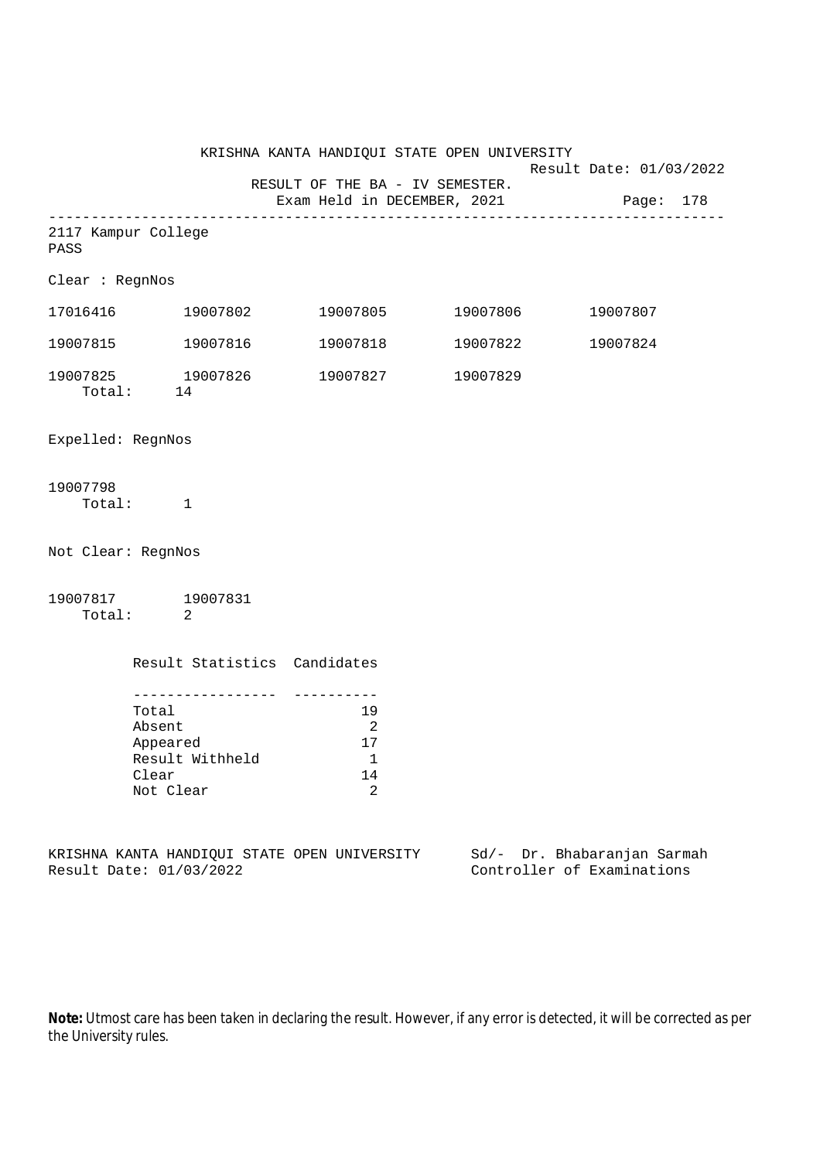|                             |                                                                      | KRISHNA KANTA HANDIQUI STATE OPEN UNIVERSITY                        |                                                                  |  |
|-----------------------------|----------------------------------------------------------------------|---------------------------------------------------------------------|------------------------------------------------------------------|--|
|                             |                                                                      | RESULT OF THE BA - IV SEMESTER.                                     | Result Date: 01/03/2022<br>Exam Held in DECEMBER, 2021 Page: 178 |  |
| 2117 Kampur College<br>PASS |                                                                      |                                                                     |                                                                  |  |
| Clear : RegnNos             |                                                                      |                                                                     |                                                                  |  |
|                             |                                                                      | $17016416$ $19007802$ $19007805$ $19007806$                         | 19007807                                                         |  |
| 19007815                    |                                                                      | 19007816  19007818  19007822                                        | 19007824                                                         |  |
|                             | Total: 14                                                            | 19007825 19007826 19007827 19007829                                 |                                                                  |  |
| Expelled: RegnNos           |                                                                      |                                                                     |                                                                  |  |
| 19007798                    | Total: 1                                                             |                                                                     |                                                                  |  |
| Not Clear: RegnNos          |                                                                      |                                                                     |                                                                  |  |
|                             | 19007817 19007831<br>Total: 2                                        |                                                                     |                                                                  |  |
|                             | Result Statistics Candidates                                         |                                                                     |                                                                  |  |
|                             | Total<br>Absent<br>Appeared<br>Result Withheld<br>Clear<br>Not Clear | 19<br>$\overline{\phantom{a}}^2$<br>17<br>$\overline{1}$<br>14<br>2 |                                                                  |  |

KRISHNA KANTA HANDIQUI STATE OPEN UNIVERSITY Sd/- Dr. Bhabaranjan Sarmah Result Date: 01/03/2022 Controller of Examinations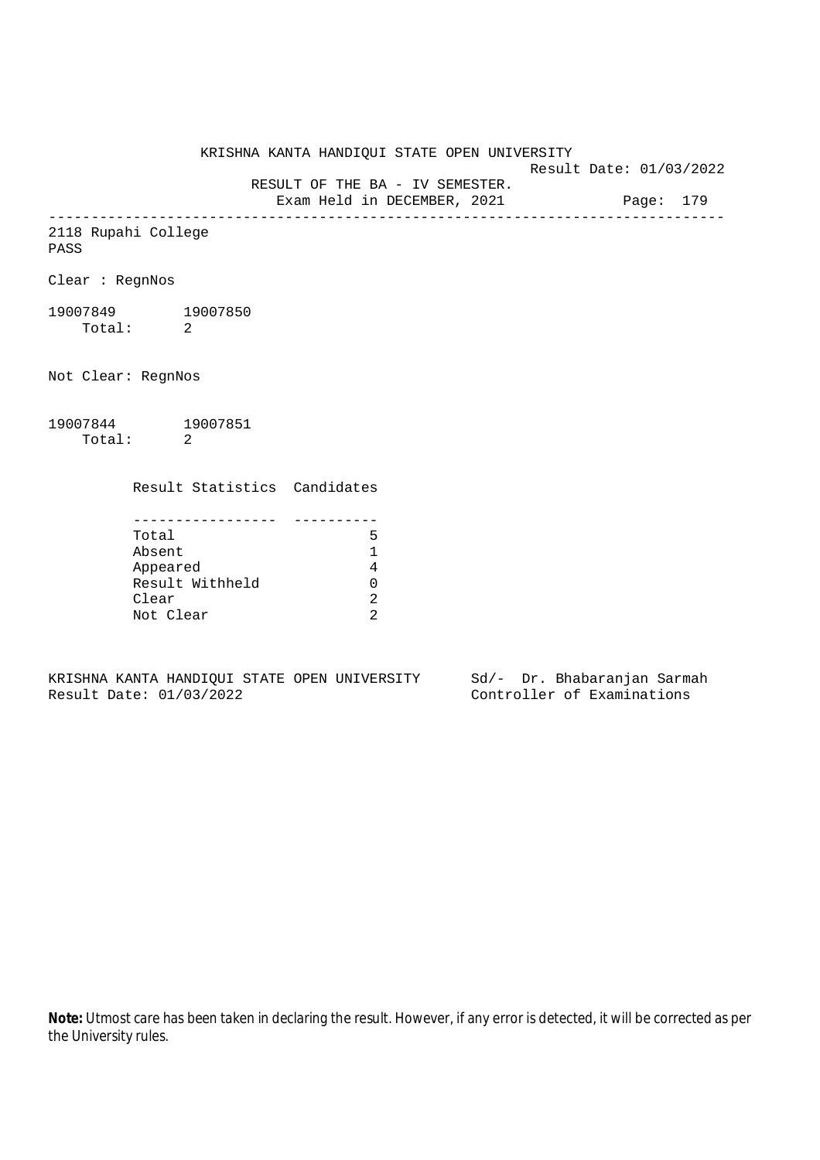KRISHNA KANTA HANDIQUI STATE OPEN UNIVERSITY

Result Date: 01/03/2022

 RESULT OF THE BA - IV SEMESTER. Exam Held in DECEMBER, 2021 Page: 179

--------------------------------------------------------------------------------

## 2118 Rupahi College

PASS

Clear : RegnNos

19007849 19007850 Total: 2

Not Clear: RegnNos

## 19007844 19007851 Total: 2

Result Statistics Candidates

| Total           |  |
|-----------------|--|
| Absent          |  |
| Appeared        |  |
| Result Withheld |  |
| Clear           |  |
| Not Clear       |  |

KRISHNA KANTA HANDIQUI STATE OPEN UNIVERSITY Sd/- Dr. Bhabaranjan Sarmah Result Date: 01/03/2022 Controller of Examinations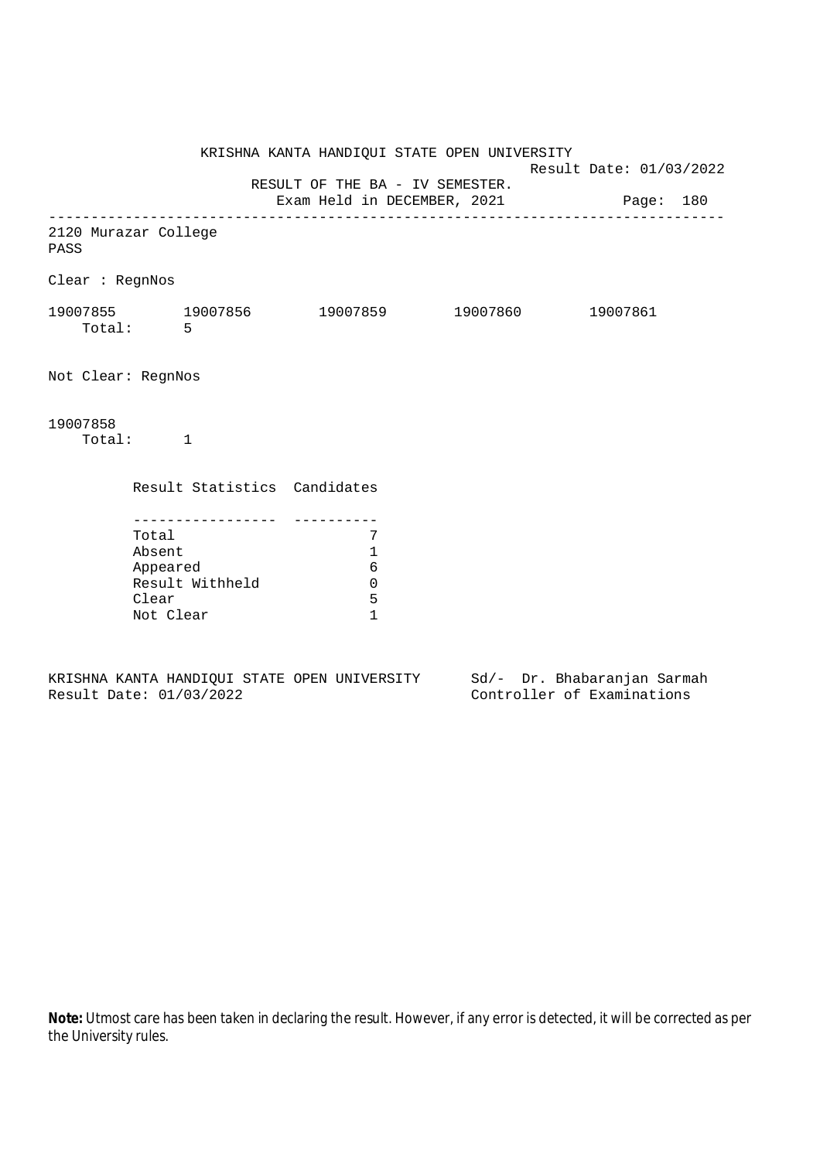KRISHNA KANTA HANDIQUI STATE OPEN UNIVERSITY Result Date: 01/03/2022 RESULT OF THE BA - IV SEMESTER. Exam Held in DECEMBER, 2021 Page: 180 -------------------------------------------------------------------------------- 2120 Murazar College PASS Clear : RegnNos 19007855 19007856 19007859 19007860 19007861 Total: 5 Not Clear: RegnNos 19007858 Total: 1 Result Statistics Candidates ----------------- ---------- Total 7 Absent 1 Appeared 6 Result Withheld 0 Clear 5 Not Clear 1

KRISHNA KANTA HANDIQUI STATE OPEN UNIVERSITY Sd/- Dr. Bhabaranjan Sarmah Result Date: 01/03/2022 Controller of Examinations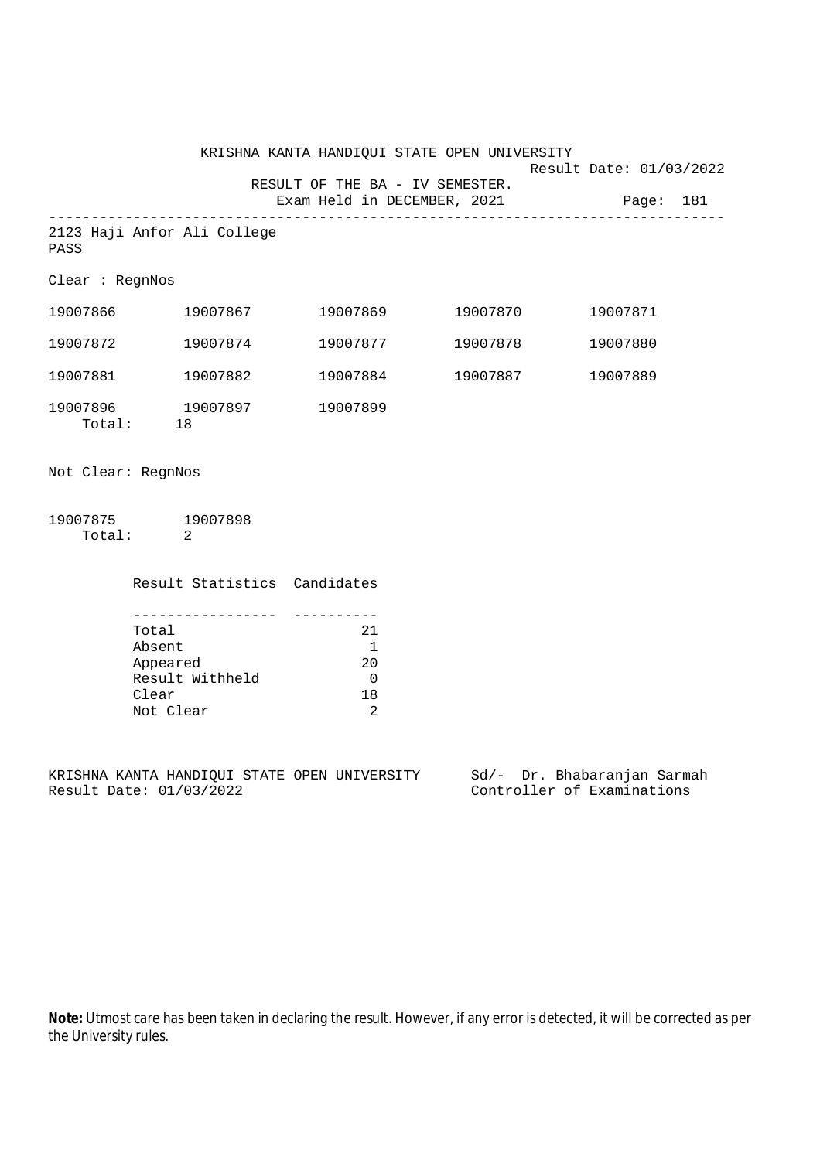|                                     |          | KRISHNA KANTA HANDIQUI STATE OPEN UNIVERSITY                             |          | Result Date: 01/03/2022 |  |
|-------------------------------------|----------|--------------------------------------------------------------------------|----------|-------------------------|--|
|                                     |          | RESULT OF THE BA - IV SEMESTER.<br>Exam Held in DECEMBER, 2021 Page: 181 |          |                         |  |
| 2123 Haji Anfor Ali College<br>PASS |          |                                                                          |          |                         |  |
| Clear : RegnNos                     |          |                                                                          |          |                         |  |
| 19007866                            | 19007867 | 19007869                                                                 | 19007870 | 19007871                |  |
| 19007872                            | 19007874 | 19007877                                                                 | 19007878 | 19007880                |  |
| 19007881                            | 19007882 | 19007884                                                                 | 19007887 | 19007889                |  |
| 19007896 19007897<br>Total: 18      |          | 19007899                                                                 |          |                         |  |
| Not Clear: RegnNos                  |          |                                                                          |          |                         |  |
| 19007875 19007898                   |          |                                                                          |          |                         |  |

Total: 2

Result Statistics Candidates

| Total           | 21  |
|-----------------|-----|
| Absent          |     |
| Appeared        | 2.0 |
| Result Withheld |     |
| Clear           | 18  |
| Not Clear       |     |

KRISHNA KANTA HANDIQUI STATE OPEN UNIVERSITY Sd/- Dr. Bhabaranjan Sarmah Result Date: 01/03/2022 Controller of Examinations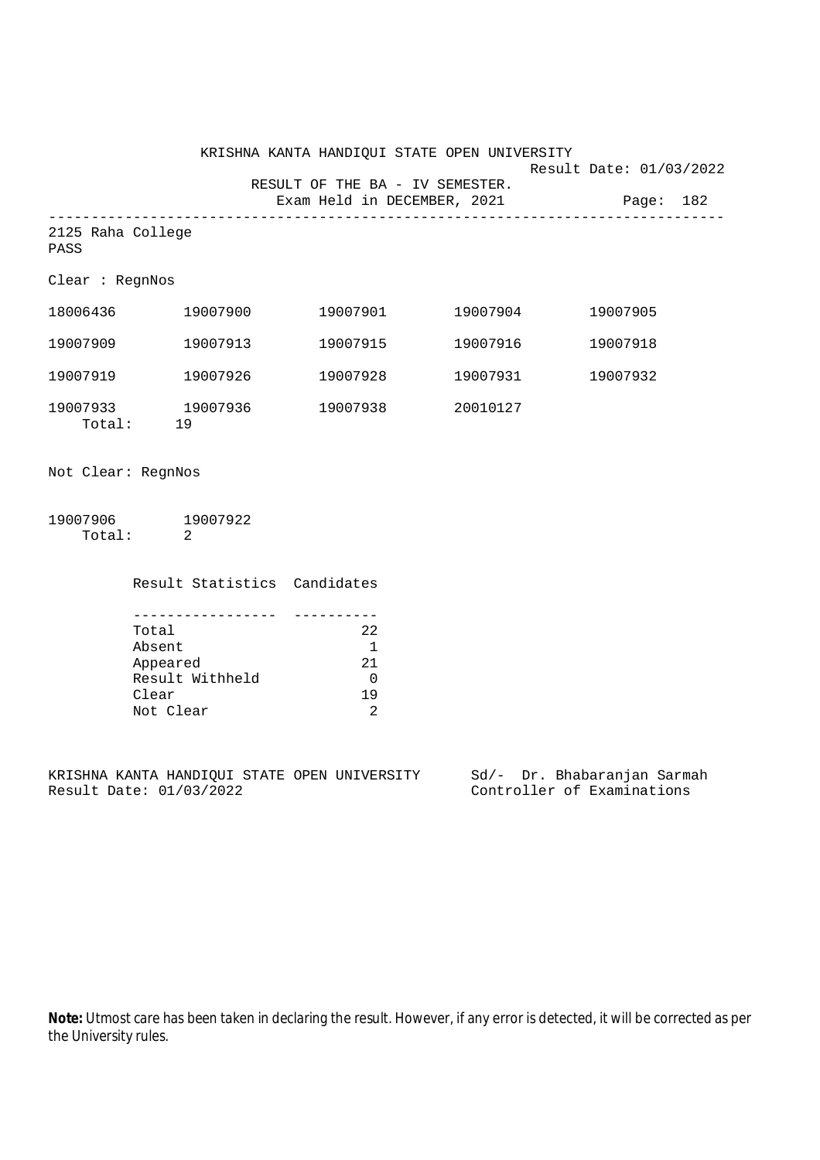|                                   |          | KRISHNA KANTA HANDIQUI STATE OPEN UNIVERSITY                   |          | Result Date: 01/03/2022 |  |
|-----------------------------------|----------|----------------------------------------------------------------|----------|-------------------------|--|
|                                   |          | RESULT OF THE BA - IV SEMESTER.<br>Exam Held in DECEMBER, 2021 |          | Page: 182               |  |
| 2125 Raha College<br>PASS         |          |                                                                |          |                         |  |
| Clear : RegnNos                   |          |                                                                |          |                         |  |
| 18006436                          | 19007900 | 19007901                                                       | 19007904 | 19007905                |  |
| 19007909                          | 19007913 | 19007915                                                       | 19007916 | 19007918                |  |
| 19007919                          | 19007926 | 19007928                                                       | 19007931 | 19007932                |  |
| 19007933 19007936<br>19<br>Total: |          | 19007938                                                       | 20010127 |                         |  |
| Not Clear: RegnNos                |          |                                                                |          |                         |  |

19007906 19007922 Total: 2

Result Statistics Candidates

| Total           | 22  |
|-----------------|-----|
| Absent          |     |
| Appeared        | 21  |
| Result Withheld |     |
| Clear           | 1 Q |
| Not Clear       |     |

KRISHNA KANTA HANDIQUI STATE OPEN UNIVERSITY Sd/- Dr. Bhabaranjan Sarmah<br>Result Date: 01/03/2022 Controller of Examinations

Controller of Examinations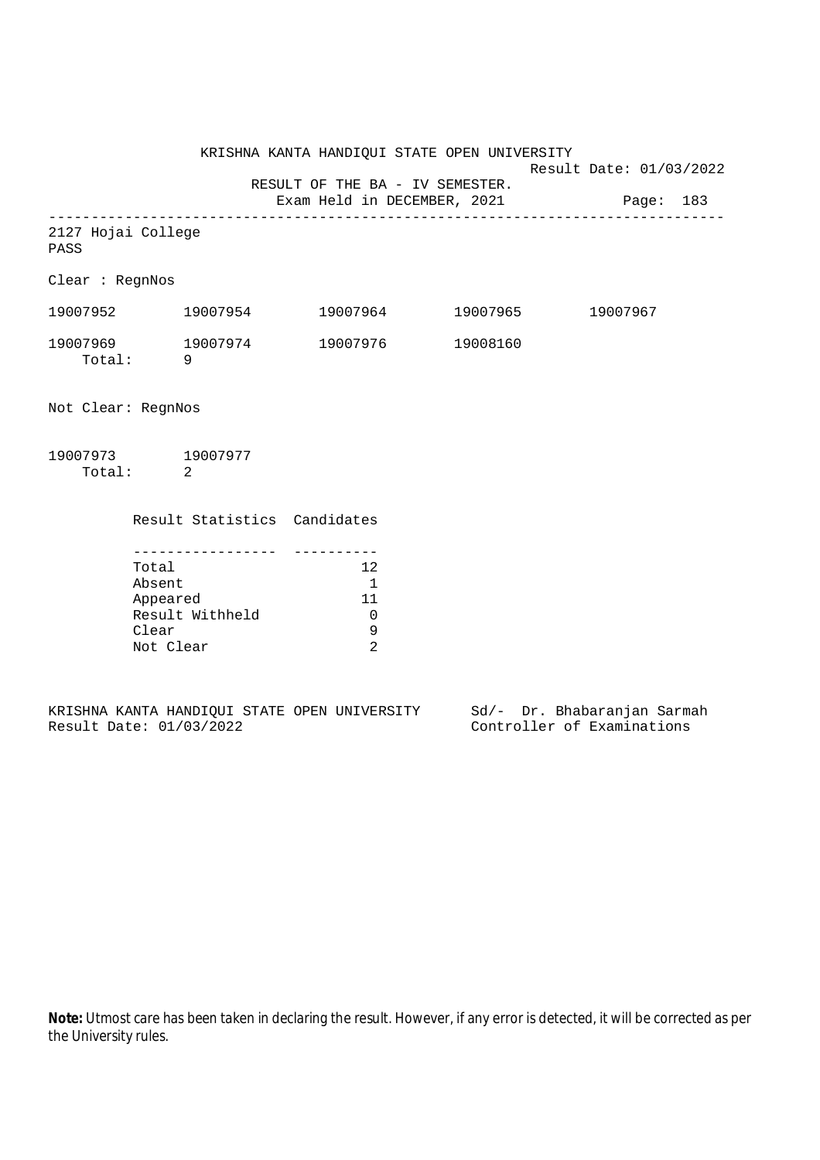KRISHNA KANTA HANDIQUI STATE OPEN UNIVERSITY

Result Date: 01/03/2022

RESULT OF THE BA - IV SEMESTER.

Exam Held in DECEMBER, 2021 Page: 183 --------------------------------------------------------------------------------

|      | 2127 Hojai College |
|------|--------------------|
| PASS |                    |

Clear : RegnNos

| 19007952           | 19007954 | 19007964 | 19007965 | 19007967 |
|--------------------|----------|----------|----------|----------|
| 19007969<br>Total: | 19007974 | 19007976 | 19008160 |          |

Not Clear: RegnNos

| 19007973 | 19007977 |
|----------|----------|
| Total:   |          |

| Result Statistics Candidates |    |
|------------------------------|----|
|                              |    |
| Total                        | 12 |
| Absent                       |    |
| Appeared                     | 11 |
| Result Withheld              |    |
| Clear                        | 9  |
| Not Clear                    |    |
|                              |    |

|  |                         |  | KRISHNA KANTA HANDIOUI STATE OPEN UNIVERSITY |  | Sd/- Dr. Bhabaranjan Sarmah |  |
|--|-------------------------|--|----------------------------------------------|--|-----------------------------|--|
|  | Result Date: 01/03/2022 |  |                                              |  | Controller of Examinations  |  |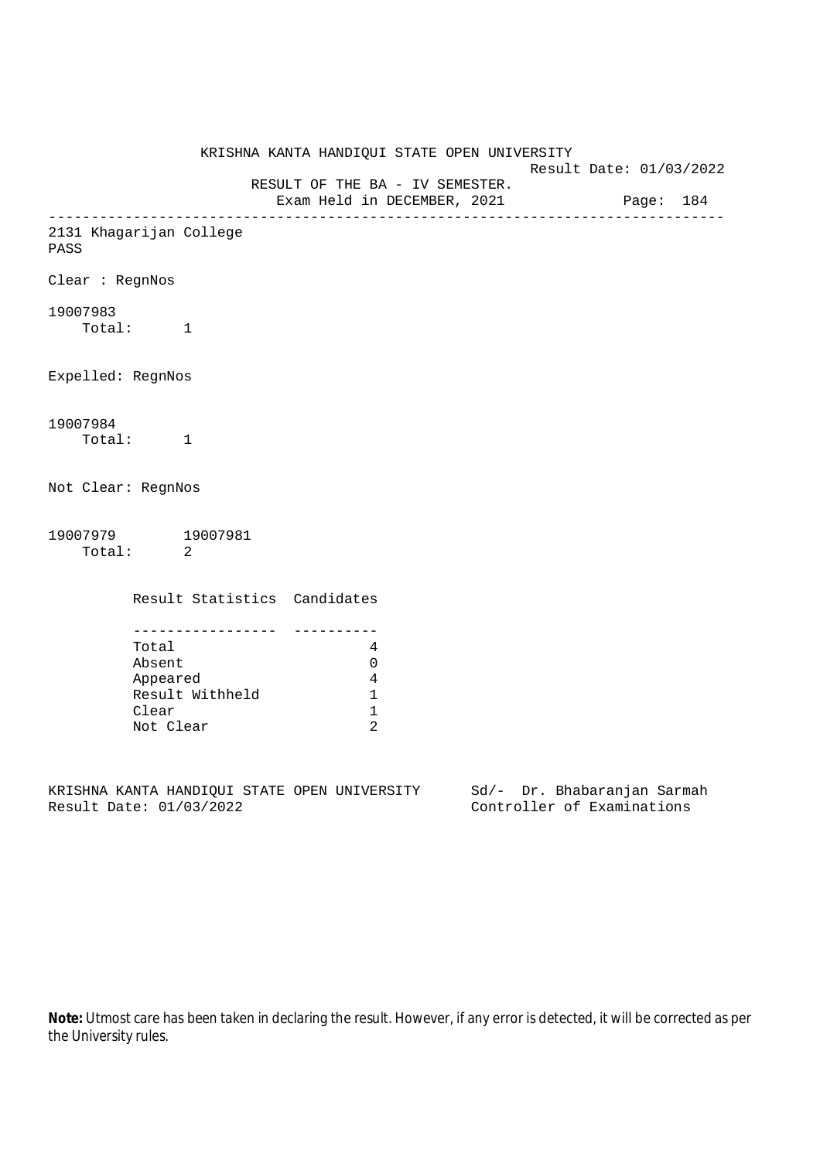|                      |                                                                         | KRISHNA KANTA HANDIQUI STATE OPEN UNIVERSITY                   |                                                           | Result Date: 01/03/2022 |  |
|----------------------|-------------------------------------------------------------------------|----------------------------------------------------------------|-----------------------------------------------------------|-------------------------|--|
|                      |                                                                         | RESULT OF THE BA - IV SEMESTER.<br>Exam Held in DECEMBER, 2021 |                                                           | Page: 184               |  |
| PASS                 | 2131 Khagarijan College                                                 |                                                                |                                                           |                         |  |
| Clear : RegnNos      |                                                                         |                                                                |                                                           |                         |  |
| 19007983<br>Total: 1 |                                                                         |                                                                |                                                           |                         |  |
| Expelled: RegnNos    |                                                                         |                                                                |                                                           |                         |  |
| 19007984<br>Total: 1 |                                                                         |                                                                |                                                           |                         |  |
| Not Clear: RegnNos   |                                                                         |                                                                |                                                           |                         |  |
| Total: 2             | 19007979 19007981                                                       |                                                                |                                                           |                         |  |
|                      | Result Statistics Candidates                                            |                                                                |                                                           |                         |  |
|                      | Total<br>Absent<br>Appeared<br>Result Withheld<br>Clear<br>Not Clear    | 4<br>0<br>4<br>$\mathbf 1$<br>1<br>$\overline{2}$              |                                                           |                         |  |
|                      | KRISHNA KANTA HANDIQUI STATE OPEN UNIVERSITY<br>Result Date: 01/03/2022 |                                                                | Sd/- Dr. Bhabaranjan Sarmah<br>Controller of Examinations |                         |  |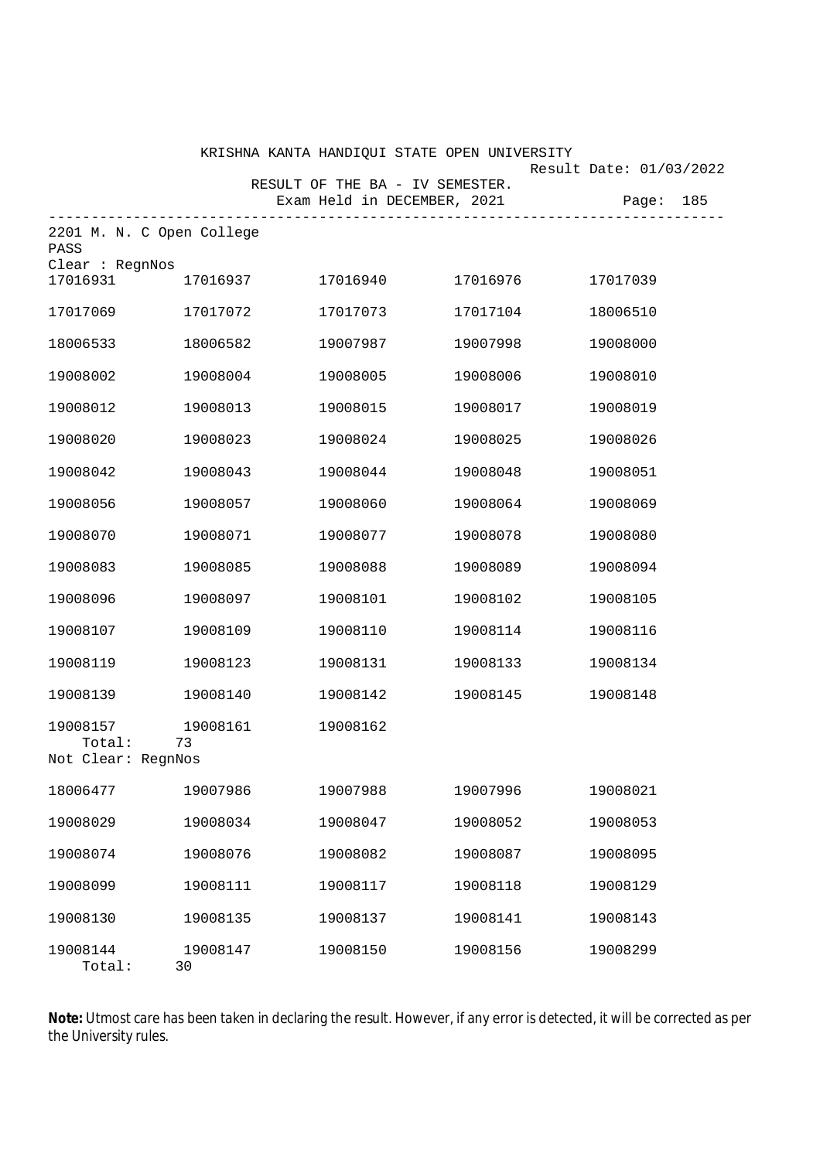|                                             |                | KRISHNA KANTA HANDIQUI STATE OPEN UNIVERSITY                         |          | Result Date: 01/03/2022 |
|---------------------------------------------|----------------|----------------------------------------------------------------------|----------|-------------------------|
|                                             |                | RESULT OF THE BA - IV SEMESTER.<br>Exam Held in DECEMBER, 2021 Page: |          | 185                     |
| 2201 M. N. C Open College<br>PASS           |                |                                                                      |          |                         |
| Clear : RegnNos<br>17016931                 | 17016937       | 17016940                                                             | 17016976 | 17017039                |
| 17017069                                    | 17017072       | 17017073                                                             | 17017104 | 18006510                |
| 18006533                                    | 18006582       | 19007987                                                             | 19007998 | 19008000                |
| 19008002                                    | 19008004       | 19008005                                                             | 19008006 | 19008010                |
| 19008012                                    | 19008013       | 19008015                                                             | 19008017 | 19008019                |
| 19008020                                    | 19008023       | 19008024                                                             | 19008025 | 19008026                |
| 19008042                                    | 19008043       | 19008044                                                             | 19008048 | 19008051                |
| 19008056                                    | 19008057       | 19008060                                                             | 19008064 | 19008069                |
| 19008070                                    | 19008071       | 19008077                                                             | 19008078 | 19008080                |
| 19008083                                    | 19008085       | 19008088                                                             | 19008089 | 19008094                |
| 19008096                                    | 19008097       | 19008101                                                             | 19008102 | 19008105                |
| 19008107                                    | 19008109       | 19008110                                                             | 19008114 | 19008116                |
| 19008119                                    | 19008123       | 19008131                                                             | 19008133 | 19008134                |
| 19008139                                    | 19008140       | 19008142                                                             | 19008145 | 19008148                |
| 19008157<br>Total: 73<br>Not Clear: RegnNos | 19008161       | 19008162                                                             |          |                         |
| 18006477                                    | 19007986       | 19007988                                                             | 19007996 | 19008021                |
| 19008029                                    | 19008034       | 19008047                                                             | 19008052 | 19008053                |
| 19008074                                    | 19008076       | 19008082                                                             | 19008087 | 19008095                |
| 19008099                                    | 19008111       | 19008117                                                             | 19008118 | 19008129                |
| 19008130                                    | 19008135       | 19008137                                                             | 19008141 | 19008143                |
| 19008144<br>Total:                          | 19008147<br>30 | 19008150                                                             | 19008156 | 19008299                |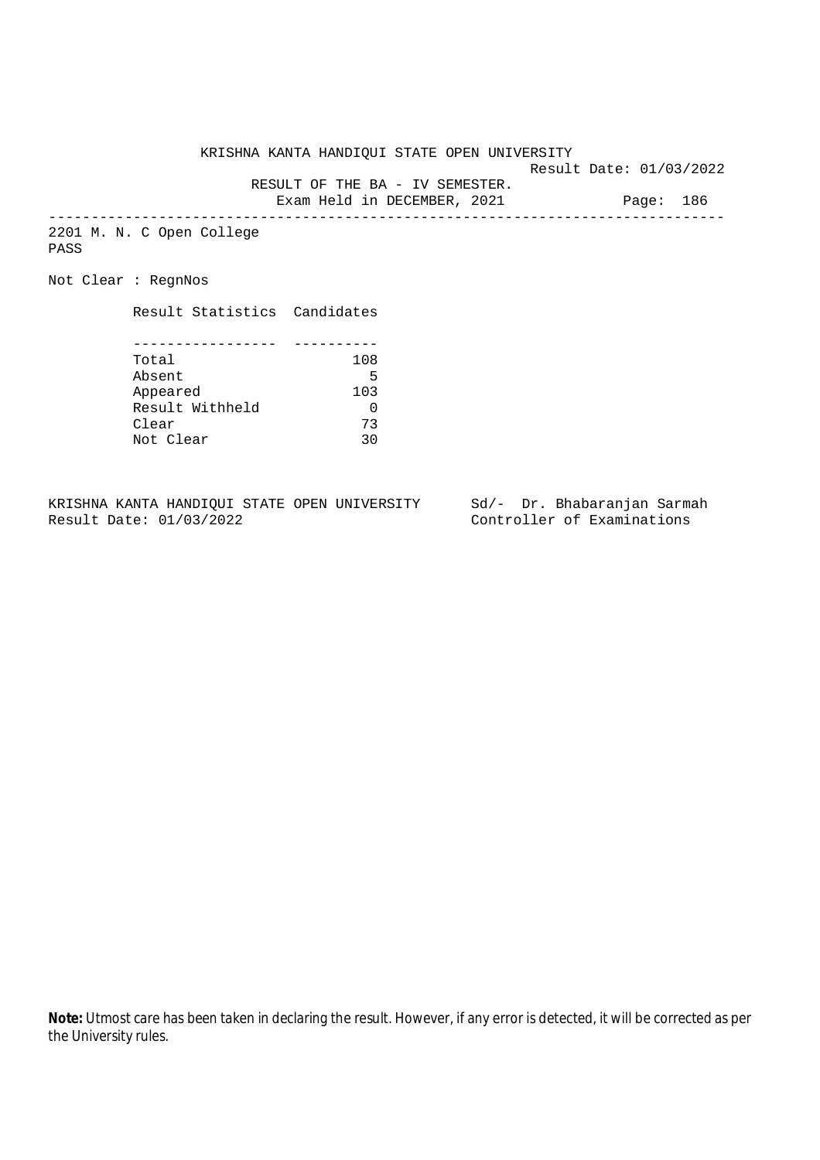KRISHNA KANTA HANDIQUI STATE OPEN UNIVERSITY

Result Date: 01/03/2022

 RESULT OF THE BA - IV SEMESTER. Exam Held in DECEMBER, 2021 Page: 186

--------------------------------------------------------------------------------

2201 M. N. C Open College PASS

Not Clear : RegnNos

Result Statistics Candidates

| Total           | 108 |
|-----------------|-----|
| Absent          | 5   |
| Appeared        | 103 |
| Result Withheld |     |
| Clear           | 73  |
| Not Clear       | 30  |

KRISHNA KANTA HANDIQUI STATE OPEN UNIVERSITY Sd/- Dr. Bhabaranjan Sarmah<br>Result Date: 01/03/2022 Controller of Examinations

Controller of Examinations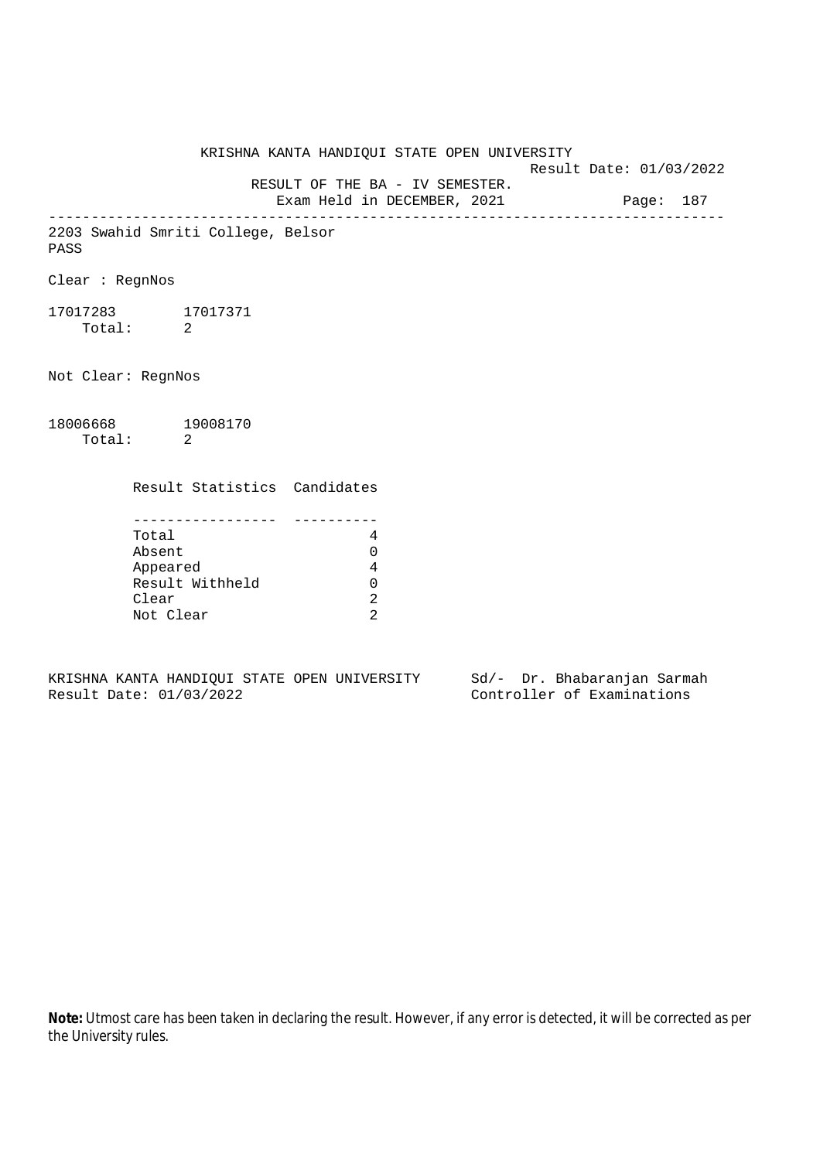KRISHNA KANTA HANDIQUI STATE OPEN UNIVERSITY Result Date: 01/03/2022 RESULT OF THE BA - IV SEMESTER. Exam Held in DECEMBER, 2021 Page: 187 -------------------------------------------------------------------------------- 2203 Swahid Smriti College, Belsor PASS Clear : RegnNos 17017283 17017371 Total: 2 Not Clear: RegnNos 18006668 19008170 Total: 2 Result Statistics Candidates ----------------- ---------- Total 4 Absent 0 Appeared 4 Result Withheld 0 Clear 2 Not Clear 2

KRISHNA KANTA HANDIQUI STATE OPEN UNIVERSITY Sd/- Dr. Bhabaranjan Sarmah Result Date: 01/03/2022 Controller of Examinations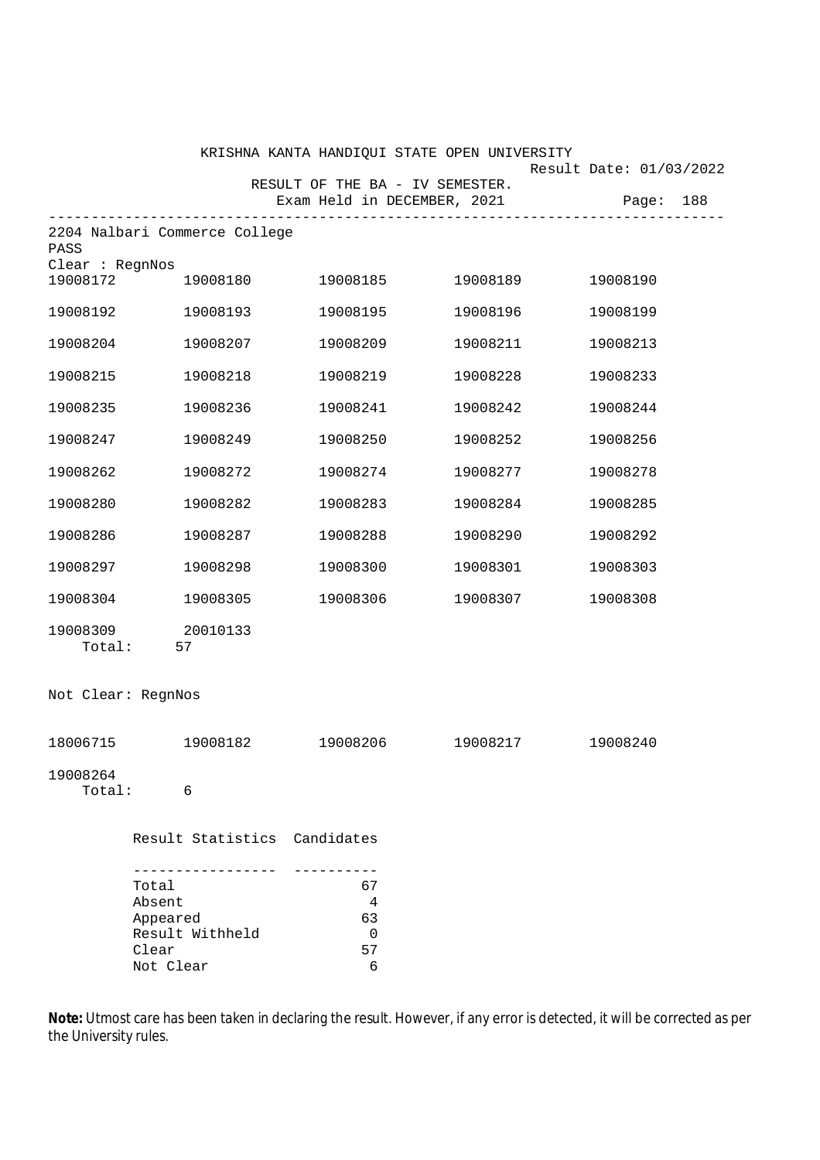|                             |                                                                                        |                                 | KRISHNA KANTA HANDIQUI STATE OPEN UNIVERSITY |                         |
|-----------------------------|----------------------------------------------------------------------------------------|---------------------------------|----------------------------------------------|-------------------------|
|                             |                                                                                        | RESULT OF THE BA - IV SEMESTER. |                                              | Result Date: 01/03/2022 |
|                             |                                                                                        | Exam Held in DECEMBER, 2021     | ------------------------                     | Page:<br>188            |
| PASS                        | 2204 Nalbari Commerce College                                                          |                                 |                                              |                         |
| Clear : RegnNos<br>19008172 | 19008180                                                                               | 19008185                        | 19008189                                     | 19008190                |
| 19008192                    | 19008193                                                                               | 19008195                        | 19008196                                     | 19008199                |
| 19008204                    | 19008207                                                                               | 19008209                        | 19008211                                     | 19008213                |
| 19008215                    | 19008218                                                                               | 19008219                        | 19008228                                     | 19008233                |
| 19008235                    | 19008236                                                                               | 19008241                        | 19008242                                     | 19008244                |
| 19008247                    | 19008249                                                                               | 19008250                        | 19008252                                     | 19008256                |
| 19008262                    | 19008272                                                                               | 19008274                        | 19008277                                     | 19008278                |
| 19008280                    | 19008282                                                                               | 19008283                        | 19008284                                     | 19008285                |
| 19008286                    | 19008287                                                                               | 19008288                        | 19008290                                     | 19008292                |
| 19008297                    | 19008298                                                                               | 19008300                        | 19008301                                     | 19008303                |
| 19008304                    | 19008305                                                                               | 19008306                        | 19008307                                     | 19008308                |
| 19008309<br>Total:          | 20010133<br>57                                                                         |                                 |                                              |                         |
| Not Clear: RegnNos          |                                                                                        |                                 |                                              |                         |
| 18006715                    | 19008182                                                                               | 19008206                        | 19008217                                     | 19008240                |
| 19008264<br>Total:          | 6                                                                                      |                                 |                                              |                         |
|                             | Result Statistics Candidates                                                           |                                 |                                              |                         |
|                             | --------------<br>Total<br>Absent<br>Appeared<br>Result Withheld<br>Clear<br>Not Clear | 67<br>4<br>63<br>0<br>57<br>6   |                                              |                         |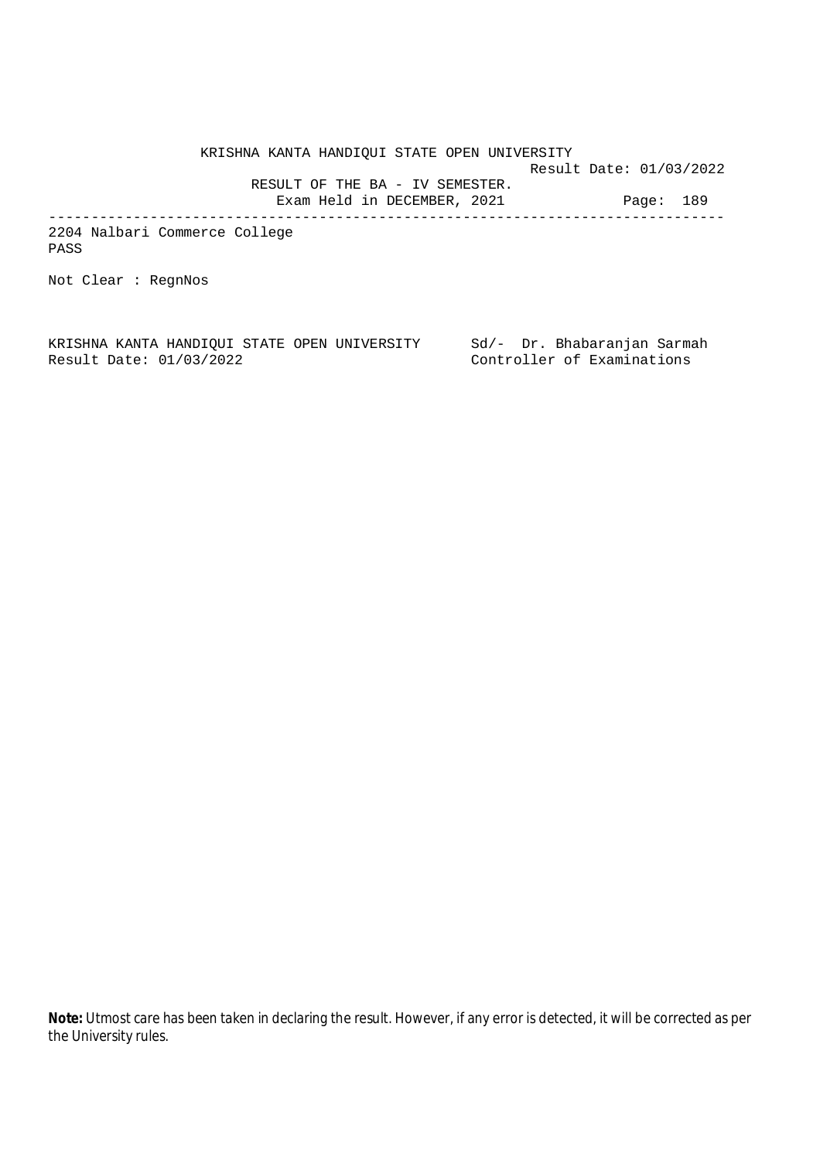KRISHNA KANTA HANDIQUI STATE OPEN UNIVERSITY Result Date: 01/03/2022 RESULT OF THE BA - IV SEMESTER. Exam Held in DECEMBER, 2021 Page: 189 --------------------------------------------------------------------------------

2204 Nalbari Commerce College PASS

Not Clear : RegnNos

KRISHNA KANTA HANDIQUI STATE OPEN UNIVERSITY Sd/- Dr. Bhabaranjan Sarmah Result Date: 01/03/2022 Controller of Examinations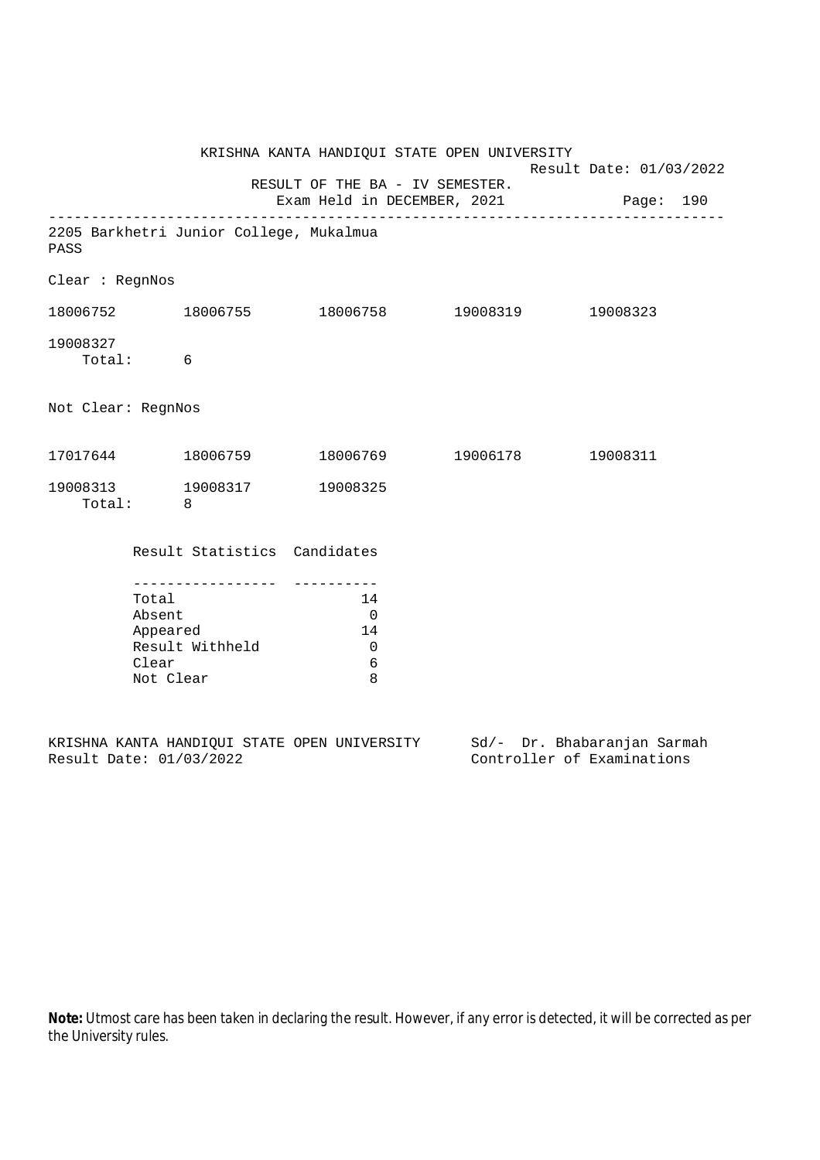|                      |                                                   |                                         | KRISHNA KANTA HANDIQUI STATE OPEN UNIVERSITY                             | Result Date: 01/03/2022 |          |  |
|----------------------|---------------------------------------------------|-----------------------------------------|--------------------------------------------------------------------------|-------------------------|----------|--|
|                      |                                                   |                                         | RESULT OF THE BA - IV SEMESTER.<br>Exam Held in DECEMBER, 2021 Page: 190 |                         |          |  |
| PASS                 |                                                   | 2205 Barkhetri Junior College, Mukalmua |                                                                          |                         |          |  |
| Clear : RegnNos      |                                                   |                                         |                                                                          |                         |          |  |
|                      |                                                   |                                         | $18006752$ $18006755$ $18006758$ $19008319$                              |                         | 19008323 |  |
| 19008327<br>Total: 6 |                                                   |                                         |                                                                          |                         |          |  |
| Not Clear: RegnNos   |                                                   |                                         |                                                                          |                         |          |  |
|                      |                                                   | 17017644 18006759                       | 18006769 19006178 19008311                                               |                         |          |  |
| Total: 8             |                                                   |                                         | 19008313 19008317 19008325                                               |                         |          |  |
|                      |                                                   | Result Statistics Candidates            |                                                                          |                         |          |  |
|                      | Total<br>Absent<br>Appeared<br>Clear<br>Not Clear | -----------------<br>Result Withheld    | 14<br>$\overline{0}$<br>14<br>$\overline{0}$<br>6<br>8                   |                         |          |  |

|  |                         |  | KRISHNA KANTA HANDIOUI STATE OPEN UNIVERSITY |  | Sd/- Dr. Bhabaranjan Sarmah |  |
|--|-------------------------|--|----------------------------------------------|--|-----------------------------|--|
|  | Result Date: 01/03/2022 |  |                                              |  | Controller of Examinations  |  |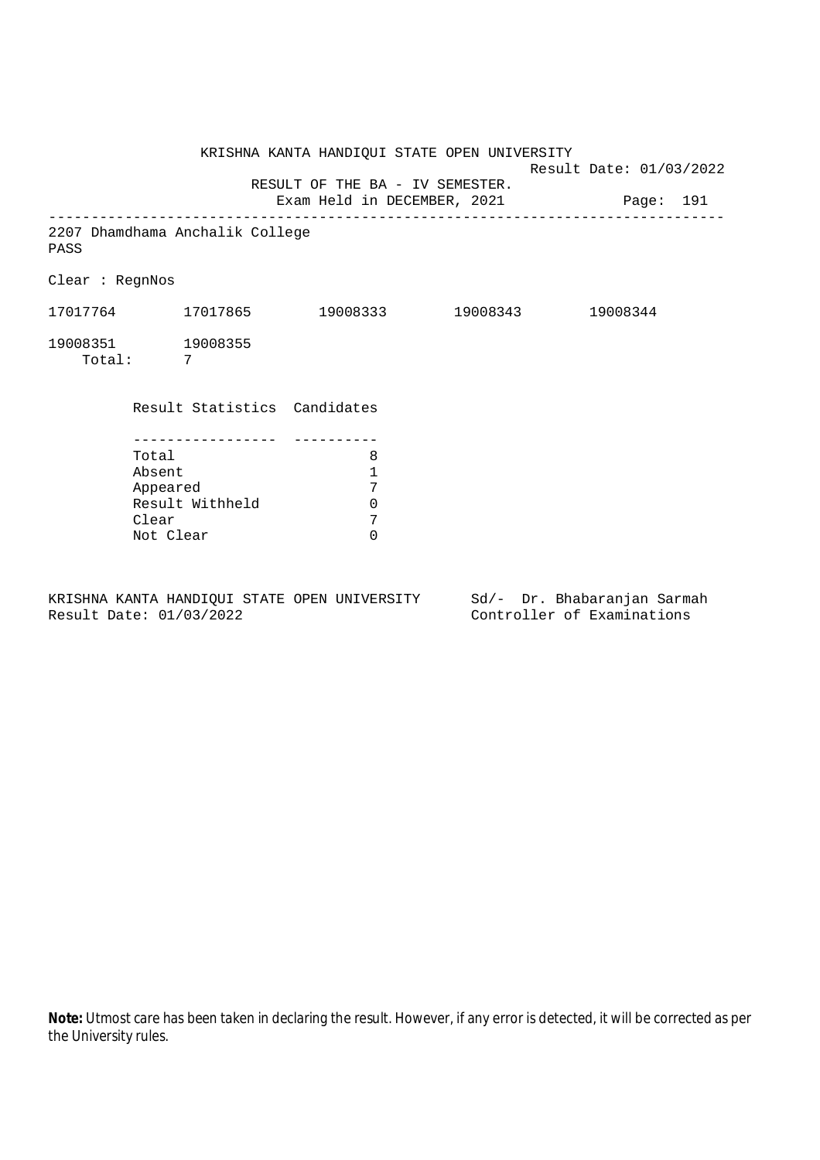KRISHNA KANTA HANDIQUI STATE OPEN UNIVERSITY Result Date: 01/03/2022 RESULT OF THE BA - IV SEMESTER. Exam Held in DECEMBER, 2021 Page: 191 -------------------------------------------------------------------------------- 2207 Dhamdhama Anchalik College PASS Clear : RegnNos 17017764 17017865 19008333 19008343 19008344 19008351 19008355 Total: 7 Result Statistics Candidates ----------------- ---------- Total 8 Absent 1 Appeared 7<br>Result Withheld 0 Result Withheld 0<br>Clear 7 Clear 7<br>Not Clear 6 Not Clear

KRISHNA KANTA HANDIQUI STATE OPEN UNIVERSITY Sd/- Dr. Bhabaranjan Sarmah Result Date: 01/03/2022 Controller of Examinations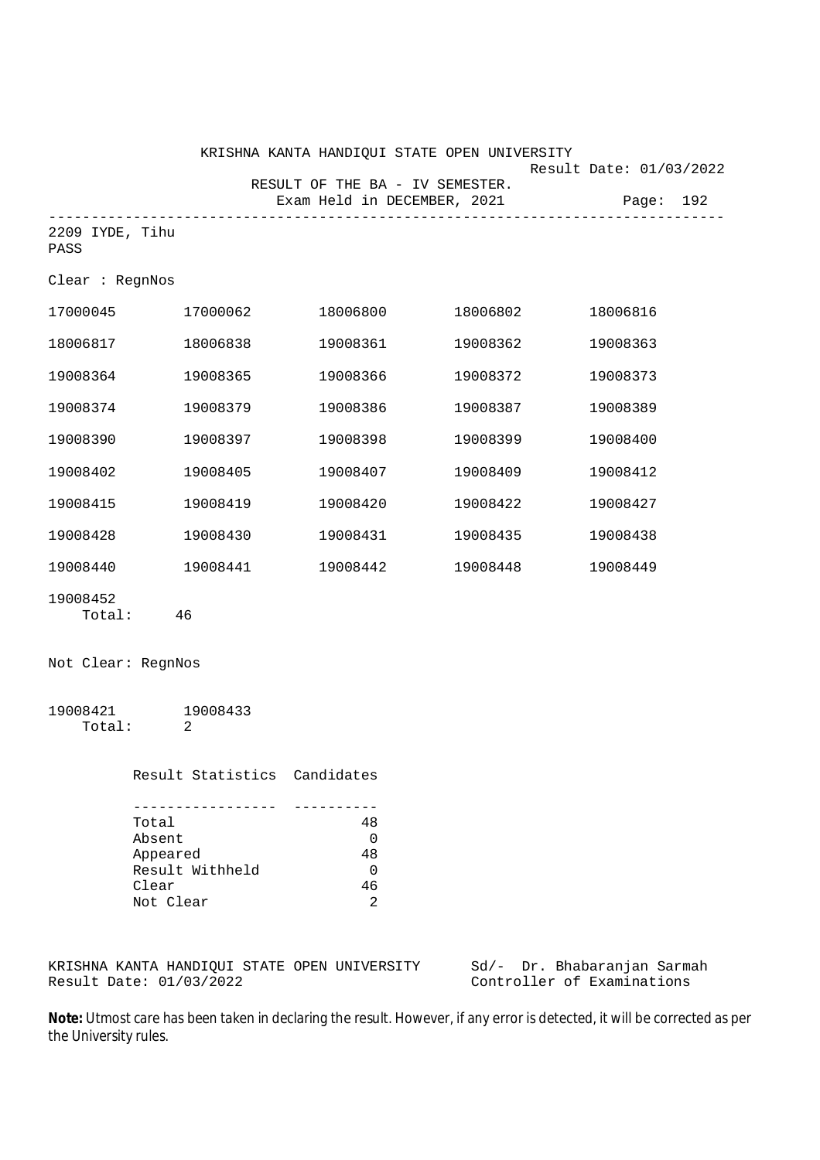|                         | KRISHNA KANTA HANDIQUI STATE OPEN UNIVERSITY |                                    |                              |                                                                | Result Date: 01/03/2022 |           |
|-------------------------|----------------------------------------------|------------------------------------|------------------------------|----------------------------------------------------------------|-------------------------|-----------|
|                         |                                              |                                    |                              | RESULT OF THE BA - IV SEMESTER.<br>Exam Held in DECEMBER, 2021 |                         | Page: 192 |
| 2209 IYDE, Tihu<br>PASS |                                              | ---------------------------------- |                              | ---------------------------                                    |                         |           |
| Clear : RegnNos         |                                              |                                    |                              |                                                                |                         |           |
| 17000045 17000062       |                                              |                                    | 18006800                     | 18006802                                                       | 18006816                |           |
| 18006817                |                                              | 18006838                           | 19008361                     | 19008362                                                       | 19008363                |           |
| 19008364                |                                              | 19008365                           | 19008366                     | 19008372                                                       | 19008373                |           |
| 19008374                |                                              | 19008379                           | 19008386                     | 19008387                                                       | 19008389                |           |
| 19008390                |                                              | 19008397                           | 19008398                     | 19008399                                                       | 19008400                |           |
| 19008402                |                                              | 19008405                           | 19008407                     | 19008409                                                       | 19008412                |           |
| 19008415                |                                              | 19008419                           | 19008420                     | 19008422                                                       | 19008427                |           |
| 19008428                |                                              | 19008430                           | 19008431                     | 19008435                                                       | 19008438                |           |
| 19008440                | 19008441                                     |                                    | 19008442                     | 19008448                                                       | 19008449                |           |
| 19008452                | Total: 46                                    |                                    |                              |                                                                |                         |           |
| Not Clear: RegnNos      |                                              |                                    |                              |                                                                |                         |           |
| 19008421                | 19008433<br>Total: 2                         |                                    |                              |                                                                |                         |           |
|                         |                                              |                                    | Result Statistics Candidates |                                                                |                         |           |
|                         | Total                                        | ---------------                    | ----------<br>48             |                                                                |                         |           |

Absent 0<br>Appeared 48 Appeared Result Withheld 0<br>Clear 46 Clear 46<br>Not Clear 2 Not Clear

KRISHNA KANTA HANDIQUI STATE OPEN UNIVERSITY Sd/- Dr. Bhabaranjan Sarmah<br>Result Date: 01/03/2022 Controller of Examinations

Controller of Examinations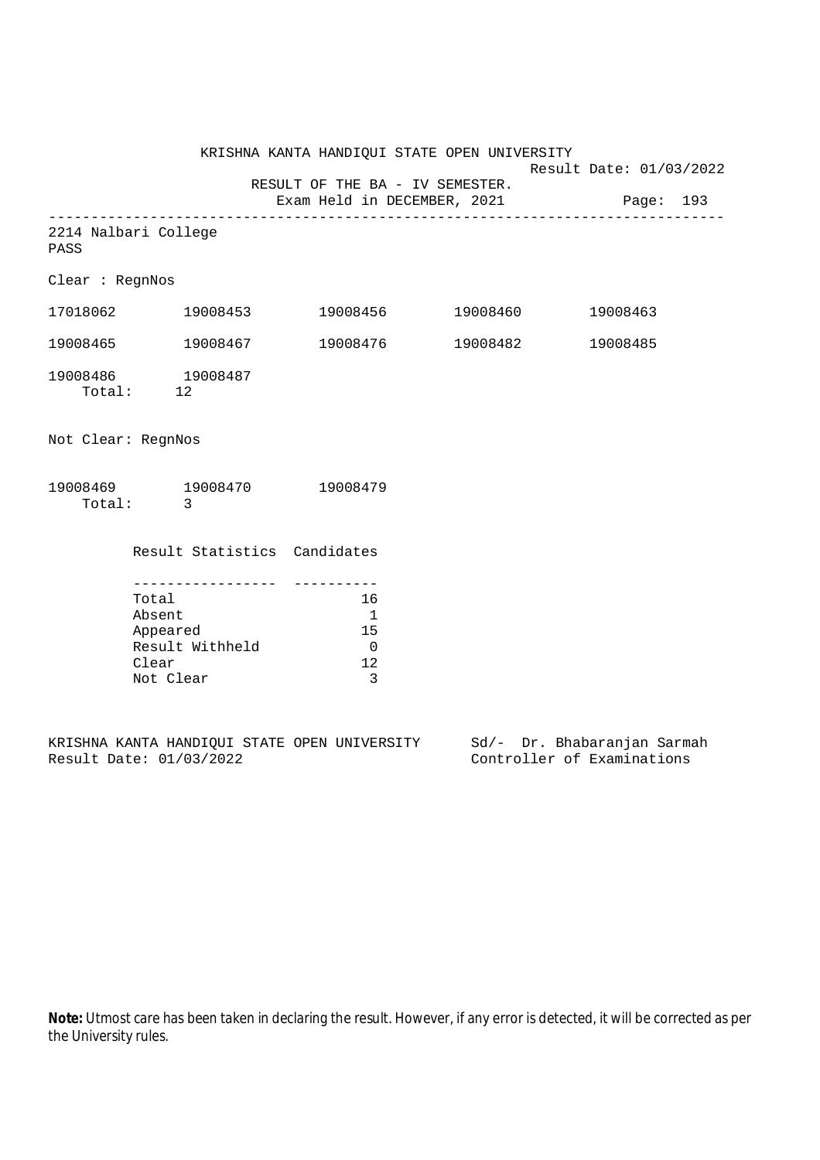KRISHNA KANTA HANDIQUI STATE OPEN UNIVERSITY Result Date: 01/03/2022 RESULT OF THE BA - IV SEMESTER. Exam Held in DECEMBER, 2021 Page: 193 -------------------------------------------------------------------------------- 2214 Nalbari College PASS Clear : RegnNos 17018062 19008453 19008456 19008460 19008463 19008465 19008467 19008476 19008482 19008485 19008486 19008487 Total: 12 Not Clear: RegnNos 19008469 19008470 19008479 Total: 3 Result Statistics Candidates ----------------- ----------

| Total           | 16 |
|-----------------|----|
| Absent          |    |
| Appeared        | 15 |
| Result Withheld | 0  |
| Clear           | 12 |
| Not Clear       | ર  |

KRISHNA KANTA HANDIQUI STATE OPEN UNIVERSITY Sd/- Dr. Bhabaranjan Sarmah Result Date: 01/03/2022 Controller of Examinations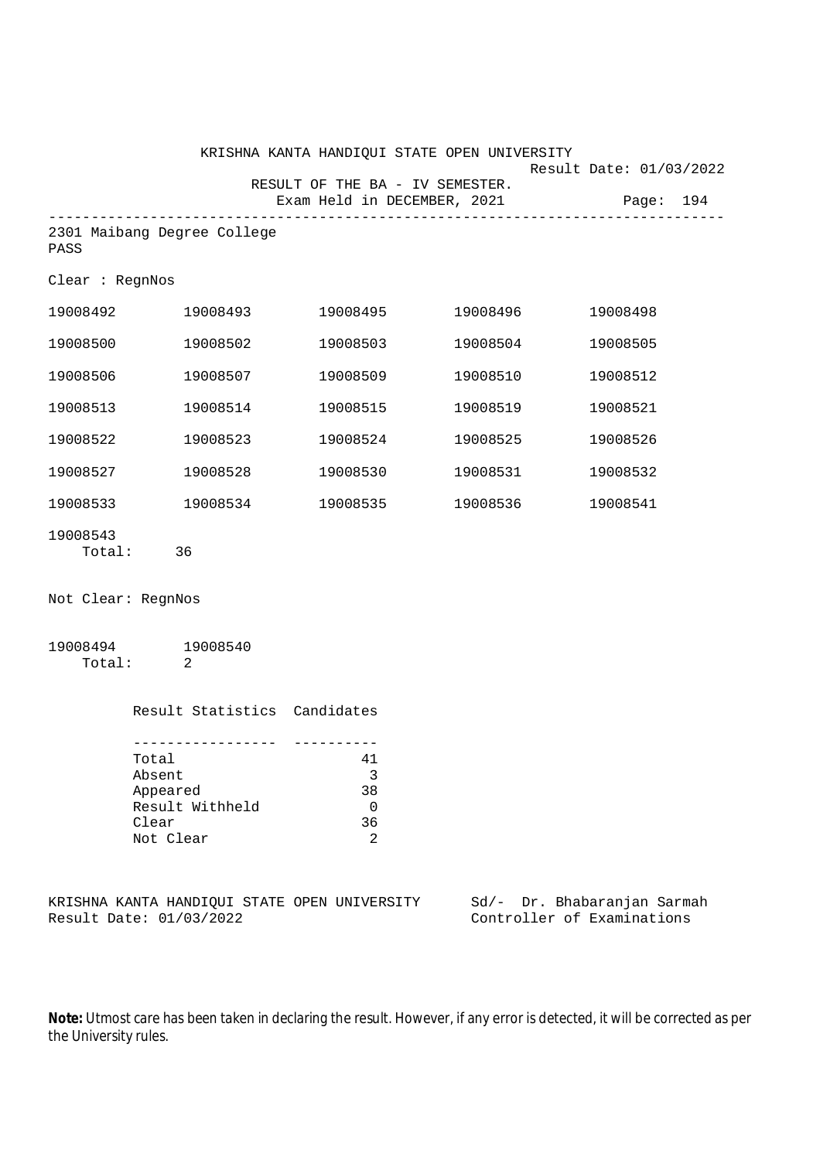|                    |                                                         | RESULT OF THE BA - IV SEMESTER.                                            | KRISHNA KANTA HANDIQUI STATE OPEN UNIVERSITY | Result Date: 01/03/2022 |
|--------------------|---------------------------------------------------------|----------------------------------------------------------------------------|----------------------------------------------|-------------------------|
|                    |                                                         | Exam Held in DECEMBER, 2021                                                |                                              | Page: 194               |
| PASS               | 2301 Maibang Degree College                             |                                                                            |                                              |                         |
| Clear : RegnNos    |                                                         |                                                                            |                                              |                         |
| 19008492           | 19008493                                                |                                                                            |                                              | 19008498                |
| 19008500           | 19008502                                                | 19008503                                                                   | 19008504                                     | 19008505                |
| 19008506           | 19008507                                                | 19008509                                                                   | 19008510                                     | 19008512                |
| 19008513           | 19008514                                                | 19008515                                                                   | 19008519                                     | 19008521                |
| 19008522           | 19008523                                                | 19008524                                                                   | 19008525                                     | 19008526                |
| 19008527           | 19008528                                                | 19008530                                                                   | 19008531                                     | 19008532                |
|                    | 19008533 19008534                                       |                                                                            | 19008535 19008536                            | 19008541                |
| 19008543           | Total: 36                                               |                                                                            |                                              |                         |
| Not Clear: RegnNos |                                                         |                                                                            |                                              |                         |
|                    | 19008494 19008540<br>Total: 2                           |                                                                            |                                              |                         |
|                    | Result Statistics Candidates                            |                                                                            |                                              |                         |
|                    | Total<br>Absent<br>Appeared<br>Result Withheld<br>Clear | -----------<br>41<br>$\overline{\mathbf{3}}$<br>38<br>$\overline{0}$<br>36 |                                              |                         |

KRISHNA KANTA HANDIQUI STATE OPEN UNIVERSITY Sd/- Dr. Bhabaranjan Sarmah<br>Result Date: 01/03/2022 Controller of Examinations

Clear 36<br>Not Clear 2

Not Clear

Controller of Examinations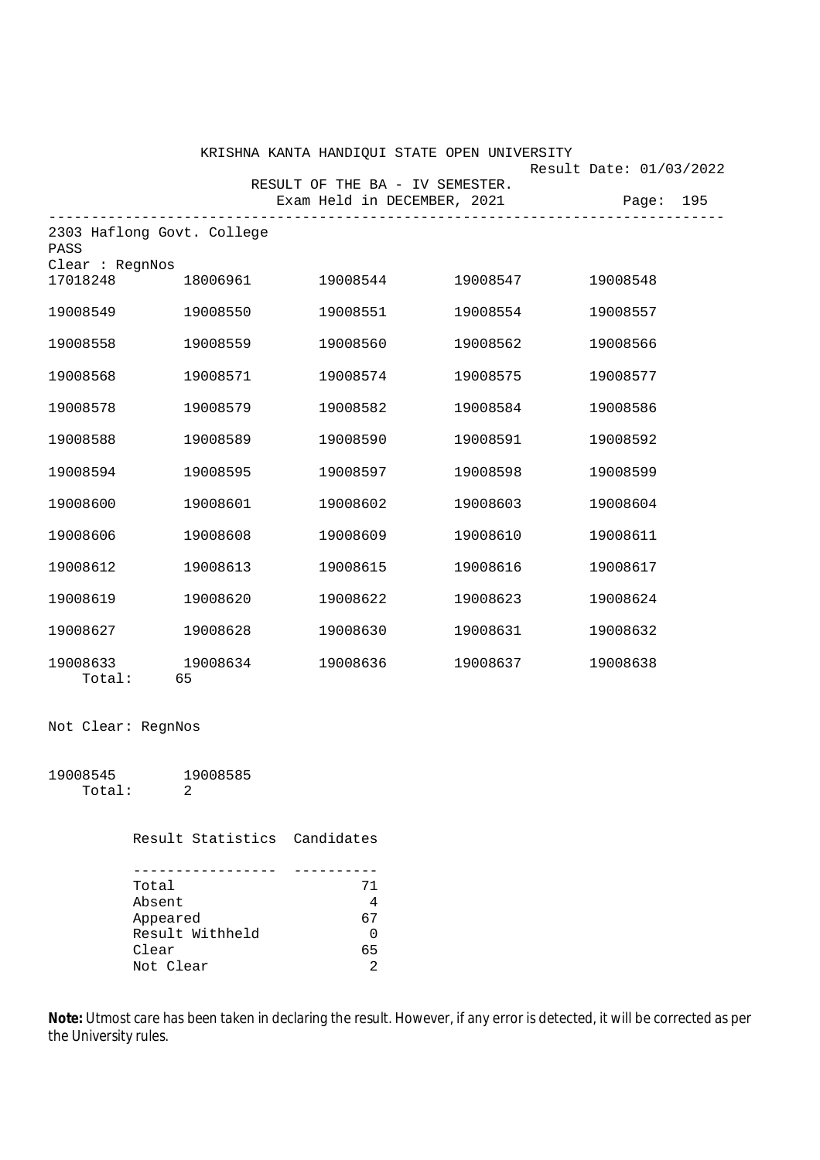|                                                       |                | KRISHNA KANTA HANDIQUI STATE OPEN UNIVERSITY                   |          | Result Date: 01/03/2022 |
|-------------------------------------------------------|----------------|----------------------------------------------------------------|----------|-------------------------|
|                                                       |                | RESULT OF THE BA - IV SEMESTER.<br>Exam Held in DECEMBER, 2021 |          | Page: 195               |
| 2303 Haflong Govt. College<br>PASS<br>Clear : RegnNos |                |                                                                |          |                         |
| 17018248                                              | 18006961       | 19008544                                                       | 19008547 | 19008548                |
| 19008549                                              | 19008550       | 19008551                                                       | 19008554 | 19008557                |
| 19008558                                              | 19008559       | 19008560                                                       | 19008562 | 19008566                |
| 19008568                                              | 19008571       | 19008574                                                       | 19008575 | 19008577                |
| 19008578                                              | 19008579       | 19008582                                                       | 19008584 | 19008586                |
| 19008588                                              | 19008589       | 19008590                                                       | 19008591 | 19008592                |
| 19008594                                              | 19008595       | 19008597                                                       | 19008598 | 19008599                |
| 19008600                                              | 19008601       | 19008602                                                       | 19008603 | 19008604                |
| 19008606                                              | 19008608       | 19008609                                                       | 19008610 | 19008611                |
| 19008612                                              | 19008613       | 19008615                                                       | 19008616 | 19008617                |
| 19008619                                              | 19008620       | 19008622                                                       | 19008623 | 19008624                |
| 19008627                                              | 19008628       | 19008630                                                       | 19008631 | 19008632                |
| 19008633<br>Total:                                    | 19008634<br>65 | 19008636                                                       | 19008637 | 19008638                |

Not Clear: RegnNos

19008545 19008585 Total: 2

Result Statistics Candidates

| Total           | 71             |
|-----------------|----------------|
| Absent          | 4              |
| Appeared        | 67             |
| Result Withheld | 0              |
| Clear           | 65             |
| Not Clear       | $\mathfrak{D}$ |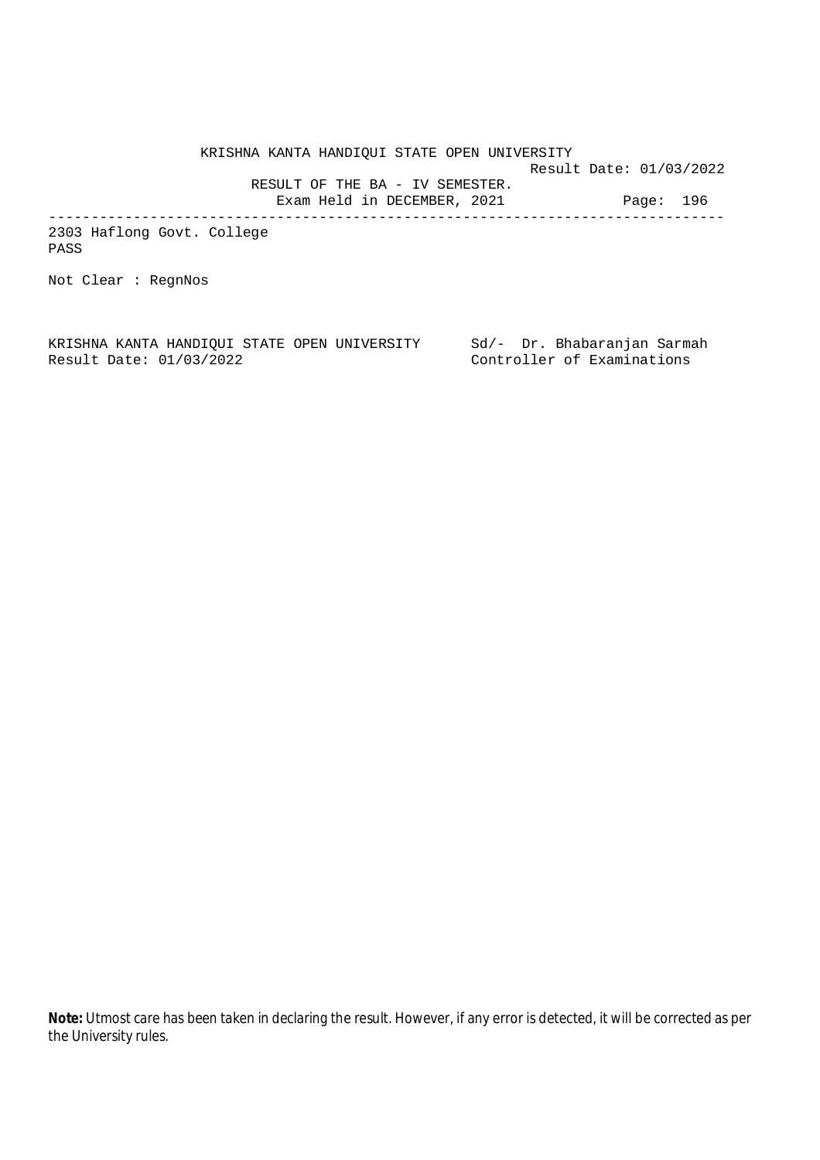KRISHNA KANTA HANDIQUI STATE OPEN UNIVERSITY Result Date: 01/03/2022 RESULT OF THE BA - IV SEMESTER. Exam Held in DECEMBER, 2021 Page: 196 --------------------------------------------------------------------------------

2303 Haflong Govt. College PASS

Not Clear : RegnNos

KRISHNA KANTA HANDIQUI STATE OPEN UNIVERSITY Sd/- Dr. Bhabaranjan Sarmah Result Date: 01/03/2022 Controller of Examinations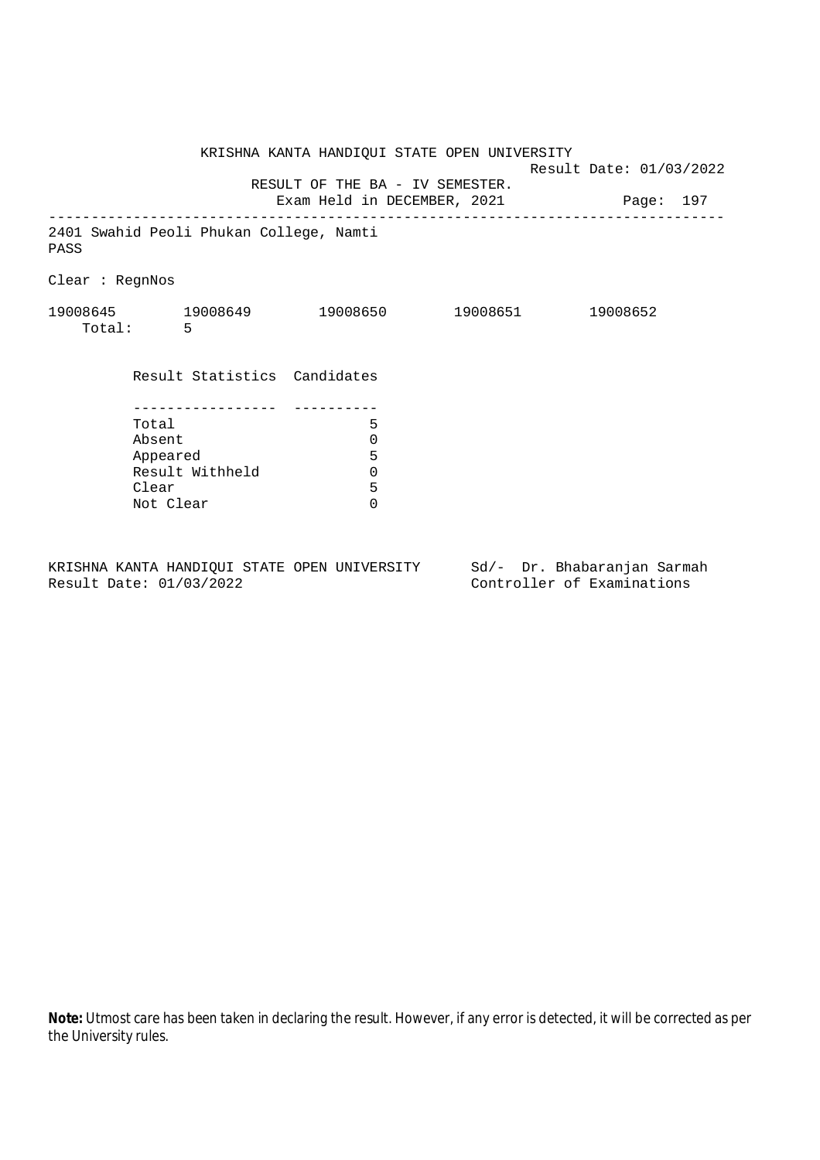|                                                 |                                 | KRISHNA KANTA HANDIQUI STATE OPEN UNIVERSITY | Result Date: 01/03/2022 |
|-------------------------------------------------|---------------------------------|----------------------------------------------|-------------------------|
|                                                 | RESULT OF THE BA - IV SEMESTER. |                                              |                         |
| 2401 Swahid Peoli Phukan College, Namti<br>PASS |                                 |                                              |                         |
| Clear : RegnNos                                 |                                 |                                              |                         |
| 19008645 19008649 19008650 19008651<br>Total: 5 |                                 |                                              | 19008652                |
| Result Statistics Candidates                    |                                 |                                              |                         |
|                                                 |                                 |                                              |                         |
| Total                                           | 5                               |                                              |                         |
| Absent                                          | 0                               |                                              |                         |
| Appeared                                        | 5                               |                                              |                         |
| Result Withheld                                 | $\Omega$                        |                                              |                         |
| Clear                                           | 5                               |                                              |                         |
| Not Clear                                       | $\Omega$                        |                                              |                         |
|                                                 |                                 |                                              |                         |

KRISHNA KANTA HANDIQUI STATE OPEN UNIVERSITY Sd/- Dr. Bhabaranjan Sarmah<br>Result Date: 01/03/2022 Controller of Examinations

Controller of Examinations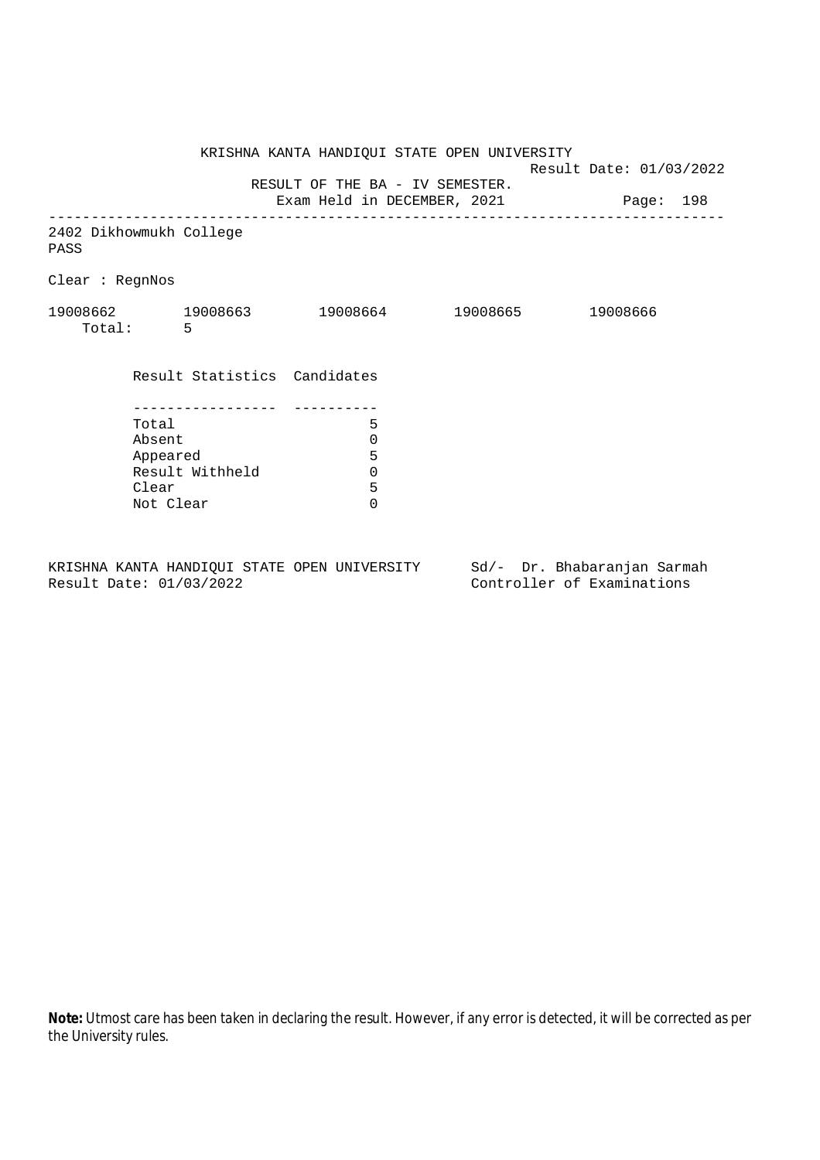KRISHNA KANTA HANDIQUI STATE OPEN UNIVERSITY Result Date: 01/03/2022 RESULT OF THE BA - IV SEMESTER. Exam Held in DECEMBER, 2021 Page: 198 -------------------------------------------------------------------------------- 2402 Dikhowmukh College PASS Clear : RegnNos 19008662 19008663 19008664 19008665 19008666 Total: 5 Result Statistics Candidates ----------------- ---------- Total 5 Absent<br>
Appeared 5<br>
Result Withheld 0<br>
Clear 5 Appeared Result Withheld 0 Clear Not Clear 0

KRISHNA KANTA HANDIQUI STATE OPEN UNIVERSITY Sd/- Dr. Bhabaranjan Sarmah Result Date: 01/03/2022 Controller of Examinations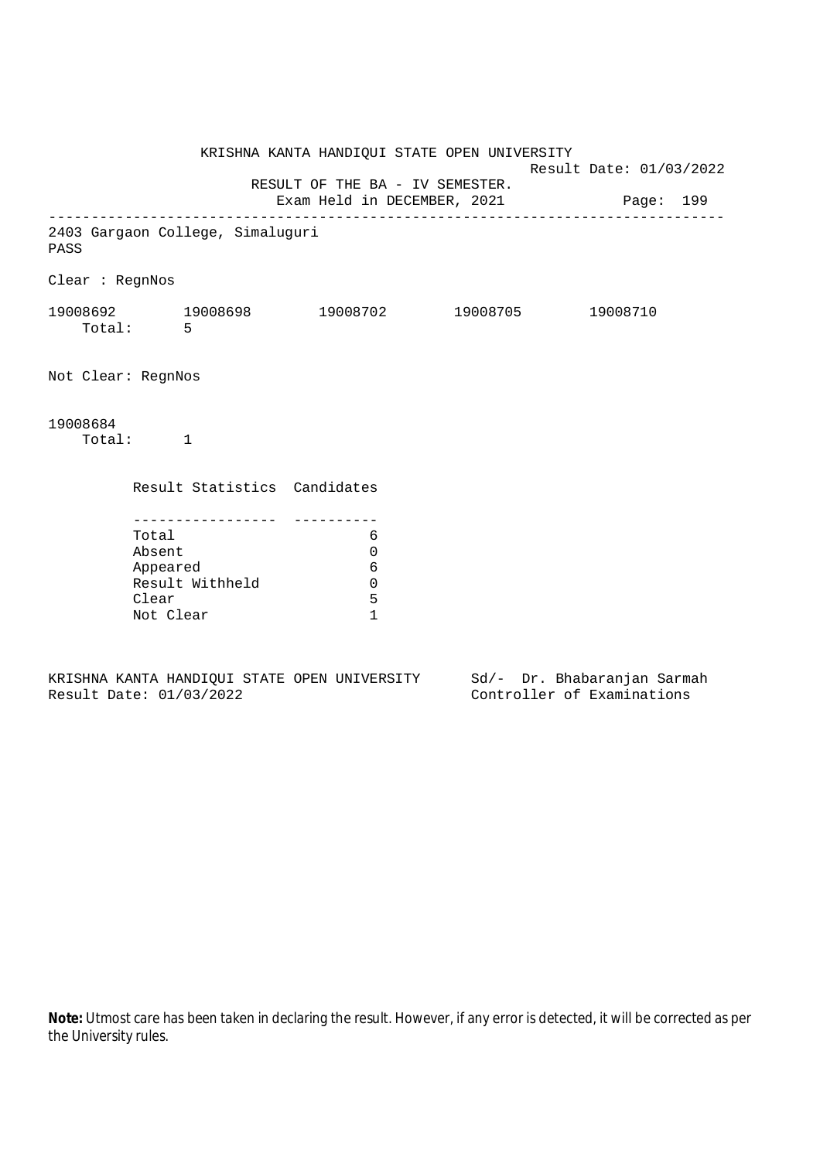KRISHNA KANTA HANDIQUI STATE OPEN UNIVERSITY Result Date: 01/03/2022 RESULT OF THE BA - IV SEMESTER. Exam Held in DECEMBER, 2021 Page: 199 -------------------------------------------------------------------------------- 2403 Gargaon College, Simaluguri PASS Clear : RegnNos 19008692 19008698 19008702 19008705 19008710 Total: 5 Not Clear: RegnNos 19008684 Total: 1 Result Statistics Candidates ----------------- ---------- Total 6 Absent 0 Appeared 6 Result Withheld 0 Clear 5 Not Clear 1

KRISHNA KANTA HANDIQUI STATE OPEN UNIVERSITY Sd/- Dr. Bhabaranjan Sarmah Result Date: 01/03/2022 Controller of Examinations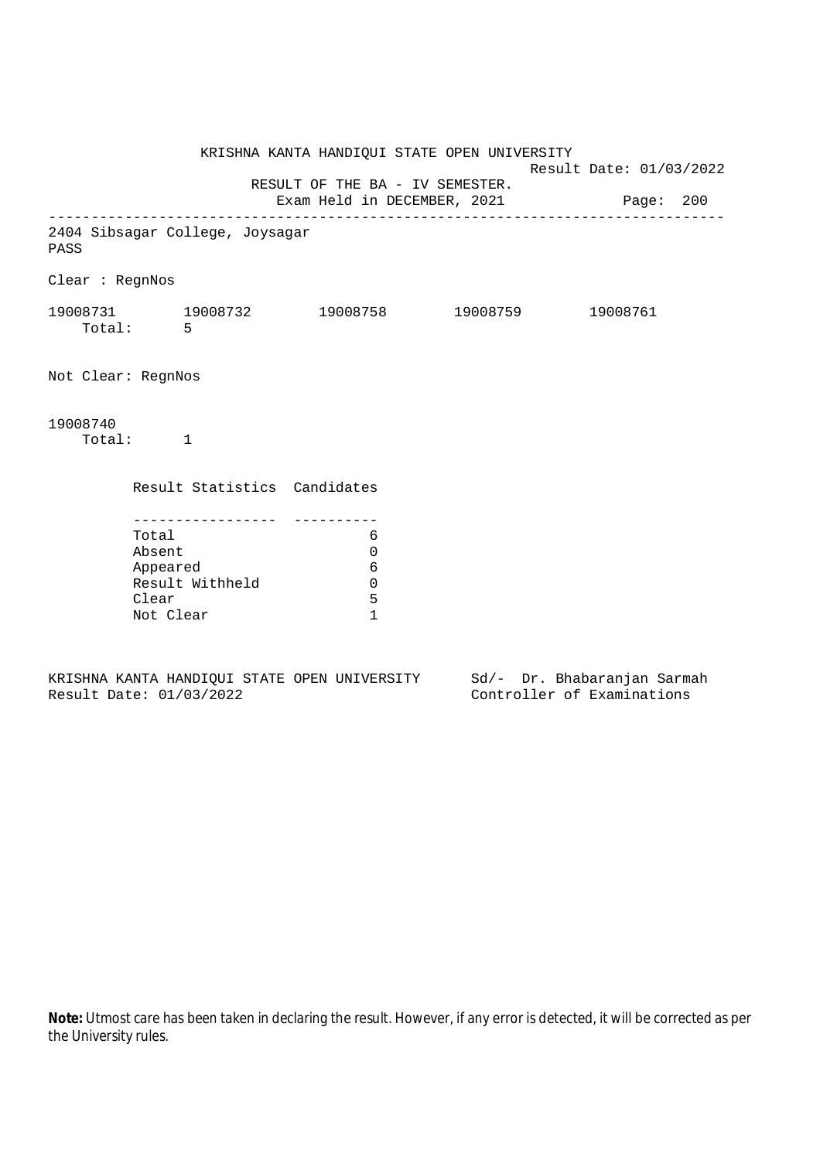KRISHNA KANTA HANDIQUI STATE OPEN UNIVERSITY Result Date: 01/03/2022 RESULT OF THE BA - IV SEMESTER. Exam Held in DECEMBER, 2021 Page: 200 -------------------------------------------------------------------------------- 2404 Sibsagar College, Joysagar PASS Clear : RegnNos 19008731 19008732 19008758 19008759 19008761 Total: 5 Not Clear: RegnNos 19008740 Total: 1 Result Statistics Candidates ----------------- ---------- Total 6 Absent 0 Appeared 6 Result Withheld 0 Clear 5 Not Clear 1

KRISHNA KANTA HANDIQUI STATE OPEN UNIVERSITY Sd/- Dr. Bhabaranjan Sarmah Result Date: 01/03/2022 Controller of Examinations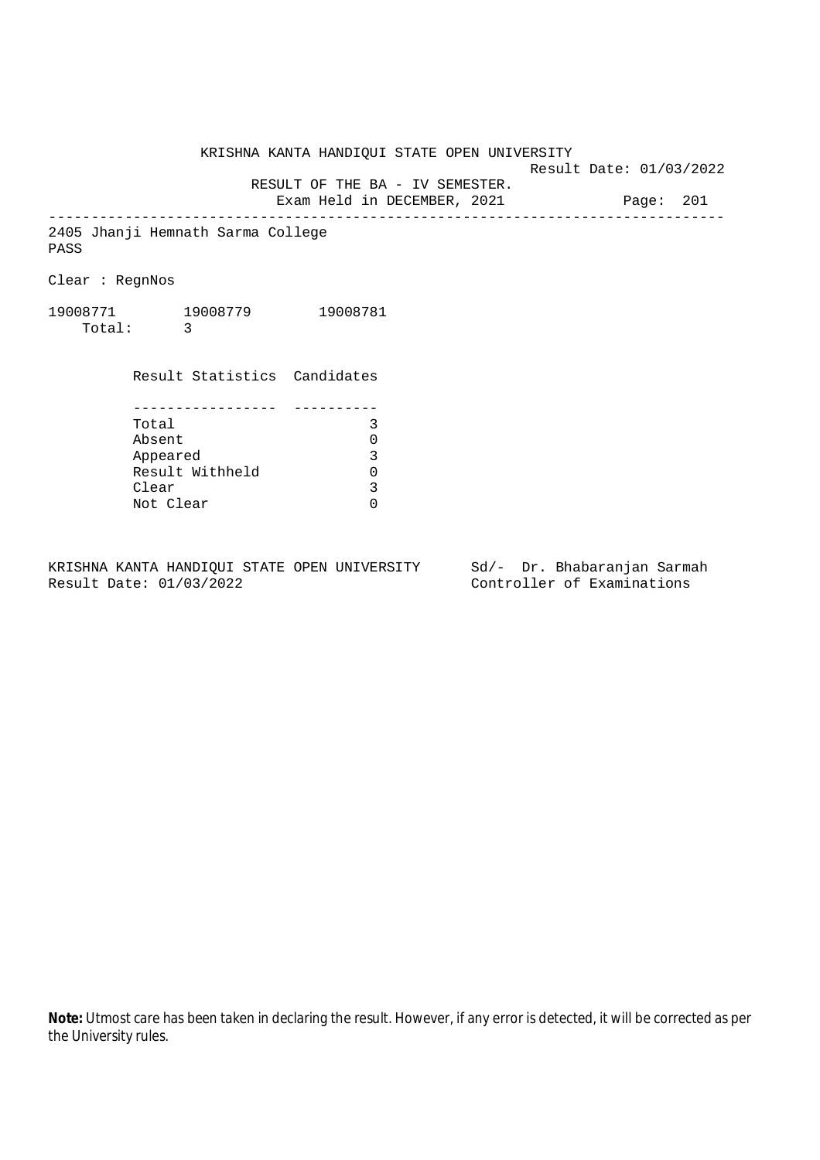KRISHNA KANTA HANDIQUI STATE OPEN UNIVERSITY

Result Date: 01/03/2022

 RESULT OF THE BA - IV SEMESTER. Exam Held in DECEMBER, 2021 Page: 201

--------------------------------------------------------------------------------

2405 Jhanji Hemnath Sarma College PASS

Clear : RegnNos

19008771 19008779 19008781 Total: 3

> Result Statistics Candidates ----------------- ---------- Total 3 Absent 0<br>
> Appeared 3<br>
> Result Withheld 0 Appeared Result Withheld 0<br>Clear 3 Clear Not Clear 0

KRISHNA KANTA HANDIQUI STATE OPEN UNIVERSITY Sd/- Dr. Bhabaranjan Sarmah Result Date: 01/03/2022 Controller of Examinations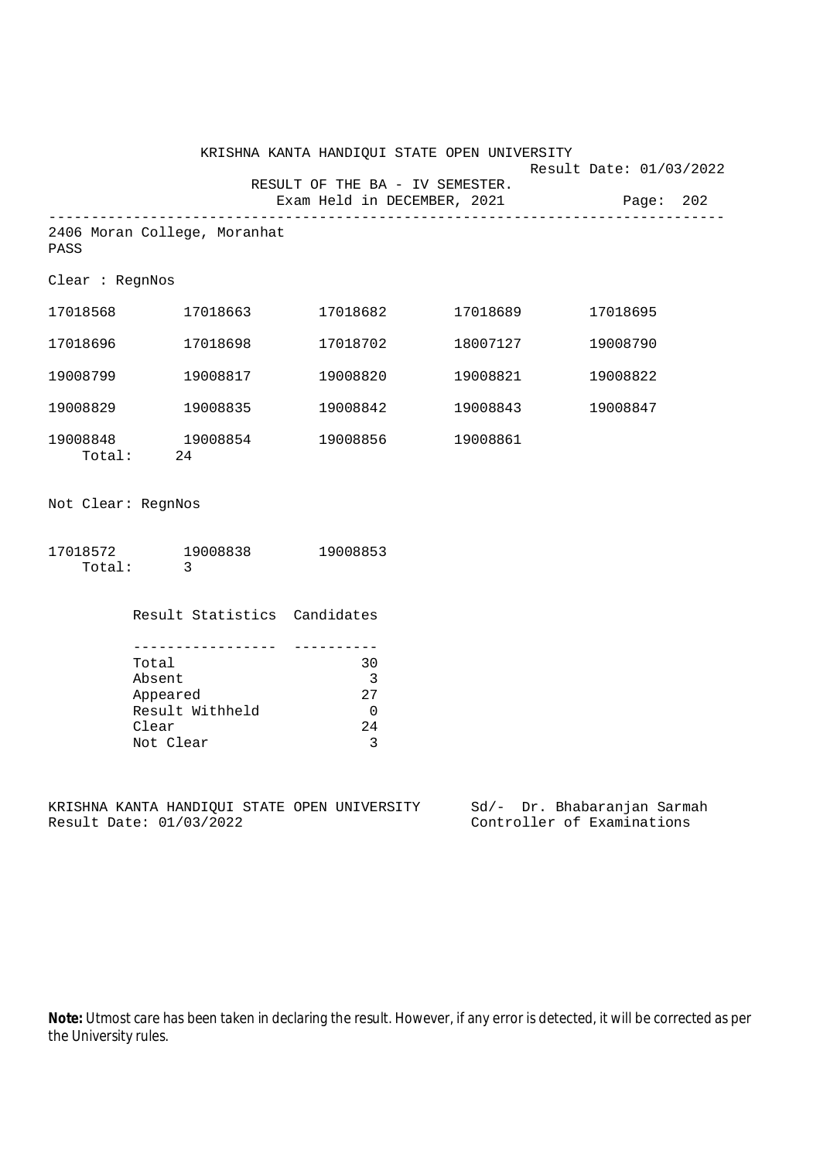|                                      |          | KRISHNA KANTA HANDIQUI STATE OPEN UNIVERSITY |                             | Result Date: 01/03/2022 |  |
|--------------------------------------|----------|----------------------------------------------|-----------------------------|-------------------------|--|
|                                      |          | RESULT OF THE BA - IV SEMESTER.              | Exam Held in DECEMBER, 2021 | Page: 202               |  |
| 2406 Moran College, Moranhat<br>PASS |          |                                              |                             |                         |  |
| Clear : RegnNos                      |          |                                              |                             |                         |  |
| 17018568                             | 17018663 | 17018682 17018689                            |                             | 17018695                |  |
| 17018696                             | 17018698 | 17018702                                     | 18007127                    | 19008790                |  |
| 19008799                             | 19008817 | 19008820                                     | 19008821                    | 19008822                |  |
| 19008829                             | 19008835 | 19008842                                     | 19008843                    | 19008847                |  |
| 19008848 19008854<br>Total:<br>24    |          | 19008856                                     | 19008861                    |                         |  |
| Not Clear: RegnNos                   |          |                                              |                             |                         |  |
| 17018572 19008838<br>Total:          | 3        | 19008853                                     |                             |                         |  |

| 30  |
|-----|
| 3   |
| 2.7 |
|     |
| 24  |
|     |
|     |

Result Statistics Candidates

KRISHNA KANTA HANDIQUI STATE OPEN UNIVERSITY Sd/- Dr. Bhabaranjan Sarmah<br>Result Date: 01/03/2022 Controller of Examinations

Controller of Examinations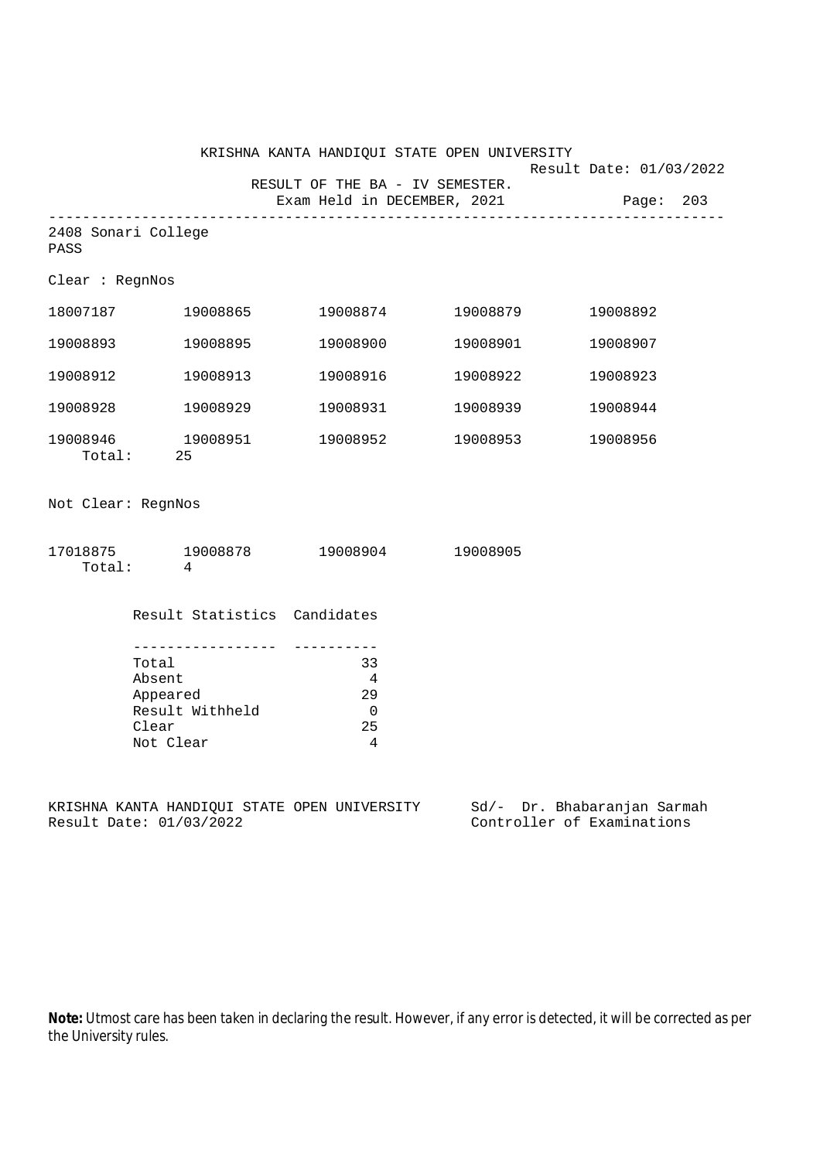|                             | KRISHNA KANTA HANDIQUI STATE OPEN UNIVERSITY                                               | Result Date: 01/03/2022                                                            |                   |                                                                                                        |
|-----------------------------|--------------------------------------------------------------------------------------------|------------------------------------------------------------------------------------|-------------------|--------------------------------------------------------------------------------------------------------|
|                             |                                                                                            | RESULT OF THE BA - IV SEMESTER.<br>Exam Held in DECEMBER, 2021                     |                   | Page: 203                                                                                              |
| 2408 Sonari College<br>PASS |                                                                                            |                                                                                    |                   |                                                                                                        |
| Clear : RegnNos             |                                                                                            |                                                                                    |                   |                                                                                                        |
|                             | 18007187 19008865                                                                          |                                                                                    | 19008874 19008879 | 19008892                                                                                               |
| 19008893                    | 19008895                                                                                   | 19008900                                                                           | 19008901          | 19008907                                                                                               |
| 19008912                    | 19008913                                                                                   | 19008916                                                                           | 19008922          | 19008923                                                                                               |
| 19008928                    | 19008929                                                                                   | 19008931                                                                           | 19008939          | 19008944                                                                                               |
|                             | 19008946    19008951<br>Total: 25                                                          |                                                                                    | 19008952 19008953 | 19008956                                                                                               |
| Not Clear: RegnNos          |                                                                                            |                                                                                    |                   |                                                                                                        |
|                             | 17018875 19008878 19008904 19008905<br>Total: 4                                            |                                                                                    |                   |                                                                                                        |
|                             | Result Statistics Candidates                                                               |                                                                                    |                   |                                                                                                        |
|                             | __________________<br>Total<br>Absent<br>Appeared<br>Result Withheld<br>Clear<br>Not Clear | __________<br>33<br>$\overline{4}$<br>29<br>$\overline{0}$<br>25<br>$\overline{4}$ |                   |                                                                                                        |
|                             | Result Date: 01/03/2022                                                                    |                                                                                    |                   | KRISHNA KANTA HANDIQUI STATE OPEN UNIVERSITY Sd/- Dr. Bhabaranjan Sarmah<br>Controller of Examinations |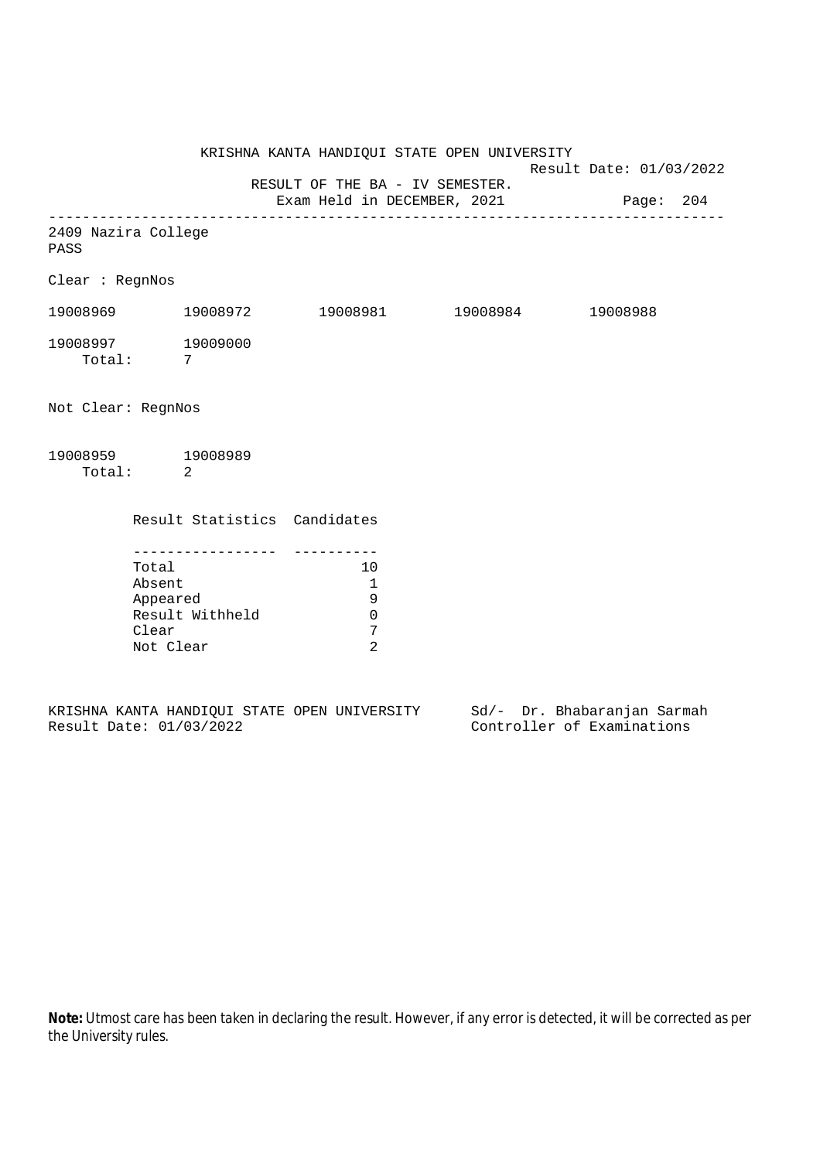KRISHNA KANTA HANDIQUI STATE OPEN UNIVERSITY Result Date: 01/03/2022 RESULT OF THE BA - IV SEMESTER. Exam Held in DECEMBER, 2021 Page: 204 -------------------------------------------------------------------------------- 2409 Nazira College PASS Clear : RegnNos 19008969 19008972 19008981 19008984 19008988 19008997 19009000 Total: 7 Not Clear: RegnNos 19008959 19008989 Total: 2 Result Statistics Candidates ----------------- ---------- Total 10 Absent 1 Appeared 9 Result Withheld 0<br>Clear 7 Clear Not Clear 2

|  |                         |  | KRISHNA KANTA HANDIOUI STATE OPEN UNIVERSITY |  |  | Sd/- Dr. Bhabaranjan Sarmah |  |
|--|-------------------------|--|----------------------------------------------|--|--|-----------------------------|--|
|  | Result Date: 01/03/2022 |  |                                              |  |  | Controller of Examinations  |  |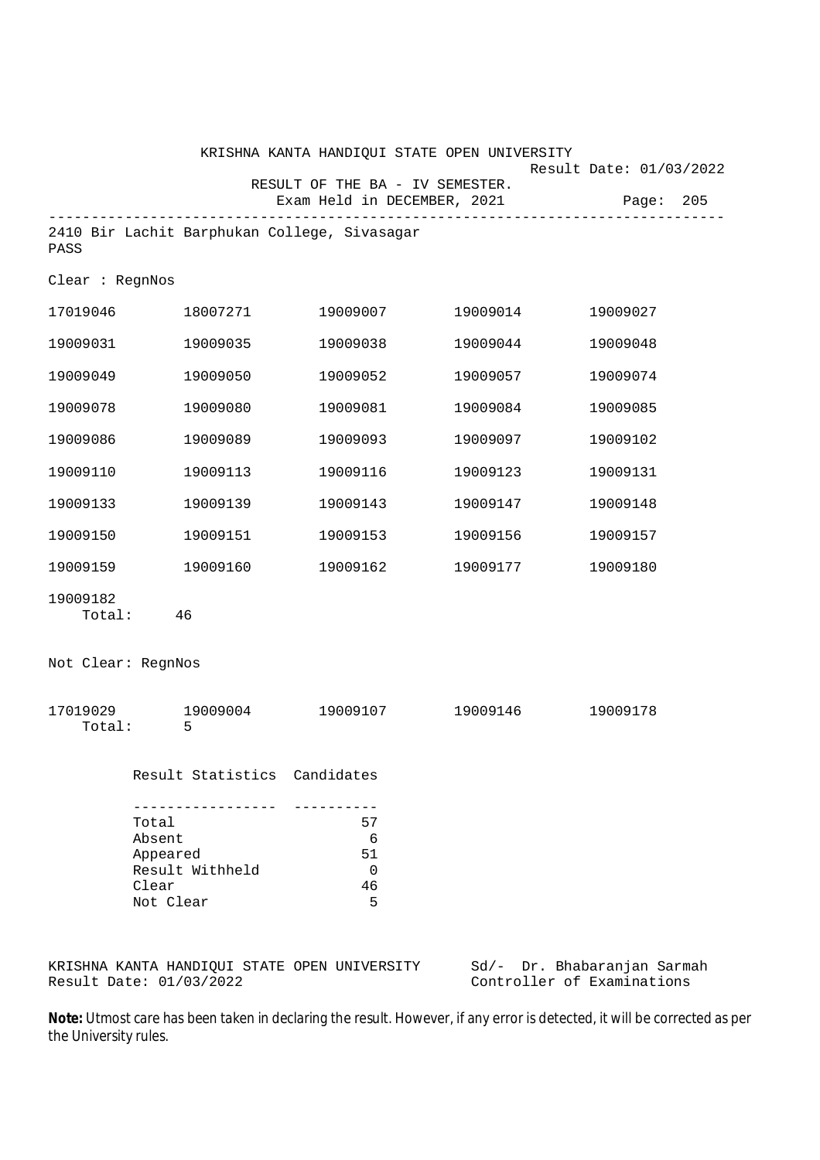|                          |                                                                             | KRISHNA KANTA HANDIQUI STATE OPEN UNIVERSITY                   |          |                                         |  |
|--------------------------|-----------------------------------------------------------------------------|----------------------------------------------------------------|----------|-----------------------------------------|--|
|                          |                                                                             | RESULT OF THE BA - IV SEMESTER.<br>Exam Held in DECEMBER, 2021 |          | Result Date: 01/03/2022<br>Page:<br>205 |  |
| PASS                     |                                                                             | 2410 Bir Lachit Barphukan College, Sivasagar                   |          |                                         |  |
| Clear : RegnNos          |                                                                             |                                                                |          |                                         |  |
| 17019046                 | 18007271                                                                    | 19009007                                                       | 19009014 | 19009027                                |  |
| 19009031                 | 19009035                                                                    | 19009038                                                       | 19009044 | 19009048                                |  |
| 19009049                 | 19009050                                                                    | 19009052                                                       | 19009057 | 19009074                                |  |
| 19009078                 | 19009080                                                                    | 19009081                                                       | 19009084 | 19009085                                |  |
| 19009086                 | 19009089                                                                    | 19009093                                                       | 19009097 | 19009102                                |  |
| 19009110                 | 19009113                                                                    | 19009116                                                       | 19009123 | 19009131                                |  |
| 19009133                 | 19009139                                                                    | 19009143                                                       | 19009147 | 19009148                                |  |
| 19009150                 | 19009151                                                                    | 19009153                                                       | 19009156 | 19009157                                |  |
| 19009159                 | 19009160                                                                    | 19009162                                                       | 19009177 | 19009180                                |  |
| 19009182<br>Total:       | 46                                                                          |                                                                |          |                                         |  |
| Not Clear: RegnNos       |                                                                             |                                                                |          |                                         |  |
| 17019029<br>Total:       | 19009004<br>5                                                               | 19009107                                                       | 19009146 | 19009178                                |  |
|                          | Result Statistics Candidates                                                |                                                                |          |                                         |  |
| Total<br>Absent<br>Clear | . _ _ _ _ _ _ _ _ _ _ _ _ _ _ _<br>Appeared<br>Result Withheld<br>Not Clear | ----------<br>57<br>6<br>51<br>0<br>46<br>5                    |          |                                         |  |
|                          |                                                                             |                                                                |          |                                         |  |

KRISHNA KANTA HANDIQUI STATE OPEN UNIVERSITY Sd/- Dr. Bhabaranjan Sarmah Result Date: 01/03/2022 Controller of Examinations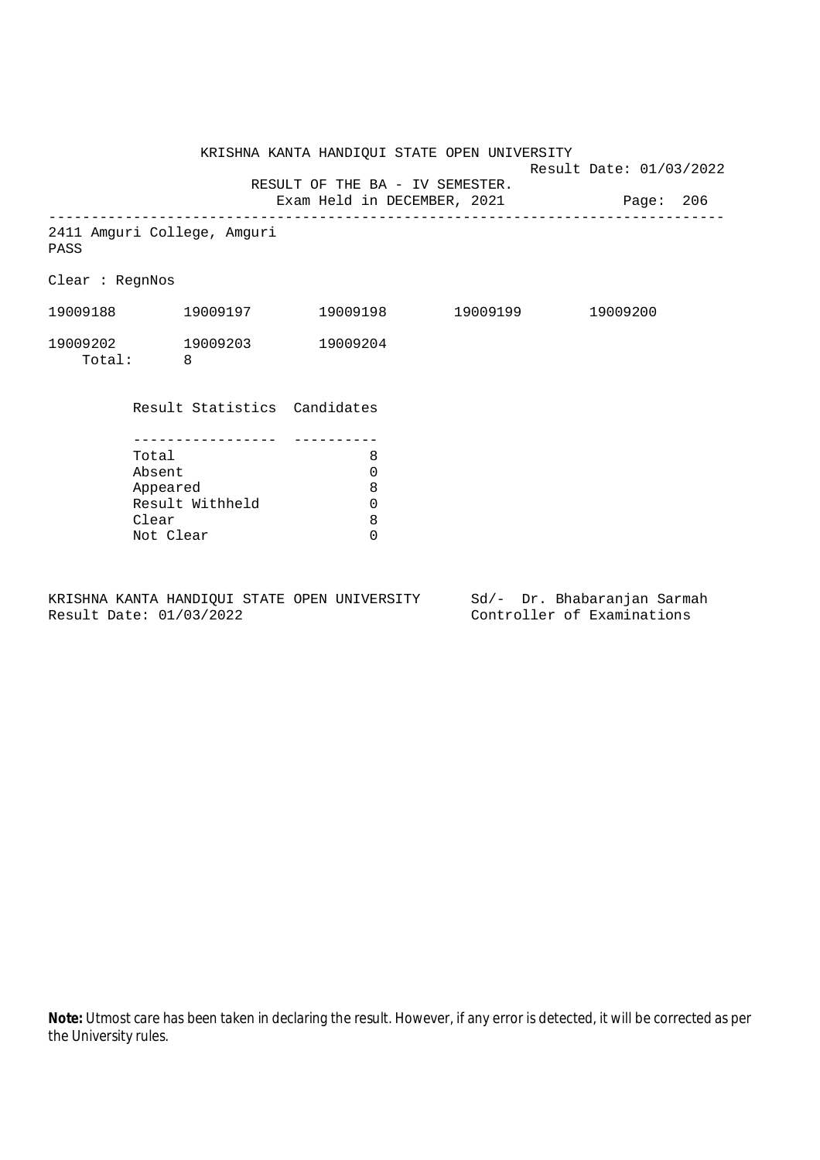KRISHNA KANTA HANDIQUI STATE OPEN UNIVERSITY Result Date: 01/03/2022 RESULT OF THE BA - IV SEMESTER. Exam Held in DECEMBER, 2021 Page: 206 -------------------------------------------------------------------------------- 2411 Amguri College, Amguri PASS Clear : RegnNos 19009188 19009197 19009198 19009199 19009200 19009202 19009203 19009204 Total: 8 Result Statistics Candidates ----------------- ---------- Total 8 Absent 0 Appeared 8 Result Withheld 0<br>Clear 8 Clear 8<br>Not Clear 6 Not Clear

KRISHNA KANTA HANDIQUI STATE OPEN UNIVERSITY Sd/- Dr. Bhabaranjan Sarmah Result Date: 01/03/2022 Controller of Examinations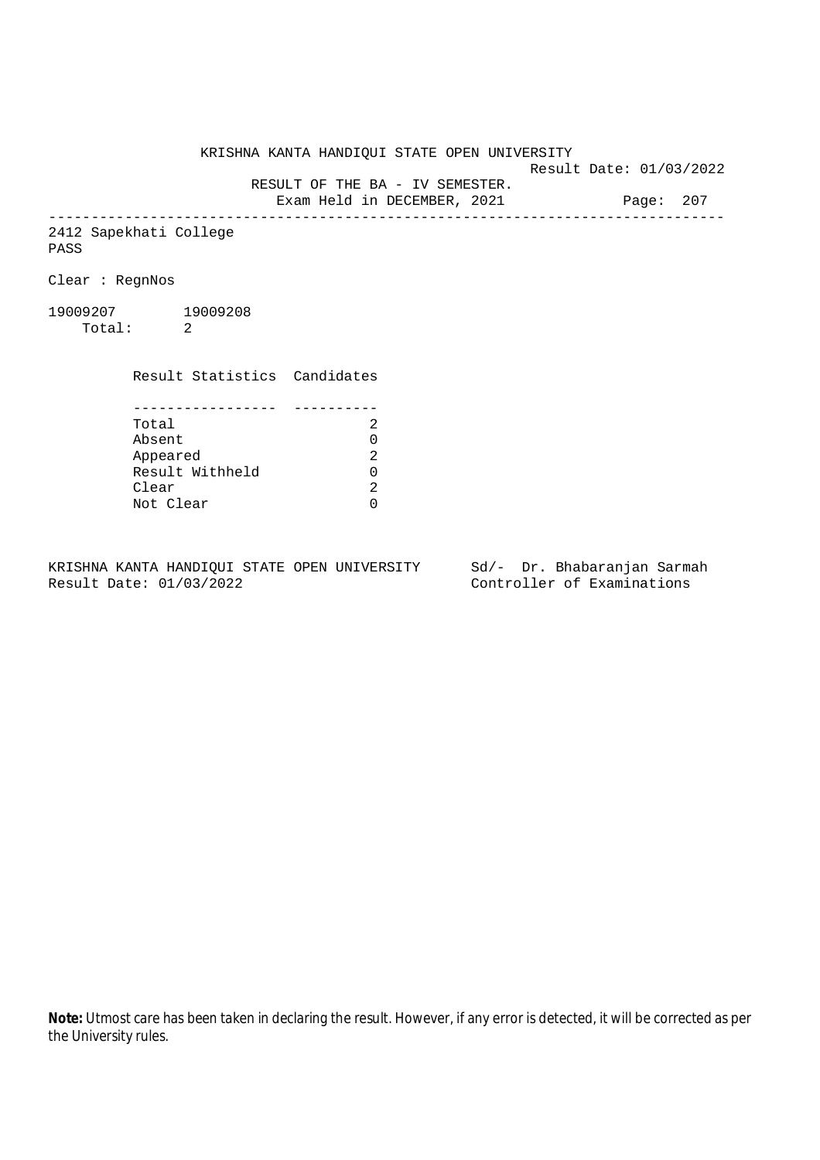KRISHNA KANTA HANDIQUI STATE OPEN UNIVERSITY

Result Date: 01/03/2022

RESULT OF THE BA - IV SEMESTER.

Exam Held in DECEMBER, 2021 Page: 207 --------------------------------------------------------------------------------

2412 Sapekhati College PASS

Clear : RegnNos

19009207 19009208 Total: 2

> Result Statistics Candidates ----------------- ---------- Total 2 Appeared

Absent<br>
Appeared 2<br>
Result Withheld 0<br>
Clear 2 Result Withheld 0 Clear Not Clear 0

KRISHNA KANTA HANDIQUI STATE OPEN UNIVERSITY Sd/- Dr. Bhabaranjan Sarmah Result Date: 01/03/2022 Controller of Examinations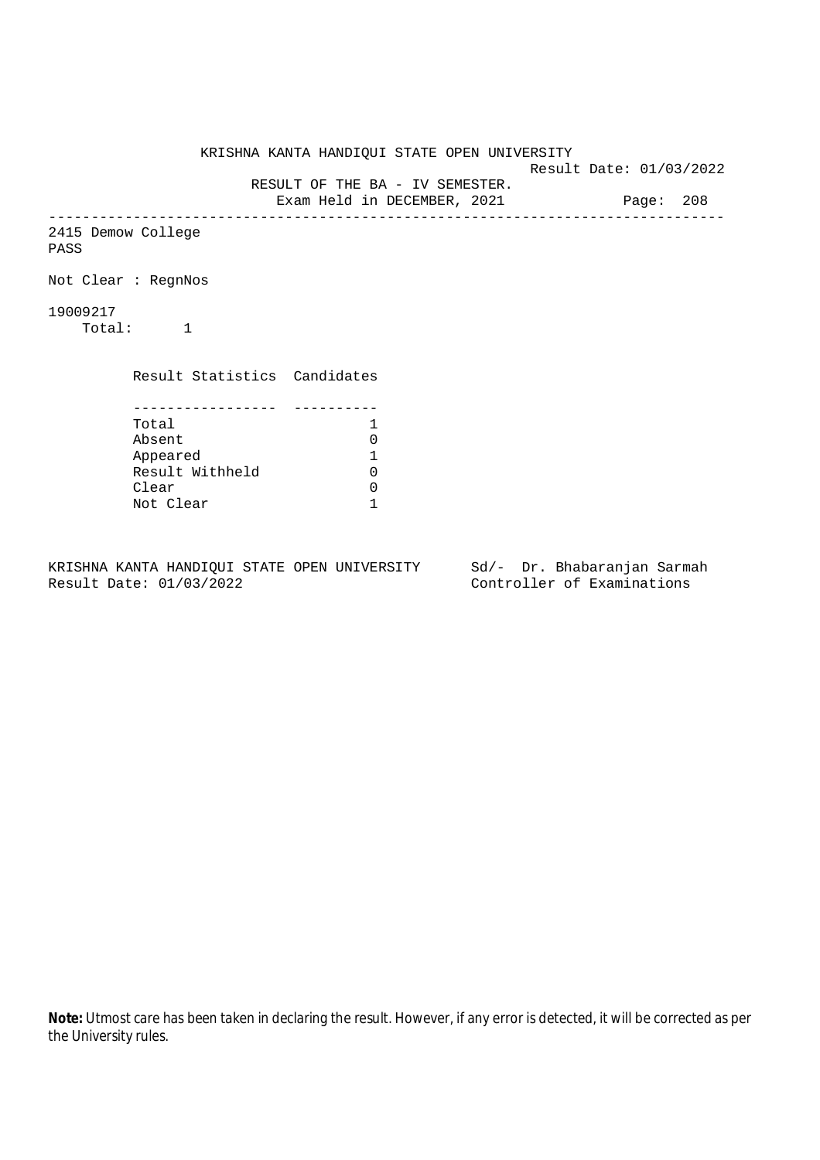KRISHNA KANTA HANDIQUI STATE OPEN UNIVERSITY Result Date: 01/03/2022 RESULT OF THE BA - IV SEMESTER. Exam Held in DECEMBER, 2021 Page: 208 -------------------------------------------------------------------------------- 2415 Demow College PASS Not Clear : RegnNos 19009217 Total: 1 Result Statistics Candidates ----------------- ---------- Total 1<br>Absent 0 Absent 0<br>
Appeared 1<br>
Result Withheld 0 Appeared 1 Result Withheld 0 Clear 0 Not Clear 1

KRISHNA KANTA HANDIQUI STATE OPEN UNIVERSITY Sd/- Dr. Bhabaranjan Sarmah Result Date: 01/03/2022 Controller of Examinations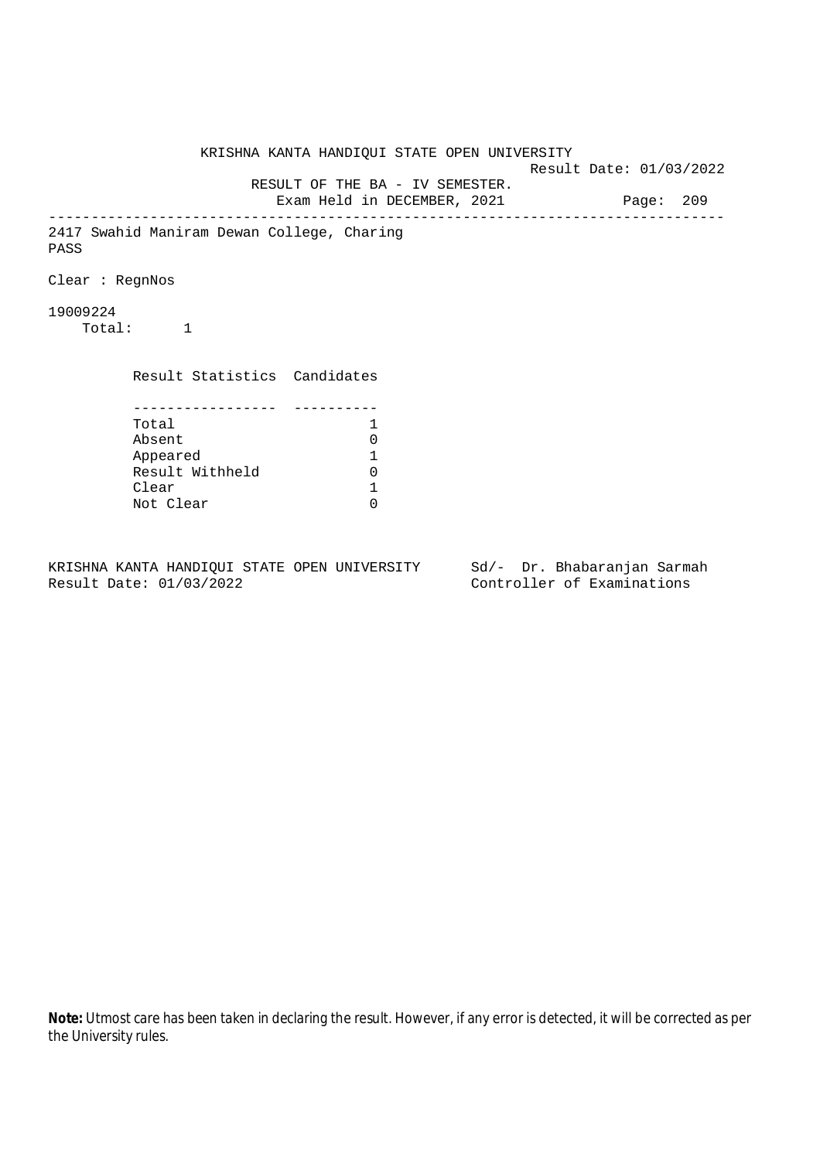KRISHNA KANTA HANDIQUI STATE OPEN UNIVERSITY Result Date: 01/03/2022 RESULT OF THE BA - IV SEMESTER. Exam Held in DECEMBER, 2021 Page: 209 -------------------------------------------------------------------------------- 2417 Swahid Maniram Dewan College, Charing PASS Clear : RegnNos 19009224 Total: 1 Result Statistics Candidates ----------------- ---------- Total 1 Absent<br>
Appeared 1<br>
Result Withheld 0<br>
Clear 1 Appeared 1 Result Withheld 0 Clear Not Clear 0

KRISHNA KANTA HANDIQUI STATE OPEN UNIVERSITY Sd/- Dr. Bhabaranjan Sarmah Result Date: 01/03/2022 Controller of Examinations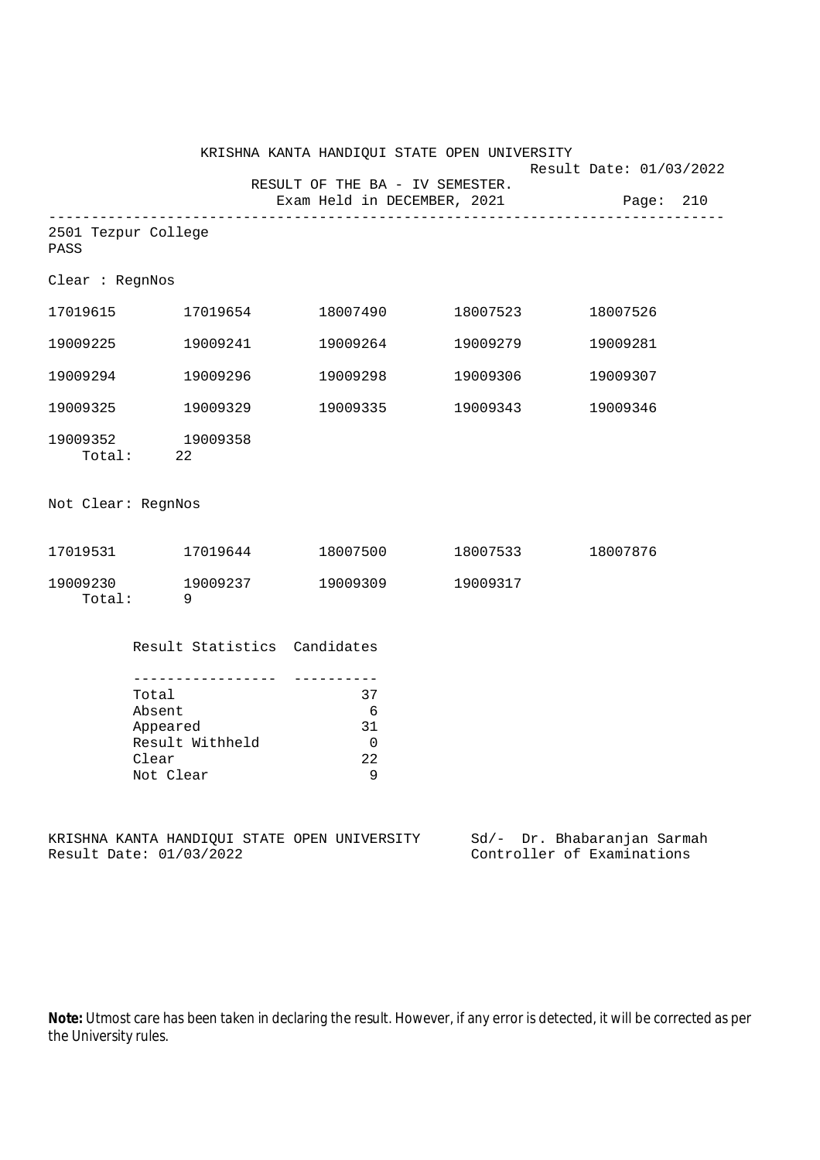|                    |                                                                      |                                            | KRISHNA KANTA HANDIQUI STATE OPEN UNIVERSITY | Result Date: 01/03/2022               |
|--------------------|----------------------------------------------------------------------|--------------------------------------------|----------------------------------------------|---------------------------------------|
|                    |                                                                      | RESULT OF THE BA - IV SEMESTER.            |                                              | Exam Held in DECEMBER, 2021 Page: 210 |
| PASS               | 2501 Tezpur College                                                  |                                            |                                              |                                       |
| Clear : RegnNos    |                                                                      |                                            |                                              |                                       |
|                    | 17019615 17019654                                                    | 18007490                                   | 18007523                                     | 18007526                              |
| 19009225           | 19009241                                                             | 19009264                                   | 19009279                                     | 19009281                              |
| 19009294           | 19009296                                                             | 19009298                                   | 19009306                                     | 19009307                              |
| 19009325           | 19009329                                                             | 19009335                                   | 19009343                                     | 19009346                              |
|                    | 19009352 19009358<br>Total: 22                                       |                                            |                                              |                                       |
| Not Clear: RegnNos |                                                                      |                                            |                                              |                                       |
|                    | 17019531 17019644                                                    | 18007500                                   | 18007533                                     | 18007876                              |
| Total:             | 19009230 19009237<br>- 9                                             | 19009309                                   | 19009317                                     |                                       |
|                    | Result Statistics Candidates                                         |                                            |                                              |                                       |
|                    | Total<br>Absent<br>Appeared<br>Result Withheld<br>Clear<br>Not Clear | 37<br>6<br>31<br>$\overline{0}$<br>22<br>9 |                                              |                                       |
|                    | KRISHNA KANTA HANDIQUI STATE OPEN UNIVERSITY                         |                                            |                                              | Sd/- Dr. Bhabaranjan Sarmah           |

Result Date: 01/03/2022 Controller of Examinations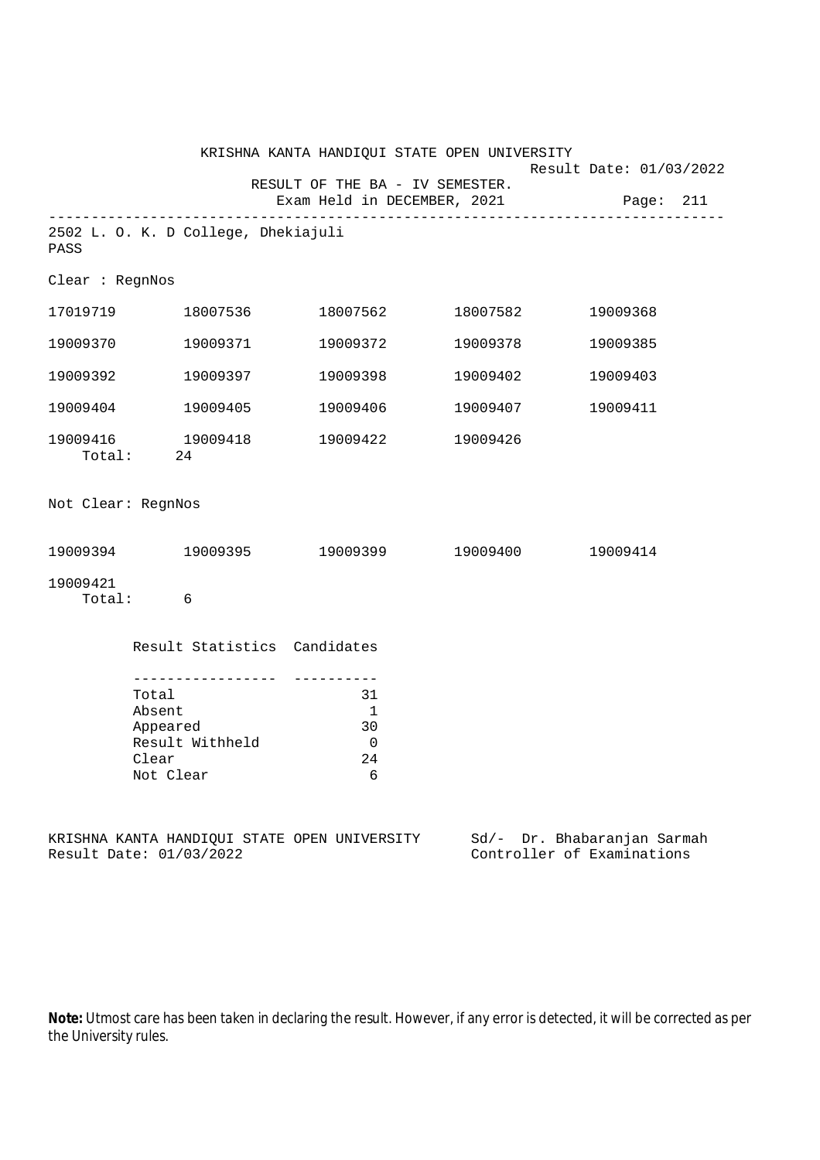|                                                                                    |                                                                         |                                            | KRISHNA KANTA HANDIQUI STATE OPEN UNIVERSITY | Result Date: 01/03/2022                              |
|------------------------------------------------------------------------------------|-------------------------------------------------------------------------|--------------------------------------------|----------------------------------------------|------------------------------------------------------|
|                                                                                    |                                                                         | RESULT OF THE BA - IV SEMESTER.            |                                              | Exam Held in DECEMBER, 2021 Page: 211                |
| PASS                                                                               | 2502 L. O. K. D College, Dhekiajuli                                     |                                            |                                              |                                                      |
| Clear : RegnNos                                                                    |                                                                         |                                            |                                              |                                                      |
|                                                                                    | 17019719 18007536                                                       |                                            | 18007562 18007582                            | 19009368                                             |
| 19009370                                                                           | 19009371                                                                | 19009372                                   | 19009378                                     | 19009385                                             |
| 19009392                                                                           | 19009397                                                                | 19009398                                   | 19009402                                     | 19009403                                             |
|                                                                                    | 19009404 19009405                                                       |                                            | 19009406 19009407                            | 19009411                                             |
|                                                                                    | 19009416 19009418<br>Total: 24                                          | 19009422 19009426                          |                                              |                                                      |
| Not Clear: RegnNos                                                                 |                                                                         |                                            |                                              |                                                      |
|                                                                                    | $19009394$ $19009395$ $19009399$ $19009400$                             |                                            |                                              | 19009414                                             |
| 19009421                                                                           | Total: 6                                                                |                                            |                                              |                                                      |
|                                                                                    | Result Statistics Candidates                                            |                                            |                                              |                                                      |
| . <u>.</u><br>Total<br>Absent<br>Appeared<br>Result Withheld<br>Clear<br>Not Clear |                                                                         | 31<br>$\overline{1}$<br>30<br>0<br>24<br>6 |                                              |                                                      |
|                                                                                    | KRISHNA KANTA HANDIQUI STATE OPEN UNIVERSITY<br>Result Date: 01/03/2022 |                                            | $Sd/-$                                       | Dr. Bhabaranjan Sarmah<br>Controller of Examinations |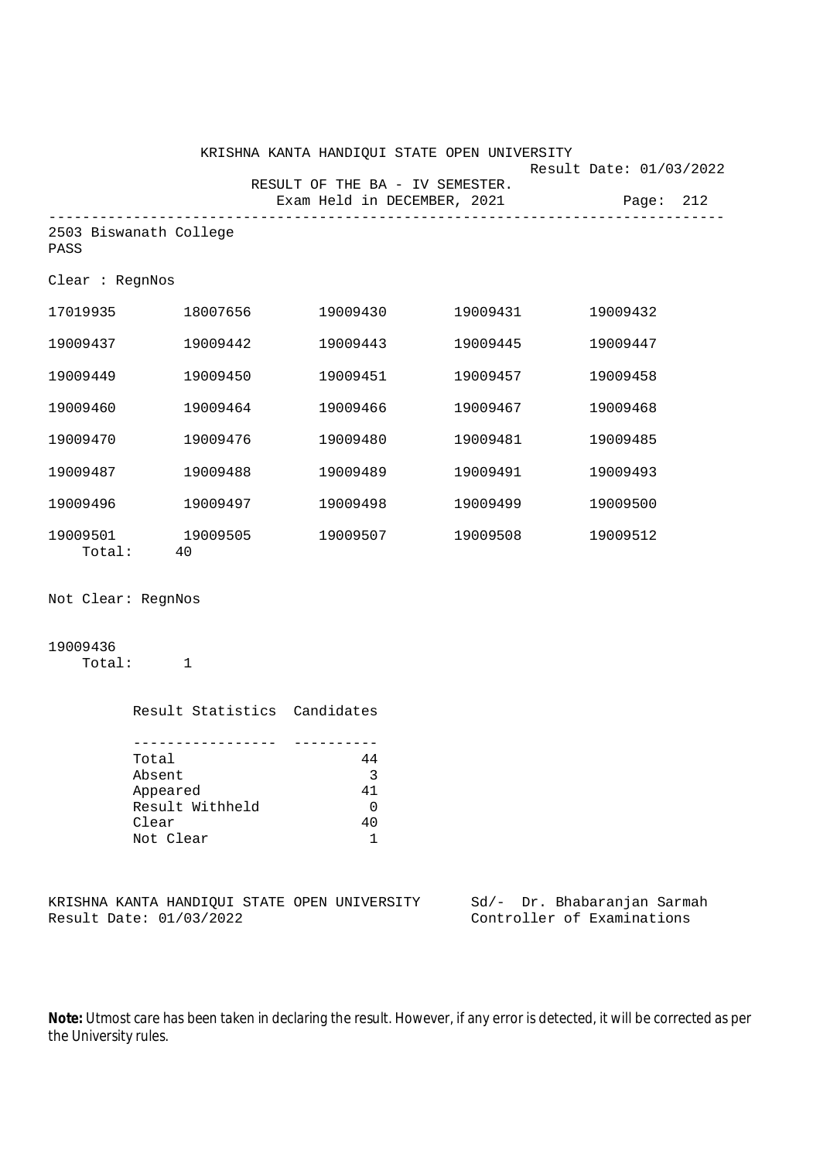|                                |          | KRISHNA KANTA HANDIQUI STATE OPEN UNIVERSITY<br>RESULT OF THE BA - IV SEMESTER.<br>Exam Held in DECEMBER, 2021 Page: 212 |          | Result Date: 01/03/2022 |
|--------------------------------|----------|--------------------------------------------------------------------------------------------------------------------------|----------|-------------------------|
| 2503 Biswanath College<br>PASS |          |                                                                                                                          |          |                         |
| Clear : RegnNos                |          |                                                                                                                          |          |                         |
| 17019935 18007656              |          | 19009430 19009431                                                                                                        |          | 19009432                |
| 19009437                       | 19009442 | 19009443                                                                                                                 | 19009445 | 19009447                |
| 19009449                       | 19009450 | 19009451                                                                                                                 | 19009457 | 19009458                |
| 19009460                       | 19009464 | 19009466                                                                                                                 | 19009467 | 19009468                |
| 19009470                       | 19009476 | 19009480                                                                                                                 | 19009481 | 19009485                |
| 19009487                       | 19009488 | 19009489                                                                                                                 | 19009491 | 19009493                |
| 19009496                       | 19009497 | 19009498                                                                                                                 | 19009499 | 19009500                |
| 19009501 19009505<br>Total:    | 40       | 19009507 19009508                                                                                                        |          | 19009512                |

Not Clear: RegnNos

## 19009436

Total: 1

| Result Statistics Candidates |    |
|------------------------------|----|
|                              |    |
|                              |    |
| Total                        | 44 |
| Absent                       | 3  |
| Appeared                     | 41 |
| Result Withheld              |    |
| Clear                        | 40 |
| Not Clear                    |    |

|  |                         |  | KRISHNA KANTA HANDIOUI STATE OPEN UNIVERSITY |  | Sd/- Dr. Bhabaranjan Sarmah |  |
|--|-------------------------|--|----------------------------------------------|--|-----------------------------|--|
|  | Result Date: 01/03/2022 |  |                                              |  | Controller of Examinations  |  |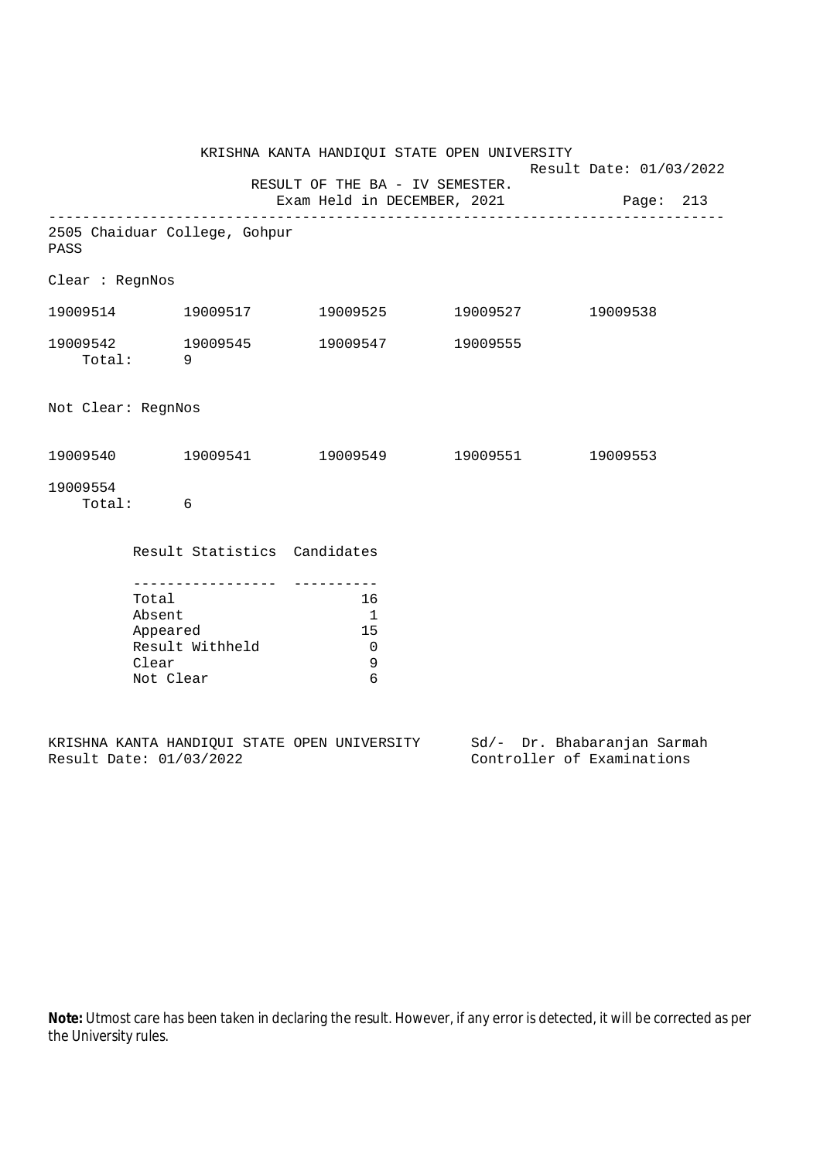|                    |                                       |                               | KRISHNA KANTA HANDIQUI STATE OPEN UNIVERSITY                             | Result Date: 01/03/2022 |  |  |  |
|--------------------|---------------------------------------|-------------------------------|--------------------------------------------------------------------------|-------------------------|--|--|--|
|                    |                                       |                               | RESULT OF THE BA - IV SEMESTER.<br>Exam Held in DECEMBER, 2021 Page: 213 |                         |  |  |  |
| PASS               |                                       | 2505 Chaiduar College, Gohpur |                                                                          |                         |  |  |  |
| Clear : RegnNos    |                                       |                               |                                                                          |                         |  |  |  |
|                    |                                       | 19009514 19009517             | 19009525 19009527 19009538                                               |                         |  |  |  |
|                    | Total: 9                              |                               | 19009542 19009545 19009547 19009555                                      |                         |  |  |  |
| Not Clear: RegnNos |                                       |                               |                                                                          |                         |  |  |  |
|                    |                                       |                               | $19009540$ $19009541$ $19009549$ $19009551$ $19009553$                   |                         |  |  |  |
| 19009554           | Total: 6                              |                               |                                                                          |                         |  |  |  |
|                    |                                       | Result Statistics Candidates  |                                                                          |                         |  |  |  |
|                    | Total<br>Absent<br>Clear<br>Not Clear | Appeared<br>Result Withheld   | 16<br>$\overline{1}$<br>15<br>$\overline{0}$<br>$\mathsf 9$<br>6         |                         |  |  |  |

|  |                         |  | KRISHNA KANTA HANDIQUI STATE OPEN UNIVERSITY |  | Sd/- Dr. Bhabaranjan Sarmah |  |
|--|-------------------------|--|----------------------------------------------|--|-----------------------------|--|
|  | Result Date: 01/03/2022 |  |                                              |  | Controller of Examinations  |  |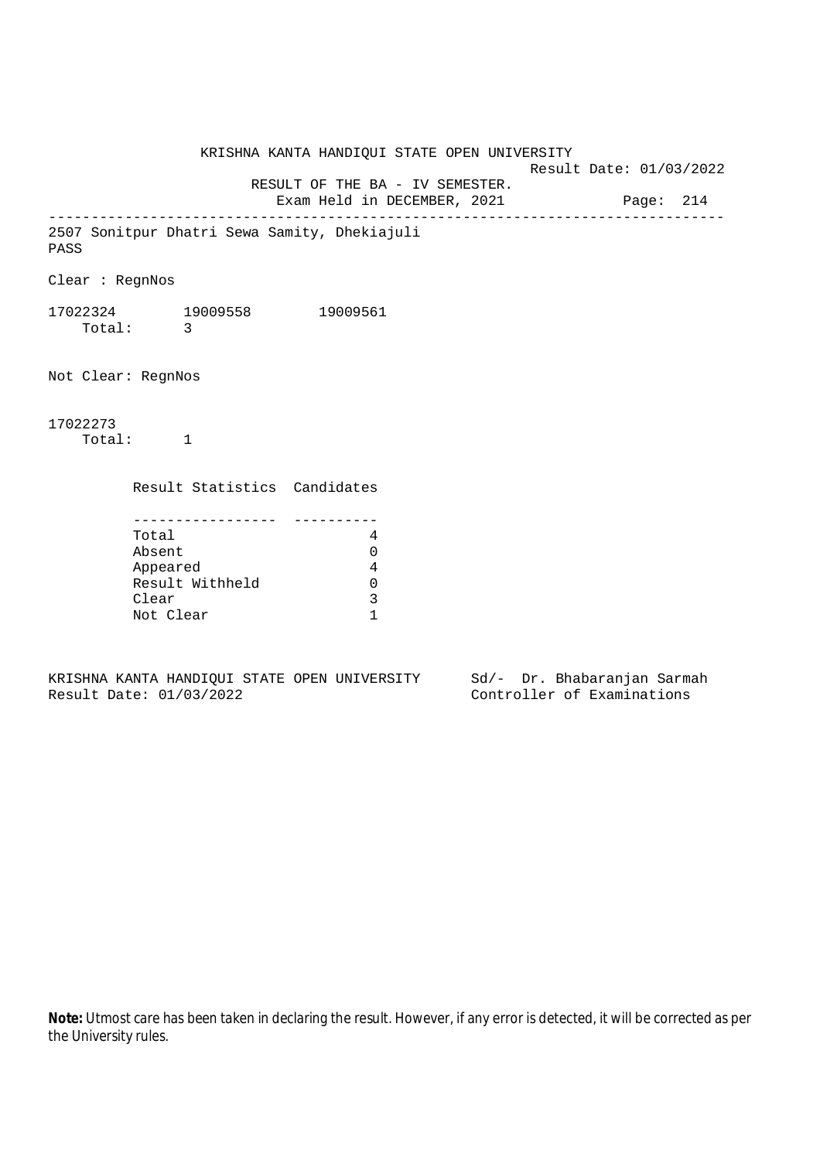KRISHNA KANTA HANDIQUI STATE OPEN UNIVERSITY Result Date: 01/03/2022 RESULT OF THE BA - IV SEMESTER. Exam Held in DECEMBER, 2021 Page: 214 -------------------------------------------------------------------------------- 2507 Sonitpur Dhatri Sewa Samity, Dhekiajuli PASS Clear : RegnNos 17022324 19009558 19009561 Total: 3 Not Clear: RegnNos 17022273 Total: 1 Result Statistics Candidates ----------------- ---------- Total 4 Absent 0 Appeared 4 Result Withheld 0 Clear 3 Not Clear 1

KRISHNA KANTA HANDIQUI STATE OPEN UNIVERSITY Sd/- Dr. Bhabaranjan Sarmah Result Date: 01/03/2022 Controller of Examinations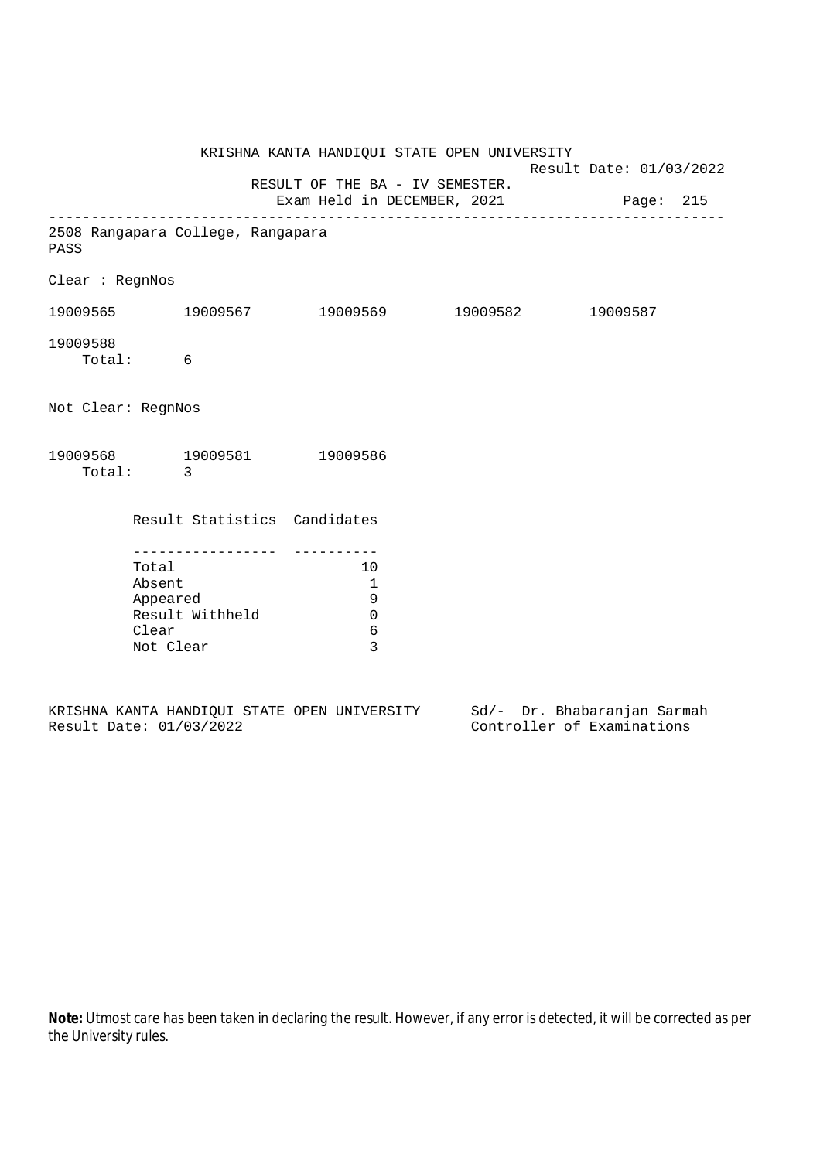|                                           |                                                                                                         | KRISHNA KANTA HANDIQUI STATE OPEN UNIVERSITY                             | Result Date: 01/03/2022 |          |  |
|-------------------------------------------|---------------------------------------------------------------------------------------------------------|--------------------------------------------------------------------------|-------------------------|----------|--|
|                                           |                                                                                                         | RESULT OF THE BA - IV SEMESTER.<br>Exam Held in DECEMBER, 2021 Page: 215 |                         |          |  |
| 2508 Rangapara College, Rangapara<br>PASS |                                                                                                         |                                                                          |                         |          |  |
| Clear : RegnNos                           |                                                                                                         |                                                                          |                         |          |  |
|                                           |                                                                                                         | 19009565 19009567 19009569 19009582                                      |                         | 19009587 |  |
| 19009588<br>Total: 6                      |                                                                                                         |                                                                          |                         |          |  |
| Not Clear: RegnNos                        |                                                                                                         |                                                                          |                         |          |  |
| 19009568 19009581 19009586<br>Total: 3    |                                                                                                         |                                                                          |                         |          |  |
|                                           | Result Statistics Candidates                                                                            |                                                                          |                         |          |  |
|                                           | - - - - - - - - - - - - - - - -<br>Total<br>Absent<br>Appeared<br>Result Withheld<br>Clear<br>Not Clear |                                                                          |                         |          |  |

|  |                         |  | KRISHNA KANTA HANDIOUI STATE OPEN UNIVERSITY |  | Sd/- Dr. Bhabaranjan Sarmah |  |
|--|-------------------------|--|----------------------------------------------|--|-----------------------------|--|
|  | Result Date: 01/03/2022 |  |                                              |  | Controller of Examinations  |  |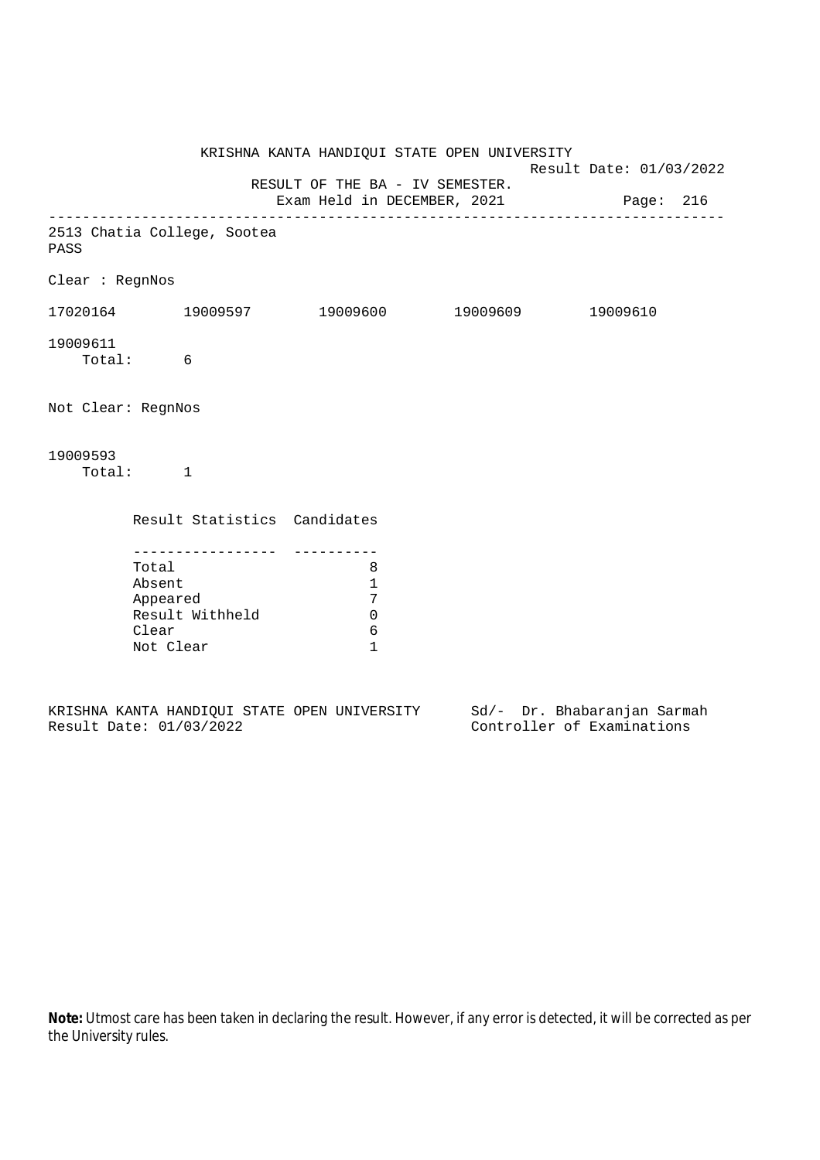|                    |                                                                                          |                                                 | KRISHNA KANTA HANDIQUI STATE OPEN UNIVERSITY                             | Result Date: 01/03/2022 |  |  |
|--------------------|------------------------------------------------------------------------------------------|-------------------------------------------------|--------------------------------------------------------------------------|-------------------------|--|--|
|                    |                                                                                          |                                                 | RESULT OF THE BA - IV SEMESTER.<br>Exam Held in DECEMBER, 2021 Page: 216 |                         |  |  |
| PASS               | 2513 Chatia College, Sootea                                                              |                                                 |                                                                          |                         |  |  |
| Clear : RegnNos    |                                                                                          |                                                 |                                                                          |                         |  |  |
|                    |                                                                                          |                                                 |                                                                          |                         |  |  |
| 19009611           | Total: 6                                                                                 |                                                 |                                                                          |                         |  |  |
| Not Clear: RegnNos |                                                                                          |                                                 |                                                                          |                         |  |  |
| 19009593           | Total: 1                                                                                 |                                                 |                                                                          |                         |  |  |
|                    |                                                                                          | Result Statistics Candidates                    |                                                                          |                         |  |  |
|                    | ----------------<br>Total<br>Absent<br>Appeared<br>Result Withheld<br>Clear<br>Not Clear | 8<br>1<br>7<br>$\mathbf 0$<br>6<br>$\mathbf{1}$ |                                                                          |                         |  |  |

|  |                         |  | KRISHNA KANTA HANDIOUI STATE OPEN UNIVERSITY |  |  | Sd/- Dr. Bhabaranjan Sarmah |  |
|--|-------------------------|--|----------------------------------------------|--|--|-----------------------------|--|
|  | Result Date: 01/03/2022 |  |                                              |  |  | Controller of Examinations  |  |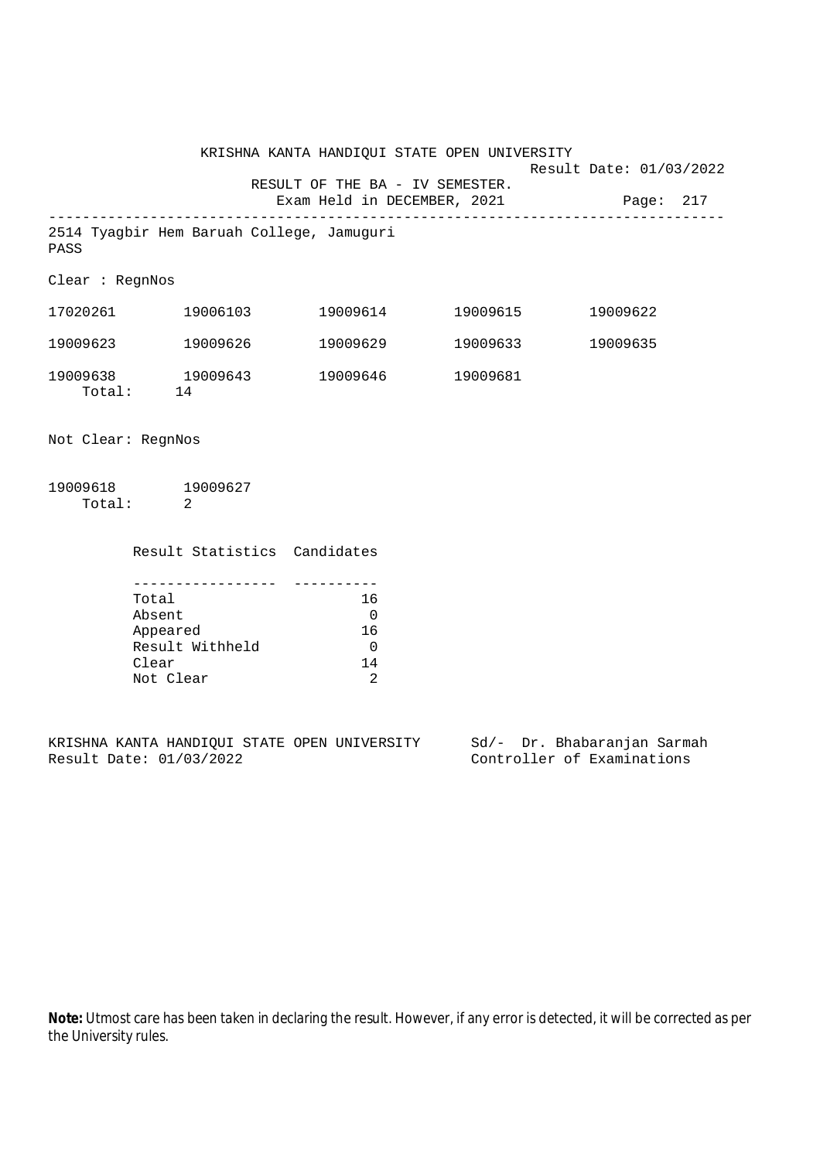KRISHNA KANTA HANDIQUI STATE OPEN UNIVERSITY Result Date: 01/03/2022 RESULT OF THE BA - IV SEMESTER. Exam Held in DECEMBER, 2021 Page: 217 -------------------------------------------------------------------------------- 2514 Tyagbir Hem Baruah College, Jamuguri PASS Clear : RegnNos 17020261 19006103 19009614 19009615 19009622 19009623 19009626 19009629 19009633 19009635 19009638 19009643 19009646 19009681 Total: 14

Not Clear: RegnNos

19009618 19009627 Total: 2

> Result Statistics Candidates ----------------- ----------

| Total           | 16. |
|-----------------|-----|
| Absent          | 0   |
| Appeared        | 16  |
| Result Withheld |     |
| Clear           | 14  |
| Not Clear       |     |

KRISHNA KANTA HANDIQUI STATE OPEN UNIVERSITY Sd/- Dr. Bhabaranjan Sarmah Result Date: 01/03/2022 Controller of Examinations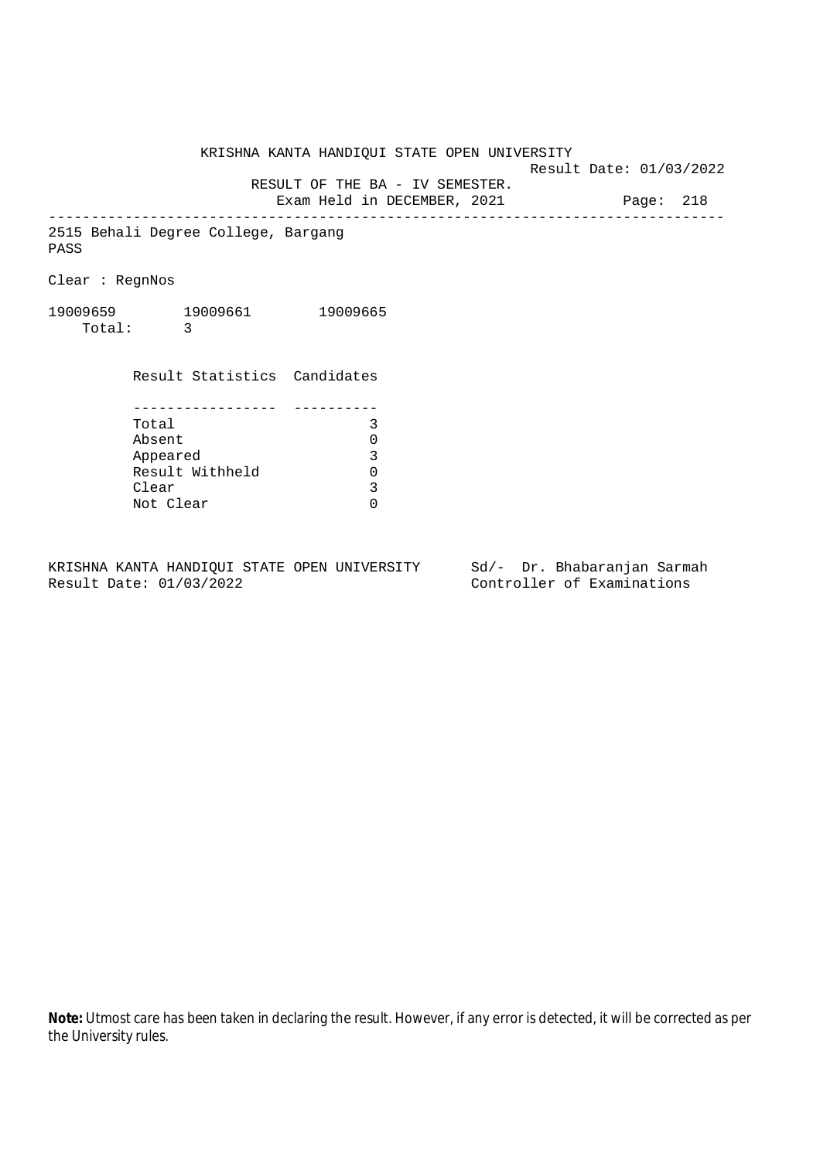KRISHNA KANTA HANDIQUI STATE OPEN UNIVERSITY

Result Date: 01/03/2022

 RESULT OF THE BA - IV SEMESTER. Exam Held in DECEMBER, 2021 Page: 218

--------------------------------------------------------------------------------

2515 Behali Degree College, Bargang PASS

Clear : RegnNos

19009659 19009661 19009665 Total: 3

> Result Statistics Candidates ----------------- ---------- Total 3 Absent 0<br>
> Appeared 3<br>
> Result Withheld 0 Appeared Result Withheld 0<br>Clear 3 Clear Not Clear 0

KRISHNA KANTA HANDIQUI STATE OPEN UNIVERSITY Sd/- Dr. Bhabaranjan Sarmah Result Date: 01/03/2022 Controller of Examinations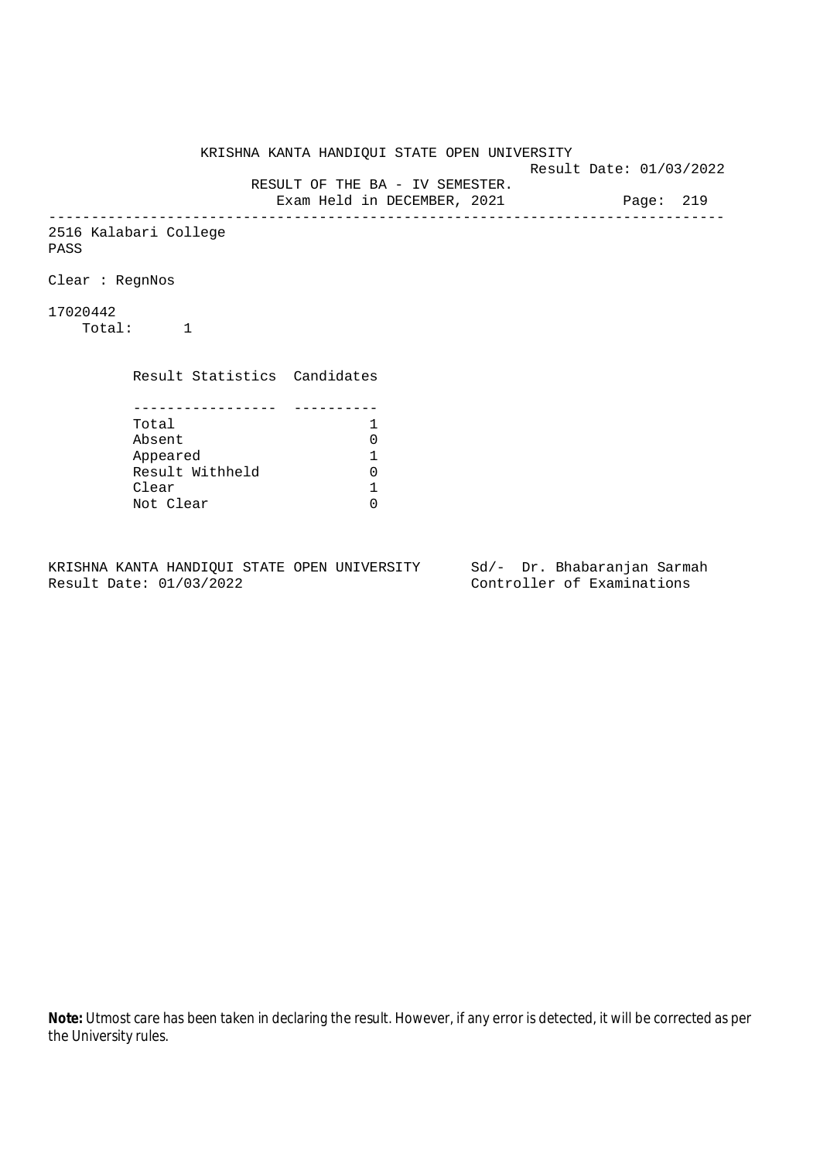KRISHNA KANTA HANDIQUI STATE OPEN UNIVERSITY Result Date: 01/03/2022 RESULT OF THE BA - IV SEMESTER. Exam Held in DECEMBER, 2021 Page: 219 -------------------------------------------------------------------------------- 2516 Kalabari College PASS Clear : RegnNos 17020442 Total: 1 Result Statistics Candidates ----------------- ---------- Total 1<br>Absent 0 Absent<br>
Appeared 1<br>
Result Withheld 0<br>
Clear 1 Appeared 1 Result Withheld Clear Not Clear 0

KRISHNA KANTA HANDIQUI STATE OPEN UNIVERSITY Sd/- Dr. Bhabaranjan Sarmah Result Date: 01/03/2022 Controller of Examinations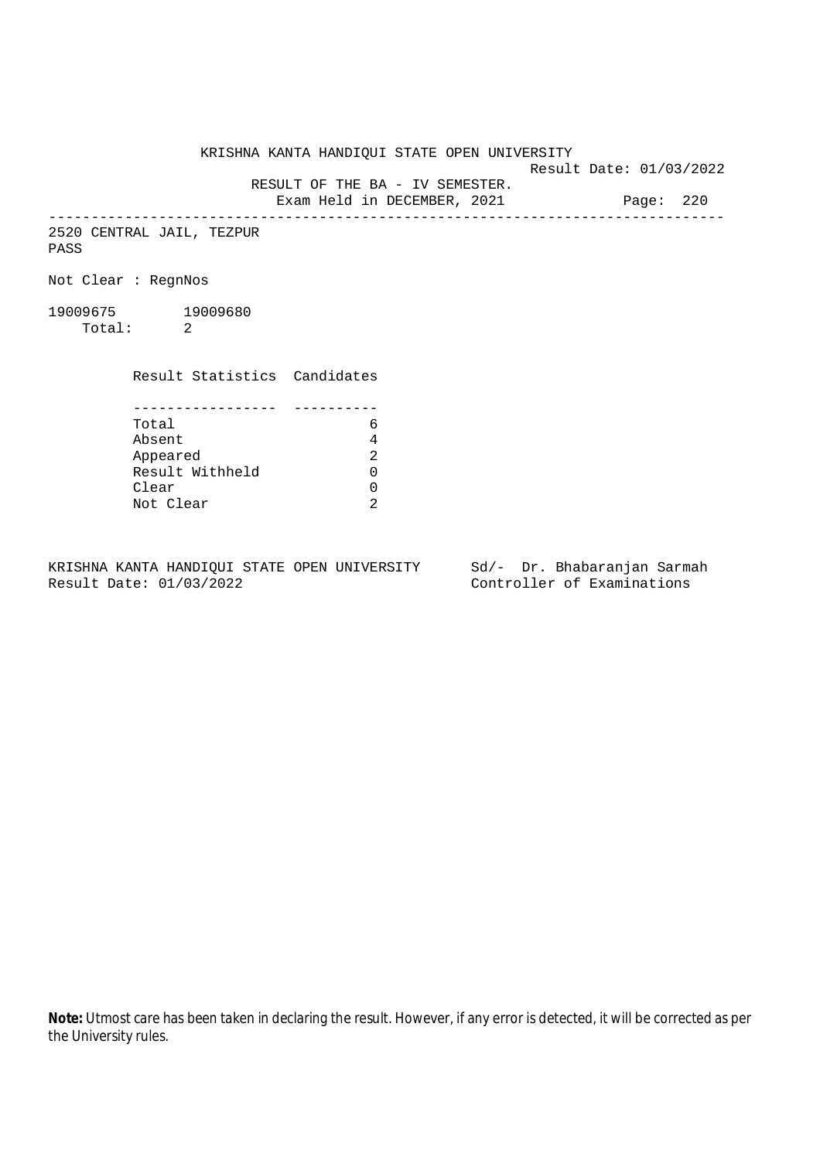KRISHNA KANTA HANDIQUI STATE OPEN UNIVERSITY

Result Date: 01/03/2022

RESULT OF THE BA - IV SEMESTER.

Exam Held in DECEMBER, 2021 Page: 220 --------------------------------------------------------------------------------

2520 CENTRAL JAIL, TEZPUR PASS

Not Clear : RegnNos

19009675 19009680 Total: 2

Result Statistics Candidates

| Total           |  |
|-----------------|--|
| Absent          |  |
| Appeared        |  |
| Result Withheld |  |
| Clear           |  |
| Not Clear       |  |

KRISHNA KANTA HANDIQUI STATE OPEN UNIVERSITY Sd/- Dr. Bhabaranjan Sarmah Result Date: 01/03/2022 Controller of Examinations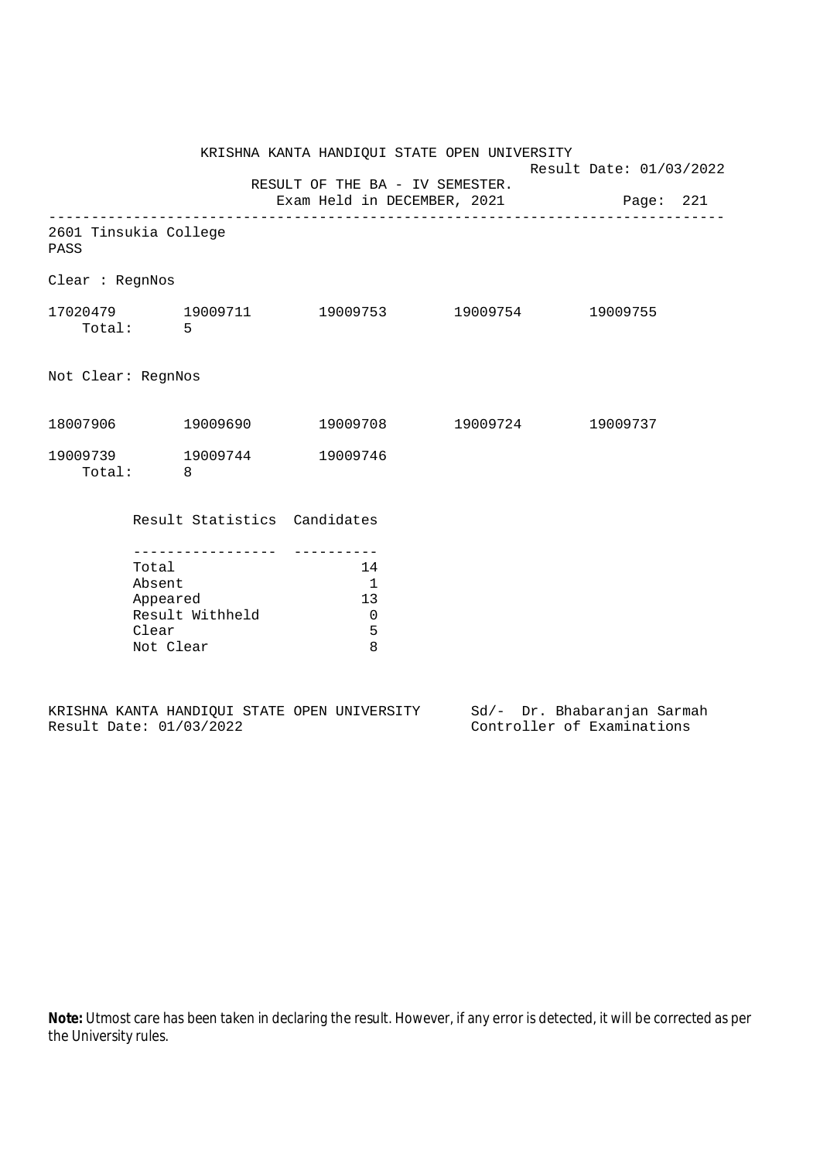|                                                                                                                                                                |                                                         | Result Date: 01/03/2022                                                                                                                                                                                                                                                                      |
|----------------------------------------------------------------------------------------------------------------------------------------------------------------|---------------------------------------------------------|----------------------------------------------------------------------------------------------------------------------------------------------------------------------------------------------------------------------------------------------------------------------------------------------|
|                                                                                                                                                                |                                                         |                                                                                                                                                                                                                                                                                              |
|                                                                                                                                                                |                                                         |                                                                                                                                                                                                                                                                                              |
|                                                                                                                                                                |                                                         |                                                                                                                                                                                                                                                                                              |
|                                                                                                                                                                |                                                         |                                                                                                                                                                                                                                                                                              |
|                                                                                                                                                                |                                                         |                                                                                                                                                                                                                                                                                              |
|                                                                                                                                                                |                                                         |                                                                                                                                                                                                                                                                                              |
| 19009746                                                                                                                                                       |                                                         |                                                                                                                                                                                                                                                                                              |
|                                                                                                                                                                |                                                         |                                                                                                                                                                                                                                                                                              |
| $\overline{\phantom{0}}$<br>13<br>$\mathbf 0$<br>5<br>8                                                                                                        |                                                         |                                                                                                                                                                                                                                                                                              |
| 2601 Tinsukia College<br>Clear : RegnNos<br>Total: 5<br>Not Clear: RegnNos<br>Total: 8<br>Total<br>Absent<br>Appeared<br>Result Withheld<br>Clear<br>Not Clear | 19009739 19009744<br>Result Statistics Candidates<br>14 | KRISHNA KANTA HANDIQUI STATE OPEN UNIVERSITY<br>RESULT OF THE BA - IV SEMESTER.<br>Exam Held in DECEMBER, 2021 Page: 221<br>$17020479 \qquad \qquad 19009711 \qquad \qquad 19009753 \qquad \qquad 19009754 \qquad \qquad 19009755$<br>$18007906$ $19009690$ $19009708$ $19009724$ $19009737$ |

|                         |  |  | KRISHNA KANTA HANDIOUI STATE OPEN UNIVERSITY |  | Sd/- Dr. Bhabaranjan Sarmah |  |
|-------------------------|--|--|----------------------------------------------|--|-----------------------------|--|
| Result Date: 01/03/2022 |  |  |                                              |  | Controller of Examinations  |  |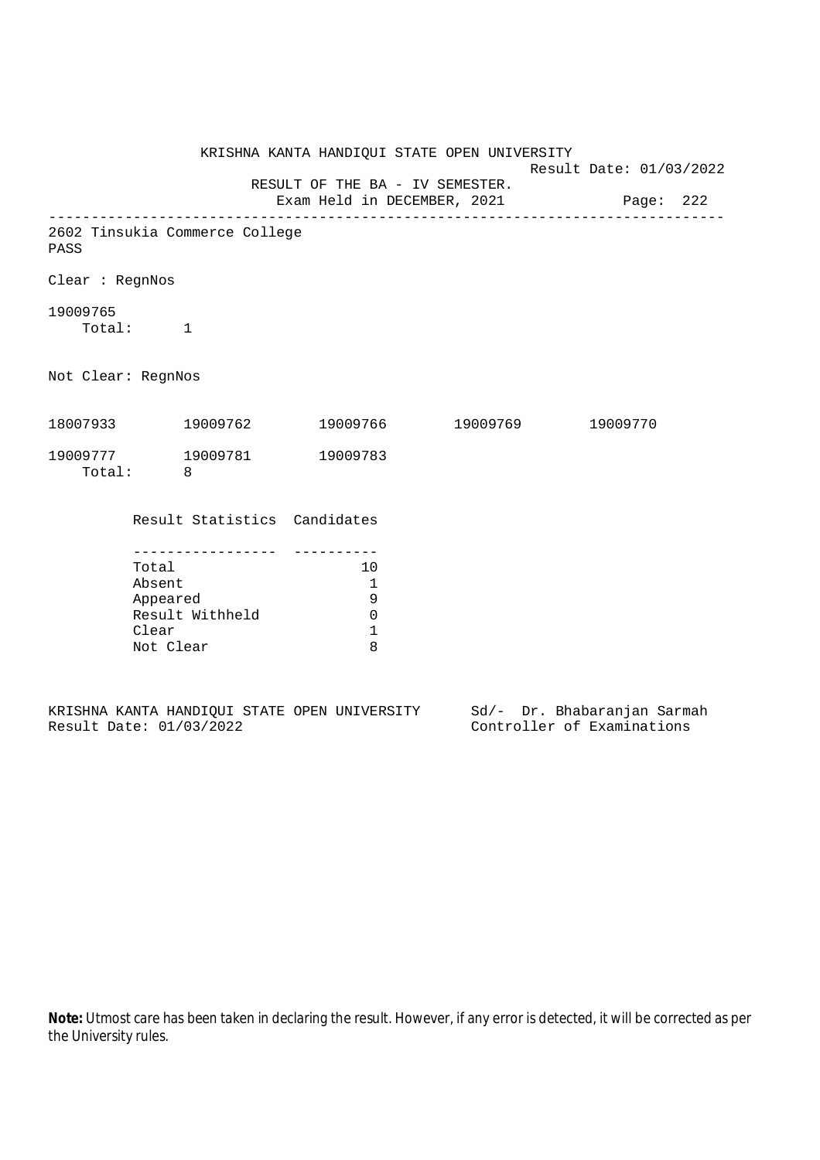|                                                                          |                                                   |                                | KRISHNA KANTA HANDIQUI STATE OPEN UNIVERSITY               |                            | Result Date: 01/03/2022 |  |  |
|--------------------------------------------------------------------------|---------------------------------------------------|--------------------------------|------------------------------------------------------------|----------------------------|-------------------------|--|--|
| RESULT OF THE BA - IV SEMESTER.<br>Exam Held in DECEMBER, 2021 Page: 222 |                                                   |                                |                                                            |                            |                         |  |  |
| PASS                                                                     |                                                   | 2602 Tinsukia Commerce College |                                                            |                            |                         |  |  |
| Clear : RegnNos                                                          |                                                   |                                |                                                            |                            |                         |  |  |
| 19009765<br>Total: 1                                                     |                                                   |                                |                                                            |                            |                         |  |  |
| Not Clear: RegnNos                                                       |                                                   |                                |                                                            |                            |                         |  |  |
|                                                                          |                                                   | 18007933 19009762              |                                                            | 19009766 19009769 19009770 |                         |  |  |
|                                                                          | Total: 8                                          | 19009777 19009781              | 19009783                                                   |                            |                         |  |  |
|                                                                          |                                                   | Result Statistics Candidates   |                                                            |                            |                         |  |  |
|                                                                          | Total<br>Absent<br>Appeared<br>Clear<br>Not Clear | Result Withheld                | 10<br>$\mathbf{1}$<br>9<br>$\mathbf 0$<br>$\mathbf 1$<br>8 |                            |                         |  |  |

|  |                         |  | KRISHNA KANTA HANDIOUI STATE OPEN UNIVERSITY |  | Sd/- Dr. Bhabaranjan Sarmah |  |
|--|-------------------------|--|----------------------------------------------|--|-----------------------------|--|
|  | Result Date: 01/03/2022 |  |                                              |  | Controller of Examinations  |  |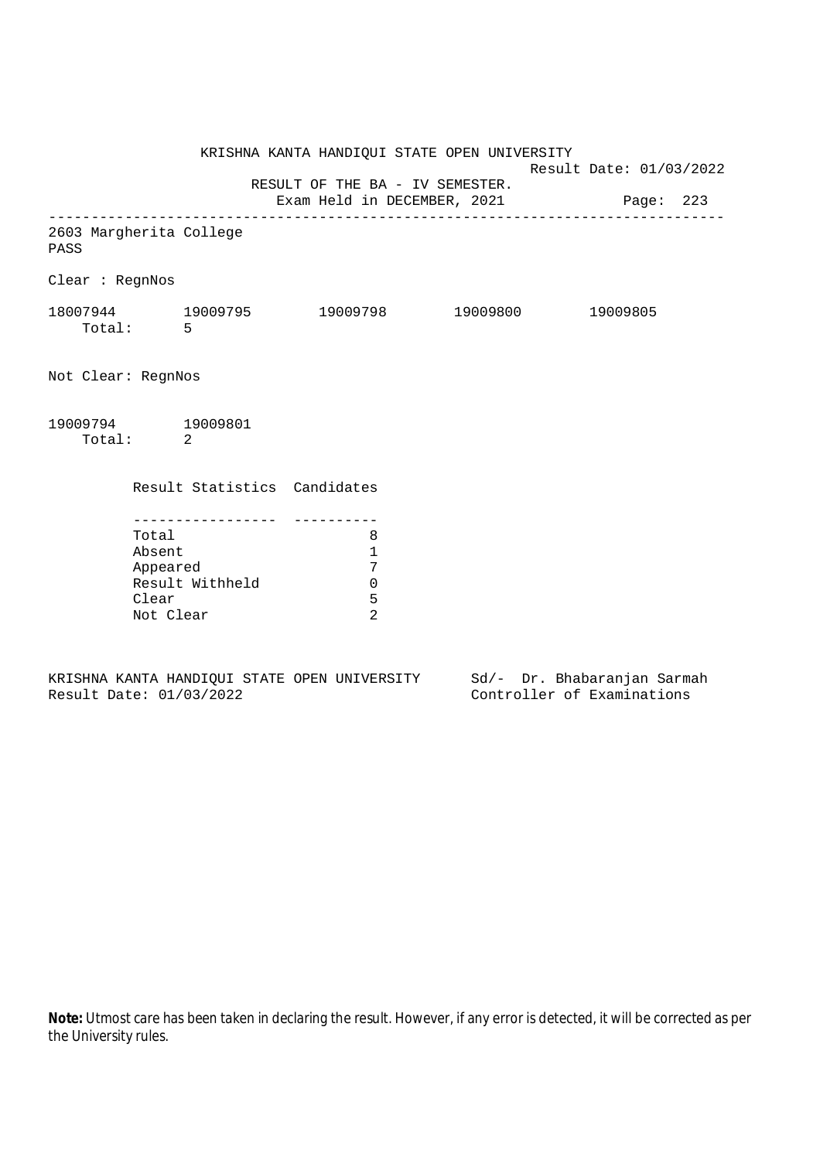KRISHNA KANTA HANDIQUI STATE OPEN UNIVERSITY Result Date: 01/03/2022 RESULT OF THE BA - IV SEMESTER. Exam Held in DECEMBER, 2021 Page: 223 -------------------------------------------------------------------------------- 2603 Margherita College PASS Clear : RegnNos 18007944 19009795 19009798 19009800 19009805 Total: 5 Not Clear: RegnNos 19009794 19009801 Total: 2 Result Statistics Candidates ----------------- ---------- Total 8 Absent 1 Appeared 7 Result Withheld 0 Clear 5 Not Clear 2

KRISHNA KANTA HANDIQUI STATE OPEN UNIVERSITY Sd/- Dr. Bhabaranjan Sarmah Result Date: 01/03/2022 Controller of Examinations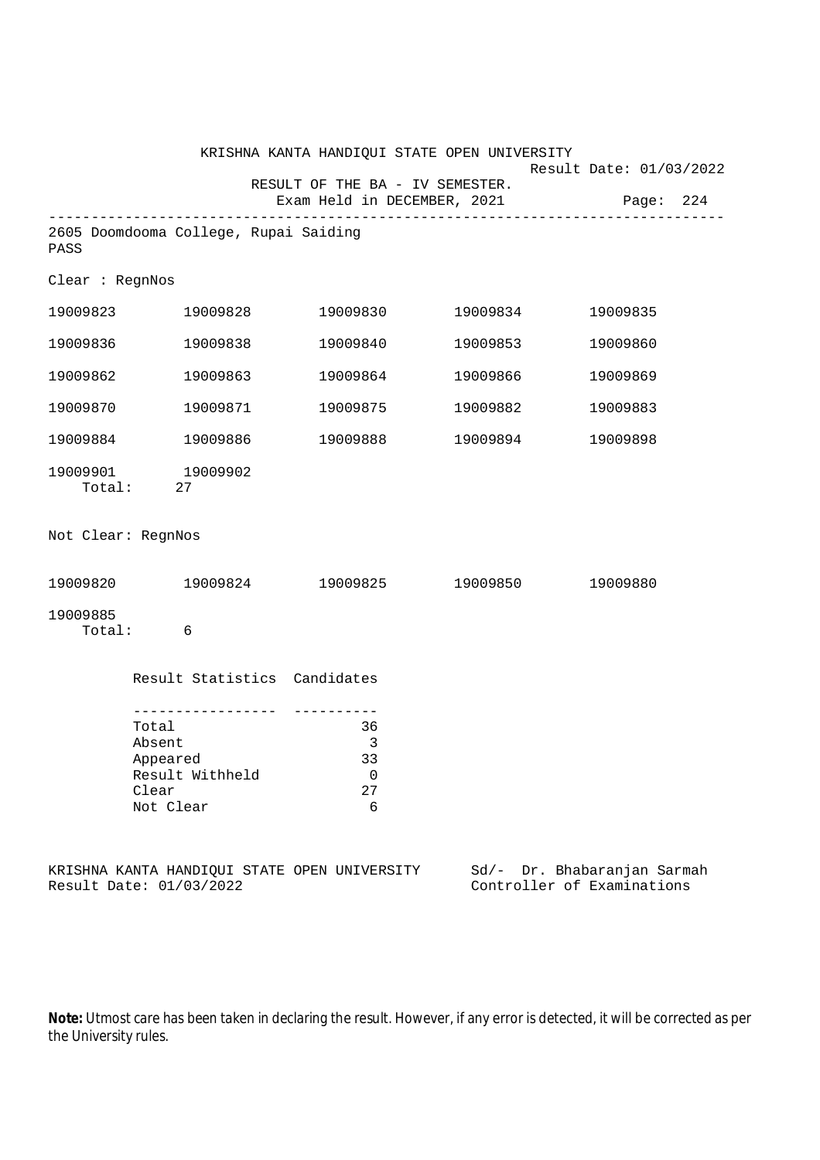|                    |                                                                                       | KRISHNA KANTA HANDIQUI STATE OPEN UNIVERSITY                   |          | Result Date: 01/03/2022                                   |
|--------------------|---------------------------------------------------------------------------------------|----------------------------------------------------------------|----------|-----------------------------------------------------------|
|                    |                                                                                       | RESULT OF THE BA - IV SEMESTER.<br>Exam Held in DECEMBER, 2021 |          | Page: 224                                                 |
| PASS               | 2605 Doomdooma College, Rupai Saiding                                                 |                                                                |          |                                                           |
| Clear : RegnNos    |                                                                                       |                                                                |          |                                                           |
|                    | 19009823 19009828                                                                     | 19009830                                                       | 19009834 | 19009835                                                  |
| 19009836           | 19009838                                                                              | 19009840                                                       | 19009853 | 19009860                                                  |
| 19009862           | 19009863                                                                              | 19009864                                                       | 19009866 | 19009869                                                  |
| 19009870           | 19009871                                                                              | 19009875                                                       | 19009882 | 19009883                                                  |
| 19009884           | 19009886                                                                              | 19009888                                                       | 19009894 | 19009898                                                  |
| 19009901           | 19009902<br>Total: 27                                                                 |                                                                |          |                                                           |
| Not Clear: RegnNos |                                                                                       |                                                                |          |                                                           |
|                    |                                                                                       | 19009820 19009824 19009825 19009850                            |          | 19009880                                                  |
| 19009885<br>Total: | $\overline{6}$                                                                        |                                                                |          |                                                           |
|                    | Result Statistics Candidates                                                          |                                                                |          |                                                           |
|                    | -------------<br>Total<br>Absent<br>Appeared<br>Result Withheld<br>Clear<br>Not Clear | 36<br>3<br>33<br>0<br>27<br>6                                  |          |                                                           |
|                    | Result Date: 01/03/2022                                                               | KRISHNA KANTA HANDIQUI STATE OPEN UNIVERSITY                   |          | Sd/- Dr. Bhabaranjan Sarmah<br>Controller of Examinations |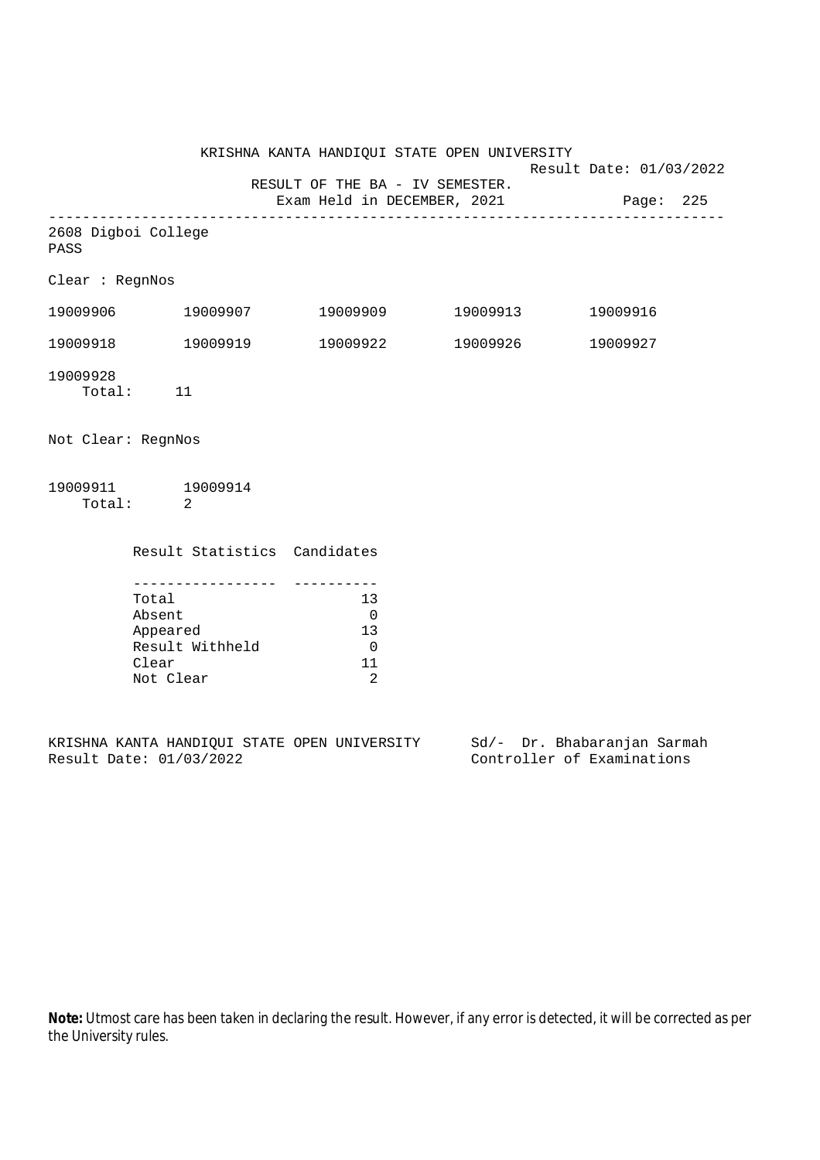KRISHNA KANTA HANDIQUI STATE OPEN UNIVERSITY Result Date: 01/03/2022 RESULT OF THE BA - IV SEMESTER. Exam Held in DECEMBER, 2021 Page: 225 -------------------------------------------------------------------------------- 2608 Digboi College PASS Clear : RegnNos 19009906 19009907 19009909 19009913 19009916 19009918 19009919 19009922 19009926 19009927 19009928 Total: 11 Not Clear: RegnNos 19009911 19009914 Total: 2 Result Statistics Candidates ----------------- ---------- Total 13 Absent 0<br>Appeared 13 Appeared 13 Result Withheld 0 Clear 11

KRISHNA KANTA HANDIQUI STATE OPEN UNIVERSITY Sd/- Dr. Bhabaranjan Sarmah Result Date: 01/03/2022 Controller of Examinations

Not Clear 2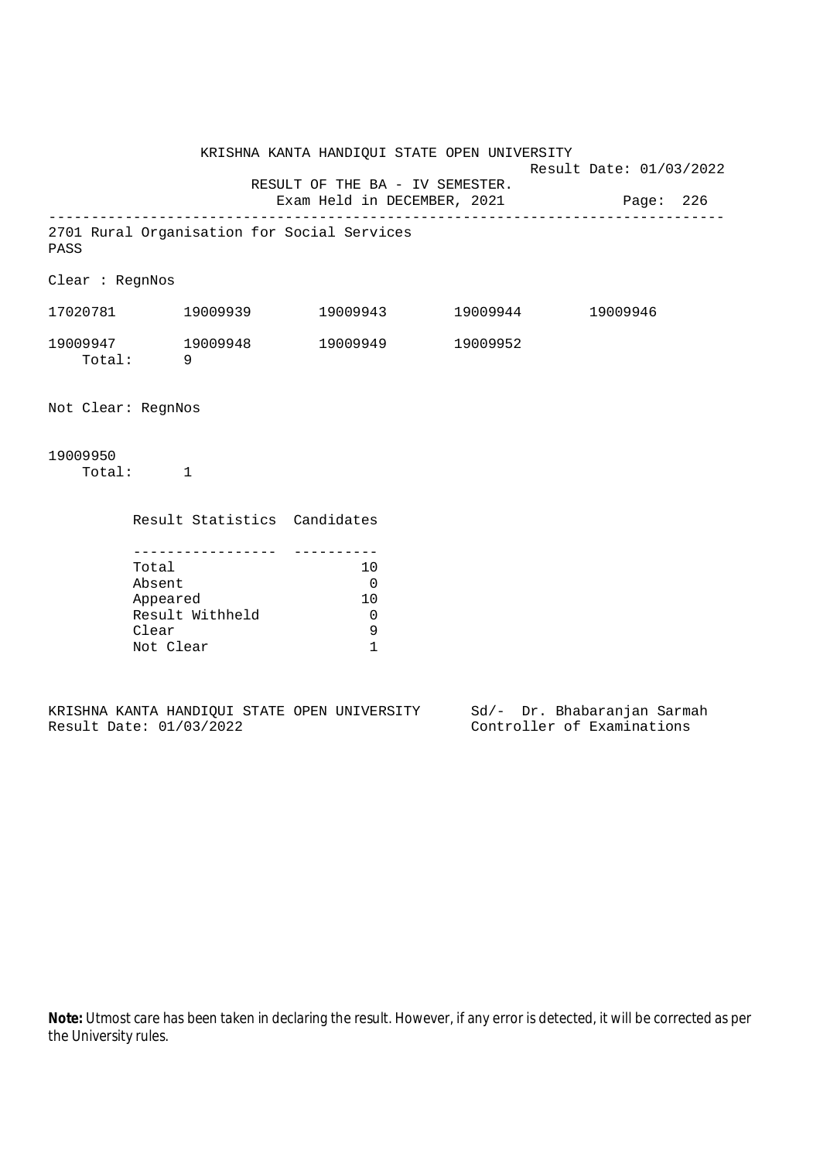KRISHNA KANTA HANDIQUI STATE OPEN UNIVERSITY Result Date: 01/03/2022 RESULT OF THE BA - IV SEMESTER. Exam Held in DECEMBER, 2021 Page: 226 -------------------------------------------------------------------------------- 2701 Rural Organisation for Social Services PASS Clear : RegnNos 17020781 19009939 19009943 19009944 19009946 19009947 19009948 19009949 19009952 Total: 9 Not Clear: RegnNos 19009950 Total: 1 Result Statistics Candidates ----------------- ---------- Total 10 Absent 0 Appeared 10 Result Withheld 0<br>Clear 9 Clear

|  |                         |  | KRISHNA KANTA HANDIOUI STATE OPEN UNIVERSITY |  |  | Sd/- Dr. Bhabaranjan Sarmah |  |
|--|-------------------------|--|----------------------------------------------|--|--|-----------------------------|--|
|  | Result Date: 01/03/2022 |  |                                              |  |  | Controller of Examinations  |  |

Not Clear 1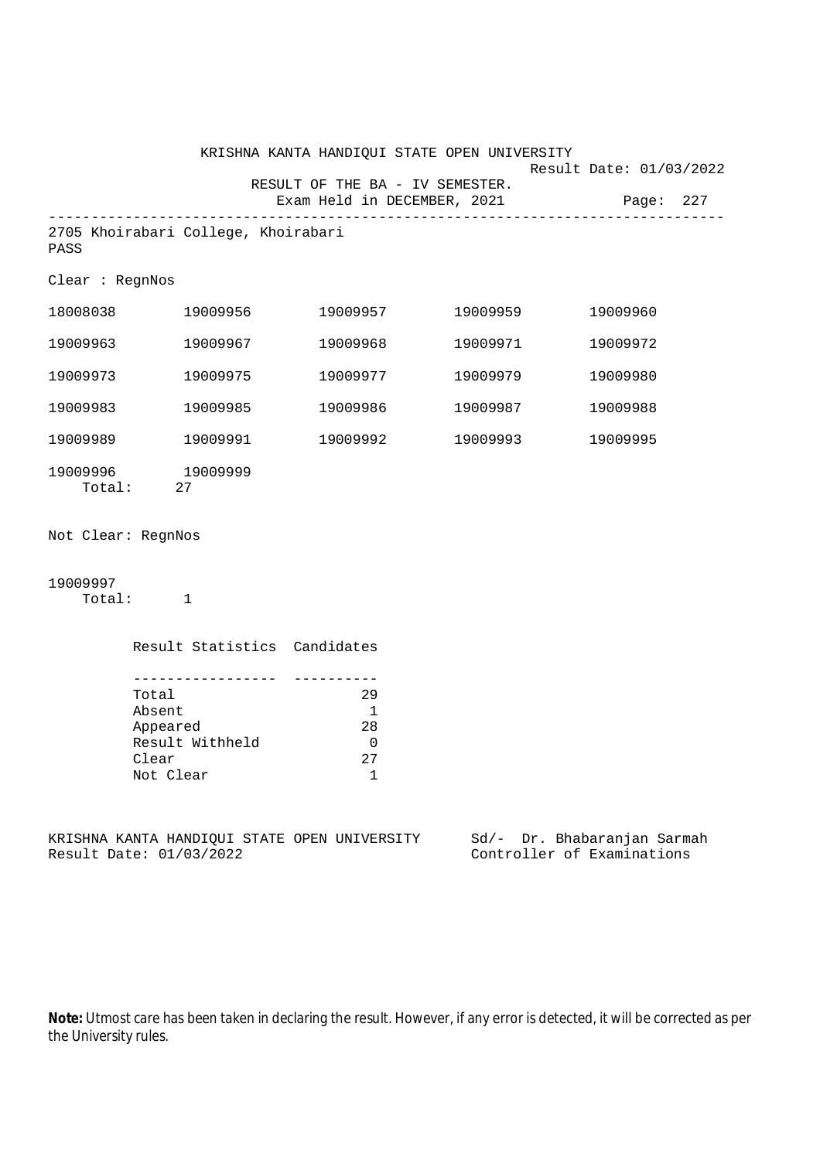|                    |                                                                                    | KRISHNA KANTA HANDIQUI STATE OPEN UNIVERSITY                       |                                      |                                                           |
|--------------------|------------------------------------------------------------------------------------|--------------------------------------------------------------------|--------------------------------------|-----------------------------------------------------------|
|                    |                                                                                    | RESULT OF THE BA - IV SEMESTER.<br>Exam Held in DECEMBER, 2021     | ------------------------------------ | Result Date: 01/03/2022<br>Page: 227                      |
| PASS               | 2705 Khoirabari College, Khoirabari                                                |                                                                    |                                      |                                                           |
| Clear : RegnNos    |                                                                                    |                                                                    |                                      |                                                           |
|                    | 18008038 19009956                                                                  |                                                                    | 19009957 19009959                    | 19009960                                                  |
| 19009963           | 19009967                                                                           | 19009968                                                           | 19009971                             | 19009972                                                  |
| 19009973           | 19009975                                                                           | 19009977                                                           | 19009979                             | 19009980                                                  |
| 19009983           | 19009985                                                                           | 19009986                                                           | 19009987                             | 19009988                                                  |
| 19009989           | 19009991                                                                           | 19009992                                                           | 19009993                             | 19009995                                                  |
|                    | 19009996 19009999<br>Total: 27                                                     |                                                                    |                                      |                                                           |
| Not Clear: RegnNos |                                                                                    |                                                                    |                                      |                                                           |
| 19009997           | Total: 1                                                                           |                                                                    |                                      |                                                           |
|                    | Result Statistics Candidates                                                       |                                                                    |                                      |                                                           |
|                    | . <u>.</u><br>Total<br>Absent<br>Appeared<br>Result Withheld<br>Clear<br>Not Clear | ----------<br>29<br>$\overline{\phantom{a}}$<br>28<br>0<br>27<br>1 |                                      |                                                           |
|                    | KRISHNA KANTA HANDIQUI STATE OPEN UNIVERSITY<br>Result Date: 01/03/2022            |                                                                    |                                      | Sd/- Dr. Bhabaranjan Sarmah<br>Controller of Examinations |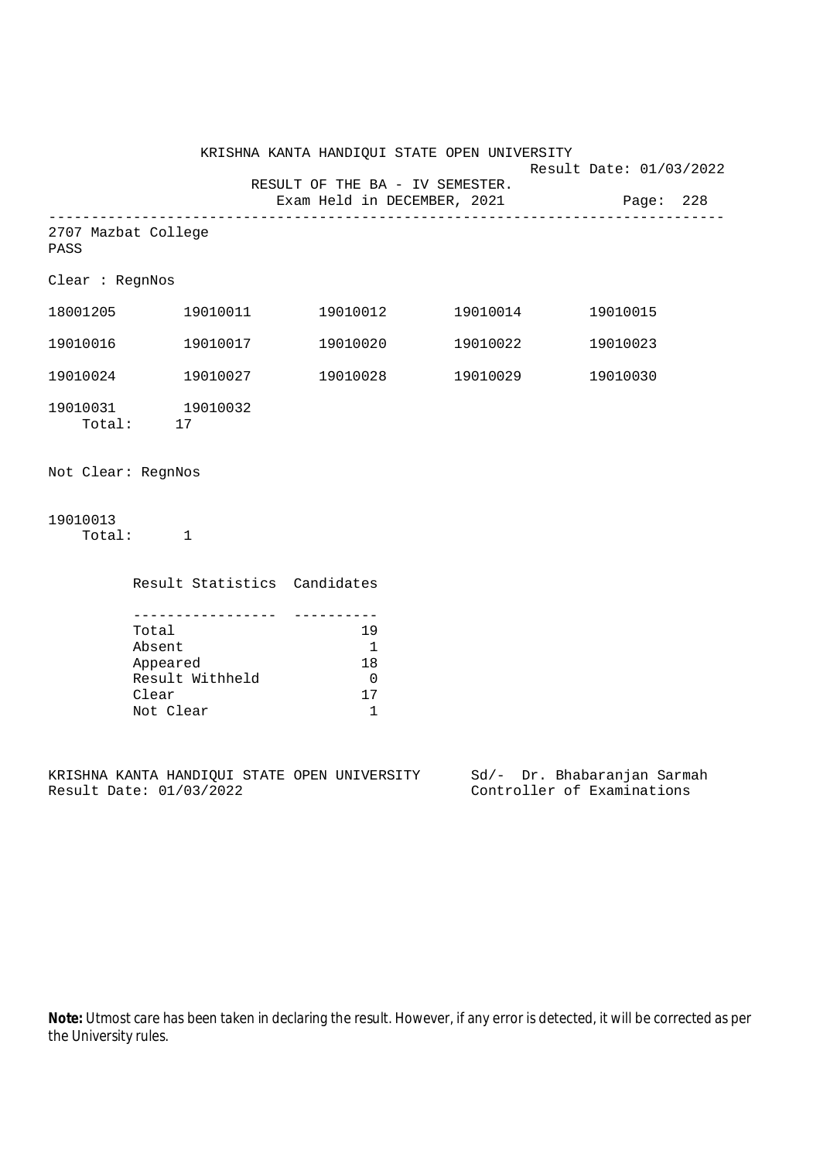|                    |                                                                           |                                                              | KRISHNA KANTA HANDIQUI STATE OPEN UNIVERSITY                             | Result Date: 01/03/2022 |  |
|--------------------|---------------------------------------------------------------------------|--------------------------------------------------------------|--------------------------------------------------------------------------|-------------------------|--|
|                    |                                                                           |                                                              | RESULT OF THE BA - IV SEMESTER.<br>Exam Held in DECEMBER, 2021 Page: 228 |                         |  |
| PASS               | 2707 Mazbat College                                                       |                                                              |                                                                          |                         |  |
| Clear : RegnNos    |                                                                           |                                                              |                                                                          |                         |  |
|                    | 18001205 19010011                                                         |                                                              |                                                                          | 19010015                |  |
|                    | 19010016 19010017                                                         |                                                              |                                                                          | 19010023                |  |
|                    | 19010024 19010027                                                         | 19010028                                                     | 19010029                                                                 | 19010030                |  |
|                    | $\begin{array}{cc} 19010031 & 19010032 \\ \text{Total:} & 17 \end{array}$ |                                                              |                                                                          |                         |  |
| Not Clear: RegnNos |                                                                           |                                                              |                                                                          |                         |  |
| 19010013           | Total: 1                                                                  |                                                              |                                                                          |                         |  |
|                    | Result Statistics Candidates                                              |                                                              |                                                                          |                         |  |
|                    | Total<br>Absent<br>Appeared<br>Result Withheld<br>Clear                   | 19<br>$\overline{\phantom{0}}$<br>18<br>$\overline{0}$<br>17 |                                                                          |                         |  |

KRISHNA KANTA HANDIQUI STATE OPEN UNIVERSITY Sd/- Dr. Bhabaranjan Sarmah Result Date: 01/03/2022 Controller of Examinations

Not Clear 1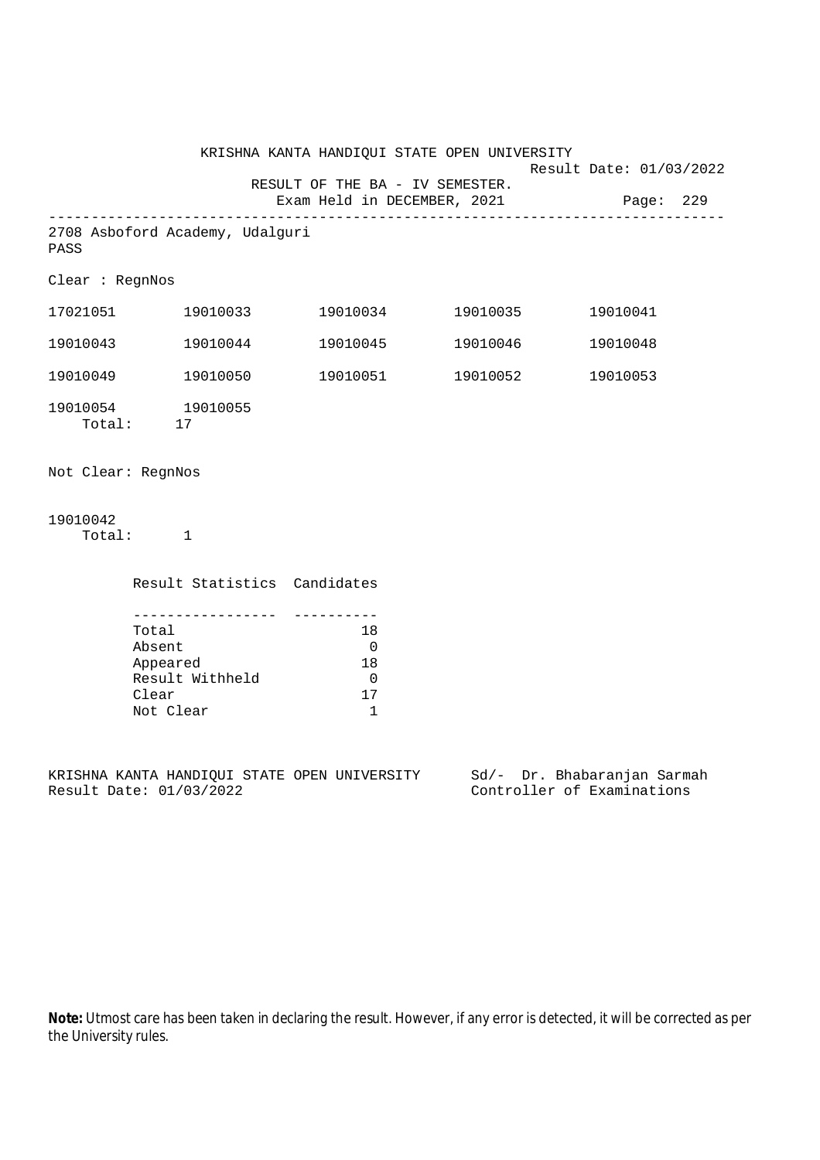|                    |                                       |                                                    | KRISHNA KANTA HANDIQUI STATE OPEN UNIVERSITY                                      |                      | Result Date: 01/03/2022 |           |  |
|--------------------|---------------------------------------|----------------------------------------------------|-----------------------------------------------------------------------------------|----------------------|-------------------------|-----------|--|
|                    |                                       |                                                    | RESULT OF THE BA - IV SEMESTER.<br>Exam Held in DECEMBER, 2021                    |                      |                         | Page: 229 |  |
| PASS               |                                       | 2708 Asboford Academy, Udalguri                    |                                                                                   |                      |                         |           |  |
| Clear : RegnNos    |                                       |                                                    |                                                                                   |                      |                         |           |  |
|                    |                                       |                                                    |                                                                                   |                      |                         |           |  |
| 19010043           |                                       | 19010044                                           |                                                                                   | 19010045    19010046 |                         | 19010048  |  |
|                    |                                       | 19010049    19010050                               |                                                                                   | 19010051 19010052    |                         | 19010053  |  |
| 19010054 19010055  | Total: 17                             |                                                    |                                                                                   |                      |                         |           |  |
| Not Clear: RegnNos |                                       |                                                    |                                                                                   |                      |                         |           |  |
| 19010042           | Total: 1                              |                                                    |                                                                                   |                      |                         |           |  |
|                    |                                       | Result Statistics Candidates                       |                                                                                   |                      |                         |           |  |
|                    | Total<br>Absent<br>Clear<br>Not Clear | ___________________<br>Appeared<br>Result Withheld | -----------<br>18<br>$\overline{0}$<br>18<br>$\overline{0}$<br>17<br>$\mathbf{1}$ |                      |                         |           |  |

KRISHNA KANTA HANDIQUI STATE OPEN UNIVERSITY Sd/- Dr. Bhabaranjan Sarmah Result Date: 01/03/2022 Controller of Examinations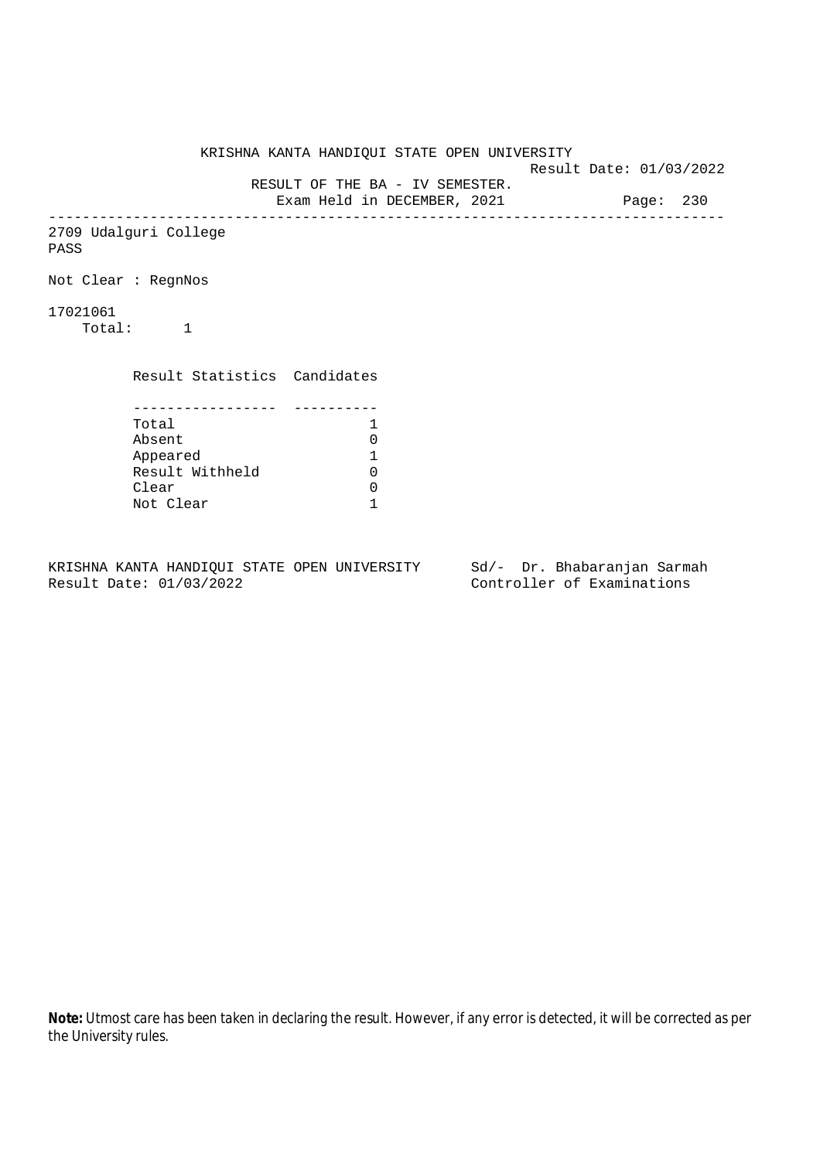KRISHNA KANTA HANDIQUI STATE OPEN UNIVERSITY Result Date: 01/03/2022 RESULT OF THE BA - IV SEMESTER. Exam Held in DECEMBER, 2021 Page: 230 -------------------------------------------------------------------------------- 2709 Udalguri College PASS Not Clear : RegnNos 17021061 Total: 1 Result Statistics Candidates ----------------- ---------- Total 1<br>Absent 0 Absent 0<br>
Appeared 1<br>
Result Withheld 0 Appeared 1 Result Withheld 0 Clear 0 Not Clear 1

KRISHNA KANTA HANDIQUI STATE OPEN UNIVERSITY Sd/- Dr. Bhabaranjan Sarmah Result Date: 01/03/2022 Controller of Examinations